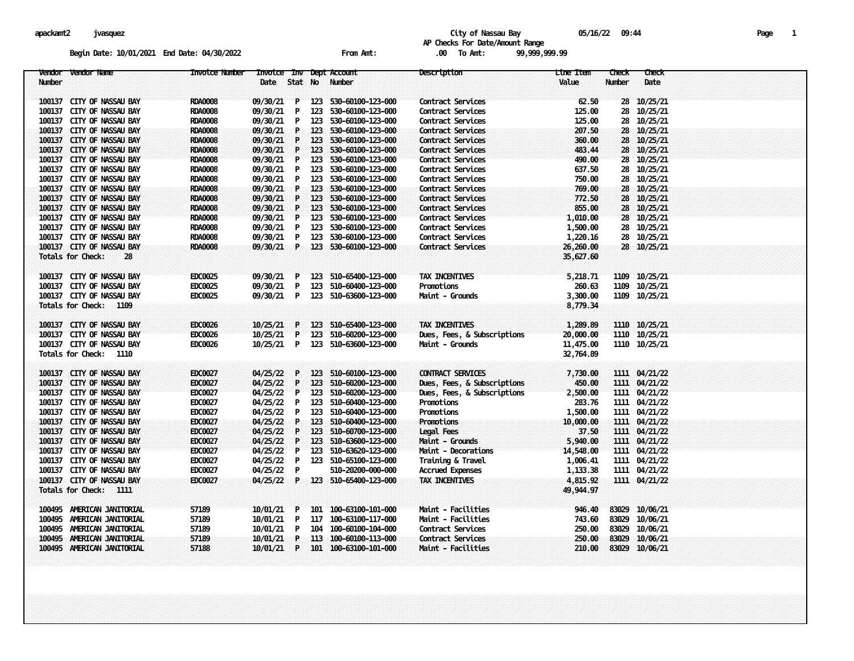**apackamt2 jvasquez City of Nassau Bay 05/16/22 09:44 Page 1 AP Checks For Date/Amount Range**

|               |                                             |                       |                   |         |               |                                                  | A CIECKS TVI Date/Alibulit Ralige |                     |                        |                   |  |
|---------------|---------------------------------------------|-----------------------|-------------------|---------|---------------|--------------------------------------------------|-----------------------------------|---------------------|------------------------|-------------------|--|
|               | Begin Date: 10/01/2021 End Date: 04/30/2022 |                       |                   |         |               | From Amt:                                        | $.00$ To Amt:                     | 99, 999, 999. 99    |                        |                   |  |
| <b>Number</b> | <del>Vendor Vendor Name</del>               | <b>Invoice Number</b> | Date              | Stat No |               | <b>Invoice Inv Dept Account</b><br><b>Number</b> | <b>Description</b>                | istne Ttem<br>Value | Check<br><b>Number</b> | Check<br>Date     |  |
|               |                                             |                       |                   |         |               |                                                  |                                   |                     |                        |                   |  |
| 100137        | <b>CITY OF NASSAU BAY</b>                   | <b>RDA0008</b>        | 09/30/21          | -р      | $123^{\circ}$ | 530-60100-123-000                                | <b>Contract Services</b>          | 62.50               |                        | 28 10/25/21       |  |
| 100137        | <b>CITY OF NASSAU BAY</b>                   | <b>RDA0008</b>        | 09/30/21          |         | 123           | 530-60100-123-000                                | Contract Services                 | 125.00              |                        | 28 10/25/21       |  |
| 100137        | <b>CITY OF NASSAU BAY</b>                   | <b>RDA0008</b>        | 09/30/21          | -P      |               | 123 530-60100-123-000                            | Contract Services                 | 125.00              |                        | 28 10/25/21       |  |
| 100137        | <b>CITY OF NASSAU BAY</b>                   | <b>RDA0008</b>        | 09/30/21          | . Р.    | 123           | 530-60100-123-000                                | Contract Services                 | 207.50              |                        | 28 10/25/21       |  |
| 100137        | CITY OF NASSAU BAY                          | <b>RDA0008</b>        | 09/30/21          | -P.     | 123           | 530-60100-123-000                                | Contract Services                 | 360.00              |                        | 28 10/25/21       |  |
| 100137        | CITY OF NASSAU BAY                          | <b>RDA0008</b>        | 09/30/21          | P       | 123           | 530-60100-123-000                                | Contract Services                 | 483.44              |                        | 28 10/25/21       |  |
| 100137        | <b>CITY OF NASSAU BAY</b>                   | <b>RDA0008</b>        | 09/30/21          |         | 123           | 530-60100-123-000                                | Contract Services                 | 490.00              |                        | 28 10/25/21       |  |
| 100137        | <b>CITY OF NASSAU BAY</b>                   | <b>RDA0008</b>        | 09/30/21          | P       | 123           | 530-60100-123-000                                | Contract Services                 | 637.50              |                        | 28 10/25/21       |  |
| 100137        | <b>CITY OF NASSAU BAY</b>                   | <b>RDA0008</b>        | 09/30/21          | P       | 123           | 530-60100-123-000                                | Contract Services                 | 750.00              |                        | 28 10/25/21       |  |
| 100137        | <b>CITY OF NASSAU BAY</b>                   | <b>RDA0008</b>        | 09/30/21          | ۰P.     | 123           | 530-60100-123-000                                | Contract Services                 | 769.00              |                        | 28 10/25/21       |  |
| 100137        | CITY OF NASSAU BAY                          | <b>RDA0008</b>        | 09/30/21          | -P      | 123           | 530-60100-123-000                                | Contract Services                 | 772.50              |                        | 28 10/25/21       |  |
| 100137        | CITY OF NASSAU BAY                          | <b>RDA0008</b>        | 09/30/21          | -P      | 123           | 530-60100-123-000                                | Contract Services                 | 855.00              |                        | 28 10/25/21       |  |
| 100137        | <b>CITY OF NASSAU BAY</b>                   | <b>RDA0008</b>        | 09/30/21          | ு       |               | 123 530-60100-123-000                            | <b>Contract Services</b>          | 1,010.00            |                        | 28 10/25/21       |  |
| 100137        | <b>CITY OF NASSAU BAY</b>                   | <b>RDA0008</b>        | 09/30/21          | P       | 123           | 530-60100-123-000                                | Contract Services                 | 1,500.00            |                        | 28 10/25/21       |  |
| 100137        | <b>CITY OF NASSAU BAY</b>                   | <b>RDA0008</b>        | 09/30/21          | P       | 123           | 530-60100-123-000                                | Contract Services                 | 1,220.16            |                        | 28 10/25/21       |  |
| 100137        | <b>CITY OF NASSAU BAY</b>                   | <b>RDA0008</b>        | 09/30/21          | -P      | 123           | 530-60100-123-000                                | Contract Services                 | 26,260.00           |                        | 28 10/25/21       |  |
|               | Totals for Check:<br>-28                    |                       |                   |         |               |                                                  |                                   | 35,627.60           |                        |                   |  |
| 100137        | CITY OF NASSAU BAY                          | <b>EDC0025</b>        | 09/30/21          | ႃၣ      | 123           | 510-65400-123-000                                | <b>TAX INCENTIVES</b>             |                     |                        | 1109 10/25/21     |  |
| 100137        | <b>CITY OF NASSAU BAY</b>                   | EDC0025               | 09/30/21          | P       | 123           | 510-60400-123-000                                | Promotions                        | 5,218.71<br>260.63  |                        | 1109 10/25/21     |  |
| 100137        | CITY OF NASSAU BAY                          | EDC0025               | 09/30/21          | P       | 123           | 510-63600-123-000                                | Maint - Grounds                   | 3,300.00            |                        | 1109 10/25/21     |  |
|               | Totals for Check: 1109                      |                       |                   |         |               |                                                  |                                   | 8,779.34            |                        |                   |  |
|               |                                             |                       |                   |         |               |                                                  |                                   |                     |                        |                   |  |
| 100137        | CITY OF NASSAU BAY                          | <b>EDC0026</b>        | 10/25/21          | ு       | 123           | 510-65400-123-000                                | TAX INCENTIVES                    | 1,289.89            |                        | 1110 10/25/21     |  |
| 100137        | <b>CITY OF NASSAU BAY</b>                   | EDC0026               | 10/25/21          | -p      | 123           | 510-60200-123-000                                | Dues, Fees, & Subscriptions       | 20,000.00           |                        | 1110 10/25/21     |  |
| 100137        | <b>CITY OF NASSAU BAY</b>                   | EDC0026               | 10/25/21          | P       | 123           | 510-63600-123-000                                | Maint - Grounds                   | 11,475.00           |                        | 1110 10/25/21     |  |
|               | Totals for Check: 1110                      |                       |                   |         |               |                                                  |                                   | 32,764.89           |                        |                   |  |
|               | <b>100137 CTTV OF MACCALL DAV</b>           | <b>EDCOODT</b>        | $0.4$ (DE $F12$ ) |         |               |                                                  | CONTRACT CEDUTEEC                 | 7.720.00            |                        | $1111 - 04/21/22$ |  |

|        | 100137 CITY OF NASSAU BAY  | EDC0027 | 04/25/22 P   |      | 123  | 510-60100-123-000 | <b>CONTRACT SERVICES</b>    | 7,730.00  |       | 1111 04/21/22 |
|--------|----------------------------|---------|--------------|------|------|-------------------|-----------------------------|-----------|-------|---------------|
| 100137 | CITY OF NASSAU BAY         | EDC0027 | 04/25/22     | ு    | 123  | 510-60200-123-000 | Dues, Fees, & Subscriptions | 450.00    | 1111  | 04/21/22      |
| 100137 | CITY OF NASSAU BAY         | EDC0027 | 04/25/22     | P    | 123  | 510-60200-123-000 | Dues, Fees, & Subscriptions | 2,500.00  | 1111  | 04/21/22      |
| 100137 | CITY OF NASSAU BAY         | EDC0027 | 04/25/22     | P    | 123  | 510-60400-123-000 | <b>Promotions</b>           | 283.76    | 1111  | 04/21/22      |
| 100137 | CITY OF NASSAU BAY         | EDC0027 | 04/25/22     | P    | 123  | 510-60400-123-000 | Promotions                  | 1,500.00  | 1111  | 04/21/22      |
| 100137 | CITY OF NASSAU BAY         | EDC0027 | $04/25/22$ P |      | 123  | 510-60400-123-000 | <b>Promotions</b>           | 10,000,00 |       | 1111 04/21/22 |
| 100137 | CITY OF NASSAU BAY         | EDC0027 | 04/25/22     | ு    | 123  | 510-60700-123-000 | Legal Fees                  | 37.50     | 1111  | 04/21/22      |
| 100137 | CITY OF NASSAU BAY         | EDC0027 | 04/25/22     | . P. | 123  | 510-63600-123-000 | Maint - Grounds             | 5,940.00  | 1111  | 04/21/22      |
| 100137 | CITY OF NASSAU BAY         | EDC0027 | 04/25/22     | ™P.  | 123  | 510-63620-123-000 | Maint - Decorations         | 14,548.00 | 1111  | 04/21/22      |
| 100137 | CITY OF NASSAU BAY         | EDC0027 | 04/25/22     | P.   | 123  | 510-65100-123-000 | Training & Travel           | 1,006.41  | 1111  | 04/21/22      |
| 100137 | CITY OF NASSAU BAY         | EDC0027 | 04/25/22     | P    |      | 510-20200-000-000 | <b>Accrued Expenses</b>     | 1,133.38  | 1111  | 04/21/22      |
| 100137 | <b>CITY OF NASSAU BAY</b>  | EDC0027 | 04/25/22     | . Р. | -123 | 510-65400-123-000 | TAX INCENTIVES              | 4,815.92  |       | 1111 04/21/22 |
|        | Totals for Check: 1111     |         |              |      |      |                   |                             | 49,944.97 |       |               |
|        | 100495 AMERICAN JANITORIAL | 57189   | 10/01/21     | P    | 101  | 100-63100-101-000 | Maint - Facilities          | 946.40    | 83029 | 10/06/21      |
| 100495 | AMERICAN JANITORIAL        | 57189   | 10/01/21     | P    | 117  | 100-63100-117-000 | Maint - Facilities          | 743.60    | 83029 | 10/06/21      |
| 100495 | AMERICAN JANITORIAL        | 57189   | 10/01/21     | P    | 104  | 100-60100-104-000 | Contract Services           | 250.00    | 83029 | 10/06/21      |
| 100495 | AMERICAN JANITORIAL        | 57189   | 10/01/21     | ∷ P. | 113. | 100-60100-113-000 | Contract Services           | 250.00    | 83029 | 10/06/21      |
| 100495 | AMERICAN JANITORIAL        | 57188   | 10/01/21     | ∴ P  | 101  | 100-63100-101-000 | Maint - Facilities          | 210.00    | 83029 | 10/06/21      |
|        |                            |         |              |      |      |                   |                             |           |       |               |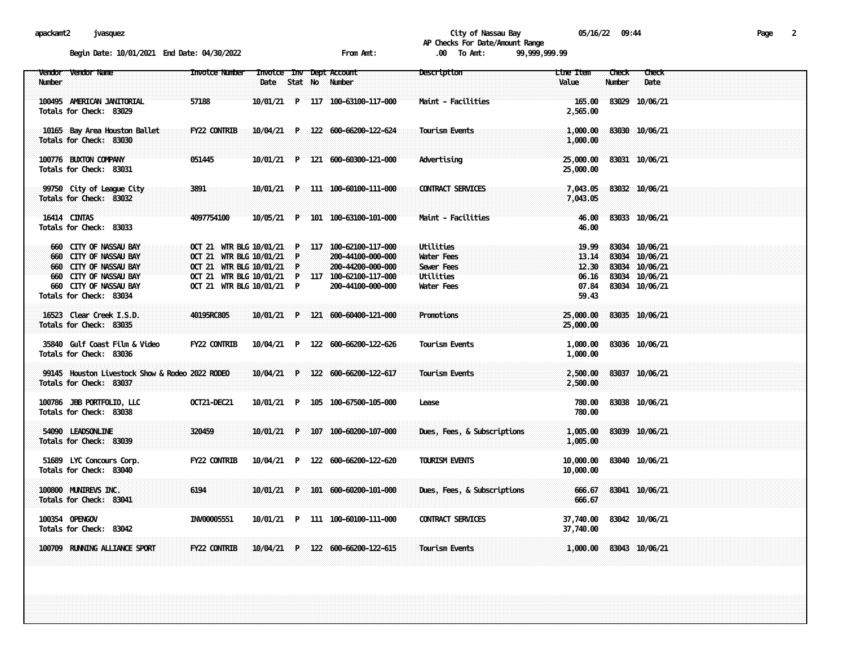**apackamt2 jvasquez City of Nassau Bay 05/16/22 09:44 Page 2 AP Checks For Date/Amount Range**

| Begin Date: 10/01/2021 End Date: 04/30/2022 |  | From Amt: |
|---------------------------------------------|--|-----------|

|               | <del>Vendor Vendor Name</del>                            | <b>Involce Number</b>     |            |  | <b>Invoice Inv Dept Account</b>                 | <b>Description</b>          | <b>Etne Item</b>        | Check         | <b>Check</b>   |  |  |  |
|---------------|----------------------------------------------------------|---------------------------|------------|--|-------------------------------------------------|-----------------------------|-------------------------|---------------|----------------|--|--|--|
| <b>Number</b> |                                                          |                           |            |  | Date Stat No Number                             |                             | <b>Value</b>            | <b>Number</b> | Date           |  |  |  |
|               |                                                          |                           |            |  |                                                 |                             |                         |               |                |  |  |  |
|               | 100495 AMERICAN JANITORIAL<br>Totals for Check: 83029    | 57188                     |            |  | 10/01/21 P 117 100-63100-117-000                | Maint - Facilities          | 165.00<br>2,565.00      |               | 83029 10/06/21 |  |  |  |
|               | 10165 Bay Area Houston Ballet<br>Totals for Check: 83030 | <b>FY22 CONTRIB</b>       |            |  | 10/04/21 P 122 600-66200-122-624                | <b>Tourism Events</b>       | 1,000.00<br>1,000.00    |               | 83030 10/06/21 |  |  |  |
|               |                                                          |                           |            |  |                                                 |                             |                         |               |                |  |  |  |
|               | 100776 BUXTON COMPANY<br>Totals for Check: 83031         | 051445                    |            |  | 10/01/21 P 121 600-60300-121-000                | Advertising                 | 25,000.00<br>25,000.00  |               | 83031 10/06/21 |  |  |  |
|               |                                                          |                           |            |  |                                                 |                             |                         |               |                |  |  |  |
|               | 99750 City of League City<br>Totals for Check: 83032     | 3891                      |            |  | 10/01/21 P 111 100-60100-111-000                | <b>CONTRACT SERVICES</b>    | 7,043.05<br>7,043.05    |               | 83032 10/06/21 |  |  |  |
|               | 16414 CINTAS                                             | 4097754100                |            |  |                                                 | Maint - Facilities          | 46.00                   |               | 83033 10/06/21 |  |  |  |
|               | Totals for Check: 83033                                  |                           |            |  |                                                 |                             | 46.00                   |               |                |  |  |  |
|               | 660 CITY OF NASSAU BAY                                   |                           |            |  | OCT 21 WTR BLG 10/01/21 P 117 100-62100-117-000 | <b>Utilities</b>            | 19.99                   |               | 83034 10/06/21 |  |  |  |
|               | 660 CITY OF NASSAU BAY                                   | OCT 21 WTR BLG 10/01/21 P |            |  | 200-44100-000-000                               | Water Fees                  | 13.14                   |               | 83034 10/06/21 |  |  |  |
|               | <b>660 CITY OF NASSAU BAY</b>                            | OCT 21 WTR BLG 10/01/21 P |            |  | 200-44200-000-000                               | Sever Fees                  | 12.30                   |               | 83034 10/06/21 |  |  |  |
|               | 660 CITY OF NASSAU BAY                                   |                           |            |  | OCT 21 WTR BLG 10/01/21 P 117 100-62100-117-000 | Utilities                   | 06.16                   |               | 83034 10/06/21 |  |  |  |
|               | 660 CITY OF NASSAU BAY                                   | OCT 21 WTR BLG 10/01/21 P |            |  | 200-44100-000-000                               | Water Fees                  | 07.84                   |               | 83034 10/06/21 |  |  |  |
|               | Totals for Check: 83034                                  |                           |            |  |                                                 |                             | 59.43                   |               |                |  |  |  |
|               |                                                          |                           |            |  |                                                 |                             |                         |               |                |  |  |  |
|               | 16523 Clear Creek I.S.D.<br>Totals for Check: 83035      | 40195RC805                |            |  | 10/01/21 P 121 600-60400-121-000                | Promotions                  | 25,000.00               |               | 83035 10/06/21 |  |  |  |
|               |                                                          |                           |            |  |                                                 |                             | 25,000.00               |               |                |  |  |  |
|               | 35840 Gulf Coast Film & Video                            | FY22 CONTRIB              | 10/04/21 P |  | 122 600-66200-122-626                           | <b>Tourism Events</b>       | 1,000.00                |               | 83036 10/06/21 |  |  |  |
|               | Totals for Check: 83036                                  |                           |            |  |                                                 |                             | 1,000.00                |               |                |  |  |  |
|               |                                                          |                           |            |  |                                                 |                             |                         |               |                |  |  |  |
|               | 99145 Houston Livestock Show & Rodeo 2022 RODEO          |                           |            |  | 10/04/21 P 122 600-66200-122-617                | <b>Tourism Events</b>       | 2,500.00                |               | 83037 10/06/21 |  |  |  |
|               | Totals for Check: 83037                                  |                           |            |  |                                                 |                             | 2,500.00                |               |                |  |  |  |
|               | 100786 JBB PORTFOLIO, LLC                                | <b>OCT21-DEC21</b>        | 10/01/21 P |  | 105 100-67500-105-000                           | Lease                       | 780.00                  |               | 83038 10/06/21 |  |  |  |
|               | Totals for Check: 83038                                  |                           |            |  |                                                 |                             | 780.00                  |               |                |  |  |  |
|               |                                                          |                           |            |  |                                                 |                             |                         |               |                |  |  |  |
|               | 54090 LEADSONLINE                                        | 320459                    |            |  |                                                 | Dues, Fees, & Subscriptions | 1,005.00                |               | 83039 10/06/21 |  |  |  |
|               | Totals for Check: 83039                                  |                           |            |  |                                                 |                             | 1,005.00                |               |                |  |  |  |
|               |                                                          |                           |            |  |                                                 |                             |                         |               |                |  |  |  |
|               | 51689 LYC Concours Corp.<br>Totals for Check: 83040      | FY22 CONTRIB              |            |  | 10/04/21 P 122 600-66200-122-620                | <b>TOURISM EVENTS</b>       | 10,000.00<br>10,000.00  |               | 83040 10/06/21 |  |  |  |
|               |                                                          |                           |            |  |                                                 |                             |                         |               |                |  |  |  |
|               | 100800 MUNIREVS INC.                                     | 6194                      |            |  | 10/01/21 P 101 600-60200-101-000                | Dues, Fees, & Subscriptions | 666.67                  |               | 83041 10/06/21 |  |  |  |
|               | Totals for Check: 83041                                  |                           |            |  |                                                 |                             | 666.67                  |               |                |  |  |  |
|               |                                                          |                           |            |  |                                                 |                             |                         |               |                |  |  |  |
|               | 100354 OPENGOV                                           | <b>INV00005551</b>        |            |  | 10/01/21 P 111 100-60100-111-000                | <b>CONTRACT SERVICES</b>    | 37,740.00               |               | 83042 10/06/21 |  |  |  |
|               | Totals for Check: 83042                                  |                           |            |  |                                                 |                             | 37,740.00               |               |                |  |  |  |
|               | 100709 RUNNING ALLIANCE SPORT                            | <b>FY22 CONTRIB</b>       |            |  | 10/04/21 P 122 600-66200-122-615                | <b>Tourism Events</b>       | 1,000.00 83043 10/06/21 |               |                |  |  |  |
|               |                                                          |                           |            |  |                                                 |                             |                         |               |                |  |  |  |
|               |                                                          |                           |            |  |                                                 |                             |                         |               |                |  |  |  |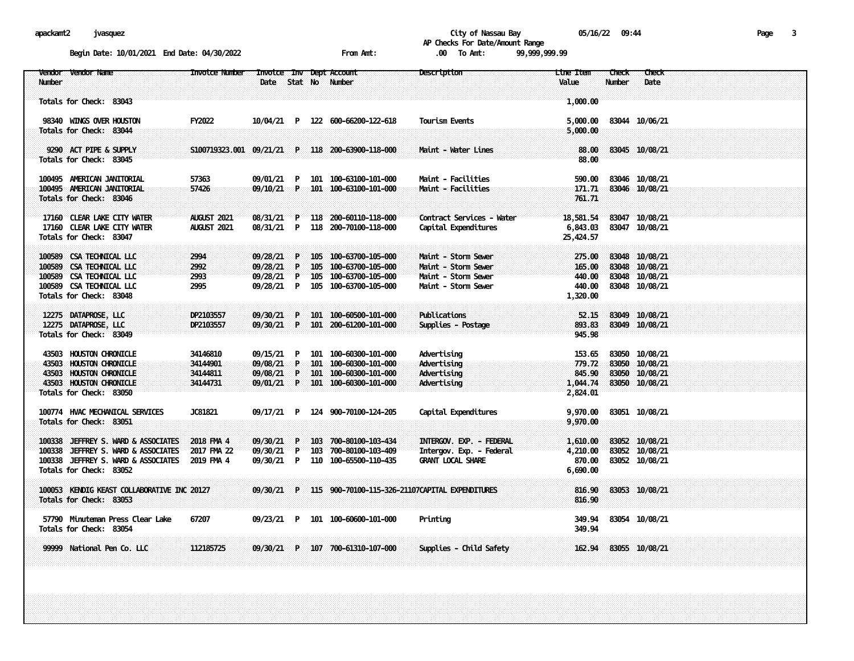**apackamt2 jvasquez City of Nassau Bay 05/16/22 09:44 Page 3 AP Checks For Date/Amount Range** Begin Date: 10/01/2021 End Date: 04/30/2022 From Amt: 99,999,999.99 (999.99)

| <b>Number</b> | Vendor Vendor Name                                                               | Invoice Number Invoice Inv Dept Account  | Date Stat No Number      |    |                                                                                              | <b>Description</b>                                                | ttne Item<br>Value         | Check<br><b>Number</b> | Check<br>Date                                      |  |  |  |
|---------------|----------------------------------------------------------------------------------|------------------------------------------|--------------------------|----|----------------------------------------------------------------------------------------------|-------------------------------------------------------------------|----------------------------|------------------------|----------------------------------------------------|--|--|--|
|               | Totals for Check: 83043                                                          |                                          |                          |    |                                                                                              |                                                                   | 1,000.00                   |                        |                                                    |  |  |  |
|               | 98340 WINGS OVER HOUSTON<br>Totals for Check: 83044                              | FY2022                                   |                          |    | 10/04/21 P 122 600-66200-122-618                                                             | <b>Tourism Events</b>                                             | 5,000.00<br>5,000.00       |                        | 83044 10/06/21                                     |  |  |  |
|               | 9290 ACT PIPE & SUPPLY                                                           |                                          |                          |    | S100719323.001 09/21/21 P 118 200-63900-118-000                                              | Maint - Water Lines                                               | 88.00                      |                        | 83045 10/08/21                                     |  |  |  |
|               | Totals for Check: 83045<br>100495 AMERICAN JANITORIAL                            | 57363                                    | 09/01/21 P               |    | 101 100-63100-101-000                                                                        | Maint - Facilities                                                | 88.00<br>590.00            |                        | 83046 10/08/21                                     |  |  |  |
|               | 100495 AMERICAN JANITORIAL<br>Totals for Check: 83046                            | 57426                                    |                          |    | 09/10/21 P 101 100-63100-101-000                                                             | Maint - Facilities                                                | 171.71<br>761.71           |                        | 83046 10/08/21                                     |  |  |  |
|               | 17160 CLEAR LAKE CITY WATER<br>17160 CLEAR LAKE CITY WATER                       | <b>AUGUST 2021</b><br><b>AUGUST 2021</b> |                          |    | 08/31/21 P 118 200-60110-118-000<br>08/31/21 P 118 200-70100-118-000                         | Contract Services - Water<br>Capital Expenditures                 | 18,581,54<br>6,843.03      |                        | 83047 10/08/21<br>83047 10/08/21                   |  |  |  |
|               | Totals for Check: 83047                                                          |                                          |                          |    |                                                                                              |                                                                   | 25,424.57                  |                        |                                                    |  |  |  |
|               | 100589 CSA TECHNICAL LLC<br>100589 CSA TECHNICAL LLC<br>100589 CSA TECHNICAL LLC | 2994<br>2992<br>2993                     | 09/28/21<br>09/28/21 P   | P  | 105 100-63700-105-000<br>09/28/21 P 105 100-63700-105-000<br>105 100-63700-105-000           | Maint - Storm Sewer<br>Maint - Storm Sewer<br>Maint - Storm Sewer | 275.00<br>165.00<br>440.00 |                        | 83048 10/08/21<br>83048 10/08/21<br>83048 10/08/21 |  |  |  |
|               | 100589 CSA TECHNICAL LLC<br>Totals for Check: 83048                              | 2995                                     |                          |    | 09/28/21 P 105 100-63700-105-000                                                             | Maint - Storm Sewer                                               | 440.00<br>1,320.00         |                        | 83048 10/08/21                                     |  |  |  |
|               | 12275 DATAPROSE, LLC<br>12275 DATAPROSE, LLC                                     | DP2103557<br>DP2103557                   |                          |    | 09/30/21 P 101 100-60500-101-000<br>09/30/21 P 101 200-61200-101-000                         | <b>Publications</b><br>Supplies - Postage                         | 52.15<br>893.83            |                        | 83049 10/08/21<br>83049 10/08/21                   |  |  |  |
|               | Totals for Check: 83049                                                          |                                          |                          |    |                                                                                              |                                                                   | 945.98                     |                        |                                                    |  |  |  |
|               | 43503 HOUSTON CHRONICLE<br>43503 HOUSTON CHRONICLE<br>43503 HOUSTON CHRONICLE    | 34146810<br>34144901<br>34144811         | 09/15/21 P<br>09/08/21 P |    | 101 100-60300-101-000<br>$101 - 100 - 60300 - 101 - 000$<br>09/08/21 P 101 100-60300-101-000 | Advertising<br>Advertising<br><b>Advertising</b>                  | 153.65<br>779.72<br>845.90 |                        | 83050 10/08/21<br>83050 10/08/21<br>83050 10/08/21 |  |  |  |
|               | 43503 HOUSTON CHRONICLE<br>Totals for Check: 83050                               | 34144731                                 |                          |    | 09/01/21  P  101  100-60300-101-000                                                          | Advertising                                                       | 1,044.74<br>2,824.01       |                        | 83050 10/08/21                                     |  |  |  |
|               | 100774 HVAC MECHANICAL SERVICES<br>Totals for Check: 83051                       | <b>JC81821</b>                           |                          |    | 09/17/21 P 124 900-70100-124-205                                                             | Capital Expenditures                                              | 9,970.00<br>9,970.00       |                        | 83051 10/08/21                                     |  |  |  |
|               | 100338 JEFFREY S. WARD & ASSOCIATES<br>100338 JEFFREY S. WARD & ASSOCIATES       | 2018 FMA 4<br>2017 FMA 22                | 09/30/21                 | P. | 103 700-80100-103-434<br>09/30/21 P 103 700-80100-103-409                                    | INTERGOV. EXP. - FEDERAL<br>Intergov. Exp. - Federal              | 1,610.00<br>4,210.00       |                        | 83052 10/08/21<br>83052 10/08/21                   |  |  |  |
|               | 100338 JEFFREY S. WARD & ASSOCIATES<br>Totals for Check: 83052                   | 2019 FMA 4                               |                          |    | 09/30/21 P 110 100-65500-110-435                                                             | <b>GRANT LOCAL SHARE</b>                                          | 870.00<br>6,690.00         |                        | 83052 10/08/21                                     |  |  |  |
|               | 100053 KENDIG KEAST COLLABORATIVE INC 20127<br>Totals for Check: 83053           |                                          |                          |    | 09/30/21 P 115 900-70100-115-326-21107CAPITAL EXPENDITURES                                   |                                                                   | 816.90<br>816.90           |                        | 83053 10/08/21                                     |  |  |  |
|               | 57790 Minuteman Press Clear Lake<br>Totals for Check: 83054                      | 67207                                    |                          |    | 09/23/21 P 101 100-60600-101-000                                                             | Printing                                                          | 349.94<br>349.94           |                        | 83054 10/08/21                                     |  |  |  |
|               | 99999 National Pen Co. LLC                                                       | 112185725                                |                          |    | 09/30/21 P 107 700-61310-107-000                                                             | Supplies - Child Safety                                           |                            |                        | 162.94 83055 10/08/21                              |  |  |  |
|               |                                                                                  |                                          |                          |    |                                                                                              |                                                                   |                            |                        |                                                    |  |  |  |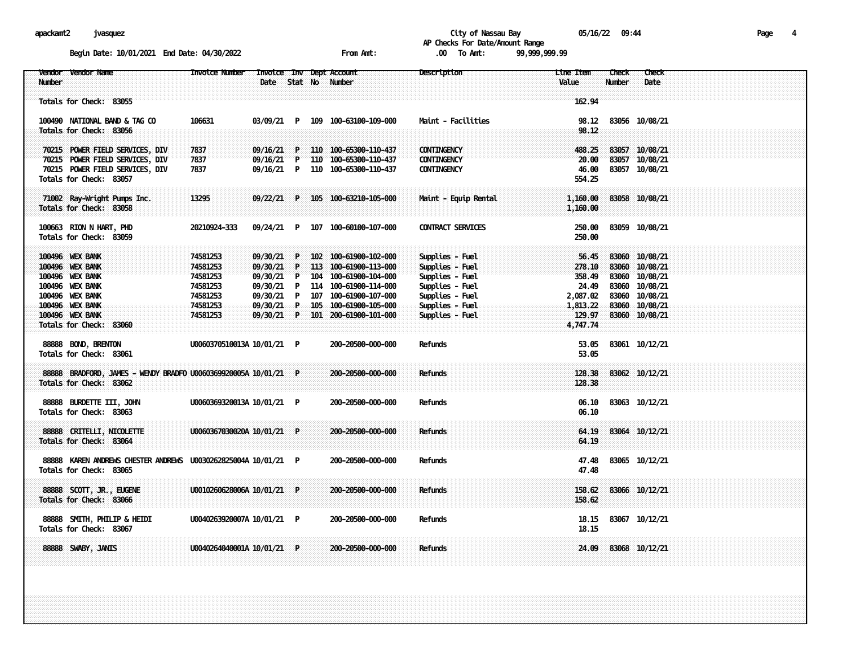**apackamt2 jvasquez City of Nassau Bay 05/16/22 09:44 Page 4 AP Checks For Date/Amount Range Begin Date: 10/01/2021 End Date: 04/30/2022 From Amt: .00 To Amt: 99,999,999.99**

| vendor vendor Name.                                             | Invoice Number Invoice Inv Dept Account |                     |                                  | <b>Description</b>       | itine Titem    | Check         | Check          |  |  |  |
|-----------------------------------------------------------------|-----------------------------------------|---------------------|----------------------------------|--------------------------|----------------|---------------|----------------|--|--|--|
| Number                                                          |                                         | Date Stat No Number |                                  |                          | Value          | <b>Number</b> | Date           |  |  |  |
| Totals for Check: 83055                                         |                                         |                     |                                  |                          | 162.94         |               |                |  |  |  |
| 100490 NATIONAL BAND & TAG CO<br>Totals for Check: 83056        | 106631                                  |                     | 03/09/21 P 109 100-63100-109-000 | Maint - Facilities       | 98.12<br>98.12 |               | 83056 10/08/21 |  |  |  |
|                                                                 |                                         |                     |                                  |                          |                |               |                |  |  |  |
| 70215 POWER FIELD SERVICES, DIV                                 | 7837                                    |                     | 09/16/21 P 110 100-65300-110-437 | <b>CONTINGENCY</b>       | 488.25         |               | 83057 10/08/21 |  |  |  |
| 70215 POWER FIELD SERVICES, DIV                                 | 7837                                    |                     | 09/16/21 P 110 100-65300-110-437 | <b>CONTINGENCY</b>       | 20.00          |               | 83057 10/08/21 |  |  |  |
| 70215 POWER FIELD SERVICES, DIV                                 | 7837                                    |                     | 09/16/21 P 110 100-65300-110-437 | <b>CONTINGENCY</b>       | 46.00          |               | 83057 10/08/21 |  |  |  |
| Totals for Check: 83057                                         |                                         |                     |                                  |                          | 554.25         |               |                |  |  |  |
| 71002 Ray-Wright Pumps Inc.                                     | 13295                                   |                     | 09/22/21 P 105 100-63210-105-000 | Maint - Equip Rental     | 1,160.00       |               | 83058 10/08/21 |  |  |  |
| Totals for Check: 83058                                         |                                         |                     |                                  |                          | 1,160.00       |               |                |  |  |  |
| 100663 RION N HART, PHD                                         | 20210924-333                            |                     | 09/24/21 P 107 100-60100-107-000 | <b>CONTRACT SERVICES</b> | 250.00         |               | 83059 10/08/21 |  |  |  |
| Totals for Check: 83059                                         |                                         |                     |                                  |                          | 250.00         |               |                |  |  |  |
| <b>100496 WEX BANK</b>                                          | 74581253                                |                     | 09/30/21 P 102 100-61900-102-000 | Supplies - Fuel          | 56.45          |               | 83060 10/08/21 |  |  |  |
| 100496 WEX BANK                                                 | 74581253                                |                     | 09/30/21 P 113 100-61900-113-000 | Supplies - Fuel          | 278.10         |               | 83060 10/08/21 |  |  |  |
| <b>100496 WEX BANK</b>                                          | 74581253                                |                     | 09/30/21 P 104 100-61900-104-000 | Supplies - Fuel          | 358.49         |               | 83060 10/08/21 |  |  |  |
| <b>100496 WEX BANK</b>                                          | 74581253                                |                     | 09/30/21 P 114 100-61900-114-000 | Supplies - Fuel          | 24.49          |               | 83060 10/08/21 |  |  |  |
| 100496 WEX BANK                                                 | 74581253                                |                     | 09/30/21 P 107 100-61900-107-000 | Supplies - Fuel          | 2,087.02       |               | 83060 10/08/21 |  |  |  |
| <b>100496 WEX BANK</b>                                          | 74581253                                |                     | 09/30/21 P 105 100-61900-105-000 | Supplies - Fuel          | 1,813.22       |               | 83060 10/08/21 |  |  |  |
| <b>100496 WEX BANK</b>                                          | 74581253                                |                     | 09/30/21 P 101 200-61900-101-000 | Supplies - Fuel          | 129.97         |               | 83060 10/08/21 |  |  |  |
| Totals for Check: 83060                                         |                                         |                     |                                  |                          | 4,747.74       |               |                |  |  |  |
| 88888 BOND, BRENTON                                             | U0060370510013A 10/01/21 P              |                     | 200-20500-000-000                | <b>Refunds</b>           | 53.05          |               | 83061 10/12/21 |  |  |  |
| Totals for Check: 83061                                         |                                         |                     |                                  |                          | 53.05          |               |                |  |  |  |
| 88888 BRADFORD, JAMES - WENDY BRADFO U0060369920005A 10/01/21 P |                                         |                     | 200-20500-000-000                | <b>Refunds</b>           | 128.38         |               | 83062 10/12/21 |  |  |  |
| Totals for Check: 83062                                         |                                         |                     |                                  |                          | 128.38         |               |                |  |  |  |
| 88888 BURDETTE III, JOHN                                        | U0060369320013A 10/01/21 P              |                     | 200-20500-000-000                | <b>Refunds</b>           | 06.10          |               | 83063 10/12/21 |  |  |  |
| Totals for Check: 83063                                         |                                         |                     |                                  |                          | 06.10          |               |                |  |  |  |
| 88888 CRITELLI, NICOLETTE                                       | U0060367030020A 10/01/21 P              |                     | 200-20500-000-000                | <b>Refunds</b>           | 64.19          |               | 83064 10/12/21 |  |  |  |
| Totals for Check: 83064                                         |                                         |                     |                                  |                          | 64.19          |               |                |  |  |  |
| 88888 KAREN ANDREWS CHESTER ANDREWS U0030262825004A 10/01/21 P  |                                         |                     | 200-20500-000-000                | <b>Refunds</b>           | 47.48          |               | 83065 10/12/21 |  |  |  |
| Totals for Check: 83065                                         |                                         |                     |                                  |                          | 47.48          |               |                |  |  |  |
| 88888 SCOTT, JR., EUGENE                                        | U0010260628006A 10/01/21 P              |                     | 200-20500-000-000                | <b>Refunds</b>           | 158.62         |               | 83066 10/12/21 |  |  |  |
| Totals for Check: 83066                                         |                                         |                     |                                  |                          | 158.62         |               |                |  |  |  |
| 88888 SMITH, PHILIP & HEIDI                                     | U0040263920007A 10/01/21 P              |                     | 200-20500-000-000                | <b>Refunds</b>           | 18.15          |               | 83067 10/12/21 |  |  |  |
| Totals for Check: 83067                                         |                                         |                     |                                  |                          | 18.15          |               |                |  |  |  |
| 88888 SWABY, JANIS                                              | U0040264040001A 10/01/21 P              |                     | 200-20500-000-000                | <b>Refunds</b>           | 24.09          |               | 83068 10/12/21 |  |  |  |
|                                                                 |                                         |                     |                                  |                          |                |               |                |  |  |  |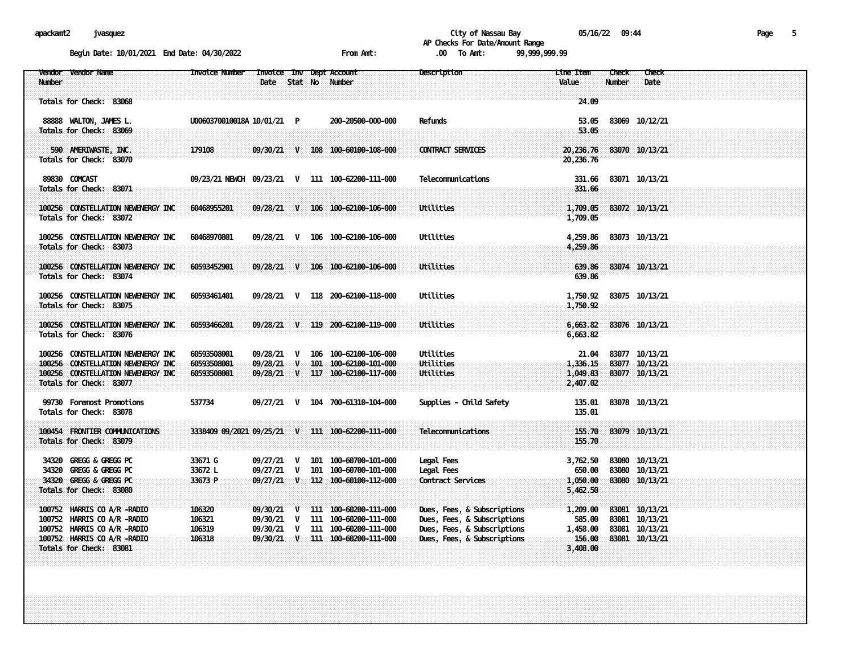Begin Date: 10/01/2021 End Date: 04/30/2022 <br>From Amt:

**apackamt2 jvasquez City of Nassau Bay 05/16/22 09:44 Page 5 AP Checks For Date/Amount Range**

| <del>Vendor Vendor Name</del>                              | Invoice Number Invoice Inv Dept Account |                        |             |                                                           | <b>Description</b>                                         | istne Ittem            | Check  | -Check                           |  |
|------------------------------------------------------------|-----------------------------------------|------------------------|-------------|-----------------------------------------------------------|------------------------------------------------------------|------------------------|--------|----------------------------------|--|
| <b>Number</b>                                              |                                         |                        |             | Date Stat No Number                                       |                                                            | Value                  | Number | Date                             |  |
| Totals for Check: 83068                                    |                                         |                        |             |                                                           |                                                            | 24.09                  |        |                                  |  |
| 88888 WALTON, JAMES L.                                     | U0060370010018A 10/01/21 P              |                        |             | 200-20500-000-000                                         | <b>Refunds</b>                                             | 53.05                  |        | 83069 10/12/21                   |  |
| Totals for Check: 83069                                    |                                         |                        |             |                                                           |                                                            | 53.05                  |        |                                  |  |
|                                                            |                                         |                        |             |                                                           |                                                            |                        |        |                                  |  |
| 590 AMERIWASTE, INC.<br>Totals for Check: 83070            | 179108                                  | 09/30/21 V             |             | $108$ 100-60100-108-000                                   | <b>CONTRACT SERVICES</b>                                   | 20,236.76<br>20,236.76 |        | 83070 10/13/21                   |  |
| 89830 COMCAST                                              | 09/23/21 NEWCH 09/23/21 V               |                        |             | 111 100-62200-111-000                                     | <b>Telecomunications</b>                                   | 331.66                 |        | 83071 10/13/21                   |  |
| Totals for Check: 83071                                    |                                         |                        |             |                                                           |                                                            | 331.66                 |        |                                  |  |
|                                                            |                                         |                        |             |                                                           |                                                            |                        |        |                                  |  |
| 100256 CONSTELLATION NEWENERGY INC                         | 60468955201                             |                        |             | 09/28/21 V 106 100-62100-106-000                          | Utilities                                                  | 1,709.05               |        | 83072 10/13/21                   |  |
| Totals for Check: 83072                                    |                                         |                        |             |                                                           |                                                            | 1,709.05               |        |                                  |  |
| 100256 CONSTELLATION NEWENERGY INC                         | 60468970801                             | 09/28/21 V             |             | 106 100-62100-106-000                                     | Utilities                                                  | 4,259.86               |        | 83073 10/13/21                   |  |
| Totals for Check: 83073                                    |                                         |                        |             |                                                           |                                                            | 4,259.86               |        |                                  |  |
|                                                            |                                         |                        |             |                                                           |                                                            |                        |        |                                  |  |
| 100256 CONSTELLATION NEWENERGY INC                         | 60593452901                             |                        |             | 09/28/21 V 106 100-62100-106-000                          | Utilities                                                  | 639.86                 |        | 83074 10/13/21                   |  |
| Totals for Check: 83074                                    |                                         |                        |             |                                                           |                                                            | 639.86                 |        |                                  |  |
| 100256 CONSTELLATION NEWENERGY INC                         | 60593461401                             | 09/28/21 V             |             | 118 200-62100-118-000                                     | Utilities                                                  | 1,750.92               |        | 83075 10/13/21                   |  |
| Totals for Check: 83075                                    |                                         |                        |             |                                                           |                                                            | 1,750.92               |        |                                  |  |
|                                                            |                                         |                        |             |                                                           |                                                            |                        |        |                                  |  |
| 100256 CONSTELLATION NEWENERGY INC                         | 60593466201                             | 09/28/21 V             |             | 119 200-62100-119-000                                     | Utilities                                                  | 6,663.82               |        | 83076 10/13/21                   |  |
| Totals for Check: 83076                                    |                                         |                        |             |                                                           |                                                            | 6,663.82               |        |                                  |  |
| 100256 CONSTELLATION NEWENERGY INC                         | 60593508001                             | 09/28/21 V             |             | 106 100-62100-106-000                                     | Utilities                                                  | 21.04                  |        | 83077 10/13/21                   |  |
| 100256 CONSTELLATION NEWENERGY INC                         | 60593508001                             | 09/28/21 V             |             | 101 100-62100-101-000                                     | <b>Utilities</b>                                           | 1,336.15               |        | 83077 10/13/21                   |  |
| 100256 CONSTELLATION NEWENERGY INC                         | 60593508001                             | 09/28/21 V             |             | 117 100-62100-117-000                                     | <b>Utilities</b>                                           | 1,049.83               |        | 83077 10/13/21                   |  |
| Totals for Check: 83077                                    |                                         |                        |             |                                                           |                                                            | 2,407.02               |        |                                  |  |
|                                                            |                                         |                        |             |                                                           |                                                            |                        |        |                                  |  |
| 99730 Foremost Promotions<br>Totals for Check: 83078       | 537734                                  | 09/27/21 V             |             | 104 700-61310-104-000                                     | Supplies - Child Safety                                    | 135.01<br>135.01       |        | 83078 10/13/21                   |  |
|                                                            |                                         |                        |             |                                                           |                                                            |                        |        |                                  |  |
| 100454 FRONTIER COMMUNICATIONS                             |                                         |                        |             | 3338409 09/2021 09/25/21 V 111 100-62200-111-000          | <b>Telecomunications</b>                                   | 155.70                 |        | 83079 10/13/21                   |  |
| Totals for Check: 83079                                    |                                         |                        |             |                                                           |                                                            | 155.70                 |        |                                  |  |
|                                                            |                                         |                        |             |                                                           |                                                            |                        |        |                                  |  |
| 34320 GREGG & GREGG PC<br>34320 GREGG & GREGG PC           | 33671 G<br>33672 L                      | 09/27/21 V<br>09/27/21 | $\mathbf v$ | 101 100-60700-101-000<br>101 100-60700-101-000            | Legal Fees<br>Legal Fees                                   | 3,762.50<br>650.00     |        | 83080 10/13/21<br>83080 10/13/21 |  |
| 34320 GREGG & GREGG PC                                     | 33673 P                                 |                        |             | 09/27/21 V 112 100-60100-112-000                          | Contract Services                                          | 1,050.00               |        | 83080 10/13/21                   |  |
| Totals for Check: 83080                                    |                                         |                        |             |                                                           |                                                            | 5,462.50               |        |                                  |  |
|                                                            |                                         |                        |             |                                                           |                                                            |                        |        |                                  |  |
| 100752 HARRIS CO A/R -RADIO                                | 106320                                  | 09/30/21 V             |             | 111 100-60200-111-000                                     | Dues, Fees, & Subscriptions                                | 1,209.00               |        | 83081 10/13/21                   |  |
| 100752 HARRIS CO A/R -RADIO                                | 106321                                  | 09/30/21 V             |             | 111 100-60200-111-000                                     | Dues, Fees, & Subscriptions                                | 585.00                 |        | 83081 10/13/21                   |  |
| 100752 HARRIS CO A/R -RADIO<br>100752 HARRIS CO A/R -RADIO | 106319<br>106318                        | 09/30/21 V             |             | 111 100-60200-111-000<br>09/30/21 V 111 100-60200-111-000 | Dues, Fees, & Subscriptions<br>Dues, Fees, & Subscriptions | 1,458.00<br>156.00     |        | 83081 10/13/21<br>83081 10/13/21 |  |
| Totals for Check: 83081                                    |                                         |                        |             |                                                           |                                                            | 3,408.00               |        |                                  |  |
|                                                            |                                         |                        |             |                                                           |                                                            |                        |        |                                  |  |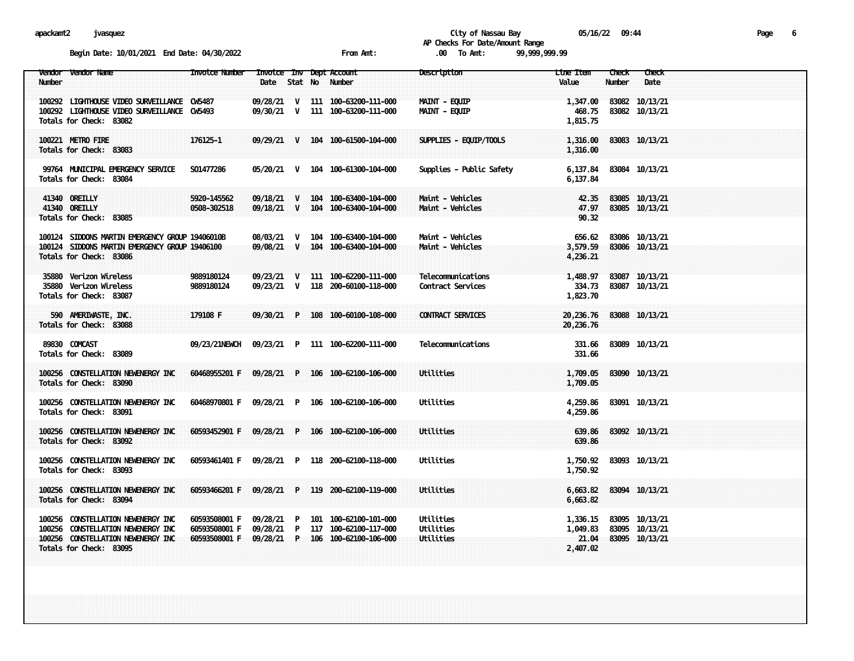**Totals for Check: 83084 6,137.84**

**apackamt2 jvasquez City of Nassau Bay 05/16/22 09:44 Page 6 AP Checks For Date/Amount Range**

| 05/16/22 | 09:44 |
|----------|-------|
|----------|-------|

Begin Date: 10/01/2021 End Date: 04/30/2022 From Amt: 500 To Amt: 99,999,999.99 Prom Amt:

100292 LIGHTHOUSE VIDEO SURVEILLANCE CW5493

**Number Date Stat No Number Value Number Date**

**Vendor Vendor Name Invoice Number Invoice Inv Dept Account Description Line Item Check Check**

**100292 LIGHTHOUSE VIDEO SURVEILLANCE CW5487 09/28/21 V 111 100-63200-111-000 MAINT - EQUIP 1,347.00 83082 10/13/21 Totals for Check: 83082 1,815.75** 100221 METRO FIRE 63083 10/13/21 109-29/21 104 100-61500-104-000 SUPPLIES - EQUIP/TOOLS 1,316.00 83083 10/13/21 **Totals for Check: 83083 1,316.00** 99764 MUNICIPALEMERGENCYSERVICE S01477286 05/20/21 V 104 100-61300-104-000 Supplies -PublicSafety 6,137.84 83084 10/13/21<br>TotalsforCheck: 83084 10/13/21

|            |                                          | 592      |     | 104 100-63400-104-000 | Maint                                                                 |                   | 10/13/21 |
|------------|------------------------------------------|----------|-----|-----------------------|-----------------------------------------------------------------------|-------------------|----------|
|            |                                          |          |     |                       | Mai                                                                   |                   |          |
|            | 83085<br>Totals for Check:               |          |     |                       |                                                                       |                   |          |
|            |                                          |          |     |                       |                                                                       |                   |          |
| 100124     | SIDDONS MARTIN EMERGENCY GROUP 19406010B |          | 104 | 100-63400-104-000     | Maint - Vehicles                                                      | 83086<br>656.62   | 10/13/21 |
| 100124     | SIDDONS MARTIN EMERGENCY GROUP 19406100  |          |     |                       | Mai<br>teration and an article and an article and article and article | 83086<br>3.579.59 | 10/13/21 |
|            |                                          |          |     |                       |                                                                       |                   |          |
|            |                                          |          |     |                       |                                                                       |                   |          |
| 3588       | <b>Verizon Wireless</b><br>.             |          | 111 | 100-62200-111-000     | <b>Telecommunications</b>                                             | 83087<br>. 488    | 10/13/21 |
| 35880      | Verizon Wireless                         | 89180124 | 118 | 200-60100-118-000     | Contract Services                                                     | 83087             | 10/13/21 |
| Totals for | 83087<br>Check:                          |          |     |                       |                                                                       |                   |          |

**590 AMERIWASTE, INC. 179108 F 09/30/21 P 108 100-60100-108-000 CONTRACT SERVICES 20,236.76 83088 10/13/21 Totals for Check: 83088 20,236.76** 89830 COMCAST 683089 10/13/21 109/23/21 P 111 100-62200-111-000 Telecommunications 331.66 83089 10/13/21 **Totals for Check: 83089 331.66**

100256 CONSTELLATION NEWENERGY INC 60468955201 F 09/28/21 P 106 100-62100-106-000 Utilities 4,709.05 83090 10/13/21 **Totals for Check: 83090 1,709.05** 100256 CONSTELLATION NEWENERGY INC 60468970801 F 09/28/21 P 106 100-62100-106-000 Utilities 4 and the 4.259.86 83091 10/13/21 **Totals for Check: 83091 4,259.86**

100256 CONSTELLATION NEWENERGY INC 60593452901 F 09/28/21 P 106 100-62100-106-000 Utilities 639 and 539.86 83092 10/13/21 **Totals for Check: 83092 639.86** 100256 CONSTELLATION NEWENERGY INC 60593461401 F 09/28/21 P 118 200-62100-118-000 Utilities 4 1 1750.92 83093 10/13/21 **Totals for Check: 83093 1,750.92** 100256 CONSTELLATION NEWENERGY INC 60593466201 F 09/28/21 P 119 200-62100-119-000 Utilities 66 0000 0 06,663.82 83094 10/13/21 **Totals for Check: 83094 6,663.82** 100256 CONSTELLATION NEWENERGY INC 60593508001 F 09/28/21 P 101 100-62100-101-000 Utilities 11 1000 101 1036.15 83095 10/13/21 100256 CONSTELLATION NEWENERGY INC 60593508001 F 09/28/21 P 117 100-62100-117-000 Utilities (2001) 7,049.83 83095 10/13/21 **100256 CONSTELLATION NEWENERGY INC 60593508001 F 09/28/21 P 106 100-62100-106-000 Utilities 21.04 83095 10/13/21 Totals for Check: 83095 2,407.02**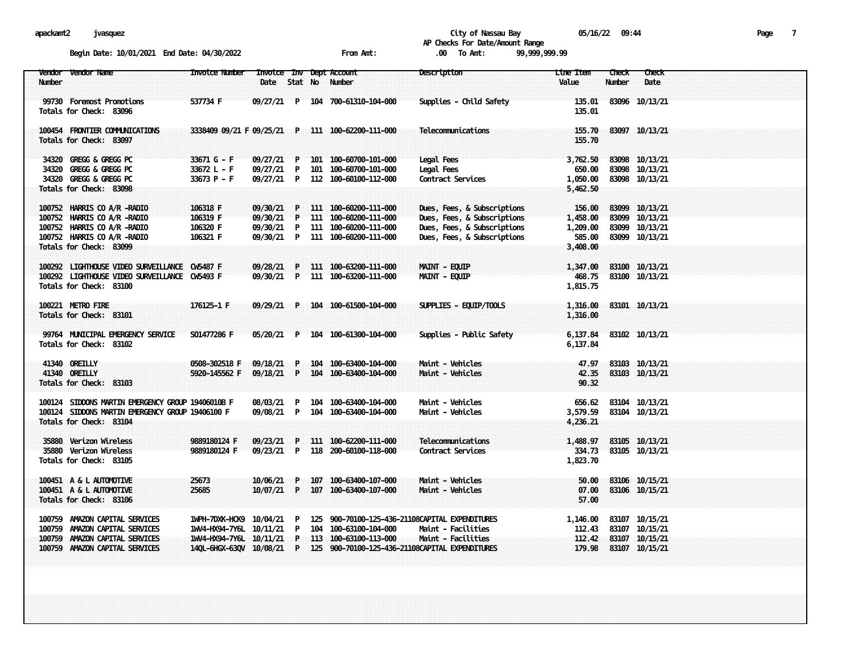**apackamt2 jvasquez City of Nassau Bay 05/16/22 09:44 Page 7 AP Checks For Date/Amount Range**

| vendor vendor Name                                |       | Invotce Number            | <b>Invoice Inv Dept Account</b> |          |                                                                           | <b>Description</b>          | iatresiten | <b>Check</b> | Check          |  |  |
|---------------------------------------------------|-------|---------------------------|---------------------------------|----------|---------------------------------------------------------------------------|-----------------------------|------------|--------------|----------------|--|--|
| <b>Number</b>                                     |       |                           | Date Stat No Number             |          |                                                                           |                             | Value      | Number       | Date           |  |  |
| 99730 Foremost Promotions                         |       | 537734 F                  |                                 |          | 09/27/21 P 104 700-61310-104-000                                          | Supplies - Child Safety     | 135.01     |              | 83096 10/13/21 |  |  |
| Totals for Check: 83096                           |       |                           |                                 |          |                                                                           |                             | 135.01     |              |                |  |  |
| 100454 FRONTIER COMMUNICATIONS                    |       |                           |                                 |          | 3338409 09/21 F 09/25/21 P 111 100-62200-111-000                          | Telecomunications           | 155.70     |              | 83097 10/13/21 |  |  |
| Totals for Check: 83097                           |       |                           |                                 |          |                                                                           |                             | 155.70     |              |                |  |  |
| 34320 GREGG & GREGG PC                            |       | $33671 G - F$             | $09/27/21$ P                    |          | 101 100-60700-101-000                                                     | Legal Fees                  | 3,762.50   |              | 83098 10/13/21 |  |  |
| 34320 GREGG & GREGG PC                            |       | 33672 L - F               | 09/27/21                        | <b>P</b> | 101 100-60700-101-000                                                     | Legal Fees                  | 650.00     |              | 83098 10/13/21 |  |  |
| 34320 GREGG & GREGG PC                            |       | 33673 P - F               | 09/27/21 P                      |          | 112 100-60100-112-000                                                     | Contract Services           | 1,050.00   |              | 83098 10/13/21 |  |  |
| Totals for Check: 83098                           |       |                           |                                 |          |                                                                           |                             | 5,462.50   |              |                |  |  |
| 100752 HARRIS CO A/R -RADIO                       |       | 106318 F                  | 09/30/21 P                      |          | 111 100-60200-111-000                                                     | Dues, Fees, & Subscriptions | 156.00     |              | 83099 10/13/21 |  |  |
| 100752 HARRIS CO A/R -RADIO                       |       | 106319 F                  | 09/30/21 P                      |          | 111 100-60200-111-000                                                     | Dues, Fees, & Subscriptions | 1,458.00   |              | 83099 10/13/21 |  |  |
| 100752 HARRIS CO A/R -RADIO                       |       | 106320 F                  | 09/30/21                        | - P      | 111 100-60200-111-000                                                     | Dues, Fees, & Subscriptions | 1,209.00   |              | 83099 10/13/21 |  |  |
| 100752 HARRIS CO A/R -RADIO                       |       | 106321 F                  | 09/30/21 P                      |          | 111 100-60200-111-000                                                     | Dues, Fees, & Subscriptions | 585.00     |              | 83099 10/13/21 |  |  |
| Totals for Check: 83099                           |       |                           |                                 |          |                                                                           |                             | 3,408.00   |              |                |  |  |
| 100292 LIGHTHOUSE VIDEO SURVEILLANCE CN5487 F     |       |                           | 09/28/21 P                      |          | 111 100-63200-111-000                                                     | MAINT - EQUIP               | 1,347.00   |              | 83100 10/13/21 |  |  |
| 100292 LIGHTHOUSE VIDEO SURVEILLANCE CW5493 F     |       |                           | $09/30/21$ P                    |          | 111 100-63200-111-000                                                     | MAINT - EQUIP               | 468.75     |              | 83100 10/13/21 |  |  |
| Totals for Check: 83100                           |       |                           |                                 |          |                                                                           |                             | 1,815.75   |              |                |  |  |
| 100221 METRO FIRE                                 |       | 176125-1 F                |                                 |          | 09/29/21 P 104 100-61500-104-000                                          | SUPPLIES - EOUIP/TOOLS      | 1,316.00   |              | 83101 10/13/21 |  |  |
| Totals for Check: 83101                           |       |                           |                                 |          |                                                                           |                             | 1,316.00   |              |                |  |  |
|                                                   |       |                           |                                 |          |                                                                           |                             |            |              |                |  |  |
| 99764 MUNICIPAL EMERGENCY SERVICE                 |       | S01477286 F               |                                 |          | 05/20/21 P 104 100-61300-104-000                                          | Supplies - Public Safety    | 6,137.84   |              | 83102 10/13/21 |  |  |
| Totals for Check: 83102                           |       |                           |                                 |          |                                                                           |                             | 6,137.84   |              |                |  |  |
| 41340 OREILLY                                     |       | 0508-302518 F             | 09/18/21 P                      |          | 104 100-63400-104-000                                                     | Maint - Vehicles            | 47.97      |              | 83103 10/13/21 |  |  |
| 41340 OREILLY                                     |       | 5920-145562 F             |                                 |          | 09/18/21 P 104 100-63400-104-000                                          | Maint - Vehicles            | 42.35      |              | 83103 10/13/21 |  |  |
| Totals for Check: 83103                           |       |                           |                                 |          |                                                                           |                             | 90.32      |              |                |  |  |
| 100124 SIDDONS MARTIN EMERGENCY GROUP 19406010B F |       |                           | 08/03/21                        | - P      | 104 100-63400-104-000                                                     | Maint - Vehicles            | 656.62     |              | 83104 10/13/21 |  |  |
| 100124 SIDDONS MARTIN EMERGENCY GROUP 19406100 F  |       |                           | 09/08/21 P                      |          | 104 100-63400-104-000                                                     | Maint - Vehicles            | 3,579.59   |              | 83104 10/13/21 |  |  |
| Totals for Check: 83104                           |       |                           |                                 |          |                                                                           |                             | 4,236.21   |              |                |  |  |
|                                                   |       |                           |                                 |          |                                                                           |                             |            |              |                |  |  |
| 35880 Verizon Wireless                            |       | 9889180124 F              | 09/23/21 P                      |          | 111 100-62200-111-000                                                     | <b>Telecommunications</b>   | 1,488.97   |              | 83105 10/13/21 |  |  |
| 35880 Verizon Wireless                            |       | 9889180124 F              | 09/23/21 P                      |          | 118 200-60100-118-000                                                     | Contract Services           | 334.73     |              | 83105 10/13/21 |  |  |
| Totals for Check: 83105                           |       |                           |                                 |          |                                                                           |                             | 1,823.70   |              |                |  |  |
| 100451 A & L AUTOMOTIVE                           | 25673 |                           | 10/06/21                        | ା        | 107 100-63400-107-000                                                     | Maint - Vehicles            | 50.00      |              | 83106 10/15/21 |  |  |
| 100451 A & L AUTOMOTIVE                           | 25685 |                           | $10/07/21$ P                    |          | 107 100-63400-107-000                                                     | Maint - Vehicles            | 07.00      |              | 83106 10/15/21 |  |  |
| Totals for Check: 83106                           |       |                           |                                 |          |                                                                           |                             | 57.00      |              |                |  |  |
| 100759 AMAZON CAPITAL SERVICES                    |       | 1WPH-7DXK-HCK9 10/04/21 P |                                 |          | 125 900-70100-125-436-21108CAPITAL EXPENDITURES                           |                             | 1,146.00   |              | 83107 10/15/21 |  |  |
| AMAZON CAPITAL SERVICES<br>100759                 |       | 1W4-HX94-7Y6L 10/11/21 P  |                                 |          | 104 100-63100-104-000                                                     | Maint - Facilities          | 112.43     |              | 83107 10/15/21 |  |  |
| 100759 AMAZON CAPITAL SERVICES.                   |       | 1W4-HX94-7Y6L 10/11/21 P  |                                 |          | 113 100-63100-113-000                                                     | Maint - Facilities          | 112.42     |              | 83107 10/15/21 |  |  |
| 100759 AMAZON CAPITAL SERVICES                    |       |                           |                                 |          | 140L-6HGX-630V 10/08/21 P 125 900-70100-125-436-21108CAPITAL EXPENDITURES |                             | 179.98     |              | 83107 10/15/21 |  |  |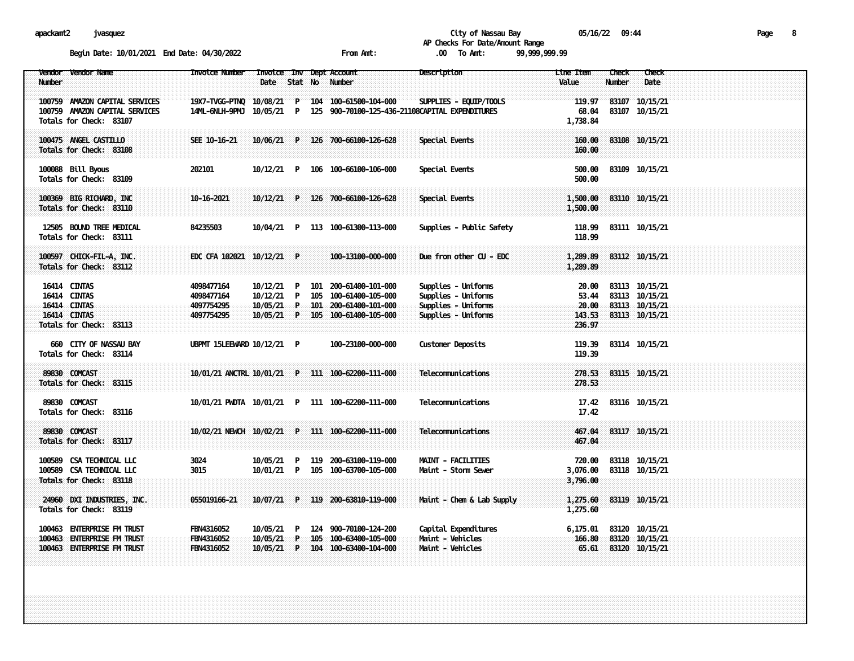**apackamt2 jvasquez City of Nassau Bay 05/16/22 09:44 Page 8 AP Checks For Date/Amount Range Begin Date: 10/01/2021 End Date: 04/30/2022 From Amt: .00 To Amt: 99,999,999.99**

|  | Begin Date: 10/01/2021 End Date: 04/30/2022 |  |  |
|--|---------------------------------------------|--|--|
|--|---------------------------------------------|--|--|

| 22 |  |  |
|----|--|--|
|    |  |  |

| <del>Vendor Vendor Name</del><br><b>Number</b>                                              | <b>LINOLCE NUMBER</b>                         |                                              |  | <b>Invoice Inv Dept Account</b><br>Date Stat No Number                                                                       | <b>Description</b>                                                | ttne Item<br>Value             | Check<br><b>Number</b> | Check<br>Date                                      |  |  |  |
|---------------------------------------------------------------------------------------------|-----------------------------------------------|----------------------------------------------|--|------------------------------------------------------------------------------------------------------------------------------|-------------------------------------------------------------------|--------------------------------|------------------------|----------------------------------------------------|--|--|--|
| 100759 AMAZON CAPITAL SERVICES<br>100759 AMAZON CAPITAL SERVICES<br>Totals for Check: 83107 |                                               |                                              |  | 19X7-TVGG-PTNQ 10/08/21 P 104 100-61500-104-000<br>14ML-6NLH-9PMJ 10/05/21 P 125 900-70100-125-436-21108CAPITAL EXPENDITURES | SUPPLIES - EQUIP/TOOLS                                            | 119.97<br>68.04<br>1,738.84    |                        | 83107 10/15/21<br>83107 10/15/21                   |  |  |  |
| 100475 ANGEL CASTILLO<br>Totals for Check: 83108                                            | SEE 10-16-21                                  |                                              |  | 10/06/21 P 126 700-66100-126-628                                                                                             | Special Events                                                    | 160.00<br>160.00               |                        | 83108 10/15/21                                     |  |  |  |
| 100088 Bill Byous<br>Totals for Check: 83109                                                | 202101                                        | $10/12/21$ P                                 |  | 106 100-66100-106-000                                                                                                        | Special Events                                                    | 500.00<br>500.00               |                        | 83109 10/15/21                                     |  |  |  |
| 100369 BIG RICHARD, INC<br>Totals for Check: 83110                                          | 10-16-2021                                    | $10/12/21$ P                                 |  | 126 700-66100-126-628                                                                                                        | Special Events                                                    | 1,500.00<br>1,500.00           |                        | 83110 10/15/21                                     |  |  |  |
| 12505 BOUND TREE MEDICAL<br>Totals for Check: 83111                                         | 84235503                                      |                                              |  | 10/04/21 P 113 100-61300-113-000                                                                                             | Supplies - Public Safety                                          | 118.99<br>118.99               |                        | 83111 10/15/21                                     |  |  |  |
| 100597 CHICK-FIL-A, INC.<br>Totals for Check: 83112                                         | EDC CFA 102021 10/12/21 P                     |                                              |  | 100-13100-000-000                                                                                                            | Due from other CU - EDC                                           | 1,289.89<br>1,289.89           |                        | 83112 10/15/21                                     |  |  |  |
| 16414 CINTAS<br>16414 CINTAS<br>16414 CINTAS                                                | 4098477164<br>4098477164<br>4097754295        | $10/12/21$ P<br>$10/12/21$ P<br>$10/05/21$ P |  | 101 200-61400-101-000<br>105 100-61400-105-000<br>$-101 - 200 - 61400 - 101 - 000$                                           | Supplies - Uniforms<br>Supplies - Uniforms<br>Supplies - Uniforms | 20.00<br>53.44<br>20.00        |                        | 83113 10/15/21<br>83113 10/15/21<br>83113 10/15/21 |  |  |  |
| <b>16414 CINTAS</b><br>Totals for Check: 83113                                              | 4097754295                                    |                                              |  | 10/05/21 P 105 100-61400-105-000                                                                                             | Supplies - Uniforms                                               | 143.53<br>236.97               |                        | 83113 10/15/21                                     |  |  |  |
| 660 CITY OF NASSAU BAY<br>Totals for Check: 83114                                           | UBPMT 15LEEWARD 10/12/21 P                    |                                              |  | 100-23100-000-000                                                                                                            | <b>Customer Deposits</b>                                          | 119.39<br>119.39               |                        | 83114 10/15/21                                     |  |  |  |
| 89830 COMCAST<br>Totals for Check: 83115                                                    |                                               |                                              |  | 10/01/21 ANCTRL 10/01/21 P 111 100-62200-111-000                                                                             | <b>Telecomunications</b>                                          | 278.53<br>278.53               |                        | 83115 10/15/21                                     |  |  |  |
| 89830 COMCAST<br>Totals for Check: 83116                                                    |                                               |                                              |  | 10/01/21 PWDTA 10/01/21 P 111 100-62200-111-000                                                                              | <b>Telecommunications</b>                                         | 17.42<br>17.42                 |                        | 83116 10/15/21                                     |  |  |  |
| 89830 COMCAST<br>Totals for Check: 83117                                                    |                                               |                                              |  | 10/02/21 NEWCH 10/02/21 P 111 100-62200-111-000                                                                              | <b>Telecommunications</b>                                         | 467.04<br>467.04               |                        | 83117 10/15/21                                     |  |  |  |
| 100589 CSA TECHNICAL LLC<br>100589 CSA TECHNICAL LLC<br>Totals for Check: 83118             | 3024<br>3015                                  | $10/05/21$ P                                 |  | 119 200-63100-119-000<br>10/01/21 P 105 100-63700-105-000                                                                    | <b>MAINT - FACILITIES</b><br>Maint - Storm Sewer                  | 720.00<br>3,076.00<br>3,796.00 |                        | 83118 10/15/21<br>83118 10/15/21                   |  |  |  |
| 24960 DXI INDUSTRIES, INC.<br>Totals for Check: 83119                                       | 055019166-21                                  |                                              |  | 10/07/21 P 119 200-63810-119-000                                                                                             | Maint - Chem & Lab Supply                                         | 1,275.60<br>1,275.60           |                        | 83119 10/15/21                                     |  |  |  |
| 100463 ENTERPRISE FM TRUST<br>100463 ENTERPRISE FM TRUST<br>100463 ENTERPRISE FM TRUST      | FBN4316052<br>FBN4316052<br><b>FBN4316052</b> | $10/05/21$ P<br>$10/05/21$ P                 |  | 124 900-70100-124-200<br>105 100-63400-105-000<br>10/05/21 P 104 100-63400-104-000                                           | Capital Expenditures<br>Maint - Vehicles<br>Maint - Vehicles      | 6,175.01<br>166.80<br>65.61    |                        | 83120 10/15/21<br>83120 10/15/21<br>83120 10/15/21 |  |  |  |
|                                                                                             |                                               |                                              |  |                                                                                                                              |                                                                   |                                |                        |                                                    |  |  |  |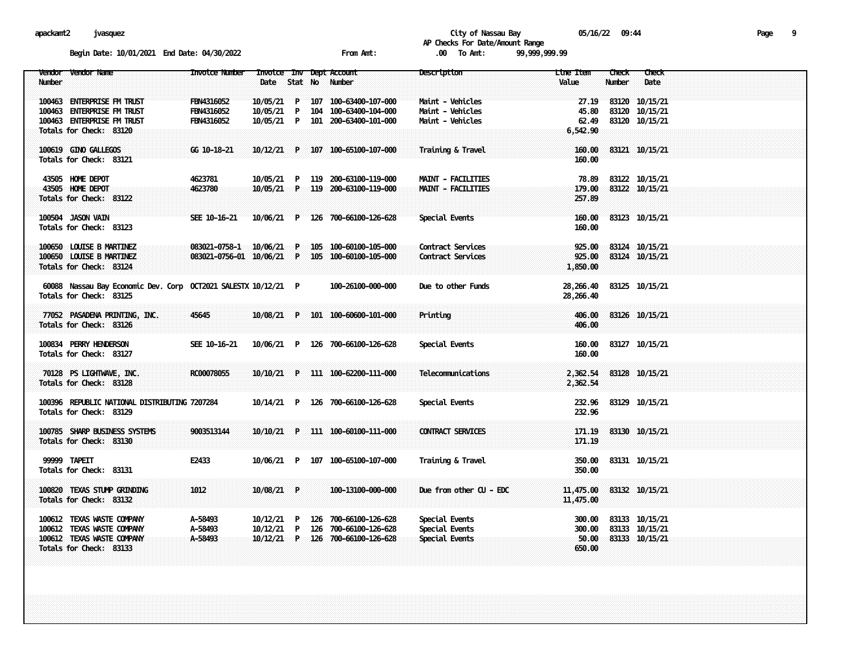**AP Checks For Date/Amount Range**

|      | City o |  |
|------|--------|--|
| -- - |        |  |

| apackamt2     | jvasquez                                                                                                          |                                          |                                          |       |            |                                                                         | City of Nassau Bay<br>AP Checks For Date/Amount Range    |                  |                                     | 05/16/22 09:44                |                                                    | Page |
|---------------|-------------------------------------------------------------------------------------------------------------------|------------------------------------------|------------------------------------------|-------|------------|-------------------------------------------------------------------------|----------------------------------------------------------|------------------|-------------------------------------|-------------------------------|----------------------------------------------------|------|
|               | Begin Date: 10/01/2021 End Date: 04/30/2022                                                                       |                                          |                                          |       |            | From Amt:                                                               | $.00$ To Amt:                                            | 99, 999, 999, 99 |                                     |                               |                                                    |      |
| <b>Number</b> | <del>Vendor Vendor Name</del>                                                                                     | Invotce Number                           |                                          |       |            | <b>Invoice Inv Dept Account</b><br>Date Stat No Number                  | <b>Description</b>                                       |                  | ttne Item<br>Value                  | <b>Check</b><br><b>Number</b> | <b>Check</b><br>Date                               |      |
| 100463        | <b>ENTERPRISE FM TRUST</b><br>100463 ENTERPRISE FM TRUST<br>100463 ENTERPRISE FM TRUST<br>Totals for Check: 83120 | FBN4316052<br>FBN4316052<br>FBN4316052   | 10/05/21<br>$10/05/21$ P<br>$10/05/21$ P | ™P    |            | 107 100-63400-107-000<br>104 100-63400-104-000<br>101 200-63400-101-000 | Maint - Vehicles<br>Maint - Vehicles<br>Maint - Vehicles |                  | 27.19<br>45.80<br>62.49<br>6,542.90 |                               | 83120 10/15/21<br>83120 10/15/21<br>83120 10/15/21 |      |
|               | 100619 GINO GALLEGOS<br>Totals for Check: 83121                                                                   | GG 10-18-21                              | $10/12/21$ P                             |       |            | 107 100-65100-107-000                                                   | Training & Travel                                        |                  | 160.00<br>160.00                    |                               | 83121 10/15/21                                     |      |
|               | 43505 HOME DEPOT<br>43505 HOME DEPOT<br>Totals for Check: 83122                                                   | 4623781<br>4623780                       | $10/05/21$ P<br>$10/05/21$ P             |       |            | 119 200-63100-119-000<br>119 200-63100-119-000                          | <b>MAINT - FACILITIES</b><br><b>MAINT - FACILITIES</b>   |                  | 78.89<br>179.00<br>257.89           |                               | 83122 10/15/21<br>83122 10/15/21                   |      |
|               | 100504 JASON VAIN<br>Totals for Check: 83123                                                                      | SEE 10-16-21                             | $10/06/21$ P                             |       |            | 126 700-66100-126-628                                                   | Special Events                                           |                  | 160.00<br>160.00                    |                               | 83123 10/15/21                                     |      |
|               | 100650 LOUISE B MARTINEZ<br>100650 LOUISE B MARTINEZ<br>Totals for Check: 83124                                   | 083021-0758-1<br>083021-0756-01 10/06/21 | $10/06/21$ P                             | 88 P. | 105<br>105 | 100-60100-105-000<br>100-60100-105-000                                  | Contract Services<br>Contract Services                   |                  | 925.00<br>925.00<br>1,850.00        |                               | 83124 10/15/21<br>83124 10/15/21                   |      |
|               | 60088 Nassau Bay Economic Dev. Corp OCT2021 SALESTX 10/12/21 P<br>Totals for Check: 83125                         |                                          |                                          |       |            | 100-26100-000-000                                                       | Due to other Funds                                       |                  | 28,266.40<br>28,266.40              |                               | 83125 10/15/21                                     |      |
|               | 77052 PASADENA PRINTING, INC.<br>Totals for Check: 83126                                                          | 45645                                    | 10/08/21 P                               |       |            | 101 100-60600-101-000                                                   | Printing                                                 |                  | 406.00<br>406.00                    |                               | 83126 10/15/21                                     |      |
|               | 100834 PERRY HENDERSON<br>Totals for Check: 83127                                                                 | SEE 10-16-21                             | $10/06/21$ P                             |       |            | 126 700-66100-126-628                                                   | Special Events                                           |                  | 160.00<br>160.00                    |                               | 83127 10/15/21                                     |      |
|               | 70128 PS LIGHTWAVE, INC.<br>Totals for Check: 83128                                                               | RC00078055                               | $10/10/21$ P                             |       |            | 111 100-62200-111-000                                                   | Telecomunications                                        |                  | 2,362.54<br>2,362.54                |                               | 83128 10/15/21                                     |      |

| 100396 REPUBLIC NATIONAL DISTRIBUTING 7207284<br>Totals for Check: 83129                                             |                               | 10/14/21                             | <b>P</b>             | 126 700-66100-126-628                                                   | Special Events                                     | 232.96<br>232.96                      | 83129 10/15/21                                     |
|----------------------------------------------------------------------------------------------------------------------|-------------------------------|--------------------------------------|----------------------|-------------------------------------------------------------------------|----------------------------------------------------|---------------------------------------|----------------------------------------------------|
| 100785 SHARP BUSINESS SYSTEMS<br>Totals for Check: 83130                                                             | 9003513144                    |                                      |                      |                                                                         | <b>CONTRACT SERVICES</b>                           | 171.19<br>171.19                      | 83130 10/15/21                                     |
| 99999 TAPEIT<br>Totals for Check: 83131                                                                              | E2433                         | 10/06/21                             | P.                   | 107 100-65100-107-000                                                   | Training & Travel                                  | 350.00<br>350.00                      | 83131 10/15/21                                     |
| 100820 TEXAS STUMP GRINDING<br>Totals for Check: 83132                                                               | 1012                          | 10/08/21 P                           |                      | 100-13100-000-000                                                       | Due from other CU - EDC                            | 11,475.00 83132 10/15/21<br>11,475.00 |                                                    |
| 100612 TEXAS WASTE COMPANY<br>TEXAS WASTE COMPANY<br>100612<br>100612 TEXAS WASTE COMPANY<br>Totals for Check: 83133 | A-58493<br>A-58493<br>A-58493 | 10/12/21<br>10/12/21<br>$10/12/21$ P | <b>P</b><br><b>P</b> | 126 700-66100-126-628<br>126 700-66100-126-628<br>126 700-66100-126-628 | Special Events<br>Special Events<br>Special Events | 300.00<br>300.00<br>50.00<br>650.00   | 83133 10/15/21<br>83133 10/15/21<br>83133 10/15/21 |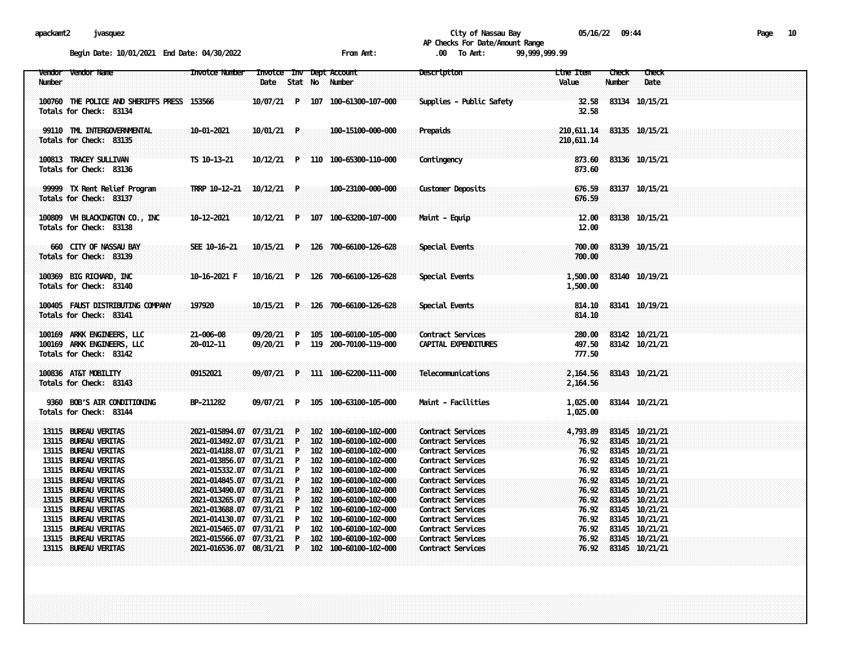**apackamt2 jvasquez City of Nassau Bay 05/16/22 09:44 Page 10 AP Checks For Date/Amount Range**

| vendor vendor Name                                           | <b>Involce Number</b>     |              | <b>Invotce Inv Dept Account</b>                           | <b>Description</b>                               | <b>Etne Item</b>     | Check         | Check                            |  |  |  |
|--------------------------------------------------------------|---------------------------|--------------|-----------------------------------------------------------|--------------------------------------------------|----------------------|---------------|----------------------------------|--|--|--|
| <b>Number</b>                                                |                           |              | Date Stat No Number                                       |                                                  | Value                | <b>Number</b> | Date                             |  |  |  |
| 100760 THE POLICE AND SHERIFFS PRESS 153566                  |                           |              | $10/07/21$ P $107$ $100-61300-107-000$                    | Supplies - Public Safety                         | 32.58                |               | 83134 10/15/21                   |  |  |  |
| Totals for Check: 83134                                      |                           |              |                                                           |                                                  | 32.58                |               |                                  |  |  |  |
| 99110 TML INTERGOVERNMENTAL                                  | $10 - 01 - 2021$          | $10/01/21$ P | 100-15100-000-000                                         | Prepaids                                         | 210, 611, 14         |               | 83135 10/15/21                   |  |  |  |
| Totals for Check: 83135                                      |                           |              |                                                           |                                                  | 210, 611.14          |               |                                  |  |  |  |
| 100813 TRACEY SULLIVAN<br>Totals for Check: 83136            | TS 10-13-21               |              | 10/12/21 P 110 100-65300-110-000                          | Contingency                                      | 873.60<br>873.60     |               | 83136 10/15/21                   |  |  |  |
|                                                              |                           |              |                                                           |                                                  |                      |               |                                  |  |  |  |
| 99999 TX Rent Relief Program<br>Totals for Check: 83137      | TRRP 10-12-21 10/12/21 P  |              | $100 - 23100 - 000 - 000$                                 | <b>Customer Deposits</b>                         | 676.59<br>676.59     |               | 83137 10/15/21                   |  |  |  |
|                                                              |                           |              |                                                           |                                                  |                      |               |                                  |  |  |  |
| 100809 VH BLACKINGTON CO., INC<br>Totals for Check: 83138    | 10-12-2021                |              | 10/12/21 P 107 100-63200-107-000                          | Maint - Equip                                    | 12.00<br>12.00       |               | 83138 10/15/21                   |  |  |  |
|                                                              |                           |              |                                                           |                                                  |                      |               |                                  |  |  |  |
| 660 CITY OF NASSAU BAY<br>Totals for Check: 83139            | SEE 10-16-21              |              | 10/15/21 P 126 700-66100-126-628                          | Special Events                                   | 700.00<br>700.00     |               | 83139 10/15/21                   |  |  |  |
|                                                              |                           |              |                                                           |                                                  |                      |               |                                  |  |  |  |
| 100369 BIG RICHARD, INC<br>Totals for Check: 83140           | 10-16-2021 F              |              | 10/16/21 P 126 700-66100-126-628                          | Special Events                                   | 1,500.00<br>1,500.00 |               | 83140 10/19/21                   |  |  |  |
|                                                              |                           |              |                                                           |                                                  |                      |               |                                  |  |  |  |
| 100405 FAUST DISTRIBUTING COMPANY<br>Totals for Check: 83141 | 197920                    |              | 10/15/21 P 126 700-66100-126-628                          | Special Events                                   | 814.10<br>814.10     |               | 83141 10/19/21                   |  |  |  |
|                                                              |                           |              |                                                           |                                                  |                      |               |                                  |  |  |  |
| 100169 ARKK ENGINEERS, LLC<br>100169 ARKK ENGINEERS, LLC     | 21-006-08<br>20-012-11    | 09/20/21 P   | 105 100-60100-105-000<br>09/20/21 P 119 200-70100-119-000 | <b>Contract Services</b><br>CAPITAL EXPENDITURES | 280.00<br>497.50     |               | 83142 10/21/21<br>83142 10/21/21 |  |  |  |
| Totals for Check: 83142                                      |                           |              |                                                           |                                                  | 777.50               |               |                                  |  |  |  |
| 100836 AT&T MOBILITY                                         | 09152021                  |              | 09/07/21 P 111 100-62200-111-000                          | <b>Telecommunications</b>                        | 2,164.56             |               | 83143 10/21/21                   |  |  |  |
| Totals for Check: 83143                                      |                           |              |                                                           |                                                  | 2,164.56             |               |                                  |  |  |  |
| 9360 BOB'S AIR CONDITIONING                                  | BP-211282                 |              | 09/07/21 P 105 100-63100-105-000                          | Maint - Facilities                               | 1,025.00             |               | 83144 10/21/21                   |  |  |  |
| Totals for Check: 83144                                      |                           |              |                                                           |                                                  | 1,025.00             |               |                                  |  |  |  |
| <b>13115 BUREAU VERITAS</b>                                  | 2021-015894.07 07/31/21 P |              | 102 100-60100-102-000                                     | Contract Services                                | 4,793.89             |               | 83145 10/21/21                   |  |  |  |
| 13115 BUREAU VERITAS                                         | 2021-013492.07 07/31/21 P |              | 102 100-60100-102-000                                     | Contract Services                                | 76.92                |               | 83145 10/21/21                   |  |  |  |
| 13115 BUREAU VERITAS                                         | 2021-014188.07 07/31/21 P |              | 102 100-60100-102-000                                     | Contract Services                                | 76.92                |               | 83145 10/21/21                   |  |  |  |
| 13115 BUREAU VERITAS                                         | 2021-013856.07 07/31/21 P |              | 102 100-60100-102-000                                     | Contract Services                                | 76.92                |               | 83145 10/21/21                   |  |  |  |
| 13115 BUREAU VERITAS                                         | 2021-015332.07 07/31/21 P |              | 102 100-60100-102-000                                     | Contract Services                                | 76.92                |               | 83145 10/21/21                   |  |  |  |
| <b>13115 BUREAU VERITAS</b>                                  | 2021-014845.07 07/31/21 P |              | 102 100-60100-102-000                                     | Contract Services                                | 76.92                |               | 83145 10/21/21                   |  |  |  |
| <b>13115 BUREAU VERITAS</b>                                  | 2021-013490.07 07/31/21 P |              | 102 100-60100-102-000                                     | Contract Services                                | 76.92                |               | 83145 10/21/21                   |  |  |  |
| 13115 BUREAU VERITAS                                         | 2021-013265.07 07/31/21 P |              | 102 100-60100-102-000                                     | Contract Services                                | 76.92                |               | 83145 10/21/21                   |  |  |  |
| 13115 BUREAU VERITAS                                         | 2021-013688.07 07/31/21 P |              | 102 100-60100-102-000                                     | Contract Services                                | 76.92                |               | 83145 10/21/21                   |  |  |  |
| 13115 BUREAU VERITAS                                         | 2021-014130.07 07/31/21 P |              | 102 100-60100-102-000                                     | Contract Services                                | 76.92                |               | 83145 10/21/21                   |  |  |  |
| 13115 BUREAU VERITAS                                         | 2021-015465.07 07/31/21 P |              | 102 100-60100-102-000                                     | Contract Services                                | 76.92                |               | 83145 10/21/21                   |  |  |  |
| 13115 BUREAU VERITAS                                         | 2021-015566.07 07/31/21 P |              | $102 - 100 - 60100 - 102 - 000$                           | <b>Contract Services</b>                         | 76.92                |               | 83145 10/21/21                   |  |  |  |
| <b>13115 BUREAU VERITAS</b>                                  |                           |              | 2021-016536.07 08/31/21 P 102 100-60100-102-000           | Contract Services                                |                      |               | 76.92 83145 10/21/21             |  |  |  |
|                                                              |                           |              |                                                           |                                                  |                      |               |                                  |  |  |  |
|                                                              |                           |              |                                                           |                                                  |                      |               |                                  |  |  |  |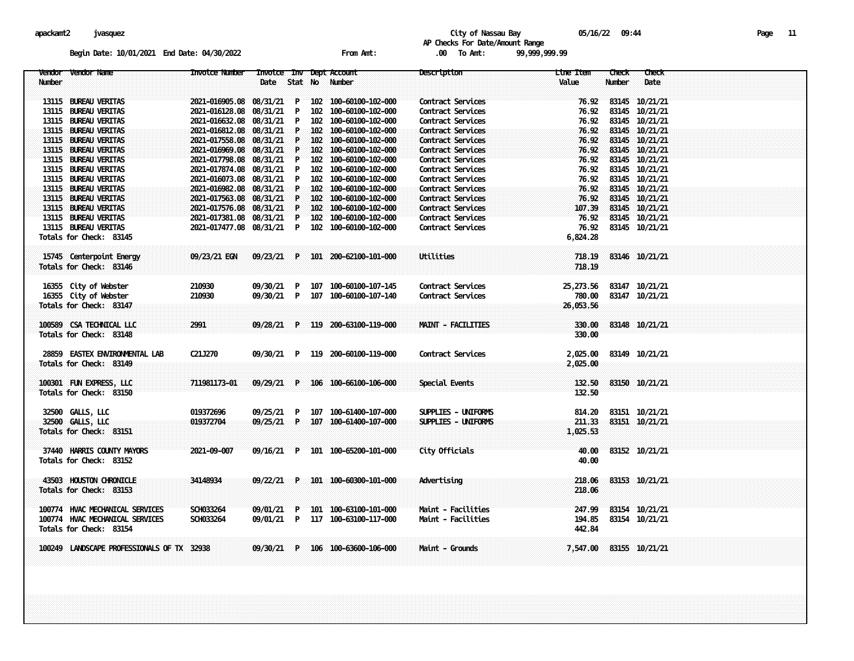**AP Checks For Date/Amount Range Begin Date: 10/01/2021 End Date: 04/30/2022 From Amt: .00 To Amt: 99,999,999.99**

| apackamt2 | jvasquez | City of Nassau Bay              | 05/16/22 | 09:44 | Page |  |
|-----------|----------|---------------------------------|----------|-------|------|--|
|           |          | AP Checks For Date/Amount Range |          |       |      |  |

|               | Vendor Vendor Name                         | Invoice Number Invoice Inv Dept Account |                     |              |     |                                  | <b>Description</b>         | ithe Item | <b>Check</b>  | <b>Check</b>   |
|---------------|--------------------------------------------|-----------------------------------------|---------------------|--------------|-----|----------------------------------|----------------------------|-----------|---------------|----------------|
| <b>Number</b> |                                            |                                         | Date Stat No Number |              |     |                                  |                            | Value     | <b>Number</b> | Date           |
|               |                                            |                                         |                     |              |     |                                  |                            |           |               |                |
|               | 13115 BUREAU VERITAS                       | 2021-016905.08 08/31/21 P               |                     |              |     | 102 100-60100-102-000            | Contract Services          | 76.92     |               | 83145 10/21/21 |
|               | 13115 BUREAU VERITAS                       | 2021-016128.08 08/31/21                 |                     | P            | 102 | 100-60100-102-000                | Contract Services          | 76.92     |               | 83145 10/21/21 |
|               | 13115 BUREAU VERITAS                       | 2021-016632.08 08/31/21                 |                     | $\mathsf{P}$ |     | 102 100-60100-102-000            | Contract Services          | 76.92     |               | 83145 10/21/21 |
|               | 13115 BUREAU VERITAS                       | 2021-016812.08 08/31/21                 |                     | ା ମ          |     | 102 100-60100-102-000            | Contract Services          | 76.92     |               | 83145 10/21/21 |
|               | 13115 BUREAU VERITAS                       | 2021-017558.08 08/31/21                 |                     | $\mathsf{P}$ |     | 102 100-60100-102-000            | Contract Services          | 76.92     |               | 83145 10/21/21 |
|               | 13115 BUREAU VERITAS                       | 2021-016969.08 08/31/21                 |                     | $\mathbf{P}$ |     | 102 100-60100-102-000            | Contract Services          | 76.92     |               | 83145 10/21/21 |
|               | 13115 BUREAU VERITAS                       | 2021-017798.08 08/31/21                 |                     | ႃၣႃ          |     | 102 100-60100-102-000            | Contract Services          | 76.92     |               | 83145 10/21/21 |
|               | 13115 BUREAU VERITAS                       | 2021-017874.08 08/31/21                 |                     | <b>P</b>     |     | 102 100-60100-102-000            | Contract Services          | 76.92     |               | 83145 10/21/21 |
|               | 13115 BUREAU VERITAS                       | 2021-016073.08 08/31/21                 |                     | $\mathsf{P}$ |     | 102 100-60100-102-000            | Contract Services          | 76.92     |               | 83145 10/21/21 |
|               | 13115 BUREAU VERITAS                       | 2021-016982.08 08/31/21 P               |                     |              |     | $102 - 100 - 60100 - 102 - 000$  | Contract Services          | 76.92     |               | 83145 10/21/21 |
|               | 13115 BUREAU VERITAS                       | 2021-017563.08 08/31/21                 |                     | ူ            |     | 102 100-60100-102-000            | Contract Services          | 76.92     |               | 83145 10/21/21 |
|               | 13115 BUREAU VERITAS                       | 2021-017576.08 08/31/21                 |                     | ႃၣႜ          |     | 102 100-60100-102-000            | Contract Services          | 107.39    |               | 83145 10/21/21 |
|               | 13115 BUREAU VERITAS                       | 2021-017381.08 08/31/21 P               |                     |              |     | 102 100-60100-102-000            | Contract Services          | 76.92     |               | 83145 10/21/21 |
|               | 13115 BUREAU VERITAS                       | 2021-017477.08 08/31/21 P               |                     |              |     | 102 100-60100-102-000            | Contract Services          | 76.92     |               | 83145 10/21/21 |
|               | Totals for Check: 83145                    |                                         |                     |              |     |                                  |                            | 6,824.28  |               |                |
|               |                                            |                                         |                     |              |     |                                  |                            |           |               |                |
|               | 15745 Centerpoint Energy                   | 09/23/21 EGN                            |                     |              |     | 09/23/21 P 101 200-62100-101-000 | <b>Utilities</b>           | 718.19    |               | 83146 10/21/21 |
|               | Totals for Check: 83146                    |                                         |                     |              |     |                                  |                            | 718.19    |               |                |
|               |                                            |                                         |                     |              |     |                                  |                            |           |               |                |
|               | 16355 City of Webster                      | 210930                                  | 09/30/21            | - P          |     | 107 100-60100-107-145            | Contract Services          | 25,273.56 |               | 83147 10/21/21 |
|               | 16355 City of Webster                      | 210930                                  | 09/30/21 P          |              |     | 107 100-60100-107-140            | Contract Services          | 780.00    |               | 83147 10/21/21 |
|               | Totals for Check: 83147                    |                                         |                     |              |     |                                  |                            | 26,053.56 |               |                |
|               |                                            |                                         |                     |              |     |                                  |                            |           |               |                |
|               | 100589 CSA TECHNICAL LLC                   | 2991                                    |                     |              |     | 09/28/21 P 119 200-63100-119-000 | <b>MAINT - FACILITIES</b>  | 330.00    |               | 83148 10/21/21 |
|               | Totals for Check: 83148                    |                                         |                     |              |     |                                  |                            | 330.00    |               |                |
|               |                                            |                                         |                     |              |     |                                  |                            |           |               |                |
|               | 28859 EASTEX ENVIRONMENTAL LAB             | C21J270                                 | 09/30/21            | $\mathsf{P}$ |     | 119 200-60100-119-000            | Contract Services          | 2,025.00  |               | 83149 10/21/21 |
|               | Totals for Check: 83149                    |                                         |                     |              |     |                                  |                            | 2.025.00  |               |                |
|               |                                            |                                         |                     |              |     |                                  |                            |           |               |                |
|               | 100301 FUN EXPRESS, LLC                    | 711981173-01                            | 09/29/21 P          |              |     | 106 100-66100-106-000            | Special Events             | 132.50    |               | 83150 10/21/21 |
|               | Totals for Check: 83150                    |                                         |                     |              |     |                                  |                            | 132.50    |               |                |
|               |                                            |                                         |                     |              |     |                                  |                            |           |               |                |
|               | 32500 GALLS, LLC                           | 019372696                               | 09/25/21            | P.           |     | 107 100-61400-107-000            | <b>SUPPLIES - UNIFORMS</b> | 814.20    |               | 83151 10/21/21 |
|               | 32500 GALLS, LLC                           | 019372704                               | $09/25/21$ P        |              |     | 107 100-61400-107-000            | <b>SUPPLIES - UNIFORMS</b> | 211.33    |               | 83151 10/21/21 |
|               | Totals for Check: 83151                    |                                         |                     |              |     |                                  |                            | 1,025.53  |               |                |
|               |                                            |                                         |                     |              |     |                                  |                            |           |               |                |
|               | 37440 HARRIS COUNTY MAYORS                 | 2021-09-007                             |                     |              |     | 09/16/21 P 101 100-65200-101-000 | City Officials             | 40.00     |               | 83152 10/21/21 |
|               | Totals for Check: 83152                    |                                         |                     |              |     |                                  |                            | 40.00     |               |                |
|               |                                            |                                         |                     |              |     |                                  |                            |           |               |                |
|               | 43503 HOUSTON CHRONICLE                    | 34148934                                | 09/22/21 P          |              |     | $101$ $100 - 60300 - 101 - 000$  | Advertising                | 218.06    |               | 83153 10/21/21 |
|               | Totals for Check: 83153                    |                                         |                     |              |     |                                  |                            | 218.06    |               |                |
|               |                                            |                                         |                     |              |     |                                  |                            |           |               |                |
|               | 100774 HVAC MECHANICAL SERVICES            | <b>SCH033264</b>                        | 09/01/21 P          |              |     | 101 100-63100-101-000            | Maint - Facilities         | 247.99    |               | 83154 10/21/21 |
|               | 100774 HVAC MECHANICAL SERVICES            | <b>SCH033264</b>                        |                     |              |     | 09/01/21 P 117 100-63100-117-000 | Maint - Facilities         | 194.85    |               | 83154 10/21/21 |
|               | Totals for Check: 83154                    |                                         |                     |              |     |                                  |                            | 442.84    |               |                |
|               |                                            |                                         |                     |              |     |                                  |                            |           |               |                |
|               | 100249 LANDSCAPE PROFESSIONALS OF TX 32938 |                                         |                     |              |     | 09/30/21 P 106 100-63600-106-000 | Maint - Grounds            | 7,547.00  |               | 83155 10/21/21 |
|               |                                            |                                         |                     |              |     |                                  |                            |           |               |                |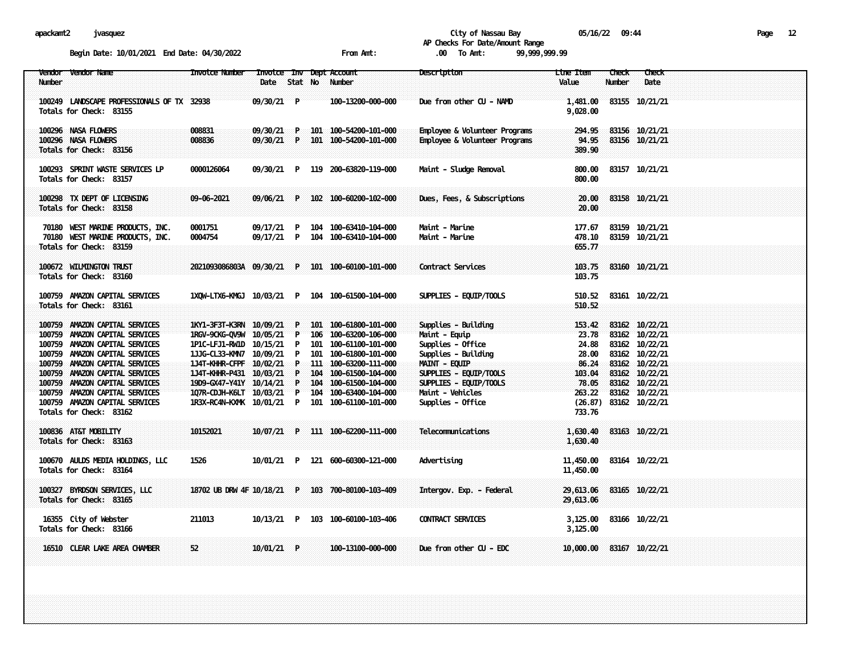**Totals for Check: 83166 3,125.00**

**apackamt2 jvasquez City of Nassau Bay 05/16/22 09:44 Page 12 AP Checks For Date/Amount Range**

|               | Begin Date: 10/01/2021 End Date: 04/30/2022                      |                                                  |                     |  | From Amt:                                                                                            | .00 To Amt:                              | 99, 999, 999. 99        |               |                                  |  |  |  |
|---------------|------------------------------------------------------------------|--------------------------------------------------|---------------------|--|------------------------------------------------------------------------------------------------------|------------------------------------------|-------------------------|---------------|----------------------------------|--|--|--|
|               | Vendor Vendor Name                                               | <b>Involce Number Involce Inv Dept Account :</b> |                     |  |                                                                                                      | <b>Description</b>                       | itine Titen             | <b>Check</b>  | Check                            |  |  |  |
| <b>Number</b> |                                                                  |                                                  | Date Stat No Number |  |                                                                                                      |                                          | Value                   | <b>Number</b> | Date                             |  |  |  |
|               | 100249 LANDSCAPE PROFESSIONALS OF TX 32938                       | sanananananan                                    | $09/30/21$ P        |  | 100-13200-000-000                                                                                    | Due from other CU - NAMD                 | 1,481.00 83155 10/21/21 |               |                                  |  |  |  |
|               | Totals for Check: 83155                                          |                                                  |                     |  |                                                                                                      |                                          | 9,028.00                |               |                                  |  |  |  |
|               | 100296 NASA FLOWERS                                              | 008831                                           |                     |  | 09/30/21 P 101 100-54200-101-000                                                                     | <b>Employee &amp; Volunteer Programs</b> | 294.95                  |               | 83156 10/21/21                   |  |  |  |
|               | 100296 NASA FLOWERS                                              | 008836                                           |                     |  | 09/30/21 P 101 100-54200-101-000                                                                     | Employee & Volunteer Programs            | 94.95                   |               | 83156 10/21/21                   |  |  |  |
|               | Totals for Check: 83156                                          |                                                  |                     |  |                                                                                                      |                                          | 389.90                  |               |                                  |  |  |  |
|               | 100293 SPRINT WASTE SERVICES LP                                  | 0000126064                                       |                     |  | 09/30/21 P 119 200-63820-119-000                                                                     | Maint - Sludge Removal                   | 800.00                  |               | 83157 10/21/21                   |  |  |  |
|               | Totals for Check: 83157                                          |                                                  |                     |  |                                                                                                      |                                          | 800.00                  |               |                                  |  |  |  |
|               | 100298 TX DEPT OF LICENSING                                      | 09-06-2021                                       |                     |  | 09/06/21 P 102 100-60200-102-000                                                                     | Dues, Fees, & Subscriptions              | 20.00                   |               | 83158 10/21/21                   |  |  |  |
|               | Totals for Check: 83158                                          |                                                  |                     |  |                                                                                                      |                                          | 20.00                   |               |                                  |  |  |  |
|               | 70180 WEST MARINE PRODUCTS, INC.                                 | 0001751                                          | 09/17/21 P          |  | 104 100-63410-104-000                                                                                | Maint - Marine                           | 177.67                  |               | 83159 10/21/21                   |  |  |  |
|               | 70180 WEST MARINE PRODUCTS, INC.                                 | 0004754                                          |                     |  | 09/17/21 P 104 100-63410-104-000                                                                     | Maint - Marine                           | 478.10                  |               | 83159 10/21/21                   |  |  |  |
|               | Totals for Check: 83159                                          |                                                  |                     |  |                                                                                                      |                                          | 655.77                  |               |                                  |  |  |  |
|               | 100672 WILMINGTON TRUST                                          |                                                  |                     |  | 2021093086803A 09/30/21 P 101 100-60100-101-000                                                      | Contract Services                        | 103.75                  |               | 83160 10/21/21                   |  |  |  |
|               | Totals for Check: 83160                                          |                                                  |                     |  |                                                                                                      |                                          | 103.75                  |               |                                  |  |  |  |
|               | 100759 AMAZON CAPITAL SERVICES                                   |                                                  |                     |  | 1X0W-LTX6-KMGJ 10/03/21 P 104 100-61500-104-000                                                      | SUPPLIES - EQUIP/TOOLS                   | 510.52                  |               | 83161 10/22/21                   |  |  |  |
|               | Totals for Check: 83161                                          |                                                  |                     |  |                                                                                                      |                                          | 510.52                  |               |                                  |  |  |  |
|               | 100759 AMAZON CAPITAL SERVICES                                   | 1KY1-3F3T-K3RN 10/09/21 P                        |                     |  | 101 100-61800-101-000                                                                                | Supplies - Building                      | 153.42                  |               | 83162 10/22/21                   |  |  |  |
|               | 100759 AMAZON CAPITAL SERVICES                                   | IRGV-9CKG-QV9W 10/05/21 P                        |                     |  | 106 100-63200-106-000                                                                                | Maint - Equip                            | 23.78                   |               | 83162 10/22/21                   |  |  |  |
|               | 100759 AMAZON CAPITAL SERVICES                                   |                                                  |                     |  | 1P1C-LFJ1-RW1D 10/15/21 P 101 100-61100-101-000                                                      | Supplies - Office                        | 24.88                   |               | 83162 10/22/21                   |  |  |  |
|               | 100759 AMAZON CAPITAL SERVICES<br>100759 AMAZON CAPITAL SERVICES |                                                  |                     |  | 1JJG-CL33-KWV7 10/09/21 P 101 100-61800-101-000<br>:1J4T-KHHR-CFPF::10/02/21 P 111 100-63200-111-000 | Supplies - Building<br>MAINT - EQUIP     | 28.00<br>86.24          |               | 83162 10/22/21<br>83162 10/22/21 |  |  |  |
|               | 100759 AMAZON CAPITAL SERVICES                                   |                                                  |                     |  | 1J4T-KHHR-P431 10/03/21 P 104 100-61500-104-000                                                      | SUPPLIES - EQUIP/TOOLS                   | 103.04                  |               | 83162 10/22/21                   |  |  |  |
|               | 100759 AMAZON CAPITAL SERVICES                                   |                                                  |                     |  | 19D9-GX47-Y41Y 10/14/21 P 104 100-61500-104-000                                                      | SUPPLIES - EQUIP/TOOLS                   | 78.05                   |               | 83162 10/22/21                   |  |  |  |
|               | 100759 AMAZON CAPITAL SERVICES<br>100759 AMAZON CAPITAL SERVICES |                                                  |                     |  | 107R-CDJH-K6LT 10/03/21 P 104 100-63400-104-000<br>1R3X-RC4N-KXMK 10/01/21 P 101 100-61100-101-000   | Maint - Vehicles<br>Supplies - Office    | 263.22<br>(26.87)       |               | 83162 10/22/21<br>83162 10/22/21 |  |  |  |
|               | Totals for Check: 83162                                          |                                                  |                     |  |                                                                                                      |                                          | 733.76                  |               |                                  |  |  |  |
|               |                                                                  |                                                  |                     |  |                                                                                                      |                                          |                         |               |                                  |  |  |  |
|               | 100836 AT&T MOBILITY<br>Totals for Check: 83163                  | 10152021                                         |                     |  | 10/07/21 P 111 100-62200-111-000                                                                     | <b>Telecommunications</b>                | 1,630.40<br>1,630.40    |               | 83163 10/22/21                   |  |  |  |
|               |                                                                  |                                                  |                     |  |                                                                                                      |                                          |                         |               |                                  |  |  |  |
|               | 100670 AULDS MEDIA HOLDINGS, LLC                                 | 1526                                             |                     |  | 10/01/21 P 121 600-60300-121-000                                                                     | Advertising                              | 11,450.00               |               | 83164 10/22/21                   |  |  |  |
|               | Totals for Check: 83164                                          |                                                  |                     |  |                                                                                                      |                                          | 11,450.00               |               |                                  |  |  |  |
|               | 100327 BYRDSON SERVICES, LLC                                     |                                                  |                     |  | 18702 UB DRW 4F 10/18/21 P 103 700-80100-103-409                                                     | Intergov. Exp. - Federal                 | 29,613.06               |               | 83165 10/22/21                   |  |  |  |
|               | Totals for Check: 83165                                          |                                                  |                     |  |                                                                                                      |                                          | 29,613.06               |               |                                  |  |  |  |

211013 10/13/21 P 103 100-60100-103-406 CONTRACT SERVICES 3,125.00 83166 10/22/21<br>3,125.00

16/01/22 16900-000 Due from other CU - EDC 10,000.00 83167 10/22/21 201-3100-000-000-000 Due from other CU - EDC 10,000.00 83167 10/22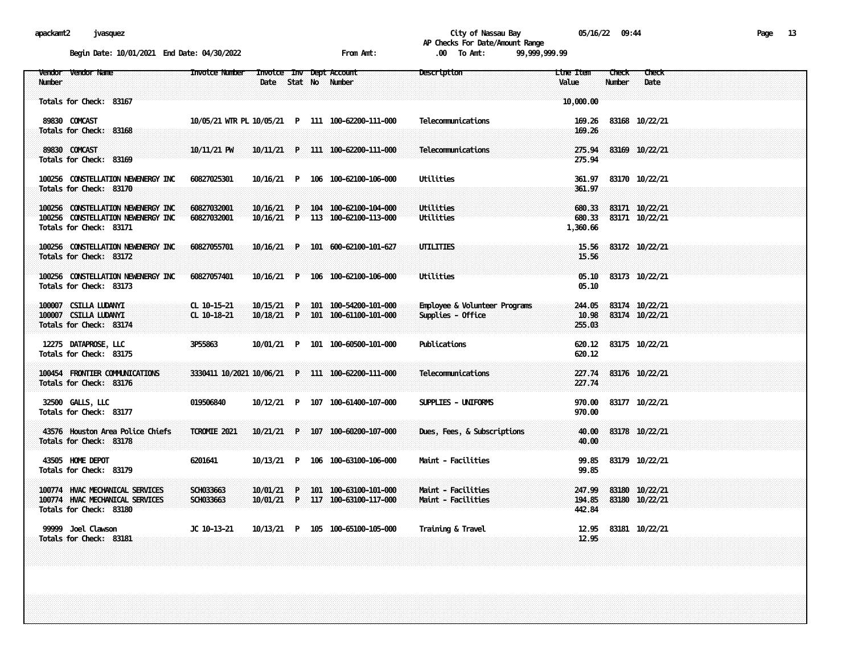**Totals for Check: 83181 12.95**

**apackamt2 jvasquez City of Nassau Bay 05/16/22 09:44 Page 13 AP Checks For Date/Amount Range**

|        | Begin Date: 10/01/2021 End Date: 04/30/2022      |                                                  |  | From Amt:                                        | $.00$ To Amt:                 | 99, 999, 999. 99    |                               |                            |  |
|--------|--------------------------------------------------|--------------------------------------------------|--|--------------------------------------------------|-------------------------------|---------------------|-------------------------------|----------------------------|--|
| Number | Vendor Vendor Name                               | <b>Invoice Number Invoice Inv Dept Account —</b> |  | Date Stat No Number                              | <b>Description</b>            | ittne Tten<br>Value | <b>Check</b><br><b>Number</b> | <del>- Check</del><br>Date |  |
|        | Totals for Check: 83167                          |                                                  |  |                                                  |                               | 10,000.00           |                               |                            |  |
|        | 89830 COMCAST                                    |                                                  |  | 10/05/21 WTR PL 10/05/21 P 111 100-62200-111-000 | <b>Telecomunications</b>      | 169.26              |                               | 83168 10/22/21             |  |
|        | Totals for Check: 83168                          |                                                  |  |                                                  |                               | 169.26              |                               |                            |  |
|        | 89830 COMCAST                                    | 10/11/21 PW                                      |  | 10/11/21 P 111 100-62200-111-000                 | <b>Telecommunications</b>     | 275.94              |                               | 83169 10/22/21             |  |
|        | Totals for Check: 83169                          |                                                  |  |                                                  |                               | 275.94              |                               |                            |  |
|        | 100256 CONSTELLATION NEWENERGY INC               | 60827025301                                      |  | 10/16/21 P 106 100-62100-106-000                 | Utilities                     | 361.97              |                               | 83170 10/22/21             |  |
|        | Totals for Check: 83170                          |                                                  |  |                                                  |                               | 361.97              |                               |                            |  |
|        | 100256 CONSTELLATION NEWENERGY INC               | 60827032001                                      |  | 10/16/21 P 104 100-62100-104-000                 | Utilities                     | 680.33              |                               | 83171 10/22/21             |  |
|        | 100256 CONSTELLATION NEWENERGY INC               | 60827032001                                      |  | 10/16/21 P 113 100-62100-113-000                 | Utilities                     | 680.33              |                               | 83171 10/22/21             |  |
|        | Totals for Check: 83171                          |                                                  |  |                                                  |                               | 1,360.66            |                               |                            |  |
|        | 100256 CONSTELLATION NEWENERGY INC               | 60827055701                                      |  | 10/16/21 P 101 600-62100-101-627                 | <b>UTILITIES</b>              | 15.56               |                               | 83172 10/22/21             |  |
|        | Totals for Check: 83172                          |                                                  |  |                                                  |                               | 15.56               |                               |                            |  |
|        | 100256 CONSTELLATION NEWENERGY INC               | 60827057401                                      |  | 10/16/21 P 106 100-62100-106-000                 | Utilities                     | 05.10               |                               | 83173 10/22/21             |  |
|        | Totals for Check: 83173                          |                                                  |  |                                                  |                               | 05.10               |                               |                            |  |
|        | 100007 CSILLA LUDANYI ARTISTAN MASH              | CL 10-15-21                                      |  | 10/15/21 P 101 100-54200-101-000                 | Employee & Volunteer Programs | 244.05              |                               | 83174 10/22/21             |  |
|        | 100007 CSILLA LUDANYI<br>Totals for Check: 83174 | CL 10-18-21                                      |  |                                                  | Supplies - Office             | 10.98<br>255.03     |                               | 83174 10/22/21             |  |
|        |                                                  |                                                  |  |                                                  |                               |                     |                               |                            |  |
|        | 12275 DATAPROSE, LLC                             | 3P55863                                          |  | 10/01/21 P 101 100-60500-101-000                 | <b>Publications</b>           | 620.12              |                               | 83175 10/22/21             |  |
|        | Totals for Check: 83175                          |                                                  |  |                                                  |                               | 620.12              |                               |                            |  |
|        | 100454 FRONTIER COMMUNICATIONS                   |                                                  |  | 3330411 10/2021 10/06/21 P 111 100-62200-111-000 | <b>Telecomunications</b>      | 227.74              |                               | 83176 10/22/21             |  |
|        | Totals for Check: 83176                          |                                                  |  |                                                  |                               | 227.74              |                               |                            |  |
|        | 32500 GALLS, LLC                                 | 019506840                                        |  | 10/12/21 P 107 100-61400-107-000                 | SUPPLIES - UNIFORMS           | 970.00              |                               | 83177 10/22/21             |  |
|        | Totals for Check: 83177                          |                                                  |  |                                                  |                               | 970.00              |                               |                            |  |
|        | 43576 Houston Area Police Chiefs                 | TCROMIE 2021                                     |  | 10/21/21 P 107 100-60200-107-000                 | Dues, Fees, & Subscriptions   | 40.00               |                               | 83178 10/22/21             |  |
|        | <b>Totals for Check: 83178</b>                   |                                                  |  |                                                  |                               | 40.00               |                               |                            |  |
|        | 43505 HOME DEPOT                                 | 6201641                                          |  | 10/13/21 P 106 100-63100-106-000                 | Maint - Facilities            | 99.85               |                               | 83179 10/22/21             |  |
|        | Totals for Check: 83179                          |                                                  |  |                                                  |                               | 99.85               |                               |                            |  |
|        | 100774 HVAC MECHANICAL SERVICES                  | <b>SCH033663</b>                                 |  | 10/01/21 P 101 100-63100-101-000                 | Maint - Facilities            | 247.99              |                               | 83180 10/22/21             |  |
|        | 100774 HVAC MECHANICAL SERVICES                  | <b>SCH033663</b>                                 |  | 10/01/21 P 117 100-63100-117-000                 | Maint - Facilities            | 194.85              |                               | 83180 10/22/21             |  |
|        | Totals for Check: 83180                          |                                                  |  |                                                  |                               | 442.84              |                               |                            |  |

**99999 Joel Clawson JC 10-13-21 10/13/21 P 105 100-65100-105-000 Training & Travel 12.95 83181 10/22/21**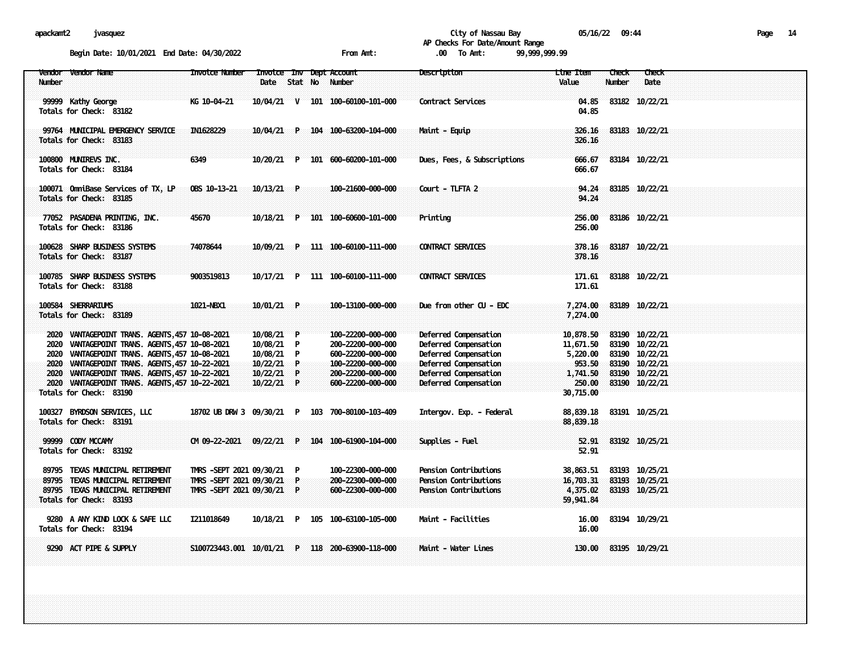**apackamt2 jvasquez City of Nassau Bay 05/16/22 09:44 Page 14 AP Checks For Date/Amount Range Begin Date: 10/01/2021 End Date: 04/30/2022 From Amt: .00 To Amt: 99,999,999.99**

|        | Vendor Vendor Name                              | <b>Invoice Number</b>      | <b>Invoice Inv Dept Account</b> |                  |                                                 | Description                  | ttne Item | Check         | <b>Check</b>   |  |  |  |
|--------|-------------------------------------------------|----------------------------|---------------------------------|------------------|-------------------------------------------------|------------------------------|-----------|---------------|----------------|--|--|--|
| Number |                                                 |                            | Date                            |                  | Stat No Number                                  |                              | Value     | <b>Number</b> | Date           |  |  |  |
|        |                                                 |                            |                                 |                  |                                                 |                              |           |               |                |  |  |  |
|        | 99999 Kathy George                              | KG 10-04-21                |                                 |                  | 10/04/21 V 101 100-60100-101-000                | Contract Services            | 04.85     |               | 83182 10/22/21 |  |  |  |
|        | Totals for Check: 83182                         |                            |                                 |                  |                                                 |                              | 04.85     |               |                |  |  |  |
|        |                                                 |                            |                                 |                  |                                                 |                              |           |               |                |  |  |  |
|        | 99764 MUNICIPAL EMERGENCY SERVICE               | IN1628229                  | 10/04/21                        | boo <b>P</b> ool | 104 100-63200-104-000                           | Maint - Equip                | 326.16    |               | 83183 10/22/21 |  |  |  |
|        | Totals for Check: 83183                         |                            |                                 |                  |                                                 |                              | 326.16    |               |                |  |  |  |
|        |                                                 |                            |                                 |                  |                                                 |                              |           |               |                |  |  |  |
|        | 100800 MUNIREVS INC.                            | 6349                       | $10/20/21$ P                    |                  | 101 600-60200-101-000                           | Dues, Fees, & Subscriptions  | 666.67    |               | 83184 10/22/21 |  |  |  |
|        | Totals for Check: 83184                         |                            |                                 |                  |                                                 |                              | 666.67    |               |                |  |  |  |
|        |                                                 |                            |                                 |                  |                                                 |                              |           |               |                |  |  |  |
|        | 100071 OmniBase Services of TX, LP              | OBS 10-13-21               | $10/13/21$ P                    |                  | 100-21600-000-000                               | Court - TLFTA 2              | 94.24     |               | 83185 10/22/21 |  |  |  |
|        | Totals for Check: 83185                         |                            |                                 |                  |                                                 |                              | 94.24     |               |                |  |  |  |
|        |                                                 |                            |                                 |                  |                                                 |                              |           |               |                |  |  |  |
|        | 77052 PASADENA PRINTING, INC.                   | 45670                      | $10/18/21$ P                    |                  | 101 100-60600-101-000                           | Printing                     | 256.00    |               | 83186 10/22/21 |  |  |  |
|        | Totals for Check: 83186                         |                            |                                 |                  |                                                 |                              | 256.00    |               |                |  |  |  |
|        |                                                 |                            |                                 |                  |                                                 |                              |           |               |                |  |  |  |
|        | 100628 SHARP BUSINESS SYSTEMS                   | 74078644                   | 10/09/21                        | ः P              | 111 100-60100-111-000                           | <b>CONTRACT SERVICES</b>     | 378.16    |               | 83187 10/22/21 |  |  |  |
|        | Totals for Check: 83187                         |                            |                                 |                  |                                                 |                              | 378.16    |               |                |  |  |  |
|        |                                                 |                            |                                 |                  |                                                 |                              |           |               |                |  |  |  |
|        | 100785 SHARP BUSINESS SYSTEMS                   | 9003519813                 |                                 |                  | 10/17/21  P  111  100-60100-111-000             | <b>CONTRACT SERVICES</b>     | 171.61    |               | 83188 10/22/21 |  |  |  |
|        | Totals for Check: 83188                         |                            |                                 |                  |                                                 |                              | 171.61    |               |                |  |  |  |
|        |                                                 |                            |                                 |                  |                                                 |                              |           |               |                |  |  |  |
|        | 100584 SHERRARIUMS                              | 1021-NBX1                  | 10/01/21 P                      |                  | 100-13100-000-000                               | Due from other $CU - EDC$    | 7,274.00  |               | 83189 10/22/21 |  |  |  |
|        | Totals for Check: 83189                         |                            |                                 |                  |                                                 |                              | 7,274.00  |               |                |  |  |  |
|        |                                                 |                            |                                 |                  |                                                 |                              |           |               |                |  |  |  |
|        | 2020 VANTAGEPOINT TRANS. AGENTS, 457 10-08-2021 |                            | $10/08/21$ P                    |                  | 100-22200-000-000                               | Deferred Compensation        | 10,878.50 |               | 83190 10/22/21 |  |  |  |
|        | 2020 VANTAGEPOINT TRANS. AGENTS, 457 10-08-2021 |                            | 10/08/21 P                      |                  | 200-22200-000-000                               | Deferred Compensation        | 11,671.50 |               | 83190 10/22/21 |  |  |  |
|        | 2020 VANTAGEPOINT TRANS, AGENTS, 457 10-08-2021 |                            | $10/08/21$ P                    |                  | 600-22200-000-000                               | Deferred Compensation        | 5,220.00  |               | 83190 10/22/21 |  |  |  |
|        | 2020 VANTAGEPOINT TRANS. AGENTS, 457 10-22-2021 |                            | $10/22/21$ P                    |                  | 100-22200-000-000                               | Deferred Compensation        | 953.50    |               | 83190 10/22/21 |  |  |  |
|        | 2020 VANTAGEPOINT TRANS, AGENTS, 457 10-22-2021 |                            | $10/22/21$ P                    |                  | 200-22200-000-000                               | Deferred Compensation        | 1.741.50  |               | 83190 10/22/21 |  |  |  |
|        | 2020 VANTAGEPOINT TRANS. AGENTS, 457 10-22-2021 |                            | $10/22/21$ P                    |                  | 600-22200-000-000                               | Deferred Compensation        | 250.00    |               | 83190 10/22/21 |  |  |  |
|        | Totals for Check: 83190                         |                            |                                 |                  |                                                 |                              | 30,715.00 |               |                |  |  |  |
|        |                                                 |                            |                                 |                  |                                                 |                              |           |               |                |  |  |  |
|        | 100327 BYRDSON SERVICES, LLC                    | 18702 UB DRW 3 09/30/21 P  |                                 |                  | 103 700-80100-103-409                           | Intergov. Exp. - Federal     | 88,839.18 |               | 83191 10/25/21 |  |  |  |
|        | Totals for Check: 83191                         |                            |                                 |                  |                                                 |                              | 88,839.18 |               |                |  |  |  |
|        |                                                 |                            |                                 |                  |                                                 |                              |           |               |                |  |  |  |
|        | 99999 CODY MCCAMY                               |                            |                                 |                  | CM 09-22-2021 09/22/21 P 104 100-61900-104-000  | Supplies - Fuel              | 52.91     |               | 83192 10/25/21 |  |  |  |
|        | Totals for Check: 83192                         |                            |                                 |                  |                                                 |                              | 52.91     |               |                |  |  |  |
|        |                                                 |                            |                                 |                  |                                                 |                              |           |               |                |  |  |  |
|        | 89795 TEXAS MUNICIPAL RETIREMENT                | TMRS -SEPT 2021 09/30/21 P |                                 |                  | 100-22300-000-000                               | <b>Pension Contributions</b> | 38,863.51 |               | 83193 10/25/21 |  |  |  |
|        | 89795 TEXAS MUNICIPAL RETIREMENT                | TMRS -SEPT 2021 09/30/21 P |                                 |                  | 200-22300-000-000                               | <b>Pension Contributions</b> | 16,703.31 |               | 83193 10/25/21 |  |  |  |
|        | 89795 TEXAS MUNICIPAL RETIREMENT                | TMRS -SEPT 2021 09/30/21 P |                                 |                  | 600-22300-000-000                               | <b>Pension Contributions</b> | 4,375.02  |               | 83193 10/25/21 |  |  |  |
|        | Totals for Check: 83193                         |                            |                                 |                  |                                                 |                              | 59,941.84 |               |                |  |  |  |
|        |                                                 |                            |                                 |                  |                                                 |                              |           |               |                |  |  |  |
|        | 9280 A ANY KIND LOCK & SAFE LLC                 | I211018649                 | $10/18/21$ P                    |                  | 105 100-63100-105-000                           | Maint - Facilities           | 16.00     |               | 83194 10/29/21 |  |  |  |
|        | Totals for Check: 83194                         |                            |                                 |                  |                                                 |                              | 16.00     |               |                |  |  |  |
|        |                                                 |                            |                                 |                  |                                                 |                              |           |               |                |  |  |  |
|        | 9290 ACT PIPE & SUPPLY                          |                            |                                 |                  | S100723443.001 10/01/21 P 118 200-63900-118-000 | Maint - Water Lines          | 130.00    |               | 83195 10/29/21 |  |  |  |
|        |                                                 |                            |                                 |                  |                                                 |                              |           |               |                |  |  |  |
|        |                                                 |                            |                                 |                  |                                                 |                              |           |               |                |  |  |  |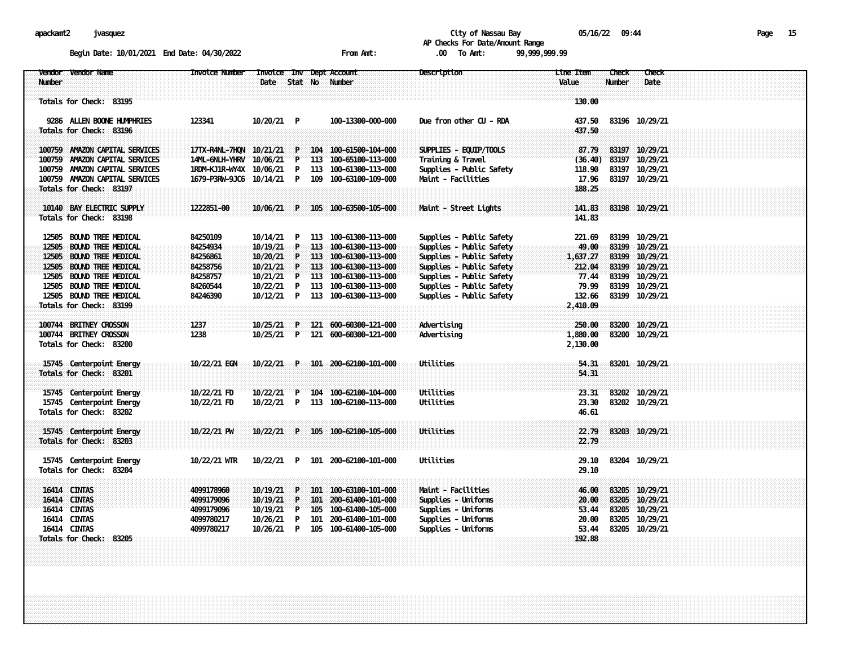**apackamt2 jvasquez City of Nassau Bay 05/16/22 09:44 Page 15 AP Checks For Date/Amount Range**

|               | <del>Vendor Vendor Name</del>                       | <b>INVOLCE NUMBER</b>     |              |              | <b>Invoice Inv Dept Account</b>  | <b>Description</b>       | <b>Eure Item</b> | <b>UTECK</b>  | <b>uneck</b>   |  |
|---------------|-----------------------------------------------------|---------------------------|--------------|--------------|----------------------------------|--------------------------|------------------|---------------|----------------|--|
| <b>Number</b> |                                                     |                           |              |              | Date Stat No Number              |                          | <b>Value</b>     | <b>Number</b> | Date           |  |
|               |                                                     |                           |              |              |                                  |                          |                  |               |                |  |
|               | Totals for Check: 83195                             |                           |              |              |                                  |                          | 130.00           |               |                |  |
|               | 9286 ALLEN BOONE HUMPHRIES                          | 123341                    | $10/20/21$ P |              | 100-13300-000-000                | Due from other CU - RDA  | 437.50           |               | 83196 10/29/21 |  |
|               | Totals for Check: 83196                             |                           |              |              |                                  |                          | 437.50           |               |                |  |
|               |                                                     |                           |              |              |                                  |                          |                  |               |                |  |
|               | 100759 AMAZON CAPITAL SERVICES                      | 17TX-R4NL-7HQN 10/21/21   |              | ा?           | 104 100-61500-104-000            | SUPPLIES - EQUIP/TOOLS   | 87.79            |               | 83197 10/29/21 |  |
|               | 100759 AMAZON CAPITAL SERVICES                      | 14ML-6NLH-YHRV 10/06/21   |              | ™P′          | 113 100-65100-113-000            | Training & Travel        | (36.40)          |               | 83197 10/29/21 |  |
|               | 100759 AMAZON CAPITAL SERVICES                      | 1RDM-KJ1R-WY4X 10/06/21   |              | $\mathsf{P}$ | 113 100-61300-113-000            | Supplies - Public Safety | 118.90           |               | 83197 10/29/21 |  |
|               | 100759 AMAZON CAPITAL SERVICES                      | 1679-P3RW-9JC6 10/14/21 P |              |              | 109 100-63100-109-000            | Maint - Facilities       | 17.96            |               | 83197 10/29/21 |  |
|               | Totals for Check: 83197                             |                           |              |              |                                  |                          | 188.25           |               |                |  |
|               |                                                     |                           |              |              |                                  |                          |                  |               |                |  |
|               | 10140 BAY ELECTRIC SUPPLY                           | 1222851-00                | 10/06/21 P   |              | 105 100-63500-105-000            | Maint - Street Lights    | 141.83           |               | 83198 10/29/21 |  |
|               | Totals for Check: 83198                             |                           |              |              |                                  |                          | 141.83           |               |                |  |
|               |                                                     |                           |              |              |                                  |                          |                  |               |                |  |
|               | 12505 BOUND TREE MEDICAL                            | 84250109                  | $10/14/21$ P |              | 113 100-61300-113-000            | Supplies - Public Safety | 221.69           |               | 83199 10/29/21 |  |
|               | 12505 BOUND TREE MEDICAL                            | 84254934                  | 10/19/21     | ∵ P          | 113 100-61300-113-000            | Supplies - Public Safety | 49.00            |               | 83199 10/29/21 |  |
|               | 12505 BOUND TREE MEDICAL                            | 84256861                  | $10/20/21$ P |              | 113 100-61300-113-000            | Supplies - Public Safety | 1,637.27         |               | 83199 10/29/21 |  |
|               | 12505 BOUND TREE MEDICAL                            | 84258756                  | $10/21/21$ P |              | 113 100-61300-113-000            | Supplies - Public Safety | 212.04           |               | 83199 10/29/21 |  |
|               | 12505 BOUND TREE MEDICAL                            | 84258757                  | 10/21/21     | ™ P          | 113 100-61300-113-000            | Supplies - Public Safety | 77.44            |               | 83199 10/29/21 |  |
|               | 12505 BOUND TREE MEDICAL                            | 84260544                  | 10/22/21     | $\mathsf{P}$ | 113 100-61300-113-000            | Supplies - Public Safety | 79.99            |               | 83199 10/29/21 |  |
|               | 12505 BOUND TREE MEDICAL                            | 84246390                  | $10/12/21$ P |              | 113 100-61300-113-000            | Supplies - Public Safety | 132.66           |               | 83199 10/29/21 |  |
|               | Totals for Check: 83199                             |                           |              |              |                                  |                          | 2,410.09         |               |                |  |
|               |                                                     |                           |              |              |                                  |                          |                  |               |                |  |
|               | 100744 BRITNEY CROSSON                              | 1237                      | 10/25/21     | <b>P</b>     | 121 600-60300-121-000            | Advertisina              | 250.00           |               | 83200 10/29/21 |  |
|               | 100744 BRITNEY CROSSON                              | 1238                      | $10/25/21$ P |              | 121 600-60300-121-000            | Advertising              | 1,880.00         |               | 83200 10/29/21 |  |
|               | Totals for Check: 83200                             |                           |              |              |                                  |                          | 2,130.00         |               |                |  |
|               |                                                     |                           |              |              |                                  |                          |                  |               |                |  |
|               | 15745 Centerpoint Energy                            | 10/22/21 EGN              |              |              | 10/22/21 P 101 200-62100-101-000 | <b>Utilities</b>         | 54.31            |               | 83201 10/29/21 |  |
|               | Totals for Check: 83201                             |                           |              |              |                                  |                          | 54.31            |               |                |  |
|               |                                                     |                           |              |              |                                  |                          |                  |               |                |  |
|               | 15745 Centerpoint Energy                            | 10/22/21 FD               | $10/22/21$ P |              | 104 100-62100-104-000            | Utilities<br>Utilities   | 23.31            |               | 83202 10/29/21 |  |
|               | 15745 Centerpoint Energy<br>Totals for Check: 83202 | 10/22/21 FD               | $10/22/21$ P |              | 113 100-62100-113-000            |                          | 23.30<br>46.61   |               | 83202 10/29/21 |  |
|               |                                                     |                           |              |              |                                  |                          |                  |               |                |  |
|               | 15745 Centerpoint Energy                            | 10/22/21 PW               | $10/22/21$ P |              | 105 100-62100-105-000            | <b>Utilities</b>         | 22.79            |               | 83203 10/29/21 |  |
|               | Totals for Check: 83203                             |                           |              |              |                                  |                          | 22.79            |               |                |  |
|               |                                                     |                           |              |              |                                  |                          |                  |               |                |  |
|               | 15745 Centerpoint Energy                            | 10/22/21 WTR              | $10/22/21$ P |              | 101 200-62100-101-000            | Utilities                | 29.10            |               | 83204 10/29/21 |  |
|               | Totals for Check: 83204                             |                           |              |              |                                  |                          | 29.10            |               |                |  |
|               |                                                     |                           |              |              |                                  |                          |                  |               |                |  |
|               | 16414 CINTAS                                        | 4099178960                | 10/19/21     | $\mathbf{P}$ | 101 100-63100-101-000            | Maint - Facilities       | 46.00            |               | 83205 10/29/21 |  |
|               | 16414 CINTAS                                        | 4099179096                | 10/19/21     | ∴ P          | 101 200-61400-101-000            | Supplies - Uniforms      | 20.00            |               | 83205 10/29/21 |  |
|               | 16414 CINTAS                                        | 4099179096                | $10/19/21$ P |              | 105 100-61400-105-000            | Supplies - Uniforms      | 53.44            |               | 83205 10/29/21 |  |
|               | 16414 CINTAS                                        | 4099780217                | 10/26/21     | $\mathsf{P}$ | 101 200-61400-101-000            | Supplies - Uniforms      | 20.00            |               | 83205 10/29/21 |  |
|               | 16414 CINTAS                                        | 4099780217                | $10/26/21$ P |              | 105 100-61400-105-000            | Supplies - Uniforms      | 53.44            |               | 83205 10/29/21 |  |
|               | Totals for Check: 83205                             |                           |              |              |                                  |                          | 192.88           |               |                |  |
|               |                                                     |                           |              |              |                                  |                          |                  |               |                |  |
|               |                                                     |                           |              |              |                                  |                          |                  |               |                |  |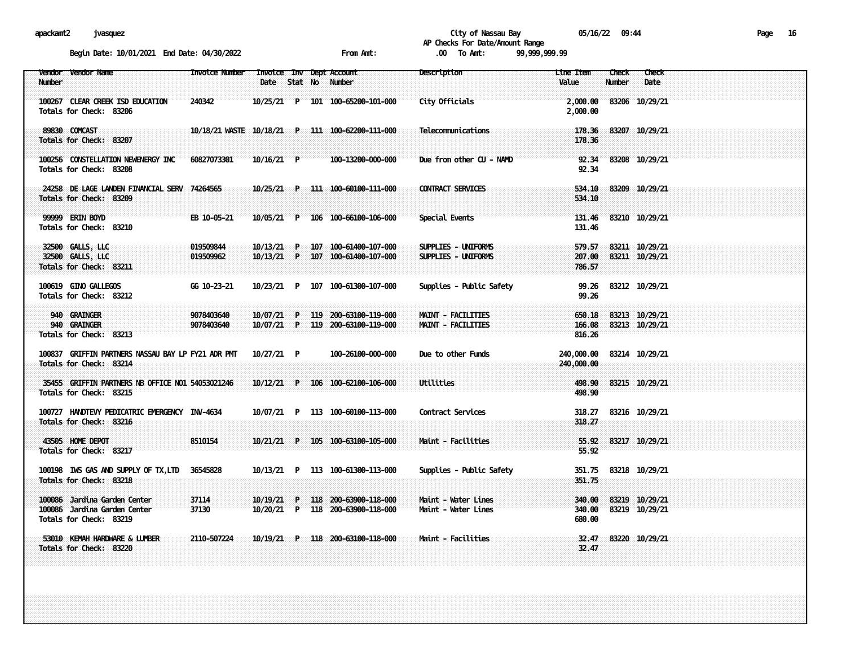**apackamt2 jvasquez City of Nassau Bay 05/16/22 09:44 Page 16 AP Checks For Date/Amount Range Begin Date: 10/01/2021 End Date: 04/30/2022 From Amt: .00 To Amt: 99,999,999.99**

| <del>Vendor Vendor Name</del>                                                 | Invoice Number Invoice Inv Dept Account |                     |  |                                                         | <b>Description</b>        | itine Titem              | <b>Tcheck</b> | <b>Check</b>            |  |
|-------------------------------------------------------------------------------|-----------------------------------------|---------------------|--|---------------------------------------------------------|---------------------------|--------------------------|---------------|-------------------------|--|
| <b>Number</b>                                                                 |                                         | Date Stat No Number |  |                                                         |                           | Value                    | <b>Number</b> | Date                    |  |
| 100267 CLEAR CREEK ISD EDUCATION<br>Totals for Check: 83206                   | 240342                                  |                     |  | 10/25/21 P 101 100-65200-101-000                        | City Officials            | 2,000.00                 |               | 2,000.00 83206 10/29/21 |  |
| 89830 COMCAST<br>Totals for Check: 83207                                      |                                         |                     |  | $10/18/21$ WASTE $10/18/21$ P $111$ $100-62200-111-000$ | Telecommunications        | 178.36<br>178.36         |               | 83207 10/29/21          |  |
| 100256 CONSTELLATION NEWENERGY INC<br>Totals for Check: 83208                 | 60827073301                             | $10/16/21$ P        |  | 100-13200-000-000                                       | Due from other CU - NAMD  | 92.34                    |               | 92.34 83208 10/29/21    |  |
| 24258 DE LAGE LANDEN FINANCIAL SERV 74264565<br>Totals for Check: 83209       |                                         |                     |  | $10/25/21$ P $111$ $100-60100-111-000$                  | <b>CONTRACT SERVICES</b>  | 534.10<br>534.10         |               | 83209 10/29/21          |  |
| 99999 ERIN BOYD<br>Totals for Check: 83210                                    | EB 10-05-21                             |                     |  | 10/05/21 P 106 100-66100-106-000                        | Special Events            | 131.46                   |               | 131.46 83210 10/29/21   |  |
| 32500 GALLS, LLC                                                              | 019509844                               |                     |  | 10/13/21 P 107 100-61400-107-000                        | SUPPLIES - UNIFORMS       | 579.57                   |               | 83211 10/29/21          |  |
| 32500 GALLS, LLC                                                              | 019509962                               |                     |  | 10/13/21 P 107 100-61400-107-000                        | SUPPLIES - UNIFORMS       | 207.00                   |               | 83211 10/29/21          |  |
| Totals for Check: 83211                                                       |                                         |                     |  |                                                         |                           | 786.57                   |               |                         |  |
| 100619 GINO GALLEGOS<br>Totals for Check: 83212                               | GG 10-23-21                             |                     |  | 10/23/21 P 107 100-61300-107-000                        | Supplies - Public Safety  | 99.26<br>99.26           |               | 83212 10/29/21          |  |
| 940 GRAINGER                                                                  | 9078403640                              |                     |  | 10/07/21 P 119 200-63100-119-000                        | <b>MAINT - FACILITIES</b> |                          |               | 83213 10/29/21          |  |
| 940 GRAINGER                                                                  | 9078403640                              |                     |  | 10/07/21 P 119 200-63100-119-000                        | <b>MAINT - FACILITIES</b> | 650.18<br>166.08         |               | 83213 10/29/21          |  |
| Totals for Check: 83213                                                       |                                         |                     |  |                                                         |                           | 816.26                   |               |                         |  |
| 100837 GRIFFIN PARTNERS NASSAU BAY LP FY21 ADR PMT<br>Totals for Check: 83214 |                                         | $10/27/21$ P        |  | 100-26100-000-000                                       | Due to other Funds        | 240,000.00<br>240,000.00 |               | 83214 10/29/21          |  |
| 35455 GRIFFIN PARTNERS NB OFFICE NO1 54053021246<br>Totals for Check: 83215   |                                         |                     |  | 10/12/21 P 106 100-62100-106-000                        | <b>Utilities</b>          | 498.90<br>498.90         |               | 83215 10/29/21          |  |
| 100727 HANDTEVY PEDICATRIC EMERGENCY INV-4634<br>Totals for Check: 83216      |                                         |                     |  | 10/07/21 P 113 100-60100-113-000                        | Contract Services         | 318.27<br>318.27         |               | 83216 10/29/21          |  |
| 43505 HOME DEPOT<br>Totals for Check: 83217                                   | 8510154                                 |                     |  | 10/21/21 P 105 100-63100-105-000                        | Maint - Facilities        | 55.92<br>55.92           |               | 83217 10/29/21          |  |
| 100198 INS GAS AND SUPPLY OF TX, LTD 36545828                                 |                                         |                     |  | 10/13/21 P 113 100-61300-113-000                        | Supplies - Public Safety  | 351.75                   |               | 83218 10/29/21          |  |
| Totals for Check: 83218                                                       |                                         |                     |  |                                                         |                           | 351.75                   |               |                         |  |
| 100086 Jardina Garden Center                                                  | 37114                                   |                     |  | 10/19/21 P 118 200-63900-118-000                        | Maint - Water Lines       | 340.00                   |               | 83219 10/29/21          |  |
| 100086 Jardina Garden Center                                                  | 37130                                   |                     |  | 10/20/21 P 118 200-63900-118-000                        | Maint - Water Lines       | 340.00                   |               | 83219 10/29/21          |  |
| Totals for Check: 83219                                                       |                                         |                     |  |                                                         |                           | 680.00                   |               |                         |  |
| 53010 KEMAH HARDWARE & LUMBER<br>Totals for Check: 83220                      | 2110-507224                             |                     |  | 10/19/21 P 118 200-63100-118-000                        | Maint - Facilities        | 32.47<br>32.47           |               | 83220 10/29/21          |  |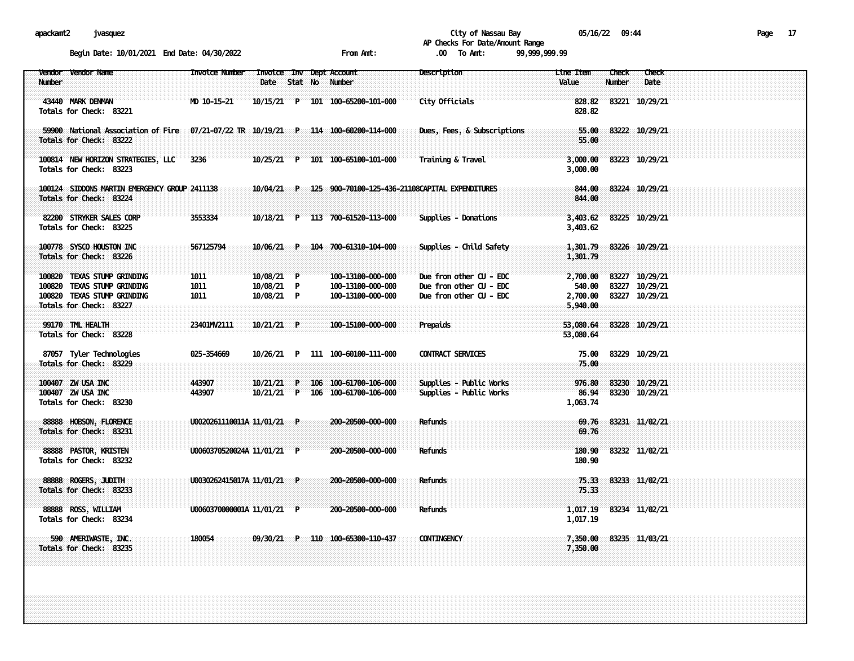Begin Date: 10/01/2021 End Date: 04/30/2022 <br>From Amt:

**apackamt2 jvasquez City of Nassau Bay 05/16/22 09:44 Page 17 AP Checks For Date/Amount Range**

| <del>Vendor Vendor Name</del>                                                                                  | Invoice Number Invoice Inv Dept Account |                                              |  |                                                             | <b>Description</b>                                                            | ttne Item                      | <del>- Check</del> | <b>Check</b>                                       |  |
|----------------------------------------------------------------------------------------------------------------|-----------------------------------------|----------------------------------------------|--|-------------------------------------------------------------|-------------------------------------------------------------------------------|--------------------------------|--------------------|----------------------------------------------------|--|
| <b>Number</b>                                                                                                  |                                         | Date Stat No Number                          |  |                                                             |                                                                               | <b>Value</b>                   | <b>Number</b>      | Date                                               |  |
| 43440 MARK DENMAN<br>Totals for Check: 83221                                                                   | MD 10-15-21                             |                                              |  | 10/15/21 P 101 100-65200-101-000                            | City Officials                                                                | 828.82<br>828.82               |                    | 83221 10/29/21                                     |  |
| .59900 National Association of Fire 07/21-07/22 TR 10/19/21 P 114 100-60200-114-000<br>Totals for Check: 83222 |                                         |                                              |  |                                                             | Dues, Fees, & Subscriptions                                                   | 55.00<br>55.00                 |                    | 83222 10/29/21                                     |  |
| 100814 NEW HORIZON STRATEGIES, LLC<br>Totals for Check: 83223                                                  | 3236                                    |                                              |  | 10/25/21 P 101 100-65100-101-000                            | Training & Travel                                                             | 3,000.00<br>3,000.00           |                    | 83223 10/29/21                                     |  |
| 100124 SIDDONS MARTIN EMERGENCY GROUP 2411138<br>Totals for Check: 83224                                       |                                         |                                              |  | 10/04/21 P 125 900-70100-125-436-21108CAPITAL EXPENDITURES  |                                                                               | 844.00<br>844.00               |                    | 83224 10/29/21                                     |  |
| 82200 STRYKER SALES CORP<br>Totals for Check: 83225                                                            | 3553334                                 |                                              |  | 10/18/21 P 113 700-61520-113-000                            | Supplies - Donations                                                          | 3,403.62<br>3,403.62           |                    | 83225 10/29/21                                     |  |
| 100778 SYSCO HOUSTON INC<br>Totals for Check: 83226                                                            | 567125794                               |                                              |  | 10/06/21 P 104 700-61310-104-000                            | Supplies - Child Safety                                                       | 1,301.79<br>1,301.79           |                    | 83226 10/29/21                                     |  |
| 100820 TEXAS STUMP GRINDING<br>100820 TEXAS STUMP GRINDING<br>100820 TEXAS STUMP GRINDING                      | 1011<br>1011<br>1011                    | $10/08/21$ P<br>$10/08/21$ P<br>$10/08/21$ P |  | 100-13100-000-000<br>100-13100-000-000<br>100-13100-000-000 | Due from other CU - EDC<br>Due from other CU - EDC<br>Due from other CU - EDC | 2,700.00<br>540.00<br>2,700.00 |                    | 83227 10/29/21<br>83227 10/29/21<br>83227 10/29/21 |  |
| Totals for Check: 83227                                                                                        |                                         |                                              |  |                                                             |                                                                               | 5,940.00                       |                    |                                                    |  |
| 99170 TML HEALTH<br>Totals for Check: 83228                                                                    | 23401M2111                              | $10/21/21$ P                                 |  | 100-15100-000-000                                           | Prepaids                                                                      | 53,080.64<br>53,080.64         |                    | 83228 10/29/21                                     |  |
| 87057 Tyler Technologies<br>Totals for Check: 83229                                                            | 025-354669                              |                                              |  | 10/26/21 P 111 100-60100-111-000                            | <b>CONTRACT SERVICES</b>                                                      | 75.00<br>75.00                 |                    | 83229 10/29/21                                     |  |
| 100407 ZW USA INC<br>100407 ZW USA INC<br>Totals for Check: 83230                                              | 443907<br>443907                        | $10/21/21$ P                                 |  | 106 100-61700-106-000<br>10/21/21 P 106 100-61700-106-000   | Supplies - Public Works<br>Supplies - Public Works                            | 976.80<br>86.94<br>1,063.74    |                    | 83230 10/29/21<br>83230 10/29/21                   |  |
| 88888 HOBSON, FLORENCE<br>Totals for Check: 83231                                                              | U0020261110011A 11/01/21 P              |                                              |  | 200-20500-000-000                                           | <b>Refunds</b>                                                                | 69.76<br>69.76                 |                    | 83231 11/02/21                                     |  |
| 88888 PASTOR, KRISTEN<br>Totals for Check: 83232                                                               | U0060370520024A 11/01/21 P              |                                              |  | 200-20500-000-000                                           | <b>Refunds</b>                                                                | 180.90<br>180.90               |                    | 83232 11/02/21                                     |  |
| 88888 ROGERS, JUDITH<br>Totals for Check: 83233                                                                | U0030262415017A 11/01/21 P              |                                              |  | 200-20500-000-000                                           | <b>Refunds</b>                                                                | 75.33<br>75.33                 |                    | 83233 11/02/21                                     |  |
| 88888 ROSS, WILLIAM<br>Totals for Check: 83234                                                                 | U0060370000001A 11/01/21 P              |                                              |  | 200-20500-000-000                                           | <b>Refunds</b>                                                                | 1,017.19<br>1,017.19           |                    | 83234 11/02/21                                     |  |
| 590 AMERIWASTE, INC.<br>Totals for Check: 83235                                                                | 180054                                  |                                              |  | 09/30/21 P 110 100-65300-110-437                            | <b>CONTINGENCY</b>                                                            | 7,350.00<br>7,350.00           |                    | 83235 11/03/21                                     |  |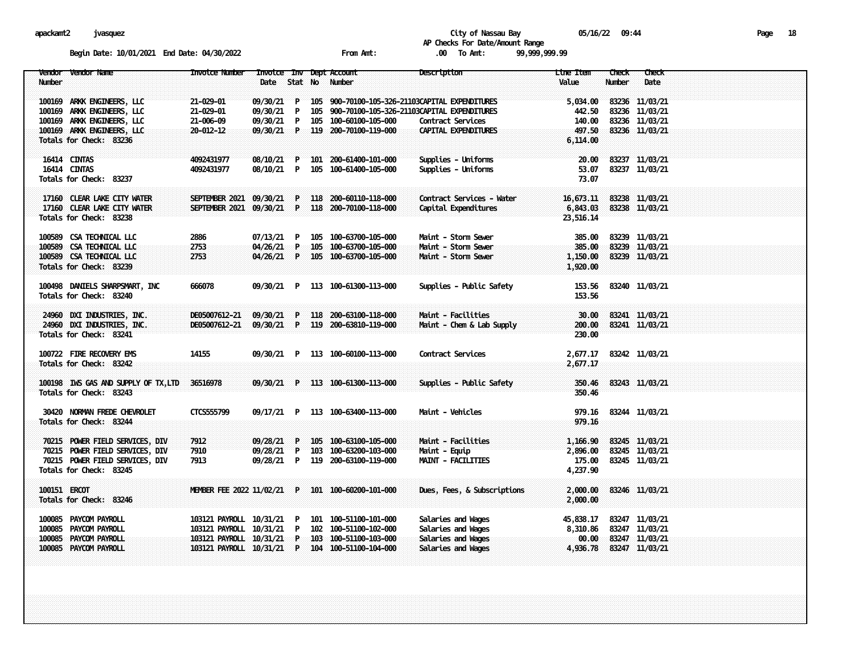**AP Checks For Date/Amount Range**

| apackamt2 | jvasquez                                    |           | City of Nassau Bay                  | 05/16/22 | 09:44 | 18<br>Page |
|-----------|---------------------------------------------|-----------|-------------------------------------|----------|-------|------------|
|           |                                             |           | AP Checks For Date/Amount Range     |          |       |            |
|           | Begin Date: 10/01/2021 End Date: 04/30/2022 | From Amt: | 99,999,999.99<br>$.00\,$<br>To Amt. |          |       |            |

| Vendor Vendor Name                   | Invoice Number Invoice Inv Dept Account |              |          |                                                  | <b>Description</b>                              | istne Titem | <b>Check</b>  | Check          |  |  |
|--------------------------------------|-----------------------------------------|--------------|----------|--------------------------------------------------|-------------------------------------------------|-------------|---------------|----------------|--|--|
| <b>Number</b>                        |                                         |              |          | Date Stat No Number                              |                                                 | Value       | <b>Number</b> | Date           |  |  |
| 100169 ARKK ENGINEERS, LLC           | 21-029-01                               | 09/30/21     | ∾~ P     |                                                  | 105 900-70100-105-326-21103CAPITAL EXPENDITURES | 5,034.00    |               | 83236 11/03/21 |  |  |
| 100169 ARKK ENGINEERS, LLC           | 21-029-01                               | 09/30/21     | - P      | 105 900-70100-105-326-21103CAPITAL EXPENDITURES  |                                                 | 442.50      |               | 83236 11/03/21 |  |  |
| 100169 ARKK ENGINEERS, LLC           | 21-006-09                               | 09/30/21 P   |          | 105 100-60100-105-000                            | Contract Services                               | 140.00      |               | 83236 11/03/21 |  |  |
| 100169 ARKK ENGINEERS, LLC           | $20 - 012 - 12$                         |              |          | 09/30/21 P 119 200-70100-119-000                 | <b>CAPITAL EXPENDITURES</b>                     | 497.50      |               | 83236 11/03/21 |  |  |
| Totals for Check: 83236              |                                         |              |          |                                                  |                                                 | 6,114.00    |               |                |  |  |
|                                      |                                         |              |          |                                                  |                                                 |             |               |                |  |  |
| 16414 CINTAS                         | 4092431977                              | $08/10/21$ P |          | 101 200-61400-101-000                            | Supplies - Uniforms                             | 20.00       |               | 83237 11/03/21 |  |  |
| 16414 CINTAS                         | 4092431977                              | 08/10/21 P   |          | 105 100-61400-105-000                            | Supplies - Uniforms                             | 53.07       |               | 83237 11/03/21 |  |  |
| Totals for Check: 83237              |                                         |              |          |                                                  |                                                 | 73.07       |               |                |  |  |
| 17160 CLEAR LAKE CITY WATER          | SEPTEMBER 2021 09/30/21 P               |              |          | 118 200-60110-118-000                            | Contract Services - Water                       | 16,673.11   |               | 83238 11/03/21 |  |  |
| 17160 CLEAR LAKE CITY WATER          |                                         |              |          | SEPTEMBER 2021 09/30/21 P 118 200-70100-118-000  | Capital Expenditures                            | 6,843.03    |               | 83238 11/03/21 |  |  |
|                                      |                                         |              |          |                                                  |                                                 |             |               |                |  |  |
| Totals for Check: 83238              |                                         |              |          |                                                  |                                                 | 23,516.14   |               |                |  |  |
| 100589 CSA TECHNICAL LLC             | 2886                                    | $07/13/21$ P |          | 105 100-63700-105-000                            | Maint - Storm Sewer                             | 385.00      |               | 83239 11/03/21 |  |  |
| 100589 CSA TECHNICAL LLC             | 2753                                    | 04/26/21     | ∷ P∶     | 105 100-63700-105-000                            | Maint - Storm Sewer                             | 385.00      |               | 83239 11/03/21 |  |  |
| 100589 CSA TECHNICAL LLC             | 2753                                    |              |          | 04/26/21 P 105 100-63700-105-000                 | Maint - Storm Sewer                             | 1,150.00    |               | 83239 11/03/21 |  |  |
| Totals for Check: 83239              |                                         |              |          |                                                  |                                                 | 1,920.00    |               |                |  |  |
| 100498 DANIELS SHARPSMART, INC       | 666078                                  | 09/30/21 P   |          | 113 100-61300-113-000                            | Supplies - Public Safety                        | 153.56      |               | 83240 11/03/21 |  |  |
| Totals for Check: 83240              |                                         |              |          |                                                  |                                                 | 153.56      |               |                |  |  |
|                                      |                                         |              |          |                                                  |                                                 |             |               |                |  |  |
| 24960 DXI INDUSTRIES, INC.           | DE05007612-21                           | 09/30/21     | ∵P       | 118 200-63100-118-000                            | Maint - Facilities                              | 30.00       |               | 83241 11/03/21 |  |  |
| 24960 DXI INDUSTRIES, INC.           | DE05007612-21                           | $09/30/21$ P |          | 119 200-63810-119-000                            | Maint - Chem & Lab Supply                       | 200.00      |               | 83241 11/03/21 |  |  |
| Totals for Check: 83241              |                                         |              |          |                                                  |                                                 | 230.00      |               |                |  |  |
|                                      |                                         |              |          |                                                  |                                                 |             |               |                |  |  |
| 100722 FIRE RECOVERY EMS             | 14155                                   | 09/30/21     | <b>P</b> | 113 100-60100-113-000                            | Contract Services                               | 2,677.17    |               | 83242 11/03/21 |  |  |
| Totals for Check: 83242              |                                         |              |          |                                                  |                                                 | 2,677.17    |               |                |  |  |
| 100198 IWS GAS AND SUPPLY OF TX, LTD | 36516978                                | 09/30/21 P   |          | 113 100-61300-113-000                            | Supplies - Public Safety                        | 350.46      |               | 83243 11/03/21 |  |  |
| Totals for Check: 83243              |                                         |              |          |                                                  |                                                 | 350.46      |               |                |  |  |
|                                      |                                         |              |          |                                                  |                                                 |             |               |                |  |  |
| 30420 NORMAN FREDE CHEVROLET         | CTCS555799                              | 09/17/21 P   |          | 113 100-63400-113-000                            | Maint - Vehicles                                | 979.16      |               | 83244 11/03/21 |  |  |
| Totals for Check: 83244              |                                         |              |          |                                                  |                                                 | 979.16      |               |                |  |  |
|                                      |                                         |              |          |                                                  |                                                 |             |               |                |  |  |
| 70215 POWER FIELD SERVICES, DIV      | 7912                                    | 09/28/21 P   |          | 105 100-63100-105-000                            | Maint - Facilities                              | 1,166.90    |               | 83245 11/03/21 |  |  |
| 70215 POWER FIELD SERVICES, DIV      | 7910                                    | $09/28/21$ P |          | 103 100-63200-103-000                            | Maint - Equip                                   | 2,896.00    |               | 83245 11/03/21 |  |  |
| 70215 POWER FIELD SERVICES, DIV      | 7913                                    | 09/28/21 P   |          | 119 200-63100-119-000                            | <b>MAINT - FACILITIES</b>                       | 175.00      |               | 83245 11/03/21 |  |  |
| Totals for Check: 83245              |                                         |              |          |                                                  |                                                 | 4,237.90    |               |                |  |  |
|                                      |                                         |              |          |                                                  |                                                 |             |               |                |  |  |
| 100151 ERCOT                         |                                         |              |          | MEMBER FEE 2022 11/02/21 P 101 100-60200-101-000 | Dues, Fees, & Subscriptions                     | 2,000.00    |               | 83246 11/03/21 |  |  |
| Totals for Check: 83246              |                                         |              |          |                                                  |                                                 | 2,000.00    |               |                |  |  |
| 100085 PAYCOM PAYROLL                | 103121 PAYROLL 10/31/21 P               |              |          | 101 100-51100-101-000                            | Salaries and Wages                              | 45,838.17   |               | 83247 11/03/21 |  |  |
| 100085 PAYCOM PAYROLL                | 103121 PAYROLL 10/31/21 P               |              |          | 102 100-51100-102-000                            | Salaries and Wages                              | 8,310.86    |               | 83247 11/03/21 |  |  |
| 100085<br><b>PAYCOM PAYROLL</b>      | 103121 PAYROLL 10/31/21 P               |              |          | 103 100-51100-103-000                            | Salaries and Wages                              | 00.00       |               | 83247 11/03/21 |  |  |
| 100085 PAYCOM PAYROLL                |                                         |              |          | 103121 PAYROLL 10/31/21 P 104 100-51100-104-000  | Salaries and Wages                              | 4,936.78    |               | 83247 11/03/21 |  |  |
|                                      |                                         |              |          |                                                  |                                                 |             |               |                |  |  |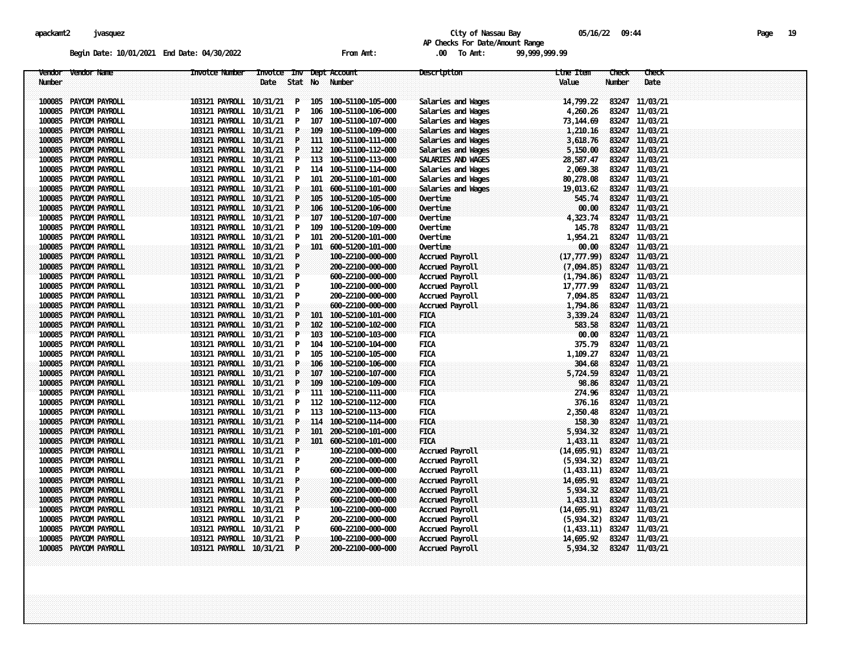**apackamt2 jvasquez City of Nassau Bay 05/16/22 09:44 Page 19 AP Checks For Date/Amount Range**

|               | <del>Vendor Vendor Name</del> | Involce Number          | <b>LINVOLCE LINY DEPT ACCOUNT</b> |                       | Description            | <b>Etne Item</b> | Check         | Check          |  |  |
|---------------|-------------------------------|-------------------------|-----------------------------------|-----------------------|------------------------|------------------|---------------|----------------|--|--|
| <b>Number</b> |                               |                         | Stat No<br>Date                   | <b>Number</b>         |                        | Value            | <b>Number</b> | Date           |  |  |
|               |                               |                         |                                   |                       |                        |                  |               |                |  |  |
| 100085        | PAYCOM PAYROLL                | 103121 PAYROLL 10/31/21 | P<br>105                          | 100-51100-105-000     | Salaries and Wages     | 14,799.22        | 83247         | 11/03/21       |  |  |
| 100085        | PAYCOM PAYROLL                | 103121 PAYROLL          | 10/31/21<br>106<br>P              | 100-51100-106-000     | Salaries and Wages     | 4,260.26         | 83247         | 11/03/21       |  |  |
| 100085        | PAYCOM PAYROLL                | 103121 PAYROLL 10/31/21 | P<br>107                          | 100-51100-107-000     | Salaries and Wages     | 73,144.69        | 83247         | 11/03/21       |  |  |
| 100085        | PAYCOM PAYROLL                | 103121 PAYROLL 10/31/21 | 109<br>P.                         | 100-51100-109-000     | Salaries and Wages     | 1,210.16         | 83247         | 11/03/21       |  |  |
| 100085        | <b>PAYCOM PAYROLL</b>         | 103121 PAYROLL 10/31/21 | 111<br>P                          | 100-51100-111-000     | Salaries and Wages     | 3,618.76         | 83247         | 11/03/21       |  |  |
| 100085        | PAYCOM PAYROLL                | <b>103121 PAYROLL</b>   | 10/31/21<br>112<br>P              | 100-51100-112-000     | Salaries and Wages     | 5,150.00         | 83247         | 11/03/21       |  |  |
| 100085        | PAYCOM PAYROLL                | <b>103121 PAYROLL</b>   | 10/31/21<br>113<br>P              | 100-51100-113-000     | SALARIES AND WAGES     | 28,587.47        | 83247         | 11/03/21       |  |  |
| 100085        | PAYCOM PAYROLL                | 103121 PAYROLL          | 10/31/21<br>P<br>114              | 100-51100-114-000     | Salaries and Wages     | 2,069.38         | 83247         | 11/03/21       |  |  |
| 100085        | PAYCOM PAYROLL                | 103121 PAYROLL 10/31/21 | 101<br>P                          | 200-51100-101-000     | Salaries and Wages     | 80,278.08        | 83247         | 11/03/21       |  |  |
| 100085        | PAYCOM PAYROLL                | 103121 PAYROLL 10/31/21 | -P<br>101                         | 600-51100-101-000     | Salaries and Wages     | 19,013.62        | 83247         | 11/03/21       |  |  |
| 100085        | PAYCOM PAYROLL                | 103121 PAYROLL 10/31/21 | 105<br>P                          | 100-51200-105-000     | Overtime               | 545.74           | 83247         | 11/03/21       |  |  |
| 100085        | PAYCOM PAYROLL                | 103121 PAYROLL 10/31/21 | P<br>106                          | 100-51200-106-000     | Overtime               | 00.00            | 83247         | 11/03/21       |  |  |
| 100085        | PAYCOM PAYROLL                | 103121 PAYROLL 10/31/21 | 107<br>P                          | 100-51200-107-000     | Overtime               | 4,323.74         | 83247         | 11/03/21       |  |  |
| 100085        | Paycom Payroll                | 103121 PAYROLL          | 10/31/21<br>P<br>109              | 100-51200-109-000     | Overtime               | 145.78           | 83247         | 11/03/21       |  |  |
| 100085        | PAYCOM PAYROLL                | 103121 PAYROLL 10/31/21 | P<br>101                          | 200-51200-101-000     | Overtime               | 1,954.21         | 83247         | 11/03/21       |  |  |
| 100085        | PAYCOM PAYROLL                | 103121 PAYROLL 10/31/21 | ۰P                                | 101 600-51200-101-000 | Overtime               | 00.00            | 83247         | 11/03/21       |  |  |
| 100085        | PAYCOM PAYROLL                | 103121 PAYROLL 10/31/21 | P                                 | 100-22100-000-000     | <b>Accrued Payroll</b> | (17, 777, 99)    | 83247         | 11/03/21       |  |  |
| 100085        | PAYCOM PAYROLL                | 103121 PAYROLL 10/31/21 | P                                 | 200-22100-000-000     | <b>Accrued Payroll</b> | (7,094.85)       | 83247         | 11/03/21       |  |  |
| 100085        | PAYCOM PAYROLL                | <b>103121 PAYROLL</b>   | 10/31/21<br>P                     | 600-22100-000-000     | <b>Accrued Payroll</b> | (1,794.86)       | 83247         | 11/03/21       |  |  |
| 100085        | PAYCOM PAYROLL                | 103121 PAYROLL          | 10/31/21<br>P                     | 100-22100-000-000     | <b>Accrued Payroll</b> | 17,777.99        | 83247         | 11/03/21       |  |  |
| 100085        | PAYCOM PAYROLL                | 103121 PAYROLL          | 10/31/21<br>P                     | 200-22100-000-000     | <b>Accrued Payroll</b> | 7,094.85         | 83247         | 11/03/21       |  |  |
| 100085        | PAYCOM PAYROLL                | 103121 PAYROLL 10/31/21 | P                                 | 600-22100-000-000     | <b>Accrued Payroll</b> | 1,794.86         | 83247         | 11/03/21       |  |  |
| 100085        | PAYCOM PAYROLL                | 103121 PAYROLL          | 10/31/21<br>Р<br>101              | 100-52100-101-000     | <b>FICA</b>            | 3,339.24         | 83247         | 11/03/21       |  |  |
| 100085        | PAYCOM PAYROLL                | 103121 PAYROLL 10/31/21 | 102<br>P                          | 100-52100-102-000     | <b>FICA</b>            | 583.58           | 83247         | 11/03/21       |  |  |
| 100085        | PAYCOM PAYROLL                | 103121 PAYROLL          | 10/31/21<br>P<br>103              | 100-52100-103-000     | <b>FICA</b>            | 00.00            | 83247         | 11/03/21       |  |  |
| 100085        | PAYCOM PAYROLL                | 103121 PAYROLL 10/31/21 | 104<br>P                          | 100-52100-104-000     | <b>FICA</b>            | 375.79           | 83247         | 11/03/21       |  |  |
| 100085        | PAYCOM PAYROLL                | 103121 PAYROLL          | 10/31/21<br>P<br>105              | 100-52100-105-000     | <b>FICA</b>            | 1,109.27         | 83247         | 11/03/21       |  |  |
| 100085        | PAYCOM PAYROLL                | 103121 PAYROLL 10/31/21 | 106                               | 100-52100-106-000     | <b>FICA</b>            | 304.68           | 83247         | 11/03/21       |  |  |
| 100085        | PAYCOM PAYROLL                | <b>103121 PAYROLL</b>   | 10/31/21<br>P.<br>107             | 100-52100-107-000     | <b>FICA</b>            | 5,724.59         | 83247         | 11/03/21       |  |  |
| 100085        | PAYCOM PAYROLL                | <b>103121 PAYROLL</b>   | 10/31/21<br>P<br>109              | 100-52100-109-000     | <b>FICA</b>            | 98.86            | 83247         | 11/03/21       |  |  |
| 100085        | PAYCOM PAYROLL                | <b>103121 PAYROLL</b>   | 10/31/21<br>P<br>111              | 100-52100-111-000     | <b>FICA</b>            | 274.96           | 83247         | 11/03/21       |  |  |
| 100085        | PAYCOM PAYROLL                | 103121 PAYROLL          | 10/31/21<br>112<br>P              | 100-52100-112-000     | <b>FICA</b>            | 376.16           | 83247         | 11/03/21       |  |  |
| 100085        | PAYCOM PAYROLL                | 103121 PAYROLL 10/31/21 | 113<br>P                          | 100-52100-113-000     | <b>FICA</b>            | 2,350.48         | 83247         | 11/03/21       |  |  |
| 100085        | PAYCOM PAYROLL                | 103121 PAYROLL          | 10/31/21<br>114                   | 100-52100-114-000     | <b>FICA</b>            | 158.30           | 83247         | 11/03/21       |  |  |
| 100085        | PAYCOM PAYROLL                | <b>103121 PAYROLL</b>   | 10/31/21<br>101<br>P              | 200-52100-101-000     | <b>FICA</b>            | 5,934.32         | 83247         | 11/03/21       |  |  |
| 100085        | PAYCOM PAYROLL                | <b>103121 PAYROLL</b>   | 10/31/21<br>P                     | 101 600-52100-101-000 | <b>FICA</b>            | 1,433.11         | 83247         | 11/03/21       |  |  |
| 100085        | PAYCOM PAYROLL                | <b>103121 PAYROLL</b>   | 10/31/21<br>P                     | 100-22100-000-000     | <b>Accrued Payroll</b> | (14, 695.91)     | 83247         | 11/03/21       |  |  |
| 100085        | PAYCOM PAYROLL                | 103121 PAYROLL          | 10/31/21<br>P                     | 200-22100-000-000     | <b>Accrued Payroll</b> | (5,934.32)       | 83247         | 11/03/21       |  |  |
| 100085        | PAYCOM PAYROLL                | 103121 PAYROLL 10/31/21 |                                   | 600-22100-000-000     | <b>Accrued Payroll</b> | (1,433.11)       | 83247         | 11/03/21       |  |  |
| 100085        | PAYCOM PAYROLL                | 103121 PAYROLL          | 10/31/21<br>P                     | 100-22100-000-000     | <b>Accrued Payroll</b> | 14,695.91        | 83247         | 11/03/21       |  |  |
| 100085        | PAYCOM PAYROLL                | 103121 PAYROLL 10/31/21 |                                   | 200-22100-000-000     | <b>Accrued Payroll</b> | 5,934.32         | 83247         | 11/03/21       |  |  |
| 100085        | <b>PAYCOM PAYROLL</b>         | <b>103121 PAYROLL</b>   | 10/31/21<br>P                     | 600-22100-000-000     | <b>Accrued Payroll</b> | 1,433.11         | 83247         | 11/03/21       |  |  |
| 100085        | PAYCOM PAYROLL                | 103121 PAYROLL 10/31/21 | P                                 | 100-22100-000-000     | <b>Accrued Payroll</b> | (14, 695.91)     | 83247         | 11/03/21       |  |  |
| 100085        | PAYCOM PAYROLL                | 103121 PAYROLL          | 10/31/21<br>P                     | 200-22100-000-000     | <b>Accrued Payroll</b> | (5,934.32)       | 83247         | 11/03/21       |  |  |
| 100085        | PAYCOM PAYROLL                | 103121 PAYROLL          | 10/31/21<br>P                     | 600-22100-000-000     | <b>Accrued Payroll</b> | (1,433.11)       | 83247         | 11/03/21       |  |  |
| 100085        | PAYCOM PAYROLL                | 103121 PAYROLL 10/31/21 | P                                 | 100-22100-000-000     | <b>Accrued Payroll</b> | 14,695.92        | 83247         | 11/03/21       |  |  |
| 100085        | <b>PAYCOM PAYROLL</b>         | 103121 PAYROLL 10/31/21 | P                                 | 200-22100-000-000     | <b>Accrued Payroll</b> | 5,934.32         |               | 83247 11/03/21 |  |  |
|               |                               |                         |                                   |                       |                        |                  |               |                |  |  |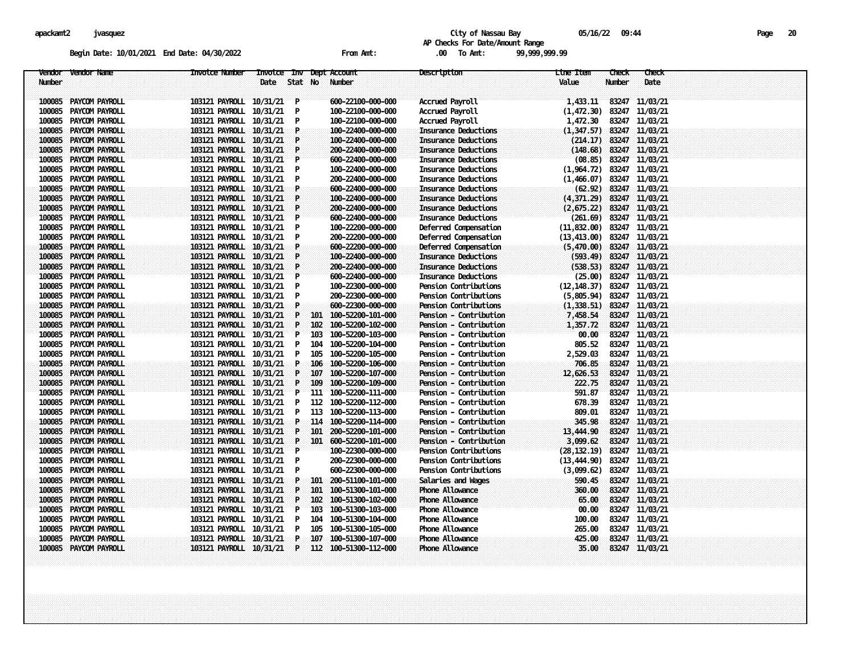## **apackamt2 jvasquez City of Nassau Bay 05/16/22 09:44 Page 20 AP Checks For Date/Amount Range**

|               | <del>Vendor Vendor Name</del> | Linvolce number         | <b>Invotce Inv Dept Account</b> |                       | Description                   | Etne Item                      | <b>UTECK</b>    | Check          |  |
|---------------|-------------------------------|-------------------------|---------------------------------|-----------------------|-------------------------------|--------------------------------|-----------------|----------------|--|
| <b>Number</b> |                               |                         | Stat No<br>Date                 | <b>Number</b>         |                               | Value                          | <b>Number</b>   | Date           |  |
| 100085        | PAYCOM PAYROLL                | <b>103121 PAYROLL</b>   | 10/31/21<br>™P                  | 600-22100-000-000     | <b>Accrued Payroll</b>        | 1,433.11                       | 83247           | 11/03/21       |  |
| 100085        | PAYCOM PAYROLL                | 103121 PAYROLL          | 10/31/21<br>P                   | 100-22100-000-000     | <b>Accrued Payroll</b>        | (1, 472.30)                    | 83247           | 11/03/21       |  |
| 100085        | PAYCOM PAYROLL                | 103121 PAYROLL          | 10/31/21<br>P                   | 100-22100-000-000     | <b>Accrued Payroll</b>        | 1,472.30                       | 83247           | 11/03/21       |  |
| 100085        | PAYCOM PAYROLL                | 103121 PAYROLL 10/31/21 |                                 | 100-22400-000-000     | Insurance Deductions          |                                |                 | 11/03/21       |  |
| 100085        | <b>PAYCOM PAYROLL</b>         | <b>103121 PAYROLL</b>   | 10/31/21<br>-P                  | 100-22400-000-000     | <b>Insurance Deductions</b>   | $(1,347.57)$ 83247<br>(214.17) | 83247           | 11/03/21       |  |
|               |                               |                         | P                               |                       |                               |                                |                 |                |  |
| 100085        | PAYCOM PAYROLL                | 103121 PAYROLL 10/31/21 | P                               | 200-22400-000-000     | <b>Insurance Deductions</b>   | (148.68)                       |                 | 83247 11/03/21 |  |
| 100085        | PAYCOM PAYROLL                | <b>103121 PAYROLL</b>   | 10/31/21<br>P                   | 600-22400-000-000     | <b>Insurance Deductions</b>   | (08.85)                        | 83247           | 11/03/21       |  |
| 100085        | Paycom Payroll                | 103121 PAYROLL          | 10/31/21                        | 100-22400-000-000     | Insurance Deductions          | (1,964.72)                     | 83247           | 11/03/21       |  |
| 100085        | PAYCOM PAYROLL                | 103121 PAYROLL          | 10/31/21<br>P                   | 200-22400-000-000     | <b>Insurance Deductions</b>   | (1,466.07)                     | 83247           | 11/03/21       |  |
| 100085        | PAYCOM PAYROLL                | 103121 PAYROLL 10/31/21 |                                 | 600-22400-000-000     | <b>Insurance Deductions</b>   |                                | $(62.92)$ 83247 | 11/03/21       |  |
| 100085        | PAYCOM PAYROLL                | <b>103121 PAYROLL</b>   | 10/31/21<br>P                   | 100-22400-000-000     | <b>Insurance Deductions</b>   | (4,371,29)                     | 83247           | 11/03/21       |  |
| 100085        | PAYCOM PAYROLL                | 103121 PAYROLL          | 10/31/21<br>P                   | 200-22400-000-000     | <b>Insurance Deductions</b>   | (2,675.22)                     | 83247           | 11/03/21       |  |
| 100085        | <b>PAYCOM PAYROLL</b>         | <b>103121 PAYROLL</b>   | 10/31/21<br>P                   | 600-22400-000-000     | <b>Insurance Deductions</b>   | (261.69)                       | 83247           | 11/03/21       |  |
| 100085        | PAYCOM PAYROLL                | <b>103121 PAYROLL</b>   | 10/31/21<br>P                   | 100-22200-000-000     | Deferred Compensation         | (11, 832.00)                   | 83247           | 11/03/21       |  |
| 100085        | Paycom Payroll                | 103121 PAYROLL 10/31/21 | P                               | 200-22200-000-000     | Deferred Compensation         | (13, 413.00)                   | 83247           | 11/03/21       |  |
| 100085        | PAYCOM PAYROLL                | 103121 PAYROLL 10/31/21 | P                               | 600-22200-000-000     | Deferred Compensation         | $(5,470.00)$ 83247             |                 | 11/03/21       |  |
| 100085        | PAYCOM PAYROLL                | 103121 PAYROLL 10/31/21 | P                               | 100-22400-000-000     | <b>Insurance Deductions</b>   | (593.49) 83247                 |                 | 11/03/21       |  |
| 100085        | PAYCOM PAYROLL                | 103121 PAYROLL          | 10/31/21<br>P                   | 200-22400-000-000     | <b>Insurance Deductions</b>   | (538.53)                       | 83247           | 11/03/21       |  |
| 100085        | <b>PAYCOM PAYROLL</b>         | 103121 PAYROLL 10/31/21 | P                               | 600-22400-000-000     | <b>Insurance Deductions</b>   | (25.00)                        | 83247           | 11/03/21       |  |
| 100085        | PAYCOM PAYROLL                | 103121 PAYROLL          | 10/31/21<br>P                   | 100-22300-000-000     | <b>Pension Contributions</b>  | (12, 148.37)                   | 83247           | 11/03/21       |  |
| 100085        | PAYCOM PAYROLL                | 103121 PAYROLL 10/31/21 | P                               | 200-22300-000-000     | <b>Pension Contributions</b>  | (5,805.94)                     | 83247           | 11/03/21       |  |
| 100085        | PAYCOM PAYROLL                | <b>103121 PAYROLL</b>   | 10/31/21<br>P                   | 600-22300-000-000     | <b>Pension Contributions</b>  | (1,338.51)                     | 83247           | 11/03/21       |  |
| 100085        | PAYCOM PAYROLL                | 103121 PAYROLL 10/31/21 |                                 | 101 100-52200-101-000 | <b>Pension - Contribution</b> | 7,458.54                       | 83247           | 11/03/21       |  |
| 100085        | PAYCOM PAYROLL                | <b>103121 PAYROLL</b>   | 10/31/21<br>P<br>102            | 100-52200-102-000     | <b>Pension - Contribution</b> | 1,357.72                       | 83247           | 11/03/21       |  |
| 100085        | PAYCOM PAYROLL                | <b>103121 PAYROLL</b>   | 10/31/21<br>`P<br>103           | 100-52200-103-000     | Pension - Contribution        | 00.00                          | 83247           | 11/03/21       |  |
| 100085        | PAYCOM PAYROLL                | <b>103121 PAYROLL</b>   | 10/31/21<br>P<br>104            | 100-52200-104-000     | Pension - Contribution        | 805.52                         | 83247           | 11/03/21       |  |
| 100085        | PAYCOM PAYROLL                | <b>103121 PAYROLL</b>   | 10/31/21<br>105<br>P            | 100-52200-105-000     | <b>Pension - Contribution</b> | 2,529.03                       | 83247           | 11/03/21       |  |
| 100085        | PAYCOM PAYROLL                | 103121 PAYROLL          | 10/31/21<br>٠P<br>106           | 100-52200-106-000     | <b>Pension - Contribution</b> | 706.85                         | 83247           | 11/03/21       |  |
| 100085        | PAYCOM PAYROLL                | <b>103121 PAYROLL</b>   | 107<br>10/31/21<br>P            | 100-52200-107-000     | Pension - Contribution        | 12,626.53                      | 83247           | 11/03/21       |  |
| 100085        | PAYCOM PAYROLL                | 103121 PAYROLL          | 10/31/21<br>109<br>P            | 100-52200-109-000     | <b>Pension - Contribution</b> | 222.75                         | 83247           | 11/03/21       |  |
| 100085        | PAYCOM PAYROLL                | 103121 PAYROLL 10/31/21 | P<br>111                        | 100-52200-111-000     | Pension - Contribution        | 591.87                         | 83247           | 11/03/21       |  |
| 100085        | Paycom Payroll                | 103121 PAYROLL          | 10/31/21<br>112<br>P            | 100-52200-112-000     | <b>Pension - Contribution</b> | 678.39                         | 83247           | 11/03/21       |  |
| 100085        | Paycom Payroll                | 103121 PAYROLL          | 10/31/21<br>P<br>113            | 100-52200-113-000     | <b>Pension - Contribution</b> | 809.01                         | 83247           | 11/03/21       |  |
| 100085        | PAYCOM PAYROLL                | 103121 PAYROLL 10/31/21 | 114<br><b>P</b>                 | 100-52200-114-000     | Pension - Contribution        | 345.98                         | 83247           | 11/03/21       |  |
| 100085        | PAYCOM PAYROLL                | <b>103121 PAYROLL</b>   | 10/31/21<br>P<br>101            | 200-52200-101-000     | Pension - Contribution        | 13,444.90                      | 83247           | 11/03/21       |  |
| 100085        | PAYCOM PAYROLL                | 103121 PAYROLL 10/31/21 | P<br>101                        | 600-52200-101-000     | Pension - Contribution        | 3,099.62                       | 83247           | 11/03/21       |  |
| 100085        | PAYCOM PAYROLL                | <b>103121 PAYROLL</b>   | 10/31/21<br>P                   | 100-22300-000-000     | <b>Pension Contributions</b>  | (28, 132, 19)                  | 83247           | 11/03/21       |  |
| 100085        | PAYCOM PAYROLL                | 103121 PAYROLL 10/31/21 | P                               | 200-22300-000-000     | <b>Pension Contributions</b>  | (13, 444.90)                   | 83247           | 11/03/21       |  |
| 100085        | PAYCOM PAYROLL                | <b>103121 PAYROLL</b>   | 10/31/21<br>P                   | 600-22300-000-000     | <b>Pension Contributions</b>  | (3,099.62)                     | 83247           | 11/03/21       |  |
| 100085        | PAYCOM PAYROLL                | 103121 PAYROLL 10/31/21 |                                 | 101 200-51100-101-000 | Salaries and Wages            | 590.45                         | 83247           | 11/03/21       |  |
| 100085        | PAYCOM PAYROLL                | <b>103121 PAYROLL</b>   | 10/31/21<br>P<br>101            | 100-51300-101-000     | <b>Phone Allowance</b>        | 360.00                         | 83247           | 11/03/21       |  |
| 100085        | PAYCOM PAYROLL                | 103121 PAYROLL 10/31/21 | 102<br>ு                        | 100-51300-102-000     | <b>Phone Allowance</b>        | 65.00                          | 83247           | 11/03/21       |  |
| 100085        | PAYCOM PAYROLL                | 103121 PAYROLL 10/31/21 | P<br>103                        | 100-51300-103-000     | <b>Phone Allowance</b>        | 00.00                          | 83247           | 11/03/21       |  |
| 100085        | PAYCOM PAYROLL                | <b>103121 PAYROLL</b>   | 10/31/21<br>104<br>P            | 100-51300-104-000     | <b>Phone Allowance</b>        | 100.00                         | 83247           | 11/03/21       |  |
| 100085        | PAYCOM PAYROLL                | 103121 PAYROLL          | 10/31/21<br>P<br>105            | 100-51300-105-000     | <b>Phone Allowance</b>        | 265.00                         | 83247           | 11/03/21       |  |
| 100085        | PAYCOM PAYROLL                | <b>103121 PAYROLL</b>   | 10/31/21<br>107<br>.P           | 100-51300-107-000     | <b>Phone Allowance</b>        | 425.00                         | 83247           | 11/03/21       |  |
| 100085        | PAYCOM PAYROLL                | 103121 PAYROLL 10/31/21 | 112<br>-P.                      | 100-51300-112-000     | <b>Phone Allowance</b>        | 35.00                          |                 | 83247 11/03/21 |  |
|               |                               |                         |                                 |                       |                               |                                |                 |                |  |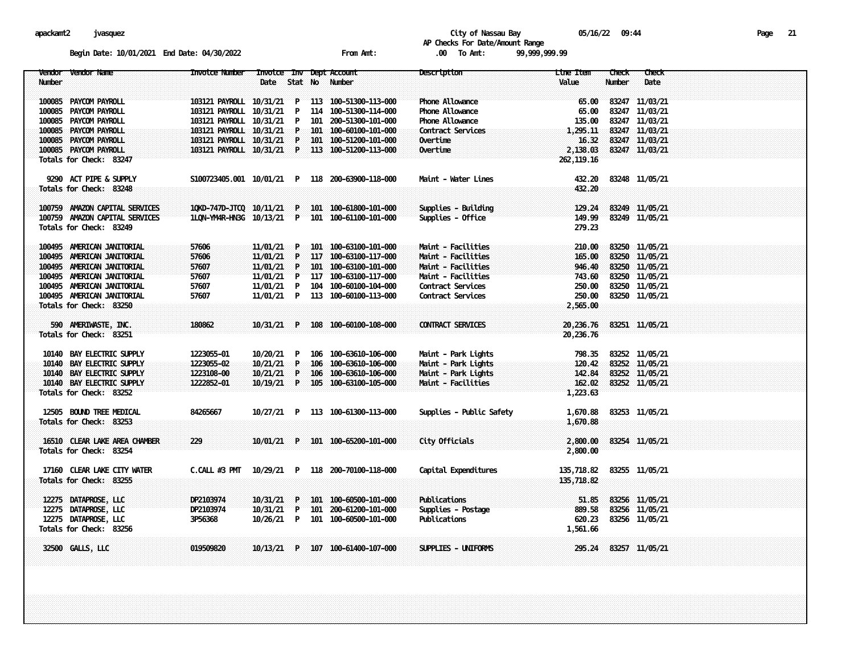**apackamt2 jvasquez City of Nassau Bay 05/16/22 09:44 Page 21 AP Checks For Date/Amount Range** Begin Date: 10/01/2021 End Date: 04/30/2022 From Amt: 99,999,999.99 (999.99)

|               | vendor vendor Name                               |                           |                            | Invoice Number Invoice Inv Dept Account                                                                    | <b>Description</b>                         | ttne Item               | <b>Check</b>  | <b>Check</b>                                |  |  |  |
|---------------|--------------------------------------------------|---------------------------|----------------------------|------------------------------------------------------------------------------------------------------------|--------------------------------------------|-------------------------|---------------|---------------------------------------------|--|--|--|
| <b>Number</b> |                                                  |                           |                            | Date Stat No Number                                                                                        |                                            | Value                   | <b>Number</b> | Date                                        |  |  |  |
|               | 100085 PAYCOM PAYROLL                            |                           |                            | 103121 PAYROLL 10/31/21 P 113 100-51300-113-000                                                            | <b>Phone Allowance</b>                     | 65.00                   |               | 83247 11/03/21                              |  |  |  |
|               |                                                  | 103121 PAYROLL 10/31/21 P |                            | 114 100-51300-114-000                                                                                      | <b>Phone Allowance</b>                     |                         |               | 83247 11/03/21                              |  |  |  |
|               | 100085 PAYCOM PAYROLL                            |                           |                            |                                                                                                            |                                            | 65.00                   |               |                                             |  |  |  |
|               | 100085 PAYCOM PAYROLL<br>100085 PAYCOM PAYROLL   |                           |                            | 103121 PAYROLL 10/31/21 P 101 200-51300-101-000<br>$103121$ PAYROLL $10/31/21$ P $101$ $100-60100-101-000$ | Phone Allowance                            | 135.00                  |               | 83247 11/03/21<br>$1,295.11$ 83247 11/03/21 |  |  |  |
|               |                                                  |                           |                            |                                                                                                            | Contract Services                          |                         |               |                                             |  |  |  |
|               | 100085 PAYCOM PAYROLL                            |                           |                            | 103121 PAYROLL 10/31/21 P 101 100-51200-101-000                                                            | Overtime                                   | 16.32                   |               | 83247 11/03/21                              |  |  |  |
|               | 100085 PAYCOM PAYROLL<br>Totals for Check: 83247 |                           |                            | 103121 PAYROLL 10/31/21 P 113 100-51200-113-000                                                            | Overtime                                   | 2,138.03<br>262, 119.16 |               | 83247 11/03/21                              |  |  |  |
|               |                                                  |                           |                            |                                                                                                            |                                            |                         |               |                                             |  |  |  |
|               | 9290 ACT PIPE & SUPPLY                           |                           |                            | S100723405.001 10/01/21 P 118 200-63900-118-000                                                            | Maint - Water Lines                        | 432.20                  |               | 83248 11/05/21                              |  |  |  |
|               | Totals for Check: 83248                          |                           |                            |                                                                                                            |                                            | 432.20                  |               |                                             |  |  |  |
|               |                                                  |                           |                            |                                                                                                            |                                            |                         |               |                                             |  |  |  |
|               | 100759 AMAZON CAPITAL SERVICES                   |                           |                            | 10KD-747D-JTCQ 10/11/21 P 101 100-61800-101-000                                                            | <b>Supplies - Building</b>                 | 129.24                  |               | 83249 11/05/21                              |  |  |  |
|               | 100759 AMAZON CAPITAL SERVICES                   |                           |                            | 1LQN-YM4R-HN3G 10/13/21 P 101 100-61100-101-000                                                            | Supplies - Office                          | 149.99                  |               | 83249 11/05/21                              |  |  |  |
|               | Totals for Check: 83249                          |                           |                            |                                                                                                            |                                            | 279.23                  |               |                                             |  |  |  |
|               | 100495 AMERICAN JANITORIAL                       | 57606                     | $11/01/21$ P               | $101$ 100-63100-101-000                                                                                    | Maint - Facilities                         | 210.00                  |               | 83250 11/05/21                              |  |  |  |
|               | 100495 AMERICAN JANITORIAL                       | 57606                     | $11/01/21$ P               | 117 100-63100-117-000                                                                                      | Maint - Facilities                         | 165.00                  |               | 83250 11/05/21                              |  |  |  |
|               | 100495 AMERICAN JANITORIAL                       | 57607                     | $11/01/21$ P               | $101$ 100-63100-101-000                                                                                    | Maint - Facilities                         | 946.40                  |               | 83250 11/05/21                              |  |  |  |
|               | 100495 AMERICAN JANITORIAL                       | 57607                     |                            | 11/01/21 P 117 100-63100-117-000                                                                           | Maint - Facilities                         | 743.60                  |               | 83250 11/05/21                              |  |  |  |
|               | 100495 AMERICAN JANITORIAL                       | 57607                     |                            | 11/01/21 P 104 100-60100-104-000                                                                           | Contract Services                          | 250.00                  |               | 83250 11/05/21                              |  |  |  |
|               | 100495 AMERICAN JANITORIAL                       | 57607                     |                            | 11/01/21 P 113 100-60100-113-000                                                                           | Contract Services                          | 250.00                  |               | 83250 11/05/21                              |  |  |  |
|               | Totals for Check: 83250                          |                           |                            |                                                                                                            |                                            | 2,565.00                |               |                                             |  |  |  |
|               |                                                  |                           |                            |                                                                                                            |                                            |                         |               |                                             |  |  |  |
|               | 590 AMERIWASTE, INC.                             | 180862                    |                            | 10/31/21 P 108 100-60100-108-000                                                                           | CONTRACT SERVICES                          | 20,236.76               |               | 83251 11/05/21                              |  |  |  |
|               | Totals for Check: 83251                          |                           |                            |                                                                                                            |                                            | 20,236.76               |               |                                             |  |  |  |
|               | 10140 BAY ELECTRIC SUPPLY                        | 1223055-01                |                            | 106 100-63610-106-000                                                                                      |                                            |                         |               | 83252 11/05/21                              |  |  |  |
|               | 10140 BAY ELECTRIC SUPPLY                        | 1223055-02                | 10/20/21 P<br>$10/21/21$ P | 106 100-63610-106-000                                                                                      | Maint - Park Lights                        | 798.35                  |               | 83252 11/05/21                              |  |  |  |
|               | 10140 BAY ELECTRIC SUPPLY                        | 1223108-00                | $10/21/21$ P               | 106 100-63610-106-000                                                                                      | Maint - Park Lights<br>Maint - Park Lights | 120.42<br>142.84        |               | 83252 11/05/21                              |  |  |  |
|               | 10140 BAY ELECTRIC SUPPLY                        | 1222852-01                |                            |                                                                                                            | <b>Maint - Facilities</b>                  | 162.02                  |               | 83252 11/05/21                              |  |  |  |
|               |                                                  |                           |                            | 10/19/21 P 105 100-63100-105-000                                                                           |                                            |                         |               |                                             |  |  |  |
|               | Totals for Check: 83252                          |                           |                            |                                                                                                            |                                            | 1,223.63                |               |                                             |  |  |  |
|               | 12505 BOUND TREE MEDICAL                         | 84265667                  |                            | 10/27/21 P 113 100-61300-113-000                                                                           | Supplies - Public Safety                   | 1,670.88                |               | 83253 11/05/21                              |  |  |  |
|               | Totals for Check: 83253                          |                           |                            |                                                                                                            |                                            | 1,670.88                |               |                                             |  |  |  |
|               |                                                  |                           |                            |                                                                                                            |                                            |                         |               |                                             |  |  |  |
|               | 16510 CLEAR LAKE AREA CHAMBER                    | 229                       |                            | 10/01/21 P 101 100-65200-101-000                                                                           | City Officials                             | 2,800.00                |               | 83254 11/05/21                              |  |  |  |
|               | Totals for Check: 83254                          |                           |                            |                                                                                                            |                                            | 2,800.00                |               |                                             |  |  |  |
|               | 17160 CLEAR LAKE CITY WATER                      |                           |                            | C.CALL #3 PMT 10/29/21 P 118 200-70100-118-000                                                             | Capital Expenditures                       | 135,718.82              |               | 83255 11/05/21                              |  |  |  |
|               | Totals for Check: 83255                          |                           |                            |                                                                                                            |                                            | 135,718.82              |               |                                             |  |  |  |
|               |                                                  |                           |                            |                                                                                                            |                                            |                         |               |                                             |  |  |  |
|               | 12275 DATAPROSE, LLC                             | DP2103974                 | $10/31/21$ P               | 101 100-60500-101-000                                                                                      | <b>Publications</b>                        | 51.85                   |               | 83256 11/05/21                              |  |  |  |
|               | 12275 DATAPROSE, LLC                             | DP2103974                 | $10/31/21$ P               | 101 200-61200-101-000                                                                                      | Supplies - Postage                         | 889.58                  |               | 83256 11/05/21                              |  |  |  |
|               | 12275 DATAPROSE, LLC                             | 3P56368                   | $10/26/21$ P               | 101 100-60500-101-000                                                                                      | Publications                               | 620.23                  |               | 83256 11/05/21                              |  |  |  |
|               | Totals for Check: 83256                          |                           |                            |                                                                                                            |                                            | 1,561.66                |               |                                             |  |  |  |
|               | 32500 GALLS, LLC                                 | 019509820                 |                            | 10/13/21 P 107 100-61400-107-000                                                                           | SUPPLIES - UNIFORMS                        |                         |               | 295.24 83257 11/05/21                       |  |  |  |
|               |                                                  |                           |                            |                                                                                                            |                                            |                         |               |                                             |  |  |  |
|               |                                                  |                           |                            |                                                                                                            |                                            |                         |               |                                             |  |  |  |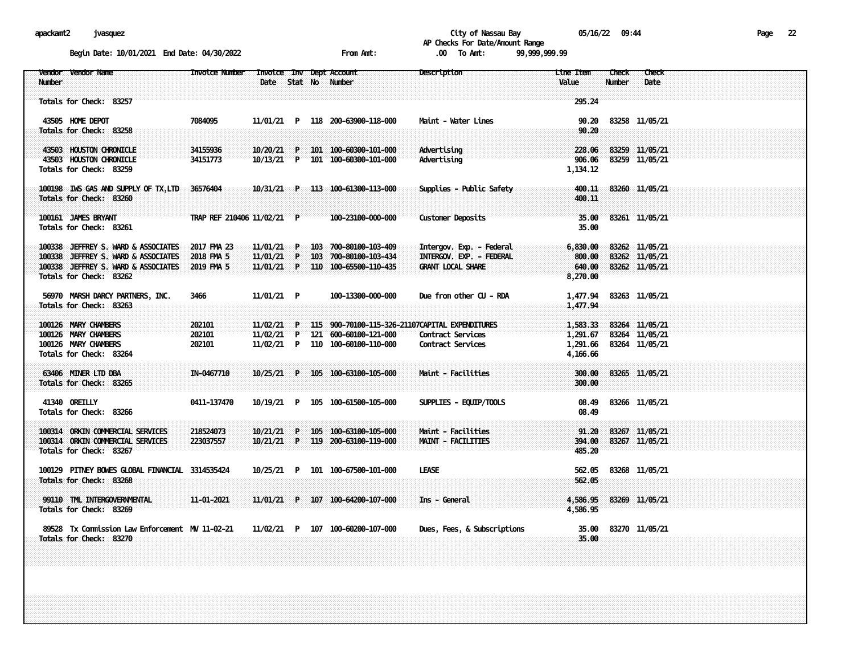**apackamt2 jvasquez City of Nassau Bay 05/16/22 09:44 Page 22 AP Checks For Date/Amount Range**

| <u> Vendor Vendor Name</u>                      | Invotce Number Invotce InvolPept Account |              |  |                                                 | <b>Description</b>          | tine Item | <b>Check</b>  | Check          |  |
|-------------------------------------------------|------------------------------------------|--------------|--|-------------------------------------------------|-----------------------------|-----------|---------------|----------------|--|
| <b>Number</b>                                   |                                          |              |  | Date Stat No Number                             |                             | Value     | <b>Number</b> | Date           |  |
|                                                 |                                          |              |  |                                                 |                             |           |               |                |  |
| Totals for Check: 83257                         |                                          |              |  |                                                 |                             | 295.24    |               |                |  |
|                                                 |                                          |              |  |                                                 |                             |           |               |                |  |
| 43505 HOME DEPOT                                | 7084095                                  |              |  | 11/01/21 P 118 200-63900-118-000                | Maint - Water Lines         | 90.20     |               | 83258 11/05/21 |  |
| Totals for Check: 83258                         |                                          |              |  |                                                 |                             | 90.20     |               |                |  |
|                                                 |                                          |              |  |                                                 |                             |           |               |                |  |
| 43503 HOUSTON CHRONICLE                         | 34155936                                 | $10/20/21$ P |  | 101 100-60300-101-000                           | Advertising                 | 228.06    |               | 83259 11/05/21 |  |
| 43503 HOUSTON CHRONICLE                         | 34151773                                 |              |  | 10/13/21  P  101  100-60300-101-000             | Advertising                 | 906.06    |               | 83259 11/05/21 |  |
|                                                 |                                          |              |  |                                                 |                             |           |               |                |  |
| Totals for Check: 83259                         |                                          |              |  |                                                 |                             | 1,134.12  |               |                |  |
|                                                 |                                          |              |  |                                                 |                             |           |               |                |  |
| 100198 IWS GAS AND SUPPLY OF TX, LTD            | 36576404                                 |              |  | $10/31/21$ P $113$ $100-61300-113-000$          | Supplies - Public Safety    | 400.11    |               | 83260 11/05/21 |  |
| Totals for Check: 83260                         |                                          |              |  |                                                 |                             | 400.11    |               |                |  |
|                                                 |                                          |              |  |                                                 |                             |           |               |                |  |
| 100161 JAMES BRYANT                             | TRAP REF 210406 11/02/21 P               |              |  | 100-23100-000-000                               | <b>Customer Deposits</b>    | 35.00     |               | 83261 11/05/21 |  |
| Totals for Check: 83261                         |                                          |              |  |                                                 |                             | 35.00     |               |                |  |
|                                                 |                                          |              |  |                                                 |                             |           |               |                |  |
| 100338 JEFFREY S. WARD & ASSOCIATES             | 2017 FMA 23                              | $11/01/21$ P |  | 103 700-80100-103-409                           | Intergov. Exp. - Federal    | 6,830.00  |               | 83262 11/05/21 |  |
| 100338 JEFFREY S. WARD & ASSOCIATES             | 2018 FMA 5                               |              |  | 11/01/21 P 103 700-80100-103-434                | INTERGOV. EXP. - FEDERAL    | 800.00    |               | 83262 11/05/21 |  |
| 100338 JEFFREY S. WARD & ASSOCIATES             | 2019 FMA 5                               |              |  | 11/01/21 P 110 100-65500-110-435                | <b>GRANT LOCAL SHARE</b>    | 640.00    |               | 83262 11/05/21 |  |
| Totals for Check: 83262                         |                                          |              |  |                                                 |                             | 8,270.00  |               |                |  |
|                                                 |                                          |              |  |                                                 |                             |           |               |                |  |
| 56970 MARSH DARCY PARTNERS, INC.                | 3466                                     | $11/01/21$ P |  | 100-13300-000-000                               | Due from other CU - RDA     | 1,477.94  |               | 83263 11/05/21 |  |
| Totals for Check: 83263                         |                                          |              |  |                                                 |                             |           |               |                |  |
|                                                 |                                          |              |  |                                                 |                             | 1,477.94  |               |                |  |
|                                                 |                                          |              |  |                                                 |                             |           |               |                |  |
| 100126 MARY CHAMBERS                            | 202101                                   | $11/02/21$ P |  | 115 900-70100-115-326-21107CAPITAL EXPENDITURES |                             | 1,583.33  |               | 83264 11/05/21 |  |
| 100126 MARY CHAMBERS                            | 202101                                   | $11/02/21$ P |  | 121 600-60100-121-000                           | Contract Services           | 1,291.67  |               | 83264 11/05/21 |  |
| 100126 MARY CHAMBERS                            | 202101                                   |              |  | 11/02/21 P 110 100-60100-110-000                | Contract Services           | 1,291.66  |               | 83264 11/05/21 |  |
| Totals for Check: 83264                         |                                          |              |  |                                                 |                             | 4,166.66  |               |                |  |
|                                                 |                                          |              |  |                                                 |                             |           |               |                |  |
| 63406 MINER LTD DBA                             | IN-0467710                               |              |  | 10/25/21 P 105 100-63100-105-000                | Maint - Facilities          | 300.00    |               | 83265 11/05/21 |  |
| Totals for Check: 83265                         |                                          |              |  |                                                 |                             | 300.00    |               |                |  |
|                                                 |                                          |              |  |                                                 |                             |           |               |                |  |
| 41340 OREILLY                                   | 0411-137470                              |              |  | 10/19/21 P 105 100-61500-105-000                | SUPPLIES - EQUIP/TOOLS      | 08.49     |               | 83266 11/05/21 |  |
| Totals for Check: 83266                         |                                          |              |  |                                                 |                             | 08.49     |               |                |  |
|                                                 |                                          |              |  |                                                 |                             |           |               |                |  |
| 100314 ORKIN COMMERCIAL SERVICES                | 218524073                                | $10/21/21$ P |  | 105 100-63100-105-000                           | Maint - Facilities          | 91.20     |               | 83267 11/05/21 |  |
| 100314 ORKIN COMMERCIAL SERVICES                | 223037557                                |              |  | 10/21/21 P 119 200-63100-119-000                | <b>MAINT - FACILITIES</b>   | 394.00    |               | 83267 11/05/21 |  |
| Totals for Check: 83267                         |                                          |              |  |                                                 |                             | 485.20    |               |                |  |
|                                                 |                                          |              |  |                                                 |                             |           |               |                |  |
| 100129 PITNEY BOWES GLOBAL FINANCIAL 3314535424 |                                          |              |  | 10/25/21 P 101 100-67500-101-000                | <b>LEASE</b>                | 562.05    |               | 83268 11/05/21 |  |
|                                                 |                                          |              |  |                                                 |                             |           |               |                |  |
| Totals for Check: 83268                         |                                          |              |  |                                                 |                             | 562.05    |               |                |  |
|                                                 |                                          |              |  |                                                 |                             |           |               |                |  |
| 99110 TML INTERGOVERNMENTAL                     | 11-01-2021                               |              |  | 11/01/21 P 107 100-64200-107-000                | Ins - General               | 4,586.95  |               | 83269 11/05/21 |  |
| Totals for Check: 83269                         |                                          |              |  |                                                 |                             | 4,586.95  |               |                |  |
|                                                 |                                          |              |  |                                                 |                             |           |               |                |  |
| 89528 Tx Commission Law Enforcement MV 11-02-21 |                                          |              |  | 11/02/21 P 107 100-60200-107-000                | Dues, Fees, & Subscriptions | 35.00     |               | 83270 11/05/21 |  |
| Totals for Check: 83270                         |                                          |              |  |                                                 |                             | 35.00     |               |                |  |
|                                                 |                                          |              |  |                                                 |                             |           |               |                |  |
|                                                 |                                          |              |  |                                                 |                             |           |               |                |  |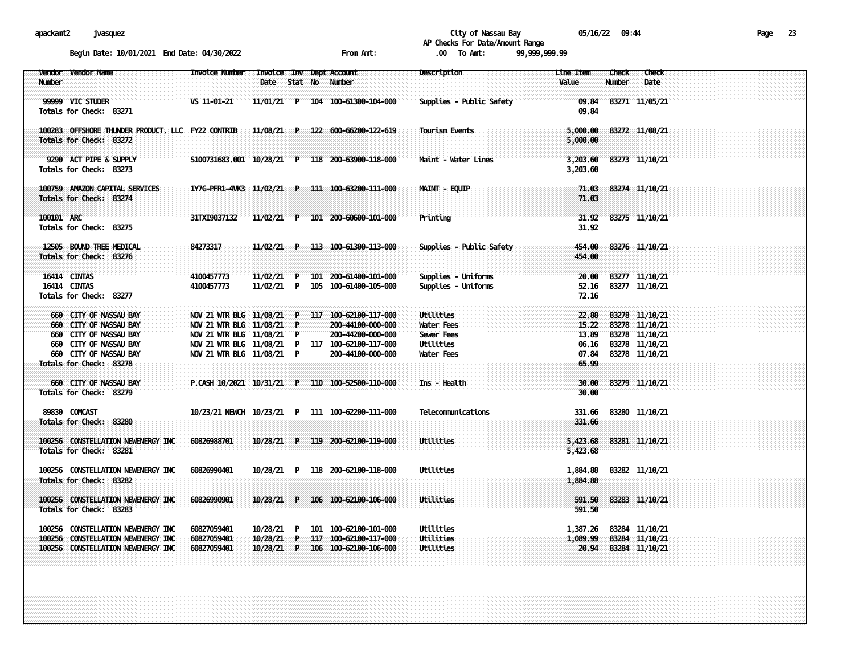Begin Date: 10/01/2021 End Date: 04/30/2022 <br>From Amt:

**apackamt2 jvasquez City of Nassau Bay 05/16/22 09:44 Page 23 AP Checks For Date/Amount Range**

| <del>Vendor Vendor Name</del>                                                | Invoice Number Invoice Inv Dept Account |                     |  |                                                                      | <b>Description</b>       | itine Titem          | <b>Theck</b>  | Check                            |  |  |
|------------------------------------------------------------------------------|-----------------------------------------|---------------------|--|----------------------------------------------------------------------|--------------------------|----------------------|---------------|----------------------------------|--|--|
| <b>Number</b>                                                                |                                         | Date Stat No Number |  |                                                                      |                          | Value                | <b>Number</b> | Date                             |  |  |
| 99999 VIC STUDER<br>Totals for Check: 83271                                  | VS 11-01-21                             |                     |  | 11/01/21 P 104 100-61300-104-000                                     | Supplies - Public Safety | 09.84<br>09.84       |               | 83271 11/05/21                   |  |  |
| 100283 OFFSHORE THUNDER PRODUCT, LLC FY22 CONTRIB<br>Totals for Check: 83272 |                                         |                     |  | $11/08/21$ P $122 - 600 - 66200 - 122 - 619$                         | <b>Tourism Events</b>    | 5,000.00<br>5,000.00 |               | 83272 11/08/21                   |  |  |
| 9290 ACT PIPE & SUPPLY<br>Totals for Check: 83273                            |                                         |                     |  | S100731683.001 10/28/21 P 118 200-63900-118-000                      | Maint - Water Lines      | 3,203.60<br>3,203.60 |               | 83273 11/10/21                   |  |  |
| 100759 AMAZON CAPITAL SERVICES                                               |                                         |                     |  | $1Y7G-PPR1-4WS - 11/02/21$ $P = 111 - 100-63200-111-000$             | MAINT - EQUIP            | 71.03                |               | 83274 11/10/21                   |  |  |
| Totals for Check: 83274                                                      |                                         |                     |  |                                                                      |                          | 71.03                |               |                                  |  |  |
| 100101 ARC<br>Totals for Check: 83275                                        | 31TXI9037132                            |                     |  | 11/02/21  P  101  200-60600-101-000                                  | <b>Printing</b>          | 31.92                |               | 31.92 83275 11/10/21             |  |  |
| 12505 BOUND TREE MEDICAL                                                     | 84273317                                |                     |  | $11/02/21$ P $113$ $100-61300-113-000$                               | Supplies - Public Safety | 454.00               |               | 83276 11/10/21                   |  |  |
| Totals for Check: 83276                                                      |                                         |                     |  |                                                                      |                          | 454.00               |               |                                  |  |  |
| 16414 CINTAS                                                                 | 4100457773                              | $11/02/21$ P        |  | 101 200-61400-101-000                                                | Supplies - Uniforms      | 20.00                |               | 83277 11/10/21                   |  |  |
| 16414 CINTAS<br>Totals for Check: 83277                                      | 4100457773                              |                     |  | 11/02/21 P 105 100-61400-105-000                                     | Supplies - Uniforms      | 52.16<br>72.16       |               | 83277 11/10/21                   |  |  |
| <b>660 CITY OF NASSAU BAY</b>                                                |                                         |                     |  | NOV 21 WTR BLG 11/08/21 P 117 100-62100-117-000                      | <b>Utilities</b>         | 22.88                |               | 83278 11/10/21                   |  |  |
| 660 CITY OF NASSAU BAY                                                       | NOV 21 WTR BLG 11/08/21 P               |                     |  | 200-44100-000-000                                                    | Water Fees               | 15.22                |               | 83278 11/10/21                   |  |  |
| 660 CITY OF NASSAU BAY<br>660 CITY OF NASSAU BAY                             | NOV 21 WTR BLG 11/08/21 P               |                     |  | 200-44200-000-000                                                    | Sewer Fees               | 13.89                |               | 83278 11/10/21<br>83278 11/10/21 |  |  |
| 660 CITY OF NASSAU BAY                                                       | NOV 21 WTR BLG 11/08/21 P               |                     |  | NOV 21 WTR BLG 11/08/21 P 117 100-62100-117-000<br>200-44100-000-000 | Utilities<br>Water Fees  | 06.16<br>07.84       |               | 83278 11/10/21                   |  |  |
| Totals for Check: 83278                                                      |                                         |                     |  |                                                                      |                          | 65.99                |               |                                  |  |  |
| 660 CITY OF NASSAU BAY                                                       |                                         |                     |  | P.CASH 10/2021 10/31/21 P 110 100-52500-110-000                      | Ins - Health             | 30.00                |               | 83279 11/10/21                   |  |  |
| Totals for Check: 83279                                                      |                                         |                     |  |                                                                      |                          | 30.00                |               |                                  |  |  |
| 89830 COMCAST                                                                |                                         |                     |  | 10/23/21 NEWCH 10/23/21 P 111 100-62200-111-000                      | <b>Telecomunications</b> | 331.66               |               | 83280 11/10/21                   |  |  |
| Totals for Check: 83280                                                      |                                         |                     |  |                                                                      |                          | 331.66               |               |                                  |  |  |
| 100256 CONSTELLATION NEWENERGY INC<br>Totals for Check: 83281                | 60826988701                             | $10/28/21$ P        |  | 119 200-62100-119-000                                                | <b>Utilities</b>         | 5,423.68<br>5,423.68 |               | 83281 11/10/21                   |  |  |
| 100256 CONSTELLATION NEWENERGY INC<br>Totals for Check: 83282                | 60826990401                             | 10/28/21 P          |  | 118 200-62100-118-000                                                | Utilities                | 1,884.88<br>1,884.88 |               | 83282 11/10/21                   |  |  |
|                                                                              |                                         |                     |  |                                                                      |                          |                      |               |                                  |  |  |
| 100256 CONSTELLATION NEWENERGY INC<br>Totals for Check: 83283                | 60826990901                             |                     |  | 10/28/21 P 106 100-62100-106-000                                     | <b>Utilities</b>         | 591.50<br>591.50     |               | 83283 11/10/21                   |  |  |
| 100256 CONSTELLATION NEWENERGY INC                                           | 60827059401                             | $10/28/21$ P        |  | 101 100-62100-101-000                                                | Utilities                | 1,387.26             |               | 83284 11/10/21                   |  |  |
| 100256 CONSTELLATION NEWENERGY INC                                           | 60827059401                             | $10/28/21$ P        |  | 117 100-62100-117-000                                                | <b>Utilities</b>         | 1,089.99             |               | 83284 11/10/21                   |  |  |
| 100256 CONSTELLATION NEWENERGY INC                                           | 60827059401                             |                     |  | 10/28/21 P 106 100-62100-106-000                                     | <b>Utilities</b>         |                      |               | 20.94 83284 11/10/21             |  |  |
|                                                                              |                                         |                     |  |                                                                      |                          |                      |               |                                  |  |  |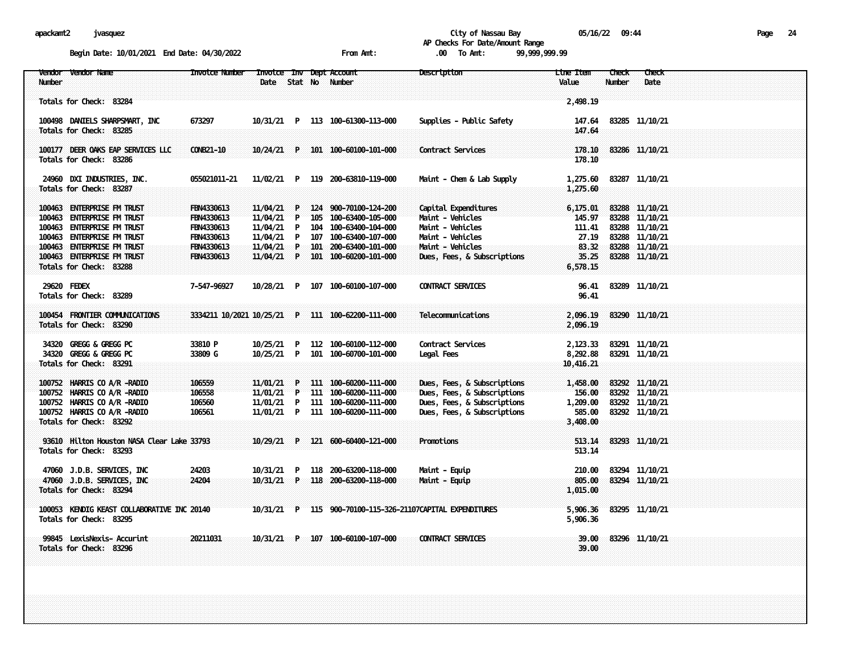**apackamt2 jvasquez City of Nassau Bay 05/16/22 09:44 Page 24 AP Checks For Date/Amount Range** Begin Date: 10/01/2021 End Date: 04/30/2022 From Amt: 00 To Amt: 99,999,999.99

| Vendor Vendor Name                                                    | Invotce Number Invotce Inv Dept Account |                     |              |                                                                          | <b>Description</b>          | ttne Item            | Check         | Check                            |  |  |  |
|-----------------------------------------------------------------------|-----------------------------------------|---------------------|--------------|--------------------------------------------------------------------------|-----------------------------|----------------------|---------------|----------------------------------|--|--|--|
| <b>Number</b>                                                         |                                         | Date Stat No Number |              |                                                                          |                             | Value                | <b>Number</b> | Date                             |  |  |  |
| Totals for Check: 83284                                               |                                         |                     |              |                                                                          |                             | 2,498.19             |               |                                  |  |  |  |
| 100498 DANIELS SHARPSMART, INC<br>Totals for Check: 83285             | 673297                                  | $10/31/21$ P        |              | 113 100-61300-113-000                                                    | Supplies - Public Safety    | 147.64<br>147.64     |               | 83285 11/10/21                   |  |  |  |
|                                                                       |                                         |                     |              |                                                                          |                             |                      |               |                                  |  |  |  |
| 100177 DEER OAKS EAP SERVICES LLC<br>Totals for Check: 83286          | <b>CONB21-10</b>                        |                     |              | 10/24/21 P 101 100-60100-101-000                                         | Contract Services           | 178.10<br>178.10     |               | 83286 11/10/21                   |  |  |  |
| 24960 DXI INDUSTRIES, INC.                                            | 055021011-21                            |                     |              | 11/02/21 P 119 200-63810-119-000                                         | Maint - Chem & Lab Supply   | 1,275.60             |               | 83287 11/10/21                   |  |  |  |
| Totals for Check: 83287                                               |                                         |                     |              |                                                                          |                             | 1,275.60             |               |                                  |  |  |  |
| 100463 ENTERPRISE FM TRUST                                            | <b>FBN4330613</b>                       | 11/04/21 P          |              | 124 900-70100-124-200                                                    | Capital Expenditures        | 6,175.01             |               | 83288 11/10/21                   |  |  |  |
| 100463 ENTERPRISE FM TRUST                                            | <b>FBN4330613</b>                       | $11/04/21$ P        |              | 105 100-63400-105-000                                                    | Maint - Vehicles            | 145.97               |               | 83288 11/10/21                   |  |  |  |
| 100463 ENTERPRISE FM TRUST                                            | FBN4330613                              | 11/04/21 P          |              | 104 100-63400-104-000                                                    | Maint - Vehicles            | 111.41               |               | 83288 11/10/21                   |  |  |  |
| 100463 ENTERPRISE FM TRUST                                            | FBN4330613                              |                     |              | 11/04/21 P 107 100-63400-107-000                                         | Maint - Vehicles            | 27.19                |               | 83288 11/10/21                   |  |  |  |
| 100463 ENTERPRISE FM TRUST<br>100463 ENTERPRISE FM TRUST              | FBN4330613<br><b>FBN4330613</b>         |                     |              | $11/04/21$ P $101$ 200-63400-101-000<br>11/04/21 P 101 100-60200-101-000 | Maint - Vehicles            | 83.32<br>35.25       |               | 83288 11/10/21<br>83288 11/10/21 |  |  |  |
| Totals for Check: 83288                                               |                                         |                     |              |                                                                          | Dues, Fees, & Subscriptions | 6,578.15             |               |                                  |  |  |  |
|                                                                       |                                         |                     |              |                                                                          |                             |                      |               |                                  |  |  |  |
| 29620 FEDEX                                                           | 7-547-96927                             |                     |              | 10/28/21 P 107 100-60100-107-000                                         | <b>CONTRACT SERVICES</b>    | 96.41                |               | 83289 11/10/21                   |  |  |  |
| Totals for Check: 83289                                               |                                         |                     |              |                                                                          |                             | 96.41                |               |                                  |  |  |  |
| 100454 FRONTIER COMMUNICATIONS<br>Totals for Check: 83290             |                                         |                     |              | 3334211 10/2021 10/25/21 P 111 100-62200-111-000                         | <b>Telecomunications</b>    | 2,096.19<br>2,096.19 |               | 83290 11/10/21                   |  |  |  |
| 34320 GREGG & GREGG PC                                                | 33810 P                                 | 10/25/21            | $\mathsf{P}$ | 112 100-60100-112-000                                                    | Contract Services           | 2,123.33             |               | 83291 11/10/21                   |  |  |  |
| 34320 GREGG & GREGG PC                                                | 33809 G                                 |                     |              | 10/25/21 P 101 100-60700-101-000                                         | Legal Fees                  | 8,292.88             |               | 83291 11/10/21                   |  |  |  |
| Totals for Check: 83291                                               |                                         |                     |              |                                                                          |                             | 10,416.21            |               |                                  |  |  |  |
| 100752 HARRIS CO A/R -RADIO                                           | 106559                                  | $11/01/21$ P        |              | 111 100-60200-111-000                                                    | Dues, Fees, & Subscriptions | 1,458.00             |               | 83292 11/10/21                   |  |  |  |
| 100752 HARRIS CO A/R -RADIO                                           | 106558                                  | $11/01/21$ P        |              | 111 100-60200-111-000                                                    | Dues, Fees, & Subscriptions | 156.00               |               | 83292 11/10/21                   |  |  |  |
| 100752 HARRIS CO A/R -RADIO                                           | 106560                                  | 11/01/21 P          |              | 111 100-60200-111-000                                                    | Dues, Fees, & Subscriptions | 1,209.00             |               | 83292 11/10/21                   |  |  |  |
| 100752 HARRIS CO A/R -RADIO                                           | 106561                                  | 11/01/21 P          |              | 111 100-60200-111-000                                                    | Dues, Fees, & Subscriptions | 585.00               |               | 83292 11/10/21                   |  |  |  |
| Totals for Check: 83292                                               |                                         |                     |              |                                                                          |                             | 3,408.00             |               |                                  |  |  |  |
| 93610 Hilton Houston NASA Clear Lake 33793<br>Totals for Check: 83293 |                                         |                     |              | 10/29/21 P 121 600-60400-121-000                                         | <b>Promotions</b>           | 513.14<br>513.14     |               | 83293 11/10/21                   |  |  |  |
|                                                                       |                                         |                     |              |                                                                          |                             |                      |               |                                  |  |  |  |
| 47060 J.D.B. SERVICES, INC                                            | 24203                                   | $10/31/21$ P        |              | 118 200-63200-118-000                                                    | Maint - Equip               | 210.00               |               | 83294 11/10/21                   |  |  |  |
| 47060 J.D.B. SERVICES, INC.                                           | 24204                                   |                     |              | 10/31/21 P 118 200-63200-118-000                                         | Maint - Equip               | 805.00               |               | 83294 11/10/21                   |  |  |  |
| Totals for Check: 83294                                               |                                         |                     |              |                                                                          |                             | 1,015.00             |               |                                  |  |  |  |
| 100053 KENDIG KEAST COLLABORATIVE INC 20140                           |                                         | $10/31/21$ P        |              | 115 900-70100-115-326-21107CAPITAL EXPENDITURES                          |                             | 5,906.36             |               | 83295 11/10/21                   |  |  |  |
| Totals for Check: 83295                                               |                                         |                     |              |                                                                          |                             | 5,906.36             |               |                                  |  |  |  |
| 99845 LexisNexis-Accurint                                             | 20211031                                |                     |              | 10/31/21 P 107 100-60100-107-000                                         | <b>CONTRACT SERVICES</b>    | 39.00                |               | 83296 11/10/21                   |  |  |  |
| Totals for Check: 83296                                               |                                         |                     |              |                                                                          |                             | 39.00                |               |                                  |  |  |  |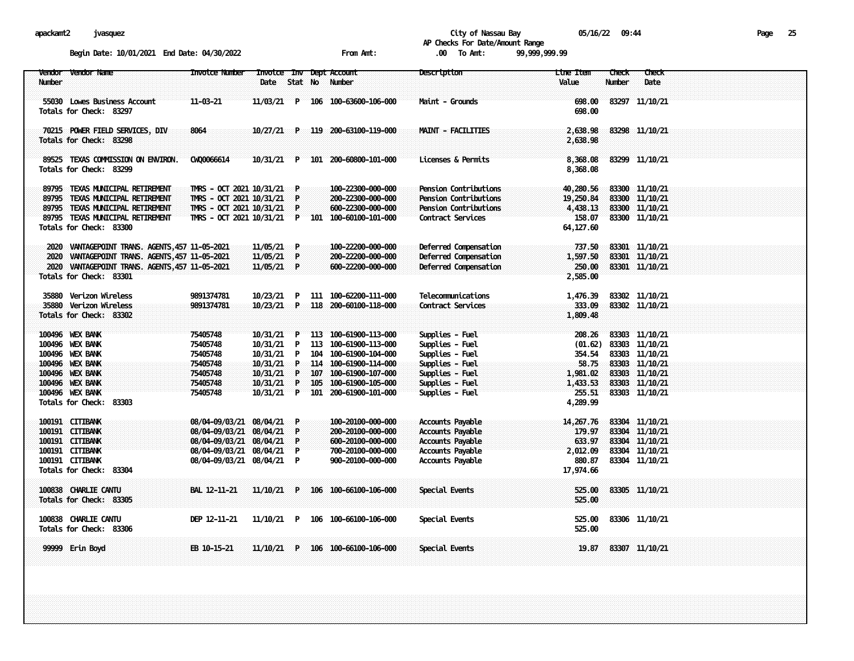**apackamt2 jvasquez City of Nassau Bay 05/16/22 09:44 Page 25 AP Checks For Date/Amount Range**

| <b>Number</b>  | <del>Vendor Vendor Name</del>                                                                   | <b>LINOLCE NUMBER</b>                                                             |                                        |                   | <b>Invotce Inv Dept Account</b><br>Date Stat No Number                  | Description                                                                   | <b>Etne Item</b><br><b>Value</b> | <b>Check</b><br><b>Number</b> | <b>Check</b><br>Date                               |  |  |  |
|----------------|-------------------------------------------------------------------------------------------------|-----------------------------------------------------------------------------------|----------------------------------------|-------------------|-------------------------------------------------------------------------|-------------------------------------------------------------------------------|----------------------------------|-------------------------------|----------------------------------------------------|--|--|--|
|                | 55030 Lowes Business Account<br>Totals for Check: 83297                                         | 11-03-21                                                                          |                                        |                   | 11/03/21 P 106 100-63600-106-000                                        | Maint - Grounds                                                               | 698.00<br>698.00                 |                               | 83297 11/10/21                                     |  |  |  |
|                | 70215 POWER FIELD SERVICES, DIV<br>Totals for Check: 83298                                      | 8064                                                                              | $10/27/21$ P                           |                   | 119 200-63100-119-000                                                   | <b>MAINT - FACILITIES</b>                                                     | 2,638.98<br>2,638.98             |                               | 83298 11/10/21                                     |  |  |  |
|                | 89525 TEXAS COMMISSION ON ENVIRON.<br>Totals for Check: 83299                                   | CN00066614                                                                        |                                        |                   | 10/31/21 P 101 200-60800-101-000                                        | Licenses & Permits                                                            | 8,368.08<br>8,368.08             |                               | 83299 11/10/21                                     |  |  |  |
| 89795<br>89795 | <b>TEXAS MUNICIPAL RETIREMENT</b><br><b>TEXAS MUNICIPAL RETIREMENT</b>                          | TMRS - OCT 2021 10/31/21 P<br>TMRS - OCT 2021 10/31/21 P                          |                                        |                   | 100-22300-000-000<br>200-22300-000-000                                  | <b>Pension Contributions</b><br><b>Pension Contributions</b>                  | 40,280.56<br>19,250.84           |                               | 83300 11/10/21<br>83300 11/10/21                   |  |  |  |
|                | 89795 TEXAS MUNICIPAL RETIREMENT<br>89795 TEXAS MUNICIPAL RETIREMENT<br>Totals for Check: 83300 | TMRS - OCT 2021 10/31/21<br>TMRS - OCT 2021 10/31/21 P                            |                                        | P                 | 600-22300-000-000<br>101 100-60100-101-000                              | <b>Pension Contributions</b><br>Contract Services                             | 4,438.13<br>158.07<br>64,127.60  |                               | 83300 11/10/21<br>83300 11/10/21                   |  |  |  |
| 2020<br>2020   | VANTAGEPOINT TRANS. AGENTS, 457 11-05-2021<br>VANTAGEPOINT TRANS. AGENTS, 457 11-05-2021        |                                                                                   | $11/05/21$ P<br>11/05/21 P             |                   | 100-22200-000-000<br>200-22200-000-000                                  | Deferred Compensation<br>Deferred Compensation                                | 737.50<br>1,597.50               |                               | 83301 11/10/21<br>83301 11/10/21                   |  |  |  |
|                | 2020 VANTAGEPOINT TRANS. AGENTS, 457 11-05-2021<br>Totals for Check: 83301                      |                                                                                   | 11/05/21 P                             |                   | 600-22200-000-000                                                       | Deferred Compensation                                                         | 250.00<br>2,585.00               |                               | 83301 11/10/21                                     |  |  |  |
|                | 35880 Verizon Wireless<br>35880 Verizon Wireless                                                | 9891374781<br>9891374781                                                          | 10/23/21<br>$10/23/21$ P               | <b>P</b>          | 111 100-62200-111-000<br>118 200-60100-118-000                          | Telecommunications<br>Contract Services                                       | 1,476.39<br>333.09               |                               | 83302 11/10/21<br>83302 11/10/21                   |  |  |  |
|                | Totals for Check: 83302<br><b>100496 WEX BANK</b>                                               | 75405748                                                                          | $10/31/21$ P                           |                   | 113 100-61900-113-000                                                   | Supplies - Fuel                                                               | 1,809.48<br>208.26               |                               | 83303 11/10/21                                     |  |  |  |
|                | 100496 WEX BANK<br>100496 WEX BANK                                                              | 75405748<br>75405748                                                              | 10/31/21<br>10/31/21                   | P<br>$\mathsf{P}$ | 113 100-61900-113-000<br>104 100-61900-104-000                          | Supplies - Fuel<br>Supplies - Fuel                                            | 354.54                           |                               | $(01.62)$ 83303 11/10/21<br>83303 11/10/21         |  |  |  |
|                | <b>100496 MEX BANK</b><br><b>100496 WEX BANK</b><br><b>100496 WEX BANK</b>                      | 75405748<br>75405748<br>75405748                                                  | $10/31/21$ P<br>10/31/21 P<br>10/31/21 | $\mathbf{P}$      | 114 100-61900-114-000<br>107 100-61900-107-000<br>105 100-61900-105-000 | Supplies - Fuel<br>Supplies - Fuel<br>Supplies - Fuel                         | 58.75<br>1,981.02<br>1,433.53    |                               | 83303 11/10/21<br>83303 11/10/21<br>83303 11/10/21 |  |  |  |
|                | 100496 WEX BANK<br>Totals for Check: 83303                                                      | 75405748                                                                          | $10/31/21$ P                           |                   | 101 200-61900-101-000                                                   | Supplies - Fuel                                                               | 255.51<br>4,289.99               |                               | 83303 11/10/21                                     |  |  |  |
|                | 100191 CITIBANK<br>100191 CITIBANK<br>100191 CITIBANK                                           | 08/04-09/03/21 08/04/21 P<br>08/04-09/03/21 08/04/21 P<br>08/04-09/03/21 08/04/21 |                                        | P                 | 100-20100-000-000<br>200-20100-000-000<br>600-20100-000-000             | <b>Accounts Payable</b><br><b>Accounts Payable</b><br><b>Accounts Payable</b> | 14,267.76<br>179.97<br>633.97    |                               | 83304 11/10/21<br>83304 11/10/21<br>83304 11/10/21 |  |  |  |
|                | 100191 CITIBANK<br>100191 CITIBANK<br>Totals for Check: 83304                                   | 08/04-09/03/21 08/04/21 P<br>08/04-09/03/21 08/04/21 P                            |                                        |                   | 700-20100-000-000<br>900-20100-000-000                                  | <b>Accounts Payable</b><br><b>Accounts Payable</b>                            | 2,012.09<br>880.87<br>17,974.66  |                               | 83304 11/10/21<br>83304 11/10/21                   |  |  |  |
|                | 100838 CHARLIE CANTU<br>Totals for Check: 83305                                                 | <b>BAL 12-11-21</b>                                                               | $11/10/21$ P                           |                   | 106 100-66100-106-000                                                   | <b>Special Events</b>                                                         | 525.00<br>525.00                 |                               | 83305 11/10/21                                     |  |  |  |
|                | 100838 CHARLIE CANTU<br>Totals for Check: 83306                                                 | DEP 12-11-21                                                                      | $11/10/21$ P                           |                   | 106 100-66100-106-000                                                   | Special Events                                                                | 525.00<br>525.00                 |                               | 83306 11/10/21                                     |  |  |  |
|                | 99999 Erin Boyd                                                                                 | EB 10-15-21                                                                       | $11/10/21$ P                           |                   | 106 100-66100-106-000                                                   | <b>Special Events</b>                                                         | 19.87                            |                               | 83307 11/10/21                                     |  |  |  |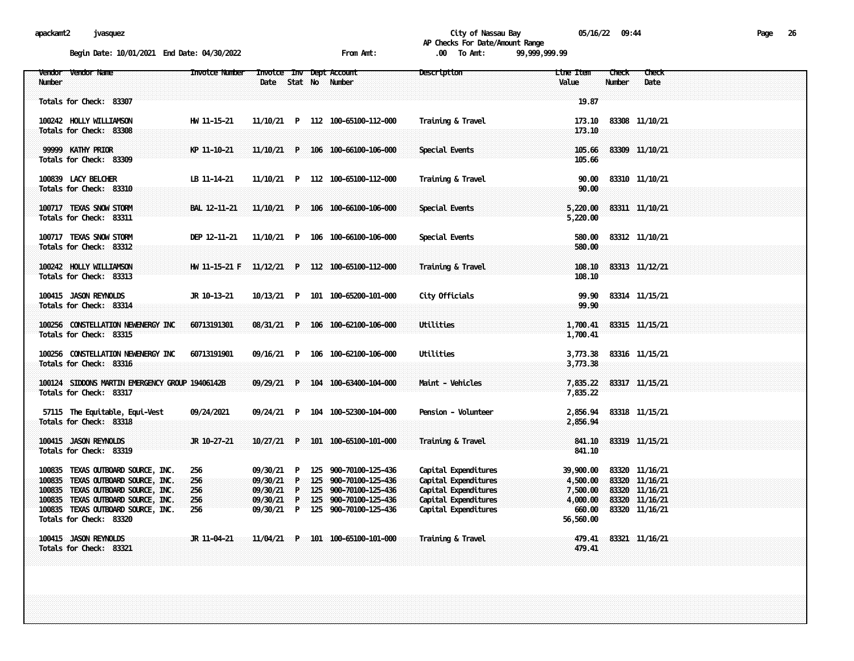**AP Checks For Date/Amount Range**

| apackamt2 | jvasquez                                    |           | City of Nassau Bay                  | 05/16/22 | 09:44 | Page | 40 |
|-----------|---------------------------------------------|-----------|-------------------------------------|----------|-------|------|----|
|           |                                             |           | AP Checks For Date/Amount Range     |          |       |      |    |
|           | Begin Date: 10/01/2021 End Date: 04/30/2022 | From Amt: | 99,999,999.99<br>$.00\,$<br>To Amt: |          |       |      |    |

| <del>Vendor Vendor Name</del>                                 | Invoice Number      | <b>Invotce Inv Dept Account</b> |              |                                                | Description                 | istne Ttem       | Check  | Check          |  |  |
|---------------------------------------------------------------|---------------------|---------------------------------|--------------|------------------------------------------------|-----------------------------|------------------|--------|----------------|--|--|
| <b>Number</b>                                                 |                     | Date                            |              | Stat No Number                                 |                             | Value            | Number | Date           |  |  |
|                                                               |                     |                                 |              |                                                |                             |                  |        |                |  |  |
| Totals for Check: 83307                                       |                     |                                 |              |                                                |                             | 19.87            |        |                |  |  |
| 100242 HOLLY WILLIAMSON                                       | HW 11-15-21         | 11/10/21                        | <b>P</b>     | 112 100-65100-112-000                          | Training & Travel           | 173.10           |        | 83308 11/10/21 |  |  |
| Totals for Check: 83308                                       |                     |                                 |              |                                                |                             | 173.10           |        |                |  |  |
|                                                               |                     |                                 |              |                                                |                             |                  |        |                |  |  |
| 99999 KATHY PRIOR                                             | KP 11-10-21         | 11/10/21                        | $\mathbf{P}$ | 106 100-66100-106-000                          | <b>Special Events</b>       | 105.66           |        | 83309 11/10/21 |  |  |
| Totals for Check: 83309                                       |                     |                                 |              |                                                |                             | 105.66           |        |                |  |  |
| 100839 LACY BELCHER                                           | LB 11-14-21         | 11/10/21                        | P            | 112 100-65100-112-000                          | Training & Travel           | 90.00            |        | 83310 11/10/21 |  |  |
| Totals for Check: 83310                                       |                     |                                 |              |                                                |                             | 90.00            |        |                |  |  |
|                                                               |                     |                                 |              |                                                |                             |                  |        |                |  |  |
| 100717 TEXAS SNOW STORM                                       | <b>BAL 12-11-21</b> | 11/10/21                        | P            | 106 100-66100-106-000                          | Special Events              | 5,220.00         |        | 83311 11/10/21 |  |  |
| Totals for Check: 83311                                       |                     |                                 |              |                                                |                             | 5,220.00         |        |                |  |  |
|                                                               |                     |                                 |              |                                                |                             |                  |        |                |  |  |
| 100717 TEXAS SNOW STORM<br>Totals for Check: 83312            | DEP 12-11-21        | 11/10/21                        | <b>P</b>     | 106 100-66100-106-000                          | Special Events              | 580.00<br>580.00 |        | 83312 11/10/21 |  |  |
|                                                               |                     |                                 |              |                                                |                             |                  |        |                |  |  |
| 100242 HOLLY WILLIAMSON                                       |                     |                                 |              | HW 11-15-21 F 11/12/21 P 112 100-65100-112-000 | Training & Travel           | 108.10           |        | 83313 11/12/21 |  |  |
| Totals for Check: 83313                                       |                     |                                 |              |                                                |                             | 108.10           |        |                |  |  |
|                                                               |                     |                                 |              |                                                |                             |                  |        |                |  |  |
| 100415 JASON REYNOLDS                                         | JR 10-13-21         | 10/13/21                        | P            | 101 100-65200-101-000                          | City Officials              | 99.90            |        | 83314 11/15/21 |  |  |
| Totals for Check: 83314                                       |                     |                                 |              |                                                |                             | 99.90            |        |                |  |  |
|                                                               |                     |                                 |              |                                                |                             |                  |        |                |  |  |
| 100256 CONSTELLATION NEWENERGY INC<br>Totals for Check: 83315 | 60713191301         | 08/31/21                        | $\mathbb{P}$ | 106 100-62100-106-000                          | Utilities                   | 1,700.41         |        | 83315 11/15/21 |  |  |
|                                                               |                     |                                 |              |                                                |                             | 1,700.41         |        |                |  |  |
| 100256 CONSTELLATION NEWENERGY INC                            | 60713191901         | 09/16/21                        | P            | 106 100-62100-106-000                          | Utilities                   | 3,773.38         |        | 83316 11/15/21 |  |  |
| Totals for Check: 83316                                       |                     |                                 |              |                                                |                             | 3,773.38         |        |                |  |  |
|                                                               |                     |                                 |              |                                                |                             |                  |        |                |  |  |
| 100124 SIDDONS MARTIN EMERGENCY GROUP 19406142B               |                     | 09/29/21                        | P.           | 104 100-63400-104-000                          | Maint - Vehicles            | 7,835.22         |        | 83317 11/15/21 |  |  |
| Totals for Check: 83317                                       |                     |                                 |              |                                                |                             | 7,835.22         |        |                |  |  |
|                                                               |                     |                                 |              |                                                |                             |                  |        |                |  |  |
| 57115 The Equitable, Equi-Vest<br>Totals for Check: 83318     | 09/24/2021          | 09/24/21                        | P            | 104 100-52300-104-000                          | Pension - Volunteer         | 2,856.94         |        | 83318 11/15/21 |  |  |
|                                                               |                     |                                 |              |                                                |                             | 2,856.94         |        |                |  |  |
| 100415 JASON REYNOLDS                                         | JR 10-27-21         |                                 |              | 10/27/21 P 101 100-65100-101-000               | Training & Travel           | 841.10           |        | 83319 11/15/21 |  |  |
| Totals for Check: 83319                                       |                     |                                 |              |                                                |                             | 841.10           |        |                |  |  |
|                                                               |                     |                                 |              |                                                |                             |                  |        |                |  |  |
| 100835 TEXAS OUTBOARD SOURCE, INC.                            | 256                 | 09/30/21                        | P            | 125 900-70100-125-436                          | Capital Expenditures        | 39,900.00        |        | 83320 11/16/21 |  |  |
| 100835 TEXAS OUTBOARD SOURCE, INC.                            | 256                 | 09/30/21                        | ାଇ           | 125 900-70100-125-436                          | <b>Capital Expenditures</b> | 4,500.00         |        | 83320 11/16/21 |  |  |
| 100835 TEXAS OUTBOARD SOURCE, INC.                            | 256                 | 09/30/21                        | P            | 125 900-70100-125-436                          | Capital Expenditures        | 7,500.00         |        | 83320 11/16/21 |  |  |
| 100835 TEXAS OUTBOARD SOURCE, INC.                            | 256                 | 09/30/21                        | P            | 125 900-70100-125-436                          | Capital Expenditures        | 4,000.00         |        | 83320 11/16/21 |  |  |
| 100835 TEXAS OUTBOARD SOURCE, INC.<br>Totals for Check: 83320 | 256                 | 09/30/21                        | ™P⊺          | 125 900-70100-125-436                          | Capital Expenditures        | 660.00           |        | 83320 11/16/21 |  |  |
|                                                               |                     |                                 |              |                                                |                             | 56,560.00        |        |                |  |  |
| 100415 JASON REYNOLDS                                         | JR 11-04-21         | 11/04/21                        | . Р.         | 101 100-65100-101-000                          | Training & Travel           | 479.41           |        | 83321 11/16/21 |  |  |
| Totals for Check: 83321                                       |                     |                                 |              |                                                |                             | 479.41           |        |                |  |  |
|                                                               |                     |                                 |              |                                                |                             |                  |        |                |  |  |
|                                                               |                     |                                 |              |                                                |                             |                  |        |                |  |  |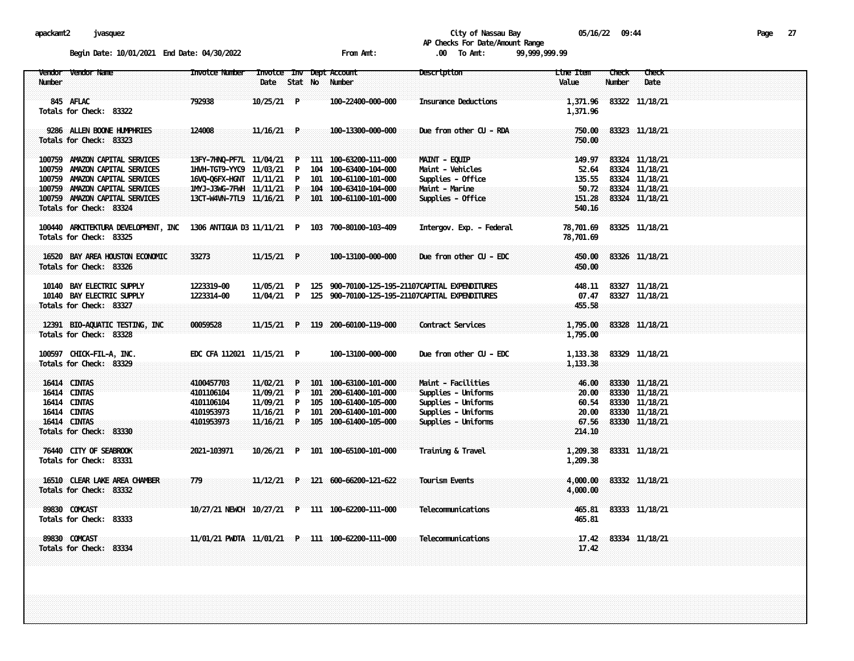**apackamt2 jvasquez City of Nassau Bay 05/16/22 09:44 Page 27 AP Checks For Date/Amount Range**

| Begin Date: 10/01/2021 End Date: 04/30/2022 | From Amt: |
|---------------------------------------------|-----------|

|               | Vendor Vendor Name                                                                   | Invoice Number Invoice Inv Dept Account |                     |  |                                                            | <b>Description</b>                              | tine Item               | तास्टार       | Check          |  |  |  |
|---------------|--------------------------------------------------------------------------------------|-----------------------------------------|---------------------|--|------------------------------------------------------------|-------------------------------------------------|-------------------------|---------------|----------------|--|--|--|
| <b>Number</b> |                                                                                      |                                         | Date Stat No Number |  |                                                            |                                                 | Value                   | <b>Number</b> | Date           |  |  |  |
|               | 845 AFLAC                                                                            | 792938                                  | $10/25/21$ P        |  | 100-22400-000-000                                          | <b>Insurance Deductions</b>                     | 1,371.96 83322 11/18/21 |               |                |  |  |  |
|               | Totals for Check: 83322                                                              |                                         |                     |  |                                                            |                                                 | 1,371.96                |               |                |  |  |  |
|               | 9286 ALLEN BOONE HUMPHRIES                                                           | 124008                                  | $11/16/21$ P        |  | 100-13300-000-000                                          | Due from other CU - RDA                         | 750.00                  |               | 83323 11/18/21 |  |  |  |
|               | Totals for Check: 83323                                                              |                                         |                     |  |                                                            |                                                 | 750.00                  |               |                |  |  |  |
|               | 100759 AMAZON CAPITAL SERVICES                                                       |                                         |                     |  | 13FY-7HNQ-PF7L 11/04/21 P 111 100-63200-111-000            | MAINT - EOUIP                                   | 149.97                  |               | 83324 11/18/21 |  |  |  |
|               | 100759 AMAZON CAPITAL SERVICES                                                       | 1HVH-TGT9-YYC9 11/03/21 P               |                     |  | 104 100-63400-104-000                                      | Maint - Vehicles                                | 52.64                   |               | 83324 11/18/21 |  |  |  |
|               | 100759 AMAZON CAPITAL SERVICES                                                       |                                         |                     |  | 16VQ-Q6FX-HGNT 11/11/21 P 101 100-61100-101-000            | Supplies - Office                               | 135.55                  |               | 83324 11/18/21 |  |  |  |
|               | 100759 AMAZON CAPITAL SERVICES                                                       |                                         |                     |  | 1MYJ-J3WG-7FWH 11/11/21 P 104 100-63410-104-000            | Maint - Marine                                  | 50.72                   |               | 83324 11/18/21 |  |  |  |
|               | 100759 AMAZON CAPITAL SERVICES                                                       |                                         |                     |  | 13CT-WAVN-7TL9 11/16/21 P 101 100-61100-101-000            | Supplies - Office                               | 151.28                  |               | 83324 11/18/21 |  |  |  |
|               | Totals for Check: 83324                                                              |                                         |                     |  |                                                            |                                                 | 540.16                  |               |                |  |  |  |
|               | 100440 ARKITEKTURA DEVELOPMENT, INC 1306 ANTIGUA D3 11/11/21 P 103 700-80100-103-409 |                                         |                     |  |                                                            | Intergov. Exp. - Federal                        | 78,701.69               |               | 83325 11/18/21 |  |  |  |
|               | Totals for Check: 83325                                                              |                                         |                     |  |                                                            |                                                 | 78,701.69               |               |                |  |  |  |
|               | 16520 BAY AREA HOUSTON ECONOMIC                                                      | 33273                                   | $11/15/21$ P        |  | 100-13100-000-000                                          | Due from other CU - EDC                         | 450.00                  |               | 83326 11/18/21 |  |  |  |
|               | Totals for Check: 83326                                                              |                                         |                     |  |                                                            |                                                 | 450.00                  |               |                |  |  |  |
|               | 10140 BAY ELECTRIC SUPPLY                                                            | 1223319-00                              | $11/05/21$ P        |  |                                                            | 125 900-70100-125-195-21107CAPITAL EXPENDITURES | 448.11                  |               | 83327 11/18/21 |  |  |  |
|               | 10140 BAY ELECTRIC SUPPLY                                                            | 1223314-00                              |                     |  | 11/04/21 P 125 900-70100-125-195-21107CAPITAL EXPENDITURES |                                                 | 07.47                   |               | 83327 11/18/21 |  |  |  |
|               | Totals for Check: 83327                                                              |                                         |                     |  |                                                            |                                                 | 455.58                  |               |                |  |  |  |
|               |                                                                                      |                                         |                     |  |                                                            |                                                 |                         |               |                |  |  |  |
|               | 12391 BIO-AQUATIC TESTING, INC.                                                      | 00059528                                |                     |  | 11/15/21 P 119 200-60100-119-000                           | Contract Services                               | 1,795.00                |               | 83328 11/18/21 |  |  |  |
|               | Totals for Check: 83328                                                              |                                         |                     |  |                                                            |                                                 | 1,795.00                |               |                |  |  |  |
|               | 100597 CHICK-FIL-A, INC.                                                             | EDC CFA 112021 11/15/21 P               |                     |  | 100-13100-000-000                                          | Due from other CU - EDC                         | 1,133,38                |               | 83329 11/18/21 |  |  |  |
|               | Totals for Check: 83329                                                              |                                         |                     |  |                                                            |                                                 | 1,133.38                |               |                |  |  |  |
|               | 16414 CINTAS                                                                         | 4100457703                              | $11/02/21$ P        |  | 101 100-63100-101-000                                      | Maint - Facilities                              | 46.00                   |               | 83330 11/18/21 |  |  |  |
|               | 16414 CINTAS                                                                         | 4101106104                              |                     |  | 11/09/21 P 101 200-61400-101-000                           | Supplies - Uniforms                             | 20.00                   |               | 83330 11/18/21 |  |  |  |
|               | 16414 CINTAS                                                                         | 4101106104                              |                     |  | 11/09/21 P 105 100-61400-105-000                           | Supplies - Uniforms                             | 60.54                   |               | 83330 11/18/21 |  |  |  |
|               | 16414 CINTAS                                                                         | 4101953973                              |                     |  | 11/16/21 P 101 200-61400-101-000                           | Supplies - Uniforms                             | 20.00                   |               | 83330 11/18/21 |  |  |  |
|               | 16414 CINTAS                                                                         | 4101953973                              |                     |  | 11/16/21 P 105 100-61400-105-000                           | Supplies - Uniforms                             | 67.56                   |               | 83330 11/18/21 |  |  |  |
|               | Totals for Check: 83330                                                              |                                         |                     |  |                                                            |                                                 | 214.10                  |               |                |  |  |  |
|               | 76440 CITY OF SEABROOK                                                               | 2021-103971                             |                     |  | 10/26/21 P 101 100-65100-101-000                           | Training & Travel                               | 1,209.38                |               | 83331 11/18/21 |  |  |  |
|               | Totals for Check: 83331                                                              |                                         |                     |  |                                                            |                                                 | 1,209.38                |               |                |  |  |  |
|               | <b>16510 CLEAR LAKE AREA CHAMBER</b>                                                 | 779                                     |                     |  | 11/12/21 P 121 600-66200-121-622                           | <b>Tourism Events</b>                           | 4,000.00                |               | 83332 11/18/21 |  |  |  |
|               | Totals for Check: 83332                                                              |                                         |                     |  |                                                            |                                                 | 4,000.00                |               |                |  |  |  |
|               | 89830 COMCAST                                                                        |                                         |                     |  | 10/27/21 NEWCH 10/27/21 P 111 100-62200-111-000            | <b>Telecomunications</b>                        | 465.81                  |               | 83333 11/18/21 |  |  |  |
|               | Totals for Check: 83333                                                              |                                         |                     |  |                                                            |                                                 | 465.81                  |               |                |  |  |  |
|               | 89830 COMCAST                                                                        |                                         |                     |  | $11/01/21$ PMDTA $11/01/21$ P $111$ $100-62200-111-000$    | Telecommunications                              | 17.42                   |               | 83334 11/18/21 |  |  |  |
|               | Totals for Check: 83334                                                              |                                         |                     |  |                                                            |                                                 | 17.42                   |               |                |  |  |  |
|               |                                                                                      |                                         |                     |  |                                                            |                                                 |                         |               |                |  |  |  |
|               |                                                                                      |                                         |                     |  |                                                            |                                                 |                         |               |                |  |  |  |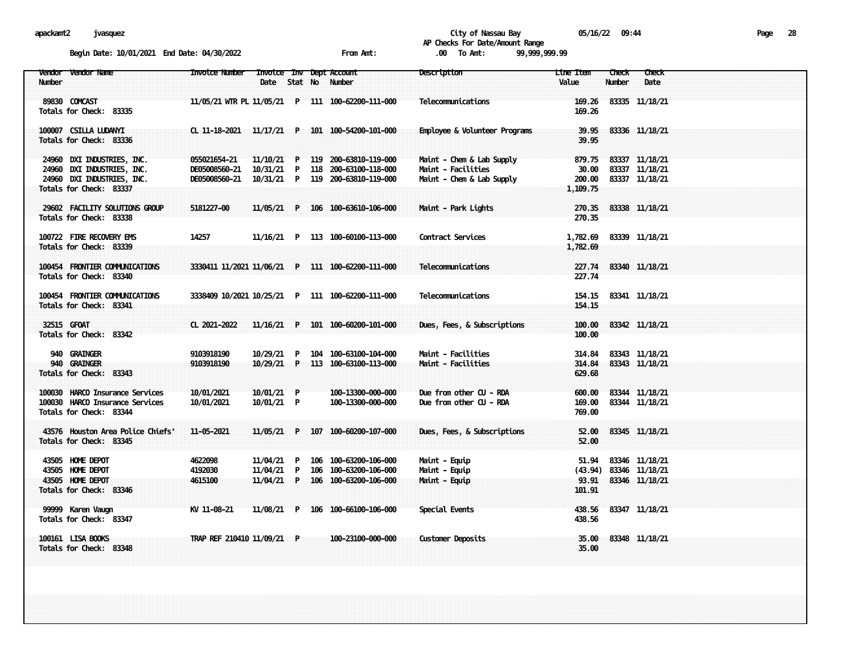**Totals for Check: 83347 438.56**

**Totals for Check: 83348 35.00**

**apackamt2 jvasquez City of Nassau Bay 05/16/22 09:44 Page 28 AP Checks For Date/Amount Range**

Begin Date: 10/01/2021 End Date: 04/30/2022 From Amt:

| vendor vendor Name<br>Number                                                                         |            |              |  | . Involces funbers involces invasibed account and complete beson besond of ton<br>Date Stat No Number |                                                    | ttne Item<br>Value      | <b>Theck</b><br><b>Number</b> | Tcheck<br>Date           |  |
|------------------------------------------------------------------------------------------------------|------------|--------------|--|-------------------------------------------------------------------------------------------------------|----------------------------------------------------|-------------------------|-------------------------------|--------------------------|--|
|                                                                                                      |            |              |  |                                                                                                       |                                                    |                         |                               |                          |  |
| 89830 COMCAST 200 2012 212 212 212 221 221 222 232 232 2330 2341 245 2542 2642 275 276 277 278 279 2 |            |              |  |                                                                                                       | <b>Telecommunications Telecommunications</b>       |                         |                               | 169.26 83335 11/18/21    |  |
| Totals for Check: 83335                                                                              |            |              |  |                                                                                                       |                                                    | 169.26                  |                               |                          |  |
|                                                                                                      |            |              |  |                                                                                                       | Employee & Volunteer Programs 39.95 83336 11/18/21 |                         |                               |                          |  |
| Totals for Check: 83336                                                                              |            |              |  |                                                                                                       |                                                    | 39.95                   |                               |                          |  |
| 24960 DXI INDUSTRIES, INC.                                                                           |            |              |  | 055021654-21 11/10/21 P 119 200-63810-119-000                                                         | Maint - Chem & Lab Supply                          |                         |                               | 879.75 83337 11/18/21    |  |
| 24960 DXI INDUSTRIES, INC.                                                                           |            |              |  | DE05008560-21 10/31/21 P 118 200-63100-118-000                                                        | Maint - Facilities                                 | 30.00                   |                               | 83337 11/18/21           |  |
| 24960 DXI INDUSTRIES, INC.                                                                           |            |              |  | DE05008560-21 10/31/21 P 119 200-63810-119-000                                                        | Maint - Chem & Lab Supply                          | 200.00                  |                               | 83337 11/18/21           |  |
| Totals for Check: 83337                                                                              |            |              |  |                                                                                                       |                                                    | 1,109.75                |                               |                          |  |
| 29602 FACILITY SOLUTIONS GROUP                                                                       | 5181227-00 |              |  | 11/05/21 P 106 100-63610-106-000                                                                      | Maint - Park Lights                                |                         |                               | 270.35 83338 11/18/21    |  |
| Totals for Check: 83338                                                                              |            |              |  |                                                                                                       |                                                    | 270.35                  |                               |                          |  |
| 100722 FIRE RECOVERY EMS                                                                             | 14257      |              |  | 11/16/21 P 113 100-60100-113-000                                                                      | Contract Services                                  | 1,782.69 83339 11/18/21 |                               |                          |  |
| Totals for Check: 83339                                                                              |            |              |  |                                                                                                       |                                                    | 1.782.69                |                               |                          |  |
| 100454 FRONTIER COMMUNICATIONS                                                                       |            |              |  | 3330411 11/2021 11/06/21 P 111 100-62200-111-000                                                      | <b>Telecomunications</b>                           |                         |                               | 227.74 83340 11/18/21    |  |
| Totals for Check: 83340                                                                              |            |              |  |                                                                                                       |                                                    | 227.74                  |                               |                          |  |
| 100454 FRONTIER COMMUNICATIONS                                                                       |            |              |  | 3338409 10/2021 10/25/21 P 111 100-62200-111-000                                                      | Telecommunications                                 |                         |                               | 154.15 83341 11/18/21    |  |
| Totals for Check: 83341                                                                              |            |              |  |                                                                                                       |                                                    | 154.15                  |                               |                          |  |
|                                                                                                      |            |              |  |                                                                                                       |                                                    |                         |                               |                          |  |
| 32515 GFOAT<br>Totals for Check: 83342                                                               |            |              |  | CL 2021-2022 11/16/21 P 101 100-60200-101-000                                                         | Dues, Fees, & Subscriptions                        | 100.00                  |                               | 100.00 83342 11/18/21    |  |
|                                                                                                      |            |              |  |                                                                                                       |                                                    |                         |                               |                          |  |
| 940 GRAINGER                                                                                         | 9103918190 |              |  | 10/29/21 P 104 100-63100-104-000                                                                      | Maint - Facilities                                 | 314.84                  |                               | 83343 11/18/21           |  |
| 940 GRAINGER                                                                                         | 9103918190 |              |  | $10/29/21$ P $113$ $100-63100-113-000$                                                                | Maint - Facilities                                 |                         |                               | 314.84 83343 11/18/21    |  |
| Totals for Check: 83343                                                                              |            |              |  |                                                                                                       |                                                    | 629.68                  |                               |                          |  |
| 100030 HARCO Insurance Services                                                                      | 10/01/2021 | $10/01/21$ P |  | 100-13300-000-000                                                                                     | Due from other CU - RDA                            |                         |                               | 600.00 83344 11/18/21    |  |
| 100030 HARCO Insurance Services                                                                      | 10/01/2021 | 10/01/21 P   |  | 100-13300-000-000                                                                                     | Due from other CU - RDA                            | 169.00                  |                               | 83344 11/18/21           |  |
| Totals for Check: 83344                                                                              |            |              |  |                                                                                                       |                                                    | 769.00                  |                               |                          |  |
| 43576 Houston Area Police Chiefs'                                                                    | 11-05-2021 |              |  | 11/05/21 P 107 100-60200-107-000                                                                      | Dues, Fees, & Subscriptions                        |                         |                               | 52.00 83345 11/18/21     |  |
| Totals for Check: 83345                                                                              |            |              |  |                                                                                                       |                                                    | 52.00                   |                               |                          |  |
| 43505 HOME DEPOT                                                                                     | 4622098    |              |  | 11/04/21 P 106 100-63200-106-000                                                                      | Maint - Equip                                      |                         |                               | 51.94 83346 11/18/21     |  |
| 43505 HOME DEPOT                                                                                     | 4192030    |              |  | 11/04/21 P 106 100-63200-106-000                                                                      | Maint - Equip                                      |                         |                               | $(43.94)$ 83346 11/18/21 |  |
| 43505 HOME DEPOT                                                                                     | 4615100    |              |  | $11/04/21$ P $106$ $100-63200-106-000$                                                                | Maint - Equip                                      |                         |                               | 93.91 83346 11/18/21     |  |
| Totals for Check: 83346                                                                              |            |              |  |                                                                                                       |                                                    | 101.91                  |                               |                          |  |

**99999 Karen Vaugn KV 11-08-21 11/08/21 P 106 100-66100-106-000 Special Events 438.56 83347 11/18/21**

100161 LISA BOOKS 33348 TRAP REF 210410 11/09/21 P 100-23100-000-000 Customer Deposits 35.00 33348 11/18/21 Totals for Check: 83348 11/18/21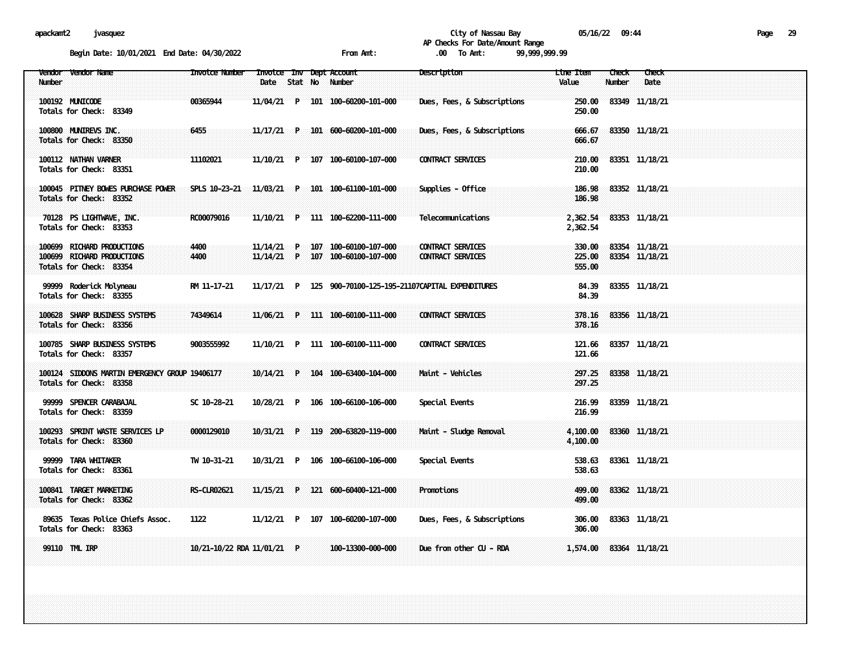**Totals for Check: 83363 306.00**

**apackamt2 jvasquez City of Nassau Bay 05/16/22 09:44 Page 29 AP Checks For Date/Amount Range** Begin Date: 10/01/2021 End Date: 04/30/2022 From Amt: 00 To Amt: 99,999,999.99

**Vendor Vendor Name Invoice Number Invoice Inv Dept Account Description Line Item Check Check Number Date Stat No Number Value Number Date** 100192 MUNICODE 250.00 83349 11/18/21 01004/21 P 101 100-60200-101-000 Dues, Fees, & Subscriptions 250.00 83349 11/18/21<br>Totals for Check: 83349 250.00 **Totals for Check: 83349 250.00** 100800 MUNIREVS INC. (435 6455 11/17/21 P 101 600-60200-101-000 Dues, Fees, & Subscriptions 666.67 83350 11/18/21<br>Totals for Check: 83350 666.67 666.67 **Totals for Check: 83350 666.67** 11102021 11/18/21 P 107 100-60100-107-000 CONTRACT SERVICES 210.00 83351 11/18/21 **Totals for Check: 83351 210.00** 100045 PITNEY BOWES PURCHASE POWER SPLS 10-23-21 11/03/21 P 101 100-61100-101-000 Supplies - Office 196.98 23352 11/18/21<br>Totals for Check: 83352 11/18/21 **Totals for Check: 83352 186.98** 70128 PS LIGHTWAVE, INC. 83353 RC00079016 11/10/21 P 111 100-62200-111-000 Telecommunications 2.362.54 83353 11/18/21 **Totals for Check: 83353 2,362.54**  $11/14/21 = P-100699 = RICHARD = RODUCTIONS$ 100699 RICHARD PRODUCTIONS 4400 400 11/14/21 P 107 100-60100-107-000 CONTRACT SERVICES 225.00 83354 11/18/21 **Totals for Check: 83354 555.00** 99999 Roderick Molyneau 23355 11/18/21 11/17/21 P 125 900-70100-125-195-21107CAPITAL EXPENDITURES 84.39 83355 11/18/21 **Totals for Check: 83355 84.39** 100628 SHARP BUSINESS SYSTEMS 74349614 11/06/21 P 111 100-60100-111-000 CONTRACT SERVICES 378.16 83356 11/18/21 **Totals for Check: 83356 378.16** 100785 SHARP BUSINESS SYSTEMS 9003555992 11/10/21 P 111 100-60100-111-000 CONTRACT SERVICES 121.66 83357 11/18/21 **Totals for Check: 83357 121.66** 100124 SIDDONS MARTIN EMERGENCY GROUP 19406177 10/14/21 P 104 100-63400-104-000 Maint - Vehicles 297.25 83358 11/18/21 **Totals for Check: 83358 297.25 99999 SPENCER CARABAJAL SC 10-28-21 10/28/21 P 106 100-66100-106-000 Special Events 216.99 83359 11/18/21 Totals for Check: 83359 216.99** 100293 SPRINT WASTE SERVICES LP 0000129010 10/31/21 P 119 200-63820-119-000 Maint - Sludge Removal 4,100.00 83360 11/18/21<br>19 Totals for Check: 83360 11/18/21 **Totals for Check: 83360 4,100.00 99999 TARA WHITAKER TW 10-31-21 10/31/21 P 106 100-66100-106-000 Special Events 538.63 83361 11/18/21 Totals for Check: 83361 538.63** 100841 TARGET MARKETING 83362 RS-CLR02621 11/15/21 P 121 600-60400-121-000 Promotions 499.00 83362 11/18/21 **Totals for Check: 83362 499.00** 89635 Texas Police Chiefs Assoc. 1122 12/12/21 P 107 100-60200-107-000 Dues, Fees, & Subscriptions 306.00 83363 11/18/21<br>Totals for Check: 83363 11/18/21

99110 TML IRP 63364 11/18/21 2004 11/01/21 P 100-13300-000-000 Due from other CU - RDA 1.574.00 83364 11/18/21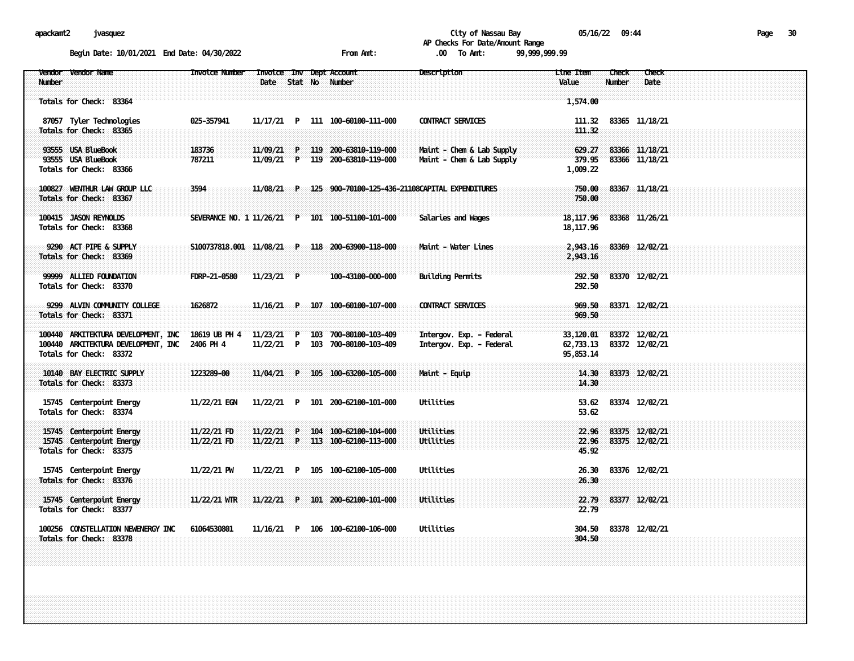**apackamt2 jvasquez City of Nassau Bay 05/16/22 09:44 Page 30 AP Checks For Date/Amount Range Begin Date: 10/01/2021 End Date: 04/30/2022 From Amt: .00 To Amt: 99,999,999.99**

| <del>Vendor Vendor Name</del><br><b>Number</b>                                                        | <b>Invotce Numbers</b>       |              |  | <b>Invotce Inv Dept Account</b><br>Date Stat No Number               | <b>Description</b>                                             | Etne Item<br>Value                  | Check<br><b>Number</b> | Check<br>Date                    |  |
|-------------------------------------------------------------------------------------------------------|------------------------------|--------------|--|----------------------------------------------------------------------|----------------------------------------------------------------|-------------------------------------|------------------------|----------------------------------|--|
| Totals for Check: 83364                                                                               |                              |              |  |                                                                      |                                                                | 1,574.00                            |                        |                                  |  |
| 87057 Tyler Technologies<br>Totals for Check: 83365                                                   | 025-357941                   |              |  | 11/17/21 P 111 100-60100-111-000                                     | <b>CONTRACT SERVICES</b>                                       | 111.32<br>111.32                    |                        | 83365 11/18/21                   |  |
| 93555 USA BlueBook<br>93555 USA BlueBook<br>Totals for Check: 83366                                   | 183736<br>787211             |              |  | 11/09/21 P 119 200-63810-119-000<br>11/09/21 P 119 200-63810-119-000 | Maint - Chem & Lab Supply<br>Maint - Chem & Lab Supply         | 629.27<br>379.95<br>1,009.22        |                        | 83366 11/18/21<br>83366 11/18/21 |  |
| 100827 MENTHUR LAW GROUP LLC<br>Totals for Check: 83367                                               | 3594                         |              |  |                                                                      | $11/08/21$ P $125$ 900–70100–125–436–21108CAPITAL EXPENDITURES | 750.00<br>750.00                    |                        | 83367 11/18/21                   |  |
| 100415 JASON REYNOLDS<br>Totals for Check: 83368                                                      |                              |              |  | SEVERANCE NO. 1 11/26/21 P 101 100-51100-101-000                     | Salaries and Wages                                             | 18, 117.96<br>18, 117.96            |                        | 83368 11/26/21                   |  |
| 9290 ACT PIPE & SUPPLY<br>Totals for Check: 83369                                                     |                              |              |  | S100737818.001 11/08/21 P 118 200-63900-118-000                      | Maint - Water Lines                                            | 2,943.16<br>2,943.16                |                        | 83369 12/02/21                   |  |
| 99999 ALLIED FOUNDATION<br>Totals for Check: 83370                                                    | FDRP-21-0580                 | $11/23/21$ P |  | 100-43100-000-000                                                    | <b>Building Permits</b>                                        | 292.50<br>292.50                    |                        | 83370 12/02/21                   |  |
| 9299 ALVIN COMMUNITY COLLEGE<br>Totals for Check: 83371                                               | 1626872                      |              |  | 11/16/21 P 107 100-60100-107-000                                     | <b>CONTRACT SERVICES</b>                                       | 969.50<br>969.50                    |                        | 83371 12/02/21                   |  |
| 100440 ARKITEKTURA DEVELOPMENT, INC<br>100440 ARKITEKTURA DEVELOPMENT, INC<br>Totals for Check: 83372 | 18619 UB PH 4<br>2406 PH 4   | 11/22/21 P   |  | 11/23/21 P 103 700-80100-103-409<br>103 700-80100-103-409            | Intergov. Exp. - Federal<br>Intergov. Exp. - Federal           | 33,120.01<br>62,733.13<br>95,853.14 |                        | 83372 12/02/21<br>83372 12/02/21 |  |
| 10140 BAY ELECTRIC SUPPLY<br>Totals for Check: 83373                                                  | 1223289-00                   |              |  | 11/04/21 P 105 100-63200-105-000                                     | Maint - Equip                                                  | 14.30<br>14.30                      |                        | 83373 12/02/21                   |  |
| 15745 Centerpoint Energy<br>Totals for Check: 83374                                                   | 11/22/21 EGN                 |              |  | 11/22/21 P 101 200-62100-101-000                                     | Utilities                                                      | 53.62<br>53.62                      |                        | 83374 12/02/21                   |  |
| 15745 Centerpoint Energy<br>15745 Centerpoint Energy<br>Totals for Check: 83375                       | $11/22/21$ FD<br>11/22/21 FD | $11/22/21$ P |  | 104 100-62100-104-000<br>11/22/21 P 113 100-62100-113-000            | Utilities<br><b>Utilities</b>                                  | 22.96<br>22.96<br>45.92             |                        | 83375 12/02/21<br>83375 12/02/21 |  |
| 15745 Centerpoint Energy<br>Totals for Check: 83376                                                   | 11/22/21 PW                  | $11/22/21$ P |  | 105 100-62100-105-000                                                | Utilities                                                      | 26.30<br>26.30                      |                        | 83376 12/02/21                   |  |
| 15745 Centerpoint Energy<br>Totals for Check: 83377                                                   | 11/22/21 WTR                 |              |  | 11/22/21 P 101 200-62100-101-000                                     | <b>Utilities</b>                                               | 22.79<br>22.79                      |                        | 83377 12/02/21                   |  |
| 100256 CONSTELLATION NEWENERGY INC<br>Totals for Check: 83378                                         | 61064530801                  |              |  | 11/16/21 P 106 100-62100-106-000                                     | Utilities                                                      | 304.50<br>304.50                    |                        | 83378 12/02/21                   |  |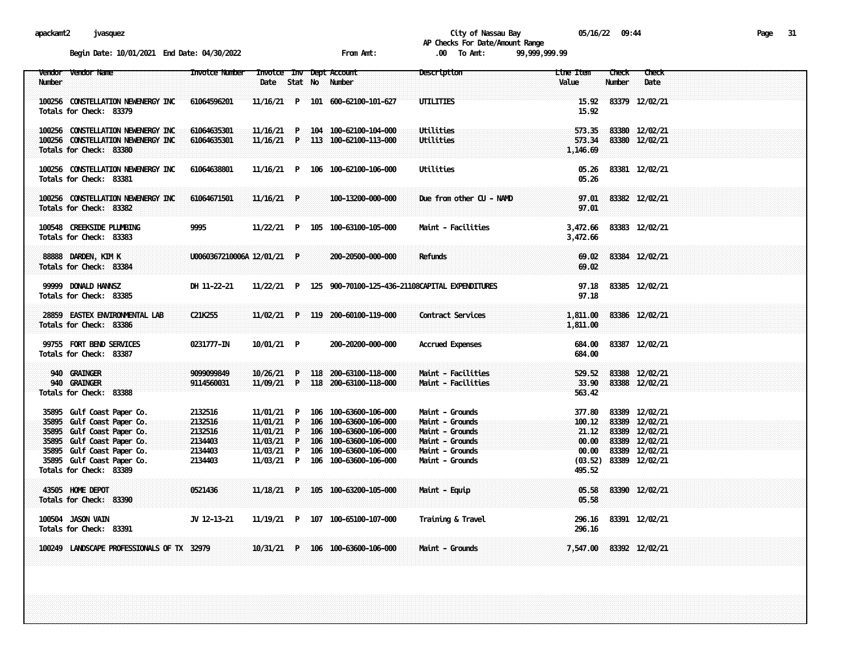**apackamt2 jvasquez City of Nassau Bay 05/16/22 09:44 Page 31 AP Checks For Date/Amount Range**

| <del>Vendor Vendor Name</del>              | <b>Invotce Number</b>      |              |  | <b>Invotce Inv Dept Account</b>                 | <b>Description</b>       | <b>Line Tiem</b>        | <b>Check</b>  | Check                    |  |
|--------------------------------------------|----------------------------|--------------|--|-------------------------------------------------|--------------------------|-------------------------|---------------|--------------------------|--|
| <b>Number</b>                              |                            |              |  | Date Stat No Number                             |                          | Value                   | <b>Number</b> | Date                     |  |
|                                            |                            |              |  |                                                 |                          |                         |               |                          |  |
| 100256 CONSTELLATION NEWENERGY INC         | 61064596201                |              |  | 11/16/21 P 101 600-62100-101-627                | <b>UTILITIES</b>         | 15.92                   |               | 83379 12/02/21           |  |
| Totals for Check: 83379                    |                            |              |  |                                                 |                          | 15.92                   |               |                          |  |
|                                            |                            |              |  |                                                 |                          |                         |               |                          |  |
| 100256 CONSTELLATION NEWENERGY INC         | 61064635301                | 11/16/21     |  | P 104 100-62100-104-000                         | <b>Utilities</b>         | 573.35                  |               | 83380 12/02/21           |  |
| 100256 CONSTELLATION NEWENERGY INC         | 61064635301                |              |  | 11/16/21 P 113 100-62100-113-000                | Utilities                | 573.34                  |               | 83380 12/02/21           |  |
| Totals for Check: 83380                    |                            |              |  |                                                 |                          | 1,146.69                |               |                          |  |
|                                            |                            |              |  |                                                 |                          |                         |               |                          |  |
| 100256 CONSTELLATION NEWENERGY INC         | 61064638801                | 11/16/21 P   |  | 106 100-62100-106-000                           | Utilities                | 05.26                   |               | 83381 12/02/21           |  |
| Totals for Check: 83381                    |                            |              |  |                                                 |                          | 05.26                   |               |                          |  |
|                                            |                            |              |  |                                                 |                          |                         |               |                          |  |
| 100256 CONSTELLATION NEWENERGY INC         | 61064671501                | $11/16/21$ P |  | 100-13200-000-000                               | Due from other CU - NAMD | 97.01                   |               | 83382 12/02/21           |  |
|                                            |                            |              |  |                                                 |                          |                         |               |                          |  |
| Totals for Check: 83382                    |                            |              |  |                                                 |                          | 97.01                   |               |                          |  |
|                                            |                            |              |  |                                                 |                          |                         |               |                          |  |
| 100548 CREEKSIDE PLUMBING                  | 9995                       | $11/22/21$ P |  | 105 100-63100-105-000                           | Maint - Facilities       | 3,472.66                |               | 83383 12/02/21           |  |
| Totals for Check: 83383                    |                            |              |  |                                                 |                          | 3,472.66                |               |                          |  |
|                                            |                            |              |  |                                                 |                          |                         |               |                          |  |
| 88888 DARDEN, KIM K                        | U0060367210006A 12/01/21 P |              |  | 200-20500-000-000                               | <b>Refunds</b>           | 69.02                   |               | 83384 12/02/21           |  |
| Totals for Check: 83384                    |                            |              |  |                                                 |                          | 69.02                   |               |                          |  |
|                                            |                            |              |  |                                                 |                          |                         |               |                          |  |
| 99999 DONALD HANNSZ                        | DH 11-22-21                | $11/22/21$ P |  | 125 900-70100-125-436-21108CAPITAL EXPENDITURES |                          | 97.18                   |               | 83385 12/02/21           |  |
| Totals for Check: 83385                    |                            |              |  |                                                 |                          | 97.18                   |               |                          |  |
|                                            |                            |              |  |                                                 |                          |                         |               |                          |  |
| 28859 EASTEX ENVIRONMENTAL LAB             | <b>C21K255</b>             |              |  | 11/02/21 P 119 200-60100-119-000                | Contract Services        | 1,811.00                |               | 83386 12/02/21           |  |
| Totals for Check: 83386                    |                            |              |  |                                                 |                          | 1,811.00                |               |                          |  |
|                                            |                            |              |  |                                                 |                          |                         |               |                          |  |
| 99755 FORT BEND SERVICES                   | 0231777-IN                 | $10/01/21$ P |  | 200-20200-000-000                               | <b>Accrued Expenses</b>  | 684.00                  |               | 83387 12/02/21           |  |
| Totals for Check: 83387                    |                            |              |  |                                                 |                          | 684.00                  |               |                          |  |
|                                            |                            |              |  |                                                 |                          |                         |               |                          |  |
| 940 GRAINGER                               | 9099099849                 | $10/26/21$ P |  | 118 200-63100-118-000                           | Maint - Facilities       | 529.52                  |               | 83388 12/02/21           |  |
| 940 GRAINGER                               | 9114560031                 |              |  | 11/09/21 P 118 200-63100-118-000                | Maint - Facilities       | 33.90                   |               | 83388 12/02/21           |  |
| Totals for Check: 83388                    |                            |              |  |                                                 |                          | 563.42                  |               |                          |  |
|                                            |                            |              |  |                                                 |                          |                         |               |                          |  |
| 35895 Gulf Coast Paper Co.                 | 2132516                    | $11/01/21$ P |  | 106 100-63600-106-000                           | Maint - Grounds          | 377.80                  |               | 83389 12/02/21           |  |
| 35895 Gulf Coast Paper Co.                 | 2132516                    | $11/01/21$ P |  | 106 100-63600-106-000                           | Maint - Grounds          | 100.12                  |               | 83389 12/02/21           |  |
|                                            |                            |              |  |                                                 |                          |                         |               |                          |  |
| 35895 Gulf Coast Paper Co.                 | 2132516                    |              |  | 11/01/21 P 106 100-63600-106-000                | Maint - Grounds          | 21.12                   |               | 83389 12/02/21           |  |
| 35895 Gulf Coast Paper Co.                 | 2134403                    |              |  | 11/03/21 P 106 100-63600-106-000                | Maint - Grounds          | 00.00                   |               | 83389 12/02/21           |  |
| 35895 Gulf Coast Paper Co.                 | 2134403                    |              |  | 11/03/21 P 106 100-63600-106-000                | Maint - Grounds          | 00.00                   |               | 83389 12/02/21           |  |
| 35895 Gulf Coast Paper Co.                 | 2134403                    |              |  | 11/03/21 P 106 100-63600-106-000                | Maint - Grounds          |                         |               | $(03.52)$ 83389 12/02/21 |  |
| Totals for Check: 83389                    |                            |              |  |                                                 |                          | 495.52                  |               |                          |  |
|                                            |                            |              |  |                                                 |                          |                         |               |                          |  |
| 43505 HOME DEPOT                           | 0521436                    |              |  | 11/18/21 P 105 100-63200-105-000                | Maint - Equip            | 05.58                   |               | 83390 12/02/21           |  |
| Totals for Check: 83390                    |                            |              |  |                                                 |                          | 05.58                   |               |                          |  |
|                                            |                            |              |  |                                                 |                          |                         |               |                          |  |
| 100504 JASON VAIN                          | JV 12-13-21                |              |  | 11/19/21 P 107 100-65100-107-000                | Training & Travel        | 296.16                  |               | 83391 12/02/21           |  |
| Totals for Check: 83391                    |                            |              |  |                                                 |                          | 296.16                  |               |                          |  |
|                                            |                            |              |  |                                                 |                          |                         |               |                          |  |
| 100249 LANDSCAPE PROFESSIONALS OF TX 32979 |                            |              |  | 10/31/21 P 106 100-63600-106-000                | Maint - Grounds          | 7,547.00 83392 12/02/21 |               |                          |  |
|                                            |                            |              |  |                                                 |                          |                         |               |                          |  |
|                                            |                            |              |  |                                                 |                          |                         |               |                          |  |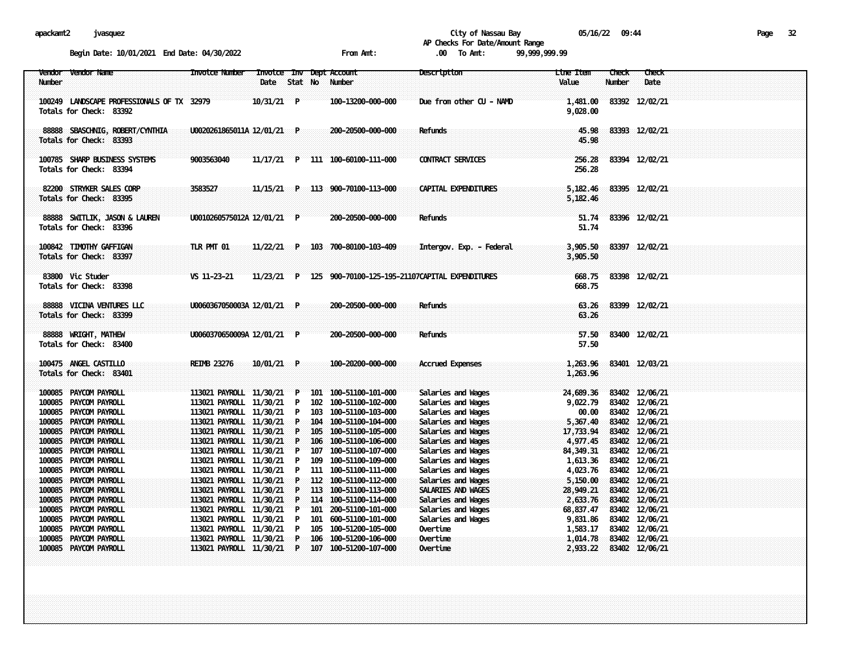**apackamt2 jvasquez City of Nassau Bay 05/16/22 09:44 Page 32 AP Checks For Date/Amount Range**

|               | Vendor Vendor Name                             | <b>Invoice Number</b>                              | <b>Invotce Inv Dept Account</b> |                     |     |                                                 | Description                              | ttne Item             | <b>Theck</b>  | <b>Check</b>                     |  |  |  |
|---------------|------------------------------------------------|----------------------------------------------------|---------------------------------|---------------------|-----|-------------------------------------------------|------------------------------------------|-----------------------|---------------|----------------------------------|--|--|--|
| <b>Number</b> |                                                |                                                    | Date Stat No                    |                     |     | Number                                          |                                          | Value                 | <b>Number</b> | Date                             |  |  |  |
|               |                                                |                                                    |                                 |                     |     |                                                 |                                          |                       |               |                                  |  |  |  |
|               | 100249 LANDSCAPE PROFESSIONALS OF TX 32979     |                                                    | $10/31/21$ P                    |                     |     | 100-13200-000-000                               | Due from other CU - NAMD                 | 1,481.00              |               | 83392 12/02/21                   |  |  |  |
|               | Totals for Check: 83392                        |                                                    |                                 |                     |     |                                                 |                                          | 9,028.00              |               |                                  |  |  |  |
|               | 88888 SBASCHNIG, ROBERT/CYNTHIA                | U0020261865011A 12/01/21 P                         |                                 |                     |     | 200-20500-000-000                               | <b>Refunds</b>                           | 45.98                 |               | 83393 12/02/21                   |  |  |  |
|               | Totals for Check: 83393                        |                                                    |                                 |                     |     |                                                 |                                          | 45.98                 |               |                                  |  |  |  |
|               |                                                |                                                    |                                 |                     |     |                                                 |                                          |                       |               |                                  |  |  |  |
|               | 100785 SHARP BUSINESS SYSTEMS                  | 9003563040                                         |                                 |                     |     |                                                 | <b>CONTRACT SERVICES</b>                 | 256.28                |               | 83394 12/02/21                   |  |  |  |
|               | Totals for Check: 83394                        |                                                    |                                 |                     |     |                                                 |                                          | 256.28                |               |                                  |  |  |  |
|               |                                                |                                                    |                                 |                     |     |                                                 |                                          |                       |               |                                  |  |  |  |
|               | 82200 STRYKER SALES CORP                       | 3583527                                            |                                 |                     |     | 11/15/21 P 113 900-70100-113-000                | <b>CAPITAL EXPENDITURES</b>              | 5,182.46              |               | 83395 12/02/21                   |  |  |  |
|               | Totals for Check: 83395                        |                                                    |                                 |                     |     |                                                 |                                          | 5,182.46              |               |                                  |  |  |  |
|               |                                                |                                                    |                                 |                     |     |                                                 |                                          |                       |               |                                  |  |  |  |
|               | 88888 SWITLIK, JASON & LAUREN                  | U0010260575012A 12/01/21 P                         |                                 |                     |     | 200-20500-000-000                               | <b>Refunds</b>                           | 51.74                 |               | 83396 12/02/21                   |  |  |  |
|               | Totals for Check: 83396                        |                                                    |                                 |                     |     |                                                 |                                          | 51.74                 |               |                                  |  |  |  |
|               |                                                |                                                    |                                 |                     |     |                                                 |                                          |                       |               |                                  |  |  |  |
|               | 100842 TIMOTHY GAFFIGAN                        | <b>TLR PMT 01</b>                                  | 11/22/21                        | ା ମ                 |     | 103 700-80100-103-409                           | Intergov. Exp. - Federal                 | 3,905.50              |               | 83397 12/02/21                   |  |  |  |
|               | Totals for Check: 83397                        |                                                    |                                 |                     |     |                                                 |                                          | 3,905.50              |               |                                  |  |  |  |
|               |                                                |                                                    |                                 |                     |     |                                                 |                                          |                       |               |                                  |  |  |  |
|               | 83800 Vic Studer<br>Totals for Check: 83398    | VS 11-23-21                                        | 11/23/21                        | ‴ P″                |     | 125 900-70100-125-195-21107CAPITAL EXPENDITURES |                                          | 668.75<br>668.75      |               | 83398 12/02/21                   |  |  |  |
|               |                                                |                                                    |                                 |                     |     |                                                 |                                          |                       |               |                                  |  |  |  |
|               | 88888 VICINA VENTURES LLC                      | U0060367050003A 12/01/21 P                         |                                 |                     |     | 200-20500-000-000                               | <b>Refunds</b>                           | 63.26                 |               | 83399 12/02/21                   |  |  |  |
|               | Totals for Check: 83399                        |                                                    |                                 |                     |     |                                                 |                                          | 63.26                 |               |                                  |  |  |  |
|               |                                                |                                                    |                                 |                     |     |                                                 |                                          |                       |               |                                  |  |  |  |
|               | 88888 WRIGHT, MATHEW                           | U0060370650009A 12/01/21 P                         |                                 |                     |     | 200-20500-000-000                               | <b>Refunds</b>                           | 57.50                 |               | 83400 12/02/21                   |  |  |  |
|               | Totals for Check: 83400                        |                                                    |                                 |                     |     |                                                 |                                          | 57.50                 |               |                                  |  |  |  |
|               |                                                |                                                    |                                 |                     |     |                                                 |                                          |                       |               |                                  |  |  |  |
|               | 100475 ANGEL CASTILLO                          | <b>REIMB 23276</b>                                 | $10/01/21$ P                    |                     |     | 100-20200-000-000                               | <b>Accrued Expenses</b>                  | 1,263.96              |               | 83401 12/03/21                   |  |  |  |
|               | Totals for Check: 83401                        |                                                    |                                 |                     |     |                                                 |                                          | 1,263.96              |               |                                  |  |  |  |
|               |                                                |                                                    |                                 |                     |     |                                                 |                                          |                       |               |                                  |  |  |  |
|               | 100085 PAYCOM PAYROLL                          | 113021 PAYROLL 11/30/21                            |                                 | ∵ P                 |     | 101 100-51100-101-000                           | Salaries and Wages                       | 24,689.36             |               | 83402 12/06/21                   |  |  |  |
|               | 100085 PAYCOM PAYROLL                          | 113021 PAYROLL 11/30/21                            |                                 | $\mathsf{P}$        |     | 102 100-51100-102-000                           | Salaries and Wages                       | 9,022.79              |               | 83402 12/06/21                   |  |  |  |
|               | 100085 PAYCOM PAYROLL                          | 113021 PAYROLL 11/30/21 P                          |                                 |                     |     | 103 100-51100-103-000                           | Salaries and Wages                       | 00.00                 |               | 83402 12/06/21                   |  |  |  |
|               | 100085 PAYCOM PAYROLL                          | 113021 PAYROLL 11/30/21                            |                                 | ାନ                  |     | 104 100-51100-104-000                           | Salaries and Wages                       | 5,367.40              |               | 83402 12/06/21                   |  |  |  |
|               | 100085 PAYCOM PAYROLL                          | 113021 PAYROLL 11/30/21                            |                                 | ∵P                  |     | 105 100-51100-105-000                           | Salaries and Wages                       | 17,733.94             |               | 83402 12/06/21                   |  |  |  |
|               | 100085 PAYCOM PAYROLL                          | 113021 PAYROLL 11/30/21<br>113021 PAYROLL 11/30/21 |                                 | $\mathbf{P}$<br>ືP. |     | 106 100-51100-106-000                           | Salaries and Wages                       | 4,977.45              |               | 83402 12/06/21<br>83402 12/06/21 |  |  |  |
|               | 100085 PAYCOM PAYROLL<br>100085 PAYCOM PAYROLL | 113021 PAYROLL 11/30/21                            |                                 | - P                 | 109 | 107 100-51100-107-000<br>100-51100-109-000      | Salaries and Wages<br>Salaries and Wages | 84,349.31<br>1,613.36 |               | 83402 12/06/21                   |  |  |  |
|               | 100085 PAYCOM PAYROLL                          | 113021 PAYROLL 11/30/21                            |                                 | $\mathbf{P}$        |     | 111 100-51100-111-000                           | Salaries and Wages                       | 4,023.76              |               | 83402 12/06/21                   |  |  |  |
|               | 100085 PAYCOM PAYROLL                          | 113021 PAYROLL 11/30/21                            |                                 | ∵.P                 |     | 112 100-51100-112-000                           | Salaries and Wages                       | 5,150.00              |               | 83402 12/06/21                   |  |  |  |
|               | 100085 PAYCOM PAYROLL                          | 113021 PAYROLL 11/30/21                            |                                 | $\mathsf{P}$        |     | 113 100-51100-113-000                           | SALARIES AND WAGES                       | 28,949.21             |               | 83402 12/06/21                   |  |  |  |
|               | 100085 PAYCOM PAYROLL                          | 113021 PAYROLL 11/30/21                            |                                 | ႃၣႜ                 |     | 114 100-51100-114-000                           | Salaries and Wages                       | 2,633.76              |               | 83402 12/06/21                   |  |  |  |
|               | 100085 PAYCOM PAYROLL                          | 113021 PAYROLL 11/30/21                            |                                 | ∵P′                 |     | 101 200-51100-101-000                           | Salaries and Wages                       | 68,837.47             |               | 83402 12/06/21                   |  |  |  |
|               | 100085 PAYCOM PAYROLL                          | 113021 PAYROLL 11/30/21                            |                                 | $\mathsf{P}$        |     | 101 600-51100-101-000                           | Salaries and Wages                       | 9,831.86              |               | 83402 12/06/21                   |  |  |  |
|               | 100085 PAYCOM PAYROLL                          | 113021 PAYROLL 11/30/21                            |                                 | - P                 |     | 105 100-51200-105-000                           | Overtime                                 | 1,583.17              |               | 83402 12/06/21                   |  |  |  |
|               | 100085 PAYCOM PAYROLL                          | 113021 PAYROLL 11/30/21                            |                                 | -P.                 |     | 106 100-51200-106-000                           | Overtime                                 | 1,014.78              |               | 83402 12/06/21                   |  |  |  |
|               | 100085 PAYCOM PAYROLL                          | 113021 PAYROLL 11/30/21                            |                                 | းခု                 |     | 107 100-51200-107-000                           | Overtume                                 | 2,933.22              |               | 83402 12/06/21                   |  |  |  |
|               |                                                |                                                    |                                 |                     |     |                                                 |                                          |                       |               |                                  |  |  |  |
|               |                                                |                                                    |                                 |                     |     |                                                 |                                          |                       |               |                                  |  |  |  |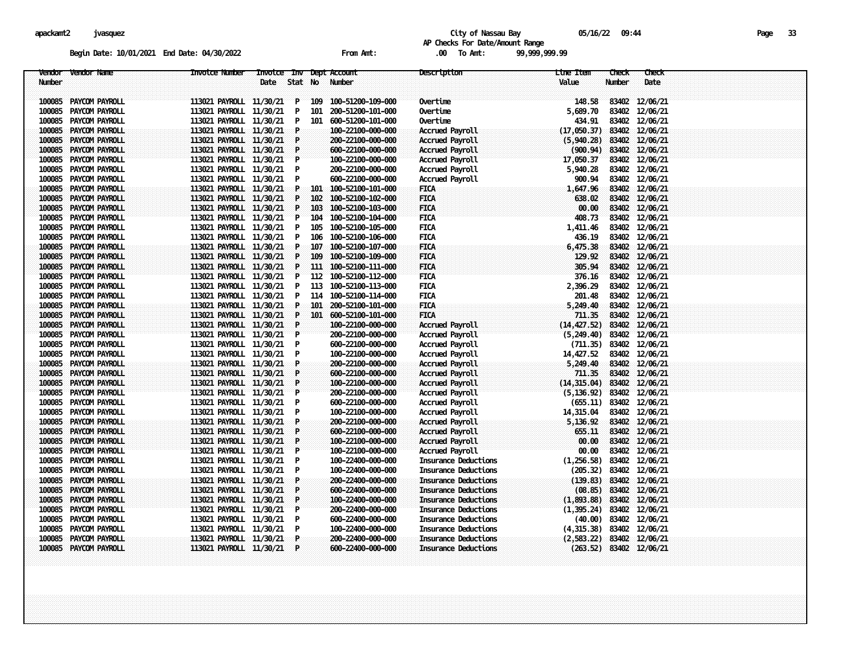## **apackamt2 jvasquez City of Nassau Bay 05/16/22 09:44 Page 33 AP Checks For Date/Amount Range**

| venaor | <b>Vendor Name</b>    | <b>Involce Number</b>     | <b>Invoice Inv Dept Account</b> |      |                   | Description                 | Etne Item                   | <b>URECK</b> | Check                   |  |
|--------|-----------------------|---------------------------|---------------------------------|------|-------------------|-----------------------------|-----------------------------|--------------|-------------------------|--|
| Number |                       |                           | Stat No<br>Date                 |      | <b>Number</b>     |                             | Value                       | Number       | Date                    |  |
|        |                       |                           |                                 |      |                   |                             |                             |              |                         |  |
| 100085 | PAYCOM PAYROLL        | 113021 PAYROLL 11/30/21   | `P                              | 109  | 100-51200-109-000 | Overtime                    | 148.58                      | 83402        | 12/06/21                |  |
| 100085 | PAYCOM PAYROLL        | 113021 PAYROLL 11/30/21   | P                               | 101  | 200-51200-101-000 | Overtime                    | 5,689.70                    | 83402        | 12/06/21                |  |
| 100085 | PAYCOM PAYROLL        | 113021 PAYROLL 11/30/21   | $\mathsf{P}$                    | 101  | 600-51200-101-000 | Overtime                    | 434.91                      | 83402        | 12/06/21                |  |
| 100085 | PAYCOM PAYROLL        | 113021 PAYROLL 11/30/21   | ⊹ P                             |      | 100-22100-000-000 | <b>Accrued Payroll</b>      | (17,050.37)                 | 83402        | 12/06/21                |  |
| 100085 | <b>PAYCOM PAYROLL</b> | 113021 PAYROLL 11/30/21   | ு                               |      | 200-22100-000-000 | <b>Accrued Payroll</b>      | (5,940.28)                  | 83402        | 12/06/21                |  |
| 100085 | PAYCOM PAYROLL        | 113021 PAYROLL 11/30/21   | P                               |      | 600-22100-000-000 | <b>Accrued Payroll</b>      | (900.94)                    |              | 83402 12/06/21          |  |
| 100085 | PAYCOM PAYROLL        | 113021 PAYROLL 11/30/21   | P                               |      | 100-22100-000-000 | <b>Accrued Payroll</b>      | 17,050.37                   | 83402        | 12/06/21                |  |
| 100085 | PAYCOM PAYROLL        | 113021 PAYROLL 11/30/21   | P                               |      | 200-22100-000-000 | <b>Accrued Payroll</b>      | 5,940.28                    | 83402        | 12/06/21                |  |
| 100085 | Paycom Payroll        | 113021 PAYROLL 11/30/21   | P                               |      | 600-22100-000-000 | <b>Accrued Payroll</b>      | 900.94                      | 83402        | 12/06/21                |  |
| 100085 | <b>PAYCOM PAYROLL</b> | 113021 PAYROLL 11/30/21   |                                 | -101 | 100-52100-101-000 | <b>FICA</b>                 | 1,647.96                    |              | 83402 12/06/21          |  |
| 100085 | PAYCOM PAYROLL        | 113021 PAYROLL 11/30/21   | -P                              | 102  | 100-52100-102-000 | <b>FICA</b>                 | 638.02                      | 83402        | 12/06/21                |  |
|        | 100085 PAYCOM PAYROLL | 113021 PAYROLL 11/30/21   | P                               | 103  | 100-52100-103-000 | <b>FICA</b>                 | 00.00                       |              | 83402 12/06/21          |  |
| 100085 | <b>PAYCOM PAYROLL</b> | 113021 PAYROLL 11/30/21   | ႃၣႃ                             | 104  | 100-52100-104-000 | <b>FICA</b>                 | 408.73                      | 83402        | 12/06/21                |  |
| 100085 | PAYCOM PAYROLL        | 113021 PAYROLL 11/30/21   | P                               | 105  | 100-52100-105-000 | <b>FICA</b>                 | 1,411.46                    | 83402        | 12/06/21                |  |
| 100085 | PAYCOM PAYROLL        | 113021 PAYROLL 11/30/21   | P                               | 106  | 100-52100-106-000 | <b>FICA</b>                 | 436.19                      | 83402        | 12/06/21                |  |
| 100085 | <b>PAYCOM PAYROLL</b> | 113021 PAYROLL 11/30/21   | ା ମ                             | 107  | 100-52100-107-000 | <b>FICA</b>                 | 6,475.38                    |              | 83402 12/06/21          |  |
| 100085 | PAYCOM PAYROLL        | 113021 PAYROLL 11/30/21   | ႃၣႜ                             | 109  | 100-52100-109-000 | <b>FICA</b>                 | 129.92                      |              | 83402 12/06/21          |  |
| 100085 | PAYCOM PAYROLL        | 113021 PAYROLL 11/30/21   | P                               | 111  | 100-52100-111-000 | <b>FICA</b>                 | 305.94                      |              | 83402 12/06/21          |  |
| 100085 | <b>PAYCOM PAYROLL</b> | 113021 PAYROLL 11/30/21   | $\mathsf{P}$                    | 112  | 100-52100-112-000 | <b>FICA</b>                 | 376.16                      | 83402        | 12/06/21                |  |
| 100085 | PAYCOM PAYROLL        | 113021 PAYROLL 11/30/21   | P                               | 113  | 100-52100-113-000 | <b>FICA</b>                 |                             | 83402        | 12/06/21                |  |
|        |                       |                           |                                 |      |                   |                             | 2,396.29                    |              |                         |  |
| 100085 | PAYCOM PAYROLL        | 113021 PAYROLL 11/30/21   | P                               | 114  | 100-52100-114-000 | <b>FICA</b>                 | 201.48                      | 83402        | 12/06/21                |  |
| 100085 | PAYCOM PAYROLL        | 113021 PAYROLL 11/30/21   | - P                             | 101  | 200-52100-101-000 | <b>FICA</b>                 | 5,249.40                    | 83402        | 12/06/21                |  |
| 100085 | PAYCOM PAYROLL        | 113021 PAYROLL 11/30/21   | P                               | 101  | 600-52100-101-000 | <b>FICA</b>                 | 711.35                      | 83402        | 12/06/21                |  |
| 100085 | PAYCOM PAYROLL        | 113021 PAYROLL 11/30/21   | P                               |      | 100-22100-000-000 | <b>Accrued Payroll</b>      | (14, 427.52)                | 83402        | 12/06/21                |  |
| 100085 | PAYCOM PAYROLL        | 113021 PAYROLL 11/30/21 P |                                 |      | 200-22100-000-000 | <b>Accrued Payroll</b>      | (5, 249.40)                 | 83402        | 12/06/21                |  |
| 100085 | PAYCOM PAYROLL        | 113021 PAYROLL 11/30/21   | P                               |      | 600-22100-000-000 | <b>Accrued Payroll</b>      | (711.35)                    | 83402        | 12/06/21                |  |
| 100085 | PAYCOM PAYROLL        | 113021 PAYROLL 11/30/21   | P                               |      | 100-22100-000-000 | <b>Accrued Payroll</b>      | 14,427.52                   | 83402        | 12/06/21                |  |
| 100085 | PAYCOM PAYROLL        | 113021 PAYROLL 11/30/21   | P                               |      | 200-22100-000-000 | <b>Accrued Payroll</b>      | 5,249.40                    | 83402        | 12/06/21                |  |
| 100085 | PAYCOM PAYROLL        | 113021 PAYROLL 11/30/21   | P                               |      | 600-22100-000-000 | <b>Accrued Payroll</b>      | 711.35                      | 83402        | 12/06/21                |  |
| 100085 | PAYCOM PAYROLL        | 113021 PAYROLL 11/30/21   | P                               |      | 100-22100-000-000 | <b>Accrued Payroll</b>      | (14, 315.04)                | 83402        | 12/06/21                |  |
| 100085 | PAYCOM PAYROLL        | 113021 PAYROLL 11/30/21   | P                               |      | 200-22100-000-000 | <b>Accrued Payroll</b>      | (5, 136.92)                 | 83402        | 12/06/21                |  |
| 100085 | PAYCOM PAYROLL        | 113021 PAYROLL 11/30/21   | P                               |      | 600-22100-000-000 | <b>Accrued Payroll</b>      | (655.11)                    | 83402        | 12/06/21                |  |
| 100085 | PAYCOM PAYROLL        | 113021 PAYROLL 11/30/21   | P                               |      | 100-22100-000-000 | <b>Accrued Payroll</b>      | 14,315.04                   | 83402        | 12/06/21                |  |
| 100085 | PAYCOM PAYROLL        | 113021 PAYROLL 11/30/21   | P                               |      | 200-22100-000-000 | <b>Accrued Payroll</b>      | 5,136.92                    | 83402        | 12/06/21                |  |
| 100085 | PAYCOM PAYROLL        | 113021 PAYROLL 11/30/21   | P                               |      | 600-22100-000-000 | <b>Accrued Payroll</b>      | 655.11                      |              | 83402 12/06/21          |  |
| 100085 | PAYCOM PAYROLL        | 113021 PAYROLL 11/30/21   | P                               |      | 100-22100-000-000 | <b>Accrued Payroll</b>      | 00.00                       | 83402        | 12/06/21                |  |
| 100085 | <b>PAYCOM PAYROLL</b> | 113021 PAYROLL 11/30/21   | P                               |      | 100-22100-000-000 | <b>Accrued Payroll</b>      | 00.00                       | 83402        | 12/06/21                |  |
| 100085 | PAYCOM PAYROLL        | 113021 PAYROLL 11/30/21   | P                               |      | 100-22400-000-000 | <b>Insurance Deductions</b> | (1,256.58)                  | 83402        | 12/06/21                |  |
| 100085 | Paycom Payroll        | 113021 PAYROLL 11/30/21   | P                               |      | 100-22400-000-000 | <b>Insurance Deductions</b> | (205.32)                    | 83402        | 12/06/21                |  |
| 100085 | PAYCOM PAYROLL        | 113021 PAYROLL 11/30/21   | P                               |      | 200-22400-000-000 | Insurance Deductions        | (139.83)                    | 83402        | 12/06/21                |  |
| 100085 | PAYCOM PAYROLL        | 113021 PAYROLL 11/30/21   | P                               |      | 600-22400-000-000 | Insurance Deductions        | (08.85)                     | 83402        | 12/06/21                |  |
| 100085 | PAYCOM PAYROLL        | 113021 PAYROLL 11/30/21   | P                               |      | 100-22400-000-000 | <b>Insurance Deductions</b> | (1,893.88)                  | 83402        | 12/06/21                |  |
| 100085 | <b>PAYCOM PAYROLL</b> | 113021 PAYROLL 11/30/21   | P                               |      | 200-22400-000-000 | <b>Insurance Deductions</b> | $(1,395.24)$ 83402 12/06/21 |              |                         |  |
| 100085 | PAYCOM PAYROLL        | 113021 PAYROLL 11/30/21   | P                               |      | 600-22400-000-000 | <b>Insurance Deductions</b> | (40.00)                     | 83402        | 12/06/21                |  |
| 100085 | <b>PAYCOM PAYROLL</b> | 113021 PAYROLL 11/30/21   | P                               |      | 100-22400-000-000 | <b>Insurance Deductions</b> | (4,315.38)                  | 83402        | 12/06/21                |  |
| 100085 | <b>PAYCOM PAYROLL</b> | 113021 PAYROLL 11/30/21   | ∷ P                             |      | 200-22400-000-000 | <b>Insurance Deductions</b> | (2,583.22)                  | 83402        | 12/06/21                |  |
| 100085 | PAYCOM PAYROLL        | 113021 PAYROLL 11/30/21 P |                                 |      | 600-22400-000-000 | <b>Insurance Deductions</b> |                             |              | (263.52) 83402 12/06/21 |  |
|        |                       |                           |                                 |      |                   |                             |                             |              |                         |  |
|        |                       |                           |                                 |      |                   |                             |                             |              |                         |  |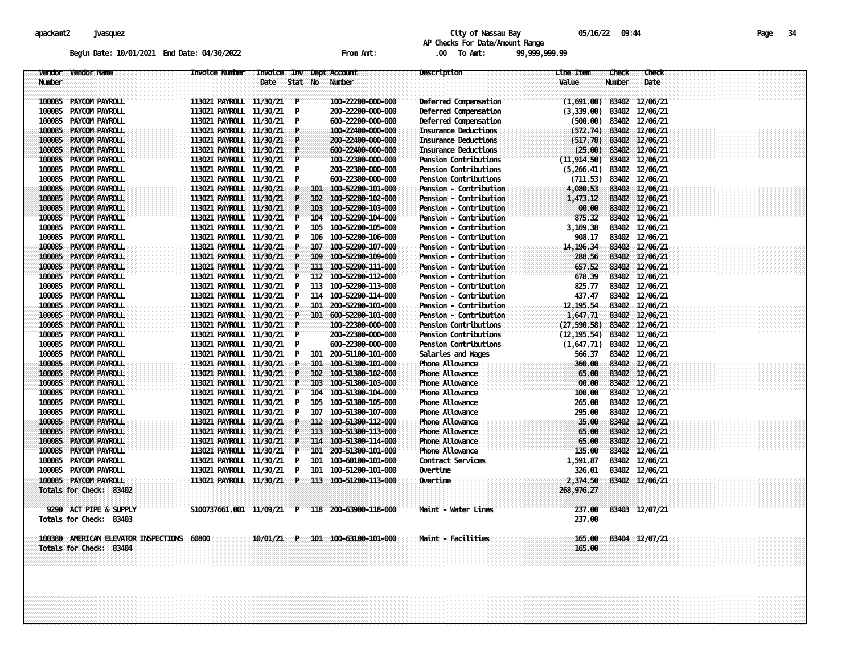**apackamt2 jvasquez City of Nassau Bay 05/16/22 09:44 Page 34 AP Checks For Date/Amount Range**

Begin Date: 10/01/2021 End Date: 04/30/2022

| From Amt: |  |
|-----------|--|
|-----------|--|

|               | <u> Vendor Vendor Name</u>                 | <b>LINQUCE NUMBER</b>     | <b>Invoice Inv Dept Account</b> |         |                       | Description                   | tine Item       | <b>URECK</b>  | <b>URECK</b>   |  |
|---------------|--------------------------------------------|---------------------------|---------------------------------|---------|-----------------------|-------------------------------|-----------------|---------------|----------------|--|
| <b>Number</b> |                                            |                           | Date                            | Stat No | <b>Number</b>         |                               | Value           | <b>Number</b> | Date           |  |
| 100085        | PAYCOM PAYROLL                             | 113021 PAYROLL 11/30/21   | ႃၣ                              |         | 100-22200-000-000     | Deferred Compensation         | (1,691.00)      | 83402         | 12/06/21       |  |
| 100085        | PAYCOM PAYROLL                             | 113021 PAYROLL 11/30/21   | P                               |         | 200-22200-000-000     | Deferred Compensation         | (3,339.00)      | 83402         | 12/06/21       |  |
| 100085        | PAYCOM PAYROLL                             | 113021 PAYROLL 11/30/21   | P                               |         | 600-22200-000-000     | Deferred Compensation         | (500.00)        | 83402         | 12/06/21       |  |
| 100085        | PAYCOM PAYROLL                             | 113021 PAYROLL 11/30/21   | P                               |         | 100-22400-000-000     | Insurance Deductions          | (572.74)        |               | 83402 12/06/21 |  |
| 100085        | PAYCOM PAYROLL                             | 113021 PAYROLL 11/30/21   | P                               |         | 200-22400-000-000     | <b>Insurance Deductions</b>   | (517.78)        |               | 83402 12/06/21 |  |
| 100085        | PAYCOM PAYROLL                             | 113021 PAYROLL 11/30/21   | P                               |         | 600-22400-000-000     | <b>Insurance Deductions</b>   | (25.00)         |               | 83402 12/06/21 |  |
| 100085        | PAYCOM PAYROLL                             | 113021 PAYROLL 11/30/21   | P                               |         | 100-22300-000-000     | <b>Pension Contributions</b>  | (11, 914.50)    |               | 83402 12/06/21 |  |
| 100085        | PAYCOM PAYROLL                             | 113021 PAYROLL 11/30/21   | P                               |         | 200-22300-000-000     | <b>Pension Contributions</b>  | (5,266.41)      |               | 83402 12/06/21 |  |
| 100085        | Paycom Payroll                             | 113021 PAYROLL 11/30/21   | P                               |         | 600-22300-000-000     | <b>Pension Contributions</b>  | (711.53)        |               | 83402 12/06/21 |  |
| 100085        | PAYCOM PAYROLL                             | 113021 PAYROLL 11/30/21   | P                               | 101     | 100-52200-101-000     | <b>Pension - Contribution</b> | 4,080.53        |               | 83402 12/06/21 |  |
| 100085        | PAYCOM PAYROLL                             | 113021 PAYROLL 11/30/21   | P                               | 102     | 100-52200-102-000     | Pension - Contribution        | 1,473.12        |               | 83402 12/06/21 |  |
|               |                                            |                           | P                               | 103     |                       |                               |                 |               |                |  |
| 100085        | 100085 PAYCOM PAYROLL                      | 113021 PAYROLL 11/30/21   | P                               | 104     | 100-52200-103-000     | <b>Pension - Contribution</b> | 00.00<br>875.32 |               | 83402 12/06/21 |  |
|               | PAYCOM PAYROLL                             | 113021 PAYROLL 11/30/21   |                                 | 105     | 100-52200-104-000     | <b>Pension - Contribution</b> |                 |               | 83402 12/06/21 |  |
| 100085        | Paycom Payroll                             | 113021 PAYROLL 11/30/21   | P                               |         | 100-52200-105-000     | Pension - Contribution        | 3,169.38        |               | 83402 12/06/21 |  |
| 100085        | Paycom Payroll                             | 113021 PAYROLL 11/30/21   | P                               | 106     | 100-52200-106-000     | <b>Pension - Contribution</b> | 908.17          |               | 83402 12/06/21 |  |
| 100085        | PAYCOM PAYROLL                             | 113021 PAYROLL 11/30/21   | ୍ୱା                             | 107     | 100-52200-107-000     | <b>Pension - Contribution</b> | 14, 196. 34     |               | 83402 12/06/21 |  |
| 100085        | PAYCOM PAYROLL                             | 113021 PAYROLL 11/30/21   | ाः                              | 109     | 100-52200-109-000     | <b>Pension - Contribution</b> | 288.56          |               | 83402 12/06/21 |  |
| 100085        | PAYCOM PAYROLL                             | 113021 PAYROLL 11/30/21   | P.                              | 111     | 100-52200-111-000     | <b>Pension - Contribution</b> | 657.52          |               | 83402 12/06/21 |  |
| 100085        | PAYCOM PAYROLL                             | 113021 PAYROLL 11/30/21   | $\mathsf{P}$                    | 112     | 100-52200-112-000     | <b>Pension - Contribution</b> | 678.39          |               | 83402 12/06/21 |  |
| 100085        | PAYCOM PAYROLL                             | 113021 PAYROLL 11/30/21   | P                               | 113     | 100-52200-113-000     | <b>Pension - Contribution</b> | 825.77          |               | 83402 12/06/21 |  |
| 100085        | PAYCOM PAYROLL                             | 113021 PAYROLL 11/30/21   | P                               | 114     | 100-52200-114-000     | Pension - Contribution        | 437.47          |               | 83402 12/06/21 |  |
| 100085        | PAYCOM PAYROLL                             | 113021 PAYROLL 11/30/21   | $\cdot$ P $\cdot$               | 101     | 200-52200-101-000     | <b>Pension - Contribution</b> | 12, 195.54      |               | 83402 12/06/21 |  |
| 100085        | PAYCOM PAYROLL                             | 113021 PAYROLL 11/30/21   | P                               | 101     | 600-52200-101-000     | <b>Pension - Contribution</b> | 1,647.71        |               | 83402 12/06/21 |  |
| 100085        | PAYCOM PAYROLL                             | 113021 PAYROLL 11/30/21   | $\mathsf{P}$                    |         | 100-22300-000-000     | <b>Pension Contributions</b>  | (27, 590.58)    |               | 83402 12/06/21 |  |
| 100085        | PAYCOM PAYROLL                             | 113021 PAYROLL 11/30/21   | $\mathsf{P}$                    |         | 200-22300-000-000     | <b>Pension Contributions</b>  | (12, 195.54)    |               | 83402 12/06/21 |  |
| 100085        | Paycom Payroll                             | 113021 PAYROLL 11/30/21   | P                               |         | 600-22300-000-000     | <b>Pension Contributions</b>  | (1,647.71)      |               | 83402 12/06/21 |  |
| 100085        | PAYCOM PAYROLL                             | 113021 PAYROLL 11/30/21   | P                               |         | 101 200-51100-101-000 | Salaries and Wages            | 566.37          | 83402         | 12/06/21       |  |
| 100085        | PAYCOM PAYROLL                             | 113021 PAYROLL 11/30/21   | ା                               | 101     | 100-51300-101-000     | <b>Phone Allowance</b>        | 360.00          | 83402         | 12/06/21       |  |
| 100085        | PAYCOM PAYROLL                             | 113021 PAYROLL 11/30/21   | P.                              | 102     | 100-51300-102-000     | <b>Phone Allowance</b>        | 65.00           |               | 83402 12/06/21 |  |
| 100085        | PAYCOM PAYROLL                             | 113021 PAYROLL 11/30/21   | $\mathsf{P}$                    | 103     | 100-51300-103-000     | <b>Phone Allowance</b>        | 00.00           | 83402         | 12/06/21       |  |
| 100085        | PAYCOM PAYROLL                             | 113021 PAYROLL 11/30/21   | P                               | 104     | 100-51300-104-000     | <b>Phone Allowance</b>        | 100.00          |               | 83402 12/06/21 |  |
| 100085        | PAYCOM PAYROLL                             | 113021 PAYROLL 11/30/21   | P                               | 105     | 100-51300-105-000     | <b>Phone Allowance</b>        | 265.00          |               | 83402 12/06/21 |  |
| 100085        | PAYCOM PAYROLL                             | 113021 PAYROLL 11/30/21   | P                               | 107     | 100-51300-107-000     | <b>Phone Allowance</b>        | 295.00          |               | 83402 12/06/21 |  |
| 100085        | PAYCOM PAYROLL                             | 113021 PAYROLL 11/30/21   | ା                               | 112     | 100-51300-112-000     | <b>Phone Allowance</b>        | 35.00           |               | 83402 12/06/21 |  |
|               | 100085 PAYCOM PAYROLL                      | 113021 PAYROLL 11/30/21   | $\mathsf{P}$                    | 113     | 100-51300-113-000     | <b>Phone Allowance</b>        | 65.00           |               | 83402 12/06/21 |  |
| 100085        | PAYCOM PAYROLL                             | 113021 PAYROLL 11/30/21   | . Р.                            | 114     | 100-51300-114-000     | <b>Phone Allowance</b>        | 65.00           |               | 83402 12/06/21 |  |
|               | 100085 PAYCOM PAYROLL                      | 113021 PAYROLL 11/30/21   | P                               | 101     | 200-51300-101-000     | <b>Phone Allowance</b>        | 135.00          |               | 83402 12/06/21 |  |
| 100085        | Paycom Payroll                             | 113021 PAYROLL 11/30/21   | P                               | 101     | 100-60100-101-000     | Contract Services             | 1,591.87        |               | 83402 12/06/21 |  |
|               | 100085 PAYCOM PAYROLL                      | 113021 PAYROLL 11/30/21   | P                               | 101     | 100-51200-101-000     | Overtime                      | 326.01          |               | 83402 12/06/21 |  |
|               | 100085 PAYCOM PAYROLL                      | 113021 PAYROLL 11/30/21   | ∵ P                             | 113     | 100-51200-113-000     | Overtime                      | 2,374.50        |               | 83402 12/06/21 |  |
|               | Totals for Check: 83402                    |                           |                                 |         |                       |                               | 268,976.27      |               |                |  |
|               | 9290 ACT PIPE & SUPPLY                     | S100737661.001 11/09/21 P |                                 |         | 118 200-63900-118-000 | Maint - Water Lines           | 237.00          |               | 83403 12/07/21 |  |
|               | Totals for Check: 83403                    |                           |                                 |         |                       |                               | 237.00          |               |                |  |
|               |                                            |                           |                                 |         |                       |                               |                 |               |                |  |
|               | 100380 AMERICAN ELEVATOR INSPECTIONS 60800 |                           | $10/01/21$ P                    |         | 101 100-63100-101-000 | Maint - Facilities            | 165.00          |               | 83404 12/07/21 |  |
|               | Totals for Check: 83404                    |                           |                                 |         |                       |                               | 165.00          |               |                |  |
|               |                                            |                           |                                 |         |                       |                               |                 |               |                |  |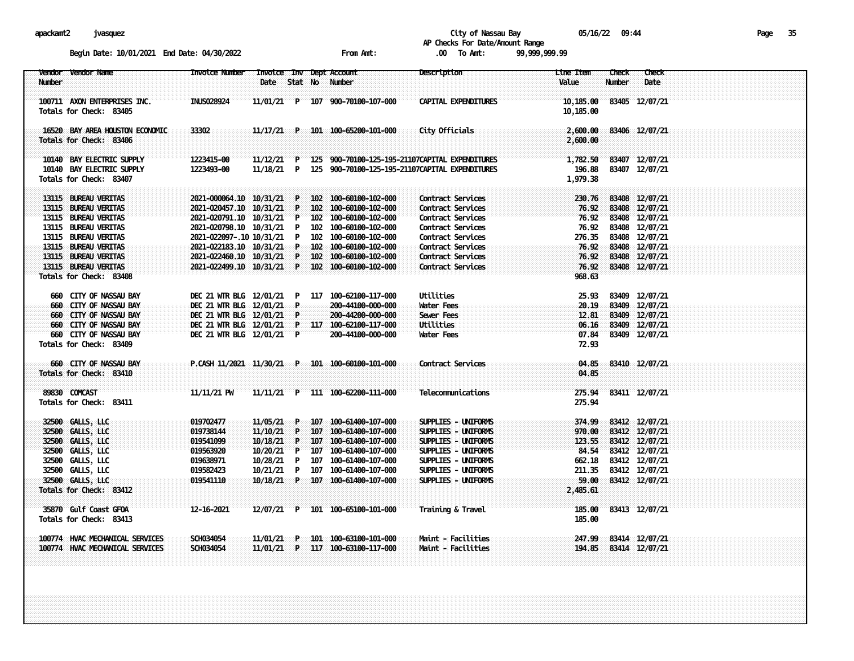Begin Date: 10/01/2021 End Date: 04/30/2022 <br>From Amt:

**AP Checks For Date/Amount Range**

| apackamt2 | jvasquez | City of Nassau Bay | 05/16/22<br>09:44 | Page | $-$<br>- -<br>ر ر |
|-----------|----------|--------------------|-------------------|------|-------------------|
|           |          |                    |                   |      |                   |

|               | <del>Vendor Vendor Name</del>        | Invoice Number Invoice Inv Dept Account |                     |              |                                                           | <b>Description</b>                              | ttne Item       | Check  | Check                            |  |  |
|---------------|--------------------------------------|-----------------------------------------|---------------------|--------------|-----------------------------------------------------------|-------------------------------------------------|-----------------|--------|----------------------------------|--|--|
| <b>Number</b> |                                      |                                         | Date Stat No Number |              |                                                           |                                                 | <b>Value</b>    | Number | Date                             |  |  |
|               | 100711 AXON ENTERPRISES INC.         | <b>INUS028924</b>                       |                     |              | 11/01/21 P 107 900-70100-107-000                          | <b>CAPITAL EXPENDITURES</b>                     | 10,185.00       |        | 83405 12/07/21                   |  |  |
|               | Totals for Check: 83405              |                                         |                     |              |                                                           |                                                 | 10,185.00       |        |                                  |  |  |
|               |                                      |                                         |                     |              |                                                           |                                                 |                 |        |                                  |  |  |
|               | 16520 BAY AREA HOUSTON ECONOMIC      | 33302                                   |                     |              | 11/17/21 P 101 100-65200-101-000                          | City Officials                                  | 2.600.00        |        | 83406 12/07/21                   |  |  |
|               | Totals for Check: 83406              |                                         |                     |              |                                                           |                                                 | 2,600.00        |        |                                  |  |  |
|               |                                      |                                         |                     |              |                                                           |                                                 |                 |        |                                  |  |  |
|               | 10140 BAY ELECTRIC SUPPLY            | 1223415-00                              | $11/12/21$ P        |              |                                                           | 125 900-70100-125-195-21107CAPITAL EXPENDITURES | 1,782.50        |        | 83407 12/07/21                   |  |  |
|               | 10140 BAY ELECTRIC SUPPLY            | 1223493-00                              | $11/18/21$ P        |              | 125 900-70100-125-195-21107CAPITAL EXPENDITURES           |                                                 | 196.88          |        | 83407 12/07/21                   |  |  |
|               | Totals for Check: 83407              |                                         |                     |              |                                                           |                                                 | 1,979.38        |        |                                  |  |  |
|               |                                      |                                         |                     |              |                                                           |                                                 |                 |        |                                  |  |  |
|               | <b>13115 BUREAU VERITAS</b>          | 2021-000064.10 10/31/21 P               |                     |              | 102 100-60100-102-000                                     | Contract Services                               | 230.76          |        | 83408 12/07/21                   |  |  |
|               | <b>13115 BUREAU VERITAS</b>          | 2021-020457.10 10/31/21 P               |                     |              | 102 100-60100-102-000                                     | Contract Services                               | 76.92           |        | 83408 12/07/21                   |  |  |
|               | 13115 BUREAU VERITAS                 | 2021-020791.10 10/31/21 P               |                     |              | 102 100-60100-102-000                                     | Contract Services                               | 76.92           |        | 83408 12/07/21                   |  |  |
|               | 13115 BUREAU VERITAS                 | 2021-020798.10 10/31/21                 |                     | $\mathsf{P}$ | 102 100-60100-102-000                                     | Contract Services                               | 76.92           |        | 83408 12/07/21                   |  |  |
|               | 13115 BUREAU VERITAS                 | 2021-022097-.10 10/31/21 P              |                     |              | 102 100-60100-102-000                                     | Contract Services                               | 276.35          |        | 83408 12/07/21                   |  |  |
|               | 13115 BUREAU VERITAS                 | 2021-022183.10 10/31/21 P               |                     |              | $102 - 100 - 60100 - 102 - 000$                           | Contract Services                               | 76.92           |        | 83408 12/07/21                   |  |  |
|               | <b>13115 BUREAU VERITAS</b>          | 2021-022460.10 10/31/21 P               |                     |              | 102 100-60100-102-000                                     | Contract Services                               | 76.92           |        | 83408 12/07/21                   |  |  |
|               | 13115 BUREAU VERITAS                 |                                         |                     |              | 2021-022499.10 10/31/21 P 102 100-60100-102-000           | Contract Services                               | 76.92           |        | 83408 12/07/21                   |  |  |
|               | Totals for Check: 83408              |                                         |                     |              |                                                           |                                                 | 968.63          |        |                                  |  |  |
|               | 660 CITY OF NASSAU BAY               | DEC 21 WTR BLG 12/01/21 P               |                     |              | 117 100-62100-117-000                                     | Utilities                                       | 25.93           |        | 83409 12/07/21                   |  |  |
|               | 660 CITY OF NASSAU BAY               | DEC 21 WTR BLG 12/01/21 P               |                     |              | 200-44100-000-000                                         | Water Fees                                      | 20.19           |        | 83409 12/07/21                   |  |  |
|               | 660 CITY OF NASSAU BAY               | DEC 21 WTR BLG 12/01/21 P               |                     |              | 200-44200-000-000                                         | Sewer Fees                                      | 12.81           |        | 83409 12/07/21                   |  |  |
|               | 660 CITY OF NASSAU BAY               | DEC 21 WTR BLG 12/01/21 P               |                     |              | 117 100-62100-117-000                                     | <b>Utilities</b>                                | 06.16           |        | 83409 12/07/21                   |  |  |
|               | 660 CITY OF NASSAU BAY               | DEC 21 WTR BLG 12/01/21 P               |                     |              | 200-44100-000-000                                         | Water Fees                                      | 07.84           |        | 83409 12/07/21                   |  |  |
|               | Totals for Check: 83409              |                                         |                     |              |                                                           |                                                 | 72.93           |        |                                  |  |  |
|               | 660 CITY OF NASSAU BAY               |                                         |                     |              | P.CASH 11/2021 11/30/21 P 101 100-60100-101-000           | Contract Services                               | 04.85           |        | 83410 12/07/21                   |  |  |
|               | Totals for Check: 83410              |                                         |                     |              |                                                           |                                                 | 04.85           |        |                                  |  |  |
|               |                                      |                                         |                     |              |                                                           |                                                 |                 |        |                                  |  |  |
|               | 89830 COMCAST                        | 11/11/21 PW                             |                     |              | 11/11/21  P  111  100-62200-111-000                       | <b>Telecommunications</b>                       | 275.94          |        | 83411 12/07/21                   |  |  |
|               | Totals for Check: 83411              |                                         |                     |              |                                                           |                                                 | 275.94          |        |                                  |  |  |
|               |                                      |                                         |                     |              |                                                           |                                                 |                 |        |                                  |  |  |
|               | 32500 GALLS, LLC                     | 019702477                               | 11/05/21 P          |              | 107 100-61400-107-000                                     | SUPPLIES - UNIFORMS                             | 374.99          |        | 83412 12/07/21                   |  |  |
|               | 32500 GALLS, LLC                     | 019738144                               | $11/10/21$ P        |              | 107 100-61400-107-000                                     | SUPPLIES - UNIFORMS                             | 970.00          |        | 83412 12/07/21                   |  |  |
|               | 32500 GALLS, LLC                     | 019541099                               | $10/18/21$ P        |              | 107 100-61400-107-000                                     | <b>SUPPLIES - UNIFORMS</b>                      | 123.55          |        | 83412 12/07/21                   |  |  |
|               | 32500 GALLS, LLC                     | 019563920                               | $10/20/21$ P        |              | 107 100-61400-107-000                                     | SUPPLIES - UNIFORMS                             | 84.54           |        | 83412 12/07/21                   |  |  |
|               | 32500 GALLS, LLC                     | 019638971                               | 10/28/21            | - P          | 107 100-61400-107-000                                     | SUPPLIES - UNIFORMS                             | 662.18          |        | 83412 12/07/21                   |  |  |
|               | 32500 GALLS, LLC<br>32500 GALLS, LLC | 019582423<br>019541110                  | 10/21/21            | $\mathbf{P}$ | 107 100-61400-107-000<br>10/18/21 P 107 100-61400-107-000 | SUPPLIES - UNIFORMS<br>SUPPLIES - UNIFORMS      | 211.35<br>59.00 |        | 83412 12/07/21<br>83412 12/07/21 |  |  |
|               | Totals for Check: 83412              |                                         |                     |              |                                                           |                                                 | 2,485.61        |        |                                  |  |  |
|               |                                      |                                         |                     |              |                                                           |                                                 |                 |        |                                  |  |  |
|               | 35870 Gulf Coast GFOA                | 12-16-2021                              | $12/07/21$ P        |              | 101 100-65100-101-000                                     | Training & Travel                               | 185.00          |        | 83413 12/07/21                   |  |  |
|               | Totals for Check: 83413              |                                         |                     |              |                                                           |                                                 | 185.00          |        |                                  |  |  |
|               |                                      |                                         |                     |              |                                                           |                                                 |                 |        |                                  |  |  |
|               | 100774 HVAC MECHANICAL SERVICES      | <b>SCH034054</b>                        | $11/01/21$ P        |              | $101 - 100 - 63100 - 101 - 000$                           | Maint - Facilities                              | 247.99          |        | 83414 12/07/21                   |  |  |
|               | 100774 HVAC MECHANICAL SERVICES      | <b>SCH034054</b>                        |                     |              | 11/01/21 P 117 100-63100-117-000                          | Maint - Facilities                              | 194.85          |        | 83414 12/07/21                   |  |  |
|               |                                      |                                         |                     |              |                                                           |                                                 |                 |        |                                  |  |  |
|               |                                      |                                         |                     |              |                                                           |                                                 |                 |        |                                  |  |  |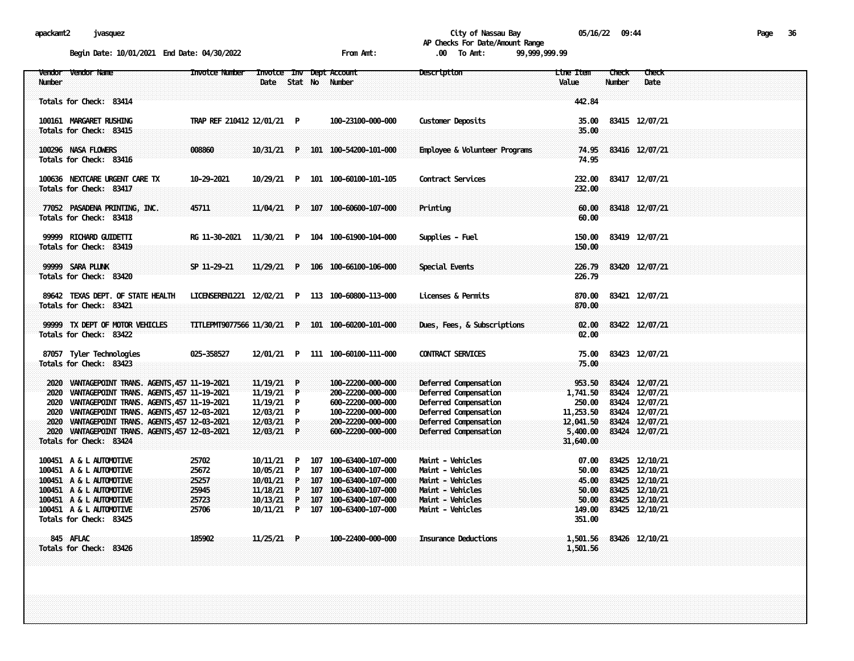**AP Checks For Date/Amount Range Begin Date: 10/01/2021 End Date: 04/30/2022 From Amt: .00 To Amt: 99,999,999.99**

| apackamt2 | jvasquez | 05/16/22<br>City of Nassau Bay<br>09:44 | Page<br>- 10<br>w |
|-----------|----------|-----------------------------------------|-------------------|
|           |          | AD Chocks For Data/Amount Danso         |                   |

|               | Vendor Vendor Name                                                                                 | Invoice Number             |                            |              | <b>Invotce Inv Dept Account</b>        | <b>Description</b>                             | itine Item         | Check         | Check                            |  |  |  |
|---------------|----------------------------------------------------------------------------------------------------|----------------------------|----------------------------|--------------|----------------------------------------|------------------------------------------------|--------------------|---------------|----------------------------------|--|--|--|
| <b>Number</b> |                                                                                                    |                            | Date                       |              | Stat No Number                         |                                                | Value              | <b>Number</b> | Date                             |  |  |  |
|               | Totals for Check: 83414                                                                            |                            |                            |              |                                        |                                                | 442.84             |               |                                  |  |  |  |
|               | 100161 MARGARET RUSHING                                                                            | TRAP REF 210412 12/01/21 P |                            |              | 100-23100-000-000                      | Customer Deposits                              | 35.00              |               | 83415 12/07/21                   |  |  |  |
|               | Totals for Check: 83415                                                                            |                            |                            |              |                                        |                                                | 35.00              |               |                                  |  |  |  |
|               | 100296 NASA FLOWERS                                                                                | 008860                     | 10/31/21                   | $\mathbf{P}$ | 101 100-54200-101-000                  | Employee & Volunteer Programs                  | 74.95              |               | 83416 12/07/21                   |  |  |  |
|               | Totals for Check: 83416                                                                            |                            |                            |              |                                        |                                                | 74.95              |               |                                  |  |  |  |
|               | 100636 NEXTCARE URGENT CARE TX                                                                     | 10-29-2021                 | 10/29/21                   | <b>P</b>     | 101 100-60100-101-105                  | Contract Services                              | 232.00             |               | 83417 12/07/21                   |  |  |  |
|               | Totals for Check: 83417                                                                            |                            |                            |              |                                        |                                                | 232.00             |               |                                  |  |  |  |
|               | 77052 PASADENA PRINTING, INC.                                                                      | 45711                      | 11/04/21                   | -P∶          | 107 100-60600-107-000                  | Printina                                       | 60.00              |               | 83418 12/07/21                   |  |  |  |
|               | Totals for Check: 83418                                                                            |                            |                            |              |                                        |                                                | 60.00              |               |                                  |  |  |  |
|               | 99999 RICHARD GUIDETTI                                                                             | RG 11-30-2021              | 11/30/21                   | <b>P</b>     | 104 100-61900-104-000                  | Supplies - Fuel                                | 150.00             |               | 83419 12/07/21                   |  |  |  |
|               | Totals for Check: 83419                                                                            |                            |                            |              |                                        |                                                | 150.00             |               |                                  |  |  |  |
|               | 99999 SARA PLUNK                                                                                   | SP 11-29-21                | $11/29/21$ P               |              | 106 100-66100-106-000                  | Special Events                                 | 226.79             |               | 83420 12/07/21                   |  |  |  |
|               | Totals for Check: 83420                                                                            |                            |                            |              |                                        |                                                | 226.79             |               |                                  |  |  |  |
|               | 89642 TEXAS DEPT. OF STATE HEALTH                                                                  | LICENSEREN1221 12/02/21    |                            | <b>P</b>     | 113 100-60800-113-000                  | Licenses & Permits                             | 870.00             |               | 83421 12/07/21                   |  |  |  |
|               | Totals for Check: 83421                                                                            |                            |                            |              |                                        |                                                | 870.00             |               |                                  |  |  |  |
|               | 99999 TX DEPT OF MOTOR VEHICLES                                                                    | TITLEPMT9077566 11/30/21   |                            | . Р.         | 101 100-60200-101-000                  | Dues, Fees, & Subscriptions                    | 02.00              |               | 83422 12/07/21                   |  |  |  |
|               | Totals for Check: 83422                                                                            |                            |                            |              |                                        |                                                | 02.00              |               |                                  |  |  |  |
|               | 87057 Tyler Technologies                                                                           | 025-358527                 | 12/01/21                   | <b>P</b>     | 111 100-60100-111-000                  | <b>CONTRACT SERVICES</b>                       | 75.00              |               | 83423 12/07/21                   |  |  |  |
|               | Totals for Check: 83423                                                                            |                            |                            |              |                                        |                                                | 75.00              |               |                                  |  |  |  |
|               |                                                                                                    |                            |                            |              |                                        |                                                |                    |               |                                  |  |  |  |
|               | 2020 VANTAGEPOINT TRANS, AGENTS, 457 11-19-2021                                                    |                            | $11/19/21$ P               |              | 100-22200-000-000                      | Deferred Compensation                          | 953.50             |               | 83424 12/07/21                   |  |  |  |
|               | 2020 VANTAGEPOINT TRANS, AGENTS, 457 11-19-2021<br>2020 VANTAGEPOINT TRANS. AGENTS, 457 11-19-2021 |                            | 11/19/21 P<br>$11/19/21$ P |              | 200-22200-000-000<br>600-22200-000-000 | Deferred Compensation<br>Deferred Compensation | 1,741.50<br>250.00 |               | 83424 12/07/21<br>83424 12/07/21 |  |  |  |
|               | 2020 VANTAGEPOINT TRANS, AGENTS, 457 12-03-2021                                                    |                            | 12/03/21                   | <b>P</b>     | 100-22200-000-000                      | Deferred Compensation                          | 11,253.50          |               | 83424 12/07/21                   |  |  |  |
|               | 2020 VANTAGEPOINT TRANS, AGENTS, 457 12-03-2021                                                    |                            | $12/03/21$ P               |              | 200-22200-000-000                      | Deferred Compensation                          | 12,041.50          |               | 83424 12/07/21                   |  |  |  |
|               | 2020 VANTAGEPOINT TRANS, AGENTS, 457 12-03-2021                                                    |                            | 12/03/21 P                 |              | 600-22200-000-000                      | Deferred Compensation                          | 5,400.00           |               | 83424 12/07/21                   |  |  |  |
|               | Totals for Check: 83424                                                                            |                            |                            |              |                                        |                                                | 31,640.00          |               |                                  |  |  |  |
|               | 100451 A & L AUTOMOTIVE                                                                            | 25702                      | 10/11/21                   | P<br>107     | 100-63400-107-000                      | Maint - Vehicles                               | 07.00              |               | 83425 12/10/21                   |  |  |  |
|               | 100451 A & L AUTOMOTIVE                                                                            | 25672                      | 10/05/21                   | P<br>107     | 100-63400-107-000                      | Maint - Vehicles                               | 50.00              |               | 83425 12/10/21                   |  |  |  |
|               | 100451 A & L AUTOMOTIVE                                                                            | 25257                      | 10/01/21                   | ा            | 107 100-63400-107-000                  | Maint - Vehicles                               | 45.00              |               | 83425 12/10/21                   |  |  |  |
|               | 100451 A & L AUTOMOTIVE                                                                            | 25945                      | 11/18/21                   | P<br>107     | 100-63400-107-000                      | Maint - Vehicles                               | 50.00              |               | 83425 12/10/21                   |  |  |  |
|               | 100451 A & L AUTOMOTIVE                                                                            | 25723                      | 10/13/21                   | ျာ<br>107    | 100-63400-107-000                      | Maint - Vehicles                               | 50.00              |               | 83425 12/10/21                   |  |  |  |
|               | 100451 A & L AUTOMOTIVE<br>Totals for Check: 83425                                                 | 25706                      | $10/11/21$ P               | 107          | 100-63400-107-000                      | Maint - Vehicles                               | 149.00<br>351.00   |               | 83425 12/10/21                   |  |  |  |
|               | 845 AFLAC                                                                                          | 185902                     | $11/25/21$ P               |              | 100-22400-000-000                      | <b>Insurance Deductions</b>                    | 1,501.56           |               | 83426 12/10/21                   |  |  |  |
|               | Totals for Check: 83426                                                                            |                            |                            |              |                                        |                                                | 1,501.56           |               |                                  |  |  |  |
|               |                                                                                                    |                            |                            |              |                                        |                                                |                    |               |                                  |  |  |  |
|               |                                                                                                    |                            |                            |              |                                        |                                                |                    |               |                                  |  |  |  |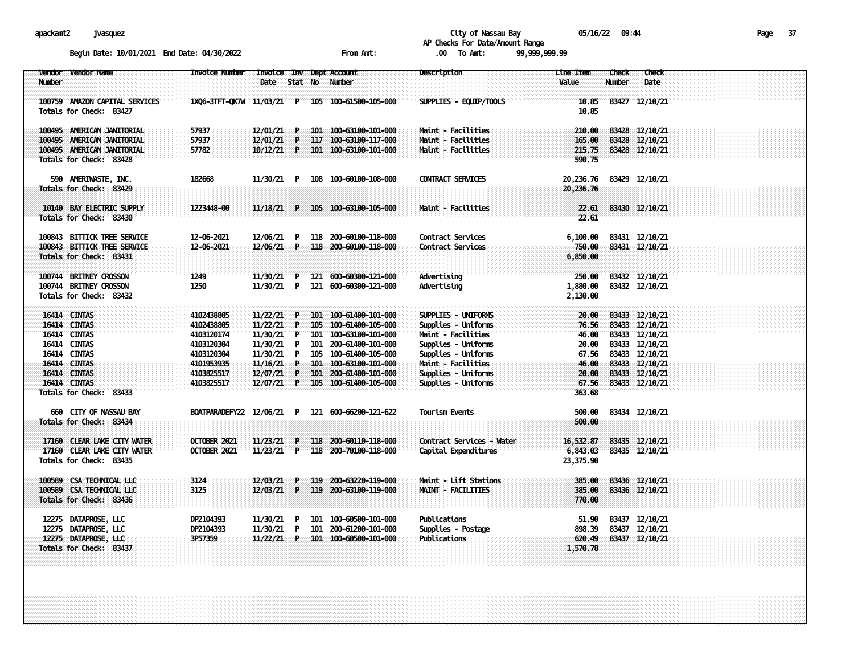| apackamt2        | jvasquez<br>Begin Date: 10/01/2021 End Date: 04/30/2022   |                          |                          |                     |     | From Amt:                                         | City of Nassau Bay<br>AP Checks For Date/Amount Range<br>To Amt:<br>.00 | 99,999,999.99 | 05/16/22              | 09:44                  |                                  |  | Page | -37 |
|------------------|-----------------------------------------------------------|--------------------------|--------------------------|---------------------|-----|---------------------------------------------------|-------------------------------------------------------------------------|---------------|-----------------------|------------------------|----------------------------------|--|------|-----|
| <b>Number</b>    | <del>Vendor Vendor Name</del>                             | Invoice Number           | Date                     |                     |     | <b>Invoice Inv Dept Account</b><br>Stat No Number | <b>Description</b>                                                      |               | ttne Item<br>Value    | Check<br><b>Number</b> | Check<br>Date                    |  |      |     |
|                  | 100759 AMAZON CAPITAL SERVICES<br>Totals for Check: 83427 |                          |                          |                     |     | 1XQ6-3TFT-QK7W 11/03/21 P 105 100-61500-105-000   | SUPPLIES - EQUIP/TOOLS                                                  |               | 10.85<br>10.85        |                        | 83427 12/10/21                   |  |      |     |
| 100495<br>100495 | AMERICAN JANITORIAL<br>AMERICAN JANITORIAL                | 57937<br>57937           | $12/01/21$ P<br>12/01/21 | ႃၣႜ                 |     | 101 100-63100-101-000<br>117 100-63100-117-000    | Maint - Facilities<br>Maint - Facilities                                |               | 210.00<br>165.00      |                        | 83428 12/10/21<br>83428 12/10/21 |  |      |     |
|                  | 100495 AMERICAN JANITORIAL<br>Totals for Check: 83428     | 57782                    | $10/12/21$ P             |                     |     | 101 100-63100-101-000                             | Maint - Facilities                                                      |               | 215.75<br>590.75      |                        | 83428 12/10/21                   |  |      |     |
|                  | 590 AMERIWASTE, INC.                                      | 182668                   | 11/30/21                 | <b>P</b>            |     | 108 100-60100-108-000                             | <b>CONTRACT SERVICES</b>                                                |               | 20,236.76             |                        | 83429 12/10/21                   |  |      |     |
|                  | Totals for Check: 83429                                   |                          |                          |                     |     |                                                   |                                                                         |               | 20,236.76             |                        |                                  |  |      |     |
|                  | 10140 BAY ELECTRIC SUPPLY<br>Totals for Check: 83430      | 1223448-00               | $11/18/21$ P             |                     |     | 105 100-63100-105-000                             | Maint - Facilities                                                      |               | 22.61<br>22.61        |                        | 83430 12/10/21                   |  |      |     |
|                  | 100843 BITTICK TREE SERVICE                               | 12-06-2021               | 12/06/21                 | <b>P</b>            |     | 118 200-60100-118-000                             | Contract Services                                                       |               | 6,100.00              |                        | 83431 12/10/21                   |  |      |     |
|                  | 100843 BITTICK TREE SERVICE<br>Totals for Check: 83431    | 12-06-2021               | $12/06/21$ P             |                     |     | 118 200-60100-118-000                             | Contract Services                                                       |               | 750.00<br>6,850.00    |                        | 83431 12/10/21                   |  |      |     |
| 100744           | <b>BRITNEY CROSSON</b>                                    | 1249                     | 11/30/21                 | ‴ P                 |     | 121 600-60300-121-000                             | Advertising                                                             |               | 250.00                |                        | 83432 12/10/21                   |  |      |     |
|                  | 100744 BRITNEY CROSSON<br>Totals for Check: 83432         | 1250                     | $11/30/21$ P             |                     |     | 121 600-60300-121-000                             | Advertising                                                             |               | 1,880.00<br>2,130.00  |                        | 83432 12/10/21                   |  |      |     |
|                  | 16414 CINTAS                                              | 4102438805               | 11/22/21                 | ∵ P                 |     | 101 100-61400-101-000                             | <b>SUPPLIES - UNIFORMS</b>                                              |               | 20.00                 |                        | 83433 12/10/21                   |  |      |     |
|                  | 16414 CINTAS                                              | 4102438805               | 11/22/21                 | - P                 | 105 | 100-61400-105-000                                 | Supplies - Uniforms                                                     |               | 76.56                 |                        | 83433 12/10/21                   |  |      |     |
|                  | 16414 CINTAS<br>16414 CINTAS                              | 4103120174<br>4103120304 | 11/30/21<br>11/30/21     | ™P<br>$\mathbf{P}$  |     | 101 100-63100-101-000<br>101 200-61400-101-000    | Maint - Facilities<br>Supplies - Uniforms                               |               | 46.00<br>20.00        |                        | 83433 12/10/21<br>83433 12/10/21 |  |      |     |
|                  | 16414 CINTAS                                              | 4103120304               | 11/30/21                 | $\mathbf{P}$        | 105 | 100-61400-105-000                                 | Supplies - Uniforms                                                     |               | 67.56                 |                        | 83433 12/10/21                   |  |      |     |
|                  | 16414 CINTAS                                              | 4101953935               | 11/16/21                 | ୍ରା                 |     | 101 100-63100-101-000                             | Maint - Facilities                                                      |               | 46.00                 |                        | 83433 12/10/21                   |  |      |     |
|                  | 16414 CINTAS                                              | 4103825517               | 12/07/21                 | ႃၣႜ                 |     | 101 200-61400-101-000                             | Supplies - Uniforms                                                     |               | 20.00                 |                        | 83433 12/10/21                   |  |      |     |
|                  | 16414 CINTAS<br>Totals for Check: 83433                   | 4103825517               | 12/07/21                 | $\mathsf{P}$        | 105 | 100-61400-105-000                                 | Supplies - Uniforms                                                     |               | 67.56<br>363.68       |                        | 83433 12/10/21                   |  |      |     |
|                  | 660 CITY OF NASSAU BAY<br>Totals for Check: 83434         | BOATPARADEFY22 12/06/21  |                          | $\mathsf{P}$        |     | 121 600-66200-121-622                             | <b>Tourism Events</b>                                                   |               | 500.00<br>500.00      |                        | 83434 12/10/21                   |  |      |     |
|                  |                                                           |                          |                          |                     |     |                                                   |                                                                         |               |                       |                        |                                  |  |      |     |
|                  | 17160 CLEAR LAKE CITY WATER                               | <b>OCTOBER 2021</b>      | 11/23/21                 | .P                  |     | 118 200-60110-118-000                             | Contract Services - Water                                               |               | 16,532.87             |                        | 83435 12/10/21                   |  |      |     |
|                  | 17160 CLEAR LAKE CITY WATER<br>Totals for Check: 83435    | <b>OCTOBER 2021</b>      | 11/23/21                 | ™P.                 |     | 118 200-70100-118-000                             | Capital Expenditures                                                    |               | 6,843.03<br>23,375.90 |                        | 83435 12/10/21                   |  |      |     |
|                  | 100589 CSA TECHNICAL LLC                                  | 3124<br>3125             | 12/03/21                 | ۰Р.<br>$\mathsf{P}$ | 119 | 200-63220-119-000                                 | Maint - Lift Stations                                                   |               | 385.00                |                        | 83436 12/10/21                   |  |      |     |
|                  | 100589 CSA TECHNICAL LLC<br>Totals for Check: 83436       |                          | 12/03/21                 |                     |     | 119 200-63100-119-000                             | <b>MAINT - FACILITIES</b>                                               |               | 385.00<br>770.00      |                        | 83436 12/10/21                   |  |      |     |
|                  | 12275 DATAPROSE, LLC                                      | DP2104393                | 11/30/21                 | - P                 |     | 101 100-60500-101-000                             | <b>Publications</b>                                                     |               | 51.90                 |                        | 83437 12/10/21                   |  |      |     |
|                  | 12275 DATAPROSE, LLC                                      | DP2104393                | 11/30/21                 | - P                 |     | 101 200-61200-101-000                             | Supplies - Postage                                                      |               | 898.39                |                        | 83437 12/10/21                   |  |      |     |
|                  | 12275 DATAPROSE, LLC<br>Totals for Check: 83437           | 3P57359                  | $11/22/21$ P             |                     |     | 101 100-60500-101-000                             | <b>Publications</b>                                                     |               | 620.49<br>1,570.78    |                        | 83437 12/10/21                   |  |      |     |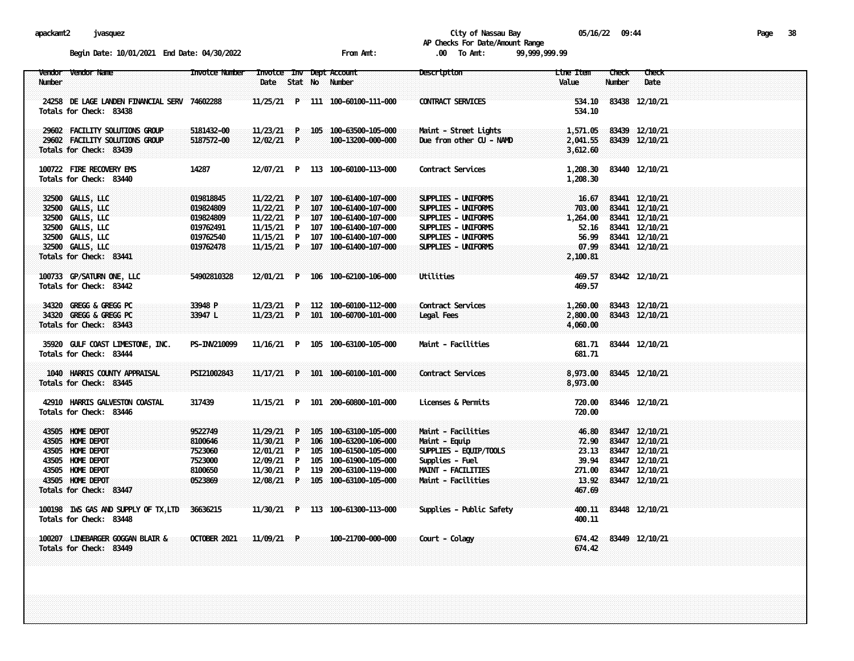**apackamt2 jvasquez City of Nassau Bay 05/16/22 09:44 Page 38 AP Checks For Date/Amount Range**

| Vendor Vendor Name<br><b>Number</b>                                                                                  | Invoice Number - Invoice Invo Dept Account                                 | Date Stat No Number                                                      |  |                                                                                                                                                                                                | <b>Description</b>                                                                                                                                                 | ttne Item<br>Value                                     | <b>Check</b><br><b>Number</b> | <b>Check</b><br>Date                                                                                     |  |  |
|----------------------------------------------------------------------------------------------------------------------|----------------------------------------------------------------------------|--------------------------------------------------------------------------|--|------------------------------------------------------------------------------------------------------------------------------------------------------------------------------------------------|--------------------------------------------------------------------------------------------------------------------------------------------------------------------|--------------------------------------------------------|-------------------------------|----------------------------------------------------------------------------------------------------------|--|--|
| 24258 DE LAGE LANDEN FINANCIAL SERV 74602288<br>Totals for Check: 83438                                              |                                                                            |                                                                          |  | 11/25/21 P 111 100-60100-111-000                                                                                                                                                               | <b>CONTRACT SERVICES</b>                                                                                                                                           | 534.10<br>534.10                                       |                               | 83438 12/10/21                                                                                           |  |  |
| 29602 FACILITY SOLUTIONS GROUP<br>29602 FACILITY SOLUTIONS GROUP<br>Totals for Check: 83439                          | 5181432-00<br>5187572-00                                                   | $11/23/21$ P<br>$12/02/21$ P                                             |  | $105 - 100 - 63500 - 105 - 000$<br>100-13200-000-000                                                                                                                                           | Maint - Street Lights<br>Due from other CU - NAMD                                                                                                                  | 1,571.05<br>2,041.55<br>3,612.60                       |                               | 83439 12/10/21<br>83439 12/10/21                                                                         |  |  |
| 100722 FIRE RECOVERY EMS<br>Totals for Check: 83440                                                                  | 14287                                                                      |                                                                          |  | 12/07/21 P 113 100-60100-113-000                                                                                                                                                               | Contract Services                                                                                                                                                  | 1,208.30<br>1,208.30                                   |                               | 83440 12/10/21                                                                                           |  |  |
| 32500 GALLS, LLC<br>32500 GALLS, LLC<br>32500 GALLS, LLC<br>32500 GALLS, LLC<br>32500 GALLS, LLC<br>32500 GALLS, LLC | 019818845<br>019824809<br>019824809<br>019762491<br>019762540<br>019762478 | $11/22/21$ P<br>$11/22/21$ P                                             |  | 107 100-61400-107-000<br>107 100-61400-107-000<br>11/22/21 P 107 100-61400-107-000<br>11/15/21 P 107 100-61400-107-000<br>11/15/21 P 107 100-61400-107-000<br>11/15/21 P 107 100-61400-107-000 | <b>SUPPLIES - UNIFORMS</b><br><b>SUPPLIES - UNIFORMS</b><br>SUPPLIES - UNIFORMS<br><b>SUPPLIES - UNIFORMS</b><br>SUPPLIES - UNIFORMS<br><b>SUPPLIES - UNIFORMS</b> | 16.67<br>703.00<br>1,264.00<br>52.16<br>56.99<br>07.99 |                               | 83441 12/10/21<br>83441 12/10/21<br>83441 12/10/21<br>83441 12/10/21<br>83441 12/10/21<br>83441 12/10/21 |  |  |
| Totals for Check: 83441<br>100733 GP/SATURN ONE, LLC<br>Totals for Check: 83442                                      | 54902810328                                                                |                                                                          |  | 12/01/21 P 106 100-62100-106-000                                                                                                                                                               | <b>Utilities</b>                                                                                                                                                   | 2,100.81<br>469.57<br>469.57                           |                               | 83442 12/10/21                                                                                           |  |  |
| 34320 GREGG & GREGG PC<br>34320 GREGG & GREGG PC<br>Totals for Check: 83443                                          | 33948 P<br>33947 L                                                         |                                                                          |  | 11/23/21 P 112 100-60100-112-000<br>11/23/21 P 101 100-60700-101-000                                                                                                                           | <b>Contract Services</b><br>Legal Fees                                                                                                                             | 1,260.00<br>2,800.00<br>4,060.00                       |                               | 83443 12/10/21<br>83443 12/10/21                                                                         |  |  |
| 35920 GULF COAST LIMESTONE, INC.<br>Totals for Check: 83444                                                          | PS-INV210099                                                               |                                                                          |  | 11/16/21 P 105 100-63100-105-000                                                                                                                                                               | Maint - Facilities                                                                                                                                                 | 681.71<br>681.71                                       |                               | 83444 12/10/21                                                                                           |  |  |
| <b>1040 HARRIS COUNTY APPRAISAL</b><br>Totals for Check: 83445                                                       | PSI21002843                                                                |                                                                          |  | 11/17/21 P 101 100-60100-101-000                                                                                                                                                               | <b>Contract Services</b>                                                                                                                                           | 8,973.00<br>8,973.00                                   |                               | 83445 12/10/21                                                                                           |  |  |
| 42910 HARRIS GALVESTON COASTAL<br>Totals for Check: 83446                                                            | 317439                                                                     | 11/15/21 P                                                               |  | 101 200-60800-101-000                                                                                                                                                                          | Licenses & Permits                                                                                                                                                 | 720.00<br>720.00                                       |                               | 83446 12/10/21                                                                                           |  |  |
| 43505 HOME DEPOT<br>43505 HOME DEPOT<br>43505 HOME DEPOT<br>43505 HOME DEPOT<br>43505 HOME DEPOT<br>43505 HOME DEPOT | 9522749<br>8100646<br>7523060<br>7523000<br>8100650<br>0523869             | $11/29/21$ P<br>$11/30/21$ P<br>$12/01/21$ P<br>12/09/21 P<br>11/30/21 P |  | 105 100-63100-105-000<br>106 100-63200-106-000<br>105 100-61500-105-000<br>105 100-61900-105-000<br>119 200-63100-119-000<br>12/08/21 P 105 100-63100-105-000                                  | Maint - Facilities<br>Maint - Equip<br>SUPPLIES - EQUIP/TOOLS<br>Supplies - Fuel<br><b>MAINT - FACILITIES</b><br>Maint - Facilities                                | 46.80<br>72.90<br>23.13<br>39.94<br>271.00<br>13.92    |                               | 83447 12/10/21<br>83447 12/10/21<br>83447 12/10/21<br>83447 12/10/21<br>83447 12/10/21<br>83447 12/10/21 |  |  |
| Totals for Check: 83447<br>100198 INS GAS AND SUPPLY OF TX, LTD<br>Totals for Check: 83448                           | 36636215                                                                   |                                                                          |  | 11/30/21 P 113 100-61300-113-000                                                                                                                                                               | Supplies - Public Safety                                                                                                                                           | 467.69<br>400.11<br>400.11                             |                               | 83448 12/10/21                                                                                           |  |  |
| 100207 LINEBARGER GOGGAN BLAIR &<br>Totals for Check: 83449                                                          | <b>OCTOBER 2021</b>                                                        | $11/09/21$ P                                                             |  | 100-21700-000-000                                                                                                                                                                              | Court - Colagy                                                                                                                                                     | 674.42<br>674.42                                       |                               | 83449 12/10/21                                                                                           |  |  |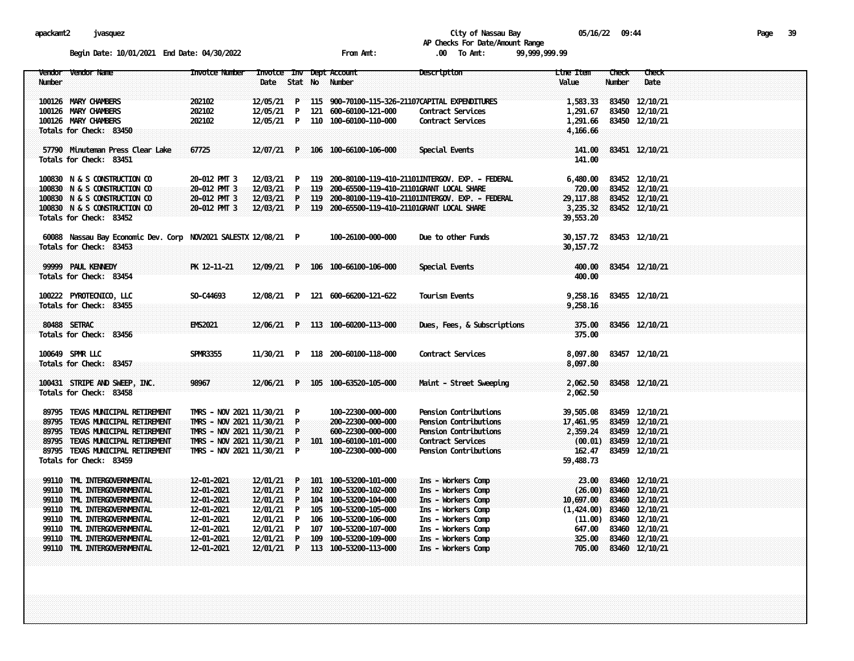**apackamt2 jvasquez City of Nassau Bay 05/16/22 09:44 Page 39 AP Checks For Date/Amount Range**

| <b>Number</b> | <u> Vendor Vendor Name</u>                                     | Invoice Number Invoice Inv Dept Account | Date Stat No Number |              |     |                                  | <b>Description</b>                                  | istne Ttem<br>Value | <b>Check</b><br><b>Number</b> | <b>Check</b><br>Date |  |  |  |
|---------------|----------------------------------------------------------------|-----------------------------------------|---------------------|--------------|-----|----------------------------------|-----------------------------------------------------|---------------------|-------------------------------|----------------------|--|--|--|
|               | 100126 MARY CHAMBERS                                           | 202102                                  | 12/05/21            | ႃၣႜ          |     |                                  | 115 900-70100-115-326-21107CAPITAL EXPENDITURES     | 1,583.33            |                               | 83450 12/10/21       |  |  |  |
|               | 100126 MARY CHAMBERS                                           | 202102                                  | 12/05/21            | P            |     | 121 600-60100-121-000            | Contract Services                                   | 1,291.67            |                               | 83450 12/10/21       |  |  |  |
|               | 100126 MARY CHAMBERS                                           | 202102                                  | 12/05/21            | $\mathbf{P}$ |     | 110 100-60100-110-000            | Contract Services                                   | 1,291.66            |                               | 83450 12/10/21       |  |  |  |
|               | Totals for Check: 83450                                        |                                         |                     |              |     |                                  |                                                     | 4,166.66            |                               |                      |  |  |  |
|               |                                                                |                                         |                     |              |     |                                  |                                                     |                     |                               |                      |  |  |  |
|               | 57790 Minuteman Press Clear Lake                               | 67725                                   | 12/07/21            | ਾ₽           |     | 106 100-66100-106-000            | <b>Special Events</b>                               | 141.00              |                               | 83451 12/10/21       |  |  |  |
|               | Totals for Check: 83451                                        |                                         |                     |              |     |                                  |                                                     | 141.00              |                               |                      |  |  |  |
|               | 100830 N & S CONSTRUCTION CO                                   | 20-012 PMT 3                            | 12/03/21            | P            | 119 |                                  | 200-80100-119-410-21101INTERGOV. EXP. - FEDERAL     | 6,480.00            |                               | 83452 12/10/21       |  |  |  |
|               | 100830 N & S CONSTRUCTION CO                                   | 20-012 PMT 3                            | 12/03/21            | ⊹.P          |     |                                  | 119 200-65500-119-410-21101GRANT LOCAL SHARE        | 720.00              |                               | 83452 12/10/21       |  |  |  |
|               | 100830 N & S CONSTRUCTION CO                                   | 20-012 PMT 3                            | 12/03/21            | $\mathbf{P}$ |     |                                  | 119 200-80100-119-410-21101INTERGOV. EXP. - FEDERAL | 29, 117.88          |                               | 83452 12/10/21       |  |  |  |
|               | 100830 N & S CONSTRUCTION CO                                   | 20-012 PMT 3                            | 12/03/21 P          |              |     |                                  | 119 200-65500-119-410-21101GRANT LOCAL SHARE        | 3,235.32            |                               | 83452 12/10/21       |  |  |  |
|               | Totals for Check: 83452                                        |                                         |                     |              |     |                                  |                                                     | 39,553.20           |                               |                      |  |  |  |
|               | 60088 Nassau Bay Economic Dev. Corp NOV2021 SALESTX 12/08/21 P |                                         |                     |              |     | 100-26100-000-000                | Due to other Funds                                  | 30,157.72           |                               | 83453 12/10/21       |  |  |  |
|               | Totals for Check: 83453                                        |                                         |                     |              |     |                                  |                                                     | 30, 157, 72         |                               |                      |  |  |  |
|               |                                                                |                                         |                     |              |     |                                  |                                                     |                     |                               |                      |  |  |  |
|               | 99999 PAUL KENNEDY                                             | PK 12-11-21                             | $12/09/21$ P        |              |     | 106 100-66100-106-000            | <b>Special Events</b>                               | 400.00              |                               | 83454 12/10/21       |  |  |  |
|               | Totals for Check: 83454                                        |                                         |                     |              |     |                                  |                                                     | 400.00              |                               |                      |  |  |  |
|               | 100222 PYROTECNICO, LLC                                        | S0-C44693                               | 12/08/21            | $\mathsf{P}$ |     | 121 600-66200-121-622            | <b>Tourism Events</b>                               | 9,258.16            |                               | 83455 12/10/21       |  |  |  |
|               | Totals for Check: 83455                                        |                                         |                     |              |     |                                  |                                                     | 9,258.16            |                               |                      |  |  |  |
|               |                                                                |                                         |                     |              |     |                                  |                                                     |                     |                               |                      |  |  |  |
|               | 80488 SETRAC                                                   | <b>EMS2021</b>                          |                     |              |     | 12/06/21 P 113 100-60200-113-000 | Dues, Fees, & Subscriptions                         | 375.00              |                               | 83456 12/10/21       |  |  |  |
|               | Totals for Check: 83456                                        |                                         |                     |              |     |                                  |                                                     | 375.00              |                               |                      |  |  |  |
|               | 100649 SPMR LLC                                                | <b>SPMR3355</b>                         | 11/30/21            | <b>P</b>     |     | 118 200-60100-118-000            | Contract Services                                   | 8,097.80            |                               | 83457 12/10/21       |  |  |  |
|               | Totals for Check: 83457                                        |                                         |                     |              |     |                                  |                                                     | 8,097.80            |                               |                      |  |  |  |
|               |                                                                |                                         |                     |              |     |                                  |                                                     |                     |                               |                      |  |  |  |
|               | 100431 STRIPE AND SWEEP, INC.                                  | 98967                                   | 12/06/21 P          |              |     | 105 100-63520-105-000            | Maint - Street Sweeping                             | 2,062.50            |                               | 83458 12/10/21       |  |  |  |
|               | Totals for Check: 83458                                        |                                         |                     |              |     |                                  |                                                     | 2,062.50            |                               |                      |  |  |  |
|               | 89795 TEXAS MUNICIPAL RETIREMENT                               | TMRS - NOV 2021 11/30/21 P              |                     |              |     | 100-22300-000-000                | Pension Contributions                               | 39,505.08           |                               | 83459 12/10/21       |  |  |  |
|               | 89795 TEXAS MUNICIPAL RETIREMENT                               | TMRS - NOV 2021 11/30/21 P              |                     |              |     | 200-22300-000-000                | <b>Pension Contributions</b>                        | 17,461.95           |                               | 83459 12/10/21       |  |  |  |
|               | 89795 TEXAS MUNICIPAL RETIREMENT                               | TMRS - NOV 2021 11/30/21                |                     | $\mathsf{P}$ |     | 600-22300-000-000                | <b>Pension Contributions</b>                        | 2,359.24            |                               | 83459 12/10/21       |  |  |  |
|               | 89795 TEXAS MUNICIPAL RETIREMENT                               | TMRS - NOV 2021 11/30/21                |                     | P            |     | 101 100-60100-101-000            | Contract Services                                   | (00.01)             |                               | 83459 12/10/21       |  |  |  |
|               | 89795 TEXAS MUNICIPAL RETIREMENT                               | TMRS - NOV 2021 11/30/21                |                     | ™P           |     | 100-22300-000-000                | <b>Pension Contributions</b>                        | 162.47              |                               | 83459 12/10/21       |  |  |  |
|               | Totals for Check: 83459                                        |                                         |                     |              |     |                                  |                                                     | 59,488.73           |                               |                      |  |  |  |
|               | 99110 TML INTERGOVERNMENTAL                                    | 12-01-2021                              | 12/01/21            | ∷ P          |     | 101 100-53200-101-000            | Ins - Workers Comp                                  | 23.00               |                               | 83460 12/10/21       |  |  |  |
|               | 99110 TML INTERGOVERNMENTAL                                    | 12-01-2021                              | 12/01/21            | ႃၣ           |     | 102 100-53200-102-000            | Ins - Workers Comp                                  | (26.00)             |                               | 83460 12/10/21       |  |  |  |
|               | 99110 TML INTERGOVERNMENTAL                                    | 12-01-2021                              | 12/01/21            | ∴ P          |     | 104 100-53200-104-000            | Ins - Workers Comp                                  | 10,697.00           |                               | 83460 12/10/21       |  |  |  |
|               | 99110 TML INTERGOVERNMENTAL                                    | 12-01-2021                              | 12/01/21            | ∵ P          |     | 105 100-53200-105-000            | Ins - Workers Comp                                  | (1,424.00)          |                               | 83460 12/10/21       |  |  |  |
|               | 99110 TML INTERGOVERNMENTAL                                    | 12-01-2021                              | 12/01/21            | $\mathsf{P}$ |     | 106 100-53200-106-000            | Ins - Workers Comp                                  | (11.00)             |                               | 83460 12/10/21       |  |  |  |
|               | 99110 TML INTERGOVERNMENTAL                                    | 12-01-2021                              | 12/01/21            | - P          |     | 107 100-53200-107-000            | Ins - Workers Comp                                  | 647.00              |                               | 83460 12/10/21       |  |  |  |
|               | 99110 TML INTERGOVERNMENTAL                                    | 12-01-2021                              | 12/01/21            | P.           |     | 109 100-53200-109-000            | Ins - Workers Comp                                  | 325.00              |                               | 83460 12/10/21       |  |  |  |
|               | 99110 TML INTERGOVERNMENTAL                                    | 12-01-2021                              | 12/01/21 P          |              |     | 113 100-53200-113-000            | Ins - Workers Comp                                  | 705.00              |                               | 83460 12/10/21       |  |  |  |
|               |                                                                |                                         |                     |              |     |                                  |                                                     |                     |                               |                      |  |  |  |
|               |                                                                |                                         |                     |              |     |                                  |                                                     |                     |                               |                      |  |  |  |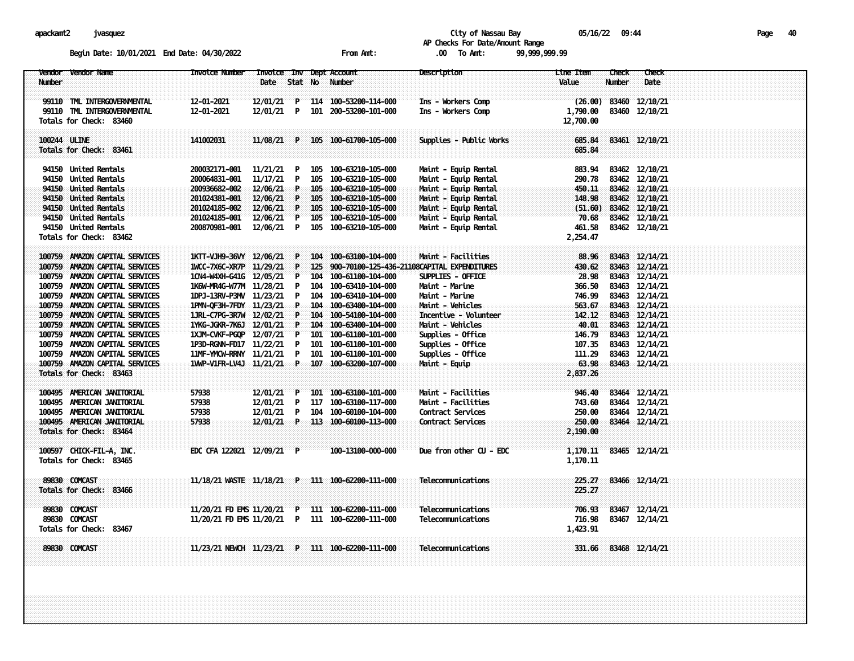**apackamt2 jvasquez City of Nassau Bay 05/16/22 09:44 Page 40 AP Checks For Date/Amount Range**

| Vendor              | <b>Vendor Name</b>                                               | Invoice Number - Invoice Invo Dept Account |                              |   |                                                                         | <b>Description</b>                              | itine Titem     | <b>Check</b>  | Check                                      |  |
|---------------------|------------------------------------------------------------------|--------------------------------------------|------------------------------|---|-------------------------------------------------------------------------|-------------------------------------------------|-----------------|---------------|--------------------------------------------|--|
| Number              |                                                                  |                                            | Date Stat No Number          |   |                                                                         |                                                 | Value           | <b>Number</b> | Date                                       |  |
|                     | 99110 TML INTERGOVERNMENTAL                                      | 12-01-2021                                 |                              |   | 12/01/21 P 114 100-53200-114-000                                        | Ins - Workers Comp                              |                 |               | $(26.00)$ 83460 12/10/21                   |  |
|                     | 99110 TML INTERGOVERNMENTAL                                      | 12-01-2021                                 | $12/01/21$ P                 |   | 101 200-53200-101-000                                                   | Ins - Workers Comp                              | 1,790.00        |               | 83460 12/10/21                             |  |
|                     | Totals for Check: 83460                                          |                                            |                              |   |                                                                         |                                                 | 12,700.00       |               |                                            |  |
| <b>100244 ULINE</b> |                                                                  | 141002031                                  |                              |   | 11/08/21 P 105 100-61700-105-000                                        | Supplies - Public Works                         | 685.84          |               | 83461 12/10/21                             |  |
|                     | Totals for Check: 83461                                          |                                            |                              |   |                                                                         |                                                 | 685.84          |               |                                            |  |
|                     |                                                                  |                                            |                              |   |                                                                         |                                                 |                 |               |                                            |  |
|                     | 94150 United Rentals                                             | 200032171-001                              | $11/21/21$ P                 |   | 105 100-63210-105-000                                                   | Maint - Equip Rental                            | 883.94          |               | 83462 12/10/21                             |  |
|                     | 94150 United Rentals                                             | 200064831-001                              | $11/17/21$ P                 |   | 105 100-63210-105-000                                                   | Maint - Equip Rental                            | 290.78          |               | 83462 12/10/21                             |  |
|                     | 94150 United Rentals                                             | 200936682-002                              | $12/06/21$ P                 |   | $105 - 100 - 63210 - 105 - 000$                                         | Maint - Equip Rental                            | 450.11          |               | 83462 12/10/21                             |  |
|                     | 94150 United Rentals<br>94150 United Rentals                     | 201024381-001<br>201024185-002             | $12/06/21$ P<br>$12/06/21$ P |   | 105 100-63210-105-000<br>105 100-63210-105-000                          | Maint - Equip Rental<br>Maint - Equip Rental    | 148.98          |               | 83462 12/10/21<br>$(51.60)$ 83462 12/10/21 |  |
|                     | 94150 United Rentals                                             | 201024185-001                              | $12/06/21$ P                 |   | 105 100-63210-105-000                                                   | Maint - Equip Rental                            | 70.68           |               | 83462 12/10/21                             |  |
|                     | 94150 United Rentals                                             | 200870981-001 12/06/21 P                   |                              |   | 105 100-63210-105-000                                                   | Maint - Equip Rental                            | 461.58          |               | 83462 12/10/21                             |  |
|                     | Totals for Check: 83462                                          |                                            |                              |   |                                                                         |                                                 | 2,254.47        |               |                                            |  |
|                     | 100759 AMAZON CAPITAL SERVICES                                   | 1KTT-VJH9-36VY 12/06/21 P                  |                              |   | 104 100-63100-104-000                                                   | Maint - Facilities                              | 88.96           |               | 83463 12/14/21                             |  |
|                     | 100759 AMAZON CAPITAL SERVICES                                   | 1WCC-7X6C-XR7P 11/29/21                    |                              | P |                                                                         | 125 900-70100-125-436-21108CAPITAL EXPENDITURES | 430.62          |               | 83463 12/14/21                             |  |
|                     | 100759 AMAZON CAPITAL SERVICES                                   | 1CN4-W4XH-G41G 12/05/21 P                  |                              |   | 104 100-61100-104-000                                                   | SUPPLIES - OFFICE                               | 28.98           |               | 83463 12/14/21                             |  |
|                     | 100759 AMAZON CAPITAL SERVICES                                   | 1K6W-MR4G-W77M 11/28/21 P                  |                              |   | 104 100-63410-104-000                                                   | Maint - Marine                                  | 366.50          |               | 83463 12/14/21                             |  |
|                     | 100759 AMAZON CAPITAL SERVICES                                   | 1DPJ-13RV-P3MV 11/23/21 P                  |                              |   | 104 100-63410-104-000                                                   | Maint - Marine                                  | 746.99          |               | 83463 12/14/21                             |  |
|                     | 100759 AMAZON CAPITAL SERVICES                                   | 1PMN-QF3H-7FDY 11/23/21 P                  |                              |   | 104 100-63400-104-000                                                   | Maint - Vehicles                                | 563.67          |               | 83463 12/14/21                             |  |
|                     | 100759 AMAZON CAPITAL SERVICES                                   | 1JRL-C7PG-3R7W 12/02/21 P                  |                              |   | 104 100-54100-104-000                                                   | Incentive - Volunteer                           | 142.12          |               | 83463 12/14/21                             |  |
|                     | 100759 AMAZON CAPITAL SERVICES                                   | 1YKG-JGKR-7K6J 12/01/21 P                  |                              |   | 104 100-63400-104-000                                                   | Maint - Vehicles                                | 40.01           |               | 83463 12/14/21                             |  |
|                     | 100759 AMAZON CAPITAL SERVICES                                   |                                            |                              |   | 1XJM-CVKF-PGQP 12/07/21 P 101 100-61100-101-000                         | Supplies - Office                               | 146.79          |               | 83463 12/14/21                             |  |
|                     | 100759 AMAZON CAPITAL SERVICES                                   | 1P3D-RGNN-FD17 11/22/21 P                  |                              |   | 101 100-61100-101-000                                                   | Supplies - Office                               | 107.35          |               | 83463 12/14/21                             |  |
|                     | 100759 AMAZON CAPITAL SERVICES<br>100759 AMAZON CAPITAL SERVICES | 11MF-YMCW-RRNY 11/21/21 P                  |                              |   | 101 100-61100-101-000<br>1WP-V1FR-LV4J 11/21/21 P 107 100-63200-107-000 | Supplies - Office<br>Maint - Equip              | 111.29<br>63.98 |               | 83463 12/14/21<br>83463 12/14/21           |  |
|                     | Totals for Check: 83463                                          |                                            |                              |   |                                                                         |                                                 | 2,837.26        |               |                                            |  |
|                     |                                                                  |                                            |                              |   |                                                                         |                                                 |                 |               |                                            |  |
|                     | 100495 AMERICAN JANITORIAL                                       | 57938                                      | $12/01/21$ P                 |   | 101 100-63100-101-000                                                   | Maint - Facilities                              | 946.40          |               | 83464 12/14/21                             |  |
|                     | 100495 AMERICAN JANITORIAL                                       | 57938                                      | $12/01/21$ P                 |   | 117 100-63100-117-000                                                   | Maint - Facilities                              | 743.60          |               | 83464 12/14/21                             |  |
|                     | 100495 AMERICAN JANITORIAL                                       | 57938                                      | $12/01/21$ P                 |   | 104 100-60100-104-000                                                   | Contract Services                               | 250.00          |               | 83464 12/14/21                             |  |
|                     | 100495 AMERICAN JANITORIAL                                       | 57938                                      | 12/01/21 P                   |   | 113 100-60100-113-000                                                   | Contract Services                               | 250.00          |               | 83464 12/14/21                             |  |
|                     | Totals for Check: 83464                                          |                                            |                              |   |                                                                         |                                                 | 2,190.00        |               |                                            |  |
|                     | 100597 CHICK-FIL-A, INC.                                         | EDC CFA 122021 12/09/21 P                  |                              |   | 100-13100-000-000                                                       | Due from other CU - EDC                         | 1,170.11        |               | 83465 12/14/21                             |  |
|                     | Totals for Check: 83465                                          |                                            |                              |   |                                                                         |                                                 | 1,170.11        |               |                                            |  |
|                     | 89830 COMCAST                                                    |                                            |                              |   | 11/18/21 WASTE 11/18/21 P 111 100-62200-111-000                         | Telecommunications                              | 225.27          |               | 83466 12/14/21                             |  |
|                     | Totals for Check: 83466                                          |                                            |                              |   |                                                                         |                                                 | 225.27          |               |                                            |  |
|                     |                                                                  |                                            |                              |   |                                                                         |                                                 |                 |               |                                            |  |
|                     | 89830 COMCAST                                                    |                                            |                              |   | 11/20/21 FD EMS 11/20/21 P 111 100-62200-111-000                        | <b>Telecomunications</b>                        | 706.93          |               | 83467 12/14/21                             |  |
|                     | 89830 COMCAST                                                    |                                            |                              |   | 11/20/21 FD EMS 11/20/21 P 111 100-62200-111-000                        | Telecommunications                              | 716.98          |               | 83467 12/14/21                             |  |
|                     | Totals for Check: 83467                                          |                                            |                              |   |                                                                         |                                                 | 1,423.91        |               |                                            |  |
|                     | 89830 COMCAST                                                    |                                            |                              |   | 11/23/21 NEWCH 11/23/21 P 111 100-62200-111-000                         | <b>Telecommunications</b>                       | 331.66          |               | 83468 12/14/21                             |  |
|                     |                                                                  |                                            |                              |   |                                                                         |                                                 |                 |               |                                            |  |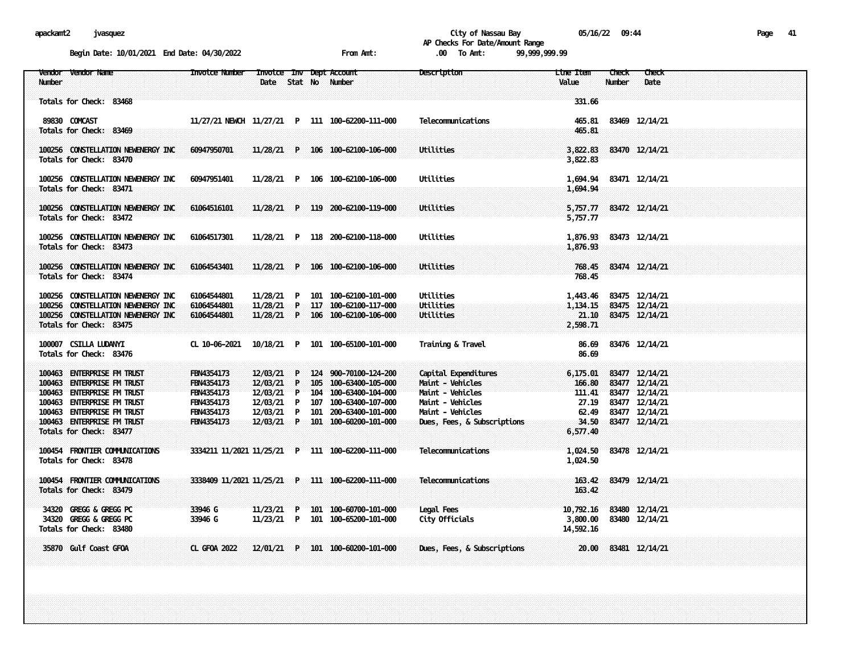**apackamt2 jvasquez City of Nassau Bay 05/16/22 09:44 Page 41 AP Checks For Date/Amount Range** Begin Date: 10/01/2021 End Date: 04/30/2022 From Amt: 99,999,999.99 (999.99)

| <del>Vendor Vendor Name</del>                                                                                                                      |                                                                                                |                                          | Invoice Number Invoice Inv Dept Account                                                                                                         | Description                                                                                          | ttne Item                          | <b>Check</b><br>Check                                                                                  |  |
|----------------------------------------------------------------------------------------------------------------------------------------------------|------------------------------------------------------------------------------------------------|------------------------------------------|-------------------------------------------------------------------------------------------------------------------------------------------------|------------------------------------------------------------------------------------------------------|------------------------------------|--------------------------------------------------------------------------------------------------------|--|
| <b>Number</b>                                                                                                                                      |                                                                                                |                                          | Date Stat No Number                                                                                                                             |                                                                                                      | Value                              | Date<br><b>Number</b>                                                                                  |  |
| Totals for Check: 83468                                                                                                                            |                                                                                                |                                          |                                                                                                                                                 |                                                                                                      | 331.66                             |                                                                                                        |  |
| 89830 COMCAST<br>Totals for Check: 83469                                                                                                           |                                                                                                |                                          | 11/27/21 NEWCH 11/27/21 P 111 100-62200-111-000                                                                                                 | <b>Telecomunications</b>                                                                             | 465.81<br>465.81                   | 83469 12/14/21                                                                                         |  |
| 100256 CONSTELLATION NEWENERGY INC<br>Totals for Check: 83470                                                                                      | 60947950701                                                                                    | $11/28/21$ P                             | $106 - 100 - 62100 - 106 - 000$                                                                                                                 | Utilities                                                                                            | 3,822.83<br>3,822.83               | 83470 12/14/21                                                                                         |  |
| 100256 CONSTELLATION NEWENERGY INC<br>Totals for Check: 83471                                                                                      | 60947951401                                                                                    | $11/28/21$ P                             | 106 100-62100-106-000                                                                                                                           | Utilities                                                                                            | 1,694.94<br>1,694.94               | 83471 12/14/21                                                                                         |  |
| 100256 CONSTELLATION NEWENERGY INC<br>Totals for Check: 83472                                                                                      | 61064516101                                                                                    | 11/28/21 P                               | 119 200-62100-119-000                                                                                                                           | Utilities                                                                                            | 5,757.77<br>5,757.77               | 83472 12/14/21                                                                                         |  |
| 100256 CONSTELLATION NEWENERGY INC<br>Totals for Check: 83473                                                                                      | 61064517301                                                                                    | $11/28/21$ P                             | 118 200-62100-118-000                                                                                                                           | Utilities                                                                                            | 1,876.93<br>1,876.93               | 83473 12/14/21                                                                                         |  |
| 100256 CONSTELLATION NEWENERGY INC<br>Totals for Check: 83474                                                                                      | 61064543401                                                                                    | 11/28/21 P                               | 106 100-62100-106-000                                                                                                                           | <b>Utilities</b>                                                                                     | 768.45<br>768.45                   | 83474 12/14/21                                                                                         |  |
| 100256 CONSTELLATION NEWENERGY INC<br>100256 CONSTELLATION NEWENERGY INC<br>100256 CONSTELLATION NEWENERGY INC                                     | 61064544801<br>61064544801<br>61064544801                                                      | $11/28/21$ P                             | 101 100-62100-101-000<br>11/28/21 P 117 100-62100-117-000<br>11/28/21 P 106 100-62100-106-000                                                   | Utilities<br>Utilities<br><b>Utilities</b>                                                           | 1,443.46<br>1,134.15<br>21.10      | 83475 12/14/21<br>83475 12/14/21<br>83475 12/14/21                                                     |  |
| Totals for Check: 83475                                                                                                                            |                                                                                                |                                          |                                                                                                                                                 |                                                                                                      | 2,598.71                           |                                                                                                        |  |
| 100007 CSILLA LUDANYI<br>Totals for Check: 83476                                                                                                   | CL 10-06-2021                                                                                  | $10/18/21$ P                             | 101 100-65100-101-000                                                                                                                           | Training & Travel                                                                                    | 86.69<br>86.69                     | 83476 12/14/21                                                                                         |  |
| 100463 ENTERPRISE FM TRUST<br>100463 ENTERPRISE FM TRUST<br>100463 ENTERPRISE FM TRUST<br>100463 ENTERPRISE FM TRUST<br>100463 ENTERPRISE FM TRUST | <b>FBN4354173</b><br><b>FBN4354173</b><br><b>FBN4354173</b><br><b>FBN4354173</b><br>FBN4354173 | 12/03/21 P<br>$12/03/21$ P<br>12/03/21 P | 124 900-70100-124-200<br>105 100-63400-105-000<br>12/03/21 P 104 100-63400-104-000<br>107 100-63400-107-000<br>12/03/21 P 101 200-63400-101-000 | Capital Expenditures<br>Maint - Vehicles<br>Maint - Vehicles<br>Maint - Vehicles<br>Maint - Vehicles | 166.80<br>27.19<br>62.49           | 6,175.01 83477 12/14/21<br>83477 12/14/21<br>111.41 83477 12/14/21<br>83477 12/14/21<br>83477 12/14/21 |  |
| 100463 ENTERPRISE FM TRUST<br>Totals for Check: 83477                                                                                              | FBN4354173                                                                                     | $12/03/21$ P                             | $101$ $100 - 60200 - 101 - 000$                                                                                                                 | Dues, Fees, & Subscriptions                                                                          | 6,577.40                           | 34.50 83477 12/14/21                                                                                   |  |
| 100454 FRONTIER COMMUNICATIONS<br>Totals for Check: 83478                                                                                          |                                                                                                |                                          | 3334211 11/2021 11/25/21 P 111 100-62200-111-000                                                                                                | <b>Telecommunications</b>                                                                            | 1,024.50<br>1,024.50               | 83478 12/14/21                                                                                         |  |
| 100454 FRONTIER COMMUNICATIONS<br>Totals for Check: 83479                                                                                          |                                                                                                |                                          | 3338409 11/2021 11/25/21 P 111 100-62200-111-000                                                                                                | <b>Telecomunications</b>                                                                             | 163.42<br>163.42                   | 83479 12/14/21                                                                                         |  |
| 34320 GREGG & GREGG PC<br>34320 GREGG & GREGG PC<br>Totals for Check: 83480                                                                        | 33946 G<br>33946 G                                                                             | $11/23/21$ P                             | 101 100-60700-101-000<br>11/23/21 P 101 100-65200-101-000                                                                                       | Legal Fees<br>City Officials                                                                         | 10,792.16<br>3,800.00<br>14,592.16 | 83480 12/14/21<br>83480 12/14/21                                                                       |  |
| 35870 Gulf Coast GFOA                                                                                                                              | CL GFOA 2022                                                                                   |                                          | 12/01/21 P 101 100-60200-101-000                                                                                                                | Dues, Fees, & Subscriptions                                                                          |                                    | 20.00 83481 12/14/21                                                                                   |  |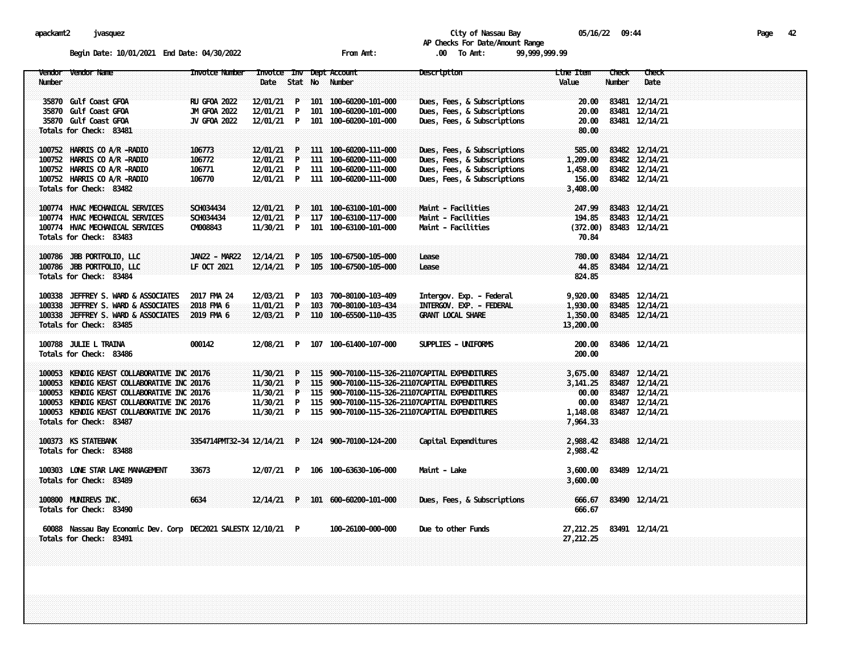**apackamt2 jvasquez City of Nassau Bay 05/16/22 09:44 Page 42 AP Checks For Date/Amount Range**

|  | From Am |  |
|--|---------|--|
|  |         |  |

|               | Vendor Vendor Name                                             | Invoice Number Invoice Inv Dept Account |                     |              |     |                                                  | <b>Description</b>                              | ttne Item | <b>Check</b>  | Check          |  |  |
|---------------|----------------------------------------------------------------|-----------------------------------------|---------------------|--------------|-----|--------------------------------------------------|-------------------------------------------------|-----------|---------------|----------------|--|--|
| <b>Number</b> |                                                                |                                         | Date Stat No Number |              |     |                                                  |                                                 | Value     | <b>Number</b> | Date           |  |  |
|               | 35870 Gulf Coast GFOA                                          | <b>RU GFOA 2022</b>                     | $12/01/21$ P        |              |     | 101 100-60200-101-000                            | Dues, Fees, & Subscriptions                     | 20.00     |               | 83481 12/14/21 |  |  |
|               | 35870 Gulf Coast GFOA                                          | <b>JM GFOA 2022</b>                     | 12/01/21            | <b>P</b>     |     | 101 100-60200-101-000                            | Dues, Fees, & Subscriptions                     | 20.00     |               | 83481 12/14/21 |  |  |
|               | 35870 Gulf Coast GFOA                                          | <b>JV GFOA 2022</b>                     | $12/01/21$ P        |              |     | 101 100-60200-101-000                            | Dues, Fees, & Subscriptions                     | 20.00     |               | 83481 12/14/21 |  |  |
|               | Totals for Check: 83481                                        |                                         |                     |              |     |                                                  |                                                 | 80.00     |               |                |  |  |
|               | 100752 HARRIS CO A/R -RADIO                                    | 106773                                  | 12/01/21            | $\mathbf{P}$ |     | 111 100-60200-111-000                            | Dues, Fees, & Subscriptions                     | 585.00    |               | 83482 12/14/21 |  |  |
|               | 100752 HARRIS CO A/R -RADIO                                    | 106772                                  | 12/01/21            | ™P           |     | 111 100-60200-111-000                            | Dues, Fees, & Subscriptions                     | 1,209.00  |               | 83482 12/14/21 |  |  |
|               | 100752 HARRIS CO A/R -RADIO                                    | 106771                                  | 12/01/21            | - P          |     | 111 100-60200-111-000                            | Dues, Fees, & Subscriptions                     | 1,458.00  |               | 83482 12/14/21 |  |  |
|               | 100752 HARRIS CO A/R -RADIO                                    | 106770                                  | $12/01/21$ P        |              |     | 111 100-60200-111-000                            | Dues, Fees, & Subscriptions                     | 156.00    |               | 83482 12/14/21 |  |  |
|               | Totals for Check: 83482                                        |                                         |                     |              |     |                                                  |                                                 | 3,408.00  |               |                |  |  |
|               | 100774 HVAC MECHANICAL SERVICES                                | <b>SCH034434</b>                        | 12/01/21            | P            |     | 101 100-63100-101-000                            | Maint - Facilities                              | 247.99    |               | 83483 12/14/21 |  |  |
|               | 100774 HVAC MECHANICAL SERVICES                                | <b>SCH034434</b>                        | 12/01/21            | ႃၣႜ          |     | 117 100-63100-117-000                            | Maint - Facilities                              | 194.85    |               | 83483 12/14/21 |  |  |
|               | 100774 HVAC MECHANICAL SERVICES                                | CM008843                                | $11/30/21$ P        |              |     | 101 100-63100-101-000                            | Maint - Facilities                              | (372.00)  |               | 83483 12/14/21 |  |  |
|               | Totals for Check: 83483                                        |                                         |                     |              |     |                                                  |                                                 | 70.84     |               |                |  |  |
|               | 100786 JBB PORTFOLIO, LLC                                      | <b>JAN22 - MAR22</b>                    | 12/14/21            | . Р.         |     | 105 100-67500-105-000                            | Lease                                           | 780.00    |               | 83484 12/14/21 |  |  |
|               | 100786 JBB PORTFOLIO, LLC                                      | LF OCT 2021                             | $12/14/21$ P        |              |     | 105 100-67500-105-000                            | Lease                                           | 44.85     |               | 83484 12/14/21 |  |  |
|               | Totals for Check: 83484                                        |                                         |                     |              |     |                                                  |                                                 | 824.85    |               |                |  |  |
|               | 100338 JEFFREY S. WARD & ASSOCIATES                            | 2017 FMA 24                             | 12/03/21 P          |              | 103 | 700-80100-103-409                                | Intergov. Exp. - Federal                        | 9,920.00  |               | 83485 12/14/21 |  |  |
|               | 100338 JEFFREY S. WARD & ASSOCIATES                            | 2018 FMA 6                              | $11/01/21$ P        |              |     | 103 700-80100-103-434                            | INTERGOV. EXP. - FEDERAL                        | 1,930.00  |               | 83485 12/14/21 |  |  |
|               | 100338 JEFFREY S. WARD & ASSOCIATES                            | 2019 FMA 6                              | 12/03/21 P          |              |     | 110 100-65500-110-435                            | <b>GRANT LOCAL SHARE</b>                        | 1,350.00  |               | 83485 12/14/21 |  |  |
|               | Totals for Check: 83485                                        |                                         |                     |              |     |                                                  |                                                 | 13,200.00 |               |                |  |  |
|               | 100788 JULIE L TRAINA                                          | 000142                                  | 12/08/21 P          |              |     | 107 100-61400-107-000                            | SUPPLIES - UNIFORMS                             | 200.00    |               | 83486 12/14/21 |  |  |
|               | Totals for Check: 83486                                        |                                         |                     |              |     |                                                  |                                                 | 200.00    |               |                |  |  |
|               | 100053 KENDIG KEAST COLLABORATIVE INC 20176                    |                                         | 11/30/21            | ा            |     |                                                  | 115 900-70100-115-326-21107CAPITAL EXPENDITURES | 3,675.00  |               | 83487 12/14/21 |  |  |
|               | 100053 KENDIG KEAST COLLABORATIVE INC 20176                    |                                         | 11/30/21            | ႃၣႜ          |     |                                                  | 115 900-70100-115-326-21107CAPITAL EXPENDITURES | 3,141.25  |               | 83487 12/14/21 |  |  |
|               | 100053 KENDIG KEAST COLLABORATIVE INC 20176                    |                                         | 11/30/21            | ‴P'          |     |                                                  | 115 900-70100-115-326-21107CAPITAL EXPENDITURES | 00.00     |               | 83487 12/14/21 |  |  |
|               | 100053 KENDIG KEAST COLLABORATIVE INC 20176                    |                                         | 11/30/21            | P.           |     |                                                  | 115 900-70100-115-326-21107CAPITAL EXPENDITURES | 00.00     |               | 83487 12/14/21 |  |  |
|               | 100053 KENDIG KEAST COLLABORATIVE INC 20176                    |                                         | $11/30/21$ P        |              |     |                                                  | 115 900-70100-115-326-21107CAPITAL EXPENDITURES | 1,148.08  |               | 83487 12/14/21 |  |  |
|               | Totals for Check: 83487                                        |                                         |                     |              |     |                                                  |                                                 | 7,964.33  |               |                |  |  |
|               |                                                                |                                         |                     |              |     |                                                  |                                                 |           |               |                |  |  |
|               | 100373 KS STATEBANK                                            |                                         |                     |              |     | 3354714PMT32-34 12/14/21 P 124 900-70100-124-200 | Capital Expenditures                            | 2,988.42  |               | 83488 12/14/21 |  |  |
|               | Totals for Check: 83488                                        |                                         |                     |              |     |                                                  |                                                 | 2,988.42  |               |                |  |  |
|               | 100303 LONE STAR LAKE MANAGEMENT                               | 33673                                   | 12/07/21 P          |              |     | 106 100-63630-106-000                            | Maint - Lake                                    | 3,600.00  |               | 83489 12/14/21 |  |  |
|               | Totals for Check: 83489                                        |                                         |                     |              |     |                                                  |                                                 | 3,600.00  |               |                |  |  |
|               | 100800 MINIREVS INC.                                           | 6634                                    |                     |              |     | 12/14/21 P 101 600-60200-101-000                 | Dues, Fees, & Subscriptions                     | 666.67    |               | 83490 12/14/21 |  |  |
|               | Totals for Check: 83490                                        |                                         |                     |              |     |                                                  |                                                 | 666.67    |               |                |  |  |
|               | 60088 Nassau Bay Economic Dev. Corp DEC2021 SALESTX 12/10/21 P |                                         |                     |              |     | 100-26100-000-000                                | Due to other Funds                              | 27,212.25 |               | 83491 12/14/21 |  |  |
|               | Totals for Check: 83491                                        |                                         |                     |              |     |                                                  |                                                 | 27,212.25 |               |                |  |  |
|               |                                                                |                                         |                     |              |     |                                                  |                                                 |           |               |                |  |  |
|               |                                                                |                                         |                     |              |     |                                                  |                                                 |           |               |                |  |  |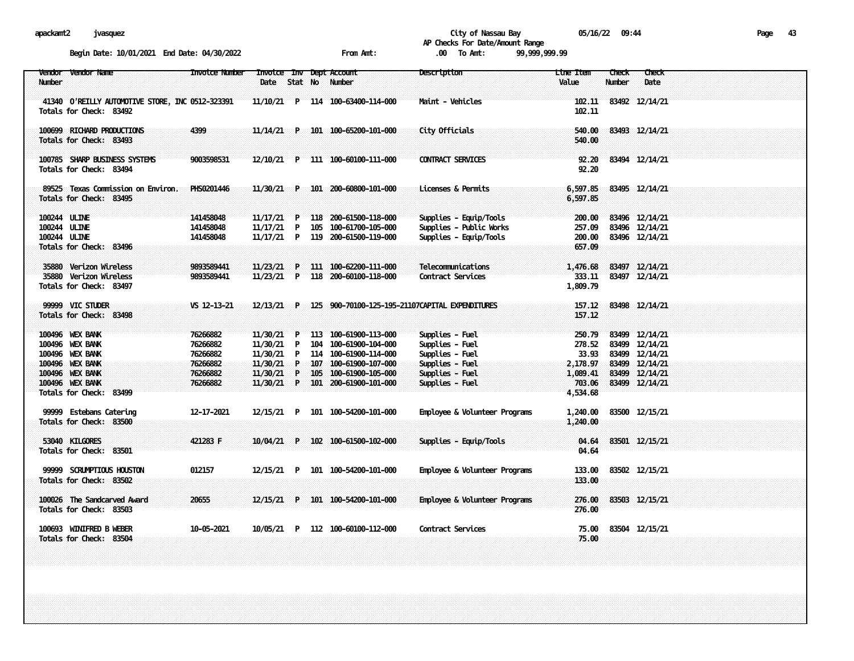**apackamt2 jvasquez City of Nassau Bay 05/16/22 09:44 Page 43**

Begin Date: 10/01/2021 End Date: 04/30/2022 <br>From Amt:

**AP Checks For Date/Amount Range**

|                     | <del>Vendor Vendor Name</del>                    | Invotce Number Invotce Inv Dept Account |                          |     |                                                             | <b>Description</b>                 | istne Ittem        | <b>Check</b>  | <b>Check</b>                     |  |  |
|---------------------|--------------------------------------------------|-----------------------------------------|--------------------------|-----|-------------------------------------------------------------|------------------------------------|--------------------|---------------|----------------------------------|--|--|
| Number              |                                                  |                                         | Date Stat No Number      |     |                                                             |                                    | Value              | <b>Number</b> | Date                             |  |  |
|                     | 41340 O'REILLY AUTOMOTIVE STORE, INC 0512-323391 |                                         |                          |     | 11/10/21 P 114 100-63400-114-000                            | Maint - Vehicles                   | 102.11             |               | 83492 12/14/21                   |  |  |
|                     | Totals for Check: 83492                          |                                         |                          |     |                                                             |                                    | 102.11             |               |                                  |  |  |
|                     | 100699 RICHARD PRODUCTIONS                       | 4399                                    |                          |     | 11/14/21 P 101 100-65200-101-000                            | City Officials                     | 540.00             |               | 83493 12/14/21                   |  |  |
|                     | Totals for Check: 83493                          |                                         |                          |     |                                                             |                                    | 540.00             |               |                                  |  |  |
|                     |                                                  |                                         |                          |     |                                                             |                                    |                    |               |                                  |  |  |
|                     | 100785 SHARP BUSINESS SYSTEMS                    | 9003598531                              |                          |     | 12/10/21 P 111 100-60100-111-000                            | <b>CONTRACT SERVICES</b>           | 92.20              |               | 83494 12/14/21                   |  |  |
|                     | Totals for Check: 83494                          |                                         |                          |     |                                                             |                                    | 92.20              |               |                                  |  |  |
|                     | 89525 Texas Commission on Environ.               | PHS0201446                              | $11/30/21$ P             |     | $101 - 200 - 60800 - 101 - 000$                             | <b>Licenses &amp; Permits</b>      | 6,597.85           |               | 83495 12/14/21                   |  |  |
|                     | Totals for Check: 83495                          |                                         |                          |     |                                                             |                                    | 6,597.85           |               |                                  |  |  |
|                     |                                                  |                                         |                          |     |                                                             |                                    |                    |               |                                  |  |  |
| <b>100244 ULINE</b> |                                                  | 141458048                               | $11/17/21$ P             |     | 118 200-61500-118-000                                       | Supplies - Equip/Tools             | 200.00             |               | 83496 12/14/21                   |  |  |
| 100244 ULINE        |                                                  | 141458048                               | $11/17/21$ P             |     | 105 100-61700-105-000                                       | Supplies - Public Works            | 257.09             |               | 83496 12/14/21                   |  |  |
| 100244 ULINE        |                                                  | 141458048                               | 11/17/21 P               |     | 119 200-61500-119-000                                       | Supplies - Equip/Tools             | 200.00             |               | 83496 12/14/21                   |  |  |
|                     | Totals for Check: 83496                          |                                         |                          |     |                                                             |                                    | 657.09             |               |                                  |  |  |
|                     | 35880 Verizon Wireless                           | 9893589441                              | $11/23/21$ P             |     | 111 100-62200-111-000                                       | <b>Telecomunications</b>           | 1,476.68           |               | 83497 12/14/21                   |  |  |
|                     | 35880 Vertzon Wireless                           | 9893589441                              | $11/23/21$ P             |     | 118 200-60100-118-000                                       | Contract Services                  | 333.11             |               | 83497 12/14/21                   |  |  |
|                     | Totals for Check: 83497                          |                                         |                          |     |                                                             |                                    | 1,809.79           |               |                                  |  |  |
|                     | 99999 VIC STUDER                                 | VS 12-13-21                             |                          |     | 12/13/21 P. 125 900-70100-125-195-21107CAPITAL EXPENDITURES |                                    | 157.12             |               | 83498 12/14/21                   |  |  |
|                     | Totals for Check: 83498                          |                                         |                          |     |                                                             |                                    | 157.12             |               |                                  |  |  |
|                     |                                                  |                                         |                          |     |                                                             |                                    |                    |               |                                  |  |  |
|                     | <b>100496 WEX BANK</b>                           | 76266882                                | $11/30/21$ P             |     | 113 100-61900-113-000                                       | Supplies - Fuel                    | 250.79             |               | 83499 12/14/21                   |  |  |
|                     | 100496 WEX BANK                                  | 76266882                                | $11/30/21$ P             |     | 104 100-61900-104-000                                       | Supplies - Fuel                    | 278.52             |               | 83499 12/14/21                   |  |  |
|                     | 100496 WEX BANK                                  | 76266882                                | 11/30/21 P               |     | 114 100-61900-114-000                                       | Supplies - Fuel                    | 33.93              |               | 83499 12/14/21                   |  |  |
|                     | 100496 MEX BANK                                  | 76266882                                | $11/30/21$ P             |     | 107 100-61900-107-000                                       | Supplies - Fuel                    | 2,178.97           |               | 83499 12/14/21                   |  |  |
|                     | 100496 WEX BANK<br>100496 WEX BANK               | 76266882<br>76266882                    | 11/30/21<br>$11/30/21$ P | ∵ P | 105 100-61900-105-000<br>101 200-61900-101-000              | Supplies - Fuel<br>Supplies - Fuel | 1,089.41<br>703.06 |               | 83499 12/14/21<br>83499 12/14/21 |  |  |
|                     | Totals for Check: 83499                          |                                         |                          |     |                                                             |                                    | 4,534.68           |               |                                  |  |  |
|                     |                                                  |                                         |                          |     |                                                             |                                    |                    |               |                                  |  |  |
|                     | 99999 Estebans Catering                          | 12-17-2021                              | $12/15/21$ P             |     | 101 100-54200-101-000                                       | Employee & Volunteer Programs      | 1,240.00           |               | 83500 12/15/21                   |  |  |
|                     | Totals for Check: 83500                          |                                         |                          |     |                                                             |                                    | 1,240.00           |               |                                  |  |  |
|                     |                                                  |                                         |                          |     |                                                             |                                    |                    |               |                                  |  |  |
|                     | 53040 KILGORES<br>Totals for Check: 83501        | 421283 F                                | 10/04/21 P               |     | 102 100-61500-102-000                                       | Supplies - Equip/Tools             | 04.64<br>04.64     |               | 83501 12/15/21                   |  |  |
|                     |                                                  |                                         |                          |     |                                                             |                                    |                    |               |                                  |  |  |
|                     | 99999 SCRUMPTIOUS HOUSTON                        | 012157                                  | 12/15/21 P               |     | 101 100-54200-101-000                                       | Employee & Volunteer Programs      | 133.00             |               | 83502 12/15/21                   |  |  |
|                     | Totals for Check: 83502                          |                                         |                          |     |                                                             |                                    | 133.00             |               |                                  |  |  |
|                     |                                                  |                                         |                          |     |                                                             |                                    |                    |               |                                  |  |  |
|                     | 100026 The Sandcarved Award                      | 20655                                   |                          |     | 12/15/21 P 101 100-54200-101-000                            | Employee & Volunteer Programs      | 276.00             |               | 83503 12/15/21                   |  |  |
|                     | Totals for Check: 83503                          |                                         |                          |     |                                                             |                                    | 276.00             |               |                                  |  |  |
|                     | 100693 WINIFRED B WEBER                          | 10-05-2021                              |                          |     | 10/05/21 P 112 100-60100-112-000                            | Contract Services                  | 75.00              |               | 83504 12/15/21                   |  |  |
|                     | Totals for Check: 83504                          |                                         |                          |     |                                                             |                                    | 75.00              |               |                                  |  |  |
|                     |                                                  |                                         |                          |     |                                                             |                                    |                    |               |                                  |  |  |
|                     |                                                  |                                         |                          |     |                                                             |                                    |                    |               |                                  |  |  |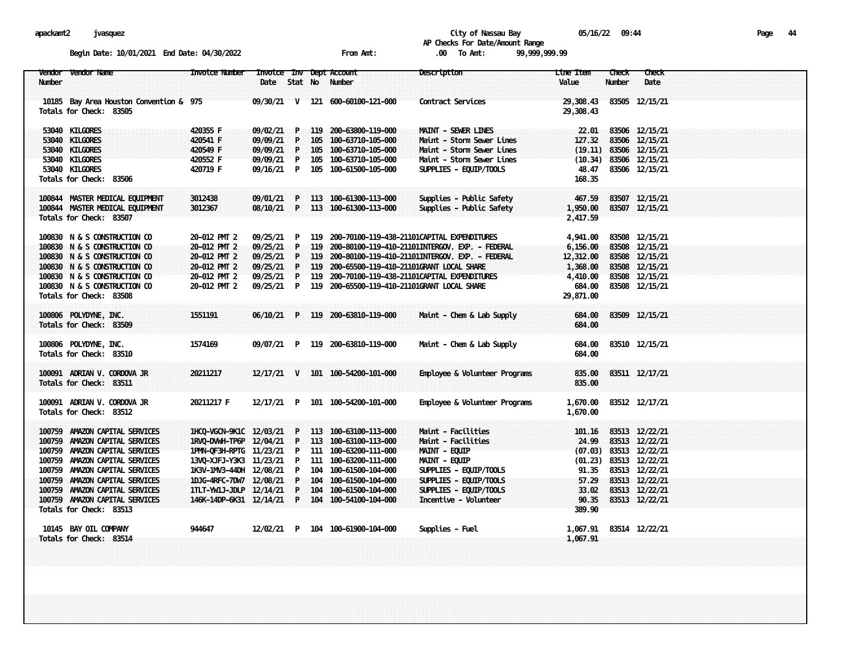**apackamt2 jvasquez City of Nassau Bay 05/16/22 09:44 Page 44 AP Checks For Date/Amount Range**

Begin Date: 10/01/2021 End Date: 04/30/2022 From Amt:

| Number | Vendor Vendor Name                                                 | <b>Involce Number</b> | Date         |     |            | Invoice Inv Dept Account<br>Stat No Number | <b>Description</b>                              | ttne Item<br>Value     | -Check:<br><b>Number</b> | <b>Check</b><br>Date |
|--------|--------------------------------------------------------------------|-----------------------|--------------|-----|------------|--------------------------------------------|-------------------------------------------------|------------------------|--------------------------|----------------------|
|        | 10185 Bay Area Houston Convention & 975<br>Totals for Check: 83505 |                       | $09/30/21$ V |     |            | 121 600-60100-121-000                      | Contract Services                               | 29,308.43<br>29,308.43 |                          | 83505 12/15/21       |
|        | 53040 KILGORES                                                     | 420355 F              | $09/02/21$ P |     | 119        | 200-63800-119-000                          | <b>MAINT - SEWER LINES</b>                      | 22.01                  |                          | 83506 12/15/21       |
| 53040  | <b>KILGORES</b>                                                    | 420541 F              | 09/09/21 P   |     | 105        | 100-63710-105-000                          | Maint - Storm Sewer Lines                       | 127.32                 | 83506                    | 12/15/21             |
| 53040  | <b>KILGORES</b>                                                    | 420549 F              | 09/09/21     | ਾ₽  | 105        | 100-63710-105-000                          | Maint - Stom Sever Lines                        | (19.11)                |                          | 83506 12/15/21       |
| 53040  | <b>KILGORES</b>                                                    | 420552 F              | 09/09/21     | ™P  | 105        | 100-63710-105-000                          | Maint - Storm Sewer Lines                       | (10.34)                |                          | 83506 12/15/21       |
|        | 53040 KILGORES                                                     | 420719 F              | 09/16/21     |     | 105        | 100-61500-105-000                          | SUPPLIES - EQUIP/TOOLS                          | 48.47                  |                          | 83506 12/15/21       |
|        | Totals for Check: 83506                                            |                       |              |     |            |                                            |                                                 | 168.35                 |                          |                      |
|        | 100844 MASTER MEDICAL EOUIPMENT                                    | 3012438               | 09/01/21     | ႃၣႜ | 113        | 100-61300-113-000                          | Supplies - Public Safety                        | 467.59                 |                          | 83507 12/15/21       |
|        | 100844 MASTER MEDICAL EQUIPMENT                                    | 3012367               | 08/10/21     | ு உ | 113        | 100-61300-113-000                          | Supplies - Public Safety                        | 1,950.00               |                          | 83507 12/15/21       |
|        | Totals for Check: 83507                                            |                       |              |     |            |                                            |                                                 | 2,417.59               |                          |                      |
|        | 100830 N & S CONSTRUCTION CO                                       | 20-012 PMT 2          | 09/25/21     | - P | 119        |                                            | 200-70100-119-438-21101CAPITAL EXPENDITURES     | 4,941.00               |                          | 83508 12/15/21       |
|        | 100830 N & S CONSTRUCTION CO                                       | 20-012 PMT 2          | 09/25/21     | ∵ P | 119        |                                            | 200-80100-119-410-21101INTERGOV. EXP. - FEDERAL | 6,156.00               | 83508                    | 12/15/21             |
|        | 100830 N & S CONSTRUCTION CO                                       | 20-012 PMT 2          | 09/25/21     |     | 119        |                                            | 200-80100-119-410-21101INTERGOV. EXP. - FEDERAL | 12,312.00              |                          | 83508 12/15/21       |
|        | 100830 N & S CONSTRUCTION CO                                       | 20-012 PMT 2          | 09/25/21     | ு P | 119        | 200-65500-119-410-21101GRANT LOCAL SHARE   |                                                 | 1,368.00               |                          | 83508 12/15/21       |
|        | 100830 N & S CONSTRUCTION CO                                       | 20-012 PMT 2          | 09/25/21     |     | <b>119</b> |                                            | 200-70100-119-438-21101CAPITAL EXPENDITURES     | 4,410.00               | 83508                    | 12/15/21             |
|        | 100830 N & S CONSTRUCTION CO                                       | 20-012 PMT 2          | 09/25/21     |     | 119        | 200-65500-119-410-21101GRANT LOCAL SHARE   |                                                 | 684.00                 |                          | 83508 12/15/21       |
|        | Totals for Check: 83508                                            |                       |              |     |            |                                            |                                                 | 29,871.00              |                          |                      |
|        | 100806 POLYDYNE, INC.                                              | 1551191               | 06/10/21 P   |     | 119        | 200-63810-119-000                          | Maint - Chem & Lab Supply                       | 684.00                 |                          | 83509 12/15/21       |
|        | Totals for Check: 83509                                            |                       |              |     |            |                                            |                                                 | 684.00                 |                          |                      |

| 100806 POLYDYNE, INC.<br>Totals for Check: 83510       | 1574169                   | 09/07/21 P   |     | 119 200-63810-119-000 | Maint - Chem & Lab Supply     | 684.00<br>684.00     | 83510 12/15/21 |
|--------------------------------------------------------|---------------------------|--------------|-----|-----------------------|-------------------------------|----------------------|----------------|
| 100091 ADRIAN V. CORDOVA JR<br>Totals for Check: 83511 | 20211217                  | $12/17/21$ V |     | 101 100-54200-101-000 | Employee & Volunteer Programs | 835.00<br>835.00     | 83511 12/17/21 |
| 100091 ADRIAN V. CORDOVA JR<br>Totals for Check: 83512 | 20211217 F                | 12/17/21 P   |     | 101 100-54200-101-000 | Employee & Volunteer Programs | 1,670.00<br>1,670.00 | 83512 12/17/21 |
| 100759 AMAZON CAPITAL SERVICES                         | 1HCO-VGCN-9K1C 12/03/21 P |              |     | 113 100-63100-113-000 | Maint - Facilities            | 101.16               | 83513 12/22/21 |
| 100759 AMAZON CAPITAL SERVICES                         | IRVQ-DWH-TP6P 12/04/21 P  |              |     | 113 100-63100-113-000 | Maint - Facilities            | 24.99                | 83513 12/22/21 |
| AMAZON CAPITAL SERVICES<br>100759                      | 1PMN-0F3H-RPTG 11/23/21 P |              |     | 111 100-63200-111-000 | MAINT - EOUIP                 | (07.03)              | 83513 12/22/21 |
| AMAZON CAPITAL SERVICES<br>100759                      | 13VQ-XJFJ-Y3K3 11/23/21 P |              |     | 111 100-63200-111-000 | MAINT - EQUIP                 | (01.23)              | 83513 12/22/21 |
| AMAZON CAPITAL SERVICES<br>100759                      | 1K3V-1MV3-44DH 12/08/21   |              | - P | 104 100-61500-104-000 | SUPPLIES - EOUIP/TOOLS        | 91.35                | 83513 12/22/21 |
| 100759 AMAZON CAPITAL SERVICES                         | 1DJG-4RFC-7DW7 12/08/21 P |              |     | 104 100-61500-104-000 | SUPPLIES - EQUIP/TOOLS        | 57.29                | 83513 12/22/21 |
| 100759 AMAZON CAPITAL SERVICES                         | 1TLT-WILJ-JDLP 12/14/21 P |              |     | 104 100-61500-104-000 | SUPPLIES - EQUIP/TOOLS        | 33.02                | 83513 12/22/21 |
| 100759 AMAZON CAPITAL SERVICES                         | 146K-14DP-6K31 12/14/21 P |              |     | 104 100-54100-104-000 | Incentive - Volunteer         | 90.35                | 83513 12/22/21 |
| Totals for Check: 83513                                |                           |              |     |                       |                               | 389.90               |                |
| 10145 BAY OIL COMPANY                                  | 944647                    | 12/02/21     | - P | 104 100-61900-104-000 | Supplies - Fuel               | 1,067.91             | 83514 12/22/21 |
| Totals for Check: 83514                                |                           |              |     |                       |                               | 1,067.91             |                |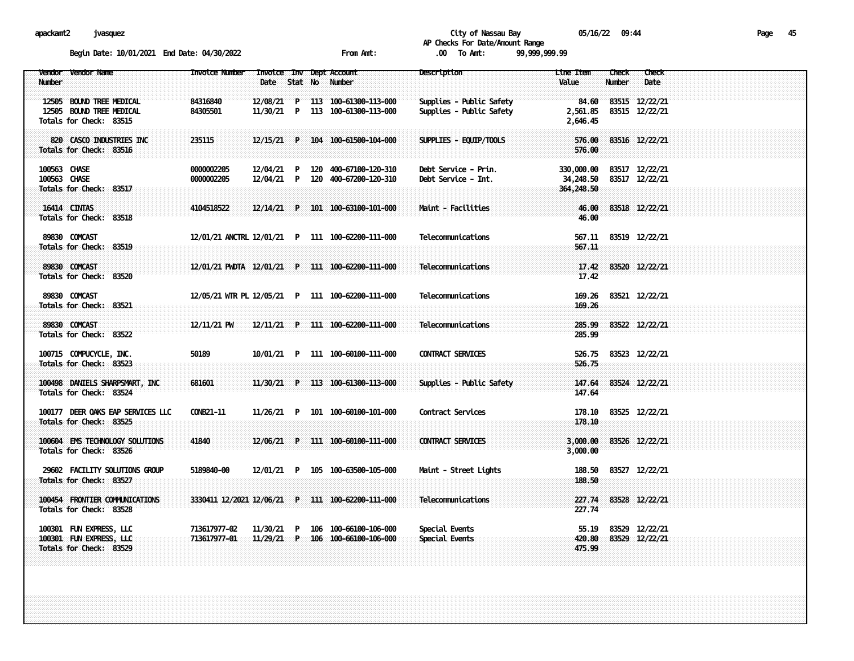**apackamt2 jvasquez City of Nassau Bay 05/16/22 09:44 Page 45 AP Checks For Date/Amount Range**

| Vendor Vendor Name                                                              | <b>THYORGE NUMBER</b>        | <b>Invoice Inv Dept Account</b> |  |                                                                      | <b>Description</b>                                   | tine Item                     | <b>Check</b>  | <b>Check</b>                     |  |  |
|---------------------------------------------------------------------------------|------------------------------|---------------------------------|--|----------------------------------------------------------------------|------------------------------------------------------|-------------------------------|---------------|----------------------------------|--|--|
| <b>Number</b>                                                                   |                              | Date Stat No Number             |  |                                                                      |                                                      | <b>Value</b>                  | <b>Number</b> | Date                             |  |  |
| 12505 BOUND TREE MEDICAL<br>12505 BOUND TREE MEDICAL<br>Totals for Check: 83515 | 84316840<br>84305501         |                                 |  | 12/08/21 P 113 100-61300-113-000<br>11/30/21 P 113 100-61300-113-000 | Supplies - Public Safety<br>Supplies - Public Safety | 84.60<br>2,561.85<br>2,646.45 |               | 83515 12/22/21<br>83515 12/22/21 |  |  |
| 820 CASCO INDUSTRIES INC<br>Totals for Check: 83516                             | 235115                       |                                 |  | 12/15/21 P 104 100-61500-104-000                                     | SUPPLIES - EOUIP/TOOLS                               | 576.00<br>576.00              |               | 83516 12/22/21                   |  |  |
| 100563 CHASE<br>100563 CHASE                                                    | 0000002205<br>0000002205     |                                 |  | 12/04/21 P 120 400-67100-120-310<br>12/04/21 P 120 400-67200-120-310 | Debt Service - Prin.<br>Debt Service - Int.          | 330,000.00<br>34,248.50       |               | 83517 12/22/21<br>83517 12/22/21 |  |  |
| Totals for Check: 83517                                                         |                              |                                 |  |                                                                      |                                                      | 364,248.50                    |               |                                  |  |  |
| <b>16414 CINTAS</b><br>Totals for Check: 83518                                  | 4104518522                   |                                 |  | 12/14/21 P 101 100-63100-101-000                                     | Maint - Facilities                                   | 46.00<br>46.00                |               | 83518 12/22/21                   |  |  |
| 89830 COMCAST<br>Totals for Check: 83519                                        |                              |                                 |  | 12/01/21 ANCTRL 12/01/21 P 111 100-62200-111-000                     | Telecommunications                                   | 567.11<br>567.11              |               | 83519 12/22/21                   |  |  |
| 89830 COMCAST<br>Totals for Check: 83520                                        |                              |                                 |  | 12/01/21 PWDTA 12/01/21 P 111 100-62200-111-000                      | <b>Telecomunications</b>                             | 17.42<br>17.42                |               | 83520 12/22/21                   |  |  |
| 89830 COMCAST<br>Totals for Check: 83521                                        |                              |                                 |  | 12/05/21 WTR PL 12/05/21 P 111 100-62200-111-000                     | <b>Telecomunications</b>                             | 169.26<br>169.26              |               | 83521 12/22/21                   |  |  |
| 89830 COMCAST<br>Totals for Check: 83522                                        | 12/11/21 PW                  |                                 |  | 12/11/21 P 111 100-62200-111-000                                     | <b>Telecommunications</b>                            | 285.99<br>285.99              |               | 83522 12/22/21                   |  |  |
| 100715 COMPUCYCLE, INC.<br>Totals for Check: 83523                              | 50189                        |                                 |  | 10/01/21 P 111 100-60100-111-000                                     | <b>CONTRACT SERVICES</b>                             | 526.75<br>526.75              |               | 83523 12/22/21                   |  |  |
| 100498 DANIELS SHARPSMART, INC.<br>Totals for Check: 83524                      | 681601                       |                                 |  | 11/30/21 P 113 100-61300-113-000                                     | Supplies - Public Safety                             | 147.64<br>147.64              |               | 83524 12/22/21                   |  |  |
| 100177 DEER OAKS EAP SERVICES LLC<br>Totals for Check: 83525                    | CONB21-11                    |                                 |  | 11/26/21 P 101 100-60100-101-000                                     | Contract Services                                    | 178.10<br>178.10              |               | 83525 12/22/21                   |  |  |
| 100604 EMS TECHNOLOGY SOLUTIONS<br>Totals for Check: 83526                      | 41840                        |                                 |  | 12/06/21 P 111 100-60100-111-000                                     | CONTRACT SERVICES                                    | 3,000.00<br>3,000.00          |               | 83526 12/22/21                   |  |  |
| 29602 FACILITY SOLUTIONS GROUP<br>Totals for Check: 83527                       | 5189840-00                   |                                 |  | 12/01/21 P 105 100-63500-105-000                                     | Maint - Street Lights                                | 188.50<br>188.50              |               | 83527 12/22/21                   |  |  |
| 100454 FRONTIER COMMUNICATIONS<br>Totals for Check: 83528                       |                              |                                 |  | 3330411 12/2021 12/06/21 P 111 100-62200-111-000                     | <b>Telecommunications</b>                            | 227.74<br>227.74              |               | 83528 12/22/21                   |  |  |
| 100301 FUN EXPRESS, LLC<br>100301 FUN EXPRESS, LLC.<br>Totals for Check: 83529  | 713617977-02<br>713617977-01 | 11/30/21 P                      |  | 106 100-66100-106-000<br>$11/29/21$ P $106$ $100-66100-106-000$      | Special Events<br>Special Events                     | 55.19<br>420.80<br>475.99     |               | 83529 12/22/21<br>83529 12/22/21 |  |  |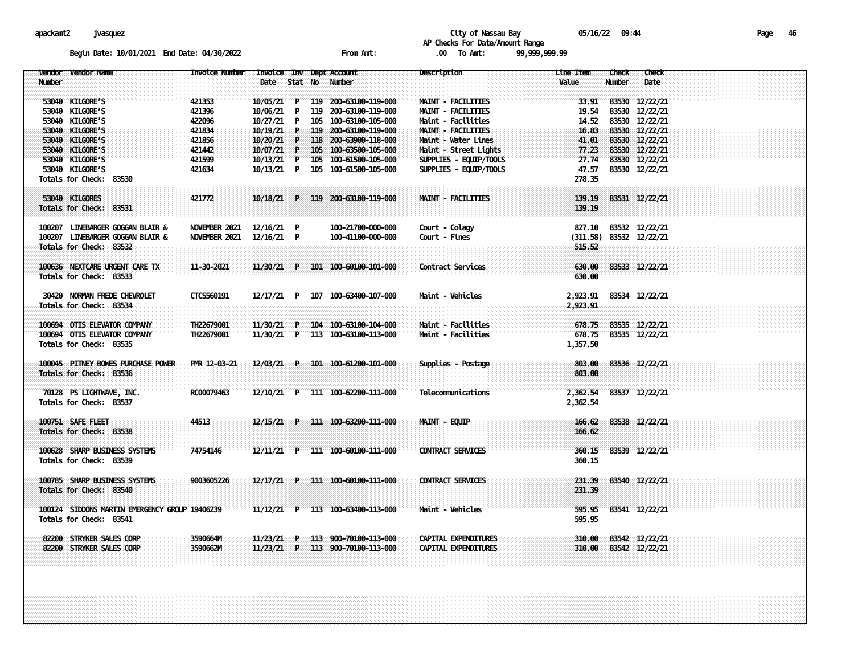**apackamt2 jvasquez City of Nassau Bay 05/16/22 09:44 Page 46 AP Checks For Date/Amount Range**

|        | <b>Vendor Vendor Name</b>                      | Invoice Number Invoice Inv Dept Account |                     |  |                                        | <b>Description</b>        | ttne Item | <b>Theck</b>  | <del>— Check</del>          |  |
|--------|------------------------------------------------|-----------------------------------------|---------------------|--|----------------------------------------|---------------------------|-----------|---------------|-----------------------------|--|
| Number |                                                |                                         | Date Stat No Number |  |                                        |                           | Value     | <b>Number</b> | Date                        |  |
|        |                                                |                                         |                     |  |                                        |                           |           |               |                             |  |
|        | 53040 KILGORE'S                                | 421353                                  |                     |  | 10/05/21 P 119 200-63100-119-000       | MAINT - FACILITIES        | 33.91     |               | 83530 12/22/21              |  |
|        | 53040 KILGORE'S                                | 421396                                  | 10/06/21 P          |  | 119 200-63100-119-000                  | <b>MAINT - FACILITIES</b> | 19.54     |               | 83530 12/22/21              |  |
|        | 53040 KILGORE'S                                | 422096                                  | $10/27/21$ P        |  | 105 100-63100-105-000                  | Maint - Facilities        | 14.52     |               | 83530 12/22/21              |  |
|        | 53040 KILGORE'S                                | 421834                                  |                     |  | 10/19/21 P 119 200-63100-119-000       | <b>MAINT - FACILITIES</b> | 16.83     |               | 83530 12/22/21              |  |
|        | 53040 KILGORE'S                                | 421856                                  |                     |  | 10/20/21 P 118 200-63900-118-000       | Maint - Water Lines       | 41.01     |               | 83530 12/22/21              |  |
|        | 53040 KILGORE'S                                | 421442                                  |                     |  | 10/07/21 P 105 100-63500-105-000       | Maint - Street Lights     | 77.23     |               | 83530 12/22/21              |  |
|        | 53040 KILGORE'S                                | 421599                                  |                     |  | 10/13/21 P 105 100-61500-105-000       | SUPPLIES - EQUIP/TOOLS    | 27.74     |               | 83530 12/22/21              |  |
|        | 53040 KILGORE'S                                | 421634                                  |                     |  | 10/13/21 P 105 100-61500-105-000       | SUPPLIES - EQUIP/TOOLS    | 47.57     |               | 83530 12/22/21              |  |
|        | Totals for Check: 83530                        |                                         |                     |  |                                        |                           | 278.35    |               |                             |  |
|        | 53040 KILGORES                                 | 421772                                  |                     |  | 10/18/21 P 119 200-63100-119-000       | <b>MAINT - FACILITIES</b> | 139.19    |               | 83531 12/22/21              |  |
|        | Totals for Check: 83531                        |                                         |                     |  |                                        |                           | 139.19    |               |                             |  |
|        |                                                |                                         |                     |  |                                        |                           |           |               |                             |  |
|        | 100207 LINEBARGER GOGGAN BLAIR &               | NOVEMBER 2021                           | 12/16/21 P          |  | 100-21700-000-000                      | Court - Colagy            | 827.10    |               | 83532 12/22/21              |  |
|        | 100207 LINEBARGER GOGGAN BLAIR &               | NOVEMBER 2021                           | $12/16/21$ P        |  | 100-41100-000-000                      | Court - Fines             |           |               | $(311.58)$ 83532 $12/22/21$ |  |
|        | Totals for Check: 83532                        |                                         |                     |  |                                        |                           | 515.52    |               |                             |  |
|        |                                                |                                         |                     |  |                                        |                           |           |               |                             |  |
|        | 100636 NEXTCARE URGENT CARE TX                 | 11-30-2021                              |                     |  |                                        | Contract Services         | 630.00    |               | 83533 12/22/21              |  |
|        | Totals for Check: 83533                        |                                         |                     |  |                                        |                           | 630.00    |               |                             |  |
|        |                                                |                                         |                     |  |                                        |                           |           |               |                             |  |
|        | 30420 NORMAN FREDE CHEVROLET                   | CTCS560191                              |                     |  | 12/17/21 P 107 100-63400-107-000       | Maint - Vehicles          | 2,923.91  |               | 83534 12/22/21              |  |
|        | Totals for Check: 83534                        |                                         |                     |  |                                        |                           | 2,923.91  |               |                             |  |
|        |                                                |                                         |                     |  |                                        |                           |           |               |                             |  |
|        | 100694 OTIS ELEVATOR COMPANY                   | TH22679001                              |                     |  | 11/30/21 P 104 100-63100-104-000       | Maint - Facilities        | 678.75    |               | 83535 12/22/21              |  |
|        | 100694 OTIS ELEVATOR COMPANY                   | TH22679001                              |                     |  | 11/30/21 P 113 100-63100-113-000       | Maint - Facilities        | 678.75    |               | 83535 12/22/21              |  |
|        | Totals for Check: 83535                        |                                         |                     |  |                                        |                           | 1,357.50  |               |                             |  |
|        |                                                |                                         |                     |  |                                        |                           |           |               |                             |  |
|        | 100045 PITNEY BOWES PURCHASE POWER             | <b>PMR 12-03-21</b>                     |                     |  | $12/03/21$ P 101 100-61200-101-000     | Supplies - Postage        | 803.00    |               | 83536 12/22/21              |  |
|        | Totals for Check: 83536                        |                                         |                     |  |                                        |                           | 803.00    |               |                             |  |
|        | 70128 PS LIGHTWAVE, INC.                       | RC00079463                              |                     |  | 12/10/21 P 111 100-62200-111-000       | <b>Telecommunications</b> | 2,362.54  |               | 83537 12/22/21              |  |
|        | Totals for Check: 83537                        |                                         |                     |  |                                        |                           | 2,362.54  |               |                             |  |
|        |                                                |                                         |                     |  |                                        |                           |           |               |                             |  |
|        | 100751 SAFE FLEET                              | 44513                                   |                     |  | $12/15/21$ P $111$ $100-63200-111-000$ | MAINT - EQUIP             | 166.62    |               | 83538 12/22/21              |  |
|        | Totals for Check: 83538                        |                                         |                     |  |                                        |                           | 166.62    |               |                             |  |
|        |                                                |                                         |                     |  |                                        |                           |           |               |                             |  |
|        | 100628 SHARP BUSINESS SYSTEMS                  | 74754146                                |                     |  | 12/11/21 P 111 100-60100-111-000       | <b>CONTRACT SERVICES</b>  | 360.15    |               | 83539 12/22/21              |  |
|        | Totals for Check: 83539                        |                                         |                     |  |                                        |                           | 360.15    |               |                             |  |
|        |                                                |                                         |                     |  |                                        |                           |           |               |                             |  |
|        | 100785 SHARP BUSINESS SYSTEMS                  | 9003605226                              |                     |  | $12/17/21$ P $111$ $100-60100-111-000$ | <b>CONTRACT SERVICES</b>  | 231.39    |               | 83540 12/22/21              |  |
|        | Totals for Check: 83540                        |                                         |                     |  |                                        |                           | 231.39    |               |                             |  |
|        |                                                |                                         |                     |  |                                        |                           |           |               |                             |  |
|        | 100124 SIDDONS MARTIN EMERGENCY GROUP 19406239 |                                         |                     |  | 11/12/21 P 113 100-63400-113-000       | Maint - Vehicles          |           |               | 595.95 83541 12/22/21       |  |

**Totals for Check: 83541 595.95**

82200 STRYKER SALES CORP 33540 3590664M 11/23/21 P 113 900-70100-113-000 CAPTTAL EXPENDITURES 310.00 33542 12/22/21 82200 STRYKER SALES CORP . 3590662M 11/23/21 P 113 900-70100-113-000 CAPITAL EXPENDITURES 310.00 83542 12/22/21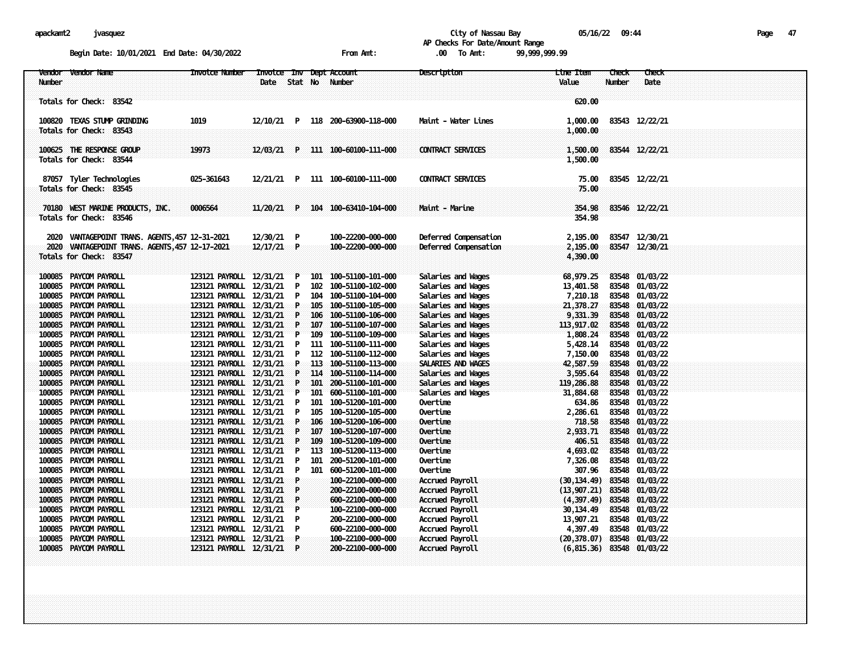**apackamt2 jvasquez City of Nassau Bay 05/16/22 09:44 Page 47 AP Checks For Date/Amount Range Begin Date: 10/01/2021 End Date: 04/30/2022 From Amt: .00 To Amt: 99,999,999.99**

| <b>Number</b> | vendor vendor Name                              | Invotce Number                                     |              |           | <b>Invoice Inv Dept Account</b><br><b>Number</b> | Description                              | istne Ttem                   | Check         | Check                      |  |  |
|---------------|-------------------------------------------------|----------------------------------------------------|--------------|-----------|--------------------------------------------------|------------------------------------------|------------------------------|---------------|----------------------------|--|--|
|               |                                                 |                                                    | Date Stat No |           |                                                  |                                          | Value                        | <b>Number</b> | Date                       |  |  |
|               | Totals for Check: 83542                         |                                                    |              |           |                                                  |                                          | 620.00                       |               |                            |  |  |
|               | 100820 TEXAS STUMP GRINDING                     | 1019                                               | 12/10/21     | P         | 118 200-63900-118-000                            | Maint - Water Lines                      | 1,000.00                     |               | 83543 12/22/21             |  |  |
|               | Totals for Check: 83543                         |                                                    |              |           |                                                  |                                          | 1,000.00                     |               |                            |  |  |
|               |                                                 |                                                    |              |           |                                                  |                                          |                              |               |                            |  |  |
|               | 100625 THE RESPONSE GROUP                       | 19973                                              | 12/03/21     | -Р.       | 111 100-60100-111-000                            | <b>CONTRACT SERVICES</b>                 | 1,500.00                     |               | 83544 12/22/21             |  |  |
|               | Totals for Check: 83544                         |                                                    |              |           |                                                  |                                          | 1,500.00                     |               |                            |  |  |
|               |                                                 |                                                    |              |           |                                                  |                                          |                              |               |                            |  |  |
|               | 87057 Tyler Technologies                        | 025-361643                                         | 12/21/21     | P         | 111 100-60100-111-000                            | <b>CONTRACT SERVICES</b>                 | 75.00                        |               | 83545 12/22/21             |  |  |
|               | Totals for Check: 83545                         |                                                    |              |           |                                                  |                                          | 75.00                        |               |                            |  |  |
|               | 70180 WEST MARINE PRODUCTS, INC.                | 0006564                                            |              |           | 104 100-63410-104-000                            | Maint - Marine                           | 354.98                       |               | 83546 12/22/21             |  |  |
|               | Totals for Check: 83546                         |                                                    | 11/20/21     | P         |                                                  |                                          | 354.98                       |               |                            |  |  |
|               |                                                 |                                                    |              |           |                                                  |                                          |                              |               |                            |  |  |
|               | 2020 VANTAGEPOINT TRANS, AGENTS, 457 12-31-2021 |                                                    | $12/30/21$ P |           | 100-22200-000-000                                | Deferred Compensation                    | 2,195.00                     |               | 83547 12/30/21             |  |  |
|               | 2020 VANTAGEPOINT TRANS. AGENTS, 457 12-17-2021 |                                                    | $12/17/21$ P |           | 100-22200-000-000                                | Deferred Compensation                    | 2,195.00                     |               | 83547 12/30/21             |  |  |
|               | Totals for Check: 83547                         |                                                    |              |           |                                                  |                                          | 4,390.00                     |               |                            |  |  |
|               |                                                 |                                                    |              |           |                                                  |                                          |                              |               |                            |  |  |
|               | 100085 PAYCOM PAYROLL                           | 123121 PAYROLL 12/31/21                            |              | P         | 101 100-51100-101-000                            | Salaries and Wages                       | 68,979.25                    |               | 83548 01/03/22             |  |  |
|               | 100085 PAYCOM PAYROLL                           | 123121 PAYROLL 12/31/21                            |              | P         | 102<br>100-51100-102-000                         | Salaries and Wages                       | 13,401.58                    |               | 83548 01/03/22             |  |  |
|               | 100085 PAYCOM PAYROLL                           | 123121 PAYROLL 12/31/21                            |              | P<br>104  | 100-51100-104-000                                | Salaries and Wages                       | 7,210.18                     |               | 83548 01/03/22             |  |  |
|               | 100085 PAYCOM PAYROLL                           | 123121 PAYROLL 12/31/21                            |              | -P        | 105 100-51100-105-000                            | Salaries and Wages                       | 21,378.27                    |               | 83548 01/03/22             |  |  |
|               | 100085 PAYCOM PAYROLL                           | 123121 PAYROLL 12/31/21                            |              | 106<br>P  | 100-51100-106-000                                | Salaries and Wages                       | 9,331.39                     | 83548         | 01/03/22                   |  |  |
|               | 100085 PAYCOM PAYROLL                           | 123121 PAYROLL 12/31/21                            |              | P.<br>107 | 100-51100-107-000                                | Salaries and Wages                       | 113,917.02                   | 83548         | 01/03/22                   |  |  |
|               | 100085 PAYCOM PAYROLL                           | 123121 PAYROLL 12/31/21                            |              | P         | 109 100-51100-109-000                            | Salaries and Wages                       | 1,808.24                     |               | 83548 01/03/22             |  |  |
|               | 100085 PAYCOM PAYROLL                           | 123121 PAYROLL 12/31/21                            |              | P<br>111  | 100-51100-111-000                                | Salaries and Wages                       | 5,428.14                     |               | 83548 01/03/22             |  |  |
|               | 100085 PAYCOM PAYROLL                           | 123121 PAYROLL 12/31/21                            |              | P         | 112 100-51100-112-000                            | Salaries and Wages                       | 7.150.00                     |               | 83548 01/03/22             |  |  |
|               | 100085 PAYCOM PAYROLL                           | 123121 PAYROLL 12/31/21                            |              | P         | 113 100-51100-113-000                            | SALARIES AND WAGES                       | 42,587.59                    |               | 83548 01/03/22             |  |  |
|               | 100085 PAYCOM PAYROLL                           | 123121 PAYROLL 12/31/21                            |              | P         | 114<br>100-51100-114-000                         | Salaries and Wages                       | 3,595.64                     | 83548         | 01/03/22                   |  |  |
|               | 100085 PAYCOM PAYROLL<br>100085 PAYCOM PAYROLL  | 123121 PAYROLL 12/31/21<br>123121 PAYROLL 12/31/21 |              | P<br>P    | 101 200-51100-101-000<br>101 600-51100-101-000   | Salaries and Wages<br>Salaries and Wages | 119,286.88                   | 83548         | 01/03/22<br>83548 01/03/22 |  |  |
|               | 100085 PAYCOM PAYROLL                           | 123121 PAYROLL 12/31/21                            |              | P         | 101 100-51200-101-000                            | Overtime                                 | 31,884.68<br>634.86          |               | 83548 01/03/22             |  |  |
|               | 100085 PAYCOM PAYROLL                           | 123121 PAYROLL 12/31/21                            |              | P         | 105 100-51200-105-000                            | Overtime                                 | 2,286.61                     |               | 83548 01/03/22             |  |  |
|               | 100085 PAYCOM PAYROLL                           | 123121 PAYROLL 12/31/21                            |              | P         | 106 100-51200-106-000                            | Overtime                                 | 718.58                       |               | 83548 01/03/22             |  |  |
|               | 100085 PAYCOM PAYROLL                           | 123121 PAYROLL 12/31/21                            |              | P.<br>107 | 100-51200-107-000                                | <b>Overtime</b>                          | 2,933.71                     | 83548         | 01/03/22                   |  |  |
|               | 100085 PAYCOM PAYROLL                           | 123121 PAYROLL 12/31/21                            |              | P<br>109  | 100-51200-109-000                                | Overtime                                 | 406.51                       | 83548         | 01/03/22                   |  |  |
|               | 100085 PAYCOM PAYROLL                           | 123121 PAYROLL 12/31/21                            |              | p         | 113 100-51200-113-000                            | <b>Overtume</b>                          | 4,693.02                     |               | 83548 01/03/22             |  |  |
|               | 100085 PAYCOM PAYROLL                           | 123121 PAYROLL 12/31/21                            |              | P         | 101 200-51200-101-000                            | Overtime                                 | 7,326.08                     |               | 83548 01/03/22             |  |  |
|               | 100085 PAYCOM PAYROLL                           | 123121 PAYROLL 12/31/21                            |              | P         | 101 600-51200-101-000                            | Overtime                                 | 307.96                       |               | 83548 01/03/22             |  |  |
|               | 100085 PAYCOM PAYROLL                           | 123121 PAYROLL 12/31/21                            |              | P         | 100-22100-000-000                                | <b>Accrued Payroll</b>                   | $(30, 134.49)$ 83548         |               | 01/03/22                   |  |  |
|               | 100085 PAYCOM PAYROLL                           | 123121 PAYROLL 12/31/21                            |              | P         | 200-22100-000-000                                | <b>Accrued Payroll</b>                   | (13, 907.21)                 | 83548         | 01/03/22                   |  |  |
|               | 100085 PAYCOM PAYROLL                           | 123121 PAYROLL 12/31/21                            |              | P         | 600-22100-000-000                                | <b>Accrued Payroll</b>                   | $(4,397.49)$ 83548           |               | 01/03/22                   |  |  |
|               | 100085 PAYCOM PAYROLL                           | 123121 PAYROLL 12/31/21                            |              | P         | 100-22100-000-000                                | <b>Accrued Payroll</b>                   | 30,134.49                    |               | 83548 01/03/22             |  |  |
|               | 100085 PAYCOM PAYROLL                           | 123121 PAYROLL 12/31/21                            |              | P         | 200-22100-000-000                                | <b>Accrued Payroll</b>                   | 13,907.21                    |               | 83548 01/03/22             |  |  |
|               | 100085 PAYCOM PAYROLL                           | 123121 PAYROLL 12/31/21                            |              | P         | 600-22100-000-000                                | <b>Accrued Payroll</b>                   | 4,397.49                     |               | 83548 01/03/22             |  |  |
|               | 100085 PAYCOM PAYROLL                           | 123121 PAYROLL 12/31/21                            |              | P.        | 100-22100-000-000                                | <b>Accrued Payroll</b>                   | (20, 378.07)                 |               | 83548 01/03/22             |  |  |
|               | 100085 PAYCOM PAYROLL                           | 123121 PAYROLL 12/31/21                            |              | P         | 200-22100-000-000                                | <b>Accrued Payroll</b>                   | $(6, 815.36)$ 83548 01/03/22 |               |                            |  |  |
|               |                                                 |                                                    |              |           |                                                  |                                          |                              |               |                            |  |  |
|               |                                                 |                                                    |              |           |                                                  |                                          |                              |               |                            |  |  |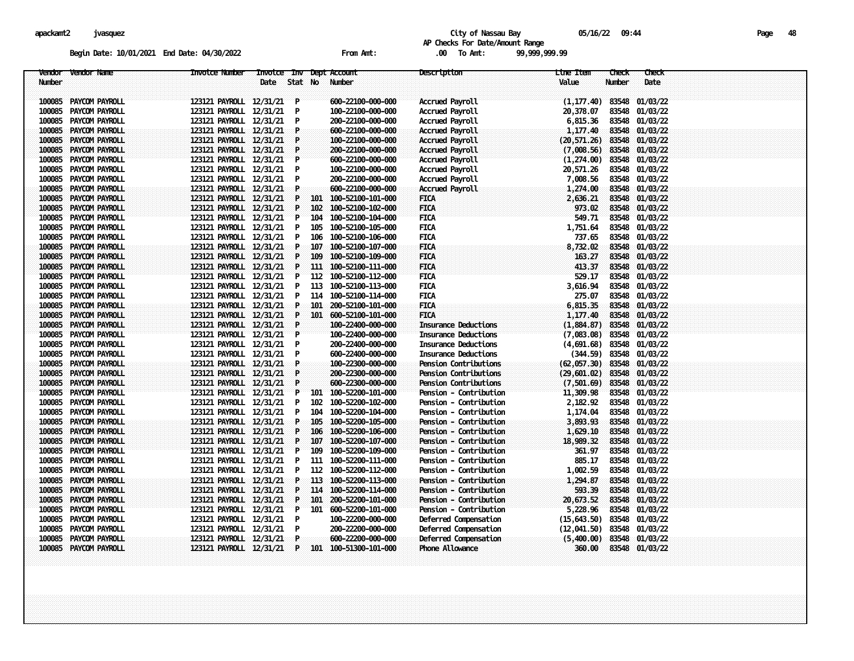## **apackamt2 jvasquez City of Nassau Bay 05/16/22 09:44 Page 48 AP Checks For Date/Amount Range**

|               | <del>Vendor Vendor Name</del> | <b>LINOLCE NUMBER</b>     | <b>Invotce Inv Dept Account</b> |                   |     |                       | Description                   | ttne Item           | <b>URECK</b>  | Check          |  |
|---------------|-------------------------------|---------------------------|---------------------------------|-------------------|-----|-----------------------|-------------------------------|---------------------|---------------|----------------|--|
| <b>Number</b> |                               |                           | Date                            | Stat No           |     | <b>Number</b>         |                               | Value               | <b>Number</b> | Date           |  |
|               |                               |                           |                                 |                   |     |                       |                               |                     |               |                |  |
| 100085        | PAYCOM PAYROLL                | 123121 PAYROLL 12/31/21 P |                                 |                   |     | 600-22100-000-000     | <b>Accrued Payroll</b>        | (1, 177, 40)        | 83548         | 01/03/22       |  |
| 100085        | PAYCOM PAYROLL                | 123121 PAYROLL 12/31/21   |                                 | P                 |     | 100-22100-000-000     | <b>Accrued Payroll</b>        | 20,378.07           | 83548         | 01/03/22       |  |
| 100085        | PAYCOM PAYROLL                | 123121 PAYROLL 12/31/21   |                                 | P                 |     | 200-22100-000-000     | <b>Accrued Payroll</b>        | 6,815.36            | 83548         | 01/03/22       |  |
| 100085        | PAYCOM PAYROLL                | 123121 PAYROLL 12/31/21   |                                 | -P.               |     | 600-22100-000-000     | <b>Accrued Payroll</b>        | 1,177.40            | 83548         | 01/03/22       |  |
| 100085        | <b>PAYCOM PAYROLL</b>         | 123121 PAYROLL 12/31/21   |                                 | -P                |     | 100-22100-000-000     | <b>Accrued Payroll</b>        | (20, 571, 26)       | 83548         | 01/03/22       |  |
|               | 100085 PAYCOM PAYROLL         | 123121 PAYROLL 12/31/21   |                                 | P                 |     | 200-22100-000-000     | <b>Accrued Payroll</b>        | (7,008.56)          | 83548         | 01/03/22       |  |
| 100085        | PAYCOM PAYROLL                | 123121 PAYROLL 12/31/21   |                                 | P                 |     | 600-22100-000-000     | <b>Accrued Payroll</b>        | (1,274.00)          | 83548         | 01/03/22       |  |
| 100085        | Paycom Payroll                | 123121 PAYROLL 12/31/21   |                                 | P                 |     | 100-22100-000-000     | <b>Accrued Payroll</b>        | 20,571.26           | 83548         | 01/03/22       |  |
| 100085        | PAYCOM PAYROLL                | 123121 PAYROLL 12/31/21   |                                 | P                 |     | 200-22100-000-000     | <b>Accrued Payroll</b>        | 7,008.56            | 83548         | 01/03/22       |  |
| 100085        | PAYCOM PAYROLL                | 123121 PAYROLL 12/31/21   |                                 |                   |     | 600-22100-000-000     | <b>Accrued Payroll</b>        | 1,274.00            | 83548         | 01/03/22       |  |
| 100085        | PAYCOM PAYROLL                | 123121 PAYROLL 12/31/21   |                                 | -P                | 101 | 100-52100-101-000     | <b>FICA</b>                   | 2,636.21            | 83548         | 01/03/22       |  |
| 100085        | PAYCOM PAYROLL                | 123121 PAYROLL 12/31/21   |                                 | P                 | 102 | 100-52100-102-000     | <b>FICA</b>                   | 973.02              | 83548         | 01/03/22       |  |
| 100085        | <b>PAYCOM PAYROLL</b>         | 123121 PAYROLL 12/31/21   |                                 | P                 | 104 | 100-52100-104-000     | <b>FICA</b>                   | 549.71              | 83548         | 01/03/22       |  |
| 100085        | PAYCOM PAYROLL                | 123121 PAYROLL 12/31/21   |                                 | P                 | 105 | 100-52100-105-000     | <b>FICA</b>                   | 1,751.64            | 83548         | 01/03/22       |  |
| 100085        | <b>PAYCOM PAYROLL</b>         | 123121 PAYROLL 12/31/21   |                                 | P                 | 106 | 100-52100-106-000     | <b>FICA</b>                   | 737.65              | 83548         | 01/03/22       |  |
| 100085        | PAYCOM PAYROLL                | 123121 PAYROLL 12/31/21   |                                 | -P                | 107 | 100-52100-107-000     | <b>FICA</b>                   | 8,732.02            | 83548         | 01/03/22       |  |
| 100085        | PAYCOM PAYROLL                | 123121 PAYROLL 12/31/21   |                                 | P                 | 109 | 100-52100-109-000     | <b>FICA</b>                   | 163.27              | 83548         | 01/03/22       |  |
| 100085        | PAYCOM PAYROLL                | 123121 PAYROLL 12/31/21   |                                 | P                 | 111 | 100-52100-111-000     | <b>FICA</b>                   | 413.37              | 83548         | 01/03/22       |  |
| 100085        | <b>PAYCOM PAYROLL</b>         | 123121 PAYROLL 12/31/21   |                                 | P                 | 112 | 100-52100-112-000     | <b>FICA</b>                   | 529.17              | 83548         | 01/03/22       |  |
| 100085        | PAYCOM PAYROLL                | 123121 PAYROLL 12/31/21   |                                 | P                 | 113 | 100-52100-113-000     | <b>FICA</b>                   | 3,616.94            | 83548         | 01/03/22       |  |
| 100085        | Paycom Payroll                | 123121 PAYROLL 12/31/21   |                                 | P                 | 114 | 100-52100-114-000     | <b>FICA</b>                   | 275.07              | 83548         | 01/03/22       |  |
| 100085        | PAYCOM PAYROLL                | 123121 PAYROLL 12/31/21   |                                 | ٠P                | 101 | 200-52100-101-000     | <b>FICA</b>                   | 6,815.35            | 83548         | 01/03/22       |  |
| 100085        | PAYCOM PAYROLL                | 123121 PAYROLL 12/31/21   |                                 | . P               | 101 | 600-52100-101-000     | <b>FICA</b>                   | 1,177.40            | 83548         | 01/03/22       |  |
| 100085        | PAYCOM PAYROLL                | 123121 PAYROLL 12/31/21   |                                 | ு                 |     | 100-22400-000-000     | <b>Insurance Deductions</b>   | (1,884.87)          | 83548         | 01/03/22       |  |
| 100085        | PAYCOM PAYROLL                | 123121 PAYROLL 12/31/21   |                                 | P                 |     | 100-22400-000-000     | <b>Insurance Deductions</b>   | (7,083.08)          | 83548         | 01/03/22       |  |
| 100085        | PAYCOM PAYROLL                | 123121 PAYROLL 12/31/21   |                                 | P                 |     | 200-22400-000-000     | <b>Insurance Deductions</b>   | (4,691.68)          | 83548         | 01/03/22       |  |
| 100085        | PAYCOM PAYROLL                | 123121 PAYROLL 12/31/21   |                                 | P                 |     | 600-22400-000-000     | <b>Insurance Deductions</b>   | (344.59)            | 83548         | 01/03/22       |  |
| 100085        | PAYCOM PAYROLL                | 123121 PAYROLL 12/31/21   |                                 | P                 |     | 100-22300-000-000     | <b>Pension Contributions</b>  | (62, 057, 30)       | 83548         | 01/03/22       |  |
| 100085        | PAYCOM PAYROLL                | 123121 PAYROLL 12/31/21   |                                 | P                 |     | 200-22300-000-000     | <b>Pension Contributions</b>  | $(29,601.02)$ 83548 |               | 01/03/22       |  |
| 100085        | PAYCOM PAYROLL                | 123121 PAYROLL 12/31/21   |                                 | P                 |     | 600-22300-000-000     | <b>Pension Contributions</b>  | (7,501.69)          | 83548         | 01/03/22       |  |
|               | 100085 PAYCOM PAYROLL         | 123121 PAYROLL 12/31/21   |                                 | P                 | 101 | 100-52200-101-000     | <b>Pension - Contribution</b> | 11,309.98           | 83548         | 01/03/22       |  |
| 100085        | Paycom Payroll                | 123121 PAYROLL 12/31/21   |                                 | P                 | 102 | 100-52200-102-000     | <b>Pension - Contribution</b> | 2,182.92            | 83548         | 01/03/22       |  |
| 100085        | Paycom Payroll                | 123121 PAYROLL 12/31/21   |                                 | P                 | 104 | 100-52200-104-000     | <b>Pension - Contribution</b> | 1,174.04            | 83548         | 01/03/22       |  |
| 100085        | PAYCOM PAYROLL                | 123121 PAYROLL 12/31/21   |                                 | P.                | 105 | 100-52200-105-000     | Pension - Contribution        | 3,893.93            | 83548         | 01/03/22       |  |
| 100085        | PAYCOM PAYROLL                | 123121 PAYROLL 12/31/21   |                                 | P                 | 106 | 100-52200-106-000     | <b>Pension - Contribution</b> | 1,629.10            | 83548         | 01/03/22       |  |
| 100085        | PAYCOM PAYROLL                | 123121 PAYROLL 12/31/21   |                                 | P                 | 107 | 100-52200-107-000     | <b>Pension - Contribution</b> | 18,989.32           | 83548         | 01/03/22       |  |
| 100085        | PAYCOM PAYROLL                | 123121 PAYROLL 12/31/21   |                                 | P                 | 109 | 100-52200-109-000     | <b>Pension - Contribution</b> | 361.97              | 83548         | 01/03/22       |  |
| 100085        | PAYCOM PAYROLL                | 123121 PAYROLL 12/31/21   |                                 | P                 | 111 | 100-52200-111-000     | <b>Pension - Contribution</b> | 885.17              | 83548         | 01/03/22       |  |
| 100085        | PAYCOM PAYROLL                | 123121 PAYROLL 12/31/21   |                                 | P                 | 112 | 100-52200-112-000     | <b>Pension - Contribution</b> | 1,002.59            | 83548         | 01/03/22       |  |
| 100085        | PAYCOM PAYROLL                | 123121 PAYROLL 12/31/21   |                                 | P                 | 113 | 100-52200-113-000     | Pension - Contribution        | 1,294.87            | 83548         | 01/03/22       |  |
|               |                               |                           |                                 | P                 | 114 | 100-52200-114-000     |                               | 593.39              | 83548         | 01/03/22       |  |
| 100085        | PAYCOM PAYROLL                | 123121 PAYROLL 12/31/21   |                                 |                   |     |                       | Pension - Contribution        |                     |               |                |  |
| 100085        | PAYCOM PAYROLL                | 123121 PAYROLL 12/31/21   |                                 | P<br>$\mathsf{P}$ | 101 | 200-52200-101-000     | Pension - Contribution        | 20,673.52           | 83548         | 01/03/22       |  |
| 100085        | PAYCOM PAYROLL                | 123121 PAYROLL 12/31/21   |                                 |                   |     | 101 600-52200-101-000 | <b>Pension - Contribution</b> | 5,228.96            | 83548         | 01/03/22       |  |
| 100085        | PAYCOM PAYROLL                | 123121 PAYROLL 12/31/21   |                                 | <b>P</b>          |     | 100-22200-000-000     | Deferred Compensation         | (15, 643.50)        | 83548         | 01/03/22       |  |
| 100085        | PAYCOM PAYROLL                | 123121 PAYROLL            | 12/31/21                        | P                 |     | 200-22200-000-000     | Deferred Compensation         | (12,041.50)         | 83548         | 01/03/22       |  |
| 100085        | PAYCOM PAYROLL                | 123121 PAYROLL 12/31/21   |                                 | P.                |     | 600-22200-000-000     | Deferred Compensation         | $(5,400.00)$ 83548  |               | 01/03/22       |  |
| 100085        | PAYCOM PAYROLL                | 123121 PAYROLL 12/31/21   |                                 | ∵P.               |     | 101 100-51300-101-000 | <b>Phone Allowance</b>        | 360.00              |               | 83548 01/03/22 |  |
|               |                               |                           |                                 |                   |     |                       |                               |                     |               |                |  |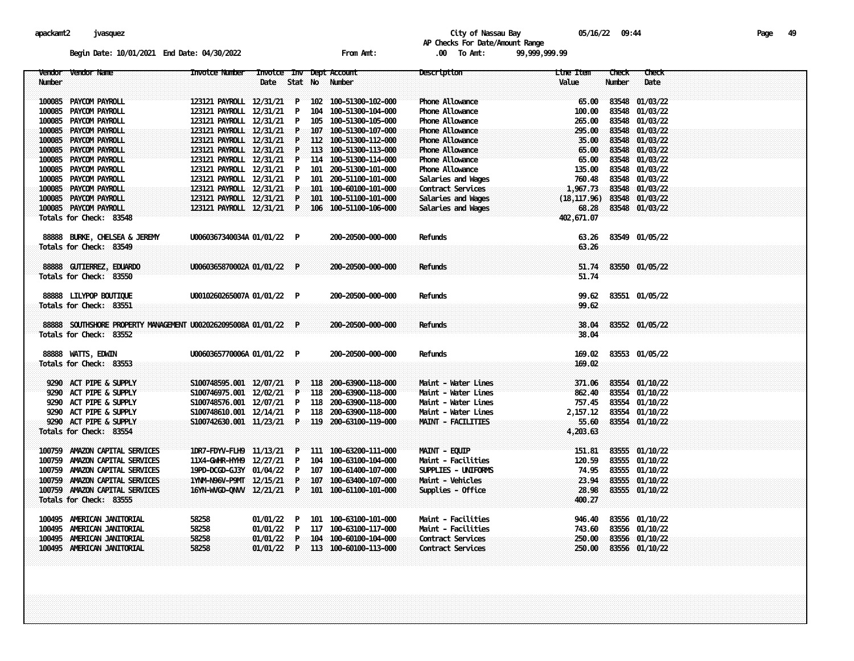**apackamt2 jvasquez City of Nassau Bay 05/16/22 09:44 Page 49 AP Checks For Date/Amount Range**

|  |  | 05/16/22 |  | 09: |
|--|--|----------|--|-----|
|--|--|----------|--|-----|

|               | <del>Vendor Vendor Name</del>                                   | Invoice Number Invoice Inv Dept Account |          |              |     |                                 | <b>Description</b>        | istne Ittem                   | Check         | Check          |  |
|---------------|-----------------------------------------------------------------|-----------------------------------------|----------|--------------|-----|---------------------------------|---------------------------|-------------------------------|---------------|----------------|--|
| <b>Number</b> |                                                                 |                                         |          |              |     | Date Stat No Number             |                           | Value                         | <b>Number</b> | Date           |  |
|               |                                                                 |                                         |          |              |     |                                 |                           |                               |               |                |  |
|               | 100085 PAYCOM PAYROLL                                           | 123121 PAYROLL 12/31/21 P               |          |              |     | 102 100-51300-102-000           | <b>Phone Allowance</b>    | 65.00                         |               | 83548 01/03/22 |  |
|               | 100085 PAYCOM PAYROLL                                           | 123121 PAYROLL 12/31/21                 |          | -P           |     | 104 100-51300-104-000           | <b>Phone Allowance</b>    | 100.00                        | 83548         | 01/03/22       |  |
|               | 100085 PAYCOM PAYROLL                                           | 123121 PAYROLL 12/31/21                 |          | $\mathsf{P}$ |     | 105 100-51300-105-000           | <b>Phone Allowance</b>    | 265.00                        | 83548         | 01/03/22       |  |
|               | 100085 PAYCOM PAYROLL                                           | 123121 PAYROLL 12/31/21                 |          | ∷P.          | 107 | 100-51300-107-000               | <b>Phone Allowance</b>    | 295.00                        |               | 83548 01/03/22 |  |
|               | 100085 PAYCOM PAYROLL                                           | 123121 PAYROLL 12/31/21                 |          | $\mathbf{P}$ |     | 112 100-51300-112-000           | <b>Phone Allowance</b>    | 35.00                         |               | 83548 01/03/22 |  |
|               | 100085 PAYCOM PAYROLL                                           | 123121 PAYROLL 12/31/21                 |          | ႃၣႜ          |     | 113 100-51300-113-000           | <b>Phone Allowance</b>    | 65.00                         |               | 83548 01/03/22 |  |
|               | 100085 PAYCOM PAYROLL                                           | 123121 PAYROLL 12/31/21                 |          | ™P.          |     | 114 100-51300-114-000           | <b>Phone Allowance</b>    | 65.00                         |               | 83548 01/03/22 |  |
|               | 100085 PAYCOM PAYROLL                                           | 123121 PAYROLL 12/31/21                 |          | <b>P</b>     |     | 101 200-51300-101-000           | <b>Phone Allowance</b>    | 135.00                        |               | 83548 01/03/22 |  |
|               | 100085 PAYCOM PAYROLL                                           | 123121 PAYROLL 12/31/21                 |          | $\mathbf{P}$ |     | 101 200-51100-101-000           | Salaries and Wages        | 760.48                        |               | 83548 01/03/22 |  |
|               | 100085 PAYCOM PAYROLL                                           | 123121 PAYROLL 12/31/21                 |          | ∷. P.        |     | $101 - 100 - 60100 - 101 - 000$ | Contract Services         | 1,967.73                      |               | 83548 01/03/22 |  |
|               | 100085 PAYCOM PAYROLL                                           | 123121 PAYROLL 12/31/21                 |          | $\mathbf{P}$ |     | 101 100-51100-101-000           | Salaries and Wages        | $(18, 117.96)$ 83548 01/03/22 |               |                |  |
|               | 100085 PAYCOM PAYROLL                                           | 123121 PAYROLL 12/31/21 P               |          |              |     | 106 100-51100-106-000           | Salaries and Wages        | 68.28                         |               | 83548 01/03/22 |  |
|               | Totals for Check: 83548                                         |                                         |          |              |     |                                 |                           | 402,671.07                    |               |                |  |
|               |                                                                 |                                         |          |              |     |                                 |                           |                               |               |                |  |
|               | 88888 BURKE, CHELSEA & JEREMY                                   | U0060367340034A 01/01/22 P              |          |              |     | 200-20500-000-000               | <b>Refunds</b>            | 63.26                         |               | 83549 01/05/22 |  |
|               | Totals for Check: 83549                                         |                                         |          |              |     |                                 |                           | 63.26                         |               |                |  |
|               |                                                                 |                                         |          |              |     |                                 |                           |                               |               |                |  |
|               | 88888 GUTIERREZ, EDUARDO                                        | U0060365870002A 01/01/22 P              |          |              |     | 200-20500-000-000               | <b>Refunds</b>            | 51.74                         |               | 83550 01/05/22 |  |
|               | Totals for Check: 83550                                         |                                         |          |              |     |                                 |                           | 51.74                         |               |                |  |
|               | 88888 LILYPOP BOUTIQUE                                          | U0010260265007A 01/01/22 P              |          |              |     | 200-20500-000-000               | <b>Refunds</b>            | 99.62                         |               | 83551 01/05/22 |  |
|               | Totals for Check: 83551                                         |                                         |          |              |     |                                 |                           | 99.62                         |               |                |  |
|               |                                                                 |                                         |          |              |     |                                 |                           |                               |               |                |  |
|               | 88888 SOUTHSHORE PROPERTY MANAGEMENT U0020262095008A 01/01/22 P |                                         |          |              |     | 200-20500-000-000               | <b>Refunds</b>            | 38.04                         |               | 83552 01/05/22 |  |
|               | Totals for Check: 83552                                         |                                         |          |              |     |                                 |                           | 38.04                         |               |                |  |
|               |                                                                 |                                         |          |              |     |                                 |                           |                               |               |                |  |
|               | 88888 WATTS, EDWIN                                              | U0060365770006A 01/01/22 P              |          |              |     | 200-20500-000-000               | <b>Refunds</b>            | 169.02                        |               | 83553 01/05/22 |  |
|               | Totals for Check: 83553                                         |                                         |          |              |     |                                 |                           | 169.02                        |               |                |  |
|               |                                                                 |                                         |          |              |     |                                 |                           |                               |               |                |  |
|               | 9290 ACT PIPE & SUPPLY                                          | S100748595.001 12/07/21                 |          | P.           |     | 118 200-63900-118-000           | Maint - Water Lines       | 371.06                        |               | 83554 01/10/22 |  |
|               | 9290 ACT PIPE & SUPPLY                                          | S100746975.001 12/02/21                 |          | $\mathsf{P}$ | 118 | 200-63900-118-000               | Maint - Water Lines       | 862.40                        |               | 83554 01/10/22 |  |
|               | 9290 ACT PIPE & SUPPLY                                          | S100748576.001 12/07/21                 |          | $\mathsf{P}$ | 118 | 200-63900-118-000               | Maint - Water Lines       | 757.45                        |               | 83554 01/10/22 |  |
|               | 9290 ACT PIPE & SUPPLY                                          | S100748610.001 12/14/21                 |          | $\mathsf{P}$ | 118 | 200-63900-118-000               | Maint - Water Lines       | 2,157.12                      |               | 83554 01/10/22 |  |
|               | 9290 ACT PIPE & SUPPLY                                          | S100742630.001 11/23/21 P               |          |              |     | 119 200-63100-119-000           | <b>MAINT - FACILITIES</b> | 55.60                         |               | 83554 01/10/22 |  |
|               | Totals for Check: 83554                                         |                                         |          |              |     |                                 |                           | 4,203.63                      |               |                |  |
|               |                                                                 |                                         |          |              |     |                                 |                           |                               |               |                |  |
|               | 100759 AMAZON CAPITAL SERVICES                                  | 1DR7-FDYV-FLH9 11/13/21                 |          | ∵P           |     | 111 100-63200-111-000           | MAINT - EQUIP             | 151.81                        |               | 83555 01/10/22 |  |
|               | 100759 AMAZON CAPITAL SERVICES                                  | 11X4-GWHR-HYH9 12/27/21                 |          | <b>P</b>     |     | 104 100-63100-104-000           | Maint - Facilities        | 120.59                        |               | 83555 01/10/22 |  |
|               | 100759 AMAZON CAPITAL SERVICES                                  | 19PD-DCGD-GJ3Y 01/04/22                 |          | $\mathsf{P}$ | 107 | 100-61400-107-000               | SUPPLIES - UNIFORMS       | 74.95                         |               | 83555 01/10/22 |  |
|               | 100759 AMAZON CAPITAL SERVICES                                  | 1YNM-N96V-P9MT 12/15/21                 |          | ∵.P.         | 107 | 100-63400-107-000               | Maint - Vehicles          | 23.94                         |               | 83555 01/10/22 |  |
|               | 100759 AMAZON CAPITAL SERVICES                                  | 16YN-WGD-0NW 12/21/21 P                 |          |              |     | 101 100-61100-101-000           | Supplies - Office         | 28.98                         |               | 83555 01/10/22 |  |
|               | Totals for Check: 83555                                         |                                         |          |              |     |                                 |                           | 400.27                        |               |                |  |
|               |                                                                 |                                         |          |              |     |                                 |                           |                               |               |                |  |
|               | 100495 AMERICAN JANITORIAL                                      | 58258                                   | 01/01/22 | - P          |     | 101 100-63100-101-000           | Maint - Facilities        | 946.40                        |               | 83556 01/10/22 |  |
| 100495        | AMERICAN JANITORIAL                                             | 58258                                   | 01/01/22 | $\mathsf{P}$ |     | 117 100-63100-117-000           | Maint - Facilities        | 743.60                        | 83556         | 01/10/22       |  |
| 100495        | AMERICAN JANITORIAL                                             | 58258                                   | 01/01/22 | -Р.          |     | 104 100-60100-104-000           | Contract Services         | 250.00                        |               | 83556 01/10/22 |  |
|               | 100495 AMERICAN JANITORIAL                                      | 58258                                   | 01/01/22 | ∷ P∶         |     | 113 100-60100-113-000           | Contract Services         | 250.00                        |               | 83556 01/10/22 |  |
|               |                                                                 |                                         |          |              |     |                                 |                           |                               |               |                |  |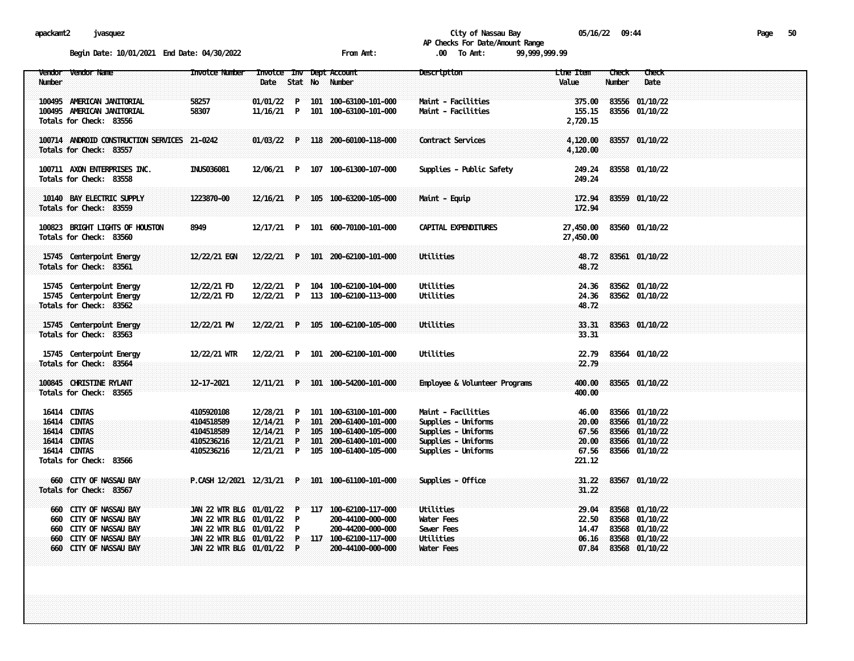**apackamt2 jvasquez City of Nassau Bay 05/16/22 09:44 Page 50 AP Checks For Date/Amount Range**

Begin Date: 10/01/2021 End Date: 04/30/2022 From Amt:

**Vendor Vendor Name Invoice Number Invoice Inv Dept Account Description Line Item Check Check Number Date Stat No Number Value Number Date**

| 100714 ANDROID CONSTRUCTION SERVICES 21-0242<br>01/03/22 P 118 200-60100-118-000<br>Contract Services<br>83557 01/10/22<br>4,120.00<br>Totals for Check: 83557<br>4,120.00<br>100711 AXON ENTERPRISES INC.<br><b>INUS036081</b><br>107 100-61300-107-000<br>Supplies - Public Safety<br>83558 01/10/22<br>12/06/21<br>$\mathsf{P}$<br>249.24<br>Totals for Check: 83558<br>249.24<br>10140 BAY ELECTRIC SUPPLY<br>172.94<br>1223870-00<br>12/16/21 P 105 100-63200-105-000<br>Maint - Equip<br>83559 01/10/22<br>172.94<br>Totals for Check: 83559<br>100823 BRIGHT LIGHTS OF HOUSTON<br>8949<br>12/17/21 P 101 600-70100-101-000<br>CAPITAL EXPENDITURES<br>27,450.00<br>83560 01/10/22<br>Totals for Check: 83560<br>27,450.00<br><b>Utilities</b><br>12/22/21 P 101 200-62100-101-000<br>48.72 83561 01/10/22<br>15745 Centerpoint Energy<br>12/22/21 EGN<br>Totals for Check: 83561<br>48.72<br>Utilities<br>83562 01/10/22<br>15745 Centerpoint Energy<br>12/22/21 FD<br>$12/22/21$ P<br>104 100-62100-104-000<br>24.36<br>12/22/21 FD<br>113 100-62100-113-000<br>Utilities<br>83562 01/10/22<br>15745 Centerpoint Energy<br>12/22/21 P<br>24.36<br>Totals for Check: 83562<br>48.72<br>15745 Centerpoint Energy<br><b>Utilities</b><br>83563 01/10/22<br>12/22/21 PW<br>12/22/21 P 105 100-62100-105-000<br>33.31<br>Totals for Check: 83563<br>33.31<br>15745 Centerpoint Energy<br>12/22/21 WTR<br>12/22/21 P<br>101 200-62100-101-000<br>Utilities<br>22.79<br>83564 01/10/22<br>Totals for Check: 83564<br>22.79<br>100845 CHRISTINE RYLANT<br>12-17-2021<br>12/11/21 P 101 100-54200-101-000<br>Employee & Volunteer Programs<br>400.00<br>83565 01/10/22<br>Totals for Check: 83565<br>400.00<br>Maint - Facilities<br>83566 01/10/22<br>16414 CINTAS<br>4105920108<br>12/28/21 P<br>101 100-63100-101-000<br>46.00<br>4104518589<br>$101 - 200 - 61400 - 101 - 000$<br>Supplies - Uniforms<br>20.00 83566 01/10/22<br>16414 CINTAS<br>$12/14/21$ P<br>12/14/21 P 105 100-61400-105-000<br>Supplies - Uniforms<br>83566 01/10/22<br><b>16414 CINTAS</b><br>4104518589<br>67.56<br>Supplies - Uniforms<br>16414 CINTAS<br>4105236216<br>$12/21/21$ P<br>101 200-61400-101-000<br>83566 01/10/22<br>20.00 |  |
|----------------------------------------------------------------------------------------------------------------------------------------------------------------------------------------------------------------------------------------------------------------------------------------------------------------------------------------------------------------------------------------------------------------------------------------------------------------------------------------------------------------------------------------------------------------------------------------------------------------------------------------------------------------------------------------------------------------------------------------------------------------------------------------------------------------------------------------------------------------------------------------------------------------------------------------------------------------------------------------------------------------------------------------------------------------------------------------------------------------------------------------------------------------------------------------------------------------------------------------------------------------------------------------------------------------------------------------------------------------------------------------------------------------------------------------------------------------------------------------------------------------------------------------------------------------------------------------------------------------------------------------------------------------------------------------------------------------------------------------------------------------------------------------------------------------------------------------------------------------------------------------------------------------------------------------------------------------------------------------------------------------------------------------------------------------------------------------------------------------------------------------------------------------------------------------------------------------------|--|
|                                                                                                                                                                                                                                                                                                                                                                                                                                                                                                                                                                                                                                                                                                                                                                                                                                                                                                                                                                                                                                                                                                                                                                                                                                                                                                                                                                                                                                                                                                                                                                                                                                                                                                                                                                                                                                                                                                                                                                                                                                                                                                                                                                                                                      |  |
|                                                                                                                                                                                                                                                                                                                                                                                                                                                                                                                                                                                                                                                                                                                                                                                                                                                                                                                                                                                                                                                                                                                                                                                                                                                                                                                                                                                                                                                                                                                                                                                                                                                                                                                                                                                                                                                                                                                                                                                                                                                                                                                                                                                                                      |  |
|                                                                                                                                                                                                                                                                                                                                                                                                                                                                                                                                                                                                                                                                                                                                                                                                                                                                                                                                                                                                                                                                                                                                                                                                                                                                                                                                                                                                                                                                                                                                                                                                                                                                                                                                                                                                                                                                                                                                                                                                                                                                                                                                                                                                                      |  |
|                                                                                                                                                                                                                                                                                                                                                                                                                                                                                                                                                                                                                                                                                                                                                                                                                                                                                                                                                                                                                                                                                                                                                                                                                                                                                                                                                                                                                                                                                                                                                                                                                                                                                                                                                                                                                                                                                                                                                                                                                                                                                                                                                                                                                      |  |
|                                                                                                                                                                                                                                                                                                                                                                                                                                                                                                                                                                                                                                                                                                                                                                                                                                                                                                                                                                                                                                                                                                                                                                                                                                                                                                                                                                                                                                                                                                                                                                                                                                                                                                                                                                                                                                                                                                                                                                                                                                                                                                                                                                                                                      |  |
|                                                                                                                                                                                                                                                                                                                                                                                                                                                                                                                                                                                                                                                                                                                                                                                                                                                                                                                                                                                                                                                                                                                                                                                                                                                                                                                                                                                                                                                                                                                                                                                                                                                                                                                                                                                                                                                                                                                                                                                                                                                                                                                                                                                                                      |  |
|                                                                                                                                                                                                                                                                                                                                                                                                                                                                                                                                                                                                                                                                                                                                                                                                                                                                                                                                                                                                                                                                                                                                                                                                                                                                                                                                                                                                                                                                                                                                                                                                                                                                                                                                                                                                                                                                                                                                                                                                                                                                                                                                                                                                                      |  |
|                                                                                                                                                                                                                                                                                                                                                                                                                                                                                                                                                                                                                                                                                                                                                                                                                                                                                                                                                                                                                                                                                                                                                                                                                                                                                                                                                                                                                                                                                                                                                                                                                                                                                                                                                                                                                                                                                                                                                                                                                                                                                                                                                                                                                      |  |
|                                                                                                                                                                                                                                                                                                                                                                                                                                                                                                                                                                                                                                                                                                                                                                                                                                                                                                                                                                                                                                                                                                                                                                                                                                                                                                                                                                                                                                                                                                                                                                                                                                                                                                                                                                                                                                                                                                                                                                                                                                                                                                                                                                                                                      |  |
| 12/21/21 P 105 100-61400-105-000<br><b>16414 CINTAS</b><br>Supplies - Uniforms<br>67.56<br>83566 01/10/22<br>4105236216<br>Totals for Check: 83566<br>221.12                                                                                                                                                                                                                                                                                                                                                                                                                                                                                                                                                                                                                                                                                                                                                                                                                                                                                                                                                                                                                                                                                                                                                                                                                                                                                                                                                                                                                                                                                                                                                                                                                                                                                                                                                                                                                                                                                                                                                                                                                                                         |  |
| <b>660 CITY OF NASSAU BAY</b><br>P.CASH 12/2021 12/31/21 P 101 100-61100-101-000<br>Supplies - Office<br>83567 01/10/22<br>31.22<br>31.22<br>Totals for Check: 83567                                                                                                                                                                                                                                                                                                                                                                                                                                                                                                                                                                                                                                                                                                                                                                                                                                                                                                                                                                                                                                                                                                                                                                                                                                                                                                                                                                                                                                                                                                                                                                                                                                                                                                                                                                                                                                                                                                                                                                                                                                                 |  |
| <b>Utilities</b><br>660 CITY OF NASSAU BAY<br>JAN 22 WTR BLG 01/01/22 P 117 100-62100-117-000<br>83568 01/10/22<br>29.04<br>660 CITY OF NASSAU BAY<br>JAN 22 WTR BLG 01/01/22 P<br>200-44100-000-000<br>Water Fees<br>22.50 83568 01/10/22<br>83568 01/10/22<br>660 CITY OF NASSAU BAY<br>JAN 22 WTR BLG 01/01/22 P<br>200-44200-000-000<br>Sewer Fees<br>14.47                                                                                                                                                                                                                                                                                                                                                                                                                                                                                                                                                                                                                                                                                                                                                                                                                                                                                                                                                                                                                                                                                                                                                                                                                                                                                                                                                                                                                                                                                                                                                                                                                                                                                                                                                                                                                                                      |  |
| <b>660 CITY OF NASSAU BAY</b><br>JAN 22 WTR BLG 01/01/22 P 117 100-62100-117-000<br>Utilities<br>83568 01/10/22<br>06.16<br><b>660 CITY OF NASSAU BAY</b><br>200-44100-000-000<br>Water Fees<br>83568 01/10/22<br>JAN 22 WTR BLG 01/01/22 P<br>07.84                                                                                                                                                                                                                                                                                                                                                                                                                                                                                                                                                                                                                                                                                                                                                                                                                                                                                                                                                                                                                                                                                                                                                                                                                                                                                                                                                                                                                                                                                                                                                                                                                                                                                                                                                                                                                                                                                                                                                                 |  |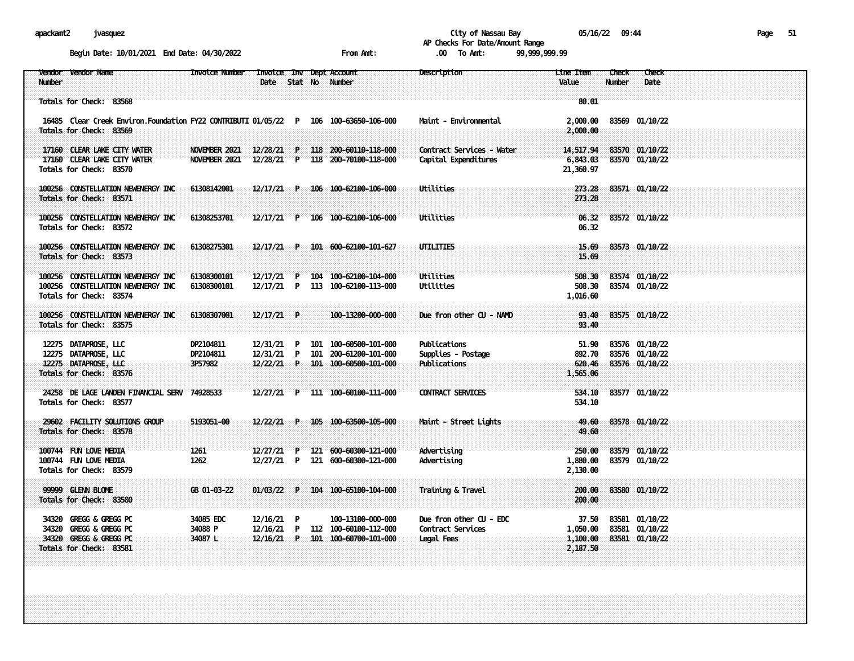**Totals for Check: 83580 200.00**

**Totals for Check: 83581 2,187.50**

**apackamt2 jvasquez City of Nassau Bay 05/16/22 09:44 Page 51 AP Checks For Date/Amount Range**

| Begin Date: 10/01/2021 End Date: 04/30/2022                                                                       |                                         |                     |              | From Amt:                                                            | .00 To Amt:                | 99, 999, 999. 99      |                               |                                  |
|-------------------------------------------------------------------------------------------------------------------|-----------------------------------------|---------------------|--------------|----------------------------------------------------------------------|----------------------------|-----------------------|-------------------------------|----------------------------------|
| <del>Vendor Vendor Name</del><br><b>Number</b>                                                                    | Invoice Number Invoice Inv Dept Account | Date Stat No Number |              |                                                                      | <b>Description</b>         | itine Titen<br>Value  | <b>Check</b><br><b>Number</b> | <b>Check</b><br>Date             |
| Totals for Check: 83568                                                                                           |                                         |                     |              |                                                                      |                            | 80.01                 |                               |                                  |
| 16485 Clear Creek Environ. Foundation FY22 CONTRIBUTI 01/05/22 P 106 100-63650-106-000<br>Totals for Check: 83569 |                                         |                     |              |                                                                      | Maint - Environmental      | 2,000.00<br>2,000.00  |                               | 83569 01/10/22                   |
| 17160 CLEAR LAKE CITY WATER                                                                                       | NOVEMBER 2021                           |                     |              | $12/28/21$ P $118$ 200-60110-118-000                                 | Contract Services - Water  | 14,517.94             |                               | 83570 01/10/22                   |
| 17160 CLEAR LAKE CITY WATER<br>Totals for Check: 83570                                                            | NOVEMBER 2021                           |                     |              | 12/28/21 P 118 200-70100-118-000                                     | Capital Expenditures       | 6,843.03<br>21,360.97 |                               | 83570 01/10/22                   |
| 100256 CONSTELLATION NEWENERGY INC<br>Totals for Check: 83571                                                     | 61308142001                             |                     |              | 12/17/21 P 106 100-62100-106-000                                     | Utilities                  | 273.28<br>273.28      |                               | 83571 01/10/22                   |
|                                                                                                                   |                                         |                     |              |                                                                      | <b>Utilities</b>           |                       |                               |                                  |
| 100256 CONSTELLATION NEWENERGY INC<br>Totals for Check: 83572                                                     | 61308253701                             |                     |              | 12/17/21 P 106 100-62100-106-000                                     |                            | 06.32<br>06.32        |                               | 83572 01/10/22                   |
| 100256 CONSTELLATION NEWENERGY INC<br>Totals for Check: 83573                                                     | 61308275301                             |                     |              | $12/17/21$ P $101$ 600-62100-101-627                                 | <b>UTILITIES</b>           | 15.69<br>15.69        |                               | 83573 01/10/22                   |
| 100256 CONSTELLATION NEWENERGY INC                                                                                | 61308300101                             |                     |              | 12/17/21 P 104 100-62100-104-000                                     | <b>Utilities</b>           | 508.30                |                               | 83574 01/10/22                   |
| 100256 CONSTELLATION NEWENERGY INC<br>Totals for Check: 83574                                                     | 61308300101                             |                     |              | 12/17/21 P 113 100-62100-113-000                                     | Utilities                  | 508.30<br>1,016.60    |                               | 83574 01/10/22                   |
| 100256 CONSTELLATION NEWENERGY INC<br>Totals for Check: 83575                                                     | 61308307001                             | $12/17/21$ P        |              | 100-13200-000-000                                                    | Due from other CU - NAMD   | 93.40<br>93.40        |                               | 83575 01/10/22                   |
| 12275 DATAPROSE, LLC                                                                                              | DP2104811                               | $12/31/21$ P        |              | 101 100-60500-101-000                                                | <b>Publications</b>        | 51.90                 |                               | 83576 01/10/22                   |
| 12275 DATAPROSE, LLC                                                                                              | DP2104811                               | 12/31/21            | $\mathsf{P}$ | 101 200-61200-101-000                                                | Supplies - Postage         | 892.70                |                               | 83576 01/10/22                   |
| 12275 DATAPROSE, LLC<br>Totals for Check: 83576                                                                   | 3P57982                                 |                     |              | $12/22/21$ P $101$ $100-60500-101-000$                               | <b>Publications</b>        | 620.46<br>1,565.06    |                               | 83576 01/10/22                   |
| 24258 DE LAGE LANDEN FINANCIAL SERV 74928533<br>Totals for Check: 83577                                           |                                         |                     |              | 12/27/21 P 111 100-60100-111-000                                     | <b>CONTRACT SERVICES</b>   | 534.10<br>534.10      |                               | 83577 01/10/22                   |
| 29602 FACILITY SOLUTIONS GROUP<br>Totals for Check: 83578                                                         | 5193051-00                              |                     |              | 12/22/21 P 105 100-63500-105-000                                     | Maint - Street Lights      | 49.60<br>49.60        |                               | 83578 01/10/22                   |
| 100744 FUN LOVE MEDIA<br>100744 FUN LOVE MEDIA                                                                    | 1261<br>1262                            |                     |              | 12/27/21 P 121 600-60300-121-000<br>12/27/21 P 121 600-60300-121-000 | Advertising<br>Advertising | 250.00<br>1,880.00    |                               | 83579 01/10/22<br>83579 01/10/22 |
| Totals for Check: 83579                                                                                           |                                         |                     |              |                                                                      |                            | 2.130.00              |                               |                                  |

12/16/21 P 101 100-60700-101-000 Legal Fees 1,100.00 1,100.00 1,100.00

**99999 GLENN BLOME GB 01-03-22 01/03/22 P 104 100-65100-104-000 Training & Travel 200.00 83580 01/10/22**

34320 GREGG & GREGG PC 34085 EDC 12/16/21 P 100-13100-000-000 Due from other CU - EDC 37.50 83581 01/10/22 34088 P 12/16/21 P 112 100-60100-112-000 Contract Services 1,050.00 83581 01/10/22<br>34320 GREGG & GREGG PC 34087 L 12/16/21 P 100 100-60700-101-000 Legal Fees 11 Contract Services 1,100.00 83581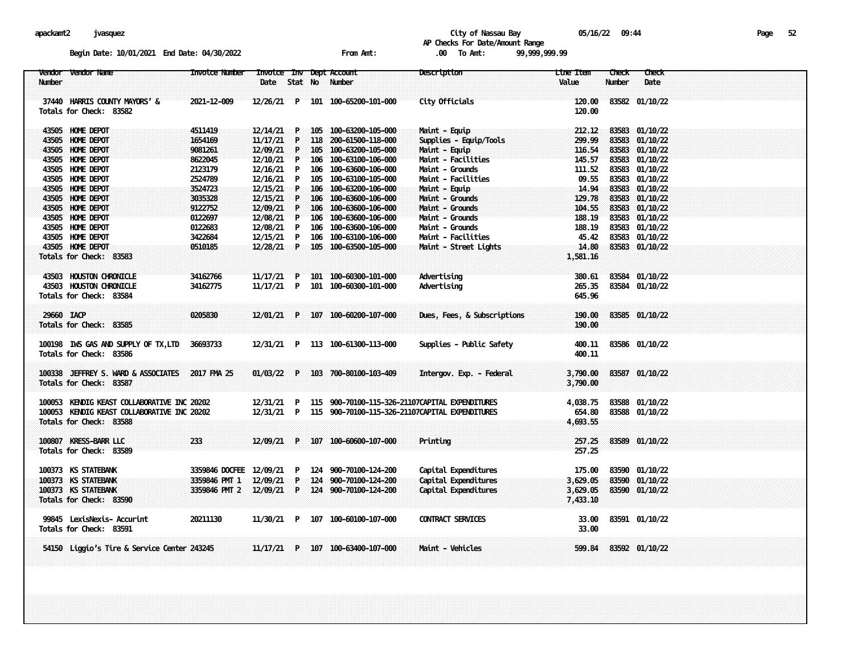## **apackamt2 jvasquez City of Nassau Bay 05/16/22 09:44 Page 52 AP Checks For Date/Amount Range**

|               | <u> Vendor Vendor Name</u>                      | <b>LINOLCE NUMBER</b>     |                              |              | <b>Invotce Inv Dept Account</b>                 | <b>Description</b>          | tine Item          | <b>uneck</b>  | <b>URECK</b>   |  |
|---------------|-------------------------------------------------|---------------------------|------------------------------|--------------|-------------------------------------------------|-----------------------------|--------------------|---------------|----------------|--|
| <b>Number</b> |                                                 |                           | Date                         |              | Stat No Number                                  |                             | Value              | <b>Number</b> | Date           |  |
|               | 37440 HARRIS COUNTY MAYORS' &                   | 2021-12-009               |                              |              | 12/26/21 P 101 100-65200-101-000                | City Officials              | 120.00             |               | 83582 01/10/22 |  |
|               | Totals for Check: 83582                         |                           |                              |              |                                                 |                             | 120.00             |               |                |  |
|               | 43505 HOME DEPOT                                | 4511419                   | $12/14/21$ P                 |              | 105 100-63200-105-000                           | Maint - Equip               | 212.12             |               | 83583 01/10/22 |  |
|               | 43505 HOME DEPOT                                | 1654169                   | $11/17/21$ P                 |              | 118 200-61500-118-000                           | Supplies - Equip/Tools      | 299.99             |               | 83583 01/10/22 |  |
|               | 43505 HOME DEPOT                                | 9081261                   | 12/09/21 P                   |              | 105 100-63200-105-000                           | Maint - Equip               | 116.54             | 83583         | 01/10/22       |  |
|               | 43505 HOME DEPOT                                | 8622045                   | $12/10/21$ P                 |              | 106 100-63100-106-000                           | Maint - Facilities          | 145.57             |               | 83583 01/10/22 |  |
|               | 43505 HOME DEPOT                                | 2123179                   | $12/16/21$ P                 |              | 106 100-63600-106-000                           | Maint - Grounds             | 111.52             | 83583         | 01/10/22       |  |
|               | 43505 HOME DEPOT                                | 2524789                   | $12/16/21$ P                 |              | 105 100-63100-105-000                           | Maint - Facilities          | 09.55              |               | 83583 01/10/22 |  |
|               | 43505 HOME DEPOT                                | 3524723                   | $12/15/21$ P                 |              | $-106 - 100 - 63200 - 106 - 000$                | Maint - Equip               | 14.94              | 83583         | 01/10/22       |  |
|               | 43505 HOME DEPOT                                | 3035328                   | 12/15/21                     | $\mathbf{P}$ | 106 100-63600-106-000                           | Maint - Grounds             | 129.78             |               | 83583 01/10/22 |  |
|               | 43505 HOME DEPOT                                | 9122752                   | 12/09/21                     | ∷ P          | 106 100-63600-106-000                           | Maint - Grounds             | 104.55             | 83583         | 01/10/22       |  |
|               | 43505 HOME DEPOT                                | 0122697                   | 12/08/21                     | ™P.          | 106 100-63600-106-000                           | Maint - Grounds             | 188.19             |               | 83583 01/10/22 |  |
|               | 43505 HOME DEPOT                                | 0122683                   | 12/08/21                     | $\mathsf{P}$ | 106 100-63600-106-000                           | Maint - Grounds             | 188.19             | 83583         | 01/10/22       |  |
|               | 43505 HOME DEPOT                                | 3422684                   | 12/15/21                     | $\mathsf{P}$ | 106 100-63100-106-000                           | Maint - Facilities          | 45.42              |               | 83583 01/10/22 |  |
|               | 43505 HOME DEPOT                                | 0510185                   |                              |              | 12/28/21 P 105 100-63500-105-000                |                             | 14.80              |               | 83583 01/10/22 |  |
|               | Totals for Check: 83583                         |                           |                              |              |                                                 | Maint - Street Lights       |                    |               |                |  |
|               |                                                 |                           |                              |              |                                                 |                             | 1,581.16           |               |                |  |
|               | 43503 HOUSTON CHRONICLE                         | 34162766                  | $11/17/21$ P                 |              | 101 100-60300-101-000                           | Advertising                 | 380.61             |               | 83584 01/10/22 |  |
|               | 43503 HOUSTON CHRONICLE                         | 34162775                  | $11/17/21$ P                 |              | 101 100-60300-101-000                           | Advertisina                 | 265.35             |               | 83584 01/10/22 |  |
|               | Totals for Check: 83584                         |                           |                              |              |                                                 |                             | 645.96             |               |                |  |
|               |                                                 |                           |                              |              |                                                 |                             |                    |               |                |  |
| 29660 IACP    |                                                 | 0205830                   |                              |              | 12/01/21 P 107 100-60200-107-000                | Dues, Fees, & Subscriptions | 190.00             |               | 83585 01/10/22 |  |
|               | Totals for Check: 83585                         |                           |                              |              |                                                 |                             | 190.00             |               |                |  |
|               | 100198 IWS GAS AND SUPPLY OF TX, LTD            | 36693733                  | $12/31/21$ P                 |              | 113 100-61300-113-000                           | Supplies - Public Safety    | 400.11             |               | 83586 01/10/22 |  |
|               | Totals for Check: 83586                         |                           |                              |              |                                                 |                             | 400.11             |               |                |  |
|               |                                                 |                           |                              |              |                                                 |                             |                    |               |                |  |
|               | 100338 JEFFREY S. WARD & ASSOCIATES 2017 FMA 25 |                           |                              |              | 01/03/22 P 103 700-80100-103-409                | Intergov. Exp. - Federal    | 3,790.00           |               | 83587 01/10/22 |  |
|               | Totals for Check: 83587                         |                           |                              |              |                                                 |                             | 3,790.00           |               |                |  |
|               | 100053 KENDIG KEAST COLLABORATIVE INC 20202     |                           |                              |              | 115 900-70100-115-326-21107CAPITAL EXPENDITURES |                             |                    |               | 83588 01/10/22 |  |
|               | 100053 KENDIG KEAST COLLABORATIVE INC 20202     |                           | $12/31/21$ P<br>$12/31/21$ P |              | 115 900-70100-115-326-21107CAPITAL EXPENDITURES |                             | 4,038.75<br>654.80 |               | 83588 01/10/22 |  |
|               | Totals for Check: 83588                         |                           |                              |              |                                                 |                             |                    |               |                |  |
|               |                                                 |                           |                              |              |                                                 |                             | 4,693.55           |               |                |  |
|               | 100807 KRESS-BARR LLC                           | 233                       |                              |              | 12/09/21 P 107 100-60600-107-000                | Printing                    | 257.25             |               | 83589 01/10/22 |  |
|               | Totals for Check: 83589                         |                           |                              |              |                                                 |                             | 257.25             |               |                |  |
|               |                                                 |                           |                              |              |                                                 |                             |                    |               |                |  |
|               | 100373 KS STATEBANK                             | 3359846 DOCFEE 12/09/21 P |                              |              | 124 900-70100-124-200                           | Capital Expenditures        | 175.00             | 83590         | 01/10/22       |  |
|               | 100373 KS STATEBANK                             | 3359846 PMT 1             | 12/09/21                     | ः P          | 124 900-70100-124-200                           | Capital Expenditures        | 3,629.05           | 83590         | 01/10/22       |  |
|               | 100373 KS STATEBANK                             | 3359846 PMT 2             | $12/09/21$ P                 |              | 124 900-70100-124-200                           | Capital Expenditures        | 3,629.05           |               | 83590 01/10/22 |  |
|               | Totals for Check: 83590                         |                           |                              |              |                                                 |                             | 7,433.10           |               |                |  |
|               | 99845 LexisNexis- Accurint                      | 20211130                  | $11/30/21$ P                 |              | 107 100-60100-107-000                           | <b>CONTRACT SERVICES</b>    | 33.00              |               | 83591 01/10/22 |  |
|               | Totals for Check: 83591                         |                           |                              |              |                                                 |                             | 33.00              |               |                |  |
|               |                                                 |                           |                              |              |                                                 |                             |                    |               |                |  |
|               | 54150 Liggio's Tire & Service Center 243245     |                           |                              |              | 11/17/21 P 107 100-63400-107-000                | Maint - Vehicles            | 599.84             |               | 83592 01/10/22 |  |
|               |                                                 |                           |                              |              |                                                 |                             |                    |               |                |  |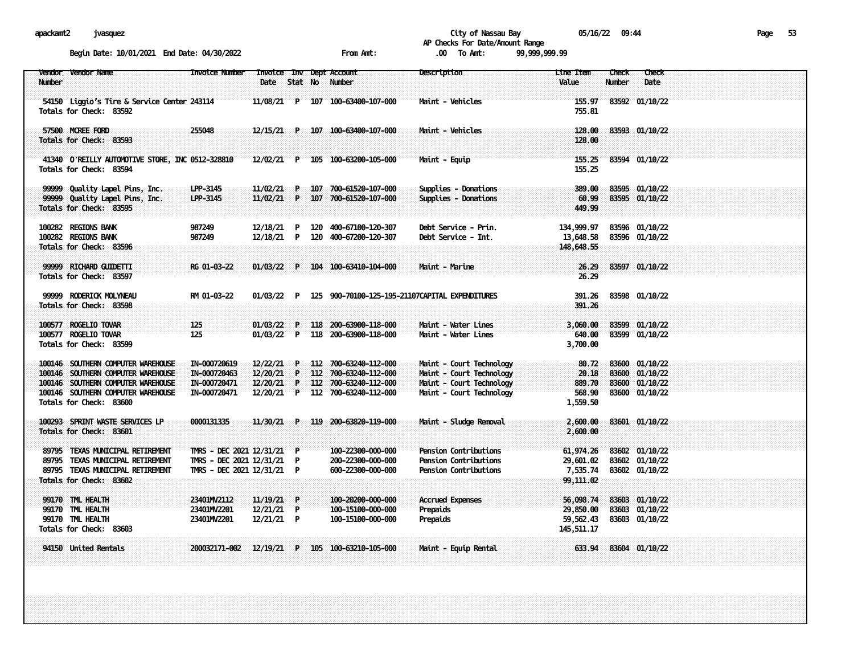**apackamt2 jvasquez City of Nassau Bay 05/16/22 09:44 Page 53 AP Checks For Date/Amount Range**

Begin Date: 10/01/2021 End Date: 04/30/2022 From Amt:

|               | <del>Vendor Vendor Name</del>                    | <b>Involce Number</b>      |              |     | <b>Invotce Inv Dept Account</b>        | <b>Description</b>                              | ttne Item    | <b>Check</b>  | Check          |  |
|---------------|--------------------------------------------------|----------------------------|--------------|-----|----------------------------------------|-------------------------------------------------|--------------|---------------|----------------|--|
| <b>Number</b> |                                                  |                            |              |     | Date Stat No Number                    |                                                 | Value        | <b>Number</b> | Date           |  |
|               |                                                  |                            |              |     |                                        |                                                 |              |               |                |  |
|               | 54150 Liggio's Tire & Service Center 243114      |                            |              |     | $11/08/21$ P $107$ $100-63400-107-000$ | Maint - Vehicles                                | 155.97       |               | 83592 01/10/22 |  |
|               | Totals for Check: 83592                          |                            |              |     |                                        |                                                 | 755.81       |               |                |  |
|               |                                                  |                            |              |     |                                        |                                                 |              |               |                |  |
|               | 57500 MCREE FORD                                 | 255048                     |              |     | 12/15/21 P 107 100-63400-107-000       | Maint - Vehicles                                | 128.00       |               | 83593 01/10/22 |  |
|               | Totals for Check: 83593                          |                            |              |     |                                        |                                                 | 128.00       |               |                |  |
|               |                                                  |                            |              |     |                                        |                                                 |              |               |                |  |
|               | 41340 O'REILLY AUTOMOTIVE STORE, INC 0512-328810 |                            | $12/02/21$ P |     | 105 100-63200-105-000                  | Maint - Equip                                   | 155.25       |               | 83594 01/10/22 |  |
|               | Totals for Check: 83594                          |                            |              |     |                                        |                                                 | 155.25       |               |                |  |
|               | 99999 Quality Lapel Pins, Inc.                   | LPP-3145                   | $11/02/21$ P |     | 107 700-61520-107-000                  | Supplies - Donations                            | 389.00       |               | 83595 01/10/22 |  |
|               | 99999 Quality Lapel Pins, Inc.                   | LPP-3145                   |              |     | 11/02/21 P 107 700-61520-107-000       | Supplies - Donations                            | 60.99        |               | 83595 01/10/22 |  |
|               | Totals for Check: 83595                          |                            |              |     |                                        |                                                 | 449.99       |               |                |  |
|               |                                                  |                            |              |     |                                        |                                                 |              |               |                |  |
|               | 100282 REGIONS BANK                              | 987249                     | $12/18/21$ P |     | 120 400-67100-120-307                  | Debt Service - Prin.                            | 134,999.97   |               | 83596 01/10/22 |  |
|               | 100282 REGIONS BANK                              | 987249                     | 12/18/21 P   |     | 120 400-67200-120-307                  | Debt Service - Int.                             | 13,648.58    |               | 83596 01/10/22 |  |
|               | Totals for Check: 83596                          |                            |              |     |                                        |                                                 | 148,648.55   |               |                |  |
|               |                                                  |                            |              |     |                                        |                                                 |              |               |                |  |
|               | 99999 RICHARD GUIDETTI                           | RG 01-03-22                | $01/03/22$ P |     | 104 100-63410-104-000                  | Maint - Marine                                  | 26.29        |               | 83597 01/10/22 |  |
|               | Totals for Check: 83597                          |                            |              |     |                                        |                                                 | 26.29        |               |                |  |
|               |                                                  |                            |              |     |                                        |                                                 |              |               |                |  |
|               | 99999 RODERICK MOLYNEAU                          | RM 01-03-22                | $01/03/22$ P |     |                                        | 125 900-70100-125-195-21107CAPITAL EXPENDITURES | 391.26       |               | 83598 01/10/22 |  |
|               | Totals for Check: 83598                          |                            |              |     |                                        |                                                 | 391.26       |               |                |  |
|               |                                                  |                            |              |     |                                        |                                                 |              |               |                |  |
|               | 100577 ROGELIO TOVAR                             | 125                        | 01/03/22     | ႃၣႜ | 118 200-63900-118-000                  | Maint - Water Lines                             | 3,060.00     |               | 83599 01/10/22 |  |
|               | 100577 ROGELIO TOVAR                             | 125                        |              |     | 01/03/22 P 118 200-63900-118-000       | Maint - Water Lines                             | 640.00       |               | 83599 01/10/22 |  |
|               | Totals for Check: 83599                          |                            |              |     |                                        |                                                 | 3,700.00     |               |                |  |
|               |                                                  |                            |              |     |                                        |                                                 |              |               |                |  |
|               | 100146 SOUTHERN COMPUTER WAREHOUSE               | <b>IN-000720619</b>        | $12/22/21$ P |     | 112 700-63240-112-000                  | Maint - Court Technology                        | 80.72        |               | 83600 01/10/22 |  |
|               | 100146 SOUTHERN COMPUTER WAREHOUSE               | IN-000720463               | 12/20/21 P   |     | 112 700-63240-112-000                  | Maint - Court Technology                        | 20.18        |               | 83600 01/10/22 |  |
|               | 100146 SOUTHERN COMPUTER WAREHOUSE               | IN-000720471               | $12/20/21$ P |     | 112 700-63240-112-000                  | Maint - Court Technology                        | 889.70       |               | 83600 01/10/22 |  |
|               | 100146 SOUTHERN COMPUTER WAREHOUSE               | IN-000720471               |              |     | 12/20/21 P 112 700-63240-112-000       | Maint - Court Technology                        | 568.90       |               | 83600 01/10/22 |  |
|               | Totals for Check: 83600                          |                            |              |     |                                        |                                                 | 1,559.50     |               |                |  |
|               |                                                  |                            |              |     |                                        |                                                 |              |               |                |  |
|               | 100293 SPRINT WASTE SERVICES LP                  | 0000131335                 |              |     | 11/30/21 P 119 200-63820-119-000       | Maint - Sludge Removal                          | 2,600.00     |               | 83601 01/10/22 |  |
|               | Totals for Check: 83601                          |                            |              |     |                                        |                                                 | 2,600.00     |               |                |  |
|               | 89795 TEXAS MUNICIPAL RETIREMENT                 | TMRS - DEC 2021 12/31/21 P |              |     | 100-22300-000-000                      | <b>Pension Contributions</b>                    | 61,974.26    |               | 83602 01/10/22 |  |
|               | 89795 TEXAS MUNICIPAL RETIREMENT                 | TMRS - DEC 2021 12/31/21 P |              |     | 200-22300-000-000                      | <b>Pension Contributions</b>                    | 29,601.02    |               | 83602 01/10/22 |  |
|               | 89795 TEXAS MUNICIPAL RETIREMENT                 | TMRS - DEC 2021 12/31/21 P |              |     | 600-22300-000-000                      | <b>Pension Contributions</b>                    | 7,535.74     |               | 83602 01/10/22 |  |
|               | Totals for Check: 83602                          |                            |              |     |                                        |                                                 | 99,111.02    |               |                |  |
|               |                                                  |                            |              |     |                                        |                                                 |              |               |                |  |
|               | 99170 TML HEALTH                                 | 23401M2112                 | $11/19/21$ P |     | 100-20200-000-000                      | <b>Accrued Expenses</b>                         | 56,098.74    |               | 83603 01/10/22 |  |
|               | 99170 TML HEALTH                                 | 23401MV2201                | $12/21/21$ P |     | 100-15100-000-000                      | Prepaids                                        | 29,850.00    |               | 83603 01/10/22 |  |
|               | 99170 TML HEALTH                                 | 23401MV2201                | $12/21/21$ P |     | 100-15100-000-000                      | Prepaids                                        | 59,562.43    |               | 83603 01/10/22 |  |
|               | Totals for Check: 83603                          |                            |              |     |                                        |                                                 | 145, 511, 17 |               |                |  |

94150 United Rentals 200032171-002 12/19/21 P 105 100-63210-105-000 Maint - Equip Rental 633.94 83604 01/10/22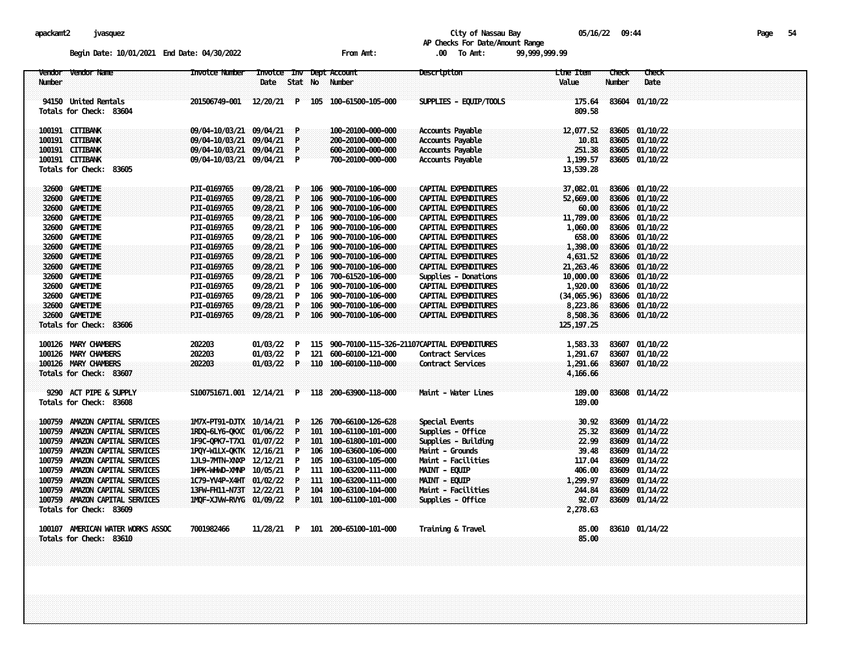**apackamt2 jvasquez City of Nassau Bay 05/16/22 09:44 Page 54 AP Checks For Date/Amount Range**

|  |  | Fro |
|--|--|-----|
|  |  |     |

|               | Vendor Vendor Name                | <b>Involce Number</b>     |              |              |     | <b>Invotce Inv Dept Account</b>                 | <b>Description</b>          | ttne Item   | Check         | <b>Check</b>   |  |
|---------------|-----------------------------------|---------------------------|--------------|--------------|-----|-------------------------------------------------|-----------------------------|-------------|---------------|----------------|--|
| <b>Number</b> |                                   |                           | Date Stat No |              |     | <b>Number</b>                                   |                             | Value       | <b>Number</b> | Date           |  |
|               |                                   |                           |              |              |     |                                                 |                             |             |               |                |  |
|               | 94150 United Rentals              | 201506749-001 12/20/21 P  |              |              |     | 105 100-61500-105-000                           | SUPPLIES - EQUIP/TOOLS      | 175.64      |               | 83604 01/10/22 |  |
|               | Totals for Check: 83604           |                           |              |              |     |                                                 |                             | 809.58      |               |                |  |
|               | 100191 CITIBANK                   | 09/04-10/03/21 09/04/21 P |              |              |     | 100-20100-000-000                               | <b>Accounts Payable</b>     | 12,077.52   |               | 83605 01/10/22 |  |
|               | 100191 CITIBANK                   | 09/04-10/03/21 09/04/21 P |              |              |     | 200-20100-000-000                               | <b>Accounts Payable</b>     | 10.81       |               | 83605 01/10/22 |  |
|               | 100191 CITIBANK                   | 09/04-10/03/21 09/04/21 P |              |              |     | 600-20100-000-000                               | <b>Accounts Payable</b>     | 251.38      |               | 83605 01/10/22 |  |
|               | 100191 CITIBANK                   | 09/04-10/03/21 09/04/21 P |              |              |     | 700-20100-000-000                               | <b>Accounts Payable</b>     | 1,199.57    |               | 83605 01/10/22 |  |
|               | Totals for Check: 83605           |                           |              |              |     |                                                 |                             | 13,539.28   |               |                |  |
|               |                                   |                           |              |              |     |                                                 |                             |             |               |                |  |
|               | 32600 GAMETIME                    | PJI-0169765               | 09/28/21     | -P           | 106 | 900-70100-106-000                               | <b>CAPITAL EXPENDITURES</b> | 37,082.01   |               | 83606 01/10/22 |  |
|               | 32600 GAMETIME                    | PJI-0169765               | 09/28/21     | P            | 106 | 900-70100-106-000                               | <b>CAPITAL EXPENDITURES</b> | 52,669.00   |               | 83606 01/10/22 |  |
|               | 32600 GAMETIME                    | PJI-0169765               | 09/28/21     | $\mathbf{P}$ | 106 | 900-70100-106-000                               | <b>CAPITAL EXPENDITURES</b> | 60.00       |               | 83606 01/10/22 |  |
|               | 32600 GAMETIME                    | PJI-0169765               | 09/28/21     | `P.          |     | 106 900-70100-106-000                           | <b>CAPITAL EXPENDITURES</b> | 11,789.00   |               | 83606 01/10/22 |  |
|               | 32600 GAMETIME                    | PJI-0169765               | 09/28/21     | P            |     | 106 900-70100-106-000                           | <b>CAPITAL EXPENDITURES</b> | 1,060.00    |               | 83606 01/10/22 |  |
|               | 32600 GAMETIME                    | PJI-0169765               | 09/28/21     | P            |     | 106 900-70100-106-000                           | CAPITAL EXPENDITURES        | 658.00      |               | 83606 01/10/22 |  |
|               | 32600 GAMETIME                    | PJI-0169765               | 09/28/21     | ႃၣႜ          |     | $106 - 900 - 70100 - 106 - 000$                 | CAPITAL EXPENDITURES        | 1,398.00    |               | 83606 01/10/22 |  |
|               | 32600 GAMETIME                    | PJI-0169765               | 09/28/21     | ∵₽           |     | 106 900-70100-106-000                           | <b>CAPITAL EXPENDITURES</b> | 4,631.52    |               | 83606 01/10/22 |  |
|               | 32600 GAMETIME                    | PJI-0169765               | 09/28/21     | $\mathbf{P}$ |     | 106 900-70100-106-000                           | <b>CAPITAL EXPENDITURES</b> | 21, 263, 46 |               | 83606 01/10/22 |  |
|               | 32600 GAMETIME                    | PJI-0169765               | 09/28/21     | P            |     | 106 700-61520-106-000                           | Supplies - Donations        | 10,000.00   |               | 83606 01/10/22 |  |
|               | 32600 GAMETIME                    | PJI-0169765               | 09/28/21     | P            |     | 106 900-70100-106-000                           | CAPITAL EXPENDITURES        | 1,920.00    |               | 83606 01/10/22 |  |
|               | 32600 GAMETIME                    | PJI-0169765               | 09/28/21     | P            |     | 106 900-70100-106-000                           | CAPITAL EXPENDITURES        | (34,065.96) |               | 83606 01/10/22 |  |
|               | 32600 GAMETIME                    | PJI-0169765               | 09/28/21     | ∵.P.         |     | $106 - 900 - 70100 - 106 - 000$                 | <b>CAPITAL EXPENDITURES</b> | 8.223.86    |               | 83606 01/10/22 |  |
|               | 32600 GAMETIME                    | PJI-0169765               | 09/28/21 P   |              |     | 106 900-70100-106-000                           | <b>CAPITAL EXPENDITURES</b> | 8,508.36    |               | 83606 01/10/22 |  |
|               | Totals for Check: 83606           |                           |              |              |     |                                                 |                             | 125, 197.25 |               |                |  |
|               |                                   |                           |              |              |     |                                                 |                             |             |               |                |  |
|               | 100126 MARY CHAMBERS              | 202203                    | 01/03/22     | P            |     | 115 900-70100-115-326-21107CAPITAL EXPENDITURES |                             | 1,583.33    |               | 83607 01/10/22 |  |
|               | 100126 MARY CHAMBERS              | 202203                    | 01/03/22     | P            |     | 121 600-60100-121-000                           | Contract Services           | 1,291.67    |               | 83607 01/10/22 |  |
|               | 100126 MARY CHAMBERS              | 202203                    | $01/03/22$ P |              |     | 110 100-60100-110-000                           | Contract Services           | 1,291.66    |               | 83607 01/10/22 |  |
|               | Totals for Check: 83607           |                           |              |              |     |                                                 |                             | 4,166.66    |               |                |  |
|               | 9290 ACT PIPE & SUPPLY            | S100751671.001 12/14/21 P |              |              |     | 118 200-63900-118-000                           | Maint - Water Lines         | 189.00      |               | 83608 01/14/22 |  |
|               |                                   |                           |              |              |     |                                                 |                             |             |               |                |  |
|               | Totals for Check: 83608           |                           |              |              |     |                                                 |                             | 189.00      |               |                |  |
| 100759        | AMAZON CAPITAL SERVICES           | 1M7X-PT91-DJTX 10/14/21 P |              |              |     | 126 700-66100-126-628                           | <b>Special Events</b>       | 30.92       | 83609         | 01/14/22       |  |
| 100759        | AMAZON CAPITAL SERVICES           | 1RDQ-6LY6-QKXC 01/06/22   |              | <b>P</b>     |     | 101 100-61100-101-000                           | Supplies - Office           | 25.32       |               | 83609 01/14/22 |  |
| 100759        | AMAZON CAPITAL SERVICES           | 1F9C-QPK7-T7X1 01/07/22 P |              |              |     | 101 100-61800-101-000                           | Supplies - Building         | 22.99       |               | 83609 01/14/22 |  |
| 100759        | AMAZON CAPITAL SERVICES           | 1POY-WILX-OKTK 12/16/21   |              | P            |     | 106 100-63600-106-000                           | Maint - Grounds             | 39.48       |               | 83609 01/14/22 |  |
| 100759        | AMAZON CAPITAL SERVICES           | 1JL9-7MTN-XNXP 12/12/21   |              | P            |     | 105 100-63100-105-000                           | Maint - Facilities          | 117.04      | 83609         | 01/14/22       |  |
| 100759        | AMAZON CAPITAL SERVICES           | 1HPK-WHWD-XMNP 10/05/21   |              | P            |     | 111 100-63200-111-000                           | MAINT - EQUIP               | 406.00      |               | 83609 01/14/22 |  |
| 100759        | AMAZON CAPITAL SERVICES           | 1C79-YV4P-X4HT 01/02/22   |              | P            |     | 111 100-63200-111-000                           | MAINT - EQUIP               | 1,299.97    |               | 83609 01/14/22 |  |
| 100759        | AMAZON CAPITAL SERVICES           | 13FW-FH11-N73T 12/22/21   |              | P            | 104 | 100-63100-104-000                               | Maint - Facilities          | 244.84      | 83609         | 01/14/22       |  |
|               | 100759 AMAZON CAPITAL SERVICES    | 1MQF-XJVM-RVYG 01/09/22 P |              |              |     | 101 100-61100-101-000                           | Supplies - Office           | 92.07       |               | 83609 01/14/22 |  |
|               | Totals for Check: 83609           |                           |              |              |     |                                                 |                             | 2,278.63    |               |                |  |
|               |                                   |                           |              |              |     |                                                 |                             |             |               |                |  |
|               | 100107 AMERICAN WATER WORKS ASSOC | 7001982466                | 11/28/21 P   |              |     | 101 200-65100-101-000                           | Training & Travel           | 85.00       |               | 83610 01/14/22 |  |
|               | Totals for Check: 83610           |                           |              |              |     |                                                 |                             | 85.00       |               |                |  |
|               |                                   |                           |              |              |     |                                                 |                             |             |               |                |  |
|               |                                   |                           |              |              |     |                                                 |                             |             |               |                |  |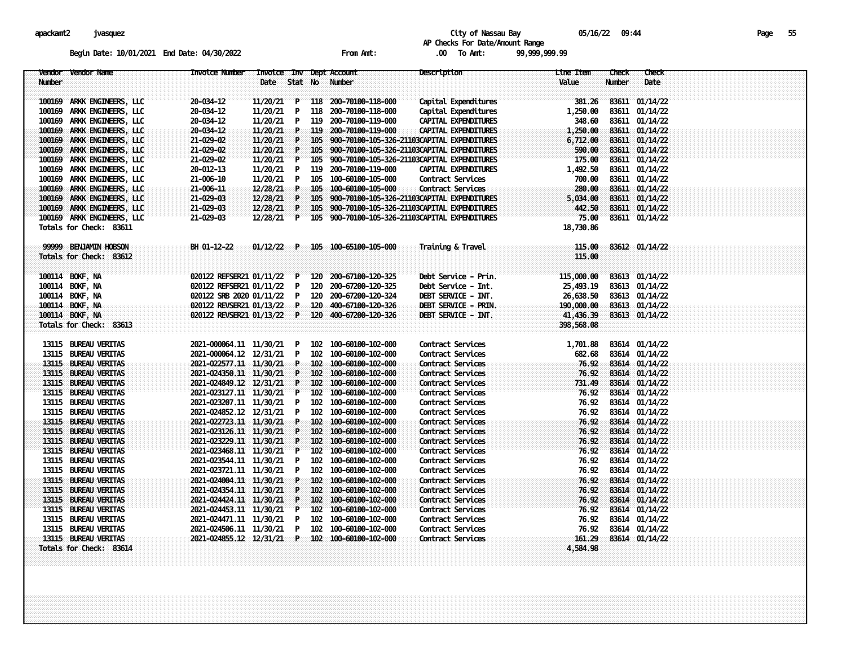**apackamt2 jvasquez City of Nassau Bay 05/16/22 09:44 Page 55 AP Checks For Date/Amount Range**

|               | Begin Date: 10/01/2021 End Date: 04/30/2022 |                       |          |                         |                  | From Amt:                                          | .00                | To Amt:                     | 99, 999, 999. 99          |                        |                      |
|---------------|---------------------------------------------|-----------------------|----------|-------------------------|------------------|----------------------------------------------------|--------------------|-----------------------------|---------------------------|------------------------|----------------------|
| Number        | vendor vendor Name                          | <b>Invotce Number</b> | Date     |                         |                  | <b>LINOLCE LINE LEDE RECOURS</b><br>Stat No Number | <b>Description</b> |                             | <b>ENGERICHE</b><br>Value | tuean<br><b>Number</b> | <b>Check</b><br>Date |
| 100169        | ARKK ENGINEERS, LLC                         | 20-034-12             | 11/20/21 | ∵P                      | <b>118</b>       | 200-70100-118-000                                  |                    | Capital Expenditures        | 381.26                    |                        | 83611 01/14/22       |
| 100169        | ARKK ENGINEERS, LLC                         | 20-034-12             | 11/20/21 | -P                      | 118              | 200-70100-118-000                                  |                    | Capital Expenditures        | 1,250.00                  |                        | 83611 01/14/22       |
| 100169        | ARKK ENGINEERS, LLC                         | 20-034-12             | 11/20/21 | P                       | 119              | 200-70100-119-000                                  |                    | CAPITAL EXPENDITURES        | 348.60                    |                        | 83611 01/14/22       |
| 100169        | ARKK ENGINEERS, LLC                         | $20 - 034 - 12$       | 11/20/21 | . р.                    | 119              | 200-70100-119-000                                  |                    | CAPITAL EXPENDITURES        | 1.250.00                  |                        | 83611 01/14/22       |
| 100169        | ARKK ENGINEERS, LLC                         | 21-029-02             | 11/20/21 | ⊹. P                    | 105              | 900-70100-105-326-21103CAPITAL EXPENDITURES        |                    |                             | 6.712.00                  |                        | 83611 01/14/22       |
|               | 100169 ARKK ENGINEERS, LLC                  | 21-029-02             | 11/20/21 | ႃၣ                      |                  | 105 900-70100-105-326-21103CAPITAL EXPENDITURES    |                    |                             | 590.00                    |                        | 83611 01/14/22       |
|               | 100169 ARKK ENGINEERS. LLC                  | 21-029-02             | 11/20/21 | $^{\circ}$ P $^{\circ}$ | 105 <sup>2</sup> | 900-70100-105-326-21103CAPITAL EXPENDITURES        |                    |                             | 175.00                    |                        | 83611 01/14/22       |
| <b>100169</b> | ARKK ENGINEERS, LLC                         | 20-012-13             | 11/20/21 | P                       | 119              | 200-70100-119-000                                  |                    | <b>CAPITAL EXPENDITURES</b> | 1,492.50                  |                        | 83611 01/14/22       |
| <b>100169</b> | ARKK ENGINEERS, LLC                         | 21-006-10             | 11/20/21 |                         | 105              | 100-60100-105-000                                  |                    | Contract Services           | 700.00                    |                        | 83611 01/14/22       |
| 100169        | ARKK ENGINEERS, LLC                         | 21-006-11             | 12/28/21 | ∵ P                     | 105              | $100 - 60100 - 105 - 000$                          |                    | <b>Contract Services</b>    | 280.00                    |                        | 83611 01/14/22       |
| 100169        | ARKK ENGINEERS, LLC                         | 21-029-03             | 12/28/21 | . р.                    | 105              | 900-70100-105-326-21103CAPITAL EXPENDITURES        |                    |                             | 5.034.00                  |                        | 83611 01/14/22       |
| 100169        | ARKK ENGINEERS, LLC                         | 21-029-03             | 12/28/21 | ∵P                      | 105              | 900-70100-105-326-21103CAPITAL EXPENDITURES        |                    |                             | 442.50                    |                        | 83611 01/14/22       |
|               | 100169 ARKK ENGINEERS. LLC                  | 21-029-03             | 12/28/21 | ∵P                      | 105              | 900-70100-105-326-21103CAPITAL EXPENDITURES        |                    |                             | 75.00                     |                        | 83611 01/14/22       |
|               | Totals for Check:  83611                    |                       |          |                         |                  |                                                    |                    |                             | 18,730.86                 |                        |                      |

|       | 99999 BENJAMIN HOBSON       | BH 01-12-22                | 01/12/22 | ∴ P |                  | 105 100-65100-105-000 | Training & Travel           | 115.00     |       | 83612 01/14/22 |  |
|-------|-----------------------------|----------------------------|----------|-----|------------------|-----------------------|-----------------------------|------------|-------|----------------|--|
|       | Totals for Check: 83612     |                            |          |     |                  |                       |                             | 115.00     |       |                |  |
|       |                             |                            |          |     |                  |                       |                             |            |       |                |  |
|       | 100114 BOKF, NA             | 020122 REFSER21 01/11/22 P |          |     | 120 <sub>1</sub> | 200-67100-120-325     | Debt Service - Prin.        | 115,000.00 |       | 83613 01/14/22 |  |
|       | 100114 BOKF, NA             | 020122 REFSER21 01/11/22   |          | - P | 120              | 200-67200-120-325     | Debt Service - Int.         | 25,493.19  |       | 83613 01/14/22 |  |
|       | 100114 BOKF, NA             | 020122 SRB 2020 01/11/22   |          | - P | 120              | 200-67200-120-324     | DEBT SERVICE - INT.         | 26,638.50  |       | 83613 01/14/22 |  |
|       | 100114 BOKF, NA             | 020122 REVSER21 01/13/22 P |          |     | 120              | 400-67100-120-326     | <b>DEBT SERVICE - PRIN.</b> | 190,000.00 |       | 83613 01/14/22 |  |
|       | 100114 BOKF, NA             | 020122 REVSER21 01/13/22 P |          |     | 120              | 400-67200-120-326     | DEBT SERVICE - INT.         | 41,436.39  |       | 83613 01/14/22 |  |
|       | Totals for Check: 83613     |                            |          |     |                  |                       |                             | 398,568.08 |       |                |  |
|       |                             |                            |          |     |                  |                       |                             |            |       |                |  |
| 13115 | <b>BUREAU VERITAS</b>       | 2021-000064.11 11/30/21    |          | - P | 102              | 100-60100-102-000     | Contract Services           | 1,701.88   |       | 83614 01/14/22 |  |
| 13115 | <b>BUREAU VERITAS</b>       | 2021-000064.12 12/31/21    |          | - P | 102              | 100-60100-102-000     | Contract Services           | 682.68     | 83614 | 01/14/22       |  |
| 13115 | <b>BUREAU VERITAS</b>       | 2021-022577.11 11/30/21    |          | ∴∵P | 102              | 100-60100-102-000     | Contract Services           | 76.92      |       | 83614 01/14/22 |  |
| 13115 | <b>BUREAU VERITAS</b>       | 2021-024350.11 11/30/21    |          | ∵ P | 102              | 100-60100-102-000     | Contract Services           | 76.92      |       | 83614 01/14/22 |  |
|       | <b>13115 BUREAU VERITAS</b> | 2021-024849.12 12/31/21    |          | ∷ P | 102              | 100-60100-102-000     | Contract Services           | 731.49     |       | 83614 01/14/22 |  |
| 13115 | <b>BUREAU VERITAS</b>       | 2021-023127.11 11/30/21    |          | ∵ P | <b>102</b>       | 100-60100-102-000     | Contract Services           | 76.92      |       | 83614 01/14/22 |  |
| 13115 | <b>BUREAU VERITAS</b>       | 2021-023207.11 11/30/21    |          | - P | 102              | 100-60100-102-000     | Contract Services           | 76.92      |       | 83614 01/14/22 |  |
| 13115 | <b>BUREAU VERITAS</b>       | 2021-024852.12 12/31/21    |          | - P | 102              | 100-60100-102-000     | Contract Services           | 76.92      |       | 83614 01/14/22 |  |
| 13115 | <b>BUREAU VERITAS</b>       | 2021-022723.11 11/30/21    |          | ∵ P |                  | 102 100-60100-102-000 | Contract Services           | 76.92      |       | 83614 01/14/22 |  |
| 13115 | <b>BUREAU VERITAS</b>       | 2021-023126.11 11/30/21    |          | ∷ P | 102              | 100-60100-102-000     | Contract Services           | 76.92      |       | 83614 01/14/22 |  |
| 13115 | <b>BUREAU VERITAS</b>       | 2021-023229.11 11/30/21    |          |     | 102              | 100-60100-102-000     | Contract Services           | 76.92      |       | 83614 01/14/22 |  |
| 13115 | <b>BUREAU VERITAS</b>       | 2021-023468.11 11/30/21    |          | ∵P  | <b>102</b>       | 100-60100-102-000     | Contract Services           | 76.92      |       | 83614 01/14/22 |  |
| 13115 | <b>BUREAU VERITAS</b>       | 2021-023544.11 11/30/21    |          | - P | 102              | 100-60100-102-000     | Contract Services           | 76.92      |       | 83614 01/14/22 |  |
| 13115 | <b>BUREAU VERITAS</b>       | 2021-023721.11 11/30/21    |          | - P | 102              | 100-60100-102-000     | Contract Services           | 76.92      |       | 83614 01/14/22 |  |
| 13115 | <b>BUREAU VERITAS</b>       | 2021-024004.11 11/30/21 P  |          |     | 102              | 100-60100-102-000     | Contract Services           | 76.92      |       | 83614 01/14/22 |  |
| 13115 | <b>BUREAU VERITAS</b>       | 2021-024354.11 11/30/21    |          |     | 102              | 100-60100-102-000     | Contract Services           | 76.92      |       | 83614 01/14/22 |  |
| 13115 | <b>BUREAU VERITAS</b>       | 2021-024424.11 11/30/21    |          |     | 102              | 100-60100-102-000     | <b>Contract Services</b>    | 76.92      |       | 83614 01/14/22 |  |
| 13115 | <b>BUREAU VERITAS</b>       | 2021-024453.11 11/30/21    |          | ΠP  | 102              | 100-60100-102-000     | Contract Services           | 76.92      |       | 83614 01/14/22 |  |
| 13115 | <b>BUREAU VERITAS</b>       | 2021-024471.11 11/30/21    |          | - P | 102              | 100-60100-102-000     | Contract Services           | 76.92      |       | 83614 01/14/22 |  |
| 13115 | <b>BUREAU VERITAS</b>       | 2021-024506.11 11/30/21    |          | - P | 102              | 100-60100-102-000     | Contract Services           | 76.92      |       | 83614 01/14/22 |  |
| 13115 | <b>BUREAU VERITAS</b>       | 2021-024855.12 12/31/21    |          |     |                  | 102 100-60100-102-000 | Contract Services           | 161.29     |       | 83614 01/14/22 |  |

**Totals for Check: 83614 4,584.98**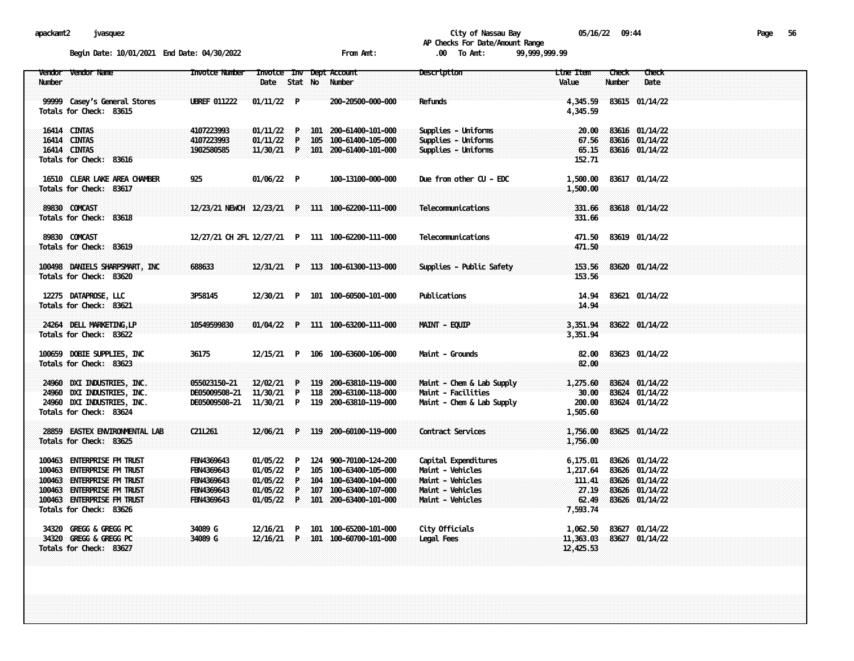**apackamt2 jvasquez City of Nassau Bay 05/16/22 09:44 Page 56 AP Checks For Date/Amount Range**

| Begin Date: 10/01/2021    End Date: 04/30/2022 | From Amt. | To Amt:<br>$.00\,$ | 99,999,999.99 |
|------------------------------------------------|-----------|--------------------|---------------|
|------------------------------------------------|-----------|--------------------|---------------|

|  |  | г |
|--|--|---|
|  |  |   |

| <del>Vendor Vendor Name</del>                              | <b>Invoice Number</b>    | <b>Invotce Inv Dept Account</b> |      |                                                  | <b>Description</b>         | ttne Item            | <b>Check</b>  | <b>Check</b>   |  |  |
|------------------------------------------------------------|--------------------------|---------------------------------|------|--------------------------------------------------|----------------------------|----------------------|---------------|----------------|--|--|
| Number                                                     |                          | Date Stat No Number             |      |                                                  |                            | Value                | <b>Number</b> | Date           |  |  |
| 99999 Casey's General Stores<br>Totals for Check: 83615    | <b>UBREF 011222</b>      | $01/11/22$ P                    |      | 200-20500-000-000                                | <b>Refunds</b>             | 4,345.59<br>4,345.59 |               | 83615 01/14/22 |  |  |
| <b>16414 CINTAS</b>                                        | 4107223993               | 01/11/22                        | ∷ P  | 101 200-61400-101-000                            | <b>Supplies - Uniforms</b> | 20.00                |               | 83616 01/14/22 |  |  |
| <b>16414 CINTAS</b>                                        | 4107223993               | 01/11/22                        | ∴ P∶ | 105 100-61400-105-000                            | Supplies - Uniforms        | 67.56                |               | 83616 01/14/22 |  |  |
| 16414 CINTAS                                               | 1902580585               |                                 |      | 11/30/21 P 101 200-61400-101-000                 | Supplies - Uniforms        | 65.15                |               | 83616 01/14/22 |  |  |
| Totals for Check: 83616                                    |                          |                                 |      |                                                  |                            | 152.71               |               |                |  |  |
| 16510 CLEAR LAKE AREA CHAMBER                              | 925                      | $01/06/22$ P                    |      | 100-13100-000-000                                | Due from other CU - EDC    | 1,500.00             |               | 83617 01/14/22 |  |  |
| Totals for Check: 83617                                    |                          |                                 |      |                                                  |                            | 1,500.00             |               |                |  |  |
| 89830 COMCAST                                              |                          |                                 |      | 12/23/21 NEWCH 12/23/21 P 111 100-62200-111-000  | <b>Telecomunications</b>   | 331.66               |               | 83618 01/14/22 |  |  |
| Totals for Check: 83618                                    |                          |                                 |      |                                                  |                            | 331.66               |               |                |  |  |
| 89830 COMCAST                                              |                          |                                 |      | 12/27/21 CH 2FL 12/27/21 P 111 100-62200-111-000 | <b>Telecomunications</b>   | 471.50               |               | 83619 01/14/22 |  |  |
| Totals for Check: 83619                                    |                          |                                 |      |                                                  |                            | 471.50               |               |                |  |  |
|                                                            |                          |                                 |      |                                                  |                            |                      |               |                |  |  |
| 100498 DANIELS SHARPSMART, INC.<br>Totals for Check: 83620 | 688633                   |                                 |      | 12/31/21 P 113 100-61300-113-000                 | Supplies - Public Safety   | 153.56<br>153.56     |               | 83620 01/14/22 |  |  |
|                                                            |                          |                                 |      |                                                  |                            |                      |               |                |  |  |
| 12275 DATAPROSE, LLC                                       | 3P58145                  | $12/30/21$ P                    |      | 101 100-60500-101-000                            | <b>Publications</b>        | 14.94                |               | 83621 01/14/22 |  |  |
| Totals for Check: 83621                                    |                          |                                 |      |                                                  |                            | 14.94                |               |                |  |  |
| 24264 DELL MARKETING, LP                                   | 10549599830              |                                 |      | 01/04/22 P 111 100-63200-111-000                 | MAINT - EQUIP              | 3,351.94             |               | 83622 01/14/22 |  |  |
| Totals for Check: 83622                                    |                          |                                 |      |                                                  |                            | 3,351.94             |               |                |  |  |
| 100659 DOBIE SUPPLIES, INC                                 | 36175                    | $12/15/21$ P                    |      | 106 100-63600-106-000                            | Maint - Grounds            | 82.00                |               | 83623 01/14/22 |  |  |
| Totals for Check: 83623                                    |                          |                                 |      |                                                  |                            | 82.00                |               |                |  |  |
|                                                            |                          |                                 |      |                                                  |                            |                      |               |                |  |  |
| 24960 DXI INDUSTRIES, INC.                                 | 055023150-21             | 12/02/21                        | ा    | 119 200-63810-119-000                            | Maint - Chem & Lab Supply  | 1,275.60             |               | 83624 01/14/22 |  |  |
| 24960 DXI INDUSTRIES, INC.                                 | DE05009508-21            | 11/30/21                        | ∵P   | 118 200-63100-118-000                            | Maint - Facilities         | 30.00                |               | 83624 01/14/22 |  |  |
| 24960 DXI INDUSTRIES, INC.                                 | DE05009508-21 11/30/21 P |                                 |      | 119 200-63810-119-000                            | Maint - Chem & Lab Supply  | 200.00               |               | 83624 01/14/22 |  |  |
| Totals for Check: 83624                                    |                          |                                 |      |                                                  |                            | 1,505.60             |               |                |  |  |
| 28859 EASTEX ENVIRONMENTAL LAB                             | <b>C21L261</b>           |                                 |      | 12/06/21 P 119 200-60100-119-000                 | Contract Services          | 1,756.00             |               | 83625 01/14/22 |  |  |
| Totals for Check: 83625                                    |                          |                                 |      |                                                  |                            | 1,756.00             |               |                |  |  |
| 100463 ENTERPRISE FM TRUST                                 | FBN4369643               | $01/05/22$ P                    |      | 124 900-70100-124-200                            | Capital Expenditures       | 6,175.01             |               | 83626 01/14/22 |  |  |
| 100463 ENTERPRISE FM TRUST                                 | FBN4369643               | $01/05/22$ P                    |      | 105 100-63400-105-000                            | Maint - Vehicles           | 1,217.64             |               | 83626 01/14/22 |  |  |
| 100463 ENTERPRISE FM TRUST                                 | FBN4369643               | $01/05/22$ P                    |      | 104 100-63400-104-000                            | Maint - Vehicles           | 111.41               |               | 83626 01/14/22 |  |  |
| 100463 ENTERPRISE FM TRUST                                 | FBN4369643               | $01/05/22$ P                    |      | 107 100-63400-107-000                            | Maint - Vehicles           | 27.19                |               | 83626 01/14/22 |  |  |
| 100463 ENTERPRISE FM TRUST                                 | FBN4369643               |                                 |      | 01/05/22 P 101 200-63400-101-000                 | Maint - Vehicles           | 62.49                |               | 83626 01/14/22 |  |  |
| Totals for Check: 83626                                    |                          |                                 |      |                                                  |                            | 7,593.74             |               |                |  |  |
| 34320 GREGG & GREGG PC                                     | 34089 G                  | $12/16/21$ P                    |      | 101 100-65200-101-000                            | City Officials             | 1,062.50             |               | 83627 01/14/22 |  |  |
| 34320 GREGG & GREGG PC                                     | 34089 G                  | $12/16/21$ P                    |      | 101 100-60700-101-000                            | Legal Fees                 | 11,363.03            |               | 83627 01/14/22 |  |  |
| Totals for Check: 83627                                    |                          |                                 |      |                                                  |                            | 12,425.53            |               |                |  |  |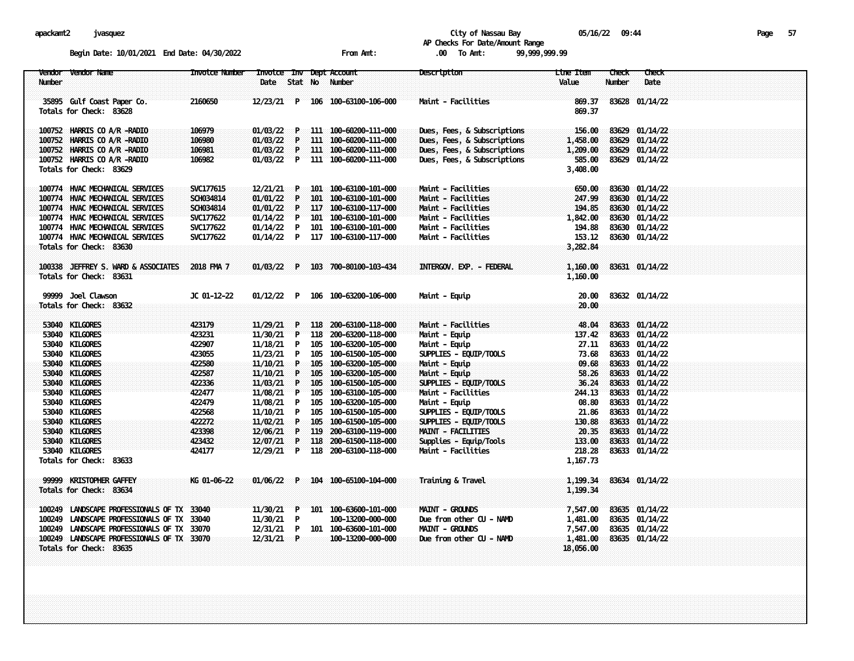**apackamt2 jvasquez City of Nassau Bay 05/16/22 09:44 Page 57 AP Checks For Date/Amount Range**

Begin Date: 10/01/2021 End Date: 04/30/2022 <br>From Amt:

100249 LANDSCAPE PROFESSIONALS OF TX 33070

| <del>Vendor Vendor Name</del>              | <b>Involce Number</b> |              |  | <b>Invotce Inv Dept Account</b>        | <b>Description</b>                                                    | ttne Item | <b>Check</b>  | Check          |  |
|--------------------------------------------|-----------------------|--------------|--|----------------------------------------|-----------------------------------------------------------------------|-----------|---------------|----------------|--|
| <b>Number</b>                              |                       | Date         |  | Stat No Number                         |                                                                       | Value     | <b>Number</b> | Date           |  |
|                                            |                       |              |  |                                        |                                                                       |           |               |                |  |
| 35895 Gulf Coast Paper Co.                 | 2160650               |              |  | 12/23/21 P 106 100-63100-106-000       | Maint - Facilities                                                    | 869.37    |               | 83628 01/14/22 |  |
| Totals for Check: 83628                    |                       |              |  |                                        |                                                                       | 869.37    |               |                |  |
| 100752 HARRIS CO A/R -RADIO                | 106979                |              |  | $01/03/22$ P $111$ $100-60200-111-000$ | Dues, Fees, & Subscriptions<br>Dues, Fees, & Subscriptions (1,458.00) |           |               | 83629 01/14/22 |  |
| 100752 HARRIS CO A/R -RADIO                | 106980                |              |  | 01/03/22 P 111 100-60200-111-000       | Dues, Fees, & Subscriptions                                           | 1,458.00  |               | 83629 01/14/22 |  |
| 100752 HARRIS CO A/R -RADIO                | 106981                |              |  | 01/03/22 P 111 100-60200-111-000       | Dues, Fees, & Subscriptions                                           | 1,209.00  |               | 83629 01/14/22 |  |
| 100752 HARRIS CO A/R -RADIO                | 106982                |              |  | 01/03/22 P 111 100-60200-111-000       | Dues, Fees, & Subscriptions                                           | 585.00    |               | 83629 01/14/22 |  |
| Totals for Check: 83629                    |                       |              |  |                                        |                                                                       | 3,408.00  |               |                |  |
| 100774 HVAC MECHANICAL SERVICES            | <b>SVC177615</b>      | $12/21/21$ P |  | 101 100-63100-101-000                  | Maint - Facilities                                                    | 650.00    |               | 83630 01/14/22 |  |
| 100774 HVAC MECHANICAL SERVICES            | <b>SCH034814</b>      | $01/01/22$ P |  | 101 100-63100-101-000                  | Maint - Facilities                                                    | 247.99    |               | 83630 01/14/22 |  |
| 100774 HVAC MECHANICAL SERVICES            | <b>SCH034814</b>      | $01/01/22$ P |  | 117 100-63100-117-000                  | Maint - Facilities                                                    | 194.85    |               | 83630 01/14/22 |  |
| 100774 HVAC MECHANICAL SERVICES            | <b>SVC177622</b>      |              |  | 01/14/22 P 101 100-63100-101-000       | Maint - Facilities                                                    | 1,842.00  |               | 83630 01/14/22 |  |
| 100774 HVAC MECHANICAL SERVICES            | <b>SVC177622</b>      | $01/14/22$ P |  | 101 100-63100-101-000                  | Maint - Facilities                                                    | 194.88    |               | 83630 01/14/22 |  |
| 100774 HVAC MECHANICAL SERVICES            | <b>SVC177622</b>      |              |  | 01/14/22 P 117 100-63100-117-000       | Maint - Facilities                                                    | 153.12    |               | 83630 01/14/22 |  |
| Totals for Check: 83630                    |                       |              |  |                                        |                                                                       | 3,282.84  |               |                |  |
| 100338 JEFFREY S. WARD & ASSOCIATES        | 2018 FMA 7            |              |  | 01/03/22 P 103 700-80100-103-434       | INTERGOV. EXP. - FEDERAL                                              | 1,160.00  |               | 83631 01/14/22 |  |
| Totals for Check: 83631                    |                       |              |  |                                        |                                                                       | 1,160.00  |               |                |  |
|                                            |                       |              |  |                                        |                                                                       |           |               |                |  |
| 99999 Joel Clawson                         | JC 01-12-22           | $01/12/22$ P |  | 106 100-63200-106-000                  | Maint - Equip                                                         | 20.00     |               | 83632 01/14/22 |  |
| Totals for Check: 83632                    |                       |              |  |                                        |                                                                       | 20.00     |               |                |  |
| 53040 KILGORES                             | 423179                | 11/29/21 P   |  | 118 200-63100-118-000                  | Maint - Facilities                                                    | 48.04     |               | 83633 01/14/22 |  |
| 53040 KILGORES                             | 423231                |              |  | 11/30/21 P 118 200-63200-118-000       | Maint - Equip                                                         | 137.42    |               | 83633 01/14/22 |  |
| 53040 KILGORES                             | 422907                | $11/18/21$ P |  | 105 100-63200-105-000                  | Maint - Equip                                                         | 27.11     |               | 83633 01/14/22 |  |
| 53040 KILGORES                             | 423055                | 11/23/21 P   |  | 105 100-61500-105-000                  | SUPPLIES - EQUIP/TOOLS                                                | 73.68     |               | 83633 01/14/22 |  |
| 53040 KILGORES                             | 422580                |              |  | 11/10/21 P 105 100-63200-105-000       | Maint - Equip                                                         | 09.68     |               | 83633 01/14/22 |  |
| 53040 KILGORES                             | 422587                | $11/10/21$ P |  | 105 100-63200-105-000                  | Maint - Equip                                                         | 58.26     |               | 83633 01/14/22 |  |
| 53040 KILGORES                             | 422336                | $11/03/21$ P |  | 105 100-61500-105-000                  | SUPPLIES - EQUIP/TOOLS                                                | 36.24     |               | 83633 01/14/22 |  |
| 53040 KILGORES                             | 422477                | 11/08/21 P   |  | 105 100-63100-105-000                  | Maint - Facilities                                                    | 244.13    |               | 83633 01/14/22 |  |
| 53040 KILGORES                             | 422479                | 11/08/21 P   |  | 105 100-63200-105-000                  | Maint - Equip                                                         | 08.80     |               | 83633 01/14/22 |  |
| 53040 KILGORES                             | 422568                | $11/10/21$ P |  | 105 100-61500-105-000                  | SUPPLIES - EQUIP/TOOLS                                                | 21.86     |               | 83633 01/14/22 |  |
| 53040 KILGORES                             | 422272                | $11/02/21$ P |  | 105 100-61500-105-000                  | SUPPLIES - EQUIP/TOOLS                                                | 130.88    |               | 83633 01/14/22 |  |
| 53040 KILGORES                             | 423398                | $12/06/21$ P |  | 119 200-63100-119-000                  | <b>MAINT - FACILITIES</b>                                             | 20.35     |               | 83633 01/14/22 |  |
| 53040 KILGORES                             | 423432                | $12/07/21$ P |  | 118 200-61500-118-000                  | Supplies - Equip/Tools                                                | 133.00    |               | 83633 01/14/22 |  |
| 53040 KILGORES                             | 424177                |              |  | 12/29/21 P 118 200-63100-118-000       | Maint - Facilities                                                    | 218.28    |               | 83633 01/14/22 |  |
| Totals for Check: 83633                    |                       |              |  |                                        |                                                                       | 1,167.73  |               |                |  |
| 99999 KRISTOPHER GAFFEY                    | KG 01-06-22           |              |  | 01/06/22 P 104 100-65100-104-000       | Training & Travel                                                     | 1,199.34  |               | 83634 01/14/22 |  |
| Totals for Check: 83634                    |                       |              |  |                                        |                                                                       | 1,199.34  |               |                |  |
|                                            |                       |              |  |                                        |                                                                       |           |               |                |  |
| 100249 LANDSCAPE PROFESSIONALS OF TX 33040 |                       | $11/30/21$ P |  | 101 100-63600-101-000                  | <b>MAINT - GROUNDS</b>                                                | 7,547.00  |               | 83635 01/14/22 |  |
| 100249 LANDSCAPE PROFESSIONALS OF TX 33040 |                       | $11/30/21$ P |  | 100-13200-000-000                      | Due from other CU - NAMD                                              | 1,481.00  |               | 83635 01/14/22 |  |

100249 LANDSCAPE PROFESSIONALS OF TX 33070 12/31/21 P 101 100-63600-101-000 MAINT - GROUNDS 7,547.00 83635 01/14/22<br>100249 LANDSCAPE PROFESSIONALS OF TX 33070 12/31/21 P 101 100-13200-000-000 Due from other CU - NAMD 11,48

**Totals for Check: 83635 18,056.00**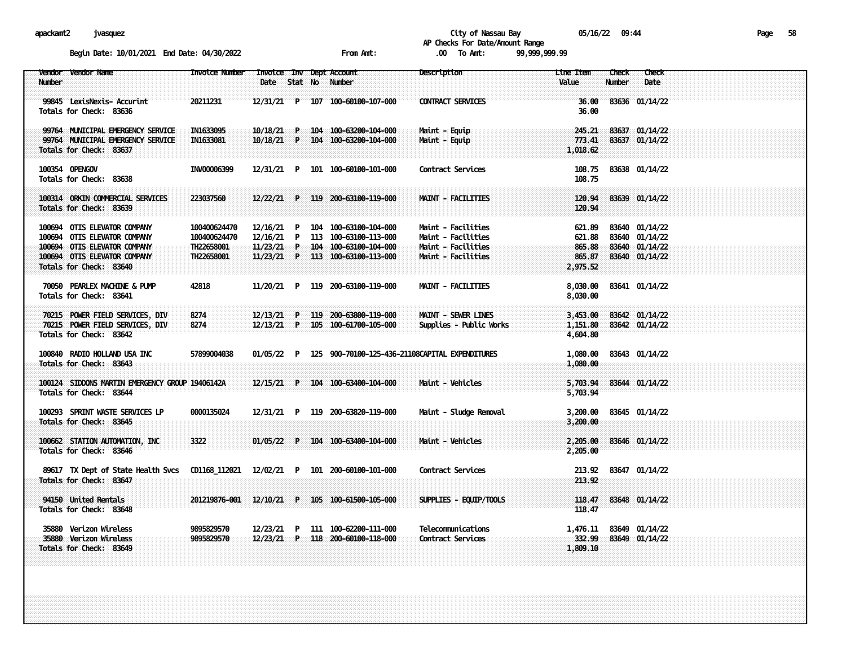**apackamt2 jvasquez City of Nassau Bay 05/16/22 09:44 Page 58 AP Checks For Date/Amount Range**

Begin Date: 10/01/2021 End Date: 04/30/2022 From Amt:

**Vendor Vendor Name Invoice Number Invoice Inv Dept Account Description Line Item Check Check Number Date Stat No Number Value Number Date**

| 99845 LexisNexis- Accurint<br>Totals for Check: 83636                                                                                                   | 20211231                                                 |                              |  | 12/31/21 P 107 100-60100-107-000                                                                                             | <b>CONTRACT SERVICES</b>                                                             | 36.00<br>36.00                                   | 83636 01/14/22                                                       |  |  |
|---------------------------------------------------------------------------------------------------------------------------------------------------------|----------------------------------------------------------|------------------------------|--|------------------------------------------------------------------------------------------------------------------------------|--------------------------------------------------------------------------------------|--------------------------------------------------|----------------------------------------------------------------------|--|--|
| 99764 MUNICIPAL EMERGENCY SERVICE<br>99764 MUNICIPAL EMERGENCY SERVICE<br>Totals for Check: 83637                                                       | IN1633095<br>IN1633081                                   | $10/18/21$ P                 |  | $-104$ 100-63200-104-000<br>10/18/21 P 104 100-63200-104-000                                                                 | Maint - Equip<br>Maint - Equip                                                       | 245.21<br>773.41<br>1,018.62                     | 83637 01/14/22<br>83637 01/14/22                                     |  |  |
| 100354 OPENGOV<br>Totals for Check: 83638                                                                                                               | <b>INV00006399</b>                                       | $12/31/21$ P                 |  | 101 100-60100-101-000                                                                                                        | Contract Services                                                                    | 108.75<br>108.75                                 | 83638 01/14/22                                                       |  |  |
| <b>100314 ORKIN COMMERCIAL SERVICES</b><br>Totals for Check: 83639                                                                                      | 223037560                                                |                              |  | 12/22/21 P 119 200-63100-119-000                                                                                             | <b>MAINT - FACILITIES</b>                                                            | 120.94<br>120.94                                 | 83639 01/14/22                                                       |  |  |
| 100694 OTIS ELEVATOR COMPANY<br>100694 OTIS ELEVATOR COMPANY<br>100694 OTIS ELEVATOR COMPANY<br>100694 OTIS ELEVATOR COMPANY<br>Totals for Check: 83640 | 100400624470<br>100400624470<br>TH22658001<br>TH22658001 | $12/16/21$ P<br>$12/16/21$ P |  | 104 100-63100-104-000<br>113 100-63100-113-000<br>$11/23/21$ P $104$ $100-63100-104-000$<br>11/23/21 P 113 100-63100-113-000 | Maint - Facilities<br>Maint - Facilities<br>Maint - Facilities<br>Maint - Facilities | 621.89<br>621.88<br>865.88<br>865.87<br>2,975.52 | 83640 01/14/22<br>83640 01/14/22<br>83640 01/14/22<br>83640 01/14/22 |  |  |
| 70050 PEARLEX MACHINE & PUMP<br>Totals for Check: 83641                                                                                                 | 42818                                                    |                              |  | 11/20/21 P 119 200-63100-119-000                                                                                             | <b>MAINT - FACILITIES</b>                                                            | 8,030.00<br>8,030.00                             | 83641 01/14/22                                                       |  |  |
| 70215 POWER FIELD SERVICES, DIV<br>70215 POWER FIELD SERVICES, DIV<br>Totals for Check: 83642                                                           | 8274<br>8274                                             | $12/13/21$ P                 |  | 119 200-63800-119-000<br>12/13/21 P 105 100-61700-105-000                                                                    | <b>MAINT - SEWER LINES</b><br>Supplies - Public Works                                | 3,453.00<br>1,151.80<br>4,604.80                 | 83642 01/14/22<br>83642 01/14/22                                     |  |  |
| 100840 RADIO HOLLAND USA INC<br>Totals for Check: 83643                                                                                                 | 57899004038                                              |                              |  |                                                                                                                              | 01/05/22 P 125 900-70100-125-436-21108CAPITAL EXPENDITURES                           | 1,080.00<br>1,080.00                             | 83643 01/14/22                                                       |  |  |
| 100124 SIDDONS MARTIN EMERGENCY GROUP 19406142A<br>Totals for Check: 83644                                                                              |                                                          |                              |  | 12/15/21 P 104 100-63400-104-000                                                                                             | Maint - Vehicles                                                                     | 5,703.94<br>5,703.94                             | 83644 01/14/22                                                       |  |  |
| 100293 SPRINT WASTE SERVICES LP<br>Totals for Check: 83645                                                                                              | 0000135024                                               | $12/31/21$ P                 |  | 119 200-63820-119-000                                                                                                        | Maint - Sludge Removal                                                               | 3,200.00<br>3,200.00                             | 83645 01/14/22                                                       |  |  |
| 100662 STATION AUTOMATION, INC.<br>Totals for Check: 83646                                                                                              | 3322                                                     |                              |  | 01/05/22 P 104 100-63400-104-000                                                                                             | Maint - Vehicles                                                                     | 2,205.00<br>2.205.00                             | 83646 01/14/22                                                       |  |  |
| Totals for Check: 83647                                                                                                                                 |                                                          |                              |  |                                                                                                                              | Contract Services                                                                    | 213.92<br>213.92                                 | 83647 01/14/22                                                       |  |  |
| 94150 United Rentals<br>Totals for Check: 83648                                                                                                         |                                                          |                              |  | 201219876-001 12/10/21 P 105 100-61500-105-000                                                                               | SUPPLIES - EQUIP/TOOLS                                                               | 118.47<br>118.47                                 | 83648 01/14/22                                                       |  |  |
| 35880 Verizon Wireless<br>35880 Verizon Wireless<br>Totals for Check: 83649                                                                             | 9895829570<br>9895829570                                 | $12/23/21$ P                 |  | 111 100-62200-111-000<br>12/23/21 P 118 200-60100-118-000                                                                    | <b>Telecomunications</b><br>Contract Services                                        | 1,476.11<br>332.99<br>1,809.10                   | 83649 01/14/22<br>83649 01/14/22                                     |  |  |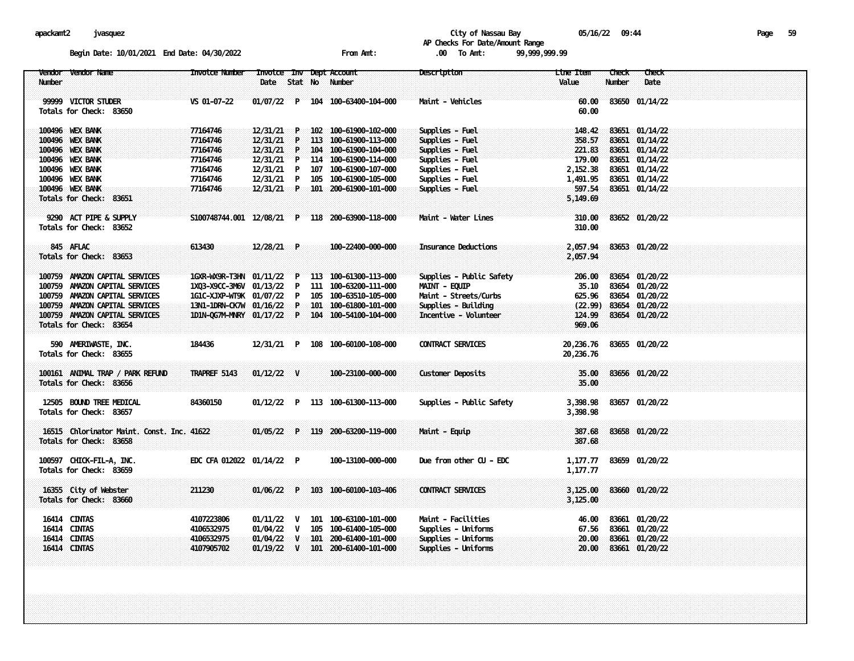**apackamt2 jvasquez City of Nassau Bay 05/16/22 09:44 Page 59 AP Checks For Date/Amount Range**

|               | Vendor Vendor Name                                | Invoice Number Invoice Inv Dept Account |                     |  |                                                 | <b>Description</b>          | tine Item        | <b>Check</b>  | Check          |  |  |  |
|---------------|---------------------------------------------------|-----------------------------------------|---------------------|--|-------------------------------------------------|-----------------------------|------------------|---------------|----------------|--|--|--|
| <b>Number</b> |                                                   |                                         | Date Stat No Number |  |                                                 |                             | Value            | <b>Number</b> | Date           |  |  |  |
|               | 99999 VICTOR STUDER                               | VS 01-07-22                             |                     |  | 01/07/22 P 104 100-63400-104-000                | Maint - Vehicles            | 60.00            |               | 83650 01/14/22 |  |  |  |
|               | Totals for Check: 83650                           |                                         |                     |  |                                                 |                             | 60.00            |               |                |  |  |  |
|               | <b>100496 WEX BANK</b>                            | 77164746                                | $12/31/21$ P        |  | $102 - 100 - 61900 - 102 - 000$                 | Supplies - Fuel             | 148.42           |               | 83651 01/14/22 |  |  |  |
|               | <b>100496 WEX BANK</b>                            | 77164746                                | $12/31/21$ P        |  | 113 100-61900-113-000                           | Supplies - Fuel             |                  |               | 83651 01/14/22 |  |  |  |
|               | <b>100496 MEX BANK</b>                            | 77164746                                |                     |  | 12/31/21 P 104 100-61900-104-000                | Supplies - Fuel             | 358.57<br>221.83 |               | 83651 01/14/22 |  |  |  |
|               | <b>100496 WEX BANK</b>                            | 77164746                                | $12/31/21$ P        |  | 114 100-61900-114-000                           | Supplies - Fuel             | 179.00           |               | 83651 01/14/22 |  |  |  |
|               |                                                   | 77164746                                | $12/31/21$ P        |  | 107 100-61900-107-000                           |                             |                  |               | 83651 01/14/22 |  |  |  |
|               | <b>100496 WEX BANK</b>                            |                                         |                     |  |                                                 | Supplies - Fuel             | 2,152.38         |               | 83651 01/14/22 |  |  |  |
|               | <b>100496 WEX BANK</b>                            | 77164746                                | 12/31/21 P          |  | 105 100-61900-105-000                           | Supplies - Fuel             | 1,491.95         |               |                |  |  |  |
|               | <b>100496 WEX BANK</b><br>Totals for Check: 83651 | 77164746                                |                     |  | 12/31/21 P 101 200-61900-101-000                | Supplies - Fuel             | 597.54           |               | 83651 01/14/22 |  |  |  |
|               |                                                   |                                         |                     |  |                                                 |                             | 5,149.69         |               |                |  |  |  |
|               | 9290 ACT PIPE & SUPPLY                            |                                         |                     |  |                                                 |                             |                  |               |                |  |  |  |
|               |                                                   |                                         |                     |  | S100748744.001 12/08/21 P 118 200-63900-118-000 | Maint - Water Lines         | 310.00           |               | 83652 01/20/22 |  |  |  |
|               | Totals for Check: 83652                           |                                         |                     |  |                                                 |                             | 310.00           |               |                |  |  |  |
|               | 845 AFLAC                                         | 613430                                  | $12/28/21$ P        |  | 100-22400-000-000                               | <b>Insurance Deductions</b> | 2,057.94         |               | 83653 01/20/22 |  |  |  |
|               | Totals for Check: 83653                           |                                         |                     |  |                                                 |                             | 2,057.94         |               |                |  |  |  |
|               |                                                   |                                         |                     |  |                                                 |                             |                  |               |                |  |  |  |
|               | 100759 AMAZON CAPITAL SERVICES                    |                                         |                     |  | 1GXR-WX9R-T3HN 01/11/22 P 113 100-61300-113-000 | Supplies - Public Safety    | 206.00           |               | 83654 01/20/22 |  |  |  |
|               | 100759 AMAZON CAPITAL SERVICES                    | 1XQ3-X9CC-3M6V 01/13/22 P               |                     |  | 111 100-63200-111-000                           | MAINT - EQUIP               | 35.10            |               | 83654 01/20/22 |  |  |  |
|               | 100759 AMAZON CAPITAL SERVICES                    | 1G1C-XJXP-WT9K 01/07/22 P               |                     |  | 105 100-63510-105-000                           | Maint - Streets/Curbs       | 625.96           |               | 83654 01/20/22 |  |  |  |
|               | 100759 AMAZON CAPITAL SERVICES                    |                                         |                     |  | 13N1-1DRN-CK7W 01/16/22 P 101 100-61800-101-000 | Supplies - Building         | (22.99)          |               | 83654 01/20/22 |  |  |  |
|               | 100759 AMAZON CAPITAL SERVICES                    |                                         |                     |  | 1D1N-QG7M-MNRY 01/17/22 P 104 100-54100-104-000 | Incentive - Volunteer       | 124.99           |               | 83654 01/20/22 |  |  |  |
|               | Totals for Check: 83654                           |                                         |                     |  |                                                 |                             | 969.06           |               |                |  |  |  |
|               |                                                   |                                         |                     |  |                                                 |                             |                  |               |                |  |  |  |
|               | 590 AMERIWASTE, INC.                              | 184436                                  |                     |  | 12/31/21 P 108 100-60100-108-000                | <b>CONTRACT SERVICES</b>    | 20,236.76        |               | 83655 01/20/22 |  |  |  |
|               | Totals for Check: 83655                           |                                         |                     |  |                                                 |                             | 20,236.76        |               |                |  |  |  |
|               | 100161 ANIMAL TRAP / PARK REFUND                  | TRAPREF 5143                            | $01/12/22$ V        |  | 100-23100-000-000                               | <b>Customer Deposits</b>    | 35.00            |               | 83656 01/20/22 |  |  |  |
|               | Totals for Check: 83656                           |                                         |                     |  |                                                 |                             | 35.00            |               |                |  |  |  |
|               |                                                   |                                         |                     |  |                                                 |                             |                  |               |                |  |  |  |
|               | 12505 BOUND TREE MEDICAL                          | 84360150                                | $01/12/22$ P        |  | 113 100-61300-113-000                           | Supplies - Public Safety    | 3,398.98         |               | 83657 01/20/22 |  |  |  |
|               | Totals for Check: 83657                           |                                         |                     |  |                                                 |                             | 3,398.98         |               |                |  |  |  |
|               | 16515 Chlorinator Maint, Const. Inc. 41622        |                                         |                     |  | 01/05/22 P 119 200-63200-119-000                | Maint - Equip               | 387.68           |               | 83658 01/20/22 |  |  |  |
|               | Totals for Check: 83658                           |                                         |                     |  |                                                 |                             | 387.68           |               |                |  |  |  |
|               |                                                   |                                         |                     |  |                                                 |                             |                  |               |                |  |  |  |
|               | 100597 CHICK-FIL-A, INC.                          | EDC CFA 012022 01/14/22 P               |                     |  | 100-13100-000-000                               | Due from other CU - EDC     | 1,177.77         |               | 83659 01/20/22 |  |  |  |
|               | Totals for Check: 83659                           |                                         |                     |  |                                                 |                             | 1,177.77         |               |                |  |  |  |
|               |                                                   |                                         |                     |  |                                                 |                             |                  |               |                |  |  |  |
|               | 16355 City of Webster                             | 211230                                  |                     |  | 01/06/22 P 103 100-60100-103-406                | <b>CONTRACT SERVICES</b>    | 3,125.00         |               | 83660 01/20/22 |  |  |  |
|               | Totals for Check: 83660                           |                                         |                     |  |                                                 |                             | 3,125.00         |               |                |  |  |  |
|               | 16414 CINTAS                                      | 4107223806                              | $01/11/22$ V        |  | 101 100-63100-101-000                           | Maint - Facilities          | 46.00            |               | 83661 01/20/22 |  |  |  |
|               | 16414 CINTAS                                      | 4106532975                              | $01/04/22$ V        |  | 105 100-61400-105-000                           | Supplies - Uniforms         | 67.56            |               | 83661 01/20/22 |  |  |  |
|               | 16414 CINTAS                                      | 4106532975                              |                     |  | $01/04/22$ V $101$ 200-61400-101-000            | Supplies - Uniforms         | 20.00            |               | 83661 01/20/22 |  |  |  |
|               | <b>16414 CINTAS</b>                               | 4107905702                              |                     |  | 01/19/22 V 101 200-61400-101-000                | Supplies - Uniforms         | 20.00            |               | 83661 01/20/22 |  |  |  |
|               |                                                   |                                         |                     |  |                                                 |                             |                  |               |                |  |  |  |
|               |                                                   |                                         |                     |  |                                                 |                             |                  |               |                |  |  |  |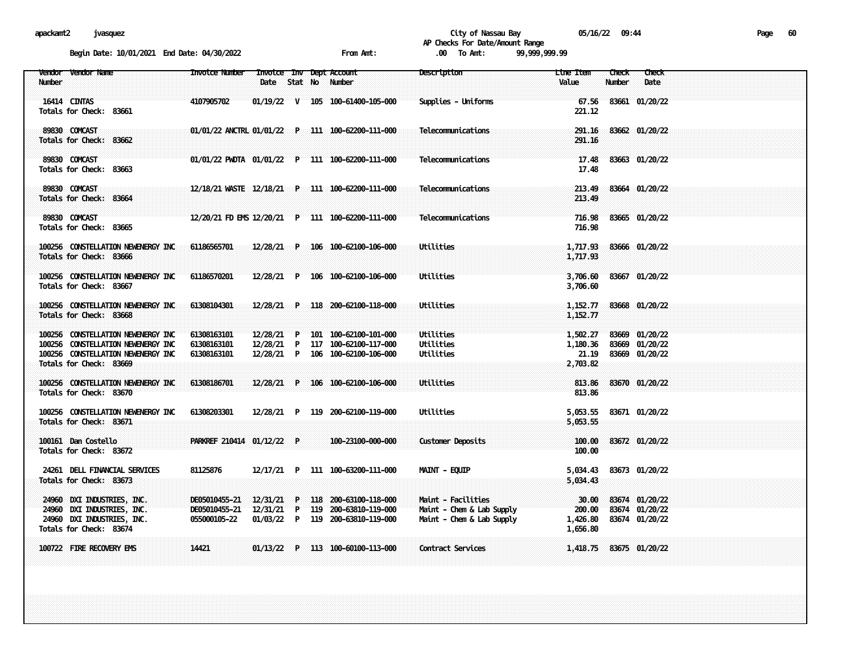**apackamt2 jvasquez City of Nassau Bay 05/16/22 09:44 Page 60 AP Checks For Date/Amount Range**

| <u> Vendor Vendor Name</u>         | <b>Involce Number</b>     | <b>Envotce Inv Dept Account</b> |    |                                                  | <b>Description</b>        | <b>Line Tiem</b>        | <b>Check</b>  | <b>Check</b>         |  |  |  |
|------------------------------------|---------------------------|---------------------------------|----|--------------------------------------------------|---------------------------|-------------------------|---------------|----------------------|--|--|--|
| Number                             |                           | Date Stat No Number             |    |                                                  |                           | Value                   | <b>Number</b> | Date                 |  |  |  |
|                                    |                           |                                 |    |                                                  |                           |                         |               |                      |  |  |  |
| <b>16414 CINTAS</b>                | 4107905702                |                                 |    | $01/19/22$ V 105 100-61400-105-000               | Supplies - Uniforms       |                         |               | 67.56 83661 01/20/22 |  |  |  |
| Totals for Check: 83661            |                           |                                 |    |                                                  |                           | 221.12                  |               |                      |  |  |  |
| 89830 COMCAST                      |                           |                                 |    | 01/01/22 ANCTRL 01/01/22 P 111 100-62200-111-000 | Telecommunications        | 291.16                  |               | 83662 01/20/22       |  |  |  |
| Totals for Check: 83662            |                           |                                 |    |                                                  |                           | 291.16                  |               |                      |  |  |  |
|                                    |                           |                                 |    |                                                  |                           |                         |               |                      |  |  |  |
| 89830 COMCAST                      |                           |                                 |    | 01/01/22 PWDTA 01/01/22 P 111 100-62200-111-000  | <b>Telecommunications</b> | 17.48                   |               | 83663 01/20/22       |  |  |  |
| Totals for Check: 83663            |                           |                                 |    |                                                  |                           | 17.48                   |               |                      |  |  |  |
|                                    |                           |                                 |    |                                                  |                           |                         |               |                      |  |  |  |
| 89830 COMCAST                      |                           |                                 |    | 12/18/21 WASTE 12/18/21 P 111 100-62200-111-000  | Telecommunications        | 213.49                  |               | 83664 01/20/22       |  |  |  |
| Totals for Check: 83664            |                           |                                 |    |                                                  |                           | 213.49                  |               |                      |  |  |  |
|                                    |                           |                                 |    |                                                  |                           |                         |               |                      |  |  |  |
| 89830 COMCAST                      |                           |                                 |    | 12/20/21 FD EMS 12/20/21 P 111 100-62200-111-000 | <b>Telecommunications</b> | 716.98                  |               | 83665 01/20/22       |  |  |  |
| Totals for Check: 83665            |                           |                                 |    |                                                  |                           | 716.98                  |               |                      |  |  |  |
|                                    |                           |                                 |    |                                                  |                           |                         |               |                      |  |  |  |
| 100256 CONSTELLATION NEWENERGY INC | 61186565701               | $12/28/21$ P                    |    | 106 100-62100-106-000                            | <b>Utilities</b>          | 1,717.93                |               | 83666 01/20/22       |  |  |  |
| Totals for Check: 83666            |                           |                                 |    |                                                  |                           | 1,717.93                |               |                      |  |  |  |
|                                    |                           |                                 |    |                                                  |                           |                         |               |                      |  |  |  |
| 100256 CONSTELLATION NEWENERGY INC | 61186570201               |                                 |    | 12/28/21 P 106 100-62100-106-000                 | <b>Utilities</b>          | 3,706.60                |               | 83667 01/20/22       |  |  |  |
| Totals for Check: 83667            |                           |                                 |    |                                                  |                           | 3,706.60                |               |                      |  |  |  |
|                                    |                           |                                 |    |                                                  |                           |                         |               |                      |  |  |  |
| 100256 CONSTELLATION NEWENERGY INC | 61308104301               |                                 |    | 12/28/21 P 118 200-62100-118-000                 | <b>Utilities</b>          | 1,152.77                |               | 83668 01/20/22       |  |  |  |
| Totals for Check: 83668            |                           |                                 |    |                                                  |                           | 1,152.77                |               |                      |  |  |  |
|                                    |                           |                                 |    |                                                  |                           |                         |               |                      |  |  |  |
| 100256 CONSTELLATION NEWENERGY INC | 61308163101               | $12/28/21$ P                    |    | 101 100-62100-101-000                            | <b>Utilities</b>          | 1,502.27                |               | 83669 01/20/22       |  |  |  |
| 100256 CONSTELLATION NEWENERGY INC | 61308163101               |                                 |    | 12/28/21 P 117 100-62100-117-000                 | Utilities                 | 1,180.36                |               | 83669 01/20/22       |  |  |  |
| 100256 CONSTELLATION NEWENERGY INC | 61308163101               |                                 |    | 12/28/21 P 106 100-62100-106-000                 | Utilities                 | 21.19                   |               | 83669 01/20/22       |  |  |  |
| Totals for Check: 83669            |                           |                                 |    |                                                  |                           | 2,703.82                |               |                      |  |  |  |
|                                    |                           |                                 |    |                                                  |                           |                         |               |                      |  |  |  |
| 100256 CONSTELLATION NEWENERGY INC | 61308186701               |                                 |    | 12/28/21 P 106 100-62100-106-000                 | <b>Utilities</b>          | 813.86                  |               | 83670 01/20/22       |  |  |  |
| Totals for Check: 83670            |                           |                                 |    |                                                  |                           | 813.86                  |               |                      |  |  |  |
|                                    |                           |                                 |    |                                                  |                           |                         |               |                      |  |  |  |
| 100256 CONSTELLATION NEWENERGY INC | 61308203301               |                                 |    | 12/28/21 P 119 200-62100-119-000                 | Utilities                 | 5,053.55                |               | 83671 01/20/22       |  |  |  |
| Totals for Check: 83671            |                           |                                 |    |                                                  |                           | 5,053.55                |               |                      |  |  |  |
|                                    |                           |                                 |    |                                                  |                           |                         |               |                      |  |  |  |
| 100161 Dan Costello                | PARKREF 210414 01/12/22 P |                                 |    | 100-23100-000-000                                | <b>Customer Deposits</b>  | 100.00                  |               | 83672 01/20/22       |  |  |  |
| Totals for Check: 83672            |                           |                                 |    |                                                  |                           | 100.00                  |               |                      |  |  |  |
|                                    |                           |                                 |    |                                                  |                           |                         |               |                      |  |  |  |
| 24261 DELL FINANCIAL SERVICES      | 81125876                  |                                 |    | 12/17/21 P 111 100-63200-111-000                 | MAINT - EQUIP             | 5,034.43                |               | 83673 01/20/22       |  |  |  |
| Totals for Check: 83673            |                           |                                 |    |                                                  |                           | 5,034.43                |               |                      |  |  |  |
|                                    |                           |                                 |    |                                                  |                           |                         |               |                      |  |  |  |
| 24960 DXI INDUSTRIES, INC.         | DE05010455-21             | 12/31/21                        | -P | 118 200-63100-118-000                            | Maint - Facilities        | 30.00                   |               | 83674 01/20/22       |  |  |  |
| 24960 DXI INDUSTRIES, INC.         | DE05010455-21 12/31/21 P  |                                 |    | 119 200-63810-119-000                            | Maint - Chem & Lab Supply | 200.00                  |               | 83674 01/20/22       |  |  |  |
| 24960 DXI INDUSTRIES, INC.         | 055000105-22              | $01/03/22$ P                    |    | 119 200-63810-119-000                            | Maint - Chem & Lab Supply | 1,426.80                |               | 83674 01/20/22       |  |  |  |
| Totals for Check: 83674            |                           |                                 |    |                                                  |                           | 1,656.80                |               |                      |  |  |  |
|                                    |                           |                                 |    |                                                  |                           |                         |               |                      |  |  |  |
| 100722 FIRE RECOVERY EMS           | 14421                     |                                 |    | 01/13/22 P 113 100-60100-113-000                 | Contract Services         | 1,418.75 83675 01/20/22 |               |                      |  |  |  |
|                                    |                           |                                 |    |                                                  |                           |                         |               |                      |  |  |  |
|                                    |                           |                                 |    |                                                  |                           |                         |               |                      |  |  |  |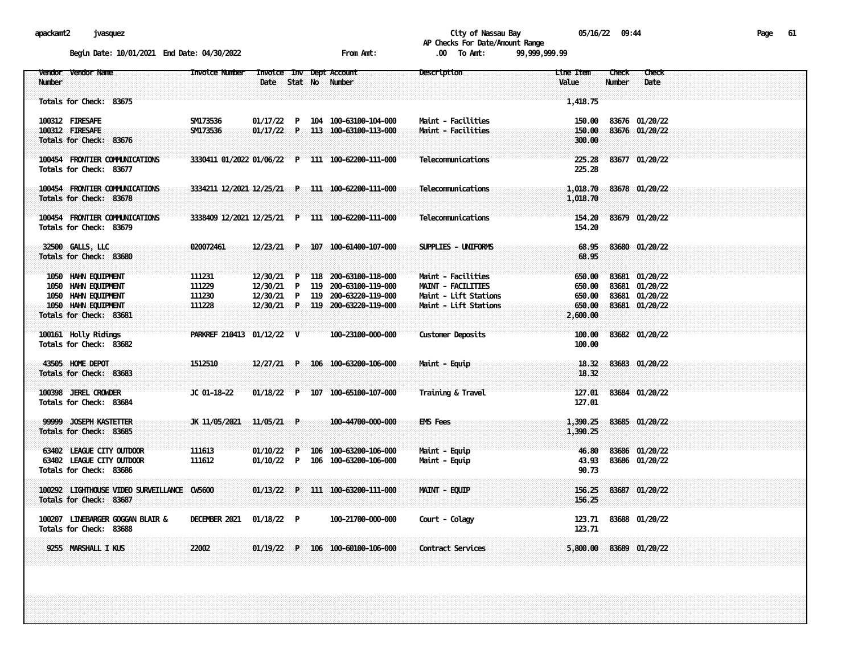**apackamt2 jvasquez City of Nassau Bay 05/16/22 09:44 Page 61 AP Checks For Date/Amount Range**

| <del>Vendor Vendor Name</del><br><b>Number</b>                                    | Invoice Number — Invoice Inv Dept Account |                              |  | Date Stat No Number                                                                                      | <b>Description</b>                                                       | itine Item<br>Value        | <b>Check</b><br><b>Number</b> | <b>Check</b><br>Date                               |  |  |  |
|-----------------------------------------------------------------------------------|-------------------------------------------|------------------------------|--|----------------------------------------------------------------------------------------------------------|--------------------------------------------------------------------------|----------------------------|-------------------------------|----------------------------------------------------|--|--|--|
| Totals for Check: 83675                                                           |                                           |                              |  |                                                                                                          |                                                                          | 1,418.75                   |                               |                                                    |  |  |  |
| 100312 FIRESAFE<br>100312 FIRESAFE<br>Totals for Check: 83676                     | SM173536<br>SM173536                      |                              |  | 01/17/22 P 104 100-63100-104-000<br>$01/17/22$ P 113 100-63100-113-000                                   | Maint - Facilities<br>Maint - Facilities                                 | 150.00<br>150.00<br>300.00 |                               | 83676 01/20/22<br>83676 01/20/22                   |  |  |  |
| 100454 FRONTIER COMMUNICATIONS<br>Totals for Check: 83677                         |                                           |                              |  | 3330411 01/2022 01/06/22 P 111 100-62200-111-000                                                         | <b>Telecomunications</b>                                                 | 225.28<br>225.28           |                               | 83677 01/20/22                                     |  |  |  |
| 100454 FRONTIER COMMUNICATIONS<br>Totals for Check: 83678                         |                                           |                              |  | 3334211 12/2021 12/25/21 P 111 100-62200-111-000                                                         | <b>Telecomunications</b>                                                 | 1,018.70<br>1,018.70       |                               | 83678 01/20/22                                     |  |  |  |
| 100454 FRONTIER COMMUNICATIONS<br>Totals for Check: 83679                         |                                           |                              |  |                                                                                                          | <b>Telecommunications</b>                                                | 154.20<br>154.20           |                               | 83679 01/20/22                                     |  |  |  |
| 32500 GALLS, LLC<br>Totals for Check: 83680                                       | 020072461                                 |                              |  | 12/23/21 P 107 100-61400-107-000                                                                         | <b>SUPPLIES - UNIFORMS</b>                                               | 68.95<br>68.95             |                               | 83680 01/20/22                                     |  |  |  |
| 1050 HAHN EQUIPMENT<br>1050 HAHN EQUIPMENT<br>1050 HAHN EQUIPMENT                 | 111231<br>111229<br>111230                |                              |  | 12/30/21 P 118 200-63100-118-000<br>12/30/21 P 119 200-63100-119-000<br>12/30/21 P 119 200-63220-119-000 | Maint - Facilities<br><b>MAINT - FACILITIES</b><br>Maint - Lift Stations | 650.00<br>650.00<br>650.00 |                               | 83681 01/20/22<br>83681 01/20/22<br>83681 01/20/22 |  |  |  |
| 1050 HAHN EQUIPMENT<br>Totals for Check: 83681                                    | 111228                                    |                              |  | 12/30/21 P 119 200-63220-119-000                                                                         | Maint - Lift Stations                                                    | 650.00<br>2,600.00         |                               | 83681 01/20/22                                     |  |  |  |
| 100161 Holly Ridings<br>Totals for Check: 83682                                   | PARKREF 210413 01/12/22 V                 |                              |  | 100-23100-000-000                                                                                        | <b>Customer Deposits</b>                                                 | 100.00<br>100.00           |                               | 83682 01/20/22                                     |  |  |  |
| 43505 HOME DEPOT<br>Totals for Check: 83683                                       | 1512510                                   |                              |  | 12/27/21 P 106 100-63200-106-000                                                                         | Maint - Equip                                                            | 18.32<br>18.32             |                               | 83683 01/20/22                                     |  |  |  |
| 100398 JEREL CROWDER<br>Totals for Check: 83684                                   | JC 01-18-22                               |                              |  | 01/18/22 P 107 100-65100-107-000                                                                         | Training & Travel                                                        | 127.01<br>127.01           |                               | 83684 01/20/22                                     |  |  |  |
| 99999 JOSEPH KASTETTER<br>Totals for Check: 83685                                 | JK 11/05/2021                             | $11/05/21$ P                 |  | 100-44700-000-000                                                                                        | <b>EMS Fees</b>                                                          | 1,390.25<br>1,390.25       |                               | 83685 01/20/22                                     |  |  |  |
| 63402 LEAGUE CITY OUTDOOR<br>63402 LEAGUE CITY OUTDOOR<br>Totals for Check: 83686 | 111613<br>111612                          | $01/10/22$ P<br>$01/10/22$ P |  | 106 100-63200-106-000<br>106 100-63200-106-000                                                           | Maint - Equip<br>Maint - Equip                                           | 46.80<br>43.93<br>90.73    |                               | 83686 01/20/22<br>83686 01/20/22                   |  |  |  |
| 100292 LIGHTHOUSE VIDEO SURVEILLANCE CW5600<br>Totals for Check: 83687            |                                           |                              |  | 01/13/22 P 111 100-63200-111-000                                                                         | MAINT - EQUIP                                                            | 156.25<br>156.25           |                               | 83687 01/20/22                                     |  |  |  |
| 100207 LINEBARGER GOGGAN BLAIR &<br>Totals for Check: 83688                       | DECEMBER 2021                             | $01/18/22$ P                 |  | 100-21700-000-000                                                                                        | Court - Colagy                                                           | 123.71<br>123.71           |                               | 83688 01/20/22                                     |  |  |  |
| 9255 MARSHALL I KUS                                                               | 22002                                     |                              |  | 01/19/22 P 106 100-60100-106-000                                                                         | <b>Contract Services</b>                                                 |                            |                               | 5,800.00 83689 01/20/22                            |  |  |  |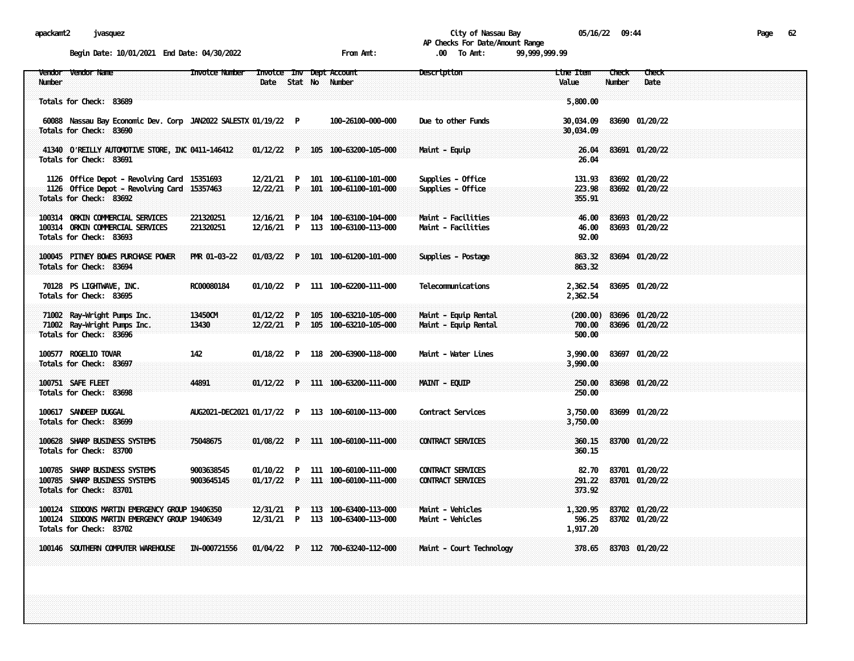**apackamt2 jvasquez City of Nassau Bay 05/16/22 09:44 Page 62 AP Checks For Date/Amount Range**

| <del>Vendor Vendor Name</del>                                               | Invoice Number Invoice Inv Dept Account |              |  |                                                  | <b>Description</b>       | ithe Item            | Check         | Check                     |  |  |  |
|-----------------------------------------------------------------------------|-----------------------------------------|--------------|--|--------------------------------------------------|--------------------------|----------------------|---------------|---------------------------|--|--|--|
| <b>Number</b>                                                               |                                         |              |  | Date Stat No Number                              |                          | Value                | <b>Number</b> | Date                      |  |  |  |
| Totals for Check: 83689                                                     |                                         |              |  |                                                  |                          | 5,800.00             |               |                           |  |  |  |
| 60088 Nassau Bay Economic Dev. Corp JAN2022 SALESTX 01/19/22 P              |                                         |              |  | 100-26100-000-000                                | Due to other Funds       | 30,034.09            |               | 83690 01/20/22            |  |  |  |
| Totals for Check: 83690                                                     |                                         |              |  |                                                  |                          | 30,034.09            |               |                           |  |  |  |
| 41340 O'REILLY AUTOMOTIVE STORE, INC 0411-146412<br>Totals for Check: 83691 |                                         |              |  | 01/12/22 P 105 100-63200-105-000                 | Maint - Equip            | 26.04<br>26.04       |               | 83691 01/20/22            |  |  |  |
| 1126 Office Depot - Revolving Card 15351693                                 |                                         | $12/21/21$ P |  | 101 100-61100-101-000                            | Supplies - Office        | 131.93               |               | 83692 01/20/22            |  |  |  |
| 1126 Office Depot - Revolving Card 15357463<br>Totals for Check: 83692      |                                         | $12/22/21$ P |  | $101 - 100 - 61100 - 101 - 000$                  | Supplies - Office        | 223.98<br>355.91     |               | 83692 01/20/22            |  |  |  |
| 100314 ORKIN COMMERCIAL SERVICES                                            | 221320251                               |              |  | 12/16/21 P 104 100-63100-104-000                 | Maint - Facilities       | 46.00                |               | 83693 01/20/22            |  |  |  |
| 100314 ORKIN COMMERCIAL SERVICES<br>Totals for Check: 83693                 | 221320251                               |              |  | 12/16/21 P 113 100-63100-113-000                 | Maint - Facilities       | 46.00<br>92.00       |               | 83693 01/20/22            |  |  |  |
| 100045 PITNEY BOWES PURCHASE POWER                                          | PMR 01-03-22                            |              |  | 01/03/22 P 101 100-61200-101-000                 | Supplies - Postage       | 863.32               |               | 83694 01/20/22            |  |  |  |
| Totals for Check: 83694                                                     |                                         |              |  |                                                  |                          | 863.32               |               |                           |  |  |  |
| 70128 PS LIGHTWAVE, INC.<br>Totals for Check: 83695                         | RC00080184                              |              |  | 01/10/22 P 111 100-62200-111-000                 | <b>Telecomunications</b> | 2.362.54<br>2,362.54 |               | 83695 01/20/22            |  |  |  |
| 71002 Ray-Wright Pumps Inc.                                                 | 13450CM                                 | $01/12/22$ P |  | 105 100-63210-105-000                            | Maint - Equip Rental     |                      |               | $(200.00)$ 83696 01/20/22 |  |  |  |
| 71002 Ray-Wright Pumps Inc.<br>Totals for Check: 83696                      | 13430                                   |              |  | 12/22/21 P 105 100-63210-105-000                 | Maint - Equip Rental     | 700.00<br>500.00     |               | 83696 01/20/22            |  |  |  |
| 100577 ROGELIO TOVAR<br>Totals for Check: 83697                             | 142                                     |              |  | 01/18/22 P 118 200-63900-118-000                 | Maint - Water Lines      | 3,990.00<br>3,990.00 |               | 83697 01/20/22            |  |  |  |
|                                                                             |                                         |              |  |                                                  |                          |                      |               |                           |  |  |  |
| <b>100751 SAFE FLEET</b><br>Totals for Check: 83698                         | 44891                                   |              |  | 01/12/22 P 111 100-63200-111-000                 | MAINT - EQUIP            | 250.00<br>250.00     |               | 83698 01/20/22            |  |  |  |
| 100617 SANDEEP DUGGAL                                                       |                                         |              |  | AUG2021-DEC2021 01/17/22 P 113 100-60100-113-000 | Contract Services        | 3,750.00             |               | 83699 01/20/22            |  |  |  |
| Totals for Check: 83699                                                     |                                         |              |  |                                                  |                          | 3,750.00             |               |                           |  |  |  |
| 100628 SHARP BUSINESS SYSTEMS<br>Totals for Check: 83700                    | 75048675                                |              |  | 01/08/22 P 111 100-60100-111-000                 | <b>CONTRACT SERVICES</b> | 360.15<br>360.15     |               | 83700 01/20/22            |  |  |  |
| 100785 SHARP BUSINESS SYSTEMS                                               | 9003638545                              |              |  | 01/10/22 P 111 100-60100-111-000                 | <b>CONTRACT SERVICES</b> | 82.70                |               | 83701 01/20/22            |  |  |  |
| 100785 SHARP BUSINESS SYSTEMS                                               | 9003645145                              |              |  | $01/17/22$ P 111 100-60100-111-000               | <b>CONTRACT SERVICES</b> | 291.22               |               | 83701 01/20/22            |  |  |  |
| Totals for Check: 83701                                                     |                                         |              |  |                                                  |                          | 373.92               |               |                           |  |  |  |
| 100124 SIDDONS MARTIN EMERGENCY GROUP 19406350                              |                                         |              |  | 12/31/21 P 113 100-63400-113-000                 | Maint - Vehicles         | 1,320.95             |               | 83702 01/20/22            |  |  |  |
| 100124 SIDDONS MARTIN EMERGENCY GROUP 19406349<br>Totals for Check: 83702   |                                         |              |  | 12/31/21 P 113 100-63400-113-000                 | Maint - Vehicles         | 596.25<br>1,917.20   |               | 83702 01/20/22            |  |  |  |
| 100146 SOUTHERN COMPUTER WAREHOUSE                                          | IN-000721556                            |              |  | 01/04/22 P 112 700-63240-112-000                 | Maint - Court Technology | 378.65               |               | 83703 01/20/22            |  |  |  |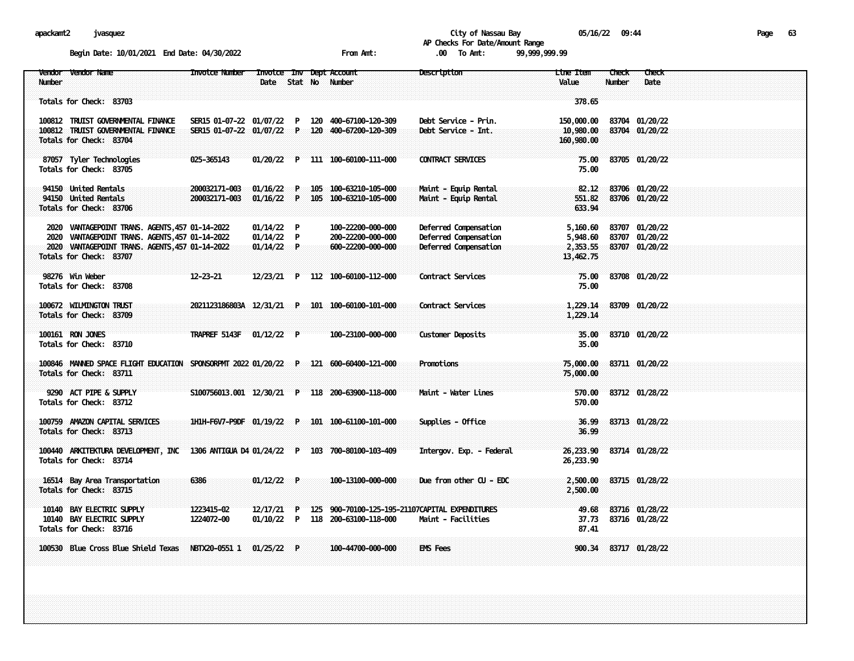**apackamt2 jvasquez City of Nassau Bay 05/16/22 09:44 Page 63 AP Checks For Date/Amount Range**

| Vendor Vendor Name                                                                                               | Invoice Number Invoice Inv Dept Account |              |    |                                                                          | <b>Description</b>        | istne Titen             | सावतर         | <b>Check</b>   |
|------------------------------------------------------------------------------------------------------------------|-----------------------------------------|--------------|----|--------------------------------------------------------------------------|---------------------------|-------------------------|---------------|----------------|
| <b>Number</b>                                                                                                    |                                         |              |    | Date Stat No Number                                                      |                           | Value                   | <b>Number</b> | Date           |
| Totals for Check: 83703                                                                                          |                                         |              |    |                                                                          |                           | 378.65                  |               |                |
| 100812 TRUIST GOVERNMENTAL FINANCE                                                                               | SER15 01-07-22 01/07/22                 |              | P. | 120 400-67100-120-309                                                    | Debt Service - Prin.      | 150,000.00              |               | 83704 01/20/22 |
| 100812 TRUIST GOVERNMENTAL FINANCE<br>Totals for Check: 83704                                                    |                                         |              |    | SER15 01-07-22 01/07/22 P 120 400-67200-120-309                          | Debt Service - Int.       | 10,980.00<br>160,980.00 |               | 83704 01/20/22 |
| 87057 Tyler Technologies                                                                                         | 025-365143                              |              |    | 01/20/22 P 111 100-60100-111-000                                         | <b>CONTRACT SERVICES</b>  | 75.00                   |               | 83705 01/20/22 |
| Totals for Check: 83705                                                                                          |                                         |              |    |                                                                          |                           | 75.00                   |               |                |
| 94150 United Rentals                                                                                             | 200032171-003                           | $01/16/22$ P |    | 105 100-63210-105-000                                                    | Maint - Equip Rental      | 82.12                   |               | 83706 01/20/22 |
| 94150 United Rentals<br>Totals for Check: 83706                                                                  | 200032171-003                           |              |    | 01/16/22 P 105 100-63210-105-000                                         | Maint - Equip Rental      | 551.82<br>633.94        |               | 83706 01/20/22 |
| 2020 VANTAGEPOINT TRANS. AGENTS, 457 01-14-2022                                                                  |                                         | $01/14/22$ P |    | 100-22200-000-000                                                        | Deferred Compensation     | 5,160.60                |               | 83707 01/20/22 |
| 2020 VANTAGEPOINT TRANS. AGENTS, 457 01-14-2022                                                                  |                                         | $01/14/22$ P |    | 200-22200-000-000                                                        | Deferred Compensation     | 5,948.60                |               | 83707 01/20/22 |
| 2020 VANTAGEPOINT TRANS. AGENTS, 457 01-14-2022<br>Totals for Check: 83707                                       |                                         | $01/14/22$ P |    | 600-22200-000-000                                                        | Deferred Compensation     | 2,353.55<br>13,462.75   |               | 83707 01/20/22 |
| 98276 Win Weber                                                                                                  | $12 - 23 - 21$                          |              |    | 12/23/21 P 112 100-60100-112-000                                         | <b>Contract Services</b>  | 75.00                   |               | 83708 01/20/22 |
| Totals for Check: 83708                                                                                          |                                         |              |    |                                                                          |                           | 75.00                   |               |                |
| 100672 MILMINGTON TRUST                                                                                          |                                         |              |    | 2021123186803A 12/31/21 P 101 100-60100-101-000                          | Contract Services         | 1,229.14                |               | 83709 01/20/22 |
| Totals for Check: 83709                                                                                          |                                         |              |    |                                                                          |                           | 1,229.14                |               |                |
| 100161 RON JONES<br>Totals for Check: 83710                                                                      | <b>TRAPREF 5143F</b>                    | $01/12/22$ P |    | 100-23100-000-000                                                        | <b>Customer Deposits</b>  | 35.00<br>35.00          |               | 83710 01/20/22 |
|                                                                                                                  |                                         |              |    |                                                                          |                           |                         |               |                |
| 100846 MANNED SPACE FLIGHT EDUCATION SPONSORPMT 2022 01/20/22 P 121 600-60400-121-000<br>Totals for Check: 83711 |                                         |              |    |                                                                          | <b>Promotions</b>         | 75,000.00<br>75,000.00  |               | 83711 01/20/22 |
|                                                                                                                  |                                         |              |    |                                                                          |                           |                         |               |                |
| 9290 ACT PIPE & SUPPLY<br>Totals for Check: 83712                                                                |                                         |              |    | S100756013.001 12/30/21 P 118 200-63900-118-000                          | Maint - Water Lines       | 570.00<br>570.00        |               | 83712 01/28/22 |
| 100759 AMAZON CAPITAL SERVICES                                                                                   |                                         |              |    | 1H1H-F6V7-P9DF 01/19/22 P 101 100-61100-101-000                          | Supplies - Office         | 36.99                   |               | 83713 01/28/22 |
| Totals for Check: 83713                                                                                          |                                         |              |    |                                                                          |                           | 36.99                   |               |                |
| 100440 ARKITEKTURA DEVELOPMENT, INC                                                                              |                                         |              |    | 1306 ANTIGUA D4 01/24/22 P 103 700-80100-103-409                         | Intergov. Exp. - Federal  | 26,233.90               |               | 83714 01/28/22 |
| Totals for Check: 83714                                                                                          |                                         |              |    |                                                                          |                           | 26,233.90               |               |                |
| 16514 Bay Area Transportation<br>Totals for Check: 83715                                                         | 6386                                    | $01/12/22$ P |    | 100-13100-000-000                                                        | Due from other $CU - EDC$ | 2,500.00<br>2,500.00    |               | 83715 01/28/22 |
|                                                                                                                  |                                         |              |    |                                                                          |                           |                         |               |                |
| 10140 BAY ELECTRIC SUPPLY                                                                                        | 1223415-02                              | $12/17/21$ P |    | 125 900-70100-125-195-21107CAPITAL EXPENDITURES<br>118 200-63100-118-000 |                           | 49.68                   |               | 83716 01/28/22 |
| 10140 BAY ELECTRIC SUPPLY<br>Totals for Check: 83716                                                             | 1224072-00                              | $01/10/22$ P |    |                                                                          | Maint - Facilities        | 37.73<br>87.41          |               | 83716 01/28/22 |
| 100530 Blue Cross Blue Shield Texas                                                                              | NBTX20-0551 1                           | $01/25/22$ P |    | 100-44700-000-000                                                        | <b>EMS Fees</b>           | 900.34                  |               | 83717 01/28/22 |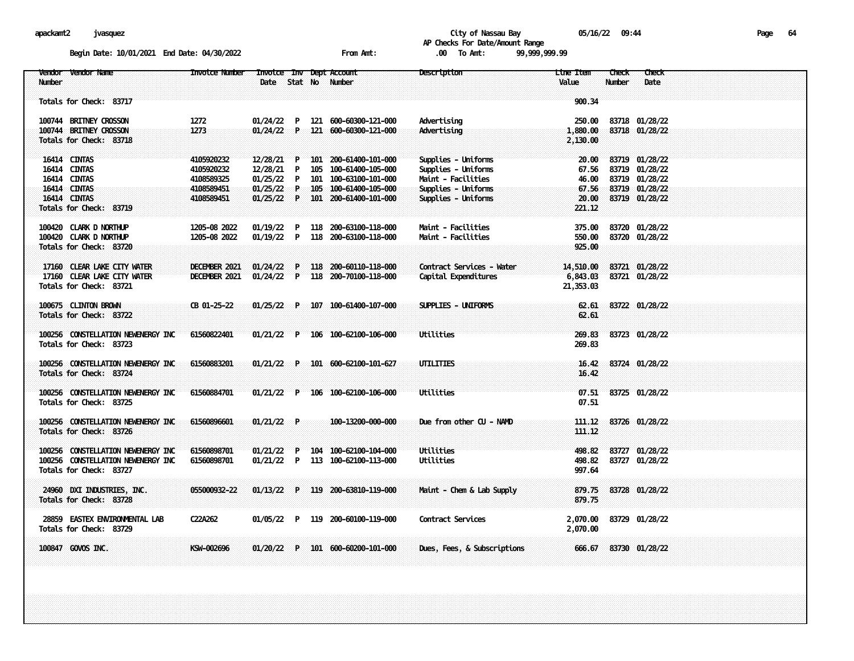**Totals for Check: 83729 2,070.00**

| 05/16/22 |  | 09:44 |
|----------|--|-------|
|----------|--|-------|

| apackamt2                                              | jvasquez                            | Begin Date: 10/01/2021 End Date: 04/30/2022 |              |         | From Amt:                       | City of Nassau Bay<br>AP Checks For Date/Amount Range<br>.00 To Amt: | 99,999,999.99         | 05/16/22 09:44 |                | 64<br>Page |
|--------------------------------------------------------|-------------------------------------|---------------------------------------------|--------------|---------|---------------------------------|----------------------------------------------------------------------|-----------------------|----------------|----------------|------------|
|                                                        |                                     |                                             |              |         |                                 |                                                                      |                       |                |                |            |
| <del>Vendor Vendor Name</del>                          |                                     | <b>Invoice Number</b>                       |              |         | <b>Invotce Inv Dept Account</b> | <b>Description</b>                                                   | istne Ttem            | <b>Check</b>   | <b>Check</b>   |            |
| <b>Number</b>                                          |                                     |                                             |              |         | Date Stat No Number             |                                                                      | Value                 | <b>Number</b>  | Date           |            |
| Totals for Check: 83717                                |                                     |                                             |              |         |                                 |                                                                      | 900.34                |                |                |            |
| 100744 BRITNEY CROSSON                                 |                                     | 1272                                        | 01/24/22     | - P     | 121 600-60300-121-000           | Advertising                                                          | 250.00                |                | 83718 01/28/22 |            |
| 100744 BRITNEY CROSSON<br>Totals for Check: 83718      |                                     | 1273                                        | $01/24/22$ P |         | 121 600-60300-121-000           | Advertising                                                          | 1,880.00<br>2,130.00  |                | 83718 01/28/22 |            |
|                                                        |                                     |                                             |              |         |                                 |                                                                      |                       |                |                |            |
| 16414 CINTAS                                           |                                     | 4105920232                                  | $12/28/21$ P |         | 101 200-61400-101-000           | Supplies - Uniforms                                                  | 20.00                 |                | 83719 01/28/22 |            |
| 16414 CINTAS                                           |                                     | 4105920232                                  | 12/28/21 P   |         | 105 100-61400-105-000           | Supplies - Uniforms                                                  | 67.56                 |                | 83719 01/28/22 |            |
| 16414 CINTAS                                           |                                     | 4108589325                                  | $01/25/22$ P |         | 101 100-63100-101-000           | Maint - Facilities                                                   | 46.00                 |                | 83719 01/28/22 |            |
| 16414 CINTAS                                           |                                     | 4108589451                                  | $01/25/22$ P |         | 105 100-61400-105-000           | Supplies - Uniforms                                                  | 67.56                 |                | 83719 01/28/22 |            |
| <b>16414 CINTAS</b>                                    |                                     | 4108589451                                  | $01/25/22$ P |         | 101 200-61400-101-000           | Supplies - Uniforms                                                  | 20.00                 |                | 83719 01/28/22 |            |
| Totals for Check: 83719                                |                                     |                                             |              |         |                                 |                                                                      | 221.12                |                |                |            |
| 100420 CLARK D NORTHUP                                 |                                     | 1205-08 2022                                | 01/19/22     | P       | 118 200-63100-118-000           | Maint - Facilities                                                   | 375.00                |                | 83720 01/28/22 |            |
| 100420 CLARK D NORTHUP                                 |                                     | 1205-08 2022                                | 01/19/22     | - P     | 118 200-63100-118-000           | Maint - Facilities                                                   | 550.00                |                | 83720 01/28/22 |            |
| Totals for Check: 83720                                |                                     |                                             |              |         |                                 |                                                                      | 925.00                |                |                |            |
|                                                        |                                     |                                             |              |         |                                 |                                                                      |                       |                |                |            |
| 17160 CLEAR LAKE CITY WATER                            |                                     | DECEMBER 2021                               | 01/24/22     | ा?      | 118 200-60110-118-000           | Contract Services - Water                                            | 14,510.00             |                | 83721 01/28/22 |            |
| 17160 CLEAR LAKE CITY WATER<br>Totals for Check: 83721 |                                     | DECEMBER 2021                               | $01/24/22$ P |         | 118 200-70100-118-000           | Capital Expenditures                                                 | 6,843.03<br>21,353.03 |                | 83721 01/28/22 |            |
|                                                        |                                     |                                             |              |         |                                 |                                                                      |                       |                |                |            |
| 100675 CLINTON BROWN                                   |                                     | CB 01-25-22                                 | $01/25/22$ P |         | 107 100-61400-107-000           | SUPPLIES - UNIFORMS                                                  | 62.61                 |                | 83722 01/28/22 |            |
| Totals for Check: 83722                                |                                     |                                             |              |         |                                 |                                                                      | 62.61                 |                |                |            |
|                                                        |                                     |                                             |              |         |                                 |                                                                      |                       |                |                |            |
|                                                        | 100256 CONSTELLATION NEWENERGY INC  | 61560822401                                 | 01/21/22     | ႃႃႜႜႜႜႜ | 106 100-62100-106-000           | Utilities                                                            | 269.83                |                | 83723 01/28/22 |            |
| Totals for Check: 83723                                |                                     |                                             |              |         |                                 |                                                                      | 269.83                |                |                |            |
|                                                        | 100256 CONSTELLATION NEWENERGY INC  | 61560883201                                 | 01/21/22     | ு       | 101 600-62100-101-627           | UTLLTTES                                                             | 16.42                 |                | 83724 01/28/22 |            |
| Totals for Check: 83724                                |                                     |                                             |              |         |                                 |                                                                      | 16.42                 |                |                |            |
|                                                        |                                     |                                             |              |         |                                 |                                                                      |                       |                |                |            |
|                                                        | 100256 CONSTELLATION NEWENERGY INC  | 61560884701                                 | $01/21/22$ P |         | 106 100-62100-106-000           | Utilities                                                            | 07.51                 |                | 83725 01/28/22 |            |
| Totals for Check: 83725                                |                                     |                                             |              |         |                                 |                                                                      | 07.51                 |                |                |            |
|                                                        | 100256 CONSTELLATION NEWENERGY INC. | 61560896601                                 | $01/21/22$ P |         | 100-13200-000-000               | Due from other CU - NAMD                                             | 111.12                |                | 83726 01/28/22 |            |
| Totals for Check: 83726                                |                                     |                                             |              |         |                                 |                                                                      | 111.12                |                |                |            |
|                                                        |                                     |                                             |              |         |                                 |                                                                      |                       |                |                |            |
|                                                        | 100256 CONSTELLATION NEWENERGY INC  | 61560898701                                 | $01/21/22$ P |         | 104 100-62100-104-000           | Utilities                                                            | 498.82                |                | 83727 01/28/22 |            |
|                                                        | 100256 CONSTELLATION NEWENERGY INC  | 61560898701                                 | $01/21/22$ P |         | 113 100-62100-113-000           | Utilities                                                            | 498.82                |                | 83727 01/28/22 |            |
| Totals for Check: 83727                                |                                     |                                             |              |         |                                 |                                                                      | 997.64                |                |                |            |
| 24960 DXI INDUSTRIES, INC.                             |                                     | 055000932-22                                | 01/13/22     | ∵ P     | 119 200-63810-119-000           | Maint - Chem & Lab Supply                                            | 879.75                |                | 83728 01/28/22 |            |
| Totals for Check: 83728                                |                                     |                                             |              |         |                                 |                                                                      | 879.75                |                |                |            |

**28859 EASTEX ENVIRONMENTAL LAB C22A262 01/05/22 P 119 200-60100-119-000 Contract Services 2,070.00 83729 01/28/22**

100847 GOVOS INC. 666.67 83730 01/28/22 P 101 600-60200-101-000 Dues, Fees, & Subscriptions 666.67 83730 01/28/22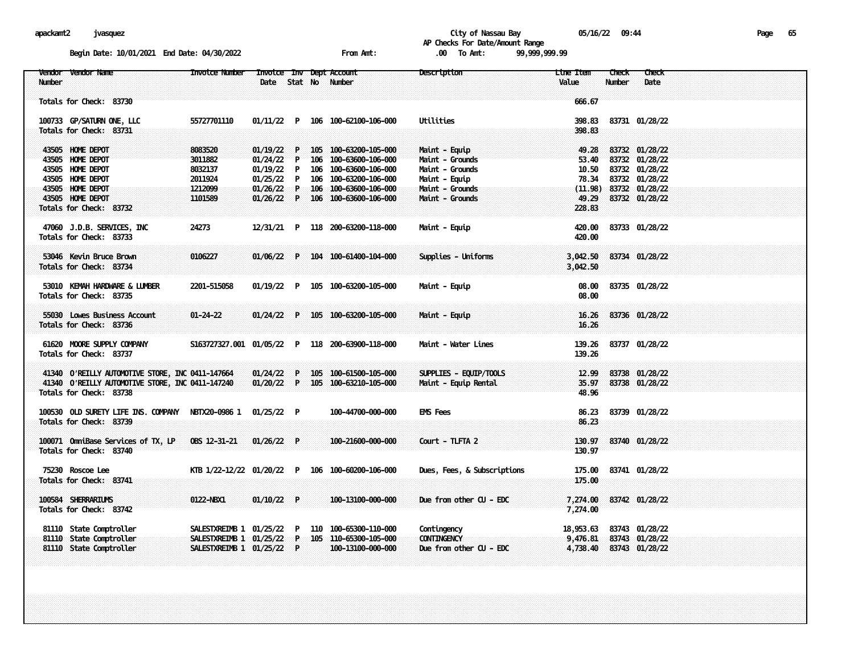**apackamt2 jvasquez City of Nassau Bay 05/16/22 09:44 Page 65**

|               | Begin Date: 10/01/2021 End Date: 04/30/2022      |                           |              |     |  |                                                 | AP Checks For Date/Amount Range |                  |               |                |  |
|---------------|--------------------------------------------------|---------------------------|--------------|-----|--|-------------------------------------------------|---------------------------------|------------------|---------------|----------------|--|
|               |                                                  |                           |              |     |  | From Amt:                                       | To Amt:<br>.00                  | 99, 999, 999. 99 |               |                |  |
|               | <del>Vendor Vendor Name</del>                    | <b>Involce Number</b>     |              |     |  | <b>Invoice Inv Dept Account</b>                 | <b>Description</b>              | istne Ttem       | Check         | Check          |  |
| <b>Number</b> |                                                  |                           |              |     |  | Date Stat No Number                             |                                 | Value            | <b>Number</b> | Date           |  |
|               | Totals for Check: 83730                          |                           |              |     |  |                                                 |                                 | 666.67           |               |                |  |
|               | 100733 GP/SATURN ONE, LLC                        | 55727701110               | $01/11/22$ P |     |  | 106 100-62100-106-000                           | Utilities                       | 398.83           |               | 83731 01/28/22 |  |
|               | Totals for Check: 83731                          |                           |              |     |  |                                                 |                                 | 398.83           |               |                |  |
|               | 43505 HOME DEPOT                                 | 8083520                   | $01/19/22$ P |     |  | 105 100-63200-105-000                           | Maint - Equip                   | 49.28            |               | 83732 01/28/22 |  |
|               | 43505 HOME DEPOT                                 | 3011882                   | $01/24/22$ P |     |  | 106 100-63600-106-000                           | Maint - Grounds                 | 53.40            |               | 83732 01/28/22 |  |
|               | 43505 HOME DEPOT                                 | 8032137                   | 01/19/22     | - P |  | 106 100-63600-106-000                           | Maint - Grounds                 | 10.50            |               | 83732 01/28/22 |  |
|               | 43505 HOME DEPOT                                 | 2011924                   | 01/25/22     | - P |  | 106 100-63200-106-000                           | Maint - Equip                   | 78.34            |               | 83732 01/28/22 |  |
|               | 43505 HOME DEPOT                                 | 1212099                   | $01/26/22$ P |     |  | 106 100-63600-106-000                           | Maint - Grounds                 | (11.98)          |               | 83732 01/28/22 |  |
|               | 43505 HOME DEPOT                                 | 1101589                   | $01/26/22$ P |     |  | 106 100-63600-106-000                           | Maint - Grounds                 | 49.29            |               | 83732 01/28/22 |  |
|               | Totals for Check: 83732                          |                           |              |     |  |                                                 |                                 | 228.83           |               |                |  |
|               | 47060 J.D.B. SERVICES, INC                       | 24273                     | $12/31/21$ P |     |  | 118 200-63200-118-000                           | Maint - Equip                   | 420.00           |               | 83733 01/28/22 |  |
|               | Totals for Check: 83733                          |                           |              |     |  |                                                 |                                 | 420.00           |               |                |  |
|               | 53046 Kevin Bruce Brown                          | 0106227                   |              |     |  | 01/06/22 P 104 100-61400-104-000                | Supplies - Uniforms             | 3,042.50         |               | 83734 01/28/22 |  |
|               | Totals for Check: 83734                          |                           |              |     |  |                                                 |                                 | 3,042.50         |               |                |  |
|               | 53010 KEMAH HARDWARE & LUMBER                    | 2201-515058               | $01/19/22$ P |     |  | 105 100-63200-105-000                           | Maint - Equip                   | 08.00            |               | 83735 01/28/22 |  |
|               | Totals for Check: 83735                          |                           |              |     |  |                                                 |                                 | 08.00            |               |                |  |
|               | 55030 Lowes Business Account                     | $01 - 24 - 22$            | $01/24/22$ P |     |  | 105 100-63200-105-000                           | Maint - Equip                   | 16.26            |               | 83736 01/28/22 |  |
|               | Totals for Check: 83736                          |                           |              |     |  |                                                 |                                 | 16.26            |               |                |  |
|               | 61620 MOORE SUPPLY COMPANY                       | S163727327.001 01/05/22 P |              |     |  | 118 200-63900-118-000                           | Maint - Water Lines             | 139.26           |               | 83737 01/28/22 |  |
|               | Totals for Check: 83737                          |                           |              |     |  |                                                 |                                 | 139.26           |               |                |  |
|               | 41340 O'REILLY AUTOMOTIVE STORE, INC 0411-147664 |                           | $01/24/22$ P |     |  | 105 100-61500-105-000                           | SUPPLIES - EQUIP/TOOLS          | 12.99            |               | 83738 01/28/22 |  |
|               | 41340 O'REILLY AUTOMOTIVE STORE, INC 0411-147240 |                           | $01/20/22$ P |     |  | 105 100-63210-105-000                           | Maint - Equip Rental            | 35.97            |               | 83738 01/28/22 |  |
|               | Totals for Check: 83738                          |                           |              |     |  |                                                 |                                 | 48.96            |               |                |  |
|               | 100530 OLD SURETY LIFE INS. COMPANY              | NBTX20-0986 1             | $01/25/22$ P |     |  | 100-44700-000-000                               | <b>EMS Fees</b>                 | 86.23            |               | 83739 01/28/22 |  |
|               | Totals for Check: 83739                          |                           |              |     |  |                                                 |                                 | 86.23            |               |                |  |
|               | 100071 OmniBase Services of TX, LP               | OBS 12-31-21              | $01/26/22$ P |     |  | 100-21600-000-000                               | Court - TLFTA 2                 | 130.97           |               | 83740 01/28/22 |  |
|               | Totals for Check: 83740                          |                           |              |     |  |                                                 |                                 | 130.97           |               |                |  |
|               | 75230 Roscoe Lee                                 |                           |              |     |  | KTB 1/22-12/22 01/20/22 P 106 100-60200-106-000 | Dues, Fees, & Subscriptions     | 175.00           |               | 83741 01/28/22 |  |
|               | Totals for Check: 83741                          |                           |              |     |  |                                                 |                                 | 175.00           |               |                |  |
|               | 100584 SHERRARIUMS                               | 0122-NBX1                 | 01/10/22     | ∷ P |  | 100-13100-000-000                               | Due from other $CU - EDC$       | 7,274.00         |               | 83742 01/28/22 |  |

**Totals for Check: 83742 7,274.00**

SALESTXREIMB 1 01/25/22 P

81110 State Comptroller 5ALESTXREIMB 1 01/25/22 P 110 100-65300-110-000 Contingency 18,953.63 83743 01/28/22<br>81110 State Comptroller 5ALESTXREIMB 1 01/25/22 P 105 110-65300-105-000 CONTINGENCY 68:00 0.476.81 83743 01/28/22 81110 State Comptroller 5ALESTXREIMB 1 01/25/22 P 105 110-65300-105-000 CONTINGENCY 39 = 9,476.81 83743 01/28/22<br>81110 State Comptroller 5ALESTXREIMB 1 01/25/22 P 100-13100-000-000 Due from other CU - EDC 4,738.40 83743 01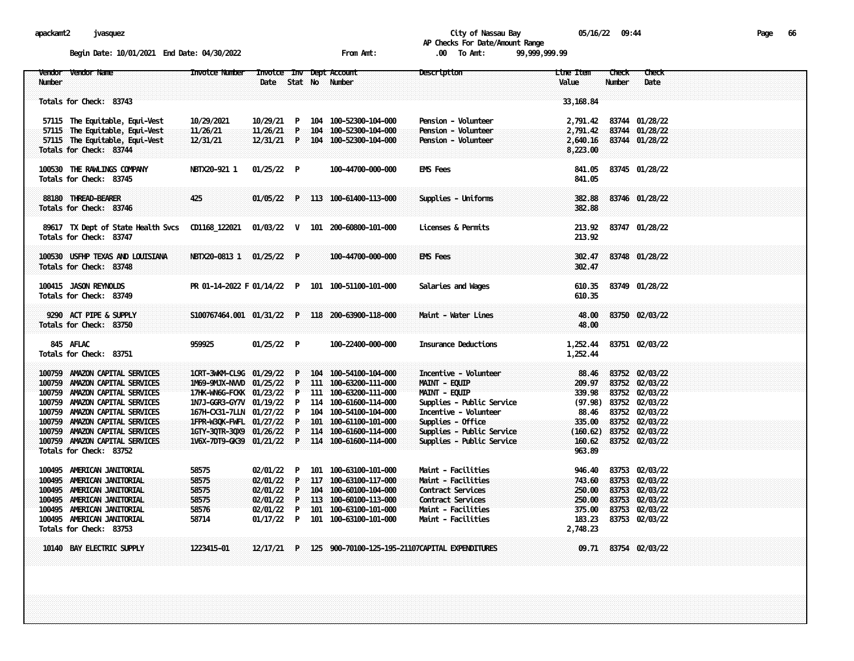## **apackamt2 jvasquez City of Nassau Bay 05/16/22 09:44 Page 66 AP Checks For Date/Amount Range**

| Vendor Vendor Name                                          | Involce Number            |              |              | <b>Invotce Inv Dept Account</b>                  | <b>Description</b>                                         | Etne Item            | <b>Check</b>  | Check                     |  |  |
|-------------------------------------------------------------|---------------------------|--------------|--------------|--------------------------------------------------|------------------------------------------------------------|----------------------|---------------|---------------------------|--|--|
| <b>Number</b>                                               |                           |              |              | Date Stat No Number                              |                                                            | Value                | <b>Number</b> | Date                      |  |  |
|                                                             |                           |              |              |                                                  |                                                            |                      |               |                           |  |  |
| Totals for Check: 83743                                     |                           |              |              |                                                  |                                                            | 33,168.84            |               |                           |  |  |
| 57115 The Equitable, Equi-Vest                              | 10/29/2021                | 10/29/21     | -P           | 104 100-52300-104-000                            | Pension - Volunteer                                        | 2,791.42             |               | 83744 01/28/22            |  |  |
| 57115 The Equitable, Equi-Vest                              | 11/26/21                  | 11/26/21     | $\sim$ Pe    | 104 100-52300-104-000                            | <b>Pension - Volunteer</b>                                 | 2,791.42             |               | 83744 01/28/22            |  |  |
| 57115 The Equitable, Equi-Vest                              | 12/31/21                  | $12/31/21$ P |              | 104 100-52300-104-000                            | <b>Pension - Volunteer</b>                                 | 2,640.16             |               | 83744 01/28/22            |  |  |
| Totals for Check: 83744                                     |                           |              |              |                                                  |                                                            | 8,223.00             |               |                           |  |  |
| 100530 THE RAWLINGS COMPANY                                 | NBTX20-921 1              | 01/25/22 P   |              | 100-44700-000-000                                | <b>EMS Fees</b>                                            | 841.05               |               | 83745 01/28/22            |  |  |
| Totals for Check: 83745                                     |                           |              |              |                                                  |                                                            | 841.05               |               |                           |  |  |
| 88180 THREAD-BEARER                                         | 425                       |              |              | 01/05/22 P 113 100-61400-113-000                 | Supplies - Uniforms                                        | 382.88               |               | 83746 01/28/22            |  |  |
| Totals for Check: 83746                                     |                           |              |              |                                                  |                                                            | 382.88               |               |                           |  |  |
| 89617 TX Dept of State Health Svcs                          | CD1168 122021             |              |              | $01/03/22$ V 101 200-60800-101-000               | Licenses & Permits                                         | 213.92               |               | 83747 01/28/22            |  |  |
| Totals for Check: 83747                                     |                           |              |              |                                                  |                                                            | 213.92               |               |                           |  |  |
|                                                             |                           |              |              |                                                  |                                                            |                      |               |                           |  |  |
| 100530 USFHP TEXAS AND LOUISIANA<br>Totals for Check: 83748 | NBTX20-0813 1             | $01/25/22$ P |              | 100-44700-000-000                                | <b>EMS Fees</b>                                            | 302.47<br>302.47     |               | 83748 01/28/22            |  |  |
|                                                             |                           |              |              |                                                  |                                                            |                      |               |                           |  |  |
| 100415 JASON REYNOLDS                                       |                           |              |              | PR 01-14-2022 F 01/14/22 P 101 100-51100-101-000 | Salaries and Wages                                         | 610.35               |               | 83749 01/28/22            |  |  |
| Totals for Check: 83749                                     |                           |              |              |                                                  |                                                            | 610.35               |               |                           |  |  |
| 9290 ACT PIPE & SUPPLY                                      |                           |              |              | S100767464.001 01/31/22 P 118 200-63900-118-000  | Maint - Water Lines                                        | 48.00                |               | 83750 02/03/22            |  |  |
| Totals for Check: 83750                                     |                           |              |              |                                                  |                                                            | 48.00                |               |                           |  |  |
| 845 AFLAC                                                   | 959925                    |              |              | 100-22400-000-000                                |                                                            |                      |               |                           |  |  |
| Totals for Check: 83751                                     |                           | $01/25/22$ P |              |                                                  | <b>Insurance Deductions</b>                                | 1,252.44<br>1,252.44 |               | 83751 02/03/22            |  |  |
|                                                             |                           |              |              |                                                  |                                                            |                      |               |                           |  |  |
| 100759 AMAZON CAPITAL SERVICES                              | 1CRT-3WKM-CL9G 01/29/22 P |              |              | 104 100-54100-104-000                            | Incentive - Volunteer                                      | 88.46                |               | 83752 02/03/22            |  |  |
| 100759 AMAZON CAPITAL SERVICES                              | 1M69-9MJX-NWD 01/25/22    |              | P            | 111 100-63200-111-000                            | MAINT - EOUIP                                              | 209.97               |               | 83752 02/03/22            |  |  |
| 100759 AMAZON CAPITAL SERVICES                              | 17HK-WN6G-FCKK 01/23/22   |              | ႃၣႃ          | 111 100-63200-111-000                            | MAINT - EOUIP                                              | 339.98               |               | 83752 02/03/22            |  |  |
| 100759 AMAZON CAPITAL SERVICES                              | 1N7J-GGR3-GY7V 01/19/22 P |              |              | 114 100-61600-114-000                            | Supplies - Public Service                                  |                      |               | (97.98) 83752 02/03/22    |  |  |
| 100759 AMAZON CAPITAL SERVICES                              | 167H-CX31-7LLN 01/27/22 P |              |              | 104 100-54100-104-000                            | Incentive - Volunteer                                      | 88.46                |               | 83752 02/03/22            |  |  |
| 100759 AMAZON CAPITAL SERVICES                              | 1FPR-W30K-FWFL 01/27/22   |              | ା P          | 101 100-61100-101-000                            | Supplies - Office                                          | 335.00               |               | 83752 02/03/22            |  |  |
| 100759 AMAZON CAPITAL SERVICES                              | 1GTY-30TR-30X9 01/26/22   |              | $\mathsf{P}$ | 114 100-61600-114-000                            | Supplies - Public Service                                  |                      |               | $(160.62)$ 83752 02/03/22 |  |  |
| 100759 AMAZON CAPITAL SERVICES                              |                           |              |              | 1V6X-7DT9-GK39 01/21/22 P 114 100-61600-114-000  | Supplies - Public Service                                  | 160.62               |               | 83752 02/03/22            |  |  |
| Totals for Check: 83752                                     |                           |              |              |                                                  |                                                            | 963.89               |               |                           |  |  |
| 100495 AMERICAN JANITORIAL                                  | 58575                     | 02/01/22     | - P          | 101 100-63100-101-000                            | Maint - Facilities                                         | 946.40               |               | 83753 02/03/22            |  |  |
| 100495 AMERICAN JANITORIAL                                  | 58575                     | 02/01/22     | ∵P.          | 117 100-63100-117-000                            | Maint - Facilities                                         | 743.60               |               | 83753 02/03/22            |  |  |
| 100495 AMERICAN JANITORIAL                                  | 58575                     | 02/01/22     | $\mathsf{P}$ | 104 100-60100-104-000                            | <b>Contract Services</b>                                   | 250.00               |               | 83753 02/03/22            |  |  |
| 100495 AMERICAN JANITORIAL                                  | 58575                     | 02/01/22     |              | P 113 100-60100-113-000                          | <b>Contract Services</b>                                   | 250.00               |               | 83753 02/03/22            |  |  |
| 100495 AMERICAN JANITORIAL                                  | 58576                     | $02/01/22$ P |              | 101 100-63100-101-000                            | Maint - Facilities                                         | 375.00               |               | 83753 02/03/22            |  |  |
| 100495 AMERICAN JANITORIAL                                  | 58714                     | 01/17/22 P   |              | 101 100-63100-101-000                            | Maint - Facilities                                         | 183.23               |               | 83753 02/03/22            |  |  |
| Totals for Check: 83753                                     |                           |              |              |                                                  |                                                            | 2,748.23             |               |                           |  |  |
| 10140 BAY ELECTRIC SUPPLY                                   | 1223415-01                |              |              |                                                  | 12/17/21 P 125 900-70100-125-195-21107CAPITAL EXPENDITURES |                      |               | 09.71 83754 02/03/22      |  |  |
|                                                             |                           |              |              |                                                  |                                                            |                      |               |                           |  |  |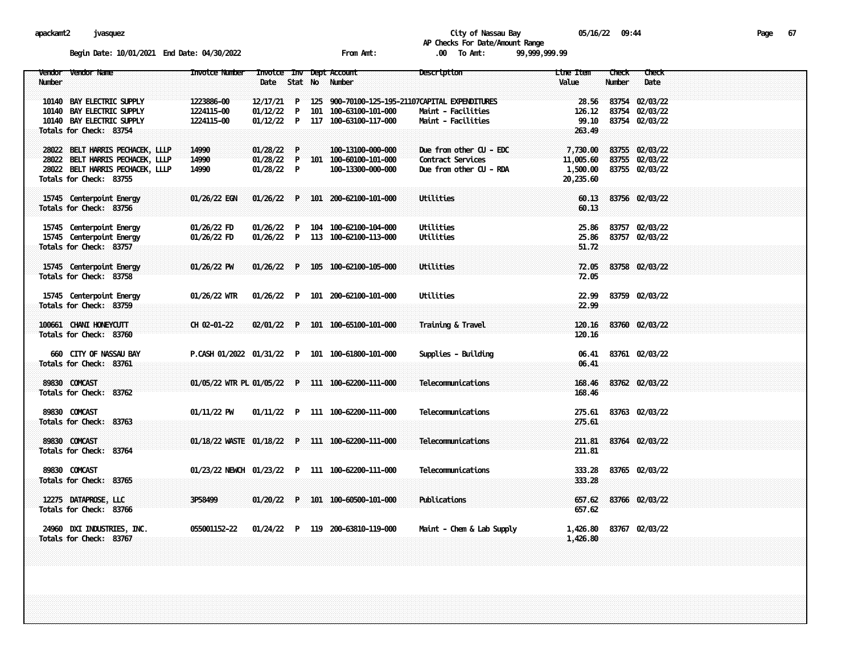**apackamt2 jvasquez City of Nassau Bay 05/16/22 09:44 Page 67 AP Checks For Date/Amount Range**

| 05/16/22 | 09:44 |
|----------|-------|
|----------|-------|

| Vendor Vendor Name<br>Number                                                                                                        | Invoice Number Invoice Inv Dept Account | Date Stat No Number          |  |                                                                            | <b>Description</b>                                                                                     | ttne Item<br>Value                             | <b>Check</b><br><b>Number</b> | <b>Check</b><br>Date                               |
|-------------------------------------------------------------------------------------------------------------------------------------|-----------------------------------------|------------------------------|--|----------------------------------------------------------------------------|--------------------------------------------------------------------------------------------------------|------------------------------------------------|-------------------------------|----------------------------------------------------|
| 10140 BAY ELECTRIC SUPPLY<br>10140 BAY ELECTRIC SUPPLY<br>10140 BAY ELECTRIC SUPPLY<br>Totals for Check: 83754                      | 1223886-00<br>1224115-00<br>1224115-00  |                              |  | 01/12/22 P 101 100-63100-101-000<br>01/12/22 P 117 100-63100-117-000       | 12/17/21 P 125 900-70100-125-195-21107CAPITAL EXPENDITURES<br>Maint - Facilities<br>Maint - Facilities | 28.56<br>126.12<br>99.10<br>263.49             |                               | 83754 02/03/22<br>83754 02/03/22<br>83754 02/03/22 |
| 28022 BELT HARRIS PECHACEK, LLLP<br>28022 BELT HARRIS PECHACEK, LLLP<br>28022 BELT HARRIS PECHACEK, LLLP<br>Totals for Check: 83755 | 14990<br>14990<br>14990                 | $01/28/22$ P<br>$01/28/22$ P |  | 100-13100-000-000<br>01/28/22 P 101 100-60100-101-000<br>100-13300-000-000 | Due from other CU - EDC<br><b>Contract Services</b><br>Due from other CU - RDA                         | 7,730.00<br>11,005.60<br>1,500.00<br>20,235.60 |                               | 83755 02/03/22<br>83755 02/03/22<br>83755 02/03/22 |
| 15745 Centerpoint Energy<br><b>Totals for Check: 83756</b>                                                                          | 01/26/22 EGN                            |                              |  | 01/26/22 P 101 200-62100-101-000                                           | Utilities                                                                                              | 60.13<br>60.13                                 |                               | 83756 02/03/22                                     |
| 15745 Centerpoint Energy<br>15745 Centerpoint Energy<br>Totals for Check: 83757                                                     | $01/26/22$ FD<br>$01/26/22$ FD          | $01/26/22$ P<br>$01/26/22$ P |  | 104 100-62100-104-000<br>113 100-62100-113-000                             | Utilities<br>Utilities                                                                                 | 25.86<br>25.86<br>51.72                        |                               | 83757 02/03/22<br>83757 02/03/22                   |
| 15745 Centerpoint Energy<br>Totals for Check: 83758                                                                                 | 01/26/22 PW                             |                              |  | 01/26/22 P 105 100-62100-105-000                                           | Utilities                                                                                              | 72.05<br>72.05                                 |                               | 83758 02/03/22                                     |
| 15745 Centerpoint Energy<br>Totals for Check: 83759                                                                                 | $01/26/22$ WTR                          |                              |  | 01/26/22 P 101 200-62100-101-000                                           | Utilities                                                                                              | 22.99<br>22.99                                 |                               | 83759 02/03/22                                     |
| 100661 CHANI HONEYCUTT<br>Totals for Check: 83760                                                                                   | CH 02-01-22                             | $02/01/22$ P                 |  | 101 100-65100-101-000                                                      | Training & Travel                                                                                      | 120.16<br>120.16                               |                               | 83760 02/03/22                                     |
| 660 CITY OF NASSAU BAY<br>Totals for Check: 83761                                                                                   |                                         |                              |  | P.CASH 01/2022 01/31/22 P 101 100-61800-101-000                            | Supplies - Building                                                                                    | 06.41<br>06.41                                 |                               | 83761 02/03/22                                     |
| 89830 COMCAST<br>Totals for Check: 83762                                                                                            |                                         |                              |  | 01/05/22 WTR PL 01/05/22 P 111 100-62200-111-000                           | <b>Telecommunications</b>                                                                              | 168.46<br>168.46                               |                               | 83762 02/03/22                                     |
| 89830 COMCAST<br>Totals for Check: 83763                                                                                            | 01/11/22 PW                             |                              |  | $01/11/22$ P 111 100-62200-111-000                                         | <b>Telecommunications</b>                                                                              | 275.61<br>275.61                               |                               | 83763 02/03/22                                     |
| 89830 COMCAST<br>Totals for Check: 83764                                                                                            |                                         |                              |  | 01/18/22 WASTE 01/18/22 P 111 100-62200-111-000                            | <b>Telecommunications</b>                                                                              | 211.81<br>211.81                               |                               | 83764 02/03/22                                     |
| 89830 COMCAST<br>Totals for Check: 83765                                                                                            |                                         |                              |  | 01/23/22 NEWCH 01/23/22 P 111 100-62200-111-000                            | <b>Telecomunications</b>                                                                               | 333.28<br>333.28                               |                               | 83765 02/03/22                                     |
| 12275 DATAPROSE, LLC<br>Totals for Check: 83766                                                                                     | 3P58499                                 | $01/20/22$ P                 |  | 101 100-60500-101-000                                                      | <b>Publications</b>                                                                                    | 657.62<br>657.62                               |                               | 83766 02/03/22                                     |
| 24960 DXI INDUSTRIES, INC.<br>Totals for Check: 83767                                                                               | 055001152-22                            |                              |  | 01/24/22 P 119 200-63810-119-000                                           | Maint - Chem & Lab Supply                                                                              | 1,426.80<br>1,426.80                           |                               | 83767 02/03/22                                     |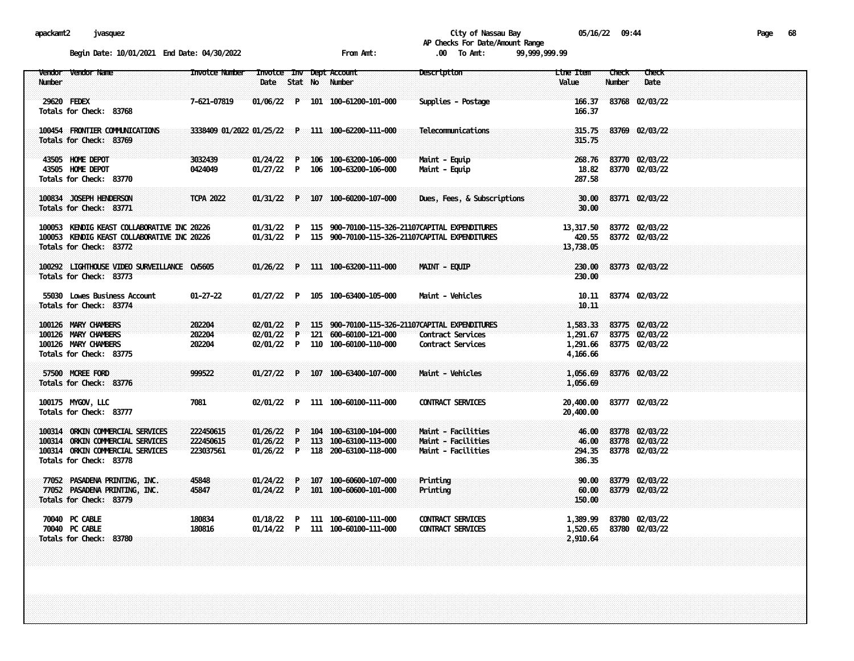**apackamt2 jvasquez City of Nassau Bay 05/16/22 09:44 Page 68 AP Checks For Date/Amount Range**

**Begin Date: 10/01/2021 End Date: 04/30/2022 From Amt: .00 To Amt: 99,999,999.99**

| Vendor Vendor Name                                                          | Invotce Number Invotce Inv Dept Account |              |  |                                                                      | <b>Description</b>                                   | ttne Item            | <b>Theck</b>  | Check                            |  |  |
|-----------------------------------------------------------------------------|-----------------------------------------|--------------|--|----------------------------------------------------------------------|------------------------------------------------------|----------------------|---------------|----------------------------------|--|--|
| <b>Number</b>                                                               |                                         |              |  | Date Stat No Number                                                  |                                                      | Value                | <b>Number</b> | Date                             |  |  |
| 29620 FEDEX                                                                 | 7-621-07819                             |              |  | $01/06/22$ P 101 100-61200-101-000                                   | Supplies - Postage                                   | 166.37               |               | 83768 02/03/22                   |  |  |
| Totals for Check: 83768                                                     |                                         |              |  |                                                                      |                                                      | 166.37               |               |                                  |  |  |
|                                                                             |                                         |              |  |                                                                      |                                                      |                      |               |                                  |  |  |
| 100454 FRONTIER COMMUNICATIONS                                              |                                         |              |  | 3338409 01/2022 01/25/22 P 111 100-62200-111-000                     | Telecommunications                                   | 315.75               |               | 83769 02/03/22                   |  |  |
| Totals for Check: 83769                                                     |                                         |              |  |                                                                      |                                                      | 315.75               |               |                                  |  |  |
| 43505 HOME DEPOT                                                            | 3032439                                 |              |  | 01/24/22 P 106 100-63200-106-000                                     | Maint - Equip                                        | 268.76               |               | 83770 02/03/22                   |  |  |
| 43505 HOME DEPOT                                                            | 0424049                                 |              |  | 01/27/22 P 106 100-63200-106-000                                     | Maint - Equip                                        | 18.82                |               | 83770 02/03/22                   |  |  |
| Totals for Check: 83770                                                     |                                         |              |  |                                                                      |                                                      | 287.58               |               |                                  |  |  |
|                                                                             |                                         |              |  |                                                                      |                                                      |                      |               |                                  |  |  |
| 100834 JOSEPH HENDERSON                                                     | <b>TCPA 2022</b>                        |              |  | 01/31/22 P 107 100-60200-107-000                                     | Dues, Fees, & Subscriptions                          | 30.00                |               | 83771 02/03/22                   |  |  |
| Totals for Check: 83771                                                     |                                         |              |  |                                                                      |                                                      | 30.00                |               |                                  |  |  |
| 100053 KENDIG KEAST COLLABORATIVE INC 20226                                 |                                         | $01/31/22$ P |  | 115 900-70100-115-326-21107CAPITAL EXPENDITURES                      |                                                      | 13,317.50            |               | 83772 02/03/22                   |  |  |
| 100053 KENDIG KEAST COLLABORATIVE INC 20226                                 |                                         | $01/31/22$ P |  | 115 900-70100-115-326-21107CAPITAL EXPENDITURES                      |                                                      | 420.55               |               | 83772 02/03/22                   |  |  |
| Totals for Check: 83772                                                     |                                         |              |  |                                                                      |                                                      | 13,738.05            |               |                                  |  |  |
|                                                                             |                                         |              |  |                                                                      |                                                      |                      |               |                                  |  |  |
| 100292 LIGHTHOUSE VIDEO SURVEILLANCE CV5605                                 |                                         |              |  | 01/26/22 P 111 100-63200-111-000                                     | MAINT - EOUIP                                        | 230.00               |               | 83773 02/03/22                   |  |  |
| Totals for Check: 83773                                                     |                                         |              |  |                                                                      |                                                      | 230.00               |               |                                  |  |  |
|                                                                             |                                         |              |  |                                                                      |                                                      |                      |               |                                  |  |  |
| 55030 Lowes Business Account                                                | $01 - 27 - 22$                          |              |  | 01/27/22 P 105 100-63400-105-000                                     | Maint - Vehicles                                     | 10.11                |               | 83774 02/03/22                   |  |  |
| Totals for Check: 83774                                                     |                                         |              |  |                                                                      |                                                      | 10.11                |               |                                  |  |  |
| 100126 MARY CHAMBERS                                                        | 202204                                  | $02/01/22$ P |  | 115 900-70100-115-326-21107CAPITAL EXPENDITURES                      |                                                      | 1,583.33             |               | 83775 02/03/22                   |  |  |
| 100126 MARY CHAMBERS                                                        | 202204                                  |              |  | 02/01/22 P 121 600-60100-121-000                                     | Contract Services                                    | 1,291.67             |               | 83775 02/03/22                   |  |  |
| 100126 MARY CHAMBERS                                                        | 202204                                  |              |  | 02/01/22 P 110 100-60100-110-000                                     | Contract Services                                    | 1,291.66             |               | 83775 02/03/22                   |  |  |
| Totals for Check: 83775                                                     |                                         |              |  |                                                                      |                                                      | 4,166.66             |               |                                  |  |  |
| 57500 MCREE FORD                                                            | 999522                                  |              |  | 01/27/22 P 107 100-63400-107-000                                     | Maint - Vehicles                                     |                      |               |                                  |  |  |
| Totals for Check: 83776                                                     |                                         |              |  |                                                                      |                                                      | 1,056.69<br>1,056.69 |               | 83776 02/03/22                   |  |  |
|                                                                             |                                         |              |  |                                                                      |                                                      |                      |               |                                  |  |  |
| 100175 MYGOV, LLC                                                           | 7081                                    |              |  | 02/01/22 P 111 100-60100-111-000                                     | <b>CONTRACT SERVICES</b>                             | 20,400.00            |               | 83777 02/03/22                   |  |  |
| Totals for Check: 83777                                                     |                                         |              |  |                                                                      |                                                      | 20,400.00            |               |                                  |  |  |
|                                                                             |                                         |              |  |                                                                      |                                                      |                      |               |                                  |  |  |
| 100314 ORKIN COMMERCIAL SERVICES                                            | 222450615                               | $01/26/22$ P |  | 104 100-63100-104-000                                                | Maint - Facilities                                   | 46.00                |               | 83778 02/03/22                   |  |  |
| 100314 ORKIN COMMERCIAL SERVICES<br><b>100314 ORKIN COMMERCIAL SERVICES</b> | 222450615<br>223037561                  |              |  | 01/26/22 P 113 100-63100-113-000<br>01/26/22 P 118 200-63100-118-000 | Maint - Facilities<br>Maint - Facilities             | 46.00<br>294.35      |               | 83778 02/03/22<br>83778 02/03/22 |  |  |
| Totals for Check: 83778                                                     |                                         |              |  |                                                                      |                                                      | 386.35               |               |                                  |  |  |
|                                                                             |                                         |              |  |                                                                      |                                                      |                      |               |                                  |  |  |
| 77052 PASADENA PRINTING, INC.                                               | 45848                                   | $01/24/22$ P |  | 107 100-60600-107-000                                                | Printing                                             | 90.00                |               | 83779 02/03/22                   |  |  |
| 77052 PASADENA PRINTING, INC.                                               | 45847                                   |              |  | 01/24/22 P 101 100-60600-101-000                                     | Printing                                             | 60.00                |               | 83779 02/03/22                   |  |  |
| Totals for Check: 83779                                                     |                                         |              |  |                                                                      |                                                      | 150.00               |               |                                  |  |  |
|                                                                             |                                         |              |  |                                                                      |                                                      |                      |               |                                  |  |  |
| 70040 PC CABLE<br>70040 PC CABLE                                            | 180834<br>180816                        |              |  | 01/18/22 P 111 100-60100-111-000<br>01/14/22 P 111 100-60100-111-000 | <b>CONTRACT SERVICES</b><br><b>CONTRACT SERVICES</b> | 1,389.99<br>1,520.65 |               | 83780 02/03/22<br>83780 02/03/22 |  |  |
| Totals for Check: 83780                                                     |                                         |              |  |                                                                      |                                                      | 2,910.64             |               |                                  |  |  |
|                                                                             |                                         |              |  |                                                                      |                                                      |                      |               |                                  |  |  |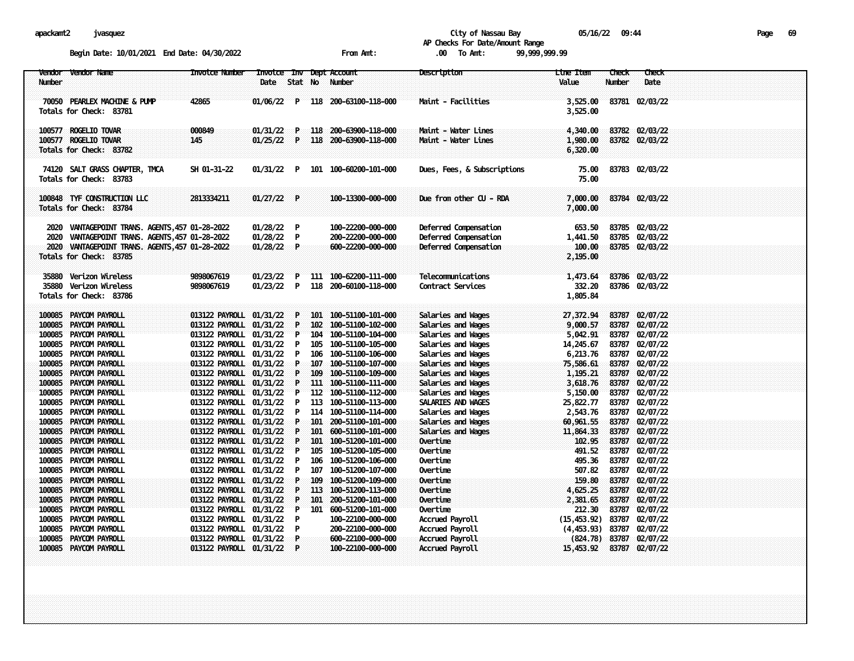**apackamt2 jvasquez City of Nassau Bay 05/16/22 09:44 Page 69 AP Checks For Date/Amount Range**

| Number                     | <del>Vendor Vendor Name</del>                                                                                                               | <b>Invotce Number</b>                                                                                    | Date                                       |                                   |                   | <b>Invotce Inv Dept Account</b><br>Stat No Number                                        | <b>Description</b>                                                                   | ttne Item<br>Value                               | <b>Check</b><br><b>Number</b>    | Check<br>Date                                                        |  |
|----------------------------|---------------------------------------------------------------------------------------------------------------------------------------------|----------------------------------------------------------------------------------------------------------|--------------------------------------------|-----------------------------------|-------------------|------------------------------------------------------------------------------------------|--------------------------------------------------------------------------------------|--------------------------------------------------|----------------------------------|----------------------------------------------------------------------|--|
|                            | 70050 PEARLEX MACHINE & PUMP<br>Totals for Check: 83781                                                                                     | 42865                                                                                                    |                                            |                                   |                   | $01/06/22$ P 118 200-63100-118-000                                                       | Maint - Facilities                                                                   | 3,525.00<br>3,525.00                             |                                  | 83781 02/03/22                                                       |  |
|                            | 100577 ROGELIO TOVAR<br>100577 ROGELIO TOVAR<br>Totals for Check: 83782                                                                     | 000849<br>145                                                                                            | 01/31/22<br>01/25/22                       | ୍ୱ<br>∴ P                         |                   | 118 200-63900-118-000<br>118 200-63900-118-000                                           | Maint - Water Lines<br>Maint - Water Lines                                           | 4,340.00<br>1,980.00<br>6,320.00                 |                                  | 83782 02/03/22<br>83782 02/03/22                                     |  |
|                            | 74120 SALT GRASS CHAPTER, TMCA<br>Totals for Check: 83783                                                                                   | SH 01-31-22                                                                                              | 01/31/22                                   | - P                               |                   | 101 100-60200-101-000                                                                    | Dues, Fees, & Subscriptions                                                          | 75.00<br>75.00                                   |                                  | 83783 02/03/22                                                       |  |
|                            | 100848 TYF CONSTRUCTION LLC<br>Totals for Check: 83784                                                                                      | 2813334211                                                                                               | $01/27/22$ P                               |                                   |                   | 100-13300-000-000                                                                        | Due from other CU - RDA                                                              | 7.000.00<br>7,000.00                             |                                  | 83784 02/03/22                                                       |  |
| 2020<br>2020               | VANTAGEPOINT TRANS. AGENTS, 457 01-28-2022<br>VANTAGEPOINT TRANS. AGENTS, 457 01-28-2022<br>2020 VANTAGEPOINT TRANS. AGENTS, 457 01-28-2022 |                                                                                                          | $01/28/22$ P<br>01/28/22 P<br>$01/28/22$ P |                                   |                   | 100-22200-000-000<br>200-22200-000-000<br>600-22200-000-000                              | Deferred Compensation<br>Deferred Compensation<br>Deferred Compensation              | 653.50<br>1,441.50<br>100.00                     |                                  | 83785 02/03/22<br>83785 02/03/22<br>83785 02/03/22                   |  |
| 35880                      | Totals for Check: 83785<br><b>Verizon Wireless</b><br>35880 Verizon Wireless                                                                | 9898067619<br>9898067619                                                                                 | 01/23/22<br>01/23/22                       | ∵P<br>$\mathbf{P}$                |                   | 111 100-62200-111-000<br>118 200-60100-118-000                                           | Telecommunications<br>Contract Services                                              | 2,195.00<br>1,473.64<br>332.20                   |                                  | 83786 02/03/22<br>83786 02/03/22                                     |  |
| 100085                     | Totals for Check: 83786<br>100085 PAYCOM PAYROLL<br>PAYCOM PAYROLL                                                                          | 013122 PAYROLL 01/31/22<br>013122 PAYROLL 01/31/22                                                       |                                            | P<br>∵P                           | 102               | 101 100-51100-101-000<br>100-51100-102-000                                               | Salaries and Wages<br>Salaries and Wages                                             | 1,805.84<br>27,372.94<br>9,000.57                | 83787                            | 83787 02/07/22<br>02/07/22                                           |  |
| 100085                     | 100085 PAYCOM PAYROLL<br>PAYCOM PAYROLL<br>100085 PAYCOM PAYROLL                                                                            | 013122 PAYROLL 01/31/22<br>013122 PAYROLL 01/31/22<br>013122 PAYROLL 01/31/22                            |                                            | ႃၣ<br>$\mathsf{P}$<br>- P         | 105               | 104 100-51100-104-000<br>100-51100-105-000<br>106 100-51100-106-000                      | Salaries and Wages<br>Salaries and Wages<br>Salaries and Wages                       | 5,042.91<br>14,245.67<br>6,213.76                | 83787<br>83787                   | 02/07/22<br>02/07/22<br>83787 02/07/22                               |  |
| 100085<br>100085           | 100085 PAYCOM PAYROLL<br>100085 PAYCOM PAYROLL<br>PAYCOM PAYROLL<br>PAYCOM PAYROLL                                                          | 013122 PAYROLL 01/31/22<br>013122 PAYROLL 01/31/22<br>013122 PAYROLL 01/31/22<br>013122 PAYROLL 01/31/22 |                                            | ାନ<br>ျာ<br>P<br>∵ P              | 107<br>111        | 100-51100-107-000<br>109 100-51100-109-000<br>100-51100-111-000<br>112 100-51100-112-000 | Salaries and Wages<br>Salaries and Wages<br>Salaries and Wages<br>Salaries and Wages | 75,586.61<br>1,195.21<br>3,618.76<br>5,150.00    |                                  | 83787 02/07/22<br>83787 02/07/22<br>83787 02/07/22<br>83787 02/07/22 |  |
| 100085<br>100085           | PAYCOM PAYROLL<br>100085 PAYCOM PAYROLL<br><b>PAYCOM PAYROLL</b>                                                                            | 013122 PAYROLL 01/31/22<br>013122 PAYROLL 01/31/22<br>013122 PAYROLL 01/31/22                            |                                            | P<br><b>P</b><br>ႃၣႜ              |                   | 113 100-51100-113-000<br>114 100-51100-114-000<br>101 200-51100-101-000                  | SALARIES AND WAGES<br>Salaries and Wages<br>Salaries and Wages                       | 25,822.77<br>2,543.76<br>60,961.55               | 83787<br>83787<br>83787          | 02/07/22<br>02/07/22<br>02/07/22                                     |  |
| 100085<br>100085<br>100085 | PAYCOM PAYROLL<br>100085 PAYCOM PAYROLL<br><b>PAYCOM PAYROLL</b><br>PAYCOM PAYROLL                                                          | 013122 PAYROLL 01/31/22<br>013122 PAYROLL 01/31/22<br>013122 PAYROLL 01/31/22<br>013122 PAYROLL 01/31/22 |                                            | ∷ P.<br>∷ P<br>∵P<br>$\mathsf{P}$ | 101<br>101<br>105 | 600-51100-101-000<br>100-51200-101-000<br>100-51200-105-000<br>106 100-51200-106-000     | Salaries and Wages<br>Overtime<br>Overtime<br>Overtime                               | 11,864.33<br>102.95<br>491.52<br>495.36          | 83787<br>83787<br>83787<br>83787 | 02/07/22<br>02/07/22<br>02/07/22<br>02/07/22                         |  |
| 100085<br>100085           | PAYCOM PAYROLL<br>100085 PAYCOM PAYROLL<br>PAYCOM PAYROLL                                                                                   | 013122 PAYROLL 01/31/22<br>013122 PAYROLL 01/31/22<br>013122 PAYROLL 01/31/22                            |                                            | - P<br>P<br>ႃၣ                    | 107<br>109<br>113 | 100-51200-107-000<br>100-51200-109-000<br>100-51200-113-000                              | Overtime<br>Overtime<br>Overtime                                                     | 507.82<br>159.80<br>4,625.25                     | 83787<br>83787<br>83787          | 02/07/22<br>02/07/22<br>02/07/22                                     |  |
| 100085                     | 100085 PAYCOM PAYROLL<br>100085 PAYCOM PAYROLL<br>Paycom Payroll                                                                            | 013122 PAYROLL 01/31/22<br>013122 PAYROLL 01/31/22<br>013122 PAYROLL 01/31/22                            |                                            | .P<br>™P<br>P                     | 101<br>101        | 200-51200-101-000<br>600-51200-101-000<br>100-22100-000-000                              | Overtime<br>Overtime<br><b>Accrued Payroll</b>                                       | 2,381.65<br>212.30<br>(15,453.92) 83787 02/07/22 |                                  | 83787 02/07/22<br>83787 02/07/22                                     |  |
| 100085<br>100085           | PAYCOM PAYROLL<br><b>PAYCOM PAYROLL</b><br>100085 PAYCOM PAYROLL                                                                            | 013122 PAYROLL 01/31/22<br>013122 PAYROLL 01/31/22<br>013122 PAYROLL 01/31/22 P                          |                                            | <b>P</b><br>.P                    |                   | 200-22100-000-000<br>600-22100-000-000<br>100-22100-000-000                              | <b>Accrued Payroll</b><br><b>Accrued Payroll</b><br><b>Accrued Payroll</b>           | $(4,453.93)$ 83787<br>(824.78)<br>15,453.92      | 83787                            | 02/07/22<br>02/07/22<br>83787 02/07/22                               |  |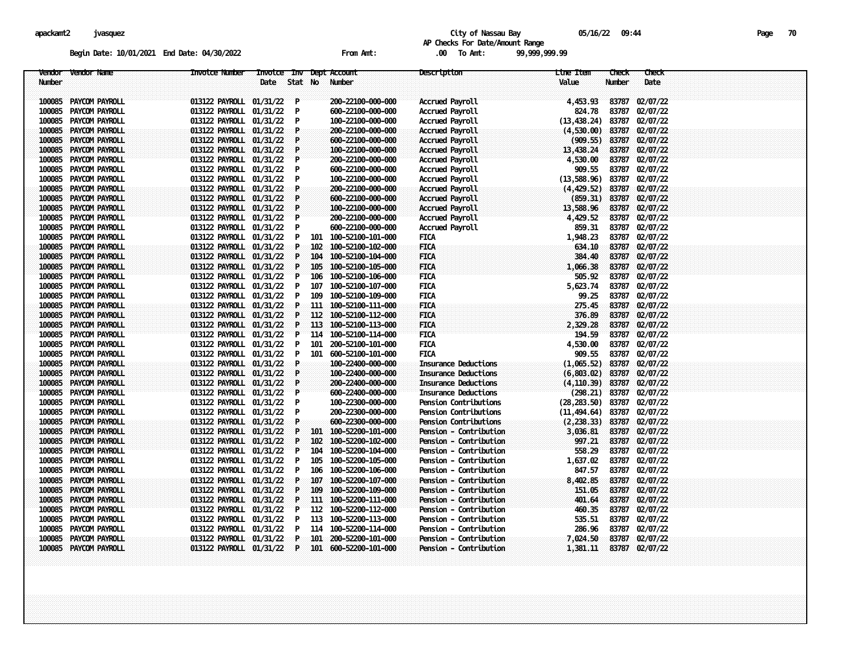## **apackamt2 jvasquez City of Nassau Bay 05/16/22 09:44 Page 70 AP Checks For Date/Amount Range**

|               | <del>Vendor Vendor Name</del> | <b>Involce Number</b>   | <b>Invotce Inv Dept Account</b> |     |                       | Description                   | ttne Item    | <b>UTECK</b>  | Check          |  |  |
|---------------|-------------------------------|-------------------------|---------------------------------|-----|-----------------------|-------------------------------|--------------|---------------|----------------|--|--|
| <b>Number</b> |                               |                         | Stat No<br>Date                 |     | <b>Number</b>         |                               | Value        | <b>Number</b> | Date           |  |  |
|               |                               |                         |                                 |     |                       |                               |              |               |                |  |  |
| 100085        | PAYCOM PAYROLL                | 013122 PAYROLL          | 01/31/22<br>°P                  |     | 200-22100-000-000     | <b>Accrued Payroll</b>        | 4,453.93     | 83787         | 02/07/22       |  |  |
| 100085        | PAYCOM PAYROLL                | 013122 PAYROLL          | 01/31/22<br>P                   |     | 600-22100-000-000     | <b>Accrued Payroll</b>        | 824.78       | 83787         | 02/07/22       |  |  |
| 100085        | PAYCOM PAYROLL                | 013122 PAYROLL          | 01/31/22<br>P                   |     | 100-22100-000-000     | <b>Accrued Payroll</b>        | (13, 438.24) | 83787         | 02/07/22       |  |  |
| 100085        | PAYCOM PAYROLL                | 013122 PAYROLL 01/31/22 | P                               |     | 200-22100-000-000     | <b>Accrued Payroll</b>        | (4,530.00)   | 83787         | 02/07/22       |  |  |
| 100085        | PAYCOM PAYROLL                | 013122 PAYROLL 01/31/22 | P                               |     | 600-22100-000-000     | <b>Accrued Payroll</b>        | (909.55)     | 83787         | 02/07/22       |  |  |
| 100085        | PAYCOM PAYROLL                | 013122 PAYROLL 01/31/22 | p                               |     | 100-22100-000-000     | <b>Accrued Payroll</b>        | 13,438.24    | 83787         | 02/07/22       |  |  |
| 100085        | PAYCOM PAYROLL                | 013122 PAYROLL 01/31/22 | p                               |     | 200-22100-000-000     | <b>Accrued Payroll</b>        | 4,530.00     | 83787         | 02/07/22       |  |  |
| 100085        | PAYCOM PAYROLL                | 013122 PAYROLL 01/31/22 | Р                               |     | 600-22100-000-000     | <b>Accrued Payroll</b>        | 909.55       | 83787         | 02/07/22       |  |  |
| 100085        | PAYCOM PAYROLL                | 013122 PAYROLL 01/31/22 | Р                               |     | 100-22100-000-000     | <b>Accrued Payroll</b>        | (13,588.96)  | 83787         | 02/07/22       |  |  |
| 100085        | PAYCOM PAYROLL                | 013122 PAYROLL 01/31/22 | P                               |     | 200-22100-000-000     | <b>Accrued Payroll</b>        | (4, 429.52)  | 83787         | 02/07/22       |  |  |
| 100085        | PAYCOM PAYROLL                | 013122 PAYROLL 01/31/22 | P                               |     | 600-22100-000-000     | <b>Accrued Payroll</b>        | (859.31)     | 83787         | 02/07/22       |  |  |
| 100085        | <b>PAYCOM PAYROLL</b>         | 013122 PAYROLL 01/31/22 | P                               |     | 100-22100-000-000     | <b>Accrued Payroll</b>        | 13,588.96    | 83787         | 02/07/22       |  |  |
| 100085        | <b>PAYCOM PAYROLL</b>         | 013122 PAYROLL 01/31/22 | P                               |     | 200-22100-000-000     | <b>Accrued Payroll</b>        | 4,429.52     | 83787         | 02/07/22       |  |  |
| 100085        | Paycom Payroll                | 013122 PAYROLL          | 01/31/22<br>P                   |     | 600-22100-000-000     | <b>Accrued Payroll</b>        | 859.31       | 83787         | 02/07/22       |  |  |
| 100085        | PAYCOM PAYROLL                | 013122 PAYROLL 01/31/22 | P                               |     | 101 100-52100-101-000 | <b>FICA</b>                   | 1,948.23     | 83787         | 02/07/22       |  |  |
| 100085        | <b>PAYCOM PAYROLL</b>         | 013122 PAYROLL 01/31/22 | -P.                             | 102 | 100-52100-102-000     | <b>FICA</b>                   | 634.10       | 83787         | 02/07/22       |  |  |
|               |                               |                         |                                 |     |                       |                               |              |               |                |  |  |
| 100085        | PAYCOM PAYROLL                | 013122 PAYROLL 01/31/22 | P                               | 104 | 100-52100-104-000     | <b>FICA</b>                   | 384.40       | 83787         | 02/07/22       |  |  |
| 100085        | PAYCOM PAYROLL                | 013122 PAYROLL 01/31/22 | P                               | 105 | 100-52100-105-000     | <b>FICA</b>                   | 1,066.38     | 83787         | 02/07/22       |  |  |
| 100085        | PAYCOM PAYROLL                | 013122 PAYROLL 01/31/22 | P                               | 106 | 100-52100-106-000     | <b>FICA</b>                   | 505.92       | 83787         | 02/07/22       |  |  |
| 100085        | PAYCOM PAYROLL                | 013122 PAYROLL          | 01/31/22<br>P                   | 107 | 100-52100-107-000     | <b>FICA</b>                   | 5,623.74     | 83787         | 02/07/22       |  |  |
| 100085        | PAYCOM PAYROLL                | 013122 PAYROLL          | 01/31/22<br>P                   | 109 | 100-52100-109-000     | <b>FICA</b>                   | 99.25        | 83787         | 02/07/22       |  |  |
| 100085        | PAYCOM PAYROLL                | 013122 PAYROLL          | 01/31/22<br>P                   | 111 | 100-52100-111-000     | <b>FICA</b>                   | 275.45       | 83787         | 02/07/22       |  |  |
| 100085        | PAYCOM PAYROLL                | 013122 PAYROLL 01/31/22 | P                               | 112 | 100-52100-112-000     | <b>FICA</b>                   | 376.89       | 83787         | 02/07/22       |  |  |
| 100085        | PAYCOM PAYROLL                | 013122 PAYROLL          | 01/31/22<br>P                   | 113 | 100-52100-113-000     | <b>FICA</b>                   | 2,329.28     | 83787         | 02/07/22       |  |  |
| 100085        | PAYCOM PAYROLL                | 013122 PAYROLL 01/31/22 | $\mathsf{P}$                    | 114 | 100-52100-114-000     | <b>FICA</b>                   | 194.59       | 83787         | 02/07/22       |  |  |
| 100085        | PAYCOM PAYROLL                | 013122 PAYROLL          | 01/31/22<br>P                   | 101 | 200-52100-101-000     | <b>FICA</b>                   | 4,530.00     | 83787         | 02/07/22       |  |  |
| 100085        | PAYCOM PAYROLL                | 013122 PAYROLL 01/31/22 | P                               | 101 | 600-52100-101-000     | <b>FICA</b>                   | 909.55       | 83787         | 02/07/22       |  |  |
| 100085        | PAYCOM PAYROLL                | 013122 PAYROLL 01/31/22 | <b>P</b>                        |     | 100-22400-000-000     | <b>Insurance Deductions</b>   | (1,065.52)   | 83787         | 02/07/22       |  |  |
| 100085        | PAYCOM PAYROLL                | 013122 PAYROLL 01/31/22 | P                               |     | 100-22400-000-000     | <b>Insurance Deductions</b>   | (6,803.02)   | 83787         | 02/07/22       |  |  |
| 100085        | PAYCOM PAYROLL                | 013122 PAYROLL 01/31/22 | P                               |     | 200-22400-000-000     | <b>Insurance Deductions</b>   | (4, 110.39)  | 83787         | 02/07/22       |  |  |
| 100085        | PAYCOM PAYROLL                | 013122 PAYROLL 01/31/22 | p                               |     | 600-22400-000-000     | <b>Insurance Deductions</b>   | (298.21)     | 83787         | 02/07/22       |  |  |
| 100085        | PAYCOM PAYROLL                | 013122 PAYROLL 01/31/22 | P                               |     | 100-22300-000-000     | <b>Pension Contributions</b>  | (28, 283.50) | 83787         | 02/07/22       |  |  |
| 100085        | PAYCOM PAYROLL                | 013122 PAYROLL 01/31/22 | Р                               |     | 200-22300-000-000     | <b>Pension Contributions</b>  | (11, 494.64) | 83787         | 02/07/22       |  |  |
| 100085        | PAYCOM PAYROLL                | 013122 PAYROLL 01/31/22 | P                               |     | 600-22300-000-000     | <b>Pension Contributions</b>  | (2, 238, 33) | 83787         | 02/07/22       |  |  |
| 100085        | PAYCOM PAYROLL                | 013122 PAYROLL 01/31/22 | p                               |     | 101 100-52200-101-000 | <b>Pension - Contribution</b> | 3,036.81     | 83787         | 02/07/22       |  |  |
| 100085        | PAYCOM PAYROLL                | 013122 PAYROLL 01/31/22 | P                               | 102 | 100-52200-102-000     | Pension - Contribution        | 997.21       | 83787         | 02/07/22       |  |  |
| 100085        | <b>PAYCOM PAYROLL</b>         | 013122 PAYROLL 01/31/22 | P                               | 104 | 100-52200-104-000     | Pension - Contribution        | 558.29       | 83787         | 02/07/22       |  |  |
| 100085        | PAYCOM PAYROLL                | 013122 PAYROLL 01/31/22 | P                               | 105 | 100-52200-105-000     | <b>Pension - Contribution</b> | 1,637.02     | 83787         | 02/07/22       |  |  |
| 100085        | PAYCOM PAYROLL                | 013122 PAYROLL          | 01/31/22<br>P                   | 106 | 100-52200-106-000     | <b>Pension - Contribution</b> | 847.57       | 83787         | 02/07/22       |  |  |
| 100085        | PAYCOM PAYROLL                | 013122 PAYROLL 01/31/22 | P                               | 107 | 100-52200-107-000     | <b>Pension - Contribution</b> | 8,402.85     | 83787         | 02/07/22       |  |  |
| 100085        | PAYCOM PAYROLL                | 013122 PAYROLL          | 01/31/22<br>Þ                   | 109 | 100-52200-109-000     | <b>Pension - Contribution</b> | 151.05       | 83787         | 02/07/22       |  |  |
| 100085        | PAYCOM PAYROLL                | 013122 PAYROLL 01/31/22 | P                               | 111 | 100-52200-111-000     | <b>Pension - Contribution</b> | 401.64       | 83787         | 02/07/22       |  |  |
| 100085        | PAYCOM PAYROLL                | 013122 PAYROLL 01/31/22 | P                               | 112 | 100-52200-112-000     | <b>Pension - Contribution</b> | 460.35       | 83787         | 02/07/22       |  |  |
| 100085        | PAYCOM PAYROLL                | 013122 PAYROLL 01/31/22 | P                               | 113 | 100-52200-113-000     | <b>Pension - Contribution</b> | 535.51       | 83787         | 02/07/22       |  |  |
| 100085        | PAYCOM PAYROLL                | 013122 PAYROLL          | 01/31/22<br>P                   | 114 | 100-52200-114-000     | Pension - Contribution        | 286.96       | 83787         | 02/07/22       |  |  |
| 100085        | PAYCOM PAYROLL                | 013122 PAYROLL 01/31/22 | .P.                             | 101 | 200-52200-101-000     | <b>Pension - Contribution</b> | 7,024.50     | 83787         | 02/07/22       |  |  |
| 100085        | <b>PAYCOM PAYROLL</b>         | 013122 PAYROLL 01/31/22 | ∵ P                             |     | 101 600-52200-101-000 | Pension - Contribution        | 1,381.11     |               | 83787 02/07/22 |  |  |
|               |                               |                         |                                 |     |                       |                               |              |               |                |  |  |
|               |                               |                         |                                 |     |                       |                               |              |               |                |  |  |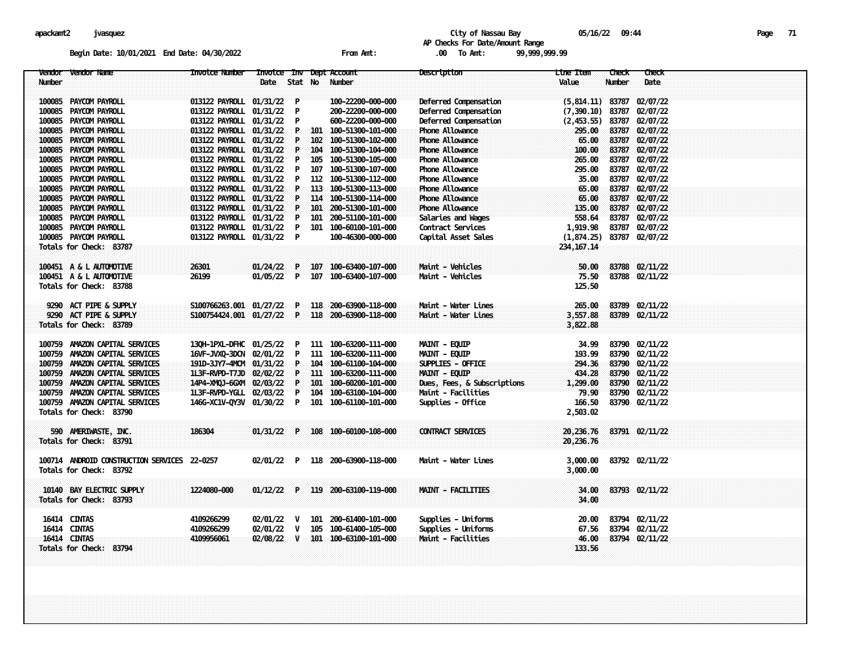**apackamt2 jvasquez City of Nassau Bay 05/16/22 09:44 Page 71 AP Checks For Date/Amount Range**

Begin Date: 10/01/2021 End Date: 04/30/2022

| From Amt: |
|-----------|
|-----------|

| <del>Vendor Vendor Name</del>                | <b>Involce Number</b>     | <b>Invoice Inv Dept Account</b> |                     |                       | Description                 | ttne Item    | <b>Check</b>  | Check          |  |
|----------------------------------------------|---------------------------|---------------------------------|---------------------|-----------------------|-----------------------------|--------------|---------------|----------------|--|
| <b>Number</b>                                |                           | Date Stat No Number             |                     |                       |                             | <b>Value</b> | <b>Number</b> | Date           |  |
|                                              |                           |                                 |                     |                       |                             |              |               |                |  |
| <b>PAYCOM PAYROLL</b><br>100085              | 013122 PAYROLL 01/31/22 P |                                 |                     | 100-22200-000-000     | Deferred Compensation       | (5,814.11)   | 83787         | 02/07/22       |  |
| PAYCOM PAYROLL<br>100085                     | 013122 PAYROLL 01/31/22   |                                 | $\mathsf{P}$        | 200-22200-000-000     | Deferred Compensation       | (7,390.10)   | 83787         | 02/07/22       |  |
| 100085<br>PAYCOM PAYROLL                     | 013122 PAYROLL 01/31/22   |                                 | $\mathsf{P}$        | 600-22200-000-000     | Deferred Compensation       | (2,453.55)   | 83787         | 02/07/22       |  |
| 100085 PAYCOM PAYROLL                        | 013122 PAYROLL 01/31/22   |                                 | P                   | 101 100-51300-101-000 | <b>Phone Allowance</b>      | 295.00       | 83787         | 02/07/22       |  |
| 100085 PAYCOM PAYROLL                        | 013122 PAYROLL 01/31/22   |                                 | $\mathsf{P}$<br>102 | 100-51300-102-000     | <b>Phone Allowance</b>      | 65.00        | 83787         | 02/07/22       |  |
| 100085 PAYCOM PAYROLL                        | 013122 PAYROLL 01/31/22   |                                 | ∵P<br>104           | 100-51300-104-000     | <b>Phone Allowance</b>      | 100.00       | 83787         | 02/07/22       |  |
| 100085 PAYCOM PAYROLL                        | 013122 PAYROLL 01/31/22   |                                 | ႃၣႜ<br>105          | 100-51300-105-000     | <b>Phone Allowance</b>      | 265.00       | 83787         | 02/07/22       |  |
| 100085 PAYCOM PAYROLL                        | 013122 PAYROLL 01/31/22   |                                 | P<br>107            | 100-51300-107-000     | <b>Phone Allowance</b>      | 295.00       | 83787         | 02/07/22       |  |
| PAYCOM PAYROLL<br>100085                     | 013122 PAYROLL 01/31/22   |                                 | P<br>112            | 100-51300-112-000     | <b>Phone Allowance</b>      | 35.00        | 83787         | 02/07/22       |  |
| 100085 PAYCOM PAYROLL                        | 013122 PAYROLL 01/31/22   |                                 | .P<br>113           | 100-51300-113-000     | <b>Phone Allowance</b>      | 65.00        | 83787         | 02/07/22       |  |
| PAYCOM PAYROLL<br>100085                     | 013122 PAYROLL 01/31/22   |                                 | $\mathbf{P}$<br>114 | 100-51300-114-000     | <b>Phone Allowance</b>      | 65.00        | 83787         | 02/07/22       |  |
| 100085 PAYCOM PAYROLL                        | 013122 PAYROLL 01/31/22   |                                 | ∵P<br>101           | 200-51300-101-000     | <b>Phone Allowance</b>      | 135.00       | 83787         | 02/07/22       |  |
| 100085 PAYCOM PAYROLL                        | 013122 PAYROLL 01/31/22   |                                 | ႃၣႜ<br>101          | 200-51100-101-000     | Salaries and Wages          | 558.64       | 83787         | 02/07/22       |  |
| 100085 PAYCOM PAYROLL                        | 013122 PAYROLL 01/31/22   |                                 | $\mathsf{P}$        | 101 100-60100-101-000 | Contract Services           | 1,919.98     | 83787         | 02/07/22       |  |
| 100085 PAYCOM PAYROLL                        | 013122 PAYROLL 01/31/22 P |                                 |                     | 100-46300-000-000     | Capital Asset Sales         | (1,874.25)   | 83787         | 02/07/22       |  |
| Totals for Check: 83787                      |                           |                                 |                     |                       |                             | 234, 167, 14 |               |                |  |
|                                              |                           |                                 |                     |                       |                             |              |               |                |  |
| 100451 A & L AUTOMOTIVE                      | 26301                     | 01/24/22                        | ျာ                  | 107 100-63400-107-000 | Maint - Vehicles            | 50.00        |               | 83788 02/11/22 |  |
| 100451 A & L AUTOMOTIVE                      | 26199                     | 01/05/22                        | ႃၣႜ                 | 107 100-63400-107-000 | Maint - Vehicles            | 75.50        |               | 83788 02/11/22 |  |
| Totals for Check: 83788                      |                           |                                 |                     |                       |                             | 125.50       |               |                |  |
|                                              |                           |                                 |                     |                       |                             |              |               |                |  |
| 9290 ACT PIPE & SUPPLY                       | S100766263.001 01/27/22   |                                 | … P                 | 118 200-63900-118-000 | Maint - Water Lines         | 265.00       |               | 83789 02/11/22 |  |
| 9290 ACT PIPE & SUPPLY                       | S100754424.001 01/27/22 P |                                 |                     | 118 200-63900-118-000 | Maint - Water Lines         | 3,557.88     |               | 83789 02/11/22 |  |
| Totals for Check: 83789                      |                           |                                 |                     |                       |                             | 3,822.88     |               |                |  |
|                                              |                           |                                 |                     |                       |                             |              |               |                |  |
| AMAZON CAPITAL SERVICES<br>100759            | 130H-1PXL-DFHC 01/25/22   |                                 | - P                 | 111 100-63200-111-000 | MAINT - EQUIP               | 34.99        |               | 83790 02/11/22 |  |
| AMAZON CAPITAL SERVICES<br>100759            | 16VF-JVXQ-3DCN 02/01/22   |                                 | $\mathsf{P}$        | 111 100-63200-111-000 | MAINT - EQUIP               | 193.99       |               | 83790 02/11/22 |  |
| 100759<br>AMAZON CAPITAL SERVICES            | 191D-3JY7-4MCM 01/31/22   |                                 | ∵P<br>104           | 100-61100-104-000     | SUPPLIES - OFFICE           | 294.36       | 83790         | 02/11/22       |  |
| 100759 AMAZON CAPITAL SERVICES               | 1L3F-RVPD-T7JD 02/02/22   |                                 | ျာ<br>111           | 100-63200-111-000     | MAINT - EQUIP               | 434.28       |               | 83790 02/11/22 |  |
| 100759<br>AMAZON CAPITAL SERVICES            | 14P4-XM0J-6GXM 02/03/22   |                                 | 101<br>∵P.          | 100-60200-101-000     | Dues, Fees, & Subscriptions | 1,299.00     |               | 83790 02/11/22 |  |
| 100759 AMAZON CAPITAL SERVICES               | 1L3F-RVPD-YGLL 02/03/22   |                                 | ႃႜၣႃ<br>104         | 100-63100-104-000     | Maint - Facilities          | 79.90        |               | 83790 02/11/22 |  |
| 100759 AMAZON CAPITAL SERVICES               |                           |                                 | $\mathbf{P}$<br>101 | 100-61100-101-000     | Supplies - Office           |              |               | 83790 02/11/22 |  |
|                                              | 146G-XC1V-0Y3V 01/30/22   |                                 |                     |                       |                             | 166.50       |               |                |  |
| Totals for Check: 83790                      |                           |                                 |                     |                       |                             | 2,503.02     |               |                |  |
|                                              |                           |                                 |                     |                       |                             |              |               |                |  |
| 590 AMERIWASTE, INC.                         | 186304                    | $01/31/22$ P                    |                     | 108 100-60100-108-000 | <b>CONTRACT SERVICES</b>    | 20,236.76    |               | 83791 02/11/22 |  |
| Totals for Check: 83791                      |                           |                                 |                     |                       |                             | 20,236.76    |               |                |  |
|                                              |                           |                                 |                     |                       |                             |              |               |                |  |
| 100714 ANDROID CONSTRUCTION SERVICES 22-0257 |                           | 02/01/22                        | P                   | 118 200-63900-118-000 | Maint - Water Lines         | 3,000.00     |               | 83792 02/11/22 |  |
| Totals for Check: 83792                      |                           |                                 |                     |                       |                             | 3,000.00     |               |                |  |
|                                              |                           |                                 |                     |                       |                             |              |               |                |  |
| 10140 BAY ELECTRIC SUPPLY                    | 1224080-000               | $01/12/22$ P                    |                     | 119 200-63100-119-000 | <b>MAINT - FACILITIES</b>   | 34.00        |               | 83793 02/11/22 |  |
| Totals for Check: 83793                      |                           |                                 |                     |                       |                             | 34.00        |               |                |  |
|                                              |                           |                                 |                     |                       |                             |              |               |                |  |
| 16414 CINTAS                                 | 4109266299                | 02/01/22                        | <b>V</b>            | 101 200-61400-101-000 | Supplies - Uniforms         | 20.00        |               | 83794 02/11/22 |  |
| 16414 CINTAS                                 | 4109266299                | 02/01/22                        | <b>V</b>            | 105 100-61400-105-000 | Supplies - Uniforms         | 67.56        |               | 83794 02/11/22 |  |
| 16414<br><b>CINTAS</b>                       | 4109956061                | 02/08/22 V                      |                     | 101 100-63100-101-000 | Maint - Facilities          | 46.00        |               | 83794 02/11/22 |  |
| Totals for Check: 83794                      |                           |                                 |                     |                       |                             | 133.56       |               |                |  |
|                                              |                           |                                 |                     |                       |                             |              |               |                |  |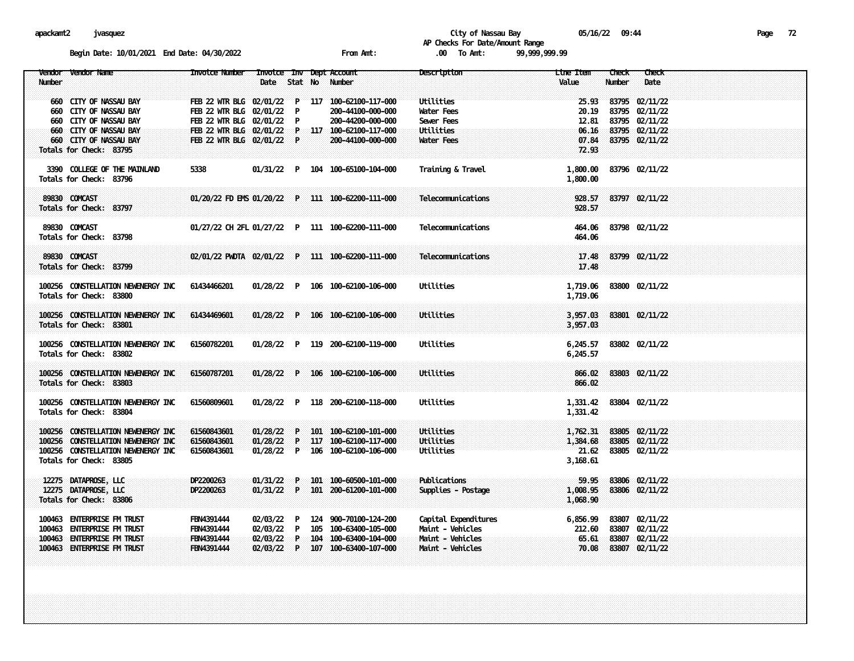**apackamt2 jvasquez City of Nassau Bay 05/16/22 09:44 Page 72 AP Checks For Date/Amount Range** Begin Date: 10/01/2021 End Date: 04/30/2022 From Amt: 00 To Amt: 99,999,999.99

| 05/16/22 | 09:44 |
|----------|-------|
|----------|-------|

| <b>Number</b> | <del>Vendor Vendor Name</del>                                 | Invoice Number Invoice Inv Dept Account | Date Stat No Number |              |                                                  | <b>Description</b>        | Etne Item<br>Value | <b>Check</b><br><b>Number</b> | Check<br>Date  |  |  |  |
|---------------|---------------------------------------------------------------|-----------------------------------------|---------------------|--------------|--------------------------------------------------|---------------------------|--------------------|-------------------------------|----------------|--|--|--|
|               |                                                               |                                         |                     |              |                                                  |                           |                    |                               |                |  |  |  |
|               | 660 CITY OF NASSAU BAY                                        |                                         |                     |              | FEB 22 WTR BLG 02/01/22 P 117 100-62100-117-000  | Utilities                 | 25.93              |                               | 83795 02/11/22 |  |  |  |
|               | 660 CITY OF NASSAU BAY                                        | FEB 22 WTR BLG 02/01/22 P               |                     |              | 200-44100-000-000                                | Water Fees                | 20.19              |                               | 83795 02/11/22 |  |  |  |
|               | 660 CITY OF NASSAU BAY                                        | FEB 22 WTR BLG 02/01/22 P               |                     |              | 200-44200-000-000                                | Sewer Fees                | 12.81              |                               | 83795 02/11/22 |  |  |  |
|               | 660 CITY OF NASSAU BAY                                        |                                         |                     |              | FEB 22 WTR BLG 02/01/22 P 117 100-62100-117-000  | Utilities                 | 06.16              |                               | 83795 02/11/22 |  |  |  |
|               | <b>660 CITY OF NASSAU BAY</b>                                 | FEB 22 WTR BLG 02/01/22 P               |                     |              | 200-44100-000-000                                | Water Fees                | 07.84              |                               | 83795 02/11/22 |  |  |  |
|               | Totals for Check: 83795                                       |                                         |                     |              |                                                  |                           | 72.93              |                               |                |  |  |  |
|               |                                                               |                                         |                     |              |                                                  |                           |                    |                               |                |  |  |  |
|               | 3390 COLLEGE OF THE MAINLAND                                  | 5338                                    | $01/31/22$ P        |              | 104 100-65100-104-000                            | Training & Travel         | 1,800.00           |                               | 83796 02/11/22 |  |  |  |
|               | Totals for Check: 83796                                       |                                         |                     |              |                                                  |                           | 1,800.00           |                               |                |  |  |  |
|               |                                                               |                                         |                     |              |                                                  |                           |                    |                               |                |  |  |  |
|               | 89830 COMCAST                                                 |                                         |                     |              | 01/20/22 FD EMS 01/20/22 P 111 100-62200-111-000 | <b>Telecomunications</b>  | 928.57             |                               | 83797 02/11/22 |  |  |  |
|               | Totals for Check: 83797                                       |                                         |                     |              |                                                  |                           | 928.57             |                               |                |  |  |  |
|               |                                                               |                                         |                     |              |                                                  |                           |                    |                               |                |  |  |  |
|               | 89830 COMCAST                                                 |                                         |                     |              | 01/27/22 CH 2FL 01/27/22 P 111 100-62200-111-000 | <b>Telecommunications</b> | 464.06             |                               | 83798 02/11/22 |  |  |  |
|               | Totals for Check: 83798                                       |                                         |                     |              |                                                  |                           | 464.06             |                               |                |  |  |  |
|               |                                                               |                                         |                     |              |                                                  |                           |                    |                               |                |  |  |  |
|               | 89830 COMCAST                                                 |                                         |                     |              | 02/01/22 PWDTA 02/01/22 P 111 100-62200-111-000  | <b>Telecommunications</b> | 17.48              |                               | 83799 02/11/22 |  |  |  |
|               | Totals for Check: 83799                                       |                                         |                     |              |                                                  |                           | 17.48              |                               |                |  |  |  |
|               |                                                               |                                         |                     |              |                                                  | Utilities                 |                    |                               |                |  |  |  |
|               | 100256 CONSTELLATION NEWENERGY INC<br>Totals for Check: 83800 | 61434466201                             | $01/28/22$ P        |              | 106 100-62100-106-000                            |                           | 1,719.06           |                               | 83800 02/11/22 |  |  |  |
|               |                                                               |                                         |                     |              |                                                  |                           | 1,719.06           |                               |                |  |  |  |
|               | 100256 CONSTELLATION NEWENERGY INC                            | 61434469601                             |                     |              | 01/28/22 P 106 100-62100-106-000                 | <b>Utilities</b>          | 3,957.03           |                               | 83801 02/11/22 |  |  |  |
|               | Totals for Check: 83801                                       |                                         |                     |              |                                                  |                           | 3,957.03           |                               |                |  |  |  |
|               |                                                               |                                         |                     |              |                                                  |                           |                    |                               |                |  |  |  |
|               | 100256 CONSTELLATION NEWENERGY INC                            | 61560782201                             |                     |              | 01/28/22 P 119 200-62100-119-000                 | Utilities                 | 6,245.57           |                               | 83802 02/11/22 |  |  |  |
|               | Totals for Check: 83802                                       |                                         |                     |              |                                                  |                           | 6,245.57           |                               |                |  |  |  |
|               |                                                               |                                         |                     |              |                                                  |                           |                    |                               |                |  |  |  |
|               | 100256 CONSTELLATION NEWENERGY INC                            | 61560787201                             | 01/28/22 P          |              | 106 100-62100-106-000                            | <b>Utilities</b>          | 866.02             |                               | 83803 02/11/22 |  |  |  |
|               | Totals for Check: 83803                                       |                                         |                     |              |                                                  |                           | 866.02             |                               |                |  |  |  |
|               |                                                               |                                         |                     |              |                                                  |                           |                    |                               |                |  |  |  |
|               | 100256 CONSTELLATION NEWENERGY INC                            | 61560809601                             | $01/28/22$ P        |              | 118 200-62100-118-000                            | Utilities                 | 1,331,42           |                               | 83804 02/11/22 |  |  |  |
|               | Totals for Check: 83804                                       |                                         |                     |              |                                                  |                           | 1,331.42           |                               |                |  |  |  |
|               |                                                               |                                         |                     |              |                                                  |                           |                    |                               |                |  |  |  |
|               | 100256 CONSTELLATION NEWENERGY INC                            | 61560843601                             | $01/28/22$ P        |              | 101 100-62100-101-000                            | <b>Utilities</b>          | 1.762.31           |                               | 83805 02/11/22 |  |  |  |
|               | 100256 CONSTELLATION NEWENERGY INC                            | 61560843601                             | 01/28/22            | $\mathbf{P}$ | 117 100-62100-117-000                            | <b>Utilities</b>          | 1,384.68           |                               | 83805 02/11/22 |  |  |  |
|               | 100256 CONSTELLATION NEWENERGY INC                            | 61560843601                             |                     |              | 01/28/22 P 106 100-62100-106-000                 | Utilities                 | 21.62              |                               | 83805 02/11/22 |  |  |  |
|               | Totals for Check: 83805                                       |                                         |                     |              |                                                  |                           | 3,168.61           |                               |                |  |  |  |
|               |                                                               |                                         |                     |              |                                                  |                           |                    |                               |                |  |  |  |
|               | 12275 DATAPROSE, LLC                                          | DP2200263                               | $01/31/22$ P        |              | $101 - 100 - 60500 - 101 - 000$                  | <b>Publications</b>       | 59.95              |                               | 83806 02/11/22 |  |  |  |
|               | 12275 DATAPROSE, LLC                                          | DP2200263                               | $01/31/22$ P        |              | 101 200-61200-101-000                            | Supplies - Postage        | 1,008.95           |                               | 83806 02/11/22 |  |  |  |
|               | Totals for Check: 83806                                       |                                         |                     |              |                                                  |                           | 1.068.90           |                               |                |  |  |  |
|               |                                                               |                                         |                     |              |                                                  |                           |                    |                               |                |  |  |  |
|               | 100463 ENTERPRISE FM TRUST                                    | FBN4391444                              | $02/03/22$ P        |              | 124 900-70100-124-200                            | Capital Expenditures      | 6,856.99           |                               | 83807 02/11/22 |  |  |  |
|               | 100463 ENTERPRISE FM TRUST                                    | FBN4391444                              | $02/03/22$ P        |              | 105 100-63400-105-000                            | Maint - Vehicles          | 212.60             |                               | 83807 02/11/22 |  |  |  |
|               | 100463 ENTERPRISE FM TRUST                                    | FBN4391444                              | 02/03/22 P          |              | $104 - 100 - 63400 - 104 - 000$                  | Maint - Vehicles          | 65.61              |                               | 83807 02/11/22 |  |  |  |
|               | 100463 ENTERPRISE FM TRUST                                    | <b>FBN4391444</b>                       | 02/03/22 P          |              | 107 100-63400-107-000                            | Maint - Vehicles          | 70.08              |                               | 83807 02/11/22 |  |  |  |
|               |                                                               |                                         |                     |              |                                                  |                           |                    |                               |                |  |  |  |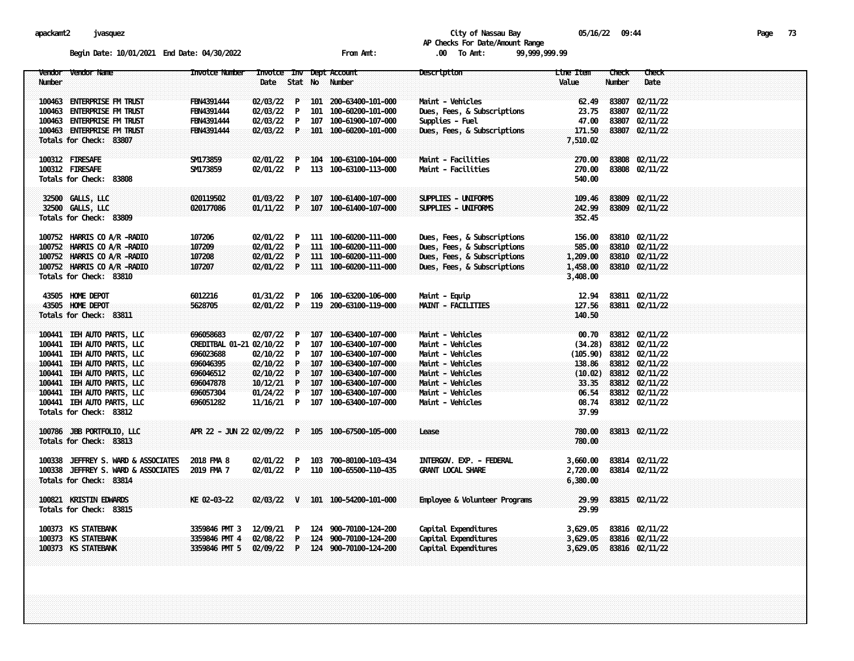**apackamt2 jvasquez City of Nassau Bay 05/16/22 09:44 Page 73 AP Checks For Date/Amount Range**

Begin Date: 10/01/2021 End Date: 04/30/2022 <br>From Amt:

| 100463 ENTERPRISE FM TRUST                               | <b>FBN4391444</b>                     | $02/03/22$ P |              |     | 101 200-63400-101-000                            | Maint - Vehicles                     | 62.49                   | 83807 02/11/22            |
|----------------------------------------------------------|---------------------------------------|--------------|--------------|-----|--------------------------------------------------|--------------------------------------|-------------------------|---------------------------|
| 100463 ENTERPRISE FM TRUST                               | <b>FBN4391444</b>                     | $02/03/22$ P |              |     | 101 100-60200-101-000                            | Dues, Fees, & Subscriptions          | 23.75                   | 83807 02/11/22            |
| 100463 ENTERPRISE FM TRUST                               | FBN4391444                            | 02/03/22 P   |              |     | 107 100-61900-107-000                            | Supplies - Fuel                      | 47.00                   | 83807 02/11/22            |
| 100463 ENTERPRISE FM TRUST                               | <b>FBN4391444</b>                     |              |              |     | 02/03/22 P 101 100-60200-101-000                 | Dues, Fees, & Subscriptions          | 171.50                  | 83807 02/11/22            |
| Totals for Check: 83807                                  |                                       |              |              |     |                                                  |                                      | 7,510.02                |                           |
| 100312 FIRESAFE                                          | SM173859                              | $02/01/22$ P |              |     | 104 100-63100-104-000                            | Maint - Facilities                   | 270.00                  | 83808 02/11/22            |
| 100312 FIRESAFE                                          | SM173859                              | $02/01/22$ P |              |     | 113 100-63100-113-000                            | Maint - Facilities                   | 270.00                  | 83808 02/11/22            |
| Totals for Check: 83808                                  |                                       |              |              |     |                                                  |                                      | 540.00                  |                           |
| 32500 GALLS, LLC                                         | 020119502                             | 01/03/22     | ∵ P          |     | 107 100-61400-107-000                            | SUPPLIES - UNIFORMS                  | 109.46                  | 83809 02/11/22            |
| 32500 GALLS, LLC                                         | 020177086                             |              |              |     | 01/11/22 P 107 100-61400-107-000                 | <b>SUPPLIES - UNIFORMS</b>           | 242.99                  | 83809 02/11/22            |
| Totals for Check: 83809                                  |                                       |              |              |     |                                                  |                                      | 352.45                  |                           |
| 100752 HARRIS CO A/R -RADIO                              | 107206                                | 02/01/22 P   |              |     | 111 100-60200-111-000                            | Dues, Fees, & Subscriptions          | 156.00                  | 83810 02/11/22            |
| 100752 HARRIS CO A/R -RADIO                              | 107209                                | $02/01/22$ P |              |     | 111 100-60200-111-000                            | Dues, Fees, & Subscriptions          | 585.00                  | 83810 02/11/22            |
| 100752 HARRIS CO A/R -RADIO                              | 107208                                | $02/01/22$ P |              |     | 111 100-60200-111-000                            | Dues, Fees, & Subscriptions          | 1,209.00                | 83810 02/11/22            |
| 100752 HARRIS CO A/R -RADIO                              | 107207                                |              |              |     | 02/01/22 P 111 100-60200-111-000                 | Dues, Fees, & Subscriptions          | 1,458.00 83810 02/11/22 |                           |
| Totals for Check: 83810                                  |                                       |              |              |     |                                                  |                                      | 3,408.00                |                           |
| 43505 HOME DEPOT                                         | 6012216                               | $01/31/22$ P |              |     | 106 100-63200-106-000                            | Maint - Equip                        | 12.94                   | 83811 02/11/22            |
| 43505 HOME DEPOT                                         | 5628705                               | $02/01/22$ P |              |     | 119 200-63100-119-000                            | MAINT - FACILITIES                   | 127.56                  | 83811 02/11/22            |
| Totals for Check: 83811                                  |                                       |              |              |     |                                                  |                                      | 140.50                  |                           |
|                                                          |                                       |              |              |     |                                                  |                                      |                         | 00.70 83812 02/11/22      |
| 100441 IEH AUTO PARTS, LLC<br>100441 IEH AUTO PARTS, LLC | 696058683<br>CREDITBAL 01-21 02/10/22 | $02/07/22$ P | $\mathsf{P}$ |     | 107 100-63400-107-000<br>107 100-63400-107-000   | Maint - Vehicles<br>Maint - Vehicles |                         | $(34.28)$ 83812 02/11/22  |
| 100441 IEH AUTO PARTS, LLC                               | 696023688                             | $02/10/22$ P |              |     | 107 100-63400-107-000                            | Maint - Vehicles                     |                         | $(105.90)$ 83812 02/11/22 |
| 100441 IEH AUTO PARTS, LLC                               | 696046395                             | $02/10/22$ P |              |     | 107 100-63400-107-000                            | Maint - Vehicles                     | 138.86                  | 83812 02/11/22            |
| 100441 IEH AUTO PARTS, LLC                               | 696046512                             | $02/10/22$ P |              |     | 107 100-63400-107-000                            | Maint - Vehicles                     |                         | $(10.02)$ 83812 02/11/22  |
| 100441 IEH AUTO PARTS, LLC                               | 696047878                             | $10/12/21$ P |              |     | 107 100-63400-107-000                            | Maint - Vehicles                     | 33.35                   | 83812 02/11/22            |
| 100441 TEH AUTO PARTS, LLC                               | 696057304                             | $01/24/22$ P |              |     | 107 100-63400-107-000                            | Maint - Vehicles                     | 06.54                   | 83812 02/11/22            |
| 100441 IEH AUTO PARTS, LLC                               | 696051282                             | $11/16/21$ P |              | 107 | 100-63400-107-000                                | Maint - Vehicles                     | 08.74                   | 83812 02/11/22            |
| Totals for Check: 83812                                  |                                       |              |              |     |                                                  |                                      | 37.99                   |                           |
| 100786 JBB PORTFOLIO, LLC                                |                                       |              |              |     | APR 22 - JUN 22 02/09/22 P 105 100-67500-105-000 | Lease                                | 780.00                  | 83813 02/11/22            |
| Totals for Check: 83813                                  |                                       |              |              |     |                                                  |                                      | 780.00                  |                           |
| 100338 JEFFREY S. WARD & ASSOCIATES                      | 2018 FMA 8                            | $02/01/22$ P |              |     | 103 700-80100-103-434                            | INTERGOV. EXP. - FEDERAL             | 3,660.00                | 83814 02/11/22            |
| 100338 JEFFREY S. WARD & ASSOCIATES                      | 2019 FMA 7                            | 02/01/22 P   |              |     | 110 100-65500-110-435                            | <b>GRANT LOCAL SHARE</b>             | 2,720.00                | 83814 02/11/22            |
| Totals for Check: 83814                                  |                                       |              |              |     |                                                  |                                      | 6,380.00                |                           |
| 100821 KRISTIN EDWARDS                                   | KE 02-03-22                           |              |              |     | 02/03/22 V 101 100-54200-101-000                 | Employee & Volunteer Programs        | 29.99                   | 83815 02/11/22            |
| Totals for Check: 83815                                  |                                       |              |              |     |                                                  |                                      | 29.99                   |                           |
| 100373 KS STATEBANK                                      | 3359846 PMT 3                         | 12/09/21 P   |              |     | 124 900-70100-124-200                            | Capital Expenditures                 | 3,629.05                | 83816 02/11/22            |
| 100373 KS STATEBANK                                      | 3359846 PMT 4                         | 02/08/22     | ு            |     | 124 900-70100-124-200                            | Capital Expenditures                 | 3,629.05                | 83816 02/11/22            |
| 100373 KS STATEBANK                                      | 3359846 PMT 5                         | 02/09/22     | ∵ P∶         |     | 124 900-70100-124-200                            | Capital Expenditures                 | 3,629.05                | 83816 02/11/22            |

**Vendor Vendor Name Invoice Number Invoice Inv Dept Account Description Line Item Check Check**

**Date Stat No Number**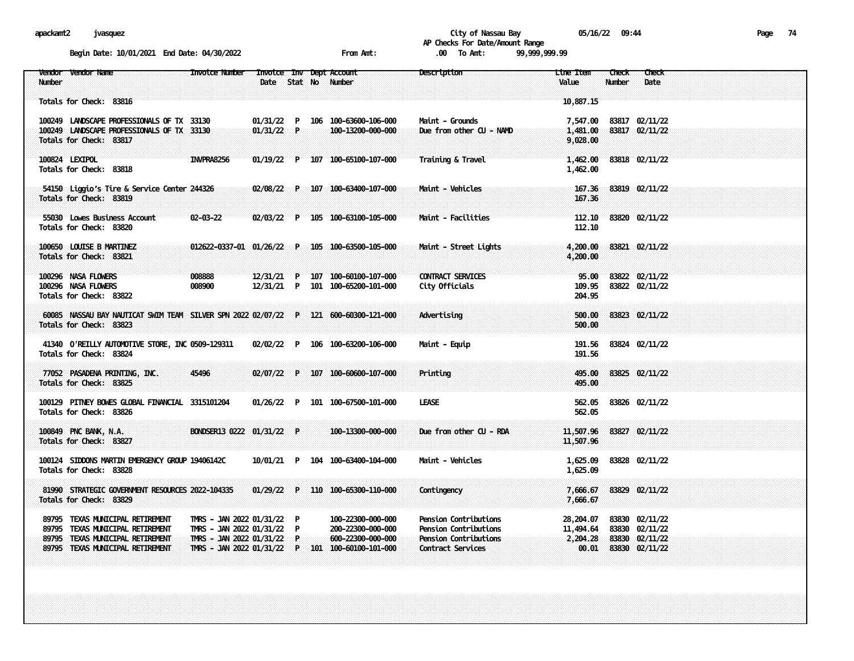**apackamt2 jvasquez City of Nassau Bay 05/16/22 09:44 Page 74 AP Checks For Date/Amount Range**

Begin Date: 10/01/2021 End Date: 04/30/2022 <br>From Amt:

| vendor vendor Name                                                                   | <b>Involce Number</b>      |              |  | <b>Invotce Inv Dept Account</b>                                       | <b>Description</b>           | <b>Line Item</b>       | Check         | Check          |  |  |
|--------------------------------------------------------------------------------------|----------------------------|--------------|--|-----------------------------------------------------------------------|------------------------------|------------------------|---------------|----------------|--|--|
| <b>Number</b>                                                                        |                            |              |  | Date Stat No Number                                                   |                              | Value                  | <b>Number</b> | Date           |  |  |
|                                                                                      |                            |              |  |                                                                       |                              |                        |               |                |  |  |
| Totals for Check: 83816                                                              |                            |              |  |                                                                       |                              | 10.887.15              |               |                |  |  |
| 100249 LANDSCAPE PROFESSIONALS OF TX 33130                                           |                            |              |  | 01/31/22 P 106 100-63600-106-000                                      | Maint - Grounds              | 7,547.00               |               | 83817 02/11/22 |  |  |
| 100249 LANDSCAPE PROFESSIONALS OF TX 33130                                           |                            | $01/31/22$ P |  | 100-13200-000-000                                                     | Due from other CU - NAMD     | 1,481.00               |               | 83817 02/11/22 |  |  |
| Totals for Check: 83817                                                              |                            |              |  |                                                                       |                              | 9,028.00               |               |                |  |  |
|                                                                                      |                            |              |  |                                                                       |                              |                        |               |                |  |  |
| 100824 LEXTPOL                                                                       | <b>INVPRA8256</b>          |              |  | 01/19/22 P 107 100-65100-107-000                                      | Training & Travel            | 1,462.00               |               | 83818 02/11/22 |  |  |
| Totals for Check: 83818                                                              |                            |              |  |                                                                       |                              | 1,462.00               |               |                |  |  |
|                                                                                      |                            |              |  |                                                                       |                              |                        |               |                |  |  |
| 54150 Liggio's Tire & Service Center 244326                                          |                            |              |  | $02/08/22$ P $107$ $100-63400-107-000$                                | Maint - Vehicles             | 167.36                 |               | 83819 02/11/22 |  |  |
| Totals for Check: 83819                                                              |                            |              |  |                                                                       |                              | 167.36                 |               |                |  |  |
|                                                                                      |                            |              |  |                                                                       |                              |                        |               |                |  |  |
| 55030 Lowes Business Account<br>Totals for Check: 83820                              | $02 - 03 - 22$             |              |  | 02/03/22 P 105 100-63100-105-000                                      | Maint - Facilities           | 112.10<br>112.10       |               | 83820 02/11/22 |  |  |
|                                                                                      |                            |              |  |                                                                       |                              |                        |               |                |  |  |
| 100650 LOUISE B MARTINEZ                                                             |                            |              |  | $0.012622 - 0.0337 - 0.014262$ P $1.05 - 1.00 - 63500 - 1.05 - 0.006$ | Maint - Street Lights        | 4,200.00               |               | 83821 02/11/22 |  |  |
| Totals for Check: 83821                                                              |                            |              |  |                                                                       |                              | 4,200.00               |               |                |  |  |
|                                                                                      |                            |              |  |                                                                       |                              |                        |               |                |  |  |
| 100296 NASA FLOWERS                                                                  | 008888                     | $12/31/21$ P |  | 107 100-60100-107-000                                                 | <b>CONTRACT SERVICES</b>     | 95.00                  |               | 83822 02/11/22 |  |  |
| 100296 NASA FLOWERS                                                                  | 008900                     |              |  | 12/31/21 P 101 100-65200-101-000                                      | City Officials               | 109.95                 |               | 83822 02/11/22 |  |  |
| Totals for Check: 83822                                                              |                            |              |  |                                                                       |                              | 204.95                 |               |                |  |  |
|                                                                                      |                            |              |  |                                                                       |                              |                        |               |                |  |  |
| 60085 NASSAU BAY NAUTICAT SMIM TEAM SILVER SPN 2022 02/07/22 P 121 600-60300-121-000 |                            |              |  |                                                                       | Advertising                  | 500.00                 |               | 83823 02/11/22 |  |  |
| Totals for Check: 83823                                                              |                            |              |  |                                                                       |                              | 500.00                 |               |                |  |  |
| 41340 O'REILLY AUTOMOTIVE STORE, INC 0509-129311                                     |                            |              |  | 02/02/22 P 106 100-63200-106-000                                      | Maint - Equip                | 191.56                 |               | 83824 02/11/22 |  |  |
| Totals for Check: 83824                                                              |                            |              |  |                                                                       |                              | 191.56                 |               |                |  |  |
|                                                                                      |                            |              |  |                                                                       |                              |                        |               |                |  |  |
| 77052 PASADENA PRINTING, INC.                                                        | 45496                      |              |  | 02/07/22 P 107 100-60600-107-000                                      | Printing                     | 495.00                 |               | 83825 02/11/22 |  |  |
| Totals for Check: 83825                                                              |                            |              |  |                                                                       |                              | 495.00                 |               |                |  |  |
|                                                                                      |                            |              |  |                                                                       |                              |                        |               |                |  |  |
| 100129 PITNEY BOWES GLOBAL FINANCIAL 3315101204                                      |                            | $01/26/22$ P |  | 101 100-67500-101-000                                                 | <b>LEASE</b>                 | 562.05                 |               | 83826 02/11/22 |  |  |
| Totals for Check: 83826                                                              |                            |              |  |                                                                       |                              | 562.05                 |               |                |  |  |
|                                                                                      |                            |              |  |                                                                       |                              |                        |               |                |  |  |
| 100849 PNC BANK, N.A.<br>Totals for Check: 83827                                     | BONDSER13 0222 01/31/22 P  |              |  | 100-13300-000-000                                                     | Due from other CU - RDA      | 11,507.96<br>11,507.96 |               | 83827 02/11/22 |  |  |
|                                                                                      |                            |              |  |                                                                       |                              |                        |               |                |  |  |
| 100124 SIDDONS MARTIN EMERGENCY GROUP 19406142C                                      |                            | $10/01/21$ P |  | 104 100-63400-104-000                                                 | Maint - Vehicles             | 1,625.09               |               | 83828 02/11/22 |  |  |
| Totals for Check: 83828                                                              |                            |              |  |                                                                       |                              | 1,625.09               |               |                |  |  |
|                                                                                      |                            |              |  |                                                                       |                              |                        |               |                |  |  |
| 81990 STRATEGIC GOVERNMENT RESOURCES 2022-104335                                     |                            |              |  | 01/29/22 P 110 100-65300-110-000                                      | Contingency                  | 7.666.67               |               | 83829 02/11/22 |  |  |
| Totals for Check: 83829                                                              |                            |              |  |                                                                       |                              | 7,666.67               |               |                |  |  |
|                                                                                      |                            |              |  |                                                                       |                              |                        |               |                |  |  |
| 89795 TEXAS MUNICIPAL RETIREMENT                                                     | TMRS - JAN 2022 01/31/22 P |              |  | 100-22300-000-000                                                     | <b>Pension Contributions</b> | 28,204.07              |               | 83830 02/11/22 |  |  |
| 89795 TEXAS MUNICIPAL RETIREMENT                                                     | TMRS - JAN 2022 01/31/22 P |              |  | 200-22300-000-000                                                     | <b>Pension Contributions</b> | 11,494.64              |               | 83830 02/11/22 |  |  |
| 89795 TEXAS MUNICIPAL RETIREMENT                                                     | TMRS - JAN 2022 01/31/22 P |              |  | 600-22300-000-000                                                     | <b>Pension Contributions</b> | 2,204.28               |               | 83830 02/11/22 |  |  |
| 89795 TEXAS MUNICIPAL RETIREMENT                                                     |                            |              |  | TMRS - JAN 2022 01/31/22 P 101 100-60100-101-000                      | Contract Services            | 00.01                  |               | 83830 02/11/22 |  |  |
|                                                                                      |                            |              |  |                                                                       |                              |                        |               |                |  |  |
|                                                                                      |                            |              |  |                                                                       |                              |                        |               |                |  |  |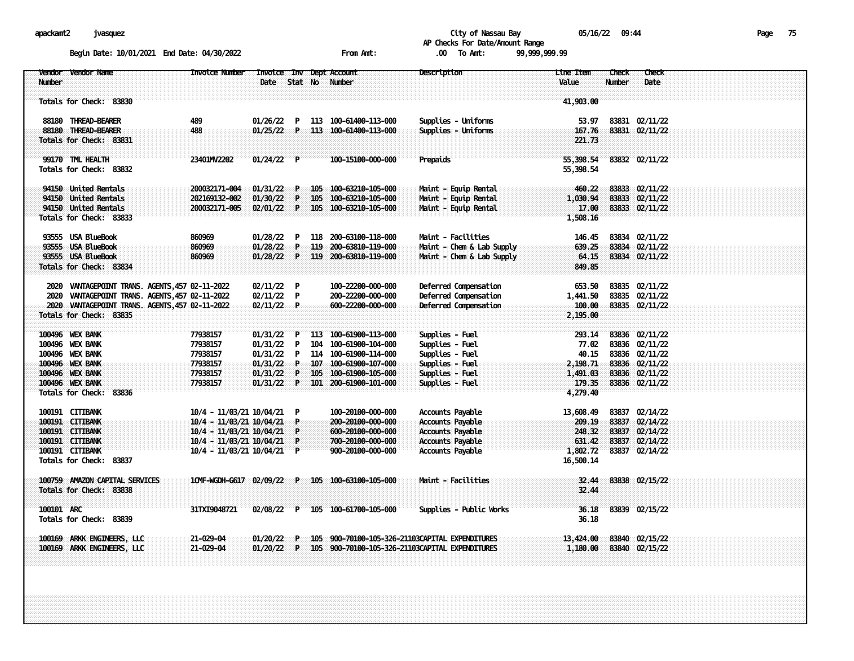**apackamt2 jvasquez City of Nassau Bay 05/16/22 09:44 Page 75 AP Checks For Date/Amount Range** Begin Date: 10/01/2021 End Date: 04/30/2022 From Amt: 99,999,999.99 (999.99)

|               | vendor vendor Name                                                         | Invotce Number               |              |     | <b>Involce Inv Dept Account</b>                           | <b>Description</b>                              | <b>Etne Item</b>   | <b>Check</b>  | Check                            |  |  |
|---------------|----------------------------------------------------------------------------|------------------------------|--------------|-----|-----------------------------------------------------------|-------------------------------------------------|--------------------|---------------|----------------------------------|--|--|
| <b>Number</b> |                                                                            |                              |              |     | Date Stat No Number                                       |                                                 | Value              | <b>Number</b> | Date                             |  |  |
|               | Totals for Check: 83830                                                    |                              |              |     |                                                           |                                                 | 41,903.00          |               |                                  |  |  |
|               | 88180 THREAD-BEARER                                                        | 489                          | $01/26/22$ P |     | 113 100-61400-113-000                                     | Supplies - Uniforms                             | 53.97              |               | 83831 02/11/22                   |  |  |
|               | 88180 THREAD-BEARER                                                        | 488                          | $01/25/22$ P |     | $-113 - 100 - 61400 - 113 - 000$                          | Supplies - Uniforms                             | 167.76             |               | 83831 02/11/22                   |  |  |
|               | Totals for Check: 83831                                                    |                              |              |     |                                                           |                                                 | 221.73             |               |                                  |  |  |
|               | 99170 TML HEALTH                                                           | 23401MV2202                  | $01/24/22$ P |     | 100-15100-000-000                                         | <b>Prepaids</b>                                 | 55,398.54          |               | 83832 02/11/22                   |  |  |
|               | Totals for Check: 83832                                                    |                              |              |     |                                                           |                                                 | 55,398.54          |               |                                  |  |  |
|               | 94150 United Rentals                                                       | 200032171-004                | $01/31/22$ P |     | $105 - 100 - 63210 - 105 - 000$                           | Maint - Equip Rental                            | 460.22             |               | 83833 02/11/22                   |  |  |
|               | 94150 United Rentals                                                       | 202169132-002                | 01/30/22     | ႃၣႜ | 105 100-63210-105-000                                     | Maint - Equip Rental                            | 1,030.94           |               | 83833 02/11/22                   |  |  |
|               | 94150 United Rentals                                                       | 200032171-005                |              |     | 02/01/22 P 105 100-63210-105-000                          | Maint - Equip Rental                            | 17.00              |               | 83833 02/11/22                   |  |  |
|               | Totals for Check: 83833                                                    |                              |              |     |                                                           |                                                 | 1,508.16           |               |                                  |  |  |
|               | 93555 USA BlueBook                                                         | 860969                       | 01/28/22     | - P | 118 200-63100-118-000                                     | Maint - Facilities                              | 146.45             |               | 83834 02/11/22                   |  |  |
|               | 93555 USA BlueBook                                                         | 860969                       | 01/28/22 P   |     | 119 200-63810-119-000                                     | Maint - Chem & Lab Supply                       | 639.25             |               | 83834 02/11/22                   |  |  |
|               | 93555 USA BlueBook                                                         | 860969                       | 01/28/22 P   |     | 119 200-63810-119-000                                     | Maint - Chem & Lab Supply                       | 64.15              |               | 83834 02/11/22                   |  |  |
|               | Totals for Check: 83834                                                    |                              |              |     |                                                           |                                                 | 849.85             |               |                                  |  |  |
|               | 2020 VANTAGEPOINT TRANS. AGENTS, 457 02-11-2022                            |                              | $02/11/22$ P |     | 100-22200-000-000                                         | Deferred Compensation                           | 653.50             |               | 83835 02/11/22                   |  |  |
|               | 2020 VANTAGEPOINT TRANS. AGENTS, 457 02-11-2022                            |                              | $02/11/22$ P |     | 200-22200-000-000                                         | Deferred Compensation                           | 1,441.50           |               | 83835 02/11/22                   |  |  |
|               | 2020 VANTAGEPOINT TRANS. AGENTS, 457 02-11-2022<br>Totals for Check: 83835 |                              | $02/11/22$ P |     | 600-22200-000-000                                         | Deferred Compensation                           | 100.00             |               | 83835 02/11/22                   |  |  |
|               |                                                                            |                              |              |     |                                                           |                                                 | 2,195.00           |               |                                  |  |  |
|               | <b>100496 WEX BANK</b>                                                     | 77938157                     | $01/31/22$ P |     | 113 100-61900-113-000                                     | Supplies - Fuel                                 | 293.14             |               | 83836 02/11/22                   |  |  |
|               | 100496 WEX BANK                                                            | 77938157                     | $01/31/22$ P |     | 104 100-61900-104-000                                     | Supplies - Fuel                                 | 77.02              |               | 83836 02/11/22                   |  |  |
|               | <b>100496 WEX BANK</b>                                                     | 77938157                     |              |     | 01/31/22 P 114 100-61900-114-000                          | Supplies - Fuel                                 | 40.15              |               | 83836 02/11/22                   |  |  |
|               | <b>100496 MEX BANK</b>                                                     | 77938157                     | $01/31/22$ P |     | $107 - 100 - 61900 - 107 - 000$                           | Supplies - Fuel                                 | 2,198.71           |               | 83836 02/11/22                   |  |  |
|               | <b>100496 WEX BANK</b><br><b>100496 WEX BANK</b>                           | 77938157<br>77938157         | $01/31/22$ P |     | 105 100-61900-105-000<br>01/31/22 P 101 200-61900-101-000 | Supplies - Fuel<br>Supplies - Fuel              | 1,491.03<br>179.35 |               | 83836 02/11/22<br>83836 02/11/22 |  |  |
|               | Totals for Check: 83836                                                    |                              |              |     |                                                           |                                                 | 4,279.40           |               |                                  |  |  |
|               | 100191 CITIBANK                                                            | 10/4 - 11/03/21 10/04/21 P   |              |     | 100-20100-000-000                                         | <b>Accounts Payable</b>                         | 13,608.49          |               | 83837 02/14/22                   |  |  |
|               | 100191 CITIBANK                                                            | 10/4 - 11/03/21 10/04/21 P   |              |     | 200-20100-000-000                                         | <b>Accounts Payable</b>                         | 209.19             |               | 83837 02/14/22                   |  |  |
|               | 100191 CITIBANK                                                            | 10/4 - 11/03/21 10/04/21 P   |              |     | 600-20100-000-000                                         | <b>Accounts Payable</b>                         | 248.32             |               | 83837 02/14/22                   |  |  |
|               | 100191 CITIBANK                                                            | $10/4 - 11/03/21$ 10/04/21 P |              |     | 700-20100-000-000                                         | <b>Accounts Payable</b>                         | 631.42             |               | 83837 02/14/22                   |  |  |
|               | 100191 CITIBANK                                                            | 10/4 - 11/03/21 10/04/21 P   |              |     | 900-20100-000-000                                         | <b>Accounts Payable</b>                         | 1,802.72           |               | 83837 02/14/22                   |  |  |
|               | Totals for Check: 83837                                                    |                              |              |     |                                                           |                                                 | 16,500.14          |               |                                  |  |  |
|               | 100759 AMAZON CAPITAL SERVICES                                             |                              |              |     | 1CMF-WGDH-G617 02/09/22 P 105 100-63100-105-000           | Maint - Facilities                              | 32.44              |               | 83838 02/15/22                   |  |  |
|               | Totals for Check: 83838                                                    |                              |              |     |                                                           |                                                 | 32.44              |               |                                  |  |  |
| 100101 ARC    |                                                                            | 31TXI9048721                 | $02/08/22$ P |     | 105 100-61700-105-000                                     | Supplies - Public Works                         | 36.18              |               | 83839 02/15/22                   |  |  |
|               | Totals for Check: 83839                                                    |                              |              |     |                                                           |                                                 | 36.18              |               |                                  |  |  |
|               | 100169 ARKK ENGINEERS, LLC                                                 | 21-029-04                    | $01/20/22$ P |     |                                                           | 105 900-70100-105-326-21103CAPITAL EXPENDITURES | 13,424.00          |               | 83840 02/15/22                   |  |  |
|               | 100169 ARKK ENGINEERS, LLC                                                 | 21-029-04                    | $01/20/22$ P |     |                                                           | 105 900-70100-105-326-21103CAPITAL EXPENDITURES | 1,180.00           |               | 83840 02/15/22                   |  |  |
|               |                                                                            |                              |              |     |                                                           |                                                 |                    |               |                                  |  |  |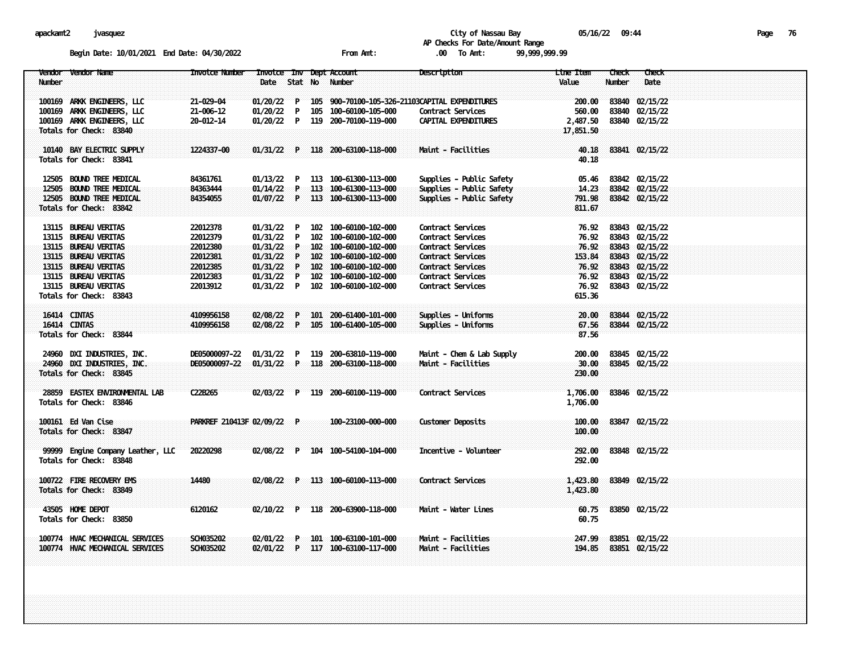**apackamt2 jvasquez City of Nassau Bay 05/16/22 09:44 Page 76 AP Checks For Date/Amount Range**

| vendor vendor Name                | <b>LINOLOGY UNICE</b>      | <b>Invoice Inv Dept Account</b> |              |     |                                                 | <b>Description</b>          | itine Item<br>Value | <b>Check</b>  | <b>Check</b>   |  |  |
|-----------------------------------|----------------------------|---------------------------------|--------------|-----|-------------------------------------------------|-----------------------------|---------------------|---------------|----------------|--|--|
| <b>Number</b>                     |                            | Date Stat No Number             |              |     |                                                 |                             |                     | <b>Number</b> | Date           |  |  |
| 100169 ARKK ENGINEERS, LLC        | 21-029-04                  | 01/20/22                        | ႃၣႃ          |     | 105 900-70100-105-326-21103CAPITAL EXPENDITURES |                             | 200.00              | 83840         | 02/15/22       |  |  |
| 100169 ARKK ENGINEERS, LLC        | 21-006-12                  | 01/20/22                        | P            | 105 | 100-60100-105-000                               | Contract Services           | 560.00              | 83840         | 02/15/22       |  |  |
| 100169 ARKK ENGINEERS, LLC        | 20-012-14                  | 01/20/22                        | P.           |     | 119 200-70100-119-000                           | <b>CAPITAL EXPENDITURES</b> | 2,487.50            |               | 83840 02/15/22 |  |  |
| Totals for Check: 83840           |                            |                                 |              |     |                                                 |                             | 17,851.50           |               |                |  |  |
|                                   |                            |                                 |              |     |                                                 |                             |                     |               |                |  |  |
| 10140 BAY ELECTRIC SUPPLY         | 1224337-00                 | 01/31/22                        | ∷∶P          |     | 118 200-63100-118-000                           | Maint - Facilities          | 40.18               |               | 83841 02/15/22 |  |  |
| Totals for Check: 83841           |                            |                                 |              |     |                                                 |                             | 40.18               |               |                |  |  |
|                                   |                            |                                 |              |     |                                                 |                             |                     |               |                |  |  |
| 12505 BOUND TREE MEDICAL          | 84361761                   | 01/13/22                        | <b>P</b>     |     | 113 100-61300-113-000                           | Supplies - Public Safety    | 05.46               |               | 83842 02/15/22 |  |  |
| 12505 BOUND TREE MEDICAL          | 84363444                   | 01/14/22                        | . Р          |     | 113 100-61300-113-000                           | Supplies - Public Safety    | 14.23               |               | 83842 02/15/22 |  |  |
| 12505 BOUND TREE MEDICAL          | 84354055                   | 01/07/22                        | ∷ P          |     | 113 100-61300-113-000                           | Supplies - Public Safety    | 791.98              |               | 83842 02/15/22 |  |  |
| Totals for Check: 83842           |                            |                                 |              |     |                                                 |                             | 811.67              |               |                |  |  |
|                                   |                            |                                 |              |     |                                                 |                             |                     |               |                |  |  |
| 13115 BUREAU VERITAS              | 22012378                   | 01/31/22                        | P            |     | 102 100-60100-102-000                           | Contract Services           | 76.92               |               | 83843 02/15/22 |  |  |
| 13115 BUREAU VERITAS              | 22012379                   | 01/31/22                        | P            |     | 102 100-60100-102-000                           | Contract Services           | 76.92               |               | 83843 02/15/22 |  |  |
| <b>13115 BUREAU VERITAS</b>       | 22012380                   | 01/31/22                        | ႃၣႜ          |     | 102 100-60100-102-000                           | Contract Services           | 76.92               |               | 83843 02/15/22 |  |  |
| 13115 BUREAU VERITAS              | 22012381                   | 01/31/22                        | ान           |     | 102 100-60100-102-000                           | Contract Services           | 153.84              |               | 83843 02/15/22 |  |  |
| <b>13115 BUREAU VERITAS</b>       | 22012385                   | 01/31/22                        | ு            |     | 102 100-60100-102-000                           | <b>Contract Services</b>    | 76.92               |               | 83843 02/15/22 |  |  |
| <b>13115 BUREAU VERITAS</b>       | 22012383                   | 01/31/22                        | $\mathsf{P}$ |     | 102 100-60100-102-000                           | <b>Contract Services</b>    | 76.92               |               | 83843 02/15/22 |  |  |
| 13115 BUREAU VERITAS              | 22013912                   | $01/31/22$ P                    |              |     | 102 100-60100-102-000                           | Contract Services           | 76.92               |               | 83843 02/15/22 |  |  |
| Totals for Check: 83843           |                            |                                 |              |     |                                                 |                             | 615.36              |               |                |  |  |
|                                   |                            |                                 |              |     |                                                 |                             |                     |               |                |  |  |
| 16414 CINTAS                      | 4109956158                 | 02/08/22                        | P.           |     | 101 200-61400-101-000                           | Supplies - Uniforms         | 20.00               |               | 83844 02/15/22 |  |  |
| 16414 CINTAS                      | 4109956158                 | $02/08/22$ P                    |              |     | 105 100-61400-105-000                           | Supplies - Uniforms         | 67.56               |               | 83844 02/15/22 |  |  |
| Totals for Check: 83844           |                            |                                 |              |     |                                                 |                             | 87.56               |               |                |  |  |
|                                   |                            |                                 |              |     |                                                 |                             |                     |               |                |  |  |
| 24960 DXI INDUSTRIES, INC.        | DE05000097-22              | 01/31/22                        | <b>P</b>     |     | 119 200-63810-119-000                           | Maint - Chem & Lab Supply   | 200.00              |               | 83845 02/15/22 |  |  |
| 24960 DXI INDUSTRIES, INC.        | DE05000097-22              | 01/31/22                        | ∵₽           |     | 118 200-63100-118-000                           | Maint - Facilities          | 30.00               |               | 83845 02/15/22 |  |  |
| Totals for Check: 83845           |                            |                                 |              |     |                                                 |                             | 230.00              |               |                |  |  |
|                                   |                            |                                 |              |     |                                                 |                             |                     |               |                |  |  |
| 28859 EASTEX ENVIRONMENTAL LAB    | C22B265                    | $02/03/22$ P                    |              |     | 119 200-60100-119-000                           | <b>Contract Services</b>    | 1,706.00            |               | 83846 02/15/22 |  |  |
| Totals for Check: 83846           |                            |                                 |              |     |                                                 |                             | 1,706.00            |               |                |  |  |
|                                   |                            |                                 |              |     |                                                 |                             |                     |               |                |  |  |
| 100161 Ed Van Cise                | PARKREF 210413F 02/09/22 P |                                 |              |     | 100-23100-000-000                               | Customer Deposits           | 100.00              |               | 83847 02/15/22 |  |  |
| Totals for Check: 83847           |                            |                                 |              |     |                                                 |                             | 100.00              |               |                |  |  |
|                                   |                            |                                 |              |     |                                                 |                             |                     |               |                |  |  |
| 99999 Engine Company Leather, LLC | 20220298                   | $02/08/22$ P                    |              |     | 104 100-54100-104-000                           | Incentive - Volunteer       | 292.00              |               | 83848 02/15/22 |  |  |
| Totals for Check: 83848           |                            |                                 |              |     |                                                 |                             | 292.00              |               |                |  |  |
|                                   |                            |                                 |              |     |                                                 |                             |                     |               |                |  |  |
| 100722 FIRE RECOVERY EMS          | 14480                      | 02/08/22                        | ₽.           |     | 113 100-60100-113-000                           | <b>Contract Services</b>    | 1,423.80            |               | 83849 02/15/22 |  |  |
| Totals for Check: 83849           |                            |                                 |              |     |                                                 |                             | 1,423.80            |               |                |  |  |
|                                   |                            |                                 |              |     |                                                 |                             |                     |               |                |  |  |
| 43505 HOME DEPOT                  | 6120162                    | 02/10/22                        | ∵P⊺          |     | 118 200-63900-118-000                           | Maint - Water Lines         | 60.75               |               | 83850 02/15/22 |  |  |
| Totals for Check: 83850           |                            |                                 |              |     |                                                 |                             | 60.75               |               |                |  |  |
|                                   |                            |                                 |              |     |                                                 |                             |                     |               |                |  |  |
| 100774 HVAC MECHANICAL SERVICES   | <b>SCH035202</b>           | 02/01/22                        | ₽.           |     | 101 100-63100-101-000                           | Maint - Facilities          | 247.99              |               | 83851 02/15/22 |  |  |
| 100774 HVAC MECHANICAL SERVICES   | <b>SCH035202</b>           |                                 |              |     | 02/01/22 P 117 100-63100-117-000                | Maint - Facilities          | 194.85              |               | 83851 02/15/22 |  |  |
|                                   |                            |                                 |              |     |                                                 |                             |                     |               |                |  |  |
|                                   |                            |                                 |              |     |                                                 |                             |                     |               |                |  |  |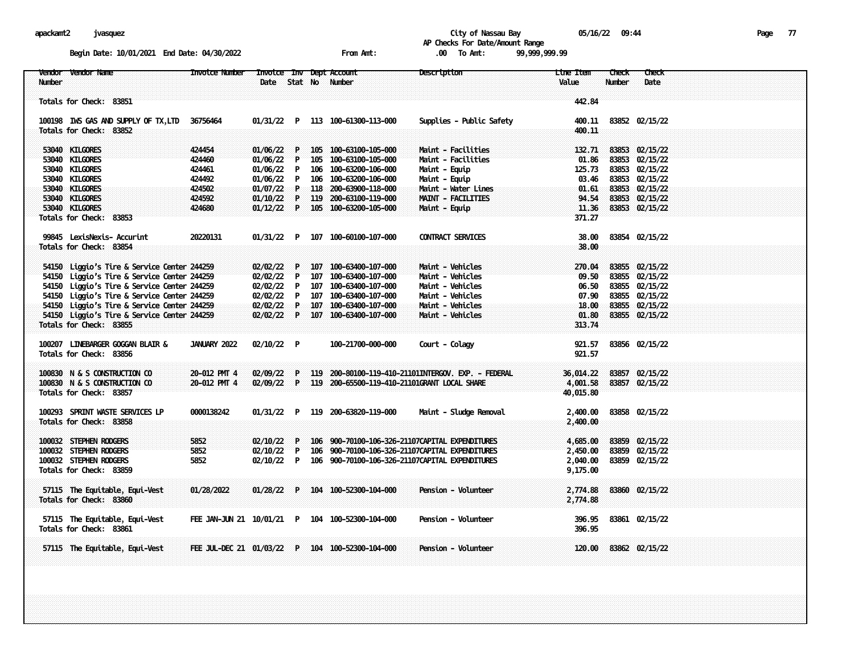**apackamt2 jvasquez City of Nassau Bay 05/16/22 09:44 Page 77 AP Checks For Date/Amount Range**

| 05/16/22 | 09:4 |  |  |
|----------|------|--|--|
|----------|------|--|--|

**Begin Date: 10/01/2021 End Date: 04/30/2022 From Amt: .00 To Amt: 99,999,999.99**

| <del>Vendor Vendor Name</del>               | Invotce Number |              |  | <b>Invotce Inv Dept Account</b>                 | <b>Description</b>                                         | ttne Item    | Check         | Check          |  |  |  |
|---------------------------------------------|----------------|--------------|--|-------------------------------------------------|------------------------------------------------------------|--------------|---------------|----------------|--|--|--|
| <b>Number</b>                               |                |              |  | Date Stat No Number                             |                                                            | <b>Value</b> | <b>Number</b> | Date           |  |  |  |
| Totals for Check: 83851                     |                |              |  |                                                 |                                                            | 442.84       |               |                |  |  |  |
| 100198 INS GAS AND SUPPLY OF TX, LTD        | 36756464       | $01/31/22$ P |  | 113 100-61300-113-000                           | Supplies - Public Safety                                   | 400.11       |               | 83852 02/15/22 |  |  |  |
| Totals for Check: 83852                     |                |              |  |                                                 |                                                            | 400.11       |               |                |  |  |  |
| 53040 KILGORES                              | 424454         | $01/06/22$ P |  | $105$ $100 - 63100 - 105 - 000$                 | Maint - Facilities                                         | 132.71       |               | 83853 02/15/22 |  |  |  |
| 53040 KILGORES                              | 424460         | $01/06/22$ P |  | 105 100-63100-105-000                           | Maint - Facilities                                         | 01.86        |               | 83853 02/15/22 |  |  |  |
| 53040 KILGORES                              | 424461         |              |  | 01/06/22 P 106 100-63200-106-000                | Maint - Equip                                              | 125.73       |               | 83853 02/15/22 |  |  |  |
| 53040 KILGORES                              | 424492         | 01/06/22 P   |  | 106 100-63200-106-000                           | Maint - Equip                                              | 03.46        |               | 83853 02/15/22 |  |  |  |
| 53040 KILGORES                              | 424502         |              |  | 01/07/22 P 118 200-63900-118-000                | Maint - Water Lines                                        | 01.61        |               | 83853 02/15/22 |  |  |  |
| 53040 KILGORES                              | 424592         |              |  | 01/10/22 P 119 200-63100-119-000                | <b>MAINT - FACILITIES</b>                                  | 94.54        |               | 83853 02/15/22 |  |  |  |
| 53040 KILGORES                              | 424680         |              |  | 01/12/22 P 105 100-63200-105-000                | Maint - Equip                                              | 11.36        |               | 83853 02/15/22 |  |  |  |
| Totals for Check: 83853                     |                |              |  |                                                 |                                                            | 371.27       |               |                |  |  |  |
| 99845 LexisNexis-Accurint                   | 20220131       |              |  | 01/31/22 P 107 100-60100-107-000                | <b>CONTRACT SERVICES</b>                                   | 38.00        |               | 83854 02/15/22 |  |  |  |
| Totals for Check: 83854                     |                |              |  |                                                 |                                                            | 38.00        |               |                |  |  |  |
| 54150 Liggio's Tire & Service Center 244259 |                | $02/02/22$ P |  | 107 100-63400-107-000                           | Maint - Vehicles                                           | 270.04       |               | 83855 02/15/22 |  |  |  |
| 54150 Liggio's Tire & Service Center 244259 |                | $02/02/22$ P |  | 107 100-63400-107-000                           | Maint - Vehicles                                           | 09.50        |               | 83855 02/15/22 |  |  |  |
| 54150 Liggio's Tire & Service Center 244259 |                |              |  | 02/02/22 P 107 100-63400-107-000                | Maint - Vehicles                                           | 06.50        |               | 83855 02/15/22 |  |  |  |
| 54150 Liggio's Tire & Service Center 244259 |                |              |  | 02/02/22 P 107 100-63400-107-000                | Maint - Vehicles                                           | 07.90        |               | 83855 02/15/22 |  |  |  |
| 54150 Liggio's Tire & Service Center 244259 |                |              |  | 02/02/22 P 107 100-63400-107-000                | Maint - Vehicles                                           | 18.00        |               | 83855 02/15/22 |  |  |  |
| 54150 Liggio's Tire & Service Center 244259 |                |              |  | 02/02/22 P 107 100-63400-107-000                | Maint - Vehicles                                           | 01.80        |               | 83855 02/15/22 |  |  |  |
| Totals for Check: 83855                     |                |              |  |                                                 |                                                            | 313.74       |               |                |  |  |  |
| 100207 LINEBARGER GOGGAN BLAIR &            | JANUARY 2022   | $02/10/22$ P |  | 100-21700-000-000                               | Court - Colagy                                             | 921.57       |               | 83856 02/15/22 |  |  |  |
| Totals for Check: 83856                     |                |              |  |                                                 |                                                            | 921.57       |               |                |  |  |  |
|                                             |                |              |  |                                                 |                                                            |              |               |                |  |  |  |
| 100830 N & S CONSTRUCTION CO                | 20-012 PMT 4   | 02/09/22 P   |  |                                                 | 119  200-80100-119-410-21101INTERGOV, EXP. - FEDERAL       | 36,014.22    |               | 83857 02/15/22 |  |  |  |
| 100830 N & S CONSTRUCTION CO                | 20-012 PMT 4   | 02/09/22 P   |  | 119 200-65500-119-410-21101GRANT LOCAL SHARE    |                                                            | 4,001.58     |               | 83857 02/15/22 |  |  |  |
| Totals for Check: 83857                     |                |              |  |                                                 |                                                            | 40,015.80    |               |                |  |  |  |
| 100293 SPRINT WASTE SERVICES LP             | 0000138242     | 01/31/22 P   |  | 119 200-63820-119-000                           | Maint - Sludge Removal                                     | 2,400.00     |               | 83858 02/15/22 |  |  |  |
| Totals for Check: 83858                     |                |              |  |                                                 |                                                            | 2,400.00     |               |                |  |  |  |
| 100032 STEPHEN RODGERS                      | 5852           | $02/10/22$ P |  |                                                 | 106 900-70100-106-326-21107CAPITAL EXPENDITURES            | 4,685.00     |               | 83859 02/15/22 |  |  |  |
| 100032 STEPHEN RODGERS                      | 5852           | $02/10/22$ P |  |                                                 | 106 900-70100-106-326-21107CAPITAL EXPENDITURES            | 2,450.00     |               | 83859 02/15/22 |  |  |  |
| 100032 STEPHEN RODGERS                      | 5852           |              |  |                                                 | 02/10/22 P 106 900-70100-106-326-21107CAPITAL EXPENDITURES | 2,040.00     |               | 83859 02/15/22 |  |  |  |
| Totals for Check: 83859                     |                |              |  |                                                 |                                                            | 9,175.00     |               |                |  |  |  |
| 57115 The Equitable, Equi-Vest              | 01/28/2022     |              |  | 01/28/22 P 104 100-52300-104-000                | Pension - Volunteer                                        | 2,774.88     |               | 83860 02/15/22 |  |  |  |
| Totals for Check: 83860                     |                |              |  |                                                 |                                                            | 2,774.88     |               |                |  |  |  |
|                                             |                |              |  |                                                 |                                                            |              |               |                |  |  |  |
| 57115 The Equitable, Equi-Vest              |                |              |  | FEE JAN-JUN 21 10/01/21 P 104 100-52300-104-000 | Pension - Volunteer                                        | 396.95       |               | 83861 02/15/22 |  |  |  |
| Totals for Check: 83861                     |                |              |  |                                                 |                                                            | 396.95       |               |                |  |  |  |
| 57115 The Equitable, Equi-Vest              |                |              |  | FEE JUL-DEC 21 01/03/22 P 104 100-52300-104-000 | <b>Pension - Volunteer</b>                                 | 120.00       |               | 83862 02/15/22 |  |  |  |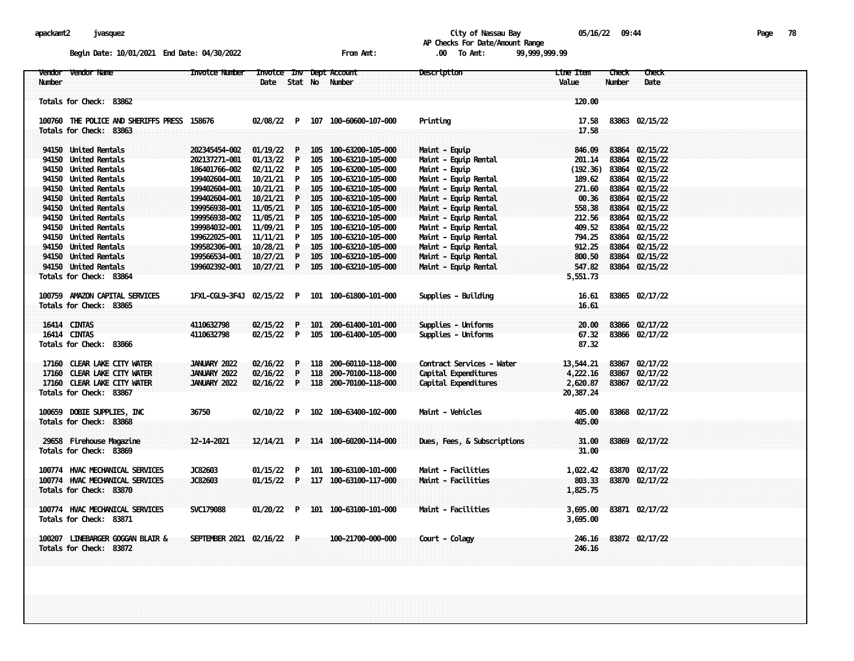**apackamt2 jvasquez City of Nassau Bay 05/16/22 09:44 Page 78 AP Checks For Date/Amount Range**

Begin Date: 10/01/2021 End Date: 04/30/2022 <br>From Amt:

|               | <u> Vendor Vendor Name</u>                                  | <b>Invoice Number</b>     |              |              |      | <b>Invoice Inv Dept Account</b> | <b>Description</b>          | itine Titem      | Check         | Check          |  |  |
|---------------|-------------------------------------------------------------|---------------------------|--------------|--------------|------|---------------------------------|-----------------------------|------------------|---------------|----------------|--|--|
| <b>Number</b> |                                                             |                           |              |              |      | Date Stat No Number             |                             | Value            | <b>Number</b> | Date           |  |  |
|               | Totals for Check: 83862                                     |                           |              |              |      |                                 |                             | 120.00           |               |                |  |  |
|               | 100760 THE POLICE AND SHERIFFS PRESS 158676                 |                           | 02/08/22     | <b>P</b>     |      | 107 100-60600-107-000           | Printing                    | 17.58            |               | 83863 02/15/22 |  |  |
|               | Totals for Check: 83863                                     |                           |              |              |      |                                 |                             | 17.58            |               |                |  |  |
|               | 94150 United Rentals                                        | 202345454-002             | 01/19/22     | .P           | 105  | 100-63200-105-000               | Maint - Equip               | 846.09           |               | 83864 02/15/22 |  |  |
|               | <b>94150 United Rentals</b>                                 | 202137271-001             | 01/13/22     | ႃၣႜ          | 105  | 100-63210-105-000               | Maint - Equip Rental        | 201.14           |               | 83864 02/15/22 |  |  |
|               | 94150 United Rentals                                        | 186401766-002             | 02/11/22     | - P          | 105  | 100-63200-105-000               | Maint - Equip               | (192.36)         |               | 83864 02/15/22 |  |  |
|               | 94150 United Rentals                                        | 199402604-001             | 10/21/21     | $\mathsf{P}$ | 105  | 100-63210-105-000               | Maint - Equip Rental        | 189.62           |               | 83864 02/15/22 |  |  |
|               | 94150 United Rentals                                        | 199402604-001             | 10/21/21     | ⊙.P          | -105 | 100-63210-105-000               | Maint - Equip Rental        | 271.60           |               | 83864 02/15/22 |  |  |
|               | 94150 United Rentals                                        | 199402604-001             | 10/21/21     | ∴ P          | 105  | 100-63210-105-000               | Maint - Equip Rental        | 00.36            |               | 83864 02/15/22 |  |  |
|               | 94150 United Rentals                                        | 199956938-001             | 11/05/21     | ∵P           | 105  | 100-63210-105-000               | Maint - Equip Rental        | 558.38           |               | 83864 02/15/22 |  |  |
|               | 94150 United Rentals                                        | 199956938-002             | 11/05/21     | ႃၣႜ          | 105  | 100-63210-105-000               | Maint - Equip Rental        | 212.56           |               | 83864 02/15/22 |  |  |
|               | 94150 United Rentals                                        | 199984032-001 11/09/21    |              | $\mathsf{P}$ | 105  | 100-63210-105-000               | Maint - Equip Rental        | 409.52           |               | 83864 02/15/22 |  |  |
|               | 94150 United Rentals                                        | 199622025-001 11/11/21    |              | $\mathsf{P}$ | 105  | 100-63210-105-000               | Maint - Equip Rental        | 794.25           |               | 83864 02/15/22 |  |  |
|               | 94150 United Rentals                                        | 199582306-001             | 10/28/21     | ∵ਾ₽          | 105  | 100-63210-105-000               | Maint - Equip Rental        | 912.25           |               | 83864 02/15/22 |  |  |
|               | 94150 United Rentals                                        | 199566534-001             | 10/27/21     | ႃၣ           | 105  | 100-63210-105-000               | Maint - Equip Rental        | 800.50           |               | 83864 02/15/22 |  |  |
|               | 94150 United Rentals                                        | 199602392-001             | $10/27/21$ P |              | 105  | 100-63210-105-000               | Maint - Equip Rental        | 547.82           |               | 83864 02/15/22 |  |  |
|               | Totals for Check: 83864                                     |                           |              |              |      |                                 |                             | 5,551.73         |               |                |  |  |
|               | 100759 AMAZON CAPITAL SERVICES                              | 1FXL-CGL9-3F4J 02/15/22   |              | $\mathbf{P}$ |      | 101 100-61800-101-000           | Supplies - Building         | 16.61            |               | 83865 02/17/22 |  |  |
|               | Totals for Check: 83865                                     |                           |              |              |      |                                 |                             | 16.61            |               |                |  |  |
|               | 16414 CINTAS                                                | 4110632798                | 02/15/22     | ₽            |      | 101 200-61400-101-000           | Supplies - Uniforms         | 20.00            |               | 83866 02/17/22 |  |  |
|               | 16414 CINTAS                                                | 4110632798                | 02/15/22     | ႃၣႃ          |      | 105 100-61400-105-000           | Supplies - Uniforms         | 67.32            |               | 83866 02/17/22 |  |  |
|               | Totals for Check: 83866                                     |                           |              |              |      |                                 |                             | 87.32            |               |                |  |  |
|               | 17160 CLEAR LAKE CITY WATER                                 | JANUARY 2022              | 02/16/22     | .P           |      | 118 200-60110-118-000           | Contract Services - Water   | 13,544.21        | 83867         | 02/17/22       |  |  |
|               | 17160 CLEAR LAKE CITY WATER                                 | JANUARY 2022              | 02/16/22     | $\mathbf{P}$ |      | 118 200-70100-118-000           | Capital Expenditures        | 4,222.16         |               | 83867 02/17/22 |  |  |
|               | 17160 CLEAR LAKE CITY WATER                                 | <b>JANUARY 2022</b>       | 02/16/22     | $\mathbf{P}$ |      | 118 200-70100-118-000           | Capital Expenditures        | 2,620.87         |               | 83867 02/17/22 |  |  |
|               | Totals for Check: 83867                                     |                           |              |              |      |                                 |                             | 20,387.24        |               |                |  |  |
|               | 100659 DOBIE SUPPLIES, INC                                  | 36750                     | 02/10/22     | P            |      | 102 100-63400-102-000           | Maint - Vehicles            | 405.00           |               | 83868 02/17/22 |  |  |
|               | Totals for Check: 83868                                     |                           |              |              |      |                                 |                             | 405.00           |               |                |  |  |
|               | 29658 Firehouse Magazine                                    | 12-14-2021                |              |              |      | 114 100-60200-114-000           | Dues, Fees, & Subscriptions | 31.00            |               | 83869 02/17/22 |  |  |
|               | Totals for Check: 83869                                     |                           | $12/14/21$ P |              |      |                                 |                             | 31.00            |               |                |  |  |
|               | 100774 HVAC MECHANICAL SERVICES                             | JC82603                   | 01/15/22     | - P          |      | 101 100-63100-101-000           | Maint - Facilities          | 1,022.42         |               | 83870 02/17/22 |  |  |
|               | 100774 HVAC MECHANICAL SERVICES                             | JC82603                   | $01/15/22$ P |              |      | 117 100-63100-117-000           | Maint - Facilities          | 803.33           |               | 83870 02/17/22 |  |  |
|               | Totals for Check: 83870                                     |                           |              |              |      |                                 |                             | 1,825.75         |               |                |  |  |
|               | 100774 HVAC MECHANICAL SERVICES                             | <b>SVC179088</b>          | 01/20/22     | ™P.          |      | 101 100-63100-101-000           | Maint - Facilities          | 3,695.00         |               | 83871 02/17/22 |  |  |
|               | Totals for Check: 83871                                     |                           |              |              |      |                                 |                             | 3,695.00         |               |                |  |  |
|               | 100207 LINEBARGER GOGGAN BLAIR &<br>Totals for Check: 83872 | SEPTEMBER 2021 02/16/22 P |              |              |      | 100-21700-000-000               | Court - Colagy              | 246.16<br>246.16 |               | 83872 02/17/22 |  |  |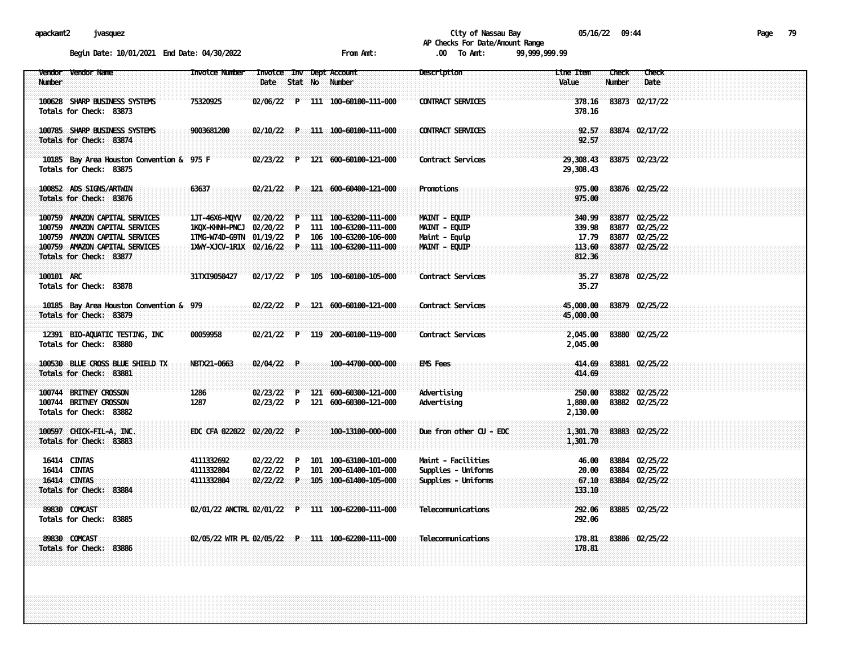**apackamt2 jvasquez City of Nassau Bay 05/16/22 09:44 Page 79 AP Checks For Date/Amount Range**

| <del>Vendor Vendor Name</del>                             | Invoice Number Invoice Inv Dept Account |                     |              |                                                  | <b>Description</b>        | tine Item        | <b>Check</b>  | <b>Check</b>   |  |  |
|-----------------------------------------------------------|-----------------------------------------|---------------------|--------------|--------------------------------------------------|---------------------------|------------------|---------------|----------------|--|--|
| Number                                                    |                                         | Date Stat No Number |              |                                                  |                           | Value            | <b>Number</b> | Date           |  |  |
| <b>100628 SHARP BUSINESS SYSTEMS</b>                      | 75320925                                |                     |              | 02/06/22 P 111 100-60100-111-000                 | <b>CONTRACT SERVICES</b>  | 378.16           |               | 83873 02/17/22 |  |  |
| Totals for Check: 83873                                   |                                         |                     |              |                                                  |                           | 378.16           |               |                |  |  |
| 100785 SHARP BUSINESS SYSTEMS                             | 9003681200                              |                     |              | 02/10/22 P 111 100-60100-111-000                 | <b>CONTRACT SERVICES</b>  | 92.57            |               | 83874 02/17/22 |  |  |
| Totals for Check: 83874                                   |                                         |                     |              |                                                  |                           | 92.57            |               |                |  |  |
| 10185 Bay Area Houston Convention & 975 F                 |                                         |                     |              | 02/23/22 P 121 600-60100-121-000                 | Contract Services         | 29,308.43        |               | 83875 02/23/22 |  |  |
| Totals for Check: 83875                                   |                                         |                     |              |                                                  |                           | 29,308.43        |               |                |  |  |
| 100852 ADS SIGNS/ARTWIN<br>Totals for Check: 83876        | 63637                                   | $02/21/22$ P        |              | 121 600-60400-121-000                            | <b>Promotions</b>         | 975.00<br>975.00 |               | 83876 02/25/22 |  |  |
|                                                           |                                         |                     |              |                                                  |                           |                  |               |                |  |  |
| 100759 AMAZON CAPITAL SERVICES                            | 1JT-46X6-MOYV                           |                     |              | 02/20/22 P 111 100-63200-111-000                 | MAINT - EOUIP             | 340.99           |               | 83877 02/25/22 |  |  |
| 100759 AMAZON CAPITAL SERVICES                            | 1KQX-KHNH-PNCJ 02/20/22 P               |                     |              | 111 100-63200-111-000                            | MAINT - EQUIP             | 339.98           |               | 83877 02/25/22 |  |  |
| 100759 AMAZON CAPITAL SERVICES                            |                                         |                     |              | 1TMG-W74D-G9TN 01/19/22 P 106 100-63200-106-000  | Maint - Equip             | 17.79            |               | 83877 02/25/22 |  |  |
| 100759 AMAZON CAPITAL SERVICES<br>Totals for Check: 83877 |                                         |                     |              | 1XWY-XJCV-1R1X 02/16/22 P 111 100-63200-111-000  | MAINT - EQUIP             | 113.60<br>812.36 |               | 83877 02/25/22 |  |  |
|                                                           |                                         |                     |              |                                                  |                           |                  |               |                |  |  |
| 100101 ARC                                                | 31TXI9050427                            |                     |              | 02/17/22 P 105 100-60100-105-000                 | <b>Contract Services</b>  | 35.27            |               | 83878 02/25/22 |  |  |
| Totals for Check: 83878                                   |                                         |                     |              |                                                  |                           | 35.27            |               |                |  |  |
| 10185 Bay Area Houston Convention & 979                   | mmmmm                                   |                     |              | 02/22/22 P 121 600-60100-121-000                 | Contract Services         | 45,000.00        |               | 83879 02/25/22 |  |  |
| Totals for Check: 83879                                   |                                         |                     |              |                                                  |                           | 45,000.00        |               |                |  |  |
| 12391 BIO-AQUATIC TESTING, INC                            | 00059958                                |                     |              | 02/21/22 P 119 200-60100-119-000                 | Contract Services         | 2,045.00         |               | 83880 02/25/22 |  |  |
| Totals for Check: 83880                                   |                                         |                     |              |                                                  |                           | 2,045.00         |               |                |  |  |
| 100530 BLUE CROSS BLUE SHIELD TX                          | NBTX21-0663                             | $02/04/22$ P        |              | 100-44700-000-000                                | <b>EMS Fees</b>           | 414.69           |               | 83881 02/25/22 |  |  |
| Totals for Check: 83881                                   |                                         |                     |              |                                                  |                           | 414.69           |               |                |  |  |
| 100744 BRITNEY CROSSON                                    | 1286                                    |                     |              | 02/23/22 P 121 600-60300-121-000                 | Advertising               | 250.00           |               | 83882 02/25/22 |  |  |
| 100744 BRITNEY CROSSON                                    | 1287                                    |                     |              | 02/23/22 P 121 600-60300-121-000                 | Advertising               | 1,880.00         |               | 83882 02/25/22 |  |  |
| Totals for Check: 83882                                   |                                         |                     |              |                                                  |                           | 2,130.00         |               |                |  |  |
| 100597 CHICK-FIL-A, INC.                                  | EDC CFA 022022 02/20/22 P               |                     |              | 100-13100-000-000                                | Due from other CU - EDC   | 1,301.70         |               | 83883 02/25/22 |  |  |
| Totals for Check: 83883                                   |                                         |                     |              |                                                  |                           | 1,301.70         |               |                |  |  |
| 16414 CINTAS                                              | 4111332692                              | 02/22/22            | $\mathsf{P}$ | 101 100-63100-101-000                            | Maint - Facilities        | 46.00            |               | 83884 02/25/22 |  |  |
| 16414 CINTAS                                              | 4111332804                              | $02/22/22$ P        |              | 101 200-61400-101-000                            | Supplies - Uniforms       | 20.00            |               | 83884 02/25/22 |  |  |
| 16414 CINTAS                                              | 4111332804                              |                     |              | 02/22/22 P 105 100-61400-105-000                 | Supplies - Uniforms       | 67.10            |               | 83884 02/25/22 |  |  |
| Totals for Check: 83884                                   |                                         |                     |              |                                                  |                           | 133.10           |               |                |  |  |
| 89830 COMCAST                                             |                                         |                     |              | 02/01/22 ANCTRL 02/01/22 P 111 100-62200-111-000 | <b>Telecommunications</b> | 292.06           |               | 83885 02/25/22 |  |  |
| Totals for Check: 83885                                   |                                         |                     |              |                                                  |                           | 292.06           |               |                |  |  |
| 89830 COMCAST                                             |                                         |                     |              | 02/05/22 WTR PL 02/05/22 P 111 100-62200-111-000 | Telecommunications        | 178.81           |               | 83886 02/25/22 |  |  |
| Totals for Check: 83886                                   |                                         |                     |              |                                                  |                           | 178.81           |               |                |  |  |
|                                                           |                                         |                     |              |                                                  |                           |                  |               |                |  |  |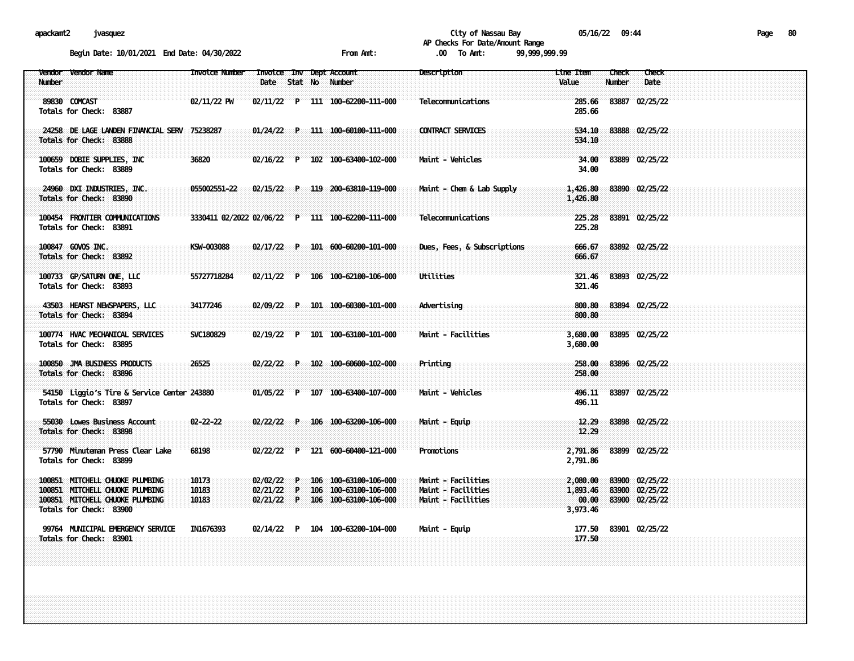**apackamt2 jvasquez City of Nassau Bay 05/16/22 09:44 Page 80 AP Checks For Date/Amount Range**

| Begin Date: 10/01/2021 End Date: 04/30/2022 | From Amt: |
|---------------------------------------------|-----------|

| <del>Vendor Vendor Name</del><br><b>Number</b>                                                                                   | Invoice Number Invoice Inv Dept Account |                          | Date Stat No Number |                                                                                    | <b>Description</b>                                             | ithe Item<br>Value                        | <b>Check</b><br>Number | TCheck<br>Date                                     |  |  |  |
|----------------------------------------------------------------------------------------------------------------------------------|-----------------------------------------|--------------------------|---------------------|------------------------------------------------------------------------------------|----------------------------------------------------------------|-------------------------------------------|------------------------|----------------------------------------------------|--|--|--|
| 89830 COMCAST<br>Totals for Check: 83887                                                                                         | 02/11/22 PW                             |                          |                     | 02/11/22 P 111 100-62200-111-000                                                   | <b>Telecomunications</b>                                       | 285.66<br>285.66                          |                        | 83887 02/25/22                                     |  |  |  |
| 24258 DE LAGE LANDEN FINANCIAL SERV 75238287<br>Totals for Check: 83888                                                          |                                         |                          |                     | 01/24/22 P 111 100-60100-111-000                                                   | <b>CONTRACT SERVICES</b>                                       | 534.10<br>534.10                          |                        | 83888 02/25/22                                     |  |  |  |
| 100659 DOBIE SUPPLIES, INC<br>Totals for Check: 83889                                                                            | 36820                                   |                          |                     | 02/16/22 P 102 100-63400-102-000                                                   | Maint - Vehicles                                               | 34.00<br>34.00                            |                        | 83889 02/25/22                                     |  |  |  |
| 24960 DXI INDUSTRIES, INC.<br>Totals for Check: 83890                                                                            | 055002551-22                            |                          |                     | 02/15/22 P 119 200-63810-119-000                                                   | Maint - Chem & Lab Supply                                      | 1,426.80<br>1,426.80                      |                        | 83890 02/25/22                                     |  |  |  |
| 100454 FRONTIER COMMUNICATIONS<br>Totals for Check: 83891                                                                        |                                         |                          |                     | 3330411 02/2022 02/06/22 P 111 100-62200-111-000                                   | <b>Telecommunications</b>                                      | 225.28<br>225.28                          |                        | 83891 02/25/22                                     |  |  |  |
| 100847 GOVOS INC.<br>Totals for Check: 83892                                                                                     | KSW-003088                              |                          |                     | 02/17/22 P 101 600-60200-101-000                                                   | Dues, Fees, & Subscriptions                                    | 666.67<br>666.67                          |                        | 83892 02/25/22                                     |  |  |  |
| 100733 GP/SATURN ONE, LLC<br>Totals for Check: 83893                                                                             | 55727718284                             |                          |                     | 02/11/22 P 106 100-62100-106-000                                                   | <b>Utilities</b>                                               | 321.46<br>321.46                          |                        | 83893 02/25/22                                     |  |  |  |
| 43503 HEARST NEWSPAPERS, LLC<br>Totals for Check: 83894                                                                          | 34177246                                |                          |                     | 02/09/22 P 101 100-60300-101-000                                                   | Advertising                                                    | 800.80<br>800.80                          |                        | 83894 02/25/22                                     |  |  |  |
| 100774 HVAC MECHANICAL SERVICES<br>Totals for Check: 83895                                                                       | <b>SVC180829</b>                        |                          |                     | 02/19/22 P 101 100-63100-101-000                                                   | Maint - Facilities                                             | 3,680.00<br>3,680.00                      |                        | 83895 02/25/22                                     |  |  |  |
| 100850 JMA BUSINESS PRODUCTS<br>Totals for Check: 83896                                                                          | 26525                                   |                          |                     | 02/22/22 P 102 100-60600-102-000                                                   | Printina                                                       | 258.00<br>258.00                          |                        | 83896 02/25/22                                     |  |  |  |
| 54150 Liggio's Tire & Service Center 243880<br>Totals for Check: 83897                                                           |                                         |                          |                     | 01/05/22 P 107 100-63400-107-000                                                   | Maint - Vehicles                                               | 496.11<br>496.11                          |                        | 83897 02/25/22                                     |  |  |  |
| 55030 Lowes Business Account<br>Totals for Check: 83898                                                                          | $02 - 22 - 22$                          |                          |                     | 02/22/22 P 106 100-63200-106-000                                                   | Maint - Equip                                                  | 12.29<br>12.29                            |                        | 83898 02/25/22                                     |  |  |  |
| 57790 Minuteman Press Clear Lake<br>Totals for Check: 83899                                                                      | 68198                                   |                          |                     | 02/22/22 P 121 600-60400-121-000                                                   | <b>Promotions</b>                                              | 2,791.86<br>2,791.86                      |                        | 83899 02/25/22                                     |  |  |  |
| 100851 MITCHELL CHUOKE PLUMBING<br>100851 MITCHELL CHUOKE PLUMBING<br>100851 MITCHELL CHUOKE PLUMBING<br>Totals for Check: 83900 | 10173<br>10183<br>10183                 | $02/02/22$ P<br>02/21/22 | ्थ                  | 106 100-63100-106-000<br>106 100-63100-106-000<br>02/21/22 P 106 100-63100-106-000 | Maint - Facilities<br>Maint - Facilities<br>Maint - Facilities | 2,080.00<br>1,893.46<br>00.00<br>3,973.46 |                        | 83900 02/25/22<br>83900 02/25/22<br>83900 02/25/22 |  |  |  |
| 99764 MUNICIPAL EMERGENCY SERVICE<br>Totals for Check: 83901                                                                     | <b>IN1676393</b>                        |                          |                     | 02/14/22 P 104 100-63200-104-000                                                   | Maint - Equip                                                  | 177.50<br>177.50                          |                        | 83901 02/25/22                                     |  |  |  |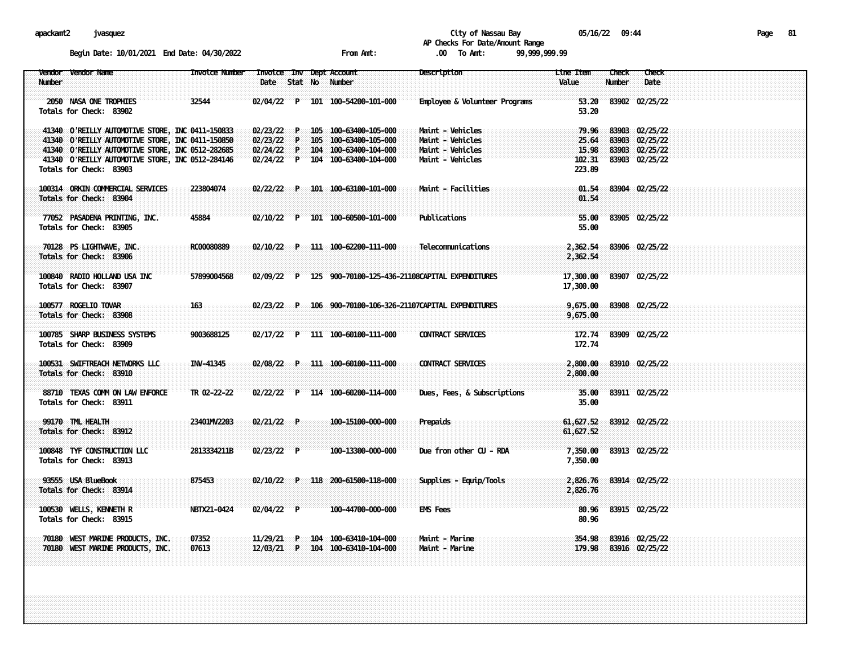| apackamt2 | jvasquez<br>Begin Date: 10/01/2021 End Date: 04/30/2022                                                                                                                                                                                 |                    |                                                              |        | From Amt:                                                                                        | City of Nassau Bay<br>AP Checks For Date/Amount Range<br>.00 To Amt:<br>99, 999, 999, 99 |                                             | $05/16/22$ $09:44$     |                                                                      |  | Page 81 |  |
|-----------|-----------------------------------------------------------------------------------------------------------------------------------------------------------------------------------------------------------------------------------------|--------------------|--------------------------------------------------------------|--------|--------------------------------------------------------------------------------------------------|------------------------------------------------------------------------------------------|---------------------------------------------|------------------------|----------------------------------------------------------------------|--|---------|--|
| Number    | <b>Vendor Vendor Name</b>                                                                                                                                                                                                               | Involce Number     |                                                              |        | <b>Invoice Inv Dept Account</b><br>Date Stat No Number                                           | <b>Description</b>                                                                       | itine Item<br>Value                         | Check<br><b>Number</b> | Check<br>Date                                                        |  |         |  |
|           | 2050 NASA ONE TROPHIES<br>Totals for Check: 83902                                                                                                                                                                                       | 32544              |                                                              |        | 02/04/22 P 101 100-54200-101-000                                                                 | Employee & Volunteer Programs                                                            | 53.20<br>53.20                              |                        | 83902 02/25/22                                                       |  |         |  |
|           | 41340 O'REILLY AUTOMOTIVE STORE, INC 0411-150833<br>41340 O'REILLY AUTOMOTIVE STORE, INC 0411-150850<br>41340 O'REILLY AUTOMOTIVE STORE, INC 0512-282685<br>41340 O'REILLY AUTOMOTIVE STORE, INC 0512-284146<br>Totals for Check: 83903 |                    | $02/23/22$ P<br>$02/23/22$ P<br>$02/24/22$ P<br>$02/24/22$ P |        | 105 100-63400-105-000<br>105 100-63400-105-000<br>104 100-63400-104-000<br>104 100-63400-104-000 | Maint - Vehicles<br>Maint - Vehicles<br>Maint - Vehicles<br>Maint - Vehicles             | 79.96<br>25.64<br>15.98<br>102.31<br>223.89 |                        | 83903 02/25/22<br>83903 02/25/22<br>83903 02/25/22<br>83903 02/25/22 |  |         |  |
|           | 100314 ORKIN COMMERCIAL SERVICES<br>Totals for Check: 83904                                                                                                                                                                             | 223804074          | 02/22/22                                                     | ∷⊱P∴   | 101 100-63100-101-000                                                                            | Maint - Facilities                                                                       | 01.54<br>01.54                              |                        | 83904 02/25/22                                                       |  |         |  |
|           | 77052 PASADENA PRINTING, INC.<br>Totals for Check: 83905                                                                                                                                                                                | 45884              |                                                              |        | 02/10/22 P 101 100-60500-101-000                                                                 | <b>Publications</b>                                                                      | 55.00<br>55.00                              |                        | 83905 02/25/22                                                       |  |         |  |
|           | 70128 PS LIGHTWAVE, INC.<br>Totals for Check: 83906                                                                                                                                                                                     | RC00080889         |                                                              |        | 02/10/22 P 111 100-62200-111-000                                                                 | Telecommunications                                                                       | 2,362.54<br>2,362.54                        |                        | 83906 02/25/22                                                       |  |         |  |
|           | 100840 RADIO HOLLAND USA INC<br>Totals for Check: 83907                                                                                                                                                                                 | 57899004568        | 02/09/22                                                     |        | P 125 900-70100-125-436-21108CAPITAL EXPENDITURES                                                |                                                                                          | 17,300.00<br>17,300.00                      |                        | 83907 02/25/22                                                       |  |         |  |
|           | 100577 ROGELIO TOVAR<br>Totals for Check: 83908                                                                                                                                                                                         | 163                | $02/23/22$ P                                                 |        | 106 900-70100-106-326-21107CAPITAL EXPENDITURES                                                  |                                                                                          | 9,675.00<br>9,675.00                        |                        | 83908 02/25/22                                                       |  |         |  |
|           | 100785 SHARP BUSINESS SYSTEMS<br>Totals for Check: 83909                                                                                                                                                                                | 9003688125         |                                                              |        | 02/17/22 P 111 100-60100-111-000                                                                 | <b>CONTRACT SERVICES</b>                                                                 | 172.74<br>172.74                            |                        | 83909 02/25/22                                                       |  |         |  |
|           | 100531 SWIFTREACH NETWORKS LLC<br>Totals for Check: 83910                                                                                                                                                                               | <b>IM-41345</b>    |                                                              |        | 02/08/22 P 111 100-60100-111-000                                                                 | <b>CONTRACT SERVICES</b>                                                                 | 2,800.00<br>2,800.00                        |                        | 83910 02/25/22                                                       |  |         |  |
|           | 88710 TEXAS COMM ON LAW ENFORCE<br>Totals for Check: 83911                                                                                                                                                                              | $TR$ 02-22-22      | $02/22/22$ P                                                 |        | 114 100-60200-114-000                                                                            | Dues, Fees, & Subscriptions                                                              | 35.00<br>35.00                              |                        | 83911 02/25/22                                                       |  |         |  |
|           | 99170 TML HEALTH<br>Totals for Check: 83912                                                                                                                                                                                             | 23401MV2203        | $02/21/22$ P                                                 |        | 100-15100-000-000                                                                                | <b>Prepaids</b>                                                                          | 61, 627.52<br>61, 627.52                    |                        | 83912 02/25/22                                                       |  |         |  |
|           | 100848 TYF CONSTRUCTION LLC<br>Totals for Check: 83913                                                                                                                                                                                  | 2813334211B        | $02/23/22$ P                                                 |        | 100-13300-000-000                                                                                | Due from other CU - RDA                                                                  | 7,350.00<br>7,350.00                        |                        | 83913 02/25/22                                                       |  |         |  |
|           | 93555 USA BlueBook<br>Totals for Check: 83914                                                                                                                                                                                           | 875453             | 02/10/22                                                     | ා Part | 118 200-61500-118-000                                                                            | Supplies - Equip/Tools                                                                   | 2,826.76<br>2,826.76                        |                        | 83914 02/25/22                                                       |  |         |  |
|           | 100530 WELLS, KENNETH R<br>Totals for Check: 83915                                                                                                                                                                                      | <b>NBTX21-0424</b> | $02/04/22$ P                                                 |        | 100-44700-000-000                                                                                | <b>EMS Fees</b>                                                                          | 80.96<br>80.96                              |                        | 83915 02/25/22                                                       |  |         |  |

.<br>11/29/21 P 104 100-63410-104-000 Maint Marine 10 100 354.98 83916 02/25/22 70180 MeST MARINE PRODUCTS, INC. 07<br>22/03/21 P 104 100-63410-104-000 Maint - Marine 100 199.98 83916 02/25/22 70180 179.98 83916 02/25/22 701.98

12/03/21 P 104 100-63410-104-000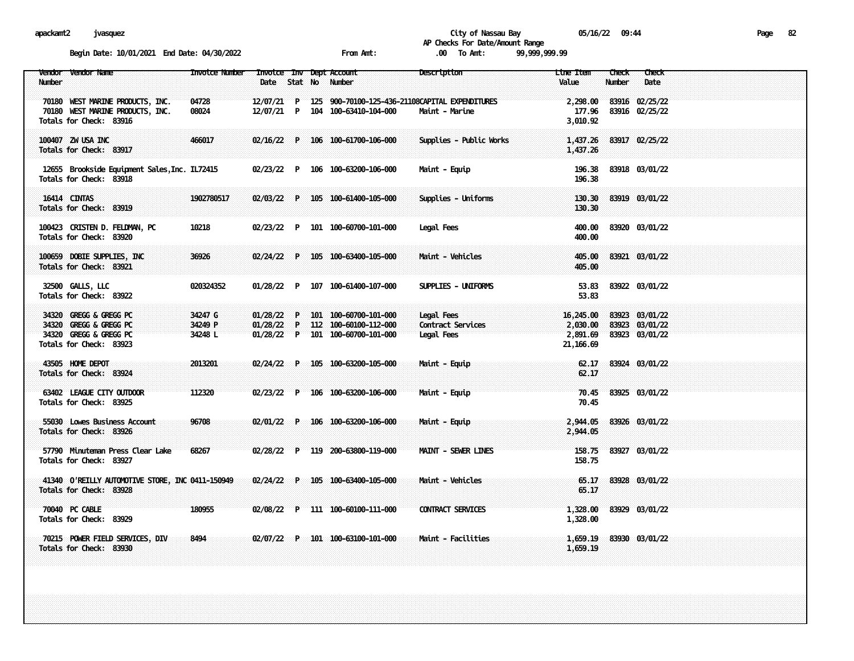|               | <del>Vendor Vendor Name</del>                                                                         | Invoice Number Invoice Inv Dept Account |                     |    |                                                                                                  | <b>Description</b>                            | ttne Item                                       | - Check —     | <del>- Check</del>                                 |  |
|---------------|-------------------------------------------------------------------------------------------------------|-----------------------------------------|---------------------|----|--------------------------------------------------------------------------------------------------|-----------------------------------------------|-------------------------------------------------|---------------|----------------------------------------------------|--|
| <b>Number</b> |                                                                                                       |                                         | Date Stat No Number |    |                                                                                                  |                                               | Value                                           | <b>Number</b> | Date                                               |  |
|               | 70180 WEST MARINE PRODUCTS, INC.<br>70180 WEST MARINE PRODUCTS, INC.<br>Totals for Check: 83916       | 04728<br>08024                          |                     |    | 12/07/21 P  125  900-70100-125-436-21108CAPITAL EXPENDITURES<br>12/07/21 P 104 100-63410-104-000 | Maint - Marine                                | 2,298.00<br>177.96<br>3,010.92                  |               | 83916 02/25/22<br>83916 02/25/22                   |  |
|               | 100407 ZW USA INC<br>Totals for Check: 83917                                                          | 466017                                  |                     |    | 02/16/22 P 106 100-61700-106-000                                                                 | Supplies - Public Works                       | 1,437.26<br>1,437.26                            |               | 83917 02/25/22                                     |  |
|               | 12655 Brookside Equipment Sales, Inc. IL72415<br>Totals for Check: 83918                              |                                         | 02/23/22 P          |    | 106 100-63200-106-000                                                                            | Maint - Equip                                 | 196.38<br>196.38                                |               | 83918 03/01/22                                     |  |
|               | <b>16414 CINTAS</b><br>Totals for Check: 83919                                                        | 1902780517                              |                     |    | 02/03/22 P 105 100-61400-105-000                                                                 | Supplies - Uniforms                           | 130.30<br>130.30                                |               | 83919 03/01/22                                     |  |
|               | 100423 CRISTEN D. FELDMAN, PC<br>Totals for Check: 83920                                              | 10218                                   |                     |    | 02/23/22 P 101 100-60700-101-000                                                                 | Legal Fees                                    | 400.00<br>400.00                                |               | 83920 03/01/22                                     |  |
|               | 100659 DOBIE SUPPLIES, INC<br>Totals for Check: 83921                                                 | 36926                                   |                     |    | 02/24/22 P 105 100-63400-105-000                                                                 | Maint - Vehicles                              | 405.00<br>405.00                                |               | 83921 03/01/22                                     |  |
|               | 32500 GALLS, LLC<br>Totals for Check: 83922                                                           | 020324352                               | 01/28/22            | P. | 107 100-61400-107-000                                                                            | <b>SUPPLIES - UNIFORMS</b>                    | 53.83<br>53.83                                  |               | 83922 03/01/22                                     |  |
|               | 34320 GREGG & GREGG PC<br>34320 GREGG & GREGG PC<br>34320 GREGG & GREGG PC<br>Totals for Check: 83923 | 34247 G<br>34249 P<br>34248 L           | 01/28/22            |    | 01/28/22 P 101 100-60700-101-000<br>P 112 100-60100-112-000<br>01/28/22 P 101 100-60700-101-000  | Legal Fees<br>Contract Services<br>Legal Fees | 16,245.00<br>2,030.00<br>2,891.69<br>21, 166.69 |               | 83923 03/01/22<br>83923 03/01/22<br>83923 03/01/22 |  |
|               | 43505 HOME DEPOT<br>Totals for Check: 83924                                                           | 2013201                                 |                     |    | 02/24/22 P 105 100-63200-105-000                                                                 | Maint - Equip                                 | 62.17<br>62.17                                  |               | 83924 03/01/22                                     |  |
|               | 63402 LEAGUE CITY OUTDOOR<br>Totals for Check: 83925                                                  | 112320                                  |                     |    | 02/23/22 P 106 100-63200-106-000                                                                 | Maint - Equip                                 | 70.45<br>70.45                                  |               | 83925 03/01/22                                     |  |
|               | 55030 Lowes Business Account<br>Totals for Check: 83926                                               | 96708                                   |                     |    | 02/01/22 P 106 100-63200-106-000                                                                 | Maint - Equip                                 | 2,944.05<br>2,944.05                            |               | 83926 03/01/22                                     |  |
|               | 57790 Minuteman Press Clear Lake<br>Totals for Check: 83927                                           | 68267                                   |                     |    | 02/28/22 P 119 200-63800-119-000                                                                 | MAINT - SEWER LINES                           | 158.75<br>158.75                                |               | 83927 03/01/22                                     |  |
|               | 41340 O'REILLY AUTOMOTIVE STORE, INC 0411-150949<br>Totals for Check: 83928                           |                                         |                     |    | 02/24/22 P 105 100-63400-105-000                                                                 | Maint - Vehicles                              | 65.17<br>65.17                                  |               | 83928 03/01/22                                     |  |
|               | 70040 PC CABLE<br>Totals for Check: 83929                                                             | 180955                                  |                     |    | 02/08/22 P 111 100-60100-111-000                                                                 | <b>CONTRACT SERVICES</b>                      | 1,328.00<br>1,328.00                            |               | 83929 03/01/22                                     |  |
|               | 70215 POWER FIELD SERVICES, DIV<br>Totals for Check: 83930                                            | 8494                                    |                     |    | 02/07/22 P 101 100-63100-101-000                                                                 | Maint - Facilities                            | 1,659.19<br>1,659.19                            |               | 83930 03/01/22                                     |  |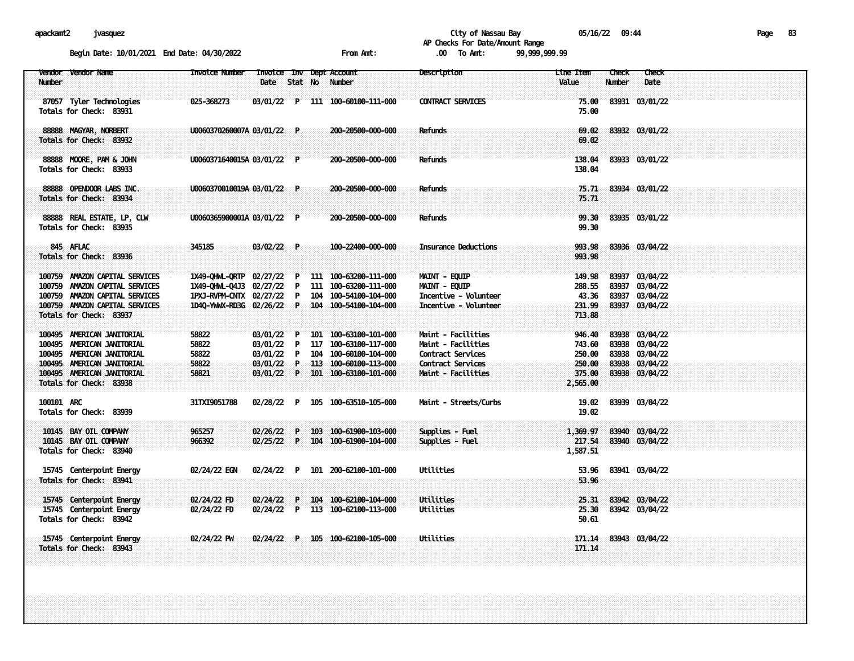**apackamt2 jvasquez City of Nassau Bay 05/16/22 09:44 Page 83 AP Checks For Date/Amount Range**

| Begin Date: 10/01/2021 End Date: 04/30/2022 | From Amt: |
|---------------------------------------------|-----------|

| Vendor Vendor Name<br><b>Number</b>                   | Invoice Number Invoice Inv Dept Account |              |              | Date Stat No Number                             | <b>Description</b>          | ttne Item<br>Value | <b>uneck</b><br><b>Number</b> | <b>Check</b><br>Date |  |  |  |
|-------------------------------------------------------|-----------------------------------------|--------------|--------------|-------------------------------------------------|-----------------------------|--------------------|-------------------------------|----------------------|--|--|--|
| 87057 Tyler Technologies                              | 025-368273                              |              |              | 03/01/22 P 111 100-60100-111-000                | <b>CONTRACT SERVICES</b>    | 75.00              |                               | 83931 03/01/22       |  |  |  |
| Totals for Check: 83931                               |                                         |              |              |                                                 |                             | 75.00              |                               |                      |  |  |  |
| 88888 MAGYAR, NORBERT                                 | U0060370260007A 03/01/22 P              |              |              | 200-20500-000-000                               | <b>Refunds</b>              | 69.02              |                               | 83932 03/01/22       |  |  |  |
| Totals for Check: 83932                               |                                         |              |              |                                                 |                             | 69.02              |                               |                      |  |  |  |
| 88888 MOORE, PAM & JOHN                               | U0060371640015A 03/01/22 P              |              |              | 200-20500-000-000                               | <b>Refunds</b>              | 138.04             |                               | 83933 03/01/22       |  |  |  |
| Totals for Check: 83933                               |                                         |              |              |                                                 |                             | 138.04             |                               |                      |  |  |  |
| 88888 OPENDOOR LABS INC.<br>Totals for Check: 83934   | U0060370010019A 03/01/22 P              |              |              | 200-20500-000-000                               | <b>Refunds</b>              | 75.71<br>75.71     |                               | 83934 03/01/22       |  |  |  |
|                                                       |                                         |              |              |                                                 |                             |                    |                               |                      |  |  |  |
| 88888 REAL ESTATE, LP, CLW<br>Totals for Check: 83935 | U0060365900001A 03/01/22 P              |              |              | 200-20500-000-000                               | <b>Refunds</b>              | 99.30<br>99.30     |                               | 83935 03/01/22       |  |  |  |
| 845 AFLAC                                             |                                         |              |              |                                                 |                             |                    |                               |                      |  |  |  |
| Totals for Check: 83936                               | 345185                                  | 03/02/22 P   |              | 100-22400-000-000                               | <b>Insurance Deductions</b> | 993.98<br>993.98   |                               | 83936 03/04/22       |  |  |  |
| 100759 AMAZON CAPITAL SERVICES                        |                                         |              |              | 1X49-0HWL-0RTP 02/27/22 P 111 100-63200-111-000 | MAINT - EOUIP               | 149.98             |                               | 83937 03/04/22       |  |  |  |
| 100759 AMAZON CAPITAL SERVICES                        | 1X49-0HML-04J3 02/27/22 P               |              |              | 111 100-63200-111-000                           | MAINT - EQUIP               | 288.55             |                               | 83937 03/04/22       |  |  |  |
| 100759 AMAZON CAPITAL SERVICES                        |                                         |              |              | 1PXJ-RVPM-CNTX 02/27/22 P 104 100-54100-104-000 | Incentive - Volunteer       | 43.36              |                               | 83937 03/04/22       |  |  |  |
| 100759 AMAZON CAPITAL SERVICES                        |                                         |              |              | 1D40-YWMX-RD3G 02/26/22 P 104 100-54100-104-000 | Incentive - Volunteer       | 231.99             |                               | 83937 03/04/22       |  |  |  |
| Totals for Check: 83937                               |                                         |              |              |                                                 |                             | 713.88             |                               |                      |  |  |  |
| 100495 AMERICAN JANITORIAL                            | 58822                                   | 03/01/22 P   |              | 101 100-63100-101-000                           | Maint - Facilities          | 946.40             |                               | 83938 03/04/22       |  |  |  |
| 100495 AMERICAN JANITORIAL                            | 58822                                   | $03/01/22$ P |              | 117 100-63100-117-000                           | Maint - Facilities          | 743.60             |                               | 83938 03/04/22       |  |  |  |
| 100495 AMERICAN JANITORIAL                            | 58822                                   | $03/01/22$ P |              | 104 100-60100-104-000                           | Contract Services           | 250.00             |                               | 83938 03/04/22       |  |  |  |
| 100495 AMERICAN JANITORIAL                            | 58822                                   |              |              | 03/01/22 P 113 100-60100-113-000                | <b>Contract Services</b>    | 250.00             |                               | 83938 03/04/22       |  |  |  |
| 100495 AMERICAN JANITORIAL                            | 58821                                   |              |              | 03/01/22 P 101 100-63100-101-000                | Maint - Facilities          | 375.00             |                               | 83938 03/04/22       |  |  |  |
| Totals for Check: 83938                               |                                         |              |              |                                                 |                             | 2,565.00           |                               |                      |  |  |  |
| 100101 ARC<br>Totals for Check: 83939                 | 31TXI9051788                            | $02/28/22$ P |              | 105 100-63510-105-000                           | Maint - Streets/Curbs       | 19.02<br>19.02     |                               | 83939 03/04/22       |  |  |  |
|                                                       |                                         |              |              |                                                 |                             |                    |                               |                      |  |  |  |
| 10145 BAY OIL COMPANY                                 | 965257                                  | 02/26/22     | $\mathsf{P}$ | 103 100-61900-103-000                           | Supplies - Fuel             | 1,369.97           |                               | 83940 03/04/22       |  |  |  |
| 10145 BAY OIL COMPANY                                 | 966392                                  | 02/25/22 P   |              | 104 100-61900-104-000                           | Supplies - Fuel             | 217.54             |                               | 83940 03/04/22       |  |  |  |
| Totals for Check: 83940                               |                                         |              |              |                                                 |                             | 1,587.51           |                               |                      |  |  |  |
| 15745 Centerpoint Energy                              | 02/24/22 EGN                            | $02/24/22$ P |              | 101 200-62100-101-000                           | Utilities                   | 53.96              |                               | 83941 03/04/22       |  |  |  |
| Totals for Check: 83941                               |                                         |              |              |                                                 |                             | 53.96              |                               |                      |  |  |  |
| 15745 Centerpoint Energy                              | 02/24/22 FD                             | 02/24/22 P   |              | 104 100-62100-104-000                           | <b>Utilities</b>            | 25.31              |                               | 83942 03/04/22       |  |  |  |
| 15745 Centerpoint Energy                              | 02/24/22 FD                             |              |              | 02/24/22 P 113 100-62100-113-000                | <b>Utilities</b>            | 25.30              |                               | 83942 03/04/22       |  |  |  |
| Totals for Check: 83942                               |                                         |              |              |                                                 |                             | 50.61              |                               |                      |  |  |  |
| 15745 Centerpoint Energy                              | 02/24/22 PW                             | $02/24/22$ P |              | 105 100-62100-105-000                           | <b>Utilities</b>            | 171.14             |                               | 83943 03/04/22       |  |  |  |
| Totals for Check: 83943                               |                                         |              |              |                                                 |                             | 171.14             |                               |                      |  |  |  |
|                                                       |                                         |              |              |                                                 |                             |                    |                               |                      |  |  |  |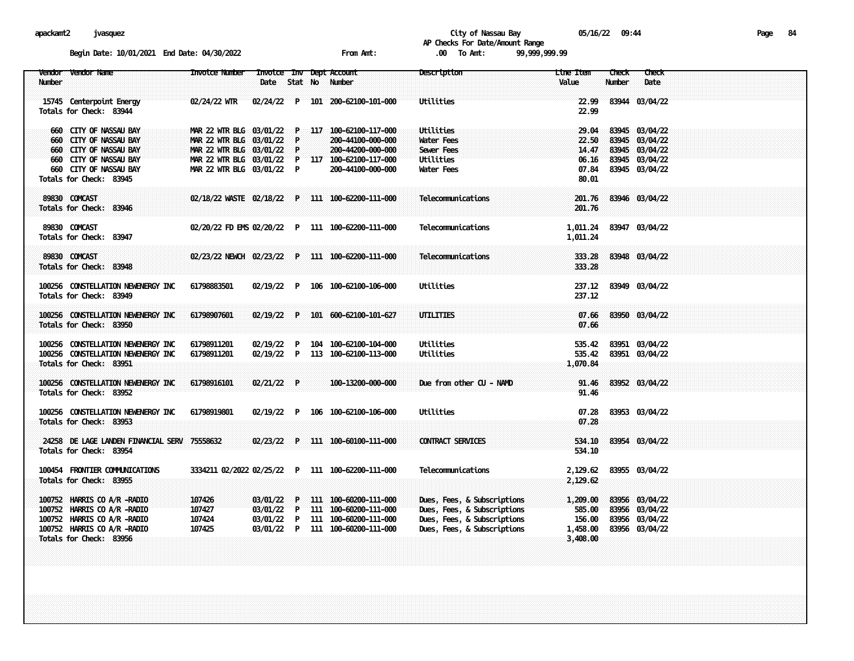| apackamt2               | jvasquez<br>Begin Date: 10/01/2021 End Date: 04/30/2022                                                                                               |                                                                                                                                               |                                                         |                | From Amt:                                                                                             | City of Nassau Bay<br>AP Checks For Date/Amount Range<br>$.00$ To Amt:         | 99,999,999.99 | 05/16/22 09:44                                     |                           |                                                                                        |  | Page | 84 |
|-------------------------|-------------------------------------------------------------------------------------------------------------------------------------------------------|-----------------------------------------------------------------------------------------------------------------------------------------------|---------------------------------------------------------|----------------|-------------------------------------------------------------------------------------------------------|--------------------------------------------------------------------------------|---------------|----------------------------------------------------|---------------------------|----------------------------------------------------------------------------------------|--|------|----|
| Vendor<br><b>Number</b> | -Vendor Name<br>15745 Centerpoint Energy<br>Totals for Check: 83944                                                                                   | <b>Invoice Number</b><br>02/24/22 WTR                                                                                                         | <b>Invoice Inv Dept Account</b><br>Date<br>$02/24/22$ P | Stat No Number | 101 200-62100-101-000                                                                                 | <b>Description</b><br><b>Utilities</b>                                         | Value         | iaines tour<br>22.99<br>22.99                      | t Check.<br><b>Number</b> | -Check<br>Date<br>83944 03/04/22                                                       |  |      |    |
| 660                     | 660 CITY OF NASSAU BAY<br>660 CITY OF NASSAU BAY<br>660 CITY OF NASSAU BAY<br>660 CITY OF NASSAU BAY<br>CITY OF NASSAU BAY<br>Totals for Check: 83945 | MAR 22 WTR BLG 03/01/22 P<br>MAR 22 WTR BLG 03/01/22 P<br>MAR 22 WTR BLG 03/01/22 P<br>MAR 22 WTR BLG 03/01/22 P<br>MAR 22 WTR BLG 03/01/22 P |                                                         | - 117<br>- 117 | 100-62100-117-000<br>200-44100-000-000<br>200-44200-000-000<br>100-62100-117-000<br>200-44100-000-000 | Utilities<br>Water Fees<br><b>Sever Fees</b><br><b>Utilities</b><br>Water Fees |               | 29.04<br>22.50<br>14.47<br>06.16<br>07.84<br>80.01 |                           | 83945 03/04/22<br>83945 03/04/22<br>83945 03/04/22<br>83945 03/04/22<br>83945 03/04/22 |  |      |    |
|                         | 89830 COMCAST<br>Totals for Check: 83946                                                                                                              |                                                                                                                                               |                                                         |                | 02/18/22 WASTE 02/18/22 P 111 100-62200-111-000                                                       | <b>Telecomunications</b>                                                       |               | 201.76<br>201.76                                   |                           | 83946 03/04/22                                                                         |  |      |    |
|                         | 89830 COMCAST<br>Totals for Check: 83947                                                                                                              |                                                                                                                                               |                                                         |                | 02/20/22 FD EMS 02/20/22 P 111 100-62200-111-000                                                      | Telecommunications                                                             |               | 1,011.24<br>1,011.24                               |                           | 83947 03/04/22                                                                         |  |      |    |
|                         | 89830 COMCAST<br>Totals for Check: 83948                                                                                                              |                                                                                                                                               |                                                         |                | 02/23/22 NEWCH 02/23/22 P 111 100-62200-111-000                                                       | <b>Telecommunications</b>                                                      |               | 333.28<br>333.28                                   |                           | 83948 03/04/22                                                                         |  |      |    |
|                         | 100256 CONSTELLATION NEWENERGY INC<br>Totals for Check: 83949                                                                                         | 61798883501                                                                                                                                   | $02/19/22$ P                                            |                | 106 100-62100-106-000                                                                                 | Utilities                                                                      |               | 237.12<br>237.12                                   |                           | 83949 03/04/22                                                                         |  |      |    |
|                         | 100256 CONSTELLATION NEWENERGY INC<br>Totals for Check: 83950                                                                                         | 61798907601                                                                                                                                   | $02/19/22$ P                                            |                | 101 600-62100-101-627                                                                                 | <b>UTILITIES</b>                                                               |               | 07.66<br>07.66                                     |                           | 83950 03/04/22                                                                         |  |      |    |

100256 CONSTELLATION NEWENERGY INC 61798911201 02/19/22 P 104 100-62100-104-000 Utilities 6 100256 CONSTELLATION NEWENERGY INC 61798911201 02/19/22 100256 CONSTELLATION NEWENERGY INC 61798911201 02/19/22 P 113 100-62100-113-000 Utilities 6 100256 CONSTELLATION NEWENERGY INC 61798911201 02/19/22

100256 CONSTELLATION NEWENERGY INC 61798916101 02/21/22 P 100-13200-000-000 Due from other CU - NAMD 91.46 83952 03/04/22

**100256 CONSTELLATION NEWENERGY INC 61798919801 02/19/22 P 106 100-62100-106-000 Utilities 07.28 83953 03/04/22**

24258 DE LAGE LANDEN FINANCIAL SERV 75558632 02/23/22 P 111 100-60100-111-000 CONTRACT SERVICES 534.10 83954 03/04/22

100454 FRONTIER COMMUNICATIONS 3334211 02/2022 02/25/22 P 111 100-62200-111-000 Telecommunications 2,129.62 83955 03/04/22

100752 HARRIS CO A/R -RADIO 107426 107/01/22 P 111 100-60200-111-000 Dues, Fees, & Subscriptions 1,209.00 83956 03/04/22<br>100752 HARRIS CO A/R -RADIO 107427 103/01/22 P 111 100-60200-111-000 Dues, Fees, & Subscriptions 585. 100752 HARRIS CO A/R -RADIO 107427 03/01/22 P 111 100-60200-111-000 Dues, Fees, & Subscriptions 585.00 83956 03/04/22<br>100752 HARRIS CO A/R -RADIO 107424 03/01/22 P 111 100-60200-111-000 Dues, Fees, & Subscriptions 156.00 8 100752 HARRIS CO A/R -RADIO 107424 03/01/22 P 111 100-60200-111-000 Dues, Fees, & Subscriptions 156.00 83956 03/04/22<br>100752 HARRIS CO A/R -RADIO 107425 03/01/22 P 111 100-60200-111-000 Dues, Fees, & Subscriptions 1,458.00

03/01/22 P 111 100-60200-111-000 Dues, Fees, & Subscriptions 1,458.00<br>3,408.00

**Totals for Check: 83951 1,070.84**

**Totals for Check: 83952 91.46**

**Totals for Check: 83953 07.28**

**Totals for Check: 83954 534.10**

**Totals for Check: 83955 2,129.62**

**Totals for Check: 83956 3,408.00**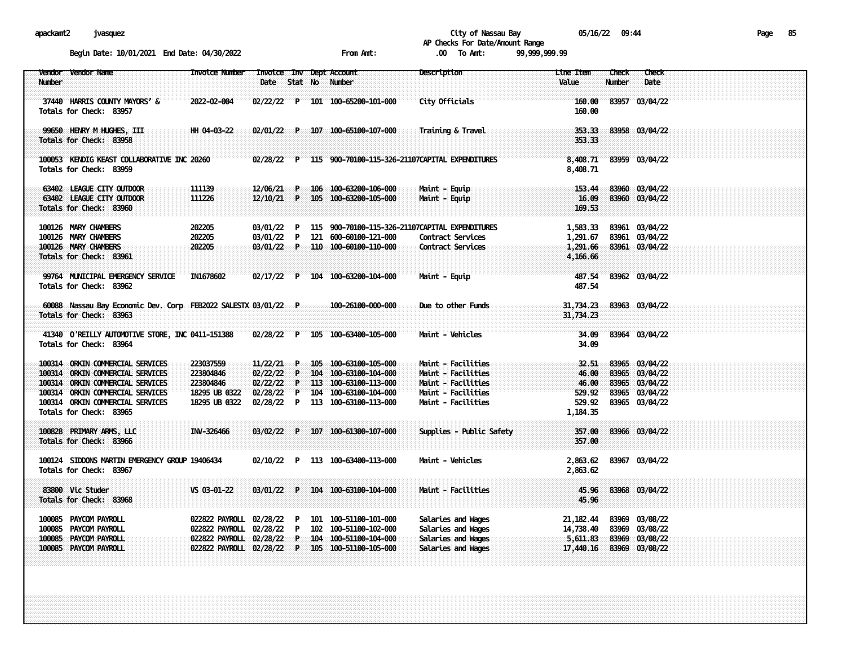**apackamt2 jvasquez City of Nassau Bay 05/16/22 09:44 Page 85 AP Checks For Date/Amount Range**

|               | <del>Vendor Vendor Name</del>                                                                            | Invotce Number                                         |                                          |              | <b>Invotce Inv Dept Account</b>                                          | <b>Description</b>                                             | ithe Item                    | Check         | Check                                              |  |  |  |
|---------------|----------------------------------------------------------------------------------------------------------|--------------------------------------------------------|------------------------------------------|--------------|--------------------------------------------------------------------------|----------------------------------------------------------------|------------------------------|---------------|----------------------------------------------------|--|--|--|
| <b>Number</b> |                                                                                                          |                                                        | Date Stat No Number                      |              |                                                                          |                                                                | Value                        | <b>Number</b> | Date                                               |  |  |  |
|               | 37440 HARRIS COUNTY MAYORS' &<br>Totals for Check: 83957                                                 | 2022-02-004                                            |                                          |              | 02/22/22 P 101 100-65200-101-000                                         | City Officials                                                 | 160.00<br>160.00             |               | 83957 03/04/22                                     |  |  |  |
|               | 99650 HENRY M HUGHES, III<br>Totals for Check: 83958                                                     | HH 04-03-22                                            | 02/01/22                                 | - Р          | 107 100-65100-107-000                                                    | Training & Travel                                              | 353.33<br>353.33             |               | 83958 03/04/22                                     |  |  |  |
|               | 100053 KENDIG KEAST COLLABORATIVE INC 20260<br>Totals for Check: 83959                                   |                                                        |                                          |              | 02/28/22 P 115 900-70100-115-326-21107CAPITAL EXPENDITURES               |                                                                | 8,408.71<br>8,408.71         |               | 83959 03/04/22                                     |  |  |  |
|               | 63402 LEAGUE CITY OUTDOOR<br><b>63402 LEAGUE CITY OUTDOOR</b><br>Totals for Check: 83960                 | 111139<br>111226                                       | $12/06/21$ P<br>$12/10/21$ P             |              | $106$ $100 - 63200 - 106 - 000$<br>105 100-63200-105-000                 | Maint - Equip<br>Maint - Equip                                 | 153.44<br>16.09<br>169.53    |               | 83960 03/04/22<br>83960 03/04/22                   |  |  |  |
|               | 100126 MARY CHAMBERS<br>100126 MARY CHAMBERS                                                             | 202205<br>202205                                       | $03/01/22$ P<br>03/01/22                 | - P          | 115 900-70100-115-326-21107CAPITAL EXPENDITURES<br>121 600-60100-121-000 | Contract Services                                              | 1,583.33<br>1,291.67         |               | 83961 03/04/22<br>83961 03/04/22                   |  |  |  |
|               | 100126 MARY CHAMBERS<br>Totals for Check: 83961                                                          | 202205                                                 |                                          |              | 03/01/22 P 110 100-60100-110-000                                         | Contract Services                                              | 1,291.66<br>4,166.66         |               | 83961 03/04/22                                     |  |  |  |
|               | 99764 MUNICIPAL EMERGENCY SERVICE<br>Totals for Check: 83962                                             | IN1678602                                              |                                          |              | 02/17/22 P 104 100-63200-104-000                                         | Maint - Equip                                                  | 487.54<br>487.54             |               | 83962 03/04/22                                     |  |  |  |
|               | 60088 Nassau Bay Economic Dev. Corp FEB2022 SALESTX 03/01/22 P<br>Totals for Check: 83963                |                                                        |                                          |              | 100-26100-000-000                                                        | Due to other Funds                                             | 31,734.23<br>31,734.23       |               | 83963 03/04/22                                     |  |  |  |
|               | 41340 O'REILLY AUTOMOTIVE STORE, INC 0411-151388<br>Totals for Check: 83964                              |                                                        | $02/28/22$ P                             |              | 105 100-63400-105-000                                                    | Maint - Vehicles                                               | 34.09<br>34.09               |               | 83964 03/04/22                                     |  |  |  |
|               | 100314 ORKIN COMMERCIAL SERVICES<br>100314 ORKIN COMMERCIAL SERVICES<br>100314 ORKIN COMMERCIAL SERVICES | 223037559<br>223804846<br>223804846                    | $11/22/21$ P<br>$02/22/22$ P<br>02/22/22 | $\mathbf{P}$ | 105 100-63100-105-000<br>104 100-63100-104-000<br>113 100-63100-113-000  | Maint - Facilities<br>Maint - Facilities<br>Maint - Facilities | 32.51<br>46.00<br>46.00      |               | 83965 03/04/22<br>83965 03/04/22<br>83965 03/04/22 |  |  |  |
|               | 100314 ORKIN COMMERCIAL SERVICES<br>100314 ORKIN COMMERCIAL SERVICES<br>Totals for Check: 83965          | 18295 UB 0322<br>18295 UB 0322                         | $02/28/22$ P                             |              | 104 100-63100-104-000<br>02/28/22 P 113 100-63100-113-000                | Maint - Facilities<br>Maint - Facilities                       | 529.92<br>529.92<br>1,184.35 |               | 83965 03/04/22<br>83965 03/04/22                   |  |  |  |
|               | 100828 PRIMARY ARMS, LLC<br>Totals for Check: 83966                                                      | INV-326466                                             | $03/02/22$ P                             |              | 107 100-61300-107-000                                                    | Supplies - Public Safety                                       | 357.00<br>357.00             |               | 83966 03/04/22                                     |  |  |  |
|               | 100124 SIDDONS MARTIN EMERGENCY GROUP 19406434<br>Totals for Check: 83967                                |                                                        | 02/10/22                                 | <b>P</b>     | 113 100-63400-113-000                                                    | Maint - Vehicles                                               | 2,863.62<br>2,863.62         |               | 83967 03/04/22                                     |  |  |  |
|               | 83800 Vic Studer<br>Totals for Check: 83968                                                              | VS 03-01-22                                            | 03/01/22 P                               |              | 104 100-63100-104-000                                                    | Maint - Facilities                                             | 45.96<br>45.96               |               | 83968 03/04/22                                     |  |  |  |
|               | 100085 PAYCOM PAYROLL<br>100085 PAYCOM PAYROLL                                                           | 022822 PAYROLL 02/28/22 P<br>022822 PAYROLL 02/28/22 P |                                          |              | 101 100-51100-101-000<br>102 100-51100-102-000                           | Salaries and Wages<br>Salaries and Wages                       | 21,182.44<br>14,738.40       |               | 83969 03/08/22<br>83969 03/08/22                   |  |  |  |
|               | 100085 PAYCOM PAYROLL<br>100085 PAYCOM PAYROLL                                                           | 022822 PAYROLL 02/28/22<br>022822 PAYROLL 02/28/22 P   |                                          | ः । P        | 104 100-51100-104-000<br>105 100-51100-105-000                           | Salaries and Wages<br>Salaries and Wages                       | 5,611.83<br>17,440.16        |               | 83969 03/08/22<br>83969 03/08/22                   |  |  |  |
|               |                                                                                                          |                                                        |                                          |              |                                                                          |                                                                |                              |               |                                                    |  |  |  |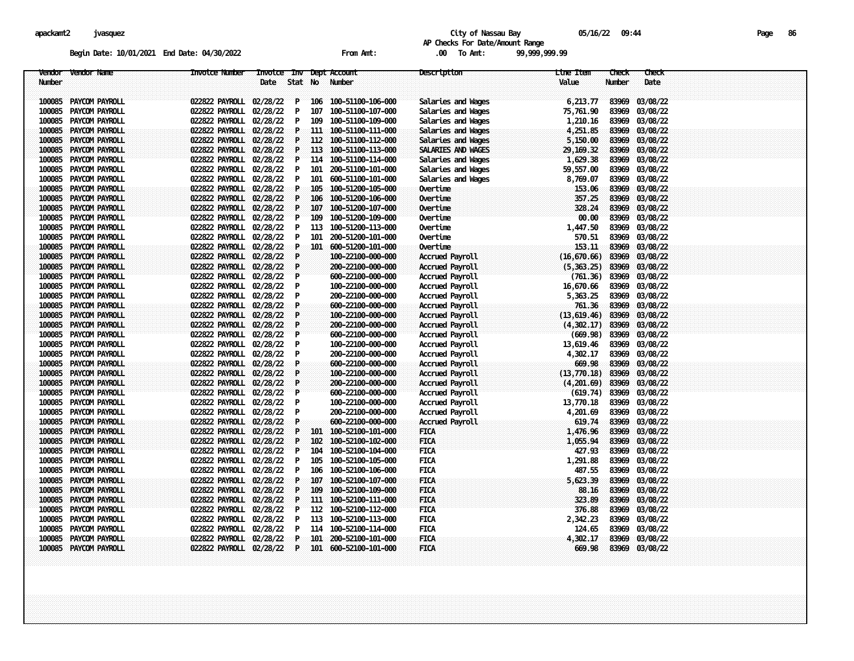**apackamt2 jvasquez City of Nassau Bay 05/16/22 09:44 Page 86 AP Checks For Date/Amount Range**

**Begin Date: 10/01/2021 End Date: 04/30/2022 From Amt: .00 To Amt: 99,999,999.99**

|               | <del>Vendor Vendor Name</del> | <b>Involce Number</b>   | <b>Invotce Inv Dept Account</b> |         |                       | Description            | ttne Item    | <b>UTECK</b> | Check    |  |  |
|---------------|-------------------------------|-------------------------|---------------------------------|---------|-----------------------|------------------------|--------------|--------------|----------|--|--|
| <b>Number</b> |                               |                         | Date                            | Stat No | <b>Number</b>         |                        | Value        | Number       | Date     |  |  |
| 100085        | PAYCOM PAYROLL                | 022822 PAYROLL 02/28/22 | -P                              | 106     | 100-51100-106-000     | Salaries and Wages     | 6,213.77     | 83969        | 03/08/22 |  |  |
| 100085        | <b>PAYCOM PAYROLL</b>         | 022822 PAYROLL          | 02/28/22<br>P                   | 107     | 100-51100-107-000     | Salaries and Wages     | 75,761.90    | 83969        | 03/08/22 |  |  |
| 100085        | PAYCOM PAYROLL                | 022822 PAYROLL 02/28/22 | P                               | 109     | 100-51100-109-000     | Salaries and Wages     | 1,210.16     | 83969        | 03/08/22 |  |  |
| 100085        | <b>PAYCOM PAYROLL</b>         | 022822 PAYROLL 02/28/22 |                                 | 111     | 100-51100-111-000     | Salaries and Wages     | 4,251.85     | 83969        | 03/08/22 |  |  |
| 100085        | PAYCOM PAYROLL                | 022822 PAYROLL 02/28/22 | P                               | 112     | 100-51100-112-000     | Salaries and Wages     | 5,150.00     | 83969        | 03/08/22 |  |  |
|               | 100085 PAYCOM PAYROLL         | 022822 PAYROLL 02/28/22 | P                               | 113     | 100-51100-113-000     | SALARIES AND WAGES     | 29,169.32    | 83969        | 03/08/22 |  |  |
| 100085        | PAYCOM PAYROLL                | 022822 PAYROLL 02/28/22 | P                               | 114     | 100-51100-114-000     | Salaries and Wages     | 1,629.38     | 83969        | 03/08/22 |  |  |
| 100085        | Paycom Payroll                | 022822 PAYROLL 02/28/22 | P                               | 101     | 200-51100-101-000     | Salaries and Wages     | 59,557.00    | 83969        | 03/08/22 |  |  |
| 100085        | PAYCOM PAYROLL                | 022822 PAYROLL 02/28/22 | P                               | 101     | 600-51100-101-000     | Salaries and Wages     | 8,769.07     | 83969        | 03/08/22 |  |  |
| 100085        | <b>PAYCOM PAYROLL</b>         | 022822 PAYROLL 02/28/22 | -P.                             | 105     | 100-51200-105-000     | Overtime               | 153.06       | 83969        | 03/08/22 |  |  |
| 100085        | PAYCOM PAYROLL                | 022822 PAYROLL 02/28/22 | P                               | 106     | 100-51200-106-000     | Overtime               | 357.25       | 83969        | 03/08/22 |  |  |
| 100085        | PAYCOM PAYROLL                | 022822 PAYROLL 02/28/22 | P                               | 107     | 100-51200-107-000     | Overtime               | 328.24       | 83969        | 03/08/22 |  |  |
| 100085        | PAYCOM PAYROLL                | 022822 PAYROLL 02/28/22 | P                               | 109     | 100-51200-109-000     | Overtime               | 00.00        | 83969        | 03/08/22 |  |  |
| 100085        | PAYCOM PAYROLL                | 022822 PAYROLL 02/28/22 | P                               | 113     | 100-51200-113-000     | Overtime               | 1,447.50     | 83969        | 03/08/22 |  |  |
| 100085        | PAYCOM PAYROLL                | 022822 PAYROLL 02/28/22 | P                               | 101     | 200-51200-101-000     | Overtime               | 570.51       | 83969        | 03/08/22 |  |  |
| 100085        | PAYCOM PAYROLL                | 022822 PAYROLL 02/28/22 | -P.                             |         | 101 600-51200-101-000 | Overtime               | 153.11       | 83969        | 03/08/22 |  |  |
| 100085        | PAYCOM PAYROLL                | 022822 PAYROLL 02/28/22 | P                               |         | 100-22100-000-000     | <b>Accrued Payroll</b> | (16, 670.66) | 83969        | 03/08/22 |  |  |
| 100085        | PAYCOM PAYROLL                | 022822 PAYROLL 02/28/22 | P                               |         | 200-22100-000-000     | <b>Accrued Payroll</b> | (5,363.25)   | 83969        | 03/08/22 |  |  |
| 100085        | <b>PAYCOM PAYROLL</b>         | 022822 PAYROLL 02/28/22 | P                               |         | 600-22100-000-000     | <b>Accrued Payroll</b> | (761.36)     | 83969        | 03/08/22 |  |  |
| 100085        | PAYCOM PAYROLL                | 022822 PAYROLL 02/28/22 | P                               |         | 100-22100-000-000     | <b>Accrued Payroll</b> | 16,670.66    | 83969        | 03/08/22 |  |  |
| 100085        | PAYCOM PAYROLL                | 022822 PAYROLL 02/28/22 | P                               |         | 200-22100-000-000     | <b>Accrued Payroll</b> | 5,363.25     | 83969        | 03/08/22 |  |  |
| 100085        | PAYCOM PAYROLL                | 022822 PAYROLL 02/28/22 | P                               |         | 600-22100-000-000     | <b>Accrued Payroll</b> | 761.36       | 83969        | 03/08/22 |  |  |
| 100085        | PAYCOM PAYROLL                | 022822 PAYROLL 02/28/22 | P                               |         | 100-22100-000-000     | <b>Accrued Payroll</b> | (13, 619.46) | 83969        | 03/08/22 |  |  |
| 100085        | PAYCOM PAYROLL                | 022822 PAYROLL 02/28/22 | Þ                               |         | 200-22100-000-000     | <b>Accrued Payroll</b> | (4,302.17)   | 83969        | 03/08/22 |  |  |
| 100085        | PAYCOM PAYROLL                | 022822 PAYROLL 02/28/22 |                                 |         | 600-22100-000-000     | <b>Accrued Payroll</b> | (669.98)     | 83969        | 03/08/22 |  |  |
| 100085        | PAYCOM PAYROLL                | 022822 PAYROLL 02/28/22 | P                               |         | 100-22100-000-000     | <b>Accrued Payroll</b> | 13,619.46    | 83969        | 03/08/22 |  |  |
|               | 100085 PAYCOM PAYROLL         | 022822 PAYROLL 02/28/22 |                                 |         | 200-22100-000-000     | <b>Accrued Payroll</b> | 4,302.17     | 83969        | 03/08/22 |  |  |
| 100085        | PAYCOM PAYROLL                | 022822 PAYROLL 02/28/22 | P                               |         | 600-22100-000-000     | <b>Accrued Payroll</b> | 669.98       | 83969        | 03/08/22 |  |  |
| 100085        | PAYCOM PAYROLL                | 022822 PAYROLL 02/28/22 | P                               |         | 100-22100-000-000     | <b>Accrued Payroll</b> | (13, 770.18) | 83969        | 03/08/22 |  |  |
| 100085        | PAYCOM PAYROLL                | 022822 PAYROLL 02/28/22 | P                               |         | 200-22100-000-000     | <b>Accrued Payroll</b> | (4, 201.69)  | 83969        | 03/08/22 |  |  |
| 100085        | <b>PAYCOM PAYROLL</b>         | 022822 PAYROLL 02/28/22 |                                 |         | 600-22100-000-000     | <b>Accrued Payroll</b> | (619.74)     | 83969        | 03/08/22 |  |  |
| 100085        | PAYCOM PAYROLL                | 022822 PAYROLL 02/28/22 | P                               |         | 100-22100-000-000     | <b>Accrued Payroll</b> | 13,770.18    | 83969        | 03/08/22 |  |  |
| 100085        | PAYCOM PAYROLL                | 022822 PAYROLL 02/28/22 | P                               |         | 200-22100-000-000     | <b>Accrued Payroll</b> | 4,201.69     | 83969        | 03/08/22 |  |  |
| 100085        | PAYCOM PAYROLL                | 022822 PAYROLL 02/28/22 |                                 |         | 600-22100-000-000     | <b>Accrued Payroll</b> | 619.74       | 83969        | 03/08/22 |  |  |
| 100085        | PAYCOM PAYROLL                | 022822 PAYROLL 02/28/22 |                                 | 101     | 100-52100-101-000     | <b>FICA</b>            | 1,476.96     | 83969        | 03/08/22 |  |  |
| 100085        | PAYCOM PAYROLL                | 022822 PAYROLL 02/28/22 | P                               | 102     | 100-52100-102-000     | <b>FICA</b>            | 1,055.94     | 83969        | 03/08/22 |  |  |
| 100085        | PAYCOM PAYROLL                | 022822 PAYROLL 02/28/22 | P                               | 104     | 100-52100-104-000     | <b>FICA</b>            | 427.93       | 83969        | 03/08/22 |  |  |
| 100085        | PAYCOM PAYROLL                | 022822 PAYROLL 02/28/22 | P                               | 105     | 100-52100-105-000     | <b>FICA</b>            | 1,291.88     | 83969        | 03/08/22 |  |  |
| 100085        |                               | 022822 PAYROLL 02/28/22 | P                               | 106     | 100-52100-106-000     |                        | 487.55       |              | 03/08/22 |  |  |
|               | PAYCOM PAYROLL                |                         |                                 | 107     |                       | <b>FICA</b>            |              | 83969        |          |  |  |
| 100085        | PAYCOM PAYROLL                | 022822 PAYROLL 02/28/22 |                                 |         | 100-52100-107-000     | <b>FICA</b>            | 5,623.39     | 83969        | 03/08/22 |  |  |
| 100085        | PAYCOM PAYROLL                | 022822 PAYROLL          | 02/28/22<br>P                   | 109     | 100-52100-109-000     | <b>FICA</b>            | 88.16        | 83969        | 03/08/22 |  |  |
| 100085        | PAYCOM PAYROLL                | 022822 PAYROLL 02/28/22 |                                 | 111     | 100-52100-111-000     | <b>FICA</b>            | 323.89       | 83969        | 03/08/22 |  |  |
| 100085        | PAYCOM PAYROLL                | 022822 PAYROLL 02/28/22 | P                               | 112     | 100-52100-112-000     | <b>FICA</b>            | 376.88       | 83969        | 03/08/22 |  |  |
| 100085        | PAYCOM PAYROLL                | 022822 PAYROLL 02/28/22 | P                               | 113     | 100-52100-113-000     | <b>FICA</b>            | 2,342.23     | 83969        | 03/08/22 |  |  |
| 100085        | Paycom Payroll                | 022822 PAYROLL 02/28/22 | P                               | 114     | 100-52100-114-000     | <b>FICA</b>            | 124.65       | 83969        | 03/08/22 |  |  |
| 100085        | PAYCOM PAYROLL                | 022822 PAYROLL 02/28/22 |                                 | 101     | 200-52100-101-000     | <b>FICA</b>            | 4,302.17     | 83969        | 03/08/22 |  |  |
|               | 100085 PAYCOM PAYROLL         | 022822 PAYROLL 02/28/22 | .Р.                             | 101     | 600-52100-101-000     | <b>FICA</b>            | 669.98       | 83969        | 03/08/22 |  |  |
|               |                               |                         |                                 |         |                       |                        |              |              |          |  |  |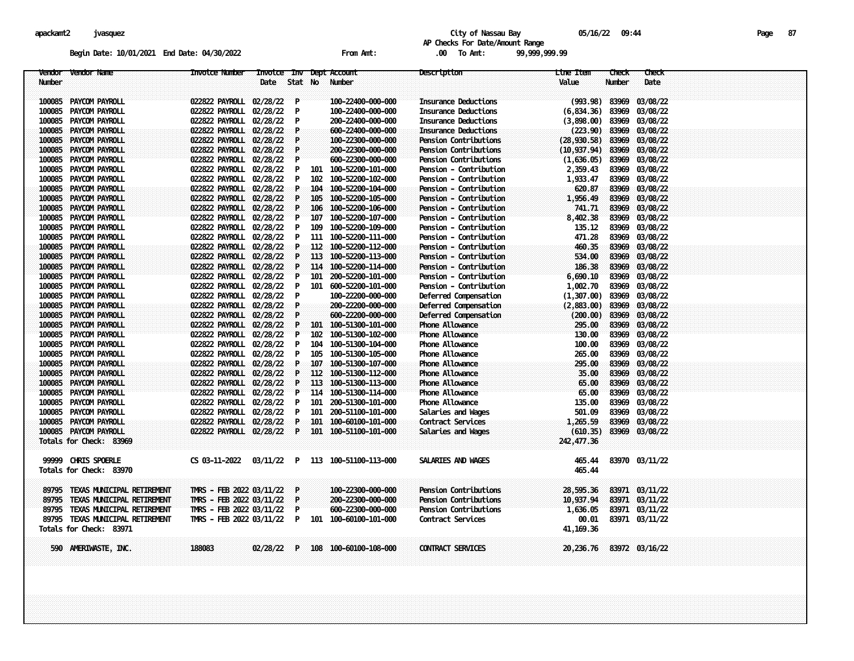**apackamt2 jvasquez City of Nassau Bay 05/16/22 09:44 Page 87 AP Checks For Date/Amount Range**

Begin Date: 10/01/2021 End Date: 04/30/2022

| rom Amt: |
|----------|
|----------|

|               | <u> Vendor Vendor Name</u>        | <b>Involce Number</b>    | <b>Invoice Inv Dept Account</b> |         |     |                       | <b>Description</b>            | ttne Item            | <b>Check</b>  | Check          |  |  |
|---------------|-----------------------------------|--------------------------|---------------------------------|---------|-----|-----------------------|-------------------------------|----------------------|---------------|----------------|--|--|
| <b>Number</b> |                                   |                          | Date                            | Stat No |     | <b>Number</b>         |                               | Value                | <b>Number</b> | Date           |  |  |
|               |                                   |                          |                                 |         |     |                       |                               |                      |               |                |  |  |
| 100085        | <b>PAYCOM PAYROLL</b>             | 022822 PAYROLL 02/28/22  |                                 | ∵P      |     | 100-22400-000-000     | <b>Insurance Deductions</b>   | (993.98)             | 83969         | 03/08/22       |  |  |
| 100085        | PAYCOM PAYROLL                    | 022822 PAYROLL 02/28/22  |                                 | P       |     | 100-22400-000-000     | <b>Insurance Deductions</b>   | (6,834.36)           | 83969         | 03/08/22       |  |  |
| 100085        | PAYCOM PAYROLL                    | 022822 PAYROLL 02/28/22  |                                 | P       |     | 200-22400-000-000     | <b>Insurance Deductions</b>   | $(3,898.00)$ 83969   |               | 03/08/22       |  |  |
| 100085        | PAYCOM PAYROLL                    | 022822 PAYROLL 02/28/22  |                                 | ٠P      |     | 600-22400-000-000     | Insurance Deductions          | $(223.90)$ 83969     |               | 03/08/22       |  |  |
| 100085        | PAYCOM PAYROLL                    | 022822 PAYROLL 02/28/22  |                                 | P       |     | 100-22300-000-000     | <b>Pension Contributions</b>  | (28, 930.58)         | 83969         | 03/08/22       |  |  |
|               | 100085 PAYCOM PAYROLL             | 022822 PAYROLL 02/28/22  |                                 | P       |     | 200-22300-000-000     | <b>Pension Contributions</b>  | $(10, 937.94)$ 83969 |               | 03/08/22       |  |  |
| 100085        | PAYCOM PAYROLL                    | 022822 PAYROLL 02/28/22  |                                 | P       |     | 600-22300-000-000     | <b>Pension Contributions</b>  | (1,636.05)           | 83969         | 03/08/22       |  |  |
|               | 100085 PAYCOM PAYROLL             | 022822 PAYROLL 02/28/22  |                                 |         | 101 | 100-52200-101-000     | Pension - Contribution        | 2,359.43             | 83969         | 03/08/22       |  |  |
| 100085        | PAYCOM PAYROLL                    | 022822 PAYROLL 02/28/22  |                                 | P       | 102 | 100-52200-102-000     | <b>Pension - Contribution</b> | 1,933.47             | 83969         | 03/08/22       |  |  |
| 100085        | <b>PAYCOM PAYROLL</b>             | 022822 PAYROLL 02/28/22  |                                 | -P.     | 104 | 100-52200-104-000     | <b>Pension - Contribution</b> | 620.87               | 83969         | 03/08/22       |  |  |
| 100085        | PAYCOM PAYROLL                    | 022822 PAYROLL 02/28/22  |                                 | P       | 105 | 100-52200-105-000     | Pension - Contribution        | 1,956.49             | 83969         | 03/08/22       |  |  |
| 100085        | PAYCOM PAYROLL                    | 022822 PAYROLL 02/28/22  |                                 | P       | 106 | 100-52200-106-000     | Pension - Contribution        | 741.71               | 83969         | 03/08/22       |  |  |
| 100085        | PAYCOM PAYROLL                    | 022822 PAYROLL 02/28/22  |                                 | P       | 107 | 100-52200-107-000     | <b>Pension - Contribution</b> | 8,402.38             | 83969         | 03/08/22       |  |  |
| 100085        | PAYCOM PAYROLL                    | 022822 PAYROLL 02/28/22  |                                 | P       | 109 | 100-52200-109-000     | Pension - Contribution        | 135.12               | 83969         | 03/08/22       |  |  |
| 100085        | PAYCOM PAYROLL                    | 022822 PAYROLL 02/28/22  |                                 | P       | 111 | 100-52200-111-000     | Pension - Contribution        | 471.28               | 83969         | 03/08/22       |  |  |
| 100085        | <b>PAYCOM PAYROLL</b>             | 022822 PAYROLL 02/28/22  |                                 | -P      | 112 | 100-52200-112-000     | <b>Pension - Contribution</b> | 460.35               | 83969         | 03/08/22       |  |  |
| 100085        | PAYCOM PAYROLL                    | 022822 PAYROLL 02/28/22  |                                 | P       | 113 | 100-52200-113-000     | Pension - Contribution        | 534.00               | 83969         | 03/08/22       |  |  |
| 100085        | PAYCOM PAYROLL                    | 022822 PAYROLL 02/28/22  |                                 | P       | 114 | 100-52200-114-000     | Pension - Contribution        | 186.38               | 83969         | 03/08/22       |  |  |
|               | 100085 PAYCOM PAYROLL             | 022822 PAYROLL 02/28/22  |                                 | P       |     | 101 200-52200-101-000 | <b>Pension - Contribution</b> | 6,690.10             | 83969         | 03/08/22       |  |  |
|               | 100085 PAYCOM PAYROLL             | 022822 PAYROLL 02/28/22  |                                 | P       | 101 | 600-52200-101-000     | <b>Pension - Contribution</b> | 1,002.70             | 83969         | 03/08/22       |  |  |
| 100085        | PAYCOM PAYROLL                    | 022822 PAYROLL 02/28/22  |                                 | P       |     | 100-22200-000-000     | Deferred Compensation         | (1,307.00)           | 83969         | 03/08/22       |  |  |
| 100085        | PAYCOM PAYROLL                    | 022822 PAYROLL 02/28/22  |                                 | ⊹P      |     | 200-22200-000-000     | Deferred Compensation         | $(2,883.00)$ 83969   |               | 03/08/22       |  |  |
|               | 100085 PAYCOM PAYROLL             | 022822 PAYROLL 02/28/22  |                                 | P       |     | 600-22200-000-000     | Deferred Compensation         | $(200.00)$ 83969     |               | 03/08/22       |  |  |
| 100085        | PAYCOM PAYROLL                    | 022822 PAYROLL 02/28/22  |                                 |         |     | 101 100-51300-101-000 | <b>Phone Allowance</b>        | 295.00               | 83969         | 03/08/22       |  |  |
|               | 100085 PAYCOM PAYROLL             | 022822 PAYROLL 02/28/22  |                                 | P       | 102 | 100-51300-102-000     | <b>Phone Allowance</b>        | 130.00               | 83969         | 03/08/22       |  |  |
| 100085        | PAYCOM PAYROLL                    | 022822 PAYROLL 02/28/22  |                                 | P       | 104 | 100-51300-104-000     | <b>Phone Allowance</b>        | 100.00               | 83969         | 03/08/22       |  |  |
| 100085        | PAYCOM PAYROLL                    | 022822 PAYROLL 02/28/22  |                                 | P       | 105 | 100-51300-105-000     | <b>Phone Allowance</b>        | 265.00               | 83969         | 03/08/22       |  |  |
| 100085        | PAYCOM PAYROLL                    | 022822 PAYROLL 02/28/22  |                                 | P       | 107 | 100-51300-107-000     | <b>Phone Allowance</b>        | 295.00               | 83969         | 03/08/22       |  |  |
| 100085        | PAYCOM PAYROLL                    | 022822 PAYROLL 02/28/22  |                                 | -P      | 112 | 100-51300-112-000     | <b>Phone Allowance</b>        | 35.00                | 83969         | 03/08/22       |  |  |
|               | 100085 PAYCOM PAYROLL             | 022822 PAYROLL 02/28/22  |                                 | P       | 113 | 100-51300-113-000     | <b>Phone Allowance</b>        | 65.00                | 83969         | 03/08/22       |  |  |
|               | 100085 PAYCOM PAYROLL             | 022822 PAYROLL 02/28/22  |                                 | -P      | 114 | 100-51300-114-000     | <b>Phone Allowance</b>        | 65.00                | 83969         | 03/08/22       |  |  |
|               | 100085 PAYCOM PAYROLL             | 022822 PAYROLL 02/28/22  |                                 | P       | 101 | 200-51300-101-000     | <b>Phone Allowance</b>        | 135.00               | 83969         | 03/08/22       |  |  |
| 100085        | PAYCOM PAYROLL                    | 022822 PAYROLL 02/28/22  |                                 | P       | 101 | 200-51100-101-000     | Salaries and Wages            | 501.09               | 83969         | 03/08/22       |  |  |
|               | 100085 PAYCOM PAYROLL             | 022822 PAYROLL 02/28/22  |                                 | P       | 101 | 100-60100-101-000     | <b>Contract Services</b>      | 1,265.59             | 83969         | 03/08/22       |  |  |
|               | 100085 PAYCOM PAYROLL             | 022822 PAYROLL 02/28/22  |                                 | P.      | 101 | 100-51100-101-000     | Salaries and Wages            | (610.35)             |               | 83969 03/08/22 |  |  |
|               | Totals for Check: 83969           |                          |                                 |         |     |                       |                               | 242, 477, 36         |               |                |  |  |
|               |                                   |                          |                                 |         |     |                       |                               |                      |               |                |  |  |
| 99999         | CHRIS SPOERLE                     | CS 03-11-2022            | 03/11/22                        | P       |     | 113 100-51100-113-000 | SALARIES AND WAGES            | 465.44               |               | 83970 03/11/22 |  |  |
|               | Totals for Check: 83970           |                          |                                 |         |     |                       |                               | 465.44               |               |                |  |  |
|               |                                   |                          |                                 |         |     |                       |                               |                      |               |                |  |  |
| 89795         | <b>TEXAS MUNICIPAL RETIREMENT</b> | TMRS - FEB 2022 03/11/22 |                                 | P       |     | 100-22300-000-000     | <b>Pension Contributions</b>  | 28,595.36            |               | 83971 03/11/22 |  |  |
|               |                                   |                          |                                 | P       |     |                       |                               |                      |               |                |  |  |
| 89795         | <b>TEXAS MUNICIPAL RETIREMENT</b> | TMRS - FEB 2022 03/11/22 |                                 | P       |     | 200-22300-000-000     | <b>Pension Contributions</b>  | 10,937.94            |               | 83971 03/11/22 |  |  |
| 89795         | <b>TEXAS MUNICIPAL RETIREMENT</b> | TMRS - FEB 2022 03/11/22 |                                 | P       |     | 600-22300-000-000     | <b>Pension Contributions</b>  | 1,636.05             |               | 83971 03/11/22 |  |  |
| 89795         | TEXAS MUNICIPAL RETIREMENT        | TMRS - FEB 2022 03/11/22 |                                 |         |     | 101 100-60100-101-000 | Contract Services             | 00.01                |               | 83971 03/11/22 |  |  |
|               | Totals for Check: 83971           |                          |                                 |         |     |                       |                               | 41,169.36            |               |                |  |  |
|               |                                   |                          |                                 |         |     |                       |                               |                      |               |                |  |  |
|               | 590 AMERIMASTE, INC.              | 188083                   | 02/28/22                        | .Р.     |     | 108 100-60100-108-000 | <b>CONTRACT SERVICES</b>      | 20,236.76            |               | 83972 03/16/22 |  |  |
|               |                                   |                          |                                 |         |     |                       |                               |                      |               |                |  |  |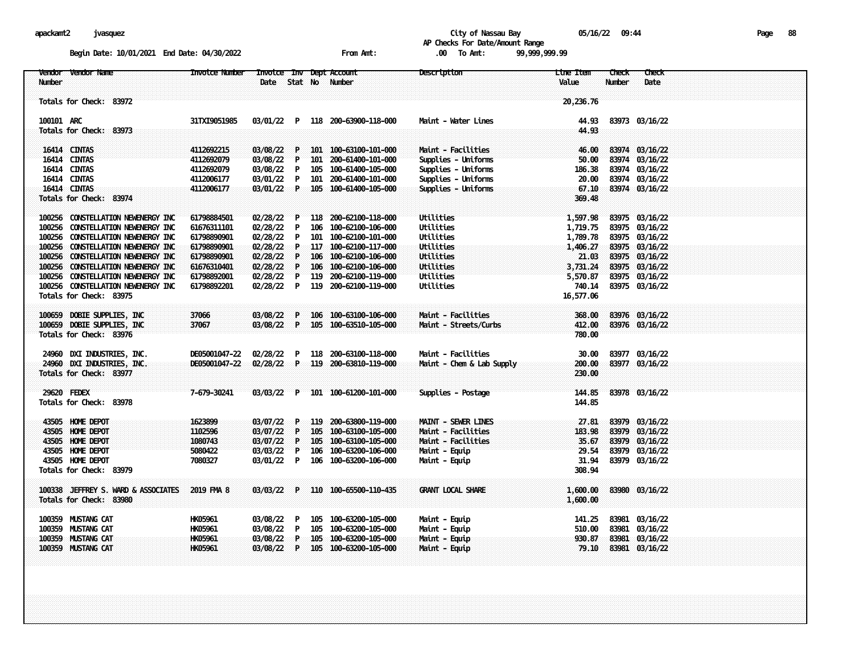**apackamt2 jvasquez City of Nassau Bay 05/16/22 09:44 Page 88 AP Checks For Date/Amount Range**

| 05/16/22 | 09:4 |
|----------|------|
|----------|------|

| Begin Date: 10/01/2021 End Date: 04/30/2022 |  | From Amt: |  | $.00$ To Amt: | 99,999,999.99 |
|---------------------------------------------|--|-----------|--|---------------|---------------|
|---------------------------------------------|--|-----------|--|---------------|---------------|

| From Amt: |  |
|-----------|--|
|           |  |

| <del>Vendor Vendor Name</del>       | <b>Involce Number</b> | <b>Invotce Inv Dept Account</b> |              |     |                                 | <b>Description</b>         | Etne Item | <b>UTECK</b>  | Check          |  |  |  |
|-------------------------------------|-----------------------|---------------------------------|--------------|-----|---------------------------------|----------------------------|-----------|---------------|----------------|--|--|--|
| <b>Number</b>                       |                       | Date Stat No Number             |              |     |                                 |                            | Value     | <b>Number</b> | Date           |  |  |  |
|                                     |                       |                                 |              |     |                                 |                            |           |               |                |  |  |  |
| Totals for Check: 83972             |                       |                                 |              |     |                                 |                            | 20,236.76 |               |                |  |  |  |
| 100101 ARC                          | 31TXI9051985          | $03/01/22$ P                    |              |     | 118 200-63900-118-000           | Maint - Water Lines        | 44.93     |               | 83973 03/16/22 |  |  |  |
| Totals for Check: 83973             |                       |                                 |              |     |                                 |                            | 44.93     |               |                |  |  |  |
|                                     |                       |                                 |              |     |                                 |                            |           |               |                |  |  |  |
| <b>16414 CINTAS</b>                 | 4112692215            | 03/08/22 P                      |              |     | 101 100-63100-101-000           | Maint - Facilities         | 46.00     |               | 83974 03/16/22 |  |  |  |
| 16414 CINTAS                        | 4112692079            | 03/08/22                        | ™P           |     | 101 200-61400-101-000           | Supplies - Uniforms        | 50.00     |               | 83974 03/16/22 |  |  |  |
| 16414 CINTAS                        | 4112692079            | 03/08/22 P                      |              |     | 105 100-61400-105-000           | Supplies - Uniforms        | 186.38    |               | 83974 03/16/22 |  |  |  |
| 16414 CINTAS                        | 4112006177            | 03/01/22                        | $\mathsf{P}$ |     | 101 200-61400-101-000           | Supplies - Uniforms        | 20.00     |               | 83974 03/16/22 |  |  |  |
| 16414 CINTAS                        | 4112006177            | 03/01/22 P                      |              |     | $105 - 100 - 61400 - 105 - 000$ | Supplies - Uniforms        | 67.10     |               | 83974 03/16/22 |  |  |  |
| Totals for Check: 83974             |                       |                                 |              |     |                                 |                            | 369.48    |               |                |  |  |  |
|                                     |                       |                                 |              |     |                                 |                            |           |               |                |  |  |  |
| 100256 CONSTELLATION NEWENERGY INC  | 61798884501           | $02/28/22$ P                    |              |     | 118 200-62100-118-000           | <b>Utilities</b>           | 1,597.98  |               | 83975 03/16/22 |  |  |  |
| 100256 CONSTELLATION NEWENERGY INC  | 61676311101           | 02/28/22                        | $\mathsf{P}$ | 106 | 100-62100-106-000               | Utilities                  | 1,719.75  |               | 83975 03/16/22 |  |  |  |
| 100256 CONSTELLATION NEWENERGY INC  | 61798890901           | 02/28/22 P                      |              |     | 101 100-62100-101-000           | Utilities                  | 1,789.78  |               | 83975 03/16/22 |  |  |  |
| 100256 CONSTELLATION NEWENERGY INC  | 61798890901           | 02/28/22 P                      |              |     | $117 - 100 - 62100 - 117 - 000$ | <b>Utilities</b>           | 1,406.27  |               | 83975 03/16/22 |  |  |  |
| 100256 CONSTELLATION NEWENERGY INC  | 61798890901           | $02/28/22$ P                    |              |     | 106 100-62100-106-000           | Utilities                  | 21.03     |               | 83975 03/16/22 |  |  |  |
| 100256 CONSTELLATION NEWENERGY INC  | 61676310401           | 02/28/22                        | $\mathbf{P}$ |     | 106 100-62100-106-000           | <b>Utilities</b>           | 3,731.24  |               | 83975 03/16/22 |  |  |  |
| 100256 CONSTELLATION NEWENERGY INC  | 61798892001           | $02/28/22$ P                    |              |     | 119 200-62100-119-000           | <b>Utilities</b>           | 5,570.87  |               | 83975 03/16/22 |  |  |  |
| 100256 CONSTELLATION NEWENERGY INC  | 61798892201           | $02/28/22$ P                    |              |     | 119 200-62100-119-000           | Utilities                  | 740.14    |               | 83975 03/16/22 |  |  |  |
| Totals for Check: 83975             |                       |                                 |              |     |                                 |                            | 16,577.06 |               |                |  |  |  |
| 100659 DOBIE SUPPLIES, INC.         | 37066                 | 03/08/22                        | ा            |     | 106 100-63100-106-000           | Maint - Facilities         | 368.00    |               | 83976 03/16/22 |  |  |  |
| 100659 DOBIE SUPPLIES, INC          | 37067                 | $03/08/22$ P                    |              |     | 105 100-63510-105-000           | Maint - Streets/Curbs      | 412.00    |               | 83976 03/16/22 |  |  |  |
| Totals for Check: 83976             |                       |                                 |              |     |                                 |                            | 780.00    |               |                |  |  |  |
| 24960 DXI INDUSTRIES, INC.          | DE05001047-22         | 02/28/22                        | P            |     | 118 200-63100-118-000           | Maint - Facilities         | 30.00     |               | 83977 03/16/22 |  |  |  |
| 24960 DXI INDUSTRIES, INC.          | DE05001047-22         | 02/28/22 P                      |              |     | 119 200-63810-119-000           | Maint - Chem & Lab Supply  | 200.00    |               | 83977 03/16/22 |  |  |  |
| Totals for Check: 83977             |                       |                                 |              |     |                                 |                            | 230.00    |               |                |  |  |  |
|                                     |                       |                                 |              |     |                                 |                            |           |               |                |  |  |  |
| 29620 FEDEX                         | 7-679-30241           | 03/03/22                        | ™P.          |     | 101 100-61200-101-000           | Supplies - Postage         | 144.85    |               | 83978 03/16/22 |  |  |  |
| Totals for Check: 83978             |                       |                                 |              |     |                                 |                            | 144.85    |               |                |  |  |  |
| 43505 HOME DEPOT                    | 1623899               | 03/07/22                        | ႃၣႜ          |     | 119 200-63800-119-000           | <b>MAINT - SEWER LINES</b> | 27.81     |               | 83979 03/16/22 |  |  |  |
| 43505 HOME DEPOT                    | 1102596               | 03/07/22                        | $\mathbf{P}$ | 105 | 100-63100-105-000               | Maint - Facilities         | 183.98    |               | 83979 03/16/22 |  |  |  |
| 43505 HOME DEPOT                    | 1080743               | 03/07/22                        | ႃၣႜ          | 105 | 100-63100-105-000               | Maint - Facilities         | 35.67     |               | 83979 03/16/22 |  |  |  |
| 43505 HOME DEPOT                    | 5080422               | 03/03/22                        | ™P.          |     | 106 100-63200-106-000           | Maint - Equip              | 29.54     |               | 83979 03/16/22 |  |  |  |
| 43505 HOME DEPOT                    | 7080327               | 03/01/22 P                      |              |     | 106 100-63200-106-000           | Maint - Equip              | 31.94     |               | 83979 03/16/22 |  |  |  |
| Totals for Check: 83979             |                       |                                 |              |     |                                 |                            | 308.94    |               |                |  |  |  |
|                                     |                       |                                 |              |     |                                 |                            |           |               |                |  |  |  |
| 100338 JEFFREY S. WARD & ASSOCIATES | 2019 FMA 8            | 03/03/22 P                      |              |     | 110 100-65500-110-435           | <b>GRANT LOCAL SHARE</b>   | 1,600.00  |               | 83980 03/16/22 |  |  |  |
| Totals for Check: 83980             |                       |                                 |              |     |                                 |                            | 1,600.00  |               |                |  |  |  |
|                                     |                       |                                 |              |     |                                 |                            |           |               |                |  |  |  |
| 100359 MUSTANG CAT                  | <b>HK05961</b>        | 03/08/22                        | P            |     | 105 100-63200-105-000           | Maint - Equip              | 141.25    |               | 83981 03/16/22 |  |  |  |
| 100359 MUSTANG CAT                  | <b>HK05961</b>        | 03/08/22                        | - P          |     | 105 100-63200-105-000           | Maint - Equip              | 510.00    |               | 83981 03/16/22 |  |  |  |
| 100359 MUSTANG CAT                  | <b>HK05961</b>        | 03/08/22                        | . Р.         |     | 105 100-63200-105-000           | Maint - Equip              | 930.87    |               | 83981 03/16/22 |  |  |  |
| 100359 MUSTANG CAT                  | <b>HK05961</b>        | 03/08/22 P                      |              |     | 105 100-63200-105-000           | Maint - Equip              | 79.10     |               | 83981 03/16/22 |  |  |  |
|                                     |                       |                                 |              |     |                                 |                            |           |               |                |  |  |  |
|                                     |                       |                                 |              |     |                                 |                            |           |               |                |  |  |  |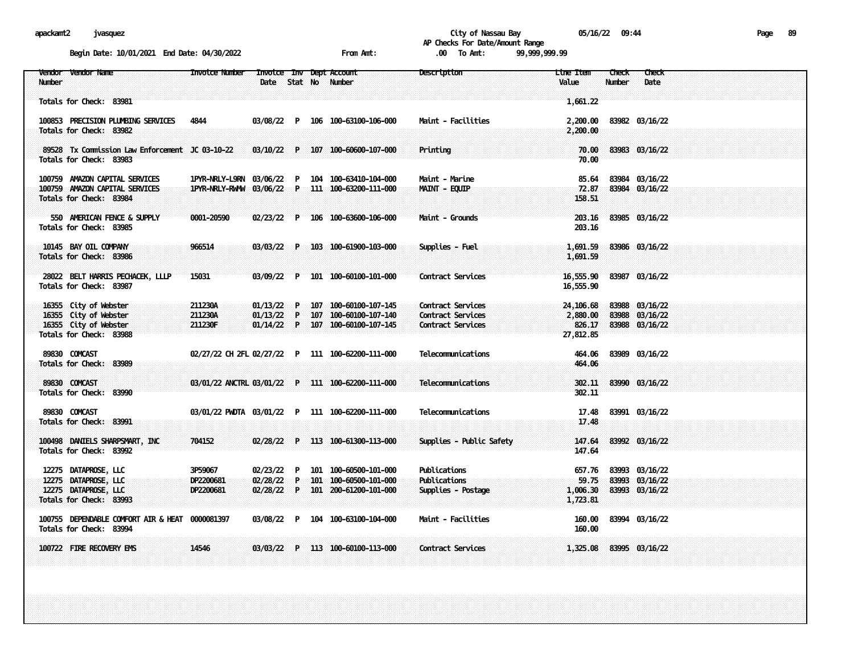**apackamt2 jvasquez City of Nassau Bay 05/16/22 09:44 Page 89 AP Checks For Date/Amount Range**

| Begin Date: 10/01/2021 End Date: 04/30/2022                                                        |                                   |              |  | From Amt:                                                                                                | .00 To Amt:                                                 | 99,999,999.99                                |                        |                                                    |  |  |  |
|----------------------------------------------------------------------------------------------------|-----------------------------------|--------------|--|----------------------------------------------------------------------------------------------------------|-------------------------------------------------------------|----------------------------------------------|------------------------|----------------------------------------------------|--|--|--|
| <del>Vendor Vendor Name</del><br><b>Number</b>                                                     | <b>Involce Number</b>             |              |  | Invotce Inv Dept Account<br>Date Stat No Number                                                          | <b>Description</b>                                          | istne Ittem<br><b>Value</b>                  | Check<br><b>Number</b> | -Check<br>Date                                     |  |  |  |
| Totals for Check: 83981                                                                            |                                   |              |  |                                                                                                          |                                                             | 1,661.22                                     |                        |                                                    |  |  |  |
| 100853 PRECISION PLUMBING SERVICES<br>Totals for Check: 83982                                      | 4844                              | 03/08/22 P   |  | 106 100-63100-106-000                                                                                    | Maint - Facilities                                          | 2,200.00<br>2,200.00                         |                        | 83982 03/16/22                                     |  |  |  |
| 89528 Tx Commission Law Enforcement JC 03-10-22<br>Totals for Check: 83983                         |                                   | $03/10/22$ P |  | 107 100-60600-107-000                                                                                    | Printing                                                    | 70.00<br>70.00                               |                        | 83983 03/16/22                                     |  |  |  |
| 100759 AMAZON CAPITAL SERVICES<br>100759 AMAZON CAPITAL SERVICES<br>Totals for Check: 83984        | 1PYR-NRLY-L9RN 03/06/22 P         |              |  | 104 100-63410-104-000<br>1PYR-NRLY-RWW 03/06/22 P 111 100-63200-111-000                                  | Maint - Marine<br>MAINT - EOUIP                             | 85.64<br>72.87<br>158.51                     |                        | 83984 03/16/22<br>83984 03/16/22                   |  |  |  |
| 550 AMERICAN FENCE & SUPPLY<br>Totals for Check: 83985                                             | 0001-20590                        |              |  | 02/23/22 P 106 100-63600-106-000                                                                         | Maint - Grounds                                             | 203.16<br>203.16                             |                        | 83985 03/16/22                                     |  |  |  |
| 10145 BAY OIL COMPANY<br>Totals for Check: 83986                                                   | 966514                            |              |  | 03/03/22 P 103 100-61900-103-000                                                                         | Supplies - Fuel                                             | 1,691.59<br>1,691.59                         |                        | 83986 03/16/22                                     |  |  |  |
| 28022 BELT HARRIS PECHACEK, LLLP<br>Totals for Check: 83987                                        | 15031                             |              |  | 03/09/22 P 101 100-60100-101-000                                                                         | Contract Services                                           | 16,555.90<br>16,555.90                       |                        | 83987 03/16/22                                     |  |  |  |
| 16355 City of Webster<br>16355 City of Webster<br>16355 City of Webster<br>Totals for Check: 83988 | 211230A<br>211230A<br>211230F     |              |  | 01/13/22 P 107 100-60100-107-145<br>01/13/22 P 107 100-60100-107-140<br>01/14/22 P 107 100-60100-107-145 | Contract Services<br>Contract Services<br>Contract Services | 24,106.68<br>2,880.00<br>826.17<br>27,812.85 |                        | 83988 03/16/22<br>83988 03/16/22<br>83988 03/16/22 |  |  |  |
| 89830 COMCAST<br>Totals for Check: 83989                                                           |                                   |              |  | 02/27/22 CH 2FL 02/27/22 P 111 100-62200-111-000                                                         | Telecommunications                                          | 464.06<br>464.06                             |                        | 83989 03/16/22                                     |  |  |  |
| 89830 COMCAST<br>Totals for Check: 83990                                                           |                                   |              |  | 03/01/22 ANCTRL 03/01/22 P 111 100-62200-111-000                                                         | Telecommunications                                          | 302.11<br>302.11                             |                        | 83990 03/16/22                                     |  |  |  |
| 89830 COMCAST<br>Totals for Check: 83991                                                           |                                   |              |  | 03/01/22 PWDTA 03/01/22 P 111 100-62200-111-000                                                          | <b>Telecomunications</b>                                    | 17.48<br>17.48                               |                        | 83991 03/16/22                                     |  |  |  |
| 100498 DANIELS SHARPSMART, INC<br>Totals for Check: 83992                                          | 704152                            |              |  | 02/28/22 P 113 100-61300-113-000                                                                         | Supplies - Public Safety                                    | 147.64<br>147.64                             |                        | 83992 03/16/22                                     |  |  |  |
| 12275 DATAPROSE, LLC<br>12275 DATAPROSE, LLC<br>12275 DATAPROSE, LLC<br>Totals for Check: 83993    | 3P59067<br>DP2200681<br>DP2200681 | $02/23/22$ P |  | 101 100-60500-101-000<br>02/28/22 P 101 100-60500-101-000<br>02/28/22 P 101 200-61200-101-000            | Publications<br><b>Publications</b><br>Supplies - Postage   | 657.76<br>59.75<br>1,006.30<br>1,723.81      |                        | 83993 03/16/22<br>83993 03/16/22<br>83993 03/16/22 |  |  |  |
| 100755 DEPENDABLE COMFORT AIR & HEAT 0000081397<br>Totals for Check: 83994                         |                                   | 03/08/22 P   |  | 104 100-63100-104-000                                                                                    | Maint - Facilities                                          | 160.00<br>160.00                             |                        | 83994 03/16/22                                     |  |  |  |
| 100722 FIRE RECOVERY EMS                                                                           | 14546                             |              |  | 03/03/22 P 113 100-60100-113-000                                                                         | Contract Services                                           | 1.325.08                                     |                        | 83995 03/16/22                                     |  |  |  |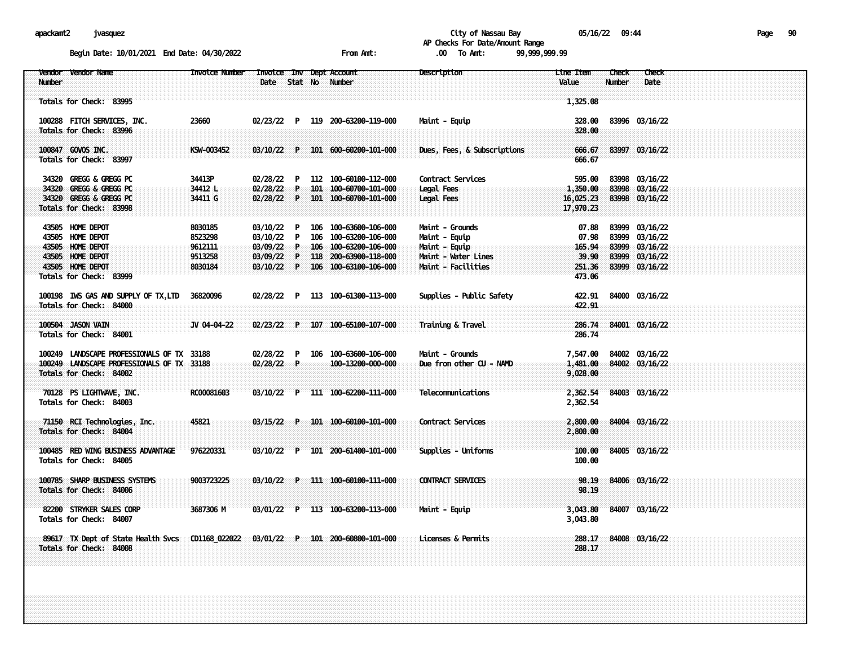**apackamt2 jvasquez City of Nassau Bay 05/16/22 09:44 Page 90 AP Checks For Date/Amount Range**

| <del>Vendor Vendor Name</del>                                 |             | Invoice Number Invoice Inv Dept Account |                                      | <b>Description</b>          | istnes titens    | -Check.       | Check          |  |  |  |
|---------------------------------------------------------------|-------------|-----------------------------------------|--------------------------------------|-----------------------------|------------------|---------------|----------------|--|--|--|
| <b>Number</b>                                                 |             |                                         | Date Stat No Number                  |                             | Value            | <b>Number</b> | Date           |  |  |  |
|                                                               |             |                                         |                                      |                             |                  |               |                |  |  |  |
| Totals for Check: 83995                                       |             |                                         |                                      |                             | 1,325.08         |               |                |  |  |  |
| 100288 FITCH SERVICES, INC.                                   | 23660       | $02/23/22$ P                            | 119 200-63200-119-000                | Maint - Equip               | 328.00           |               | 83996 03/16/22 |  |  |  |
| Totals for Check: 83996                                       |             |                                         |                                      |                             | 328.00           |               |                |  |  |  |
|                                                               |             |                                         |                                      |                             |                  |               |                |  |  |  |
| 100847 GOVOS INC.                                             | KSW-003452  |                                         | 03/10/22 P 101 600-60200-101-000     | Dues, Fees, & Subscriptions | 666.67           |               | 83997 03/16/22 |  |  |  |
| Totals for Check: 83997                                       |             |                                         |                                      |                             | 666.67           |               |                |  |  |  |
| 34320 GREGG & GREGG PC                                        | 34413P      | $02/28/22$ P                            | 112 100-60100-112-000                | Contract Services           | 595.00           |               | 83998 03/16/22 |  |  |  |
| 34320 GREGG & GREGG PC                                        | 34412 L     | 02/28/22<br>∵ P                         | $101 - 100 - 60700 - 101 - 000$      | Legal Fees                  | 1,350.00         |               | 83998 03/16/22 |  |  |  |
| 34320 GREGG & GREGG PC                                        | 34411 G     |                                         | 02/28/22 P 101 100-60700-101-000     | Legal Fees                  | 16,025.23        |               | 83998 03/16/22 |  |  |  |
| Totals for Check: 83998                                       |             |                                         |                                      |                             | 17,970.23        |               |                |  |  |  |
| 43505 HOME DEPOT                                              | 8030185     | $03/10/22$ P                            | 106 100-63600-106-000                | Maint - Grounds             | 07.88            |               | 83999 03/16/22 |  |  |  |
| 43505 HOME DEPOT                                              | 8523298     | $03/10/22$ P                            | 106 100-63200-106-000                | Maint - Equip               | 07.98            |               | 83999 03/16/22 |  |  |  |
| 43505 HOME DEPOT                                              | 9612111     |                                         | 03/09/22 P 106 100-63200-106-000     | Maint - Equip               | 165.94           |               | 83999 03/16/22 |  |  |  |
| 43505 HOME DEPOT                                              | 9513258     |                                         | 03/09/22 P 118 200-63900-118-000     | Maint - Water Lines         | 39.90            |               | 83999 03/16/22 |  |  |  |
| 43505 HOME DEPOT                                              | 8030184     |                                         | 03/10/22 P 106 100-63100-106-000     | Maint - Facilities          | 251.36           |               | 83999 03/16/22 |  |  |  |
| Totals for Check: 83999                                       |             |                                         |                                      |                             | 473.06           |               |                |  |  |  |
| 100198 INS GAS AND SUPPLY OF TX, LTD                          | 36820096    | 02/28/22 P                              | 113 100-61300-113-000                | Supplies - Public Safety    | 422.91           |               | 84000 03/16/22 |  |  |  |
| Totals for Check: 84000                                       |             |                                         |                                      |                             | 422.91           |               |                |  |  |  |
| 100504 JASON VAIN                                             | JV 04-04-22 |                                         | 02/23/22 P 107 100-65100-107-000     |                             | 286.74           |               | 84001 03/16/22 |  |  |  |
| Totals for Check: 84001                                       |             |                                         |                                      | Training & Travel           | 286.74           |               |                |  |  |  |
|                                                               |             |                                         |                                      |                             |                  |               |                |  |  |  |
| 100249 LANDSCAPE PROFESSIONALS OF TX 33188                    |             | $02/28/22$ P                            | 106 100-63600-106-000                | Maint - Grounds             | 7,547.00         |               | 84002 03/16/22 |  |  |  |
| 100249 LANDSCAPE PROFESSIONALS OF TX 33188                    |             | 02/28/22 P                              | 100-13200-000-000                    | Due from other CU - NAMD    | 1,481.00         |               | 84002 03/16/22 |  |  |  |
| Totals for Check: 84002                                       |             |                                         |                                      |                             | 9,028.00         |               |                |  |  |  |
| 70128 PS LIGHTWAVE, INC.                                      | RC00081603  |                                         | 03/10/22 P 111 100-62200-111-000     | <b>Telecommunications</b>   | 2,362.54         |               | 84003 03/16/22 |  |  |  |
| Totals for Check: 84003                                       |             |                                         |                                      |                             | 2,362.54         |               |                |  |  |  |
|                                                               |             |                                         |                                      |                             |                  |               |                |  |  |  |
| 71150 RCI Technologies, Inc.                                  | 45821       |                                         | 03/15/22 P 101 100-60100-101-000     | Contract Services           | 2,800.00         |               | 84004 03/16/22 |  |  |  |
| Totals for Check: 84004                                       |             |                                         |                                      |                             | 2,800.00         |               |                |  |  |  |
|                                                               |             |                                         |                                      |                             |                  |               |                |  |  |  |
| 100485 RED WING BUSINESS ADVANTAGE<br>Totals for Check: 84005 | 976220331   |                                         | 03/10/22 P 101 200-61400-101-000     | Supplies - Uniforms         | 100.00<br>100.00 |               | 84005 03/16/22 |  |  |  |
|                                                               |             |                                         |                                      |                             |                  |               |                |  |  |  |
| 100785 SHARP BUSINESS SYSTEMS                                 | 9003723225  |                                         | 03/10/22 P 111 100-60100-111-000     | <b>CONTRACT SERVICES</b>    | 98.19            |               | 84006 03/16/22 |  |  |  |
| Totals for Check: 84006                                       |             |                                         |                                      |                             | 98.19            |               |                |  |  |  |
|                                                               |             |                                         |                                      |                             |                  |               |                |  |  |  |
| 82200 STRYKER SALES CORP                                      | 3687306 M   |                                         | 03/01/22 P 113 100-63200-113-000     | Maint - Equip               | 3,043.80         |               | 84007 03/16/22 |  |  |  |
| Totals for Check: 84007                                       |             |                                         |                                      |                             | 3,043.80         |               |                |  |  |  |
| 89617 TX Dept of State Health Svcs CD1168 022022              |             |                                         | $03/01/22$ P $101$ 200-60800-101-000 | Licenses & Permits          | 288.17           |               | 84008 03/16/22 |  |  |  |
| Totals for Check: 84008                                       |             |                                         |                                      |                             | 288.17           |               |                |  |  |  |
|                                                               |             |                                         |                                      |                             |                  |               |                |  |  |  |
|                                                               |             |                                         |                                      |                             |                  |               |                |  |  |  |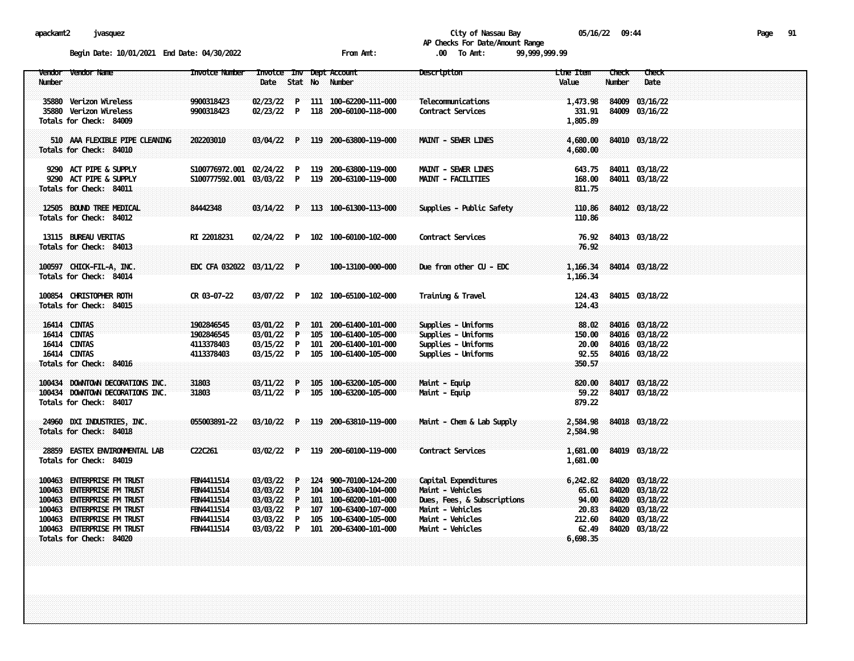**apackamt2 jvasquez City of Nassau Bay 05/16/22 09:44 Page 91 AP Checks For Date/Amount Range**

| Vendor Vendor Name                              | Invoice Number            |              |              | <b>Invotce Inv Dept Account</b> | <b>Description</b>          | Etne Item      | -Check        | Check          |  |  |
|-------------------------------------------------|---------------------------|--------------|--------------|---------------------------------|-----------------------------|----------------|---------------|----------------|--|--|
| Number                                          |                           |              |              | Date Stat No Number             |                             | <b>Value</b>   | <b>Number</b> | Date           |  |  |
|                                                 |                           |              |              |                                 |                             |                |               |                |  |  |
| 35880 Vertzon Wireless                          | 9900318423                | 02/23/22     | °P.          | 111 100-62200-111-000           | <b>Telecomunications</b>    | 1,473.98       |               | 84009 03/16/22 |  |  |
| 35880 Verizon Wireless                          | 9900318423                | 02/23/22     | P            | 118 200-60100-118-000           | Contract Services           | 331.91         |               | 84009 03/16/22 |  |  |
| Totals for Check: 84009                         |                           |              |              |                                 |                             | 1,805.89       |               |                |  |  |
| 510 AAA FLEXIBLE PIPE CLEANING                  | 202203010                 | 03/04/22     | -р.          | 119 200-63800-119-000           | <b>MAINT - SEWER LINES</b>  | 4,680.00       |               | 84010 03/18/22 |  |  |
| Totals for Check: 84010                         |                           |              |              |                                 |                             | 4,680.00       |               |                |  |  |
|                                                 |                           |              |              |                                 |                             |                |               |                |  |  |
| 9290 ACT PIPE & SUPPLY                          | S100776972.001 02/24/22   |              | P            | 119 200-63800-119-000           | <b>MAINT - SEWER LINES</b>  | 643.75         |               | 84011 03/18/22 |  |  |
| 9290 ACT PIPE & SUPPLY                          | S100777592.001 03/03/22   |              | P.           | 119 200-63100-119-000           | <b>MAINT - FACILITIES</b>   | 168.00         |               | 84011 03/18/22 |  |  |
| Totals for Check: 84011                         |                           |              |              |                                 |                             | 811.75         |               |                |  |  |
|                                                 |                           |              |              |                                 |                             |                |               |                |  |  |
| 12505 BOUND TREE MEDICAL                        | 84442348                  | 03/14/22 P   |              | 113 100-61300-113-000           | Supplies - Public Safety    | 110.86         |               | 84012 03/18/22 |  |  |
| Totals for Check: 84012                         |                           |              |              |                                 |                             | 110.86         |               |                |  |  |
|                                                 |                           |              |              |                                 |                             |                |               |                |  |  |
| 13115 BUREAU VERITAS<br>Totals for Check: 84013 | <b>RI 22018231</b>        | 02/24/22     | $\mathbf{P}$ | 102 100-60100-102-000           | Contract Services           | 76.92<br>76.92 |               | 84013 03/18/22 |  |  |
|                                                 |                           |              |              |                                 |                             |                |               |                |  |  |
| 100597 CHICK-FIL-A, INC.                        | EDC CFA 032022 03/11/22 P |              |              | 100-13100-000-000               | Due from other $CU - EDC$   | 1,166.34       |               | 84014 03/18/22 |  |  |
| Totals for Check: 84014                         |                           |              |              |                                 |                             | 1,166.34       |               |                |  |  |
|                                                 |                           |              |              |                                 |                             |                |               |                |  |  |
| 100854 CHRISTOPHER ROTH                         | CR 03-07-22               | 03/07/22     | $\mathbf{P}$ | 102 100-65100-102-000           | Training & Travel           | 124.43         |               | 84015 03/18/22 |  |  |
| Totals for Check: 84015                         |                           |              |              |                                 |                             | 124.43         |               |                |  |  |
|                                                 |                           |              |              |                                 |                             |                |               |                |  |  |
| 16414 CINTAS                                    | 1902846545                | 03/01/22     | $\mathsf{P}$ | 101 200-61400-101-000           | Supplies - Uniforms         | 88.02          |               | 84016 03/18/22 |  |  |
| 16414 CINTAS                                    | 1902846545                | 03/01/22     | ႃၣႃ          | 105 100-61400-105-000           | Supplies - Uniforms         | 150.00         | 84016         | 03/18/22       |  |  |
| 16414 CINTAS                                    | 4113378403                | 03/15/22     | - P          | 101 200-61400-101-000           | Supplies - Uniforms         | 20.00          |               | 84016 03/18/22 |  |  |
| 16414 CINTAS                                    | 4113378403                | 03/15/22 P   |              | 105 100-61400-105-000           | Supplies - Uniforms         | 92.55          |               | 84016 03/18/22 |  |  |
| Totals for Check: 84016                         |                           |              |              |                                 |                             | 350.57         |               |                |  |  |
| 100434 DOWNTOWN DECORATIONS INC.                | 31803                     | 03/11/22     | -P.          | 105 100-63200-105-000           | Maint - Equip               | 820.00         | 84017         | 03/18/22       |  |  |
| 100434 DOWNTOWN DECORATIONS INC.                | 31803                     | $03/11/22$ P |              | 105 100-63200-105-000           | Maint - Equip               | 59.22          |               | 84017 03/18/22 |  |  |
| Totals for Check: 84017                         |                           |              |              |                                 |                             | 879.22         |               |                |  |  |
|                                                 |                           |              |              |                                 |                             |                |               |                |  |  |
| 24960 DXI INDUSTRIES, INC.                      | 055003891-22              | 03/10/22     | ∷ P∶         | 119 200-63810-119-000           | Maint - Chem & Lab Supply   | 2,584.98       |               | 84018 03/18/22 |  |  |
| Totals for Check: 84018                         |                           |              |              |                                 |                             | 2,584.98       |               |                |  |  |
|                                                 |                           |              |              |                                 |                             |                |               |                |  |  |
| 28859 EASTEX ENVIRONMENTAL LAB                  | C22C261                   | $03/02/22$ P |              | 119 200-60100-119-000           | <b>Contract Services</b>    | 1,681.00       |               | 84019 03/18/22 |  |  |
| Totals for Check: 84019                         |                           |              |              |                                 |                             | 1,681.00       |               |                |  |  |
| 100463 ENTERPRISE FM TRUST                      | <b>FBN4411514</b>         | 03/03/22     | .P           | 124 900-70100-124-200           | Capital Expenditures        | 6,242.82       | 84020         | 03/18/22       |  |  |
| 100463 ENTERPRISE FM TRUST                      | FBN4411514                | 03/03/22     | $\mathsf{P}$ | 104 100-63400-104-000           | Maint - Vehicles            | 65.61          | 84020         | 03/18/22       |  |  |
| 100463 ENTERPRISE FM TRUST                      | FBN4411514                | 03/03/22     | P            | 101 100-60200-101-000           | Dues, Fees, & Subscriptions | 94.00          | 84020         | 03/18/22       |  |  |
| 100463 ENTERPRISE FM TRUST                      | <b>FBN4411514</b>         | 03/03/22     | $\mathsf{P}$ | 107 100-63400-107-000           | Maint - Vehicles            | 20.83          | 84020         | 03/18/22       |  |  |
| 100463 ENTERPRISE FM TRUST                      | FBN4411514                | 03/03/22     | P            | 105 100-63400-105-000           | Maint - Vehicles            | 212.60         | 84020         | 03/18/22       |  |  |
| 100463 ENTERPRISE FM TRUST                      | FBN4411514                | 03/03/22     | $\mathsf{P}$ | 101 200-63400-101-000           | Maint - Vehicles            | 62.49          | 84020         | 03/18/22       |  |  |
| Totals for Check: 84020                         |                           |              |              |                                 |                             | 6,698.35       |               |                |  |  |
|                                                 |                           |              |              |                                 |                             |                |               |                |  |  |
|                                                 |                           |              |              |                                 |                             |                |               |                |  |  |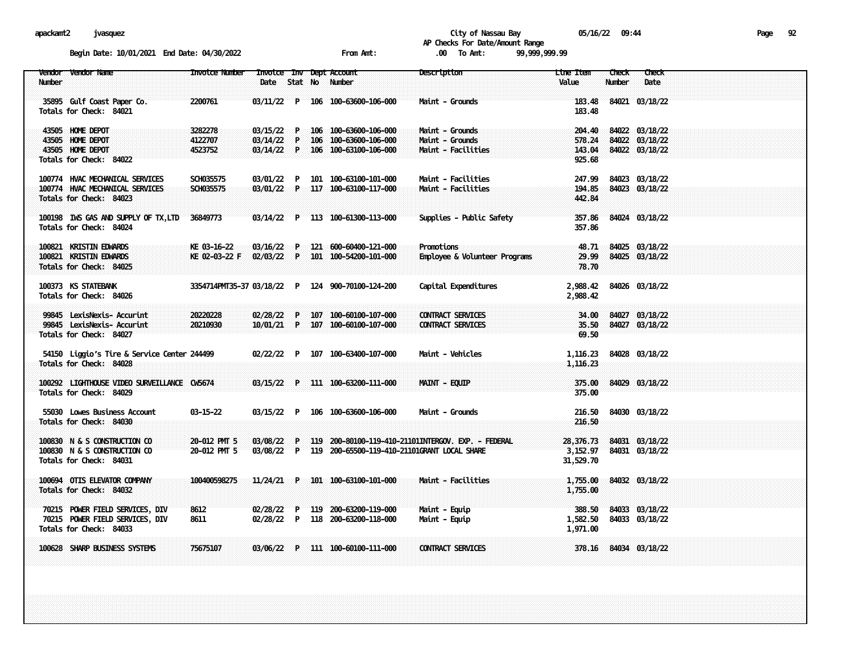**apackamt2 jvasquez City of Nassau Bay 05/16/22 09:44 Page 92 AP Checks For Date/Amount Range**

|               | Begin Date: 10/01/2021 End Date: 04/30/2022   |                  |              | From Amt:                                              | $.00$ To Amt:                            | 99,999,999.99             |                               |                         |  |
|---------------|-----------------------------------------------|------------------|--------------|--------------------------------------------------------|------------------------------------------|---------------------------|-------------------------------|-------------------------|--|
| <b>Number</b> | <b>Vendor Vendor Nane</b>                     | Involce Number   |              | <b>Invotce Inv Dept Account</b><br>Date Stat No Number | <b>Description</b>                       | <b>Etne Item</b><br>Value | <b>Theck</b><br><b>Number</b> | -Check<br>Date          |  |
|               |                                               |                  |              |                                                        |                                          |                           |                               |                         |  |
|               | 35895 Gulf Coast Paper Co.                    | 2200761          |              | 03/11/22 P 106 100-63600-106-000                       | Maint - Grounds                          | 183.48                    |                               | 84021 03/18/22          |  |
|               | Totals for Check: 84021                       |                  |              |                                                        |                                          | 183.48                    |                               |                         |  |
|               | 43505 HOME DEPOT                              | 3282278          | $03/15/22$ P | $-106 - 100 - 63600 - 106 - 000$                       | Maint - Grounds                          |                           |                               | 204.40 84022 03/18/22   |  |
|               | 43505 HOME DEPOT                              | 4122707          |              | 03/14/22 P 106 100-63600-106-000                       | Maint - Grounds                          | 578.24                    |                               | 84022 03/18/22          |  |
|               | 43505 HOME DEPOT                              | 4523752          | 03/14/22 P   | 106 100-63100-106-000                                  | Maint - Facilities                       | 143.04                    |                               | 84022 03/18/22          |  |
|               | Totals for Check: 84022                       |                  |              |                                                        |                                          | 925.68                    |                               |                         |  |
|               | 100774 HVAC MECHANICAL SERVICES               | <b>SCH035575</b> | 03/01/22 P   | 101 100-63100-101-000                                  | Maint - Facilities                       |                           |                               | 247.99 84023 03/18/22   |  |
|               | 100774 HVAC MECHANICAL SERVICES               | <b>SCH035575</b> | $03/01/22$ P | 117 100-63100-117-000                                  | Maint - Facilities                       | 194.85                    |                               | 84023 03/18/22          |  |
|               | Totals for Check: 84023                       |                  |              |                                                        |                                          | 442.84                    |                               |                         |  |
|               | 100198 INS GAS AND SUPPLY OF TX, LTD 36849773 |                  |              | 03/14/22 P 113 100-61300-113-000                       | Supplies - Public Safety                 |                           |                               | 357.86 84024 03/18/22   |  |
|               | Totals for Check: 84024                       |                  |              |                                                        |                                          | 357.86                    |                               |                         |  |
|               | <b>100821 KRISTIN EDWARDS</b>                 | KE 03-16-22      |              | 03/16/22 P 121 600-60400-121-000                       | Promotions                               |                           |                               | 48.71 84025 03/18/22    |  |
|               | 100821 KRISTIN EDWARDS                        |                  |              | KE 02-03-22 F 02/03/22 P 101 100-54200-101-000         | <b>Employee &amp; Volunteer Programs</b> |                           |                               | 29.99 84025 03/18/22    |  |
|               | Totals for Check: 84025                       |                  |              |                                                        |                                          | 78.70                     |                               |                         |  |
|               | 100373 KS STATEBANK                           |                  |              | 3354714PMT35-37 03/18/22 P 124 900-70100-124-200       | Capital Expenditures                     |                           |                               | 2,988.42 84026 03/18/22 |  |
|               | Totals for Check: 84026                       |                  |              |                                                        |                                          | 2,988.42                  |                               |                         |  |
|               | 99845 LexisNexis- Accurint                    | 20220228         | $02/28/22$ P | $107$ 100-60100-107-000                                | <b>CONTRACT SERVICES</b>                 |                           |                               | 34.00 84027 03/18/22    |  |
|               | 99845 LexisNexis-Accurint                     | 20210930         |              |                                                        | <b>CONTRACT SERVICES</b>                 |                           |                               | 35.50 84027 03/18/22    |  |
|               | Totals for Check: 84027                       |                  |              |                                                        |                                          | 69.50                     |                               |                         |  |

| 100774 HVAC MECHANICAL SERVICES<br>Totals for Check: 84023             | <b>SCH035575</b>           | 03/01/22 P   |          |     | 117 100-63100-117-000                        | Maint - Facilities                                   | 194.85<br>442.84      | 84023 03/18/22 |
|------------------------------------------------------------------------|----------------------------|--------------|----------|-----|----------------------------------------------|------------------------------------------------------|-----------------------|----------------|
| 100198 INS GAS AND SUPPLY OF TX, LTD<br>Totals for Check: 84024        | 36849773                   |              |          |     | 03/14/22 P 113 100-61300-113-000             | Supplies - Public Safety                             | 357,86<br>357.86      | 84024 03/18/22 |
| <b>100821 KRISTIN EDWARDS</b>                                          | KE 03-16-22                | 03/16/22     | ः Pः     |     | 121 600-60400-121-000                        | <b>Promotions</b>                                    | 48.71                 | 84025 03/18/22 |
| 100821 KRISTIN EDWARDS<br>Totals for Check: 84025                      | KE 02-03-22 F 02/03/22     |              | ∵P       |     | 101 100-54200-101-000                        | Employee & Volunteer Programs                        | 29.99<br>78.70        | 84025 03/18/22 |
| 100373 KS STATEBANK<br>Totals for Check: 84026                         | 3354714PMT35-37 03/18/22 P |              |          |     | 124 900-70100-124-200                        | Capital Expenditures                                 | 2,988.42<br>2,988.42  | 84026 03/18/22 |
| 99845 LexisNexis- Accurint                                             | 20220228                   | 02/28/22     | ାନ       | 107 | 100-60100-107-000                            | <b>CONTRACT SERVICES</b>                             | 34.00                 | 84027 03/18/22 |
| 99845 LexisNexis- Accurint<br>Totals for Check: 84027                  | 20210930                   | $10/01/21$ P |          | 107 | 100-60100-107-000                            | <b>CONTRACT SERVICES</b>                             | 35.50<br>69.50        | 84027 03/18/22 |
| 54150 Liggio's Tire & Service Center 244499<br>Totals for Check: 84028 |                            | 02/22/22     | - P      | 107 | 100-63400-107-000                            | Maint - Vehicles                                     | 1,116.23<br>1,116.23  | 84028 03/18/22 |
| 100292 LIGHTHOUSE VIDEO SURVEILLANCE CM5674<br>Totals for Check: 84029 |                            | 03/15/22 P   |          |     | 111 100-63200-111-000                        | MAINT - EOUIP                                        | 375.00<br>375.00      | 84029 03/18/22 |
| 55030 Lowes Business Account<br>Totals for Check: 84030                | $03 - 15 - 22$             | 03/15/22     | <b>P</b> |     | 106 100-63600-106-000                        | Maint - Grounds                                      | 216.50<br>216.50      | 84030 03/18/22 |
| 100830 N & S CONSTRUCTION CO                                           | 20-012 PMT 5               | 03/08/22     | ျား      |     |                                              | 119  200-80100-119-410-21101INTERGOV, EXP. - FEDERAL | 28,376.73             | 84031 03/18/22 |
| 100830 N & S CONSTRUCTION CO<br>Totals for Check: 84031                | 20-012 PMT 5               | 03/08/22     | ∵P⊺      |     | 119 200-65500-119-410-21101GRANT LOCAL SHARE |                                                      | 3,152.97<br>31,529.70 | 84031 03/18/22 |
| 100694 OTIS ELEVATOR COMPANY<br>Totals for Check: 84032                | 100400598275               | 11/24/21 P   |          |     | $101 - 100 - 63100 - 101 - 000$              | Maint - Facilities                                   | 1,755.00<br>1,755.00  | 84032 03/18/22 |
| 70215 POWER FIELD SERVICES, DIV                                        | 8612                       | 02/28/22     | ∵P′      |     | 119 200-63200-119-000                        | Maint - Equip                                        | 388.50                | 84033 03/18/22 |
| 70215 POWER FIELD SERVICES, DIV<br>Totals for Check: 84033             | 8611                       | $02/28/22$ P |          |     | 118 200-63200-118-000                        | Maint - Equip                                        | 1,582.50<br>1,971.00  | 84033 03/18/22 |
| 100628 SHARP BUSINESS SYSTEMS                                          | 75675107                   | 03/06/22 P   |          |     | 111 100-60100-111-000                        | <b>CONTRACT SERVICES</b>                             | 378.16                | 84034 03/18/22 |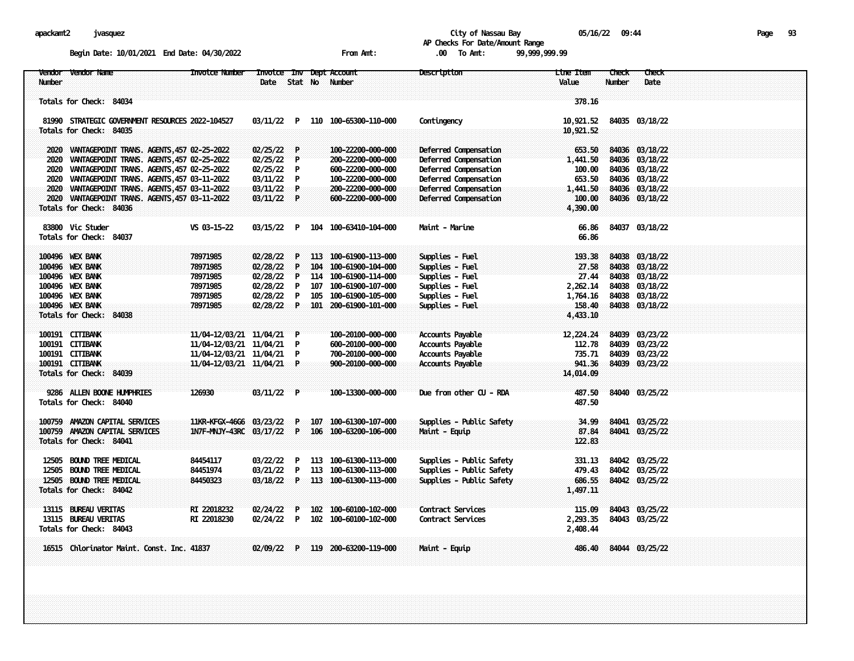**apackamt2 jvasquez City of Nassau Bay 05/16/22 09:44 Page 93 AP Checks For Date/Amount Range**

|               | Vendor Vendor Name                               | Invotce Number            | <b>Invotce Inv Dept Account</b> |              |                       | <b>Description</b>                        | itine Titen    | Check         | Check          |  |  |  |
|---------------|--------------------------------------------------|---------------------------|---------------------------------|--------------|-----------------------|-------------------------------------------|----------------|---------------|----------------|--|--|--|
| <b>Number</b> |                                                  |                           | Date Stat No Number             |              |                       |                                           | Value          | <b>Number</b> | Date           |  |  |  |
|               |                                                  |                           |                                 |              |                       |                                           |                |               |                |  |  |  |
|               | Totals for Check: 84034                          |                           |                                 |              |                       |                                           | 378.16         |               |                |  |  |  |
|               | 81990 STRATEGIC GOVERNMENT RESOURCES 2022-104527 |                           | 03/11/22                        | $\mathsf{P}$ | 110 100-65300-110-000 | Contingency                               | 10,921.52      |               | 84035 03/18/22 |  |  |  |
|               | Totals for Check: 84035                          |                           |                                 |              |                       |                                           | 10,921.52      |               |                |  |  |  |
|               |                                                  |                           |                                 |              |                       |                                           |                |               |                |  |  |  |
|               | 2020 VANTAGEPOINT TRANS, AGENTS, 457 02-25-2022  |                           | $02/25/22$ P                    |              | 100-22200-000-000     | Deferred Compensation                     | 653.50         |               | 84036 03/18/22 |  |  |  |
|               | 2020 VANTAGEPOINT TRANS. AGENTS, 457 02-25-2022  |                           | 02/25/22                        | ⊺P           | 200-22200-000-000     | Deferred Compensation                     | 1,441.50       |               | 84036 03/18/22 |  |  |  |
|               | 2020 VANTAGEPOINT TRANS. AGENTS, 457 02-25-2022  |                           | 02/25/22                        | P            | 600-22200-000-000     | Deferred Compensation                     | 100.00         |               | 84036 03/18/22 |  |  |  |
|               | 2020 VANTAGEPOINT TRANS. AGENTS, 457 03-11-2022  |                           | 03/11/22                        | P            | 100-22200-000-000     | Deferred Compensation                     | 653.50         |               | 84036 03/18/22 |  |  |  |
|               | 2020 VANTAGEPOINT TRANS, AGENTS, 457 03-11-2022  |                           | 03/11/22                        | ∷ Ρ.         | 200-22200-000-000     | Deferred Compensation                     | 1,441.50       |               | 84036 03/18/22 |  |  |  |
|               | 2020 VANTAGEPOINT TRANS. AGENTS, 457 03-11-2022  |                           | $03/11/22$ P                    |              | 600-22200-000-000     | Deferred Compensation                     | 100.00         |               | 84036 03/18/22 |  |  |  |
|               | Totals for Check: 84036                          |                           |                                 |              |                       |                                           | 4,390.00       |               |                |  |  |  |
|               | 83800 Vic Studer                                 | VS 03-15-22               | 03/15/22                        | P            | 104 100-63410-104-000 | Maint - Marine                            | 66.86          |               | 84037 03/18/22 |  |  |  |
|               | Totals for Check: 84037                          |                           |                                 |              |                       |                                           | 66.86          |               |                |  |  |  |
|               | <b>100496 WEX BANK</b>                           | 78971985                  | 02/28/22                        | P.           | 113 100-61900-113-000 | Supplies - Fuel                           | 193.38         |               | 84038 03/18/22 |  |  |  |
|               | <b>100496 WEX BANK</b>                           | 78971985                  | 02/28/22                        | P.           | 104 100-61900-104-000 | Supplies - Fuel                           | 27.58          |               | 84038 03/18/22 |  |  |  |
|               | <b>100496 WEX BANK</b>                           | 78971985                  | 02/28/22                        | $\mathsf{P}$ | 114 100-61900-114-000 | Supplies - Fuel                           | 27.44          |               | 84038 03/18/22 |  |  |  |
|               | <b>100496 WEX BANK</b>                           | 78971985                  | 02/28/22                        | P.           | 107 100-61900-107-000 | Supplies - Fuel                           | 2,262.14       |               | 84038 03/18/22 |  |  |  |
|               | <b>100496 WEX BANK</b>                           | 78971985                  | 02/28/22                        | P.           | 105 100-61900-105-000 | Supplies - Fuel                           | 1,764.16       |               | 84038 03/18/22 |  |  |  |
|               | <b>100496 WEX BANK</b>                           | 78971985                  | 02/28/22                        | … P…         | 101 200-61900-101-000 | Supplies - Fuel                           | 158.40         |               | 84038 03/18/22 |  |  |  |
|               | Totals for Check: 84038                          |                           |                                 |              |                       |                                           | 4,433.10       |               |                |  |  |  |
|               |                                                  |                           |                                 |              |                       |                                           |                |               |                |  |  |  |
|               | 100191 CITIBANK                                  | 11/04-12/03/21 11/04/21 P |                                 |              | 100-20100-000-000     | <b>Accounts Payable</b>                   | 12,224.24      |               | 84039 03/23/22 |  |  |  |
|               | 100191 CITIBANK                                  | 11/04-12/03/21 11/04/21 P |                                 |              | 600-20100-000-000     | <b>Accounts Payable</b>                   | 112.78         |               | 84039 03/23/22 |  |  |  |
|               | 100191 CITIBANK                                  | 11/04-12/03/21 11/04/21   |                                 | P            | 700-20100-000-000     | <b>Accounts Payable</b>                   | 735.71         |               | 84039 03/23/22 |  |  |  |
|               | 100191 CITIBANK                                  | 11/04-12/03/21 11/04/21 P |                                 |              | 900-20100-000-000     | <b>Accounts Payable</b>                   | 941.36         |               | 84039 03/23/22 |  |  |  |
|               | Totals for Check: 84039                          |                           |                                 |              |                       |                                           | 14,014.09      |               |                |  |  |  |
|               | 9286 ALLEN BOONE HUMPHRIES                       | 126930                    | $03/11/22$ P                    |              | 100-13300-000-000     | Due from other CU - RDA                   | 487.50         |               | 84040 03/25/22 |  |  |  |
|               | Totals for Check: 84040                          |                           |                                 |              |                       |                                           | 487.50         |               |                |  |  |  |
|               | 100759 AMAZON CAPITAL SERVICES                   | 11KR-KFGX-46G6 03/23/22   |                                 |              | 107 100-61300-107-000 |                                           |                |               | 84041 03/25/22 |  |  |  |
|               | 100759 AMAZON CAPITAL SERVICES                   | 1N7F-MNJY-43RC 03/17/22 P |                                 | ₽.           | 106 100-63200-106-000 | Supplies - Public Safety<br>Maint - Equip | 34.99<br>87.84 |               | 84041 03/25/22 |  |  |  |
|               | Totals for Check: 84041                          |                           |                                 |              |                       |                                           | 122.83         |               |                |  |  |  |
|               |                                                  |                           |                                 |              |                       |                                           |                |               |                |  |  |  |
|               | 12505 BOUND TREE MEDICAL                         | 84454117                  | 03/22/22                        | P            | 113 100-61300-113-000 | Supplies - Public Safety                  | 331.13         |               | 84042 03/25/22 |  |  |  |
|               | 12505 BOUND TREE MEDICAL                         | 84451974                  | 03/21/22                        | P            | 113 100-61300-113-000 | Supplies - Public Safety                  | 479.43         |               | 84042 03/25/22 |  |  |  |
|               | 12505 BOUND TREE MEDICAL                         | 84450323                  | 03/18/22                        | ැ. ව         | 113 100-61300-113-000 | Supplies - Public Safety                  | 686.55         |               | 84042 03/25/22 |  |  |  |
|               | Totals for Check: 84042                          |                           |                                 |              |                       |                                           | 1,497.11       |               |                |  |  |  |
|               |                                                  |                           |                                 |              |                       |                                           |                |               |                |  |  |  |
|               | 13115 BUREAU VERITAS                             | RI 22018232               | 02/24/22                        | `P∶          | 102 100-60100-102-000 | Contract Services                         | 115.09         |               | 84043 03/25/22 |  |  |  |
|               | 13115 BUREAU VERITAS                             | RI 22018230               | $02/24/22$ P                    |              | 102 100-60100-102-000 | Contract Services                         | 2,293.35       |               | 84043 03/25/22 |  |  |  |
|               | Totals for Check: 84043                          |                           |                                 |              |                       |                                           | 2,408.44       |               |                |  |  |  |
|               | 16515 Chlorinator Maint, Const. Inc. 41837       |                           | 02/09/22                        | - P.         | 119 200-63200-119-000 | Maint - Equip                             | 486.40         |               | 84044 03/25/22 |  |  |  |
|               |                                                  |                           |                                 |              |                       |                                           |                |               |                |  |  |  |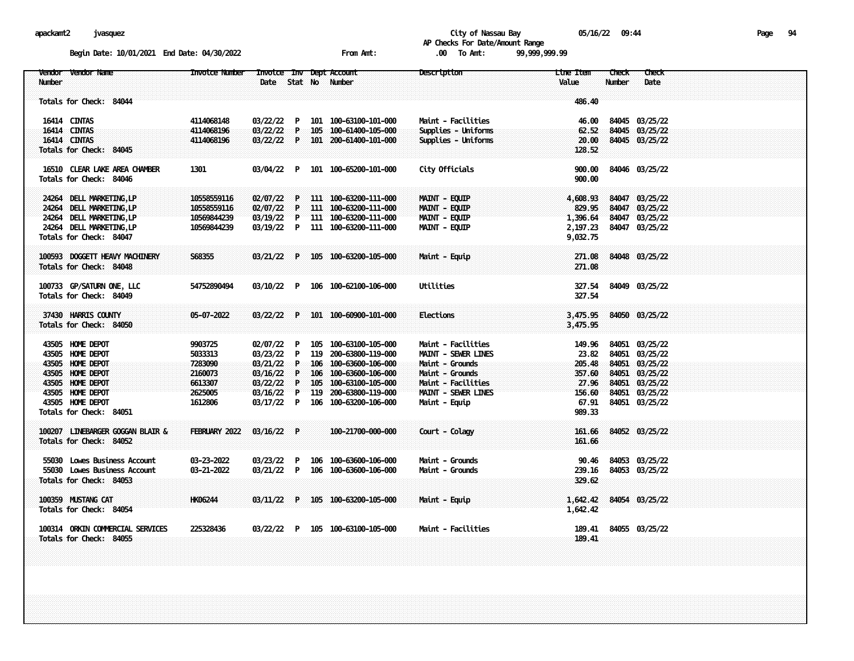**apackamt2 jvasquez City of Nassau Bay 05/16/22 09:44 Page 94 AP Checks For Date/Amount Range**

|                |                   |       | Begin Date: 10/01/2021 End Date: 04/30/2022 |                        |         |     |                                            | rom Amt: |  | To Amt:                                   |                         |       |      |       |                      |  |
|----------------|-------------------|-------|---------------------------------------------|------------------------|---------|-----|--------------------------------------------|----------|--|-------------------------------------------|-------------------------|-------|------|-------|----------------------|--|
|                | lotals for Check: | 84044 |                                             | нимп се<br><b>Date</b> | Stat No |     |                                            |          |  |                                           |                         | Value | 486. |       | Jate                 |  |
| 16414<br>16414 | CINTAS            |       |                                             |                        |         | 101 | 100-63100-101-000<br>105 100-61400-105-000 |          |  | Maint - Facilities<br>Supplies - Uniforms | a mata mata mata mata m |       | 62   |       | 03/25/22<br>03/25/22 |  |
|                |                   |       |                                             |                        |         |     | 101 200-61400-101-000                      |          |  | Uniforms                                  | -2222222222222222222    |       |      | 84045 | 03/25/22             |  |

| TP4T4 CTMIN2<br>Totals for Check: 84045                  | 4114068196               |              |  | 03/22/22 P 101 200-61400-101-000 | Supplies - Uniforms | 128.52            | 20.00 84045 03/25/22    |  |
|----------------------------------------------------------|--------------------------|--------------|--|----------------------------------|---------------------|-------------------|-------------------------|--|
| 16510 CLEAR LAKE AREA CHAMBER<br>Totals for Check: 84046 | 1301                     |              |  | 03/04/22 P 101 100-65200-101-000 | City Officials      | 900.00            | 900.00 84046 03/25/22   |  |
| 24264 DELL MARKETING, LP                                 | 10558559116              |              |  | 02/07/22 P 111 100-63200-111-000 | MAINT - EQUIP       |                   | 4,608.93 84047 03/25/22 |  |
| 24264 DELL MARKETING, LP                                 | 10558559116              |              |  | 02/07/22 P 111 100-63200-111-000 | MAINT - EQUIP       | 829.95            | 84047 03/25/22          |  |
| 24264 DELL MARKETING, LP                                 | 10569844239              |              |  | 03/19/22 P 111 100-63200-111-000 | MAINT - EQUIP       |                   | 1,396.64 84047 03/25/22 |  |
| 24264 DELL MARKETING, LP                                 | 10569844239              |              |  | 03/19/22 P 111 100-63200-111-000 | MAINT - EQUIP       | 2,197.23          | 84047 03/25/22          |  |
| Totals for Check: 84047                                  |                          |              |  |                                  |                     | 9.032.75          |                         |  |
| 100593 DOGGETT HEAVY MACHINERY                           | S68355                   |              |  | 03/21/22 P 105 100-63200-105-000 | Maint - Equip       |                   | 271.08 84048 03/25/22   |  |
| Totals for Check: 84048                                  |                          |              |  |                                  |                     | 271.08            |                         |  |
| 100733 GP/SATURN ONE, LLC                                | 54752890494              |              |  | 03/10/22 P 106 100-62100-106-000 | Utilities           | 327.54            | 84049 03/25/22          |  |
| Totals for Check: 84049                                  |                          |              |  |                                  |                     | 327.54            |                         |  |
| 37430 HARRIS COUNTY                                      | 05-07-2022               |              |  | 03/22/22 P 101 100-60900-101-000 | <b>Elections</b>    |                   | 3,475.95 84050 03/25/22 |  |
| Totals for Check: 84050                                  |                          |              |  |                                  |                     | 3,475.95          |                         |  |
| 43505 HOME DEPOT                                         | 9903725                  | $02/07/22$ P |  | 105 100-63100-105-000            | Maint - Facilities  |                   | 149.96 84051 03/25/22   |  |
| 43505 HOME DEPOT                                         | 5033313                  |              |  | 03/23/22 P 119 200-63800-119-000 | MAINT - SEWER LINES |                   | 23.82 84051 03/25/22    |  |
| 43505 HOME DEPOT                                         | 7283090                  |              |  | 03/21/22 P 106 100-63600-106-000 | Maint - Grounds     | 205.48<br>mmmmmmm | 84051 03/25/22          |  |
| 43505 HOME DEPOT                                         | 2160073                  | 03/16/22 P   |  | 106 100-63600-106-000            | Maint - Grounds     | 357.60            | 84051 03/25/22          |  |
| 43505 HOME DEPOT                                         | 6613307                  |              |  | 03/22/22 P 105 100-63100-105-000 | Maint - Facilities  | 27.96             | 84051 03/25/22          |  |
| 43505 HOME DEPOT                                         | 2625005                  |              |  | 03/16/22 P 119 200-63800-119-000 | MAINT - SEWER LINES | 156.60            | 84051 03/25/22          |  |
| 43505 HOME DEPOT                                         | 1612806                  |              |  | 03/17/22 P 106 100-63200-106-000 | Maint - Equip       | 67.91             | 84051 03/25/22          |  |
| Totals for Check: 84051                                  |                          |              |  |                                  |                     | 989.33            |                         |  |
| 100207 LINEBARGER GOGGAN BLAIR &                         | FEBRUARY 2022 03/16/22 P |              |  | 100-21700-000-000                | Court - Colagy      |                   | 161.66 84052 03/25/22   |  |
| Totals for Check: 84052                                  |                          |              |  |                                  |                     | 161.66            |                         |  |
| 55030 Lowes Business Account                             | 03-23-2022               | 03/23/22 P   |  | 106 100-63600-106-000            | Maint - Grounds     | 90.46             | 84053 03/25/22          |  |
| 55030 Lowes Business Account                             | 03-21-2022               |              |  | 03/21/22 P 106 100-63600-106-000 | Maint - Grounds     | 239.16            | 84053 03/25/22          |  |
| Totals for Check: 84053                                  |                          |              |  |                                  |                     | 329.62            |                         |  |
| 100359 MUSTANG CAT                                       | <b>HK06244</b>           |              |  | 03/11/22 P 105 100-63200-105-000 | Maint - Equip       |                   | 1,642.42 84054 03/25/22 |  |
| Totals for Check: 84054                                  |                          |              |  |                                  |                     | 1,642.42          |                         |  |
| 100314 ORKIN COMMERCIAL SERVICES                         | 225328436                |              |  | 03/22/22 P 105 100-63100-105-000 | Maint - Facilities  |                   | 189.41 84055 03/25/22   |  |
| Totals for Check: 84055                                  |                          |              |  |                                  |                     | 189.41            |                         |  |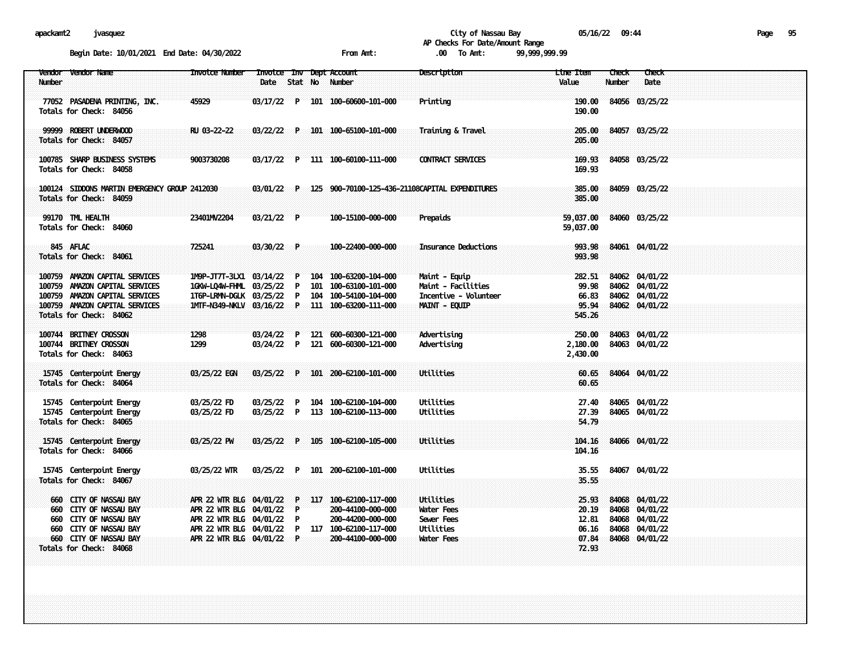**apackamt2 jvasquez City of Nassau Bay 05/16/22 09:44 Page 95** Begin Date: 10/01/2021 End Date: 04/30/2022 From Amt:

**AP Checks For Date/Amount Range**

|               | <del>Vendor Vendor Name</del>                                                                                                        | <b>Thyotoe Numerica</b>                                                         |              |                              | <b>Invotce Inv Dept Account</b>                                                                                            | <b>Description</b>                                                            | <b>Etne Item</b>                  | Check         | Check                                                                |  |  |
|---------------|--------------------------------------------------------------------------------------------------------------------------------------|---------------------------------------------------------------------------------|--------------|------------------------------|----------------------------------------------------------------------------------------------------------------------------|-------------------------------------------------------------------------------|-----------------------------------|---------------|----------------------------------------------------------------------|--|--|
| <b>Number</b> |                                                                                                                                      |                                                                                 |              |                              | Date Stat No Number                                                                                                        |                                                                               | Value                             | <b>Number</b> | Date                                                                 |  |  |
|               | 77052 PASADENA PRINTING, INC.<br>Totals for Check: 84056                                                                             | 45929                                                                           |              |                              | 03/17/22 P 101 100-60600-101-000                                                                                           | <b>Printing</b>                                                               | <b>190.00</b><br>190.00           |               | 84056 03/25/22                                                       |  |  |
|               | 99999 ROBERT UNDERWOOD<br>Totals for Check: 84057                                                                                    | <b>RU 03-22-22</b>                                                              | $03/22/22$ P |                              | 101 100-65100-101-000                                                                                                      | Training & Travel                                                             | 205.00<br>205.00                  |               | 84057 03/25/22                                                       |  |  |
|               | 100785 SHARP BUSINESS SYSTEMS<br>Totals for Check: 84058                                                                             | 9003730208                                                                      |              |                              | 03/17/22 P 111 100-60100-111-000                                                                                           | <b>CONTRACT SERVICES</b>                                                      | 169.93<br>169.93                  |               | 84058 03/25/22                                                       |  |  |
|               | 100124 SIDDONS MARTIN EMERGENCY GROUP 2412030<br>Totals for Check: 84059                                                             |                                                                                 |              |                              |                                                                                                                            | 03/01/22 P 125 900-70100-125-436-21108CAPITAL EXPENDITURES                    | 385.00<br>385.00                  |               | 84059 03/25/22                                                       |  |  |
|               | 99170 TML HEALTH<br>Totals for Check: 84060                                                                                          | 23401MV2204                                                                     | $03/21/22$ P |                              | 100-15100-000-000                                                                                                          | <b>Prepaids</b>                                                               | 59,037.00<br>59,037.00            |               | 84060 03/25/22                                                       |  |  |
|               | 845 AFLAC<br>Totals for Check: 84061                                                                                                 | 725241                                                                          | $03/30/22$ P |                              | 100-22400-000-000                                                                                                          | <b>Insurance Deductions</b>                                                   | 993.98<br>993.98                  |               | 84061 04/01/22                                                       |  |  |
|               | 100759 AMAZON CAPITAL SERVICES<br>100759 AMAZON CAPITAL SERVICES<br>100759 AMAZON CAPITAL SERVICES<br>100759 AMAZON CAPITAL SERVICES | 1M9P-JT7T-3LX1 03/14/22 P<br>1GKW-LQ4W-FHML 03/25/22<br>1T6P-LRMN-DGLK 03/25/22 |              | $\mathsf{P}$<br>$\mathsf{P}$ | 104 100-63200-104-000<br>101 100-63100-101-000<br>104 100-54100-104-000<br>1MTF-N349-NKLV 03/16/22 P 111 100-63200-111-000 | Maint - Equip<br>Maint - Facilities<br>Incentive - Volunteer<br>MAINT - EQUIP | 282.51<br>99.98<br>66.83<br>95.94 |               | 84062 04/01/22<br>84062 04/01/22<br>84062 04/01/22<br>84062 04/01/22 |  |  |
|               | Totals for Check: 84062                                                                                                              |                                                                                 |              |                              |                                                                                                                            |                                                                               | 545.26                            |               |                                                                      |  |  |
|               | 100744 BRITNEY CROSSON<br>100744 BRITNEY CROSSON<br>Totals for Check: 84063                                                          | 1298<br>1299                                                                    |              |                              | 03/24/22 P 121 600-60300-121-000<br>03/24/22 P 121 600-60300-121-000                                                       | Advertising<br>Advertising                                                    | 250.00<br>2,180.00<br>2,430.00    |               | 84063 04/01/22<br>84063 04/01/22                                     |  |  |
|               | 15745 Centerpoint Energy<br>Totals for Check: 84064                                                                                  | 03/25/22 EGN                                                                    |              |                              | 03/25/22 P 101 200-62100-101-000                                                                                           | <b>Utilities</b>                                                              | 60.65<br>60.65                    |               | 84064 04/01/22                                                       |  |  |
|               | 15745 Centerpoint Energy<br>15745 Centerpoint Energy<br>Totals for Check: 84065                                                      | 03/25/22 FD<br>03/25/22 FD                                                      | 03/25/22     | <b>P</b>                     | 104 100-62100-104-000<br>03/25/22 P 113 100-62100-113-000                                                                  | Utilities<br>Utilities                                                        | 27.40<br>27.39<br>54.79           |               | 84065 04/01/22<br>84065 04/01/22                                     |  |  |
|               | 15745 Centerpoint Energy<br>Totals for Check: 84066                                                                                  | 03/25/22 PM                                                                     | $03/25/22$ P |                              | 105 100-62100-105-000                                                                                                      | Utilities                                                                     | 104.16<br>104.16                  |               | 84066 04/01/22                                                       |  |  |
|               | 15745 Centerpoint Energy<br>Totals for Check: 84067                                                                                  | 03/25/22 WTR                                                                    | $03/25/22$ P |                              | 101 200-62100-101-000                                                                                                      | Utilities                                                                     | 35.55<br>35.55                    |               | 84067 04/01/22                                                       |  |  |
|               | <b>660 CITY OF NASSAU BAY</b><br>660 CITY OF NASSAU BAY<br>660 CITY OF NASSAU BAY                                                    | APR 22 WTR BLG 04/01/22 P<br>APR 22 WTR BLG 04/01/22 P                          |              |                              | APR 22 WTR BLG 04/01/22 P 117 100-62100-117-000<br>200-44100-000-000<br>200-44200-000-000                                  | Utilities<br>Water Fees<br>Sewer Fees                                         | 25.93<br>20.19<br>12.81           |               | 84068 04/01/22<br>84068 04/01/22<br>84068 04/01/22                   |  |  |
|               | 660 CITY OF NASSAU BAY<br><b>660 CITY OF NASSAU BAY</b><br>Totals for Check: 84068                                                   | APR 22 WTR BLG 04/01/22<br>APR 22 WTR BLG 04/01/22 P                            |              | P.                           | 117 100-62100-117-000<br>200-44100-000-000                                                                                 | Utilities<br>Water Fees                                                       | 06.16<br>07.84<br>72.93           |               | 84068 04/01/22<br>84068 04/01/22                                     |  |  |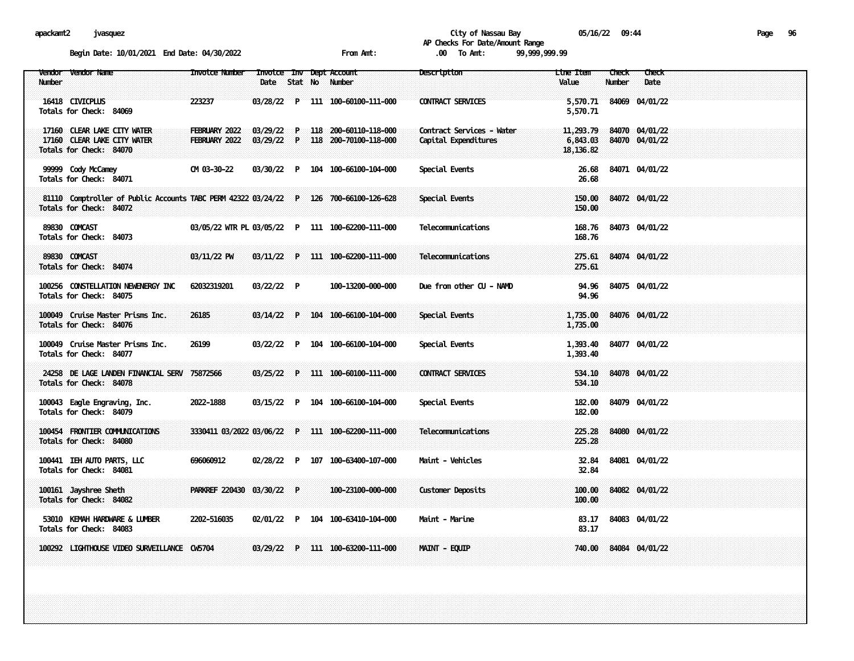**Totals for Check: 84070 18,136.82**

**Totals for Check: 84071 26.68**

**Totals for Check: 84072 150.00**

**apackamt2 jvasquez City of Nassau Bay 05/16/22 09:44 Page 96 AP Checks For Date/Amount Range**

Begin Date: 10/01/2021 End Date: 04/30/2022 From Amt:

**Totals for Check: 84069 5,570.71**

**Totals for Check: 84083 83.17**

**Vendor Vendor Name Invoice Number Invoice Inv Dept Account Description Line Item Check Check**

16418 CIVICPLUS 223237 23237 23237 223237 22 22 23237 2323 232 24 25 264 273 284069 274 284069 27570.71 274069

**17160 CLEAR LAKE CITY WATER FEBRUARY 2022 03/29/22 P 118 200-60110-118-000 Contract Services - Water 11,293.79 84070 04/01/22** FEBRUARY 2022 03/29/22 P 118 200-70100-118-000 Capital Expenditures 6,843.03 84070 04/01/22<br>18.136.82 **99999 Cody McCamey CM 03-30-22 03/30/22 P 104 100-66100-104-000 Special Events 26.68 84071 04/01/22** 81110 Comptroller of Public Accounts TABC PERM 42322 03/24/22 P 126 700-66100-126-628 Special Events 35 (1990 120 150.00 84072 04/01/22<br>Totals for Check: 84072 150.00 89830 COMCAST 68.76 84073 04/01/22 WTR PL 03/05/22 P 111 100-62200-111-000 Telecommunications 168.76 84073 04/01/22 **Totals for Check: 84073 168.76** 89830 COMCAST 03/11/22 PW 03/11/22 P 111 100-62200-111-000 Telecommunications 275.61 84074 04/01/22 **Totals for Check: 84074 275.61**

**Number Date Stat No Number Value Number Date**

| 100256 CONSTELLATION NEWENERGY INC<br>Totals for Check: 84075           | 62032319201               | 03/22/22 P |  | 100-13200-000-000                                | Due from other CU - NAMD | 94.96                               | 94.96 84075 04/01/22  |  |
|-------------------------------------------------------------------------|---------------------------|------------|--|--------------------------------------------------|--------------------------|-------------------------------------|-----------------------|--|
| 100049 Cruise Master Prisms Inc.<br>Totals for Check: 84076             | 26185                     |            |  | 03/14/22 P 104 100-66100-104-000                 | Special Events           | 1,735.00 84076 04/01/22<br>1,735.00 |                       |  |
| 100049 Cruise Master Prisms Inc.<br>Totals for Check: 84077             | 26199                     |            |  | 03/22/22 P 104 100-66100-104-000                 | Special Events           | 1,393.40 84077 04/01/22<br>1,393.40 |                       |  |
| 24258 DE LAGE LANDEN FINANCIAL SERV 75872566<br>Totals for Check: 84078 |                           |            |  | 03/25/22 P 111 100-60100-111-000                 | <b>CONTRACT SERVICES</b> | 534.10                              | 534.10 84078 04/01/22 |  |
| 100043 Eagle Engraving, Inc.<br>Totals for Check: 84079                 | 2022-1888                 |            |  | 03/15/22 P 104 100-66100-104-000                 | Special Events           | 182.00<br>182.00                    | 84079 04/01/22        |  |
| 100454 FRONTIER COMMUNICATIONS<br>Totals for Check: 84080               |                           |            |  | 3330411 03/2022 03/06/22 P 111 100-62200-111-000 | <b>Telecomunications</b> | 225.28                              | 225.28 84080 04/01/22 |  |
| 100441 IEH AUTO PARTS, LLC<br>Totals for Check: 84081                   | 696060912                 |            |  | 02/28/22 P 107 100-63400-107-000                 | Maint - Vehicles         | 32.84<br>32.84                      | 84081 04/01/22        |  |
| 100161 Jayshree Sheth<br>Totals for Check: 84082                        | PARKREF 220430 03/30/22 P |            |  | 100-23100-000-000                                | <b>Customer Deposits</b> | 100.00                              | 100.00 84082 04/01/22 |  |
| 53010 KEMAH HARDWARE & LUMBER                                           | 2202-516035               | 02/01/22 P |  | 104 100-63410-104-000                            | Maint - Marine           |                                     | 83.17 84083 04/01/22  |  |

100292 LIGHTHOUSE VIDEO SURVEILLANCE (M5704 03/29/22 P 111 100-63200-111-000 MAINT - EQUIP 740.00 84084 04/01/22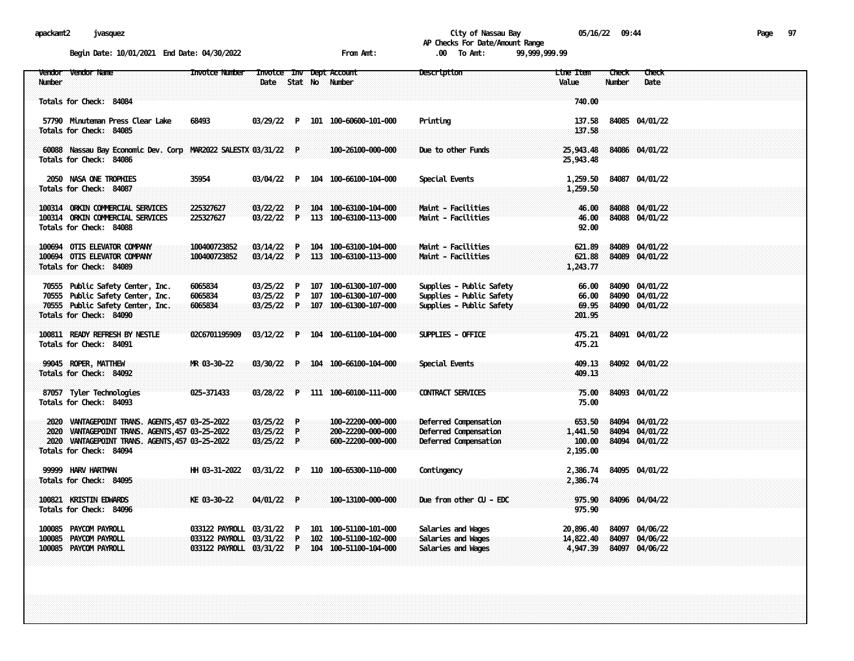**apackamt2 jvasquez City of Nassau Bay 05/16/22 09:44 Page 97 AP Checks For Date/Amount Range Begin Date: 10/01/2021 End Date: 04/30/2022 From Amt: .00 To Amt: 99,999,999.99**

|               | Vendor Vendor Name                                                                                                                                                               | <b>Involce Number</b>                                  |                                        |    | <b>Invoice Inv Dept Account</b>                                                                   | Description                                                                      | itine Titem                              | Check         | Check                                              |  |  |  |
|---------------|----------------------------------------------------------------------------------------------------------------------------------------------------------------------------------|--------------------------------------------------------|----------------------------------------|----|---------------------------------------------------------------------------------------------------|----------------------------------------------------------------------------------|------------------------------------------|---------------|----------------------------------------------------|--|--|--|
| <b>Number</b> |                                                                                                                                                                                  |                                                        |                                        |    | Date Stat No Number                                                                               |                                                                                  | Value                                    | <b>Number</b> | Date                                               |  |  |  |
|               | Totals for Check: 84084                                                                                                                                                          |                                                        |                                        |    |                                                                                                   |                                                                                  | 740.00                                   |               |                                                    |  |  |  |
|               | 57790 Minuteman Press Clear Lake<br>Totals for Check: 84085                                                                                                                      | 68493                                                  | 03/29/22 P                             |    | 101 100-60600-101-000                                                                             | Printing                                                                         | 137.58<br>137.58                         |               | 84085 04/01/22                                     |  |  |  |
|               | 60088 Nassau Bay Economic Dev. Corp MAR2022 SALESTX 03/31/22 P<br>Totals for Check: 84086                                                                                        |                                                        |                                        |    | 100-26100-000-000                                                                                 | Due to other Funds                                                               | 25,943.48<br>25,943.48                   |               | 84086 04/01/22                                     |  |  |  |
|               | 2050 NASA ONE TROPHIES<br>Totals for Check: 84087                                                                                                                                | 35954                                                  | 03/04/22 P                             |    | 104 100-66100-104-000                                                                             | Special Events                                                                   | 1,259.50<br>1,259.50                     |               | 84087 04/01/22                                     |  |  |  |
|               | 100314 ORKIN COMMERCIAL SERVICES<br>100314 ORKIN COMMERCIAL SERVICES<br>Totals for Check: 84088                                                                                  | 225327627<br>225327627                                 | 03/22/22 P<br>$03/22/22$ P             |    | 104 100-63100-104-000<br>113 100-63100-113-000                                                    | Maint - Facilities<br>Maint - Facilities                                         | 46.00<br>46.00<br>92.00                  |               | 84088 04/01/22<br>84088 04/01/22                   |  |  |  |
|               | 100694 OTIS ELEVATOR COMPANY<br>100694 OTIS ELEVATOR COMPANY<br>Totals for Check: 84089                                                                                          | 100400723852<br>100400723852                           | $03/14/22$ P                           |    | 104 100-63100-104-000<br>03/14/22 P 113 100-63100-113-000                                         | Maint - Facilities<br>Maint - Facilities                                         | 621.89<br>621.88<br>1,243.77             |               | 84089 04/01/22<br>84089 04/01/22                   |  |  |  |
|               | 70555 Public Safety Center, Inc.<br>70555 Public Safety Center, Inc.<br>70555 Public Safety Center, Inc.<br>Totals for Check: 84090                                              | 6065834<br>6065834<br>6065834                          | $03/25/22$ P<br>$03/25/22$ P           |    | 107 100-61300-107-000<br>107 100-61300-107-000<br>03/25/22 P 107 100-61300-107-000                | Supplies - Public Safety<br>Supplies - Public Safety<br>Supplies - Public Safety | 66.00<br>66.00<br>69.95<br>201.95        |               | 84090 04/01/22<br>84090 04/01/22<br>84090 04/01/22 |  |  |  |
|               | 100811 READY REFRESH BY NESTLE<br>Totals for Check: 84091                                                                                                                        | 02C6701195909                                          | $03/12/22$ P                           |    | 104 100-61100-104-000                                                                             | SUPPLIES - OFFICE                                                                | 475.21<br>475.21                         |               | 84091 04/01/22                                     |  |  |  |
|               | 99045 ROPER, MATTHEW<br>Totals for Check: 84092                                                                                                                                  | MR 03-30-22                                            | 03/30/22                               | ∵₽ | 104 100-66100-104-000                                                                             | Special Events                                                                   | 409.13<br>409.13                         |               | 84092 04/01/22                                     |  |  |  |
|               | 87057 Tyler Technologies<br>Totals for Check: 84093                                                                                                                              | 025-371433                                             |                                        |    | 03/28/22 P 111 100-60100-111-000                                                                  | <b>CONTRACT SERVICES</b>                                                         | 75.00<br>75.00                           |               | 84093 04/01/22                                     |  |  |  |
|               | 2020 VANTAGEPOINT TRANS, AGENTS, 457 03-25-2022<br>2020 VANTAGEPOINT TRANS. AGENTS, 457 03-25-2022<br>2020 VANTAGEPOINT TRANS. AGENTS, 457 03-25-2022<br>Totals for Check: 84094 |                                                        | 03/25/22 P<br>03/25/22 P<br>03/25/22 P |    | 100-22200-000-000<br>200-22200-000-000<br>600-22200-000-000                                       | Deferred Compensation<br>Deferred Compensation<br>Deferred Compensation          | 653.50<br>1,441.50<br>100.00<br>2,195.00 |               | 84094 04/01/22<br>84094 04/01/22<br>84094 04/01/22 |  |  |  |
|               | 99999 HARV HARTMAN<br>Totals for Check: 84095                                                                                                                                    | HH 03-31-2022                                          | 03/31/22 P                             |    | 110 100-65300-110-000                                                                             | Contingency                                                                      | 2,386.74<br>2,386.74                     |               | 84095 04/01/22                                     |  |  |  |
|               | 100821 KRISTIN EDWARDS<br>Totals for Check: 84096                                                                                                                                | KE 03-30-22                                            | 04/01/22 P                             |    | 100-13100-000-000                                                                                 | Due from other $QU - EDC$                                                        | 975.90<br>975.90                         |               | 84096 04/04/22                                     |  |  |  |
|               | 100085 PAYCOM PAYROLL<br>100085 PAYCOM PAYROLL<br>100085 PAYCOM PAYROLL                                                                                                          | 033122 PAYROLL 03/31/22 P<br>033122 PAYROLL 03/31/22 P |                                        |    | 101 100-51100-101-000<br>102 100-51100-102-000<br>033122 PAYROLL 03/31/22 P 104 100-51100-104-000 | Salaries and Wages<br>Salaries and Wages<br>Salaries and Wages                   | 20,896.40<br>14,822.40<br>4,947.39       |               | 84097 04/06/22<br>84097 04/06/22<br>84097 04/06/22 |  |  |  |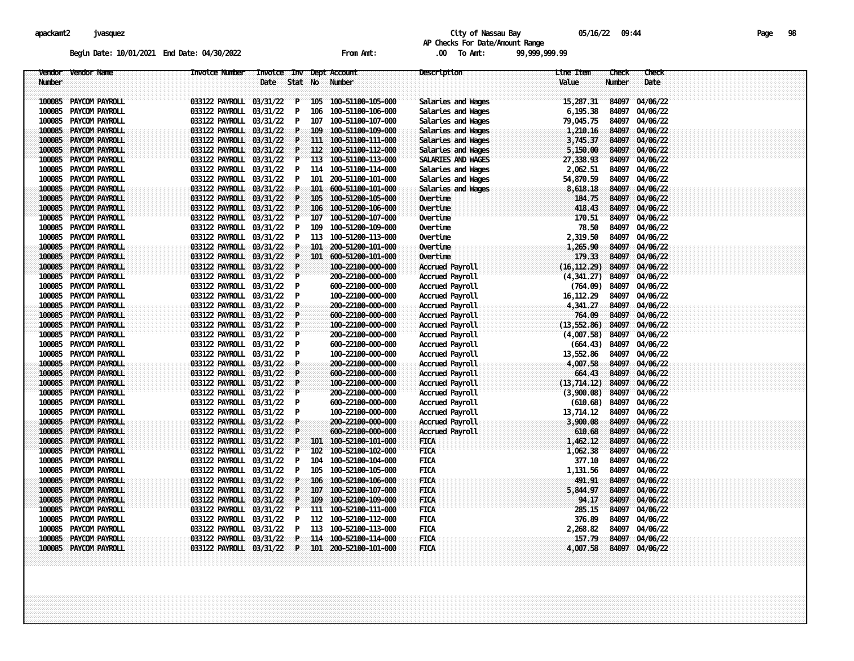**apackamt2 jvasquez City of Nassau Bay 05/16/22 09:44 Page 98 AP Checks For Date/Amount Range**

Begin Date: 10/01/2021 End Date: 04/30/2022

| From Amt: |
|-----------|
|           |

|                  | <del>Vendor Vendor Name</del>           | <b>Involce Number</b>                              | <b>Invotce Inv Dept Account</b> |            |                                        | <b>Description</b>                    | tine Item     | <b>URECK</b>   | Check                |  |  |  |
|------------------|-----------------------------------------|----------------------------------------------------|---------------------------------|------------|----------------------------------------|---------------------------------------|---------------|----------------|----------------------|--|--|--|
| <b>Number</b>    |                                         |                                                    | Stat No<br>Date                 |            | <b>Number</b>                          |                                       | Value         | <b>Number</b>  | Date                 |  |  |  |
| 100085           | PAYCOM PAYROLL                          | 033122 PAYROLL                                     | 03/31/22<br>∵P                  | 105        | 100-51100-105-000                      | Salaries and Wages                    | 15,287.31     | 84097          | 04/06/22             |  |  |  |
| 100085           | PAYCOM PAYROLL                          | 033122 PAYROLL                                     | 03/31/22<br>P                   | 106        | 100-51100-106-000                      | Salaries and Wages                    | 6,195.38      | 84097          | 04/06/22             |  |  |  |
| 100085           | PAYCOM PAYROLL                          | 033122 PAYROLL                                     | 03/31/22<br>-P                  | 107        | 100-51100-107-000                      | Salaries and Wages                    |               | 84097          | 04/06/22             |  |  |  |
|                  |                                         |                                                    |                                 |            |                                        |                                       | 79,045.75     |                |                      |  |  |  |
| 100085<br>100085 | PAYCOM PAYROLL<br><b>PAYCOM PAYROLL</b> | 033122 PAYROLL 03/31/22<br>033122 PAYROLL 03/31/22 | ு<br>∵ P                        | 109<br>111 | 100-51100-109-000<br>100-51100-111-000 | Salaries and Wages                    | 1,210.16      | 84097<br>84097 | 04/06/22<br>04/06/22 |  |  |  |
|                  |                                         |                                                    |                                 | 112        |                                        | Salaries and Wages                    | 3,745.37      |                |                      |  |  |  |
| 100085           | PAYCOM PAYROLL                          | 033122 PAYROLL 03/31/22                            | ाः                              |            | 100-51100-112-000                      | Salaries and Wages                    | 5,150.00      | 84097          | 04/06/22             |  |  |  |
| 100085           | PAYCOM PAYROLL                          | 033122 PAYROLL 03/31/22                            | ႃၣႜ                             | 113<br>114 | 100-51100-113-000                      | SALARIES AND WAGES                    | 27,338.93     | 84097          | 04/06/22             |  |  |  |
| 100085           | Paycom Payroll                          | 033122 PAYROLL 03/31/22                            | P                               |            | 100-51100-114-000                      | Salaries and Wages                    | 2,062.51      | 84097          | 04/06/22             |  |  |  |
| 100085           | PAYCOM PAYROLL                          | 033122 PAYROLL                                     | 03/31/22<br>P<br>਼₽             | 101        | 200-51100-101-000                      | Salaries and Wages                    | 54,870.59     | 84097          | 04/06/22             |  |  |  |
| 100085<br>100085 | PAYCOM PAYROLL                          | 033122 PAYROLL 03/31/22<br>033122 PAYROLL 03/31/22 | $\mathbf P$                     | 101<br>105 | 600-51100-101-000<br>100-51200-105-000 | Salaries and Wages<br><b>Overtime</b> | 8,618.18      | 84097          | 04/06/22             |  |  |  |
|                  | PAYCOM PAYROLL                          |                                                    | ∵P                              |            |                                        |                                       | 184.75        | 84097          | 04/06/22             |  |  |  |
| 100085           | PAYCOM PAYROLL                          | 033122 PAYROLL 03/31/22                            |                                 | 106        | 100-51200-106-000                      | Overtime                              | 418.43        | 84097          | 04/06/22             |  |  |  |
| 100085           | <b>PAYCOM PAYROLL</b>                   | 033122 PAYROLL 03/31/22                            | $\mathsf{P}$                    | 107        | 100-51200-107-000                      | <b>Overtime</b>                       | 170.51        | 84097          | 04/06/22             |  |  |  |
| 100085           | PAYCOM PAYROLL                          | 033122 PAYROLL                                     | 03/31/22<br><b>P</b>            | 109        | 100-51200-109-000                      | Overtime                              | 78.50         | 84097          | 04/06/22             |  |  |  |
| 100085           | PAYCOM PAYROLL                          | 033122 PAYROLL 03/31/22                            | - P                             | 113        | 100-51200-113-000                      | Overtime                              | 2,319.50      | 84097          | 04/06/22             |  |  |  |
| 100085           | PAYCOM PAYROLL                          | 033122 PAYROLL 03/31/22                            | ⊹P                              | 101        | 200-51200-101-000                      | Overtime                              | 1,265.90      | 84097          | 04/06/22             |  |  |  |
| 100085           | PAYCOM PAYROLL                          | 033122 PAYROLL 03/31/22                            | ାଇ                              | 101        | 600-51200-101-000                      | Overtime                              | 179.33        | 84097          | 04/06/22             |  |  |  |
| 100085           | PAYCOM PAYROLL                          | 033122 PAYROLL 03/31/22                            | -P                              |            | 100-22100-000-000                      | <b>Accrued Payroll</b>                | (16, 112, 29) | 84097          | 04/06/22             |  |  |  |
| 100085           | <b>PAYCOM PAYROLL</b>                   | 033122 PAYROLL 03/31/22                            | ∵ P                             |            | 200-22100-000-000                      | <b>Accrued Payroll</b>                | (4,341,27)    | 84097          | 04/06/22             |  |  |  |
| 100085           | PAYCOM PAYROLL                          | 033122 PAYROLL 03/31/22                            | P                               |            | 600-22100-000-000                      | <b>Accrued Payroll</b>                | (764.09)      | 84097          | 04/06/22             |  |  |  |
| 100085           | PAYCOM PAYROLL                          | 033122 PAYROLL 03/31/22                            | P                               |            | 100-22100-000-000                      | <b>Accrued Payroll</b>                | 16, 112.29    | 84097          | 04/06/22             |  |  |  |
| 100085           | PAYCOM PAYROLL                          | 033122 PAYROLL 03/31/22                            | ٠P                              |            | 200-22100-000-000                      | <b>Accrued Payroll</b>                | 4,341.27      | 84097          | 04/06/22             |  |  |  |
| 100085           | PAYCOM PAYROLL                          | 033122 PAYROLL 03/31/22                            | P                               |            | 600-22100-000-000                      | <b>Accrued Payroll</b>                | 764.09        | 84097          | 04/06/22             |  |  |  |
| 100085           | PAYCOM PAYROLL                          | 033122 PAYROLL 03/31/22                            | P                               |            | 100-22100-000-000                      | <b>Accrued Payroll</b>                | (13, 552.86)  | 84097          | 04/06/22             |  |  |  |
| 100085           | PAYCOM PAYROLL                          | 033122 PAYROLL 03/31/22                            | `P                              |            | 200-22100-000-000                      | <b>Accrued Payroll</b>                | (4,007.58)    | 84097          | 04/06/22             |  |  |  |
| 100085           | PAYCOM PAYROLL                          | 033122 PAYROLL 03/31/22                            | P                               |            | 600-22100-000-000                      | <b>Accrued Payroll</b>                | (664.43)      | 84097          | 04/06/22             |  |  |  |
| 100085           | PAYCOM PAYROLL                          | 033122 PAYROLL 03/31/22                            | P                               |            | 100-22100-000-000                      | <b>Accrued Payroll</b>                | 13,552.86     | 84097          | 04/06/22             |  |  |  |
| 100085           | PAYCOM PAYROLL                          | 033122 PAYROLL 03/31/22                            | -P.                             |            | 200-22100-000-000                      | <b>Accrued Payroll</b>                | 4,007.58      | 84097          | 04/06/22             |  |  |  |
| 100085           | PAYCOM PAYROLL                          | 033122 PAYROLL 03/31/22                            | P                               |            | 600-22100-000-000                      | <b>Accrued Payroll</b>                | 664.43        | 84097          | 04/06/22             |  |  |  |
| 100085           | PAYCOM PAYROLL                          | 033122 PAYROLL                                     | 03/31/22<br>P                   |            | 100-22100-000-000                      | <b>Accrued Payroll</b>                | (13, 714, 12) | 84097          | 04/06/22             |  |  |  |
| 100085           | PAYCOM PAYROLL                          | 033122 PAYROLL 03/31/22                            | P                               |            | 200-22100-000-000                      | <b>Accrued Payroll</b>                | (3,900.08)    | 84097          | 04/06/22             |  |  |  |
| 100085           | Paycom Payroll                          | 033122 PAYROLL                                     | 03/31/22<br>P                   |            | 600-22100-000-000                      | <b>Accrued Payroll</b>                | (610.68)      | 84097          | 04/06/22             |  |  |  |
| 100085           | Paycom Payroll                          | 033122 PAYROLL                                     | 03/31/22<br>P                   |            | 100-22100-000-000                      | <b>Accrued Payroll</b>                | 13,714.12     | 84097          | 04/06/22             |  |  |  |
| 100085           | PAYCOM PAYROLL                          | 033122 PAYROLL 03/31/22                            | -P.                             |            | 200-22100-000-000                      | <b>Accrued Payroll</b>                | 3,900.08      | 84097          | 04/06/22             |  |  |  |
| 100085           | PAYCOM PAYROLL                          | 033122 PAYROLL                                     | 03/31/22<br>P                   |            | 600-22100-000-000                      | <b>Accrued Payroll</b>                | 610.68        | 84097          | 04/06/22             |  |  |  |
| 100085           | PAYCOM PAYROLL                          | 033122 PAYROLL 03/31/22                            | .P                              |            | 101 100-52100-101-000                  | <b>FICA</b>                           | 1,462.12      | 84097          | 04/06/22             |  |  |  |
| 100085           | PAYCOM PAYROLL                          | 033122 PAYROLL                                     | 03/31/22<br>`P                  | 102        | 100-52100-102-000                      | <b>FICA</b>                           | 1,062.38      | 84097          | 04/06/22             |  |  |  |
| 100085           | PAYCOM PAYROLL                          | 033122 PAYROLL 03/31/22                            | - P                             | 104        | 100-52100-104-000                      | <b>FICA</b>                           | 377.10        | 84097          | 04/06/22             |  |  |  |
| 100085           | PAYCOM PAYROLL                          | 033122 PAYROLL                                     | 03/31/22<br>- P                 | 105        | 100-52100-105-000                      | <b>FICA</b>                           | 1,131.56      | 84097          | 04/06/22             |  |  |  |
| 100085           | PAYCOM PAYROLL                          | 033122 PAYROLL 03/31/22                            | ା                               | 106        | 100-52100-106-000                      | <b>FICA</b>                           | 491.91        | 84097          | 04/06/22             |  |  |  |
| 100085           | PAYCOM PAYROLL                          | 033122 PAYROLL                                     | 03/31/22<br>-P.                 | 107        | 100-52100-107-000                      | <b>FICA</b>                           | 5,844.97      | 84097          | 04/06/22             |  |  |  |
| 100085           | PAYCOM PAYROLL                          | 033122 PAYROLL 03/31/22                            | ∷ P                             | 109        | 100-52100-109-000                      | <b>FICA</b>                           | 94.17         | 84097          | 04/06/22             |  |  |  |
| 100085           | PAYCOM PAYROLL                          | 033122 PAYROLL 03/31/22                            | $\mathbf{P}$                    | 111        | 100-52100-111-000                      | <b>FICA</b>                           | 285.15        | 84097          | 04/06/22             |  |  |  |
| 100085           | PAYCOM PAYROLL                          | 033122 PAYROLL 03/31/22                            | P                               | 112        | 100-52100-112-000                      | <b>FICA</b>                           | 376.89        | 84097          | 04/06/22             |  |  |  |
| 100085           | PAYCOM PAYROLL                          | 033122 PAYROLL                                     | 03/31/22<br>P                   | 113        | 100-52100-113-000                      | <b>FICA</b>                           | 2,268.82      | 84097          | 04/06/22             |  |  |  |
| 100085           | PAYCOM PAYROLL                          | 033122 PAYROLL                                     | 03/31/22<br>-P                  | 114        | 100-52100-114-000                      | <b>FICA</b>                           | 157.79        | 84097          | 04/06/22             |  |  |  |
| 100085           | PAYCOM PAYROLL                          | 033122 PAYROLL 03/31/22                            | ∴ P                             | 101        | 200-52100-101-000                      | <b>FICA</b>                           | 4,007.58      | 84097          | 04/06/22             |  |  |  |
|                  |                                         |                                                    |                                 |            |                                        |                                       |               |                |                      |  |  |  |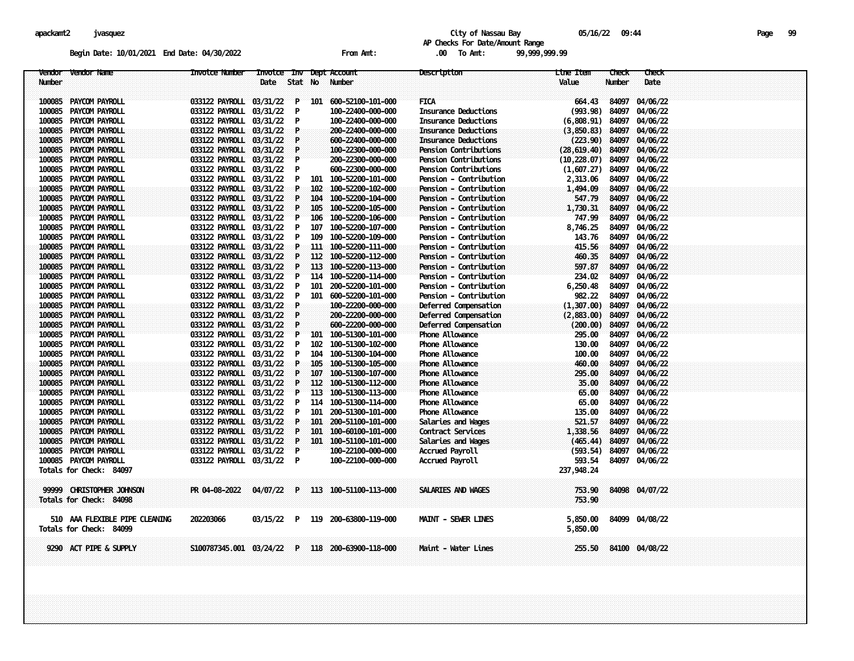**apackamt2 jvasquez City of Nassau Bay 05/16/22 09:44 Page 99 AP Checks For Date/Amount Range**

Begin Date: 10/01/2021 End Date: 04/30/2022 <br>From Amt:

|        | <u> Vendor Vendor Name</u>     | <b>Involce Number</b>   |          |              |     | <b>Invotce Inv Dept Account</b> | <b>Description</b>            | ttne Item            | <b>UTECK</b>  | Check          |  |
|--------|--------------------------------|-------------------------|----------|--------------|-----|---------------------------------|-------------------------------|----------------------|---------------|----------------|--|
| Number |                                |                         | Date     | Stat No      |     | <b>Number</b>                   |                               | Value                | <b>Number</b> | Date           |  |
|        |                                |                         |          |              |     |                                 |                               |                      |               |                |  |
| 100085 | <b>PAYCOM PAYROLL</b>          | 033122 PAYROLL 03/31/22 |          | ‴ P          |     | 101 600-52100-101-000           | <b>FICA</b>                   | 664.43               | 84097         | 04/06/22       |  |
| 100085 | PAYCOM PAYROLL                 | 033122 PAYROLL 03/31/22 |          | - P          |     | 100-22400-000-000               | Insurance Deductions          | (993.98)             | 84097         | 04/06/22       |  |
| 100085 | PAYCOM PAYROLL                 | 033122 PAYROLL 03/31/22 |          | $\mathsf{P}$ |     | 100-22400-000-000               | <b>Insurance Deductions</b>   | (6,808.91)           | 84097         | 04/06/22       |  |
|        | 100085 PAYCOM PAYROLL          | 033122 PAYROLL 03/31/22 |          | . Р          |     | 200-22400-000-000               | <b>Insurance Deductions</b>   | $(3,850.83)$ 84097   |               | 04/06/22       |  |
| 100085 | PAYCOM PAYROLL                 | 033122 PAYROLL 03/31/22 |          | ∴ P          |     | 600-22400-000-000               | <b>Insurance Deductions</b>   | $(223.90)$ 84097     |               | 04/06/22       |  |
|        | 100085 PAYCOM PAYROLL          | 033122 PAYROLL 03/31/22 |          | ା            |     | 100-22300-000-000               | <b>Pension Contributions</b>  | $(28, 619.40)$ 84097 |               | 04/06/22       |  |
| 100085 | PAYCOM PAYROLL                 | 033122 PAYROLL 03/31/22 |          | ™P           |     | 200-22300-000-000               | <b>Pension Contributions</b>  | $(10, 228.07)$ 84097 |               | 04/06/22       |  |
| 100085 | PAYCOM PAYROLL                 | 033122 PAYROLL 03/31/22 |          | P            |     | 600-22300-000-000               | <b>Pension Contributions</b>  | $(1,607.27)$ 84097   |               | 04/06/22       |  |
| 100085 | PAYCOM PAYROLL                 | 033122 PAYROLL 03/31/22 |          | P            |     | 101 100-52200-101-000           | Pension - Contribution        | 2,313.06             | 84097         | 04/06/22       |  |
| 100085 | <b>PAYCOM PAYROLL</b>          | 033122 PAYROLL 03/31/22 |          | $\mathbf{P}$ | 102 | 100-52200-102-000               | <b>Pension - Contribution</b> | 1,494.09             | 84097         | 04/06/22       |  |
| 100085 | PAYCOM PAYROLL                 | 033122 PAYROLL 03/31/22 |          | $\mathbf{P}$ | 104 | 100-52200-104-000               | Pension - Contribution        | 547.79               | 84097         | 04/06/22       |  |
| 100085 | PAYCOM PAYROLL                 | 033122 PAYROLL 03/31/22 |          | ା            | 105 | 100-52200-105-000               | <b>Pension - Contribution</b> | 1,730.31             | 84097         | 04/06/22       |  |
|        |                                |                         |          |              |     |                                 |                               |                      |               |                |  |
| 100085 | PAYCOM PAYROLL                 | 033122 PAYROLL 03/31/22 |          | ႃၣ           | 106 | 100-52200-106-000               | <b>Pension - Contribution</b> | 747.99               | 84097         | 04/06/22       |  |
| 100085 | PAYCOM PAYROLL                 | 033122 PAYROLL 03/31/22 |          | <b>P</b>     | 107 | 100-52200-107-000               | <b>Pension - Contribution</b> | 8,746.25             | 84097         | 04/06/22       |  |
| 100085 | PAYCOM PAYROLL                 | 033122 PAYROLL 03/31/22 |          | <b>P</b>     | 109 | 100-52200-109-000               | <b>Pension - Contribution</b> | 143.76               | 84097         | 04/06/22       |  |
| 100085 | <b>PAYCOM PAYROLL</b>          | 033122 PAYROLL 03/31/22 |          | ⊹P           | 111 | 100-52200-111-000               | <b>Pension - Contribution</b> | 415.56               | 84097         | 04/06/22       |  |
| 100085 | PAYCOM PAYROLL                 | 033122 PAYROLL 03/31/22 |          | $\cdot$ p.   | 112 | 100-52200-112-000               | <b>Pension - Contribution</b> | 460.35               | 84097         | 04/06/22       |  |
| 100085 | PAYCOM PAYROLL                 | 033122 PAYROLL 03/31/22 |          | ူ            | 113 | 100-52200-113-000               | <b>Pension - Contribution</b> | 597.87               | 84097         | 04/06/22       |  |
|        | 100085 PAYCOM PAYROLL          | 033122 PAYROLL 03/31/22 |          | ႃၣ           |     | 114 100-52200-114-000           | <b>Pension - Contribution</b> | 234.02               | 84097         | 04/06/22       |  |
| 100085 | PAYCOM PAYROLL                 | 033122 PAYROLL 03/31/22 |          | $\mathsf{P}$ | 101 | 200-52200-101-000               | <b>Pension - Contribution</b> | 6,250.48             | 84097         | 04/06/22       |  |
| 100085 | Paycom Payroll                 | 033122 PAYROLL 03/31/22 |          | $\mathsf{P}$ |     | 101 600-52200-101-000           | <b>Pension - Contribution</b> | 982.22               | 84097         | 04/06/22       |  |
| 100085 | PAYCOM PAYROLL                 | 033122 PAYROLL 03/31/22 |          | ∵⊬P          |     | 100-22200-000-000               | Deferred Compensation         | $(1,307.00)$ 84097   |               | 04/06/22       |  |
|        | 100085 PAYCOM PAYROLL          | 033122 PAYROLL 03/31/22 |          | ା            |     | 200-22200-000-000               | Deferred Compensation         | $(2,883.00)$ 84097   |               | 04/06/22       |  |
| 100085 | PAYCOM PAYROLL                 | 033122 PAYROLL 03/31/22 |          | $\mathbf P$  |     | 600-22200-000-000               | Deferred Compensation         | $(200.00)$ 84097     |               | 04/06/22       |  |
| 100085 | PAYCOM PAYROLL                 | 033122 PAYROLL 03/31/22 |          | $\mathbf P$  |     | 101 100-51300-101-000           | <b>Phone Allowance</b>        | 295.00               | 84097         | 04/06/22       |  |
| 100085 | PAYCOM PAYROLL                 | 033122 PAYROLL 03/31/22 |          | <b>P</b>     | 102 | 100-51300-102-000               | <b>Phone Allowance</b>        | 130.00               | 84097         | 04/06/22       |  |
| 100085 |                                | 033122 PAYROLL 03/31/22 |          | - P          |     | 100-51300-104-000               | <b>Phone Allowance</b>        |                      | 84097         |                |  |
|        | Paycom Payroll                 |                         |          |              | 104 |                                 |                               | 100.00               |               | 04/06/22       |  |
| 100085 | <b>PAYCOM PAYROLL</b>          | 033122 PAYROLL 03/31/22 |          | ႃၣႜ          | 105 | 100-51300-105-000               | <b>Phone Allowance</b>        | 460.00               | 84097         | 04/06/22       |  |
| 100085 | PAYCOM PAYROLL                 | 033122 PAYROLL 03/31/22 |          | ူ            | 107 | 100-51300-107-000               | <b>Phone Allowance</b>        | 295.00               | 84097         | 04/06/22       |  |
| 100085 | PAYCOM PAYROLL                 | 033122 PAYROLL 03/31/22 |          | $\mathbf{P}$ | 112 | 100-51300-112-000               | <b>Phone Allowance</b>        | 35.00                | 84097         | 04/06/22       |  |
| 100085 | <b>PAYCOM PAYROLL</b>          | 033122 PAYROLL 03/31/22 |          | ႃၣ           | 113 | 100-51300-113-000               | <b>Phone Allowance</b>        | 65.00                | 84097         | 04/06/22       |  |
| 100085 | PAYCOM PAYROLL                 | 033122 PAYROLL 03/31/22 |          | <b>P</b>     | 114 | 100-51300-114-000               | <b>Phone Allowance</b>        | 65.00                | 84097         | 04/06/22       |  |
| 100085 | PAYCOM PAYROLL                 | 033122 PAYROLL 03/31/22 |          | - P          | 101 | 200-51300-101-000               | <b>Phone Allowance</b>        | 135.00               | 84097         | 04/06/22       |  |
|        | 100085 PAYCOM PAYROLL          | 033122 PAYROLL 03/31/22 |          | ୍ୱା          | 101 | 200-51100-101-000               | Salaries and Wages            | 521.57               | 84097         | 04/06/22       |  |
| 100085 | PAYCOM PAYROLL                 | 033122 PAYROLL 03/31/22 |          | $\mathbf P$  | 101 | 100-60100-101-000               | Contract Services             | 1,338.56             | 84097         | 04/06/22       |  |
| 100085 | PAYCOM PAYROLL                 | 033122 PAYROLL 03/31/22 |          | ႃၣ           |     | 101 100-51100-101-000           | Salaries and Wages            | (465.44)             | 84097         | 04/06/22       |  |
| 100085 | <b>PAYCOM PAYROLL</b>          | 033122 PAYROLL 03/31/22 |          | ™P           |     | 100-22100-000-000               | <b>Accrued Payroll</b>        | (593.54)             | 84097         | 04/06/22       |  |
|        | 100085 PAYCOM PAYROLL          | 033122 PAYROLL 03/31/22 |          | $\mathsf{P}$ |     | 100-22100-000-000               | <b>Accrued Payroll</b>        | 593.54               |               | 84097 04/06/22 |  |
|        | Totals for Check: 84097        |                         |          |              |     |                                 |                               | 237,948.24           |               |                |  |
|        |                                |                         |          |              |     |                                 |                               |                      |               |                |  |
|        | 99999 CHRISTOPHER JOHNSON      | PR 04-08-2022           | 04/07/22 | ႃၣ           |     | 113 100-51100-113-000           | SALARIES AND WAGES            | 753.90               |               | 84098 04/07/22 |  |
|        | Totals for Check: 84098        |                         |          |              |     |                                 |                               | 753.90               |               |                |  |
|        |                                |                         |          |              |     |                                 |                               |                      |               |                |  |
|        | 510 AAA FLEXIBLE PIPE CLEANING | 202203066               | 03/15/22 | - P          |     | 119 200-63800-119-000           | <b>MAINT - SEWER LINES</b>    | 5,850.00             |               | 84099 04/08/22 |  |
|        | Totals for Check: 84099        |                         |          |              |     |                                 |                               |                      |               |                |  |
|        |                                |                         |          |              |     |                                 |                               | 5,850.00             |               |                |  |
|        |                                |                         |          |              |     |                                 |                               |                      |               |                |  |
|        | 9290 ACT PIPE & SUPPLY         | S100787345.001 03/24/22 |          |              |     | P 118 200-63900-118-000         | Maint - Water Lines           | 255.50               |               | 84100 04/08/22 |  |
|        |                                |                         |          |              |     |                                 |                               |                      |               |                |  |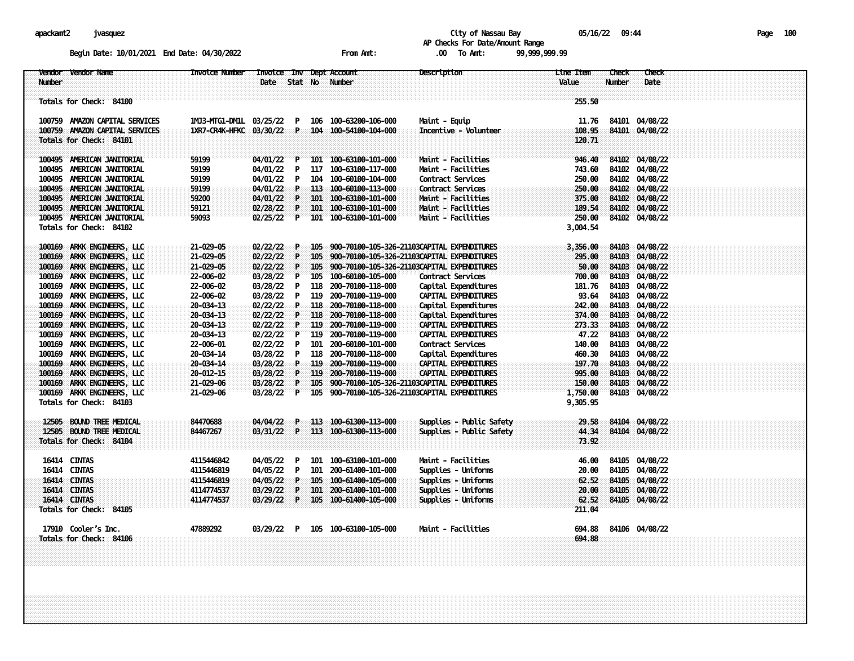**apackamt2 jvasquez City of Nassau Bay 05/16/22 09:44 Page 100 AP Checks For Date/Amount Range**

|  |  |  | Beain Date: 10/01/2021    End Date: 04/30/2022 | From Amt. | $.00\,$<br>To Amt: | 99,999,999,99 |
|--|--|--|------------------------------------------------|-----------|--------------------|---------------|
|--|--|--|------------------------------------------------|-----------|--------------------|---------------|

| vendor vendor Name                             | Invoice Number Invoice Inv Dept Account |              |                              |                         | <b>Description</b>                              | <b>Etne Item</b> | <b>Check</b>  | Check          |  |
|------------------------------------------------|-----------------------------------------|--------------|------------------------------|-------------------------|-------------------------------------------------|------------------|---------------|----------------|--|
| <b>Number</b>                                  |                                         |              |                              | Date Stat No Number     |                                                 | Value            | <b>Number</b> | Date           |  |
| Totals for Check: 84100                        |                                         |              |                              |                         |                                                 | 255.50           |               |                |  |
|                                                |                                         |              |                              |                         |                                                 |                  |               |                |  |
| 100759 AMAZON CAPITAL SERVICES                 | 1MJ3-MTG1-DM1L 03/25/22                 |              | P                            | 106 100-63200-106-000   | Maint - Equip                                   | 11.76            |               | 84101 04/08/22 |  |
| 100759 AMAZON CAPITAL SERVICES                 | 1XR7-CR4K-HFKC 03/30/22 P               |              |                              | 104 100-54100-104-000   | Incentive - Volunteer                           | 108.95           |               | 84101 04/08/22 |  |
| Totals for Check: 84101                        |                                         |              |                              |                         |                                                 | 120.71           |               |                |  |
|                                                |                                         |              |                              |                         |                                                 |                  |               |                |  |
| 100495 AMERICAN JANITORIAL                     | 59199                                   | 04/01/22     | P                            | 101 100-63100-101-000   | Maint - Facilities                              | 946.40           |               | 84102 04/08/22 |  |
| 100495 AMERICAN JANITORIAL                     | 59199                                   | 04/01/22     | P                            | 117 100-63100-117-000   | Maint - Facilities                              | 743.60           |               | 84102 04/08/22 |  |
| 100495 AMERICAN JANITORIAL                     | 59199                                   | 04/01/22     | P                            | 104 100-60100-104-000   | Contract Services                               | 250.00           |               | 84102 04/08/22 |  |
| 100495 AMERICAN JANITORIAL                     | 59199                                   | 04/01/22     |                              | P 113 100-60100-113-000 | <b>Contract Services</b>                        | 250.00           | 84102         | 04/08/22       |  |
| 100495 AMERICAN JANITORIAL                     | 59200                                   | 04/01/22     | $\mathbf{P}$                 | 101 100-63100-101-000   | Maint - Facilities                              | 375.00           |               | 84102 04/08/22 |  |
| 100495 AMERICAN JANITORIAL                     | 59121                                   | 02/28/22     | $\mathbf{P}$                 | 101 100-63100-101-000   | Maint - Facilities                              | 189.54           |               | 84102 04/08/22 |  |
| 100495 AMERICAN JANITORIAL                     | 59093                                   | $02/25/22$ P |                              | 101 100-63100-101-000   | <b>Maint - Facilities</b>                       | 250.00           |               | 84102 04/08/22 |  |
| Totals for Check: 84102                        |                                         |              |                              |                         |                                                 | 3,004.54         |               |                |  |
| 100169 ARKK ENGINEERS, LLC                     | 21-029-05                               | 02/22/22     | ₽                            |                         | 105 900-70100-105-326-21103CAPITAL EXPENDITURES | 3,356.00         |               | 84103 04/08/22 |  |
| 100169 ARKK ENGINEERS, LLC                     | 21-029-05                               | 02/22/22     | P.                           |                         | 105 900-70100-105-326-21103CAPITAL EXPENDITURES | 295.00           |               | 84103 04/08/22 |  |
| 100169 ARKK ENGINEERS, LLC                     | 21-029-05                               | 02/22/22     | $\mathbf{P}$                 |                         | 105 900-70100-105-326-21103CAPITAL EXPENDITURES | 50.00            |               | 84103 04/08/22 |  |
| 100169 ARKK ENGINEERS, LLC                     | 22-006-02                               | 03/28/22     | P                            | 105 100-60100-105-000   | Contract Services                               | 700.00           |               | 84103 04/08/22 |  |
| 100169 ARKK ENGINEERS, LLC                     | 22-006-02                               | 03/28/22     | P                            | 118 200-70100-118-000   | Capital Expenditures                            | 181.76           |               | 84103 04/08/22 |  |
| 100169 ARKK ENGINEERS, LLC                     | 22-006-02                               | 03/28/22     | P                            | 119 200-70100-119-000   | <b>CAPITAL EXPENDITURES</b>                     | 93.64            |               | 84103 04/08/22 |  |
| 100169 ARKK ENGINEERS, LLC                     | 20-034-13                               | 02/22/22     | ୍ନ                           | 118 200-70100-118-000   | Capital Expenditures                            | 242.00           |               | 84103 04/08/22 |  |
| 100169 ARKK ENGINEERS, LLC                     | 20-034-13                               | 02/22/22     | ႃၣႜ                          | 118 200-70100-118-000   | Capital Expenditures                            | 374.00           |               | 84103 04/08/22 |  |
| 100169 ARKK ENGINEERS, LLC                     | 20-034-13                               | 02/22/22     | $\mathbf{P}$                 | 119 200-70100-119-000   | <b>CAPITAL EXPENDITURES</b>                     | 273.33           |               | 84103 04/08/22 |  |
| 100169 ARKK ENGINEERS, LLC                     | 20-034-13                               | 02/22/22     | ႃၣႃ                          | 119 200-70100-119-000   | <b>CAPITAL EXPENDITURES</b>                     | 47.22            |               | 84103 04/08/22 |  |
| 100169 ARKK ENGINEERS, LLC                     | 22-006-01                               | 02/22/22     | P                            | 101 200-60100-101-000   | Contract Services                               | 140.00           | 84103         | 04/08/22       |  |
| 100169 ARKK ENGINEERS, LLC                     | 20-034-14                               | 03/28/22     | P                            | 118 200-70100-118-000   | Capital Expenditures                            | 460.30           | 84103         | 04/08/22       |  |
| 100169 ARKK ENGINEERS, LLC                     | 20-034-14                               | 03/28/22     | $\langle \mathbf{P} \rangle$ | 119 200-70100-119-000   | <b>CAPITAL EXPENDITURES</b>                     | 197.70           |               | 84103 04/08/22 |  |
| 100169 ARKK ENGINEERS, LLC                     | 20-012-15                               | 03/28/22     | -P                           | 119 200-70100-119-000   | <b>CAPITAL EXPENDITURES</b>                     | 995.00           |               | 84103 04/08/22 |  |
| 100169 ARKK ENGINEERS, LLC                     | 21-029-06                               | 03/28/22     | $\mathbf{P}$                 |                         | 105 900-70100-105-326-21103CAPITAL EXPENDITURES | 150.00           |               | 84103 04/08/22 |  |
| 100169 ARKK ENGINEERS, LLC                     | 21-029-06                               | $03/28/22$ P |                              |                         | 105 900-70100-105-326-21103CAPITAL EXPENDITURES | 1,750.00         |               | 84103 04/08/22 |  |
| Totals for Check: 84103                        |                                         |              |                              |                         |                                                 | 9,305.95         |               |                |  |
| 12505 BOUND TREE MEDICAL                       | 84470688                                | 04/04/22     | ъ.                           | 113 100-61300-113-000   | Supplies - Public Safety                        | 29.58            |               | 84104 04/08/22 |  |
| 12505 BOUND TREE MEDICAL                       | 84467267                                | 03/31/22     | $\mathsf{P}$                 | 113 100-61300-113-000   | Supplies - Public Safety                        | 44.34            |               | 84104 04/08/22 |  |
| Totals for Check: 84104                        |                                         |              |                              |                         |                                                 | 73.92            |               |                |  |
|                                                |                                         |              |                              |                         |                                                 |                  |               |                |  |
| 16414 CINTAS                                   | 4115446842                              | 04/05/22     | P                            | 101 100-63100-101-000   | Maint - Facilities                              | 46.00            |               | 84105 04/08/22 |  |
| 16414 CINTAS                                   | 4115446819                              | 04/05/22     | P                            | 101 200-61400-101-000   | Supplies - Uniforms                             | 20.00            |               | 84105 04/08/22 |  |
| 16414 CINTAS                                   | 4115446819                              | 04/05/22     | ∷ P∷                         | 105 100-61400-105-000   | Supplies - Uniforms                             | 62.52            |               | 84105 04/08/22 |  |
| 16414 CINTAS                                   | 4114774537                              | 03/29/22     | $\mathsf{P}$                 | 101 200-61400-101-000   | Supplies - Uniforms                             | 20.00            |               | 84105 04/08/22 |  |
| <b>16414 CINTAS</b>                            | 4114774537                              | 03/29/22 P   |                              | 105 100-61400-105-000   | Supplies - Uniforms                             | 62.52            |               | 84105 04/08/22 |  |
| Totals for Check: 84105                        |                                         |              |                              |                         |                                                 | 211.04           |               |                |  |
|                                                |                                         |              |                              |                         |                                                 |                  |               |                |  |
| 17910 Cooler's Inc.<br>Totals for Check: 84106 | 47889292                                | 03/29/22 P   |                              | 105 100-63100-105-000   | Maint - Facilities                              | 694.88<br>694.88 |               | 84106 04/08/22 |  |
|                                                |                                         |              |                              |                         |                                                 |                  |               |                |  |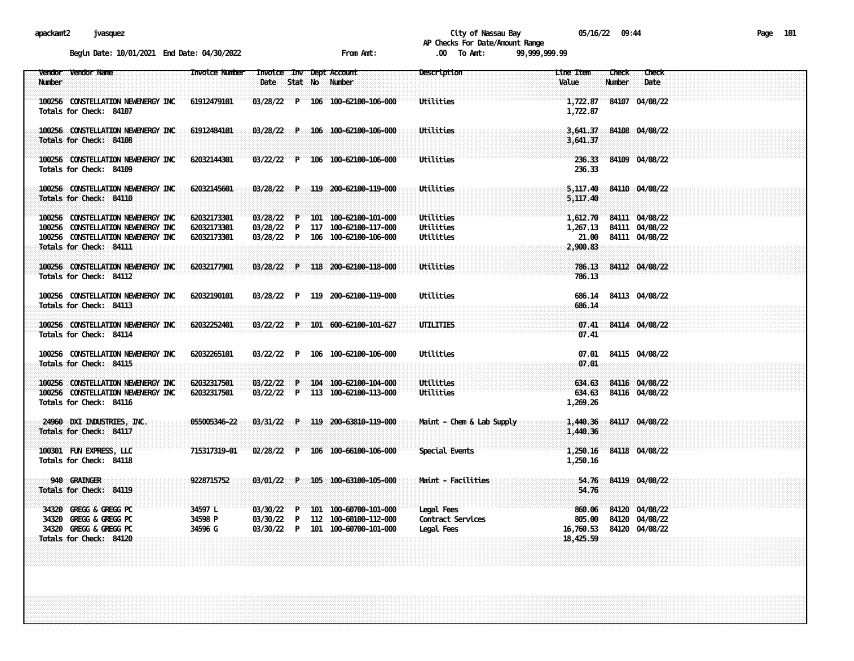**apackamt2 jvasquez City of Nassau Bay 05/16/22 09:44 Page 101 AP Checks For Date/Amount Range**

| <del>Vendor Vendor Name</del>                                                                                  | Invoice Number                            |                                                        |  |                                                                                                          | <b>Description</b>                            | itine Titen                                | Check         | <b>Check</b>                                       |  |  |
|----------------------------------------------------------------------------------------------------------------|-------------------------------------------|--------------------------------------------------------|--|----------------------------------------------------------------------------------------------------------|-----------------------------------------------|--------------------------------------------|---------------|----------------------------------------------------|--|--|
| <b>Number</b>                                                                                                  |                                           | <b>Invotce Inv Dept Account</b><br>Date Stat No Number |  |                                                                                                          |                                               | Value                                      | <b>Number</b> | Date                                               |  |  |
| 100256 CONSTELLATION NEWENERGY INC<br>Totals for Check: 84107                                                  | 61912479101                               |                                                        |  | 03/28/22 P 106 100-62100-106-000                                                                         | <b>Utilities</b>                              | 1,722.87<br>1,722.87                       |               | 84107 04/08/22                                     |  |  |
| 100256 CONSTELLATION NEWENERGY INC<br>Totals for Check: 84108                                                  | 61912484101                               |                                                        |  | 03/28/22 P 106 100-62100-106-000                                                                         | <b>Utilities</b>                              | 3,641.37<br>3,641.37                       |               | 84108 04/08/22                                     |  |  |
| 100256 CONSTELLATION NEWENERGY INC<br>Totals for Check: 84109                                                  | 62032144301                               |                                                        |  | 03/22/22 P 106 100-62100-106-000                                                                         | <b>Utilities</b>                              | 236.33<br>236.33                           |               | 84109 04/08/22                                     |  |  |
| 100256 CONSTELLATION NEWENERGY INC<br>Totals for Check: 84110                                                  | 62032145601                               |                                                        |  | 03/28/22 P 119 200-62100-119-000                                                                         | Utilities                                     | 5,117.40<br>5,117.40                       |               | 84110 04/08/22                                     |  |  |
| 100256 CONSTELLATION NEWENERGY INC<br>100256 CONSTELLATION NEWENERGY INC<br>100256 CONSTELLATION NEWENERGY INC | 62032173301<br>62032173301<br>62032173301 |                                                        |  | 03/28/22 P 101 100-62100-101-000<br>03/28/22 P 117 100-62100-117-000<br>03/28/22 P 106 100-62100-106-000 | <b>Utilities</b><br>Utilities<br>Utilities    | 1,612.70<br>1,267.13<br>21.00              |               | 84111 04/08/22<br>84111 04/08/22<br>84111 04/08/22 |  |  |
| Totals for Check: 84111<br>100256 CONSTELLATION NEWENERGY INC                                                  | 62032177901                               |                                                        |  | 03/28/22 P 118 200-62100-118-000                                                                         | <b>Utilities</b>                              | 2,900.83<br>786.13                         |               | 84112 04/08/22                                     |  |  |
| Totals for Check: 84112<br>100256 CONSTELLATION NEWENERGY INC                                                  | 62032190101                               |                                                        |  | 03/28/22 P 119 200-62100-119-000                                                                         | Utilities                                     | 786.13<br>686.14                           |               | 84113 04/08/22                                     |  |  |
| Totals for Check: 84113<br>100256 CONSTELLATION NEWENERGY INC                                                  | 62032252401                               |                                                        |  | 03/22/22 P 101 600-62100-101-627                                                                         | <b>UTILITIES</b>                              | 686.14<br>07.41                            |               | 84114 04/08/22                                     |  |  |
| Totals for Check: 84114<br>100256 CONSTELLATION NEWENERGY INC                                                  | 62032265101                               |                                                        |  | 03/22/22 P 106 100-62100-106-000                                                                         | Utilities                                     | 07.41<br>07.01                             |               | 84115 04/08/22                                     |  |  |
| Totals for Check: 84115                                                                                        |                                           |                                                        |  |                                                                                                          |                                               | 07.01                                      |               |                                                    |  |  |
| 100256 CONSTELLATION NEWENERGY INC<br>100256 CONSTELLATION NEWENERGY INC<br>Totals for Check: 84116            | 62032317501<br>62032317501                |                                                        |  | 03/22/22 P 104 100-62100-104-000<br>03/22/22 P 113 100-62100-113-000                                     | <b>Utilities</b><br>Utilities                 | 634.63<br>634.63<br>1,269.26               |               | 84116 04/08/22<br>84116 04/08/22                   |  |  |
| 24960 DXI INDUSTRIES, INC.<br>Totals for Check: 84117                                                          | 055005346-22                              |                                                        |  | 03/31/22 P 119 200-63810-119-000                                                                         | Maint - Chem & Lab Supply                     | 1,440.36<br>1,440.36                       |               | 84117 04/08/22                                     |  |  |
| 100301 FUN EXPRESS, LLC<br>Totals for Check: 84118                                                             | 715317319-01                              |                                                        |  | 02/28/22 P 106 100-66100-106-000                                                                         | Special Events                                | 1,250.16<br>1,250.16                       |               | 84118 04/08/22                                     |  |  |
| 940 GRAINGER<br>Totals for Check: 84119                                                                        | 9228715752                                |                                                        |  | 03/01/22 P 105 100-63100-105-000                                                                         | Maint - Facilities                            | 54.76                                      |               | 54.76 84119 04/08/22                               |  |  |
| 34320 GREGG & GREGG PC<br>34320 GREGG & GREGG PC<br>34320 GREGG & GREGG PC<br>Totals for Check: 84120          | 34597 L<br>34598 P<br>34596 G             | 03/30/22 P                                             |  | 03/30/22 P 101 100-60700-101-000<br>112 100-60100-112-000<br>03/30/22 P 101 100-60700-101-000            | Legal Fees<br>Contract Services<br>Legal Fees | 860.06<br>805.00<br>16,760.53<br>18,425.59 |               | 84120 04/08/22<br>84120 04/08/22<br>84120 04/08/22 |  |  |
|                                                                                                                |                                           |                                                        |  |                                                                                                          |                                               |                                            |               |                                                    |  |  |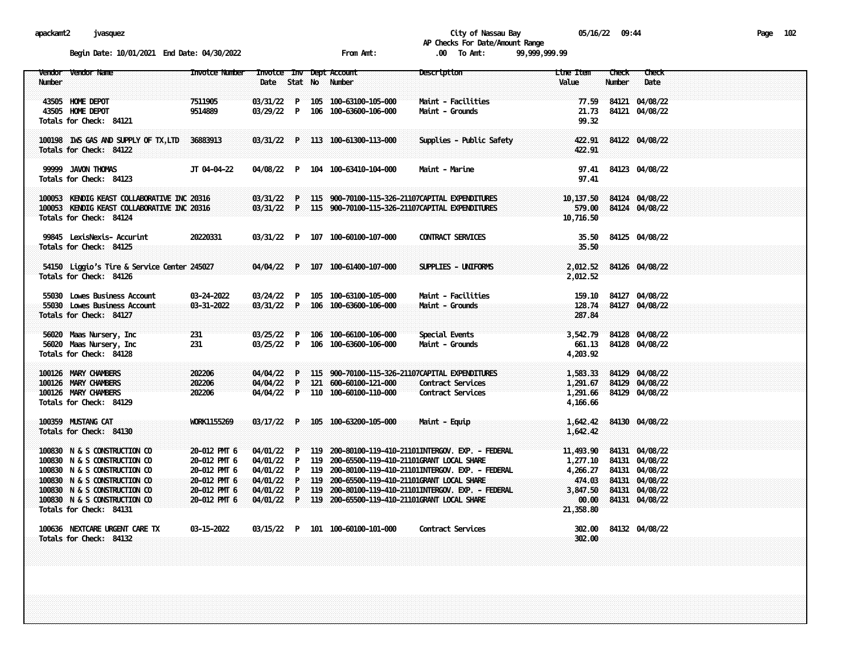| apackamt2     | jvasquez<br>Begin Date: 10/01/2021 End Date: 04/30/2022                                                               |                                |                                                        |  | From Amt:                                                                                                                          | City of Nassau Bay<br>AP Checks For Date/Amount Range<br>$.00$ To Amt:<br>99,999,999.99 |                                  | 05/16/22 09:44          |                                                             |  |  | Page 102 |
|---------------|-----------------------------------------------------------------------------------------------------------------------|--------------------------------|--------------------------------------------------------|--|------------------------------------------------------------------------------------------------------------------------------------|-----------------------------------------------------------------------------------------|----------------------------------|-------------------------|-------------------------------------------------------------|--|--|----------|
| <b>Number</b> | <del>Vendor Vendor Name</del>                                                                                         | Invotce Number                 | <b>Invoice Inv Dept Account</b><br>Date Stat No Number |  |                                                                                                                                    | <b>Description</b>                                                                      | ittne Titem<br>Value             | -Check<br><b>Number</b> | <b>Check</b><br>Date                                        |  |  |          |
|               | 43505 HOME DEPOT<br>43505 HOME DEPOT<br>Totals for Check: 84121                                                       | 7511905<br>9514889             |                                                        |  | 03/31/22 P 105 100-63100-105-000<br>03/29/22 P 106 100-63600-106-000                                                               | Maint - Facilities<br>Maint - Grounds                                                   | 99.32                            |                         | 77.59 84121 04/08/22<br>21.73 84121 04/08/22                |  |  |          |
|               | 100198 IWS GAS AND SUPPLY OF TX, LTD 36883913<br>Totals for Check: 84122                                              |                                |                                                        |  | 03/31/22 P 113 100-61300-113-000                                                                                                   | Supplies - Public Safety                                                                | 422.91<br>422.91                 |                         | 84122 04/08/22                                              |  |  |          |
|               | 99999 JAVON THOMAS<br>Totals for Check: 84123                                                                         | JT 04-04-22                    | 04/08/22 P                                             |  | 104 100-63410-104-000                                                                                                              | Maint - Marine                                                                          | 97.41                            |                         | 97.41 84123 04/08/22                                        |  |  |          |
|               | 100053 KENDIG KEAST COLLABORATIVE INC 20316<br>100053 KENDIG KEAST COLLABORATIVE INC 20316<br>Totals for Check: 84124 |                                |                                                        |  | 03/31/22 P 115 900-70100-115-326-21107CAPITAL EXPENDITURES<br>03/31/22 P 115 900-70100-115-326-21107CAPITAL EXPENDITURES           |                                                                                         | 10,137.50<br>579.00<br>10.716.50 |                         | 84124 04/08/22<br>84124 04/08/22                            |  |  |          |
|               | 99845 LexisNexis- Accurint<br>Totals for Check: 84125                                                                 | 20220331                       |                                                        |  | 03/31/22 P 107 100-60100-107-000                                                                                                   | <b>CONTRACT SERVICES</b>                                                                | 35.50<br>35.50                   |                         | 84125 04/08/22                                              |  |  |          |
|               | 54150 Liggio's Tire & Service Center 245027<br>Totals for Check: 84126                                                |                                |                                                        |  | 04/04/22 P 107 100-61400-107-000                                                                                                   | SUPPLIES - UNIFORMS                                                                     | 2,012.52<br>2,012.52             |                         | 84126 04/08/22                                              |  |  |          |
|               | 55030 Lowes Business Account<br>55030 Lowes Business Account<br>Totals for Check: 84127                               | 03-24-2022<br>$03 - 31 - 2022$ |                                                        |  | 03/24/22 P 105 100-63100-105-000<br>$03/31/22$ P $106$ $100-63600-106-000$                                                         | Maint - Facilities<br>Maint - Grounds                                                   | 159.10<br>128.74<br>287.84       |                         | 84127 04/08/22<br>84127 04/08/22                            |  |  |          |
|               | 56020 Maas Nursery, Inc.<br>56020 Maas Nursery, Inc<br>Totals for Check: 84128                                        | 231<br>231                     |                                                        |  | 03/25/22 P 106 100-66100-106-000<br>03/25/22 P 106 100-63600-106-000                                                               | Special Events<br>Maint - Grounds                                                       | 3,542.79<br>661.13<br>4,203.92   |                         | 84128 04/08/22<br>84128 04/08/22                            |  |  |          |
|               | 100126 MARY CHAMBERS<br>100126 MARY CHAMBERS<br>100126 MARY CHAMBERS<br>Totals for Check: 84129                       | 202206<br>202206<br>202206     |                                                        |  | 04/04/22 P 115 900-70100-115-326-21107CAPITAL EXPENDITURES<br>04/04/22 P 121 600-60100-121-000<br>04/04/22 P 110 100-60100-110-000 | <b>Contract Services</b><br><b>Contract Services</b>                                    | 1,291.67<br>1,291.66<br>4,166.66 |                         | 1,583.33 84129 04/08/22<br>84129 04/08/22<br>84129 04/08/22 |  |  |          |

100359 MUSTANG CAT **MUSTANG CAT 2006/22** WORK1155269 03/17/22 P 105 100-63200-105-000 Maint Equip 1,642.42 1,642.42 84130 04/08/22

100830 N & S CONSTRUCTION CO 20-012 PMT 6 04/01/22 P 119 200-80100-119-410-21101INTERGOV. EXP. - FEDERAL 11,493.90 84131 04/08/22 **100830 N & S CONSTRUCTION CO 20-012 PMT 6 04/01/22 P 119 200-65500-119-410-21101GRANT LOCAL SHARE 1,277.10 84131 04/08/22**

100830 N & S CONSTRUCTION CO 2009-012 PWT 6 04/01/22 P 119 200-65500-119-410-21101GRANT LOCAL SHARE 474.03 4131 04/08/22 100830 N & S CONSTRUCTION CO 20-012 PMT 6 04/01/22 P 119 200-80100-119-410-21101INTERGOV, EXP. - FEDERAL 3,847.50 84131 04/08/22 100830 N & S CONSTRUCTION CO 20-012 PMT 6 04/01/22 P 119 200-65500-119-410-21101GRANT LOCAL SHARE 00.00 84131 04/08/22

100636 NEXTCARE URGENT CARE TX 03-15-2022 03/15/22 P 101 100-60100-101-000 Contract Services 302.00 84132 04/08/22

04/01/22 P 119 200-80100-119-410-21101INTERGOV. EXP. - FEDERAL

**Totals for Check: 84130 1,642.42**

**Totals for Check: 84131 21,358.80**

**Totals for Check: 84132 302.00**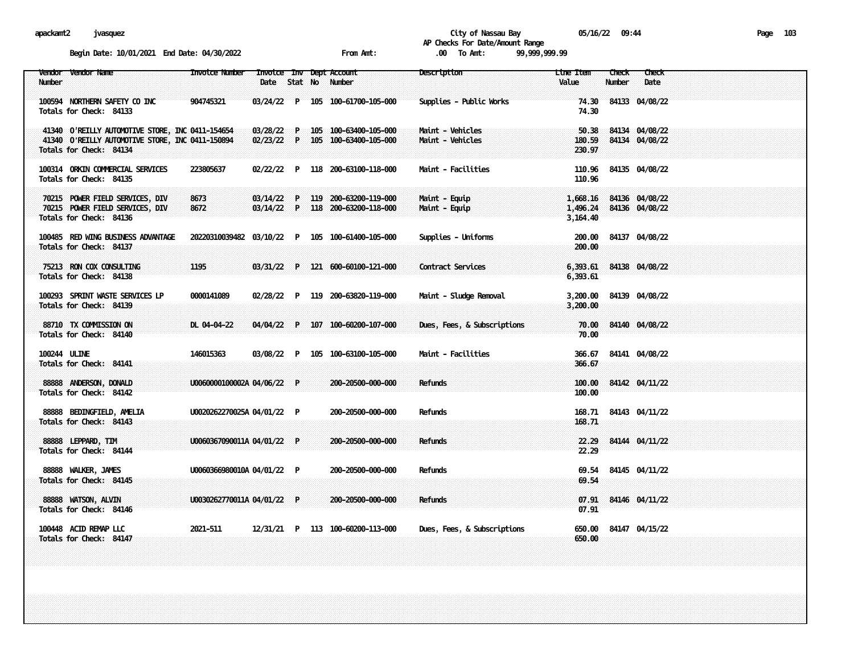**apackamt2 jvasquez City of Nassau Bay 05/16/22 09:44 Page 103 AP Checks For Date/Amount Range**

| 05/16/22 | - 09 |
|----------|------|
|          |      |

Begin Date: 10/01/2021 End Date: 04/30/2022 <br>From Amt:

|               | Vendor Vendor Name                                                                                                              | Invoice Number Invoice Inv Dept Account |  |                                                                                    | <b>Description</b>                   | Etne Item                        | Check         | Check                            |  |  |  |
|---------------|---------------------------------------------------------------------------------------------------------------------------------|-----------------------------------------|--|------------------------------------------------------------------------------------|--------------------------------------|----------------------------------|---------------|----------------------------------|--|--|--|
| <b>Number</b> |                                                                                                                                 |                                         |  | Date Stat No Number                                                                |                                      | Value                            | <b>Number</b> | Date                             |  |  |  |
|               | 100594 NORTHERN SAFETY CO INC<br>Totals for Check: 84133                                                                        | 904745321                               |  | 03/24/22 P 105 100-61700-105-000                                                   | Supplies - Public Works              | 74.30<br>74.30                   |               | 84133 04/08/22                   |  |  |  |
|               | 41340 O'REILLY AUTOMOTIVE STORE, INC 0411-154654<br>41340 O'REILLY AUTOMOTIVE STORE, INC 0411-150894<br>Totals for Check: 84134 |                                         |  | $-03/28/22$ P $-105 - 100 - 63400 - 105 - 000$<br>02/23/22 P 105 100-63400-105-000 | Maint - Vehicles<br>Maint - Vehicles | 50.38<br>180.59<br>230.97        |               | 84134 04/08/22<br>84134 04/08/22 |  |  |  |
|               | 100314 ORKIN COMMERCIAL SERVICES<br>Totals for Check: 84135                                                                     | 223805637                               |  | 02/22/22 P 118 200-63100-118-000                                                   | Maint - Facilities                   | 110.96<br>110.96                 |               | 84135 04/08/22                   |  |  |  |
|               | 70215 POWER FIELD SERVICES, DIV<br>70215 POWER FIELD SERVICES, DIV<br>Totals for Check: 84136                                   | 8673<br>8672                            |  | 03/14/22 P 119 200-63200-119-000<br>03/14/22 P 118 200-63200-118-000               | Maint - Equip<br>Maint - Equip       | 1,668.16<br>1,496.24<br>3,164.40 |               | 84136 04/08/22<br>84136 04/08/22 |  |  |  |
|               | 100485 RED WING BUSINESS ADVANTAGE<br>Totals for Check: 84137                                                                   |                                         |  | 20220310039482 03/10/22 P 105 100-61400-105-000                                    | Supplies - Uniforms                  | 200.00<br>200.00                 |               | 84137 04/08/22                   |  |  |  |
|               | 75213 RON COX CONSULTING<br>Totals for Check: 84138                                                                             | 1195                                    |  | 03/31/22 P 121 600-60100-121-000                                                   | Contract Services                    | 6,393.61<br>6,393.61             |               | 84138 04/08/22                   |  |  |  |
|               | 100293 SPRINT WASTE SERVICES LP<br>Totals for Check: 84139                                                                      | 0000141089                              |  | 02/28/22 P 119 200-63820-119-000                                                   | Maint - Sludge Removal               | 3,200.00<br>3,200.00             |               | 84139 04/08/22                   |  |  |  |
|               | 88710 TX COMMISSION ON<br>Totals for Check: 84140                                                                               | DL 04-04-22                             |  | 04/04/22 P 107 100-60200-107-000                                                   | Dues, Fees, & Subscriptions          | 70.00<br>70.00                   |               | 84140 04/08/22                   |  |  |  |
|               | <b>100244 ULINE</b><br>Totals for Check: 84141                                                                                  | 146015363                               |  | 03/08/22 P 105 100-63100-105-000                                                   | Maint - Facilities                   | 366.67<br>366.67                 |               | 84141 04/08/22                   |  |  |  |
|               | 88888 ANDERSON, DONALD<br>Totals for Check: 84142                                                                               | U0060000100002A 04/06/22 P              |  | 200-20500-000-000                                                                  | <b>Refunds</b>                       | 100.00<br>100.00                 |               | 84142 04/11/22                   |  |  |  |
|               | 88888 BEDINGFIELD, AMELIA<br>Totals for Check: 84143                                                                            | U0020262270025A 04/01/22 P              |  | 200-20500-000-000                                                                  | <b>Refunds</b>                       | 168.71<br>168.71                 |               | 84143 04/11/22                   |  |  |  |
|               | 88888 LEPPARD, TIM<br>Totals for Check: 84144                                                                                   | U0060367090011A 04/01/22 P              |  | 200-20500-000-000                                                                  | <b>Refunds</b>                       | 22.29<br>22.29                   |               | 84144 04/11/22                   |  |  |  |
|               | 88888 WALKER, JAMES<br>Totals for Check: 84145                                                                                  | U0060366980010A 04/01/22 P              |  | 200-20500-000-000                                                                  | <b>Refunds</b>                       | 69.54<br>69.54                   |               | 84145 04/11/22                   |  |  |  |
|               | 88888 WATSON, ALVIN<br>Totals for Check: 84146                                                                                  | U0030262770011A 04/01/22 P              |  | 200-20500-000-000                                                                  | <b>Refunds</b>                       | 07.91<br>07.91                   |               | 84146 04/11/22                   |  |  |  |
|               | 100448 ACID REMAP LLC<br>Totals for Check: 84147                                                                                | 2021-511                                |  | 12/31/21 P 113 100-60200-113-000                                                   | Dues, Fees, & Subscriptions          | 650.00<br>650.00                 |               | 84147 04/15/22                   |  |  |  |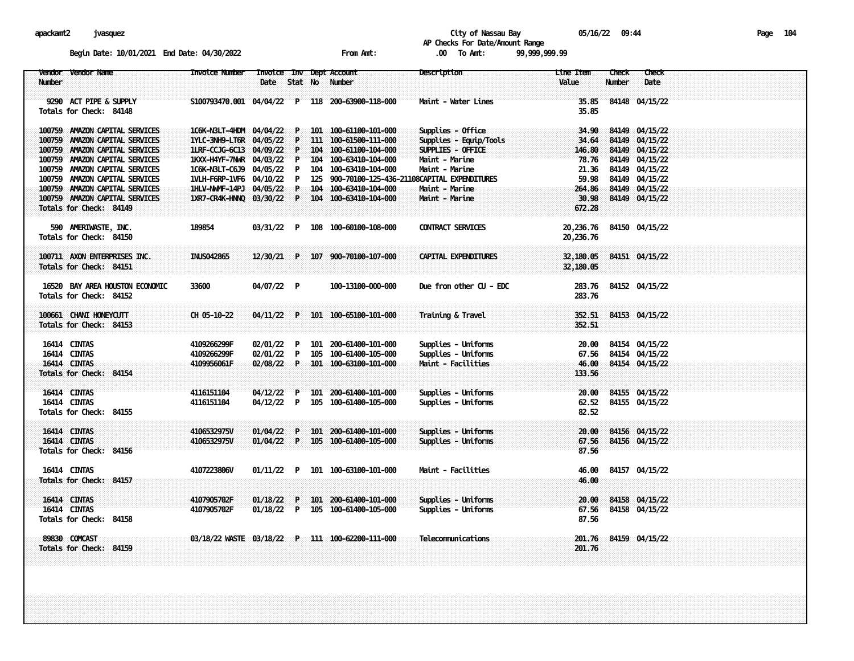$\mathbf{E}$ 

**Totals for Check: 84158 87.56**

**apackamt2 jvasquez City of Nassau Bay 05/16/22 09:44 Page 104 AP Checks For Date/Amount Range**

Begin Date: 10/01/2021 End Date: 04/30/2022 <br>From Amt:

| <b>Number</b>                                                          |                   |              |  | Date Stat No Number                                               |                                                                                                                                                       | Value                      | <b>Number</b> | Date                  |  |
|------------------------------------------------------------------------|-------------------|--------------|--|-------------------------------------------------------------------|-------------------------------------------------------------------------------------------------------------------------------------------------------|----------------------------|---------------|-----------------------|--|
| 9290 ACT PIPE & SUPPLY STO0793470.001 04/04/22 P 118 200-63900-118-000 |                   |              |  |                                                                   | Maint - Water Lines                                                                                                                                   |                            |               | 35.85 84148 04/15/22  |  |
| Totals for Check: 84148                                                |                   |              |  |                                                                   |                                                                                                                                                       | 35.85                      |               |                       |  |
| 100759 AMAZON CAPITAL SERVICES                                         |                   |              |  | $100-61100-101-000$ $04/04/22$ P $101-100-61100-101-000$          | 94149 04/15/22 Supplies - Office 34.90 34.90 34149 04/15/22<br>Supplies - Equip/Tools 34.64 34149 04/15/22<br>SUPPLIES - OFFICE 146.80 84149 04/15/22 |                            |               |                       |  |
| 100759 AMAZON CAPITAL SERVICES                                         |                   |              |  | 1YLC-3NH9-LT6R 04/05/22 P 111 100-61500-111-000                   |                                                                                                                                                       |                            |               |                       |  |
| 100759 AMAZON CAPITAL SERVICES                                         |                   |              |  | 1LRF-CCJG-6C13 04/09/22 P 104 100-61100-104-000                   |                                                                                                                                                       |                            |               |                       |  |
| 100759 AMAZON CAPITAL SERVICES                                         |                   |              |  | 1KXX-H4YF-7NWR 04/03/22 P 104 100-63410-104-000                   | Maint - Marine                                                                                                                                        | 78.76 84149 04/15/22       |               |                       |  |
| 100759 AMAZON CAPITAL SERVICES                                         |                   |              |  | 1C6K-N3LT-C6J9 04/05/22 P 104 100-63410-104-000                   | Maint - Marine                                                                                                                                        |                            |               | 21.36 84149 04/15/22  |  |
| 100759 AMAZON CAPITAL SERVICES                                         |                   |              |  |                                                                   | 1C6K-N3LT-C6J9 04/05/22 P 104 100-63410-104-000 Maint - Marine<br>1VLH-F6RP-1VF6 04/10/22 P 125 900-70100-125-436-21108CAPITAL EXPENDITURES           |                            |               | 59.98 84149 04/15/22  |  |
| 100759 AMAZON CAPITAL SERVICES                                         |                   |              |  | $104-104-000$ $14P$ $14P$ $104/05/22$ $P = 104-100-63410-104-000$ | Maint - Marine                                                                                                                                        | 264.86                     |               | 84149 04/15/22        |  |
| 100759 AMAZON CAPITAL SERVICES                                         |                   |              |  | 1XR7-CR4K-HNNQ 03/30/22 P 104 100-63410-104-000                   | Maint - Marine                                                                                                                                        | 30.98                      |               | 84149 04/15/22        |  |
| Totals for Check: 84149                                                |                   |              |  |                                                                   |                                                                                                                                                       | 672.28                     |               |                       |  |
| 590 AMERIWASTE, INC.                                                   | 189854            |              |  | 03/31/22 P 108 100-60100-108-000                                  | <b>CONTRACT SERVICES</b>                                                                                                                              | 20,236.76 84150 04/15/22   |               |                       |  |
| Totals for Check: 84150                                                |                   |              |  |                                                                   |                                                                                                                                                       | 20,236.76                  |               |                       |  |
|                                                                        |                   |              |  |                                                                   |                                                                                                                                                       |                            |               |                       |  |
| 100711 AXON ENTERPRISES INC.                                           | <b>INUS042865</b> |              |  | 12/30/21 P 107 900-70100-107-000                                  | <b>CAPITAL EXPENDITURES</b>                                                                                                                           | 32,180.05 84151 04/15/22   |               |                       |  |
| Totals for Check: 84151                                                |                   |              |  |                                                                   |                                                                                                                                                       | 32,180.05                  |               |                       |  |
| 16520 BAY AREA HOUSTON ECONOMIC                                        | 33600             | 04/07/22 P   |  | 100-13100-000-000                                                 | Due from other CU - EDC                                                                                                                               |                            |               | 283.76 84152 04/15/22 |  |
| Totals for Check: 84152                                                |                   |              |  |                                                                   |                                                                                                                                                       | 283.76                     |               |                       |  |
| 100661 CHANI HONEYCUTT                                                 | CH 05-10-22       |              |  | 04/11/22 P 101 100-65100-101-000                                  | Training & Travel                                                                                                                                     |                            |               | 352.51 84153 04/15/22 |  |
| Totals for Check: 84153                                                |                   |              |  |                                                                   |                                                                                                                                                       | 352.51                     |               |                       |  |
|                                                                        |                   |              |  |                                                                   |                                                                                                                                                       |                            |               |                       |  |
| 16414 CINTAS                                                           | 4109266299F       |              |  | 02/01/22 P 101 200-61400-101-000                                  | Supplies - Uniforms                                                                                                                                   |                            |               | 20.00 84154 04/15/22  |  |
| 16414 CINTAS                                                           | 4109266299F       |              |  | 02/01/22 P 105 100-61400-105-000                                  | Supplies - Uniforms                                                                                                                                   |                            |               | 67.56 84154 04/15/22  |  |
| 16414 CINTAS                                                           | 4109956061F       |              |  | 02/08/22 P 101 100-63100-101-000                                  | Maint - Facilities                                                                                                                                    | $46.00 - 84154 - 04/15/22$ |               |                       |  |
| Totals for Check: 84154                                                |                   |              |  |                                                                   |                                                                                                                                                       | 133.56                     |               |                       |  |
| <b>16414 CINTAS</b>                                                    | 4116151104        |              |  | 04/12/22 P 101 200-61400-101-000                                  | <b>Supplies - Uniforms</b>                                                                                                                            |                            |               | 20.00 84155 04/15/22  |  |
| 16414 CINTAS                                                           | 4116151104        |              |  | 04/12/22 P 105 100-61400-105-000                                  | Supplies - Uniforms                                                                                                                                   |                            |               | 62.52 84155 04/15/22  |  |
| Totals for Check: 84155                                                |                   |              |  |                                                                   |                                                                                                                                                       | 82.52                      |               |                       |  |
|                                                                        |                   |              |  |                                                                   |                                                                                                                                                       |                            |               |                       |  |
| 16414 CINTAS                                                           | 4106532975V       |              |  | 01/04/22 P 101 200-61400-101-000                                  | Supplies - Uniforms                                                                                                                                   |                            |               | 20.00 84156 04/15/22  |  |
| <b>16414 CINTAS</b>                                                    | 4106532975V       |              |  | 01/04/22 P 105 100-61400-105-000                                  | Supplies - Uniforms                                                                                                                                   |                            |               | 67.56 84156 04/15/22  |  |
| Totals for Check: 84156                                                |                   |              |  |                                                                   |                                                                                                                                                       | 87.56                      |               |                       |  |
| 16414 CINTAS                                                           | 4107223806V       |              |  | 01/11/22 P 101 100-63100-101-000                                  | Maint - Facilities                                                                                                                                    | 46.00                      |               | 84157 04/15/22        |  |
| Totals for Check: 84157                                                |                   |              |  |                                                                   |                                                                                                                                                       | 46.00                      |               |                       |  |
| <b>16414 CINTAS</b>                                                    | 4107905702F       |              |  | 01/18/22 P 101 200-61400-101-000                                  |                                                                                                                                                       |                            |               | 20.00 84158 04/15/22  |  |
| 16414 CINTAS                                                           | 4107905702F       | $01/18/22$ P |  | 105 100-61400-105-000                                             | Supplies - Uniforms                                                                                                                                   |                            |               | 67.56 84158 04/15/22  |  |
|                                                                        |                   |              |  |                                                                   | Supplies - Uniforms                                                                                                                                   |                            |               |                       |  |

01/18/22 P 105 100-61400-105-000 Supplies - Uniforms 67.56 67.56

89830 COMCAST 03/18/22 MASTE 03/18/22 PMASTE 03/18/22 PMASTE 03/18/22 PMASTE 03/18/22 PMASTE 03/18/22 PMAGE 03/18/22 PMAGE 03/18/22 PMAGE 040-62200-111-000 Telecommunications 201.76 201.76 201.76 201.76

**Totals for Check: 84159 201.76**

diendorm Vendorm Venemmen man der Antionen und der Antionen und der Account des Schaften der Account der Account der Account der Account der Account der Account de State der Account der Account der Account de State de Acco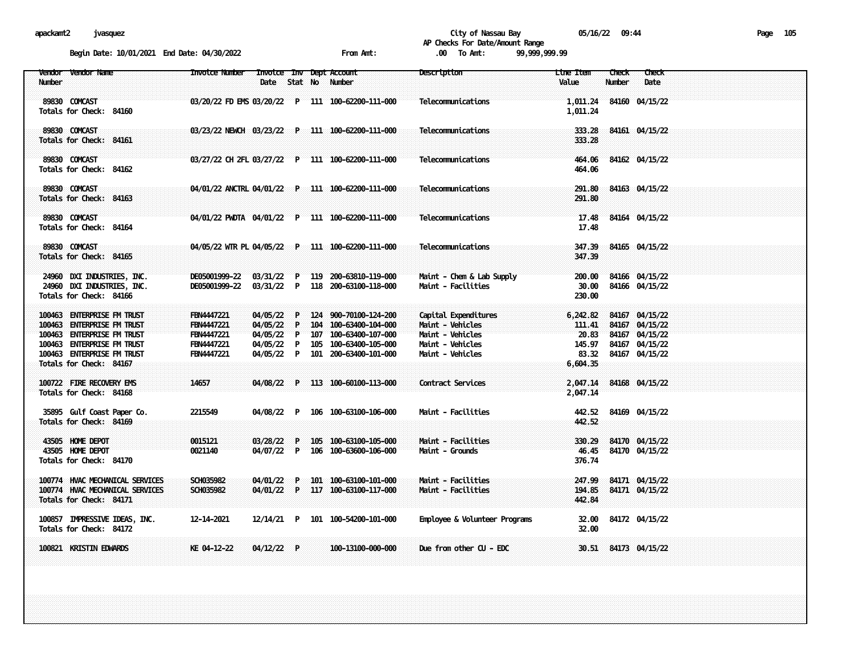**apackamt2 jvasquez City of Nassau Bay 05/16/22 09:44 Page 105 AP Checks For Date/Amount Range**

| <del>Vendor Vendor Name</del>                                      | Invoice Number Invoice Inv Dept Account                          |                      |                                                | Description                              | ithe Item<br><b>Theck</b>          | <b>Check</b>                     |  |
|--------------------------------------------------------------------|------------------------------------------------------------------|----------------------|------------------------------------------------|------------------------------------------|------------------------------------|----------------------------------|--|
| <b>Number</b><br>89830 COMCAST                                     | 03/20/22 FD EMS 03/20/22 P 111 100-62200-111-000                 | Date Stat No Number  |                                                | <b>Telecommunications</b>                | Value<br><b>Number</b><br>1,011.24 | Date<br>84160 04/15/22           |  |
| Totals for Check: 84160                                            |                                                                  |                      |                                                |                                          | 1,011.24                           |                                  |  |
| 89830 COMCAST<br>Totals for Check: 84161                           | 03/23/22 NEWCH 03/23/22 P 111 100-62200-111-000                  |                      |                                                | Telecommunications                       | 333.28<br>333.28                   | 84161 04/15/22                   |  |
| 89830 COMCAST                                                      | 03/27/22 CH 2FL 03/27/22 P 111 100-62200-111-000                 |                      |                                                | <b>Telecomunications</b>                 | 464.06                             | 84162 04/15/22                   |  |
| Totals for Check: 84162                                            |                                                                  |                      |                                                |                                          | 464.06                             |                                  |  |
| 89830 COMCAST<br>Totals for Check: 84163                           | 04/01/22 ANCTRL 04/01/22 P 111 100-62200-111-000                 |                      |                                                | Telecommunications                       | 291.80<br>291.80                   | 84163 04/15/22                   |  |
| 89830 COMCAST                                                      | 04/01/22 PWDTA 04/01/22 P 111 100-62200-111-000                  |                      |                                                | Telecommunications                       | 17.48                              | 84164 04/15/22                   |  |
| Totals for Check: 84164                                            |                                                                  |                      |                                                |                                          | 17.48                              |                                  |  |
| 89830 COMCAST<br>Totals for Check: 84165                           | 04/05/22 WTR PL 04/05/22 P 111 100-62200-111-000                 |                      |                                                | Telecommunications                       | 347.39<br>347.39                   | 84165 04/15/22                   |  |
| 24960 DXI INDUSTRIES, INC.                                         | DE05001999-22                                                    | $03/31/22$ P         | 119 200-63810-119-000                          | Maint - Chem & Lab Supply                | 200.00                             | 84166 04/15/22                   |  |
| 24960 DXI INDUSTRIES, INC.<br>Totals for Check: 84166              | DE05001999-22                                                    | 03/31/22 P           | 118 200-63100-118-000                          | Maint - Facilities                       | 30.00<br>230.00                    | 84166 04/15/22                   |  |
| 100463 ENTERPRISE FM TRUST<br>100463 ENTERPRISE FM TRUST           | <b>FBN4447221</b><br>04/05/22 P<br><b>FBN4447221</b><br>04/05/22 | $\mathbf{P}$         | 124 900-70100-124-200<br>104 100-63400-104-000 | Capital Expenditures<br>Maint - Vehicles | 6,242.82<br>111.41                 | 84167 04/15/22<br>84167 04/15/22 |  |
| 100463 ENTERPRISE FM TRUST<br>100463 ENTERPRISE FM TRUST           | <b>FBN4447221</b><br>04/05/22<br><b>FBN4447221</b><br>04/05/22   | ‴ P`<br>$\mathsf{P}$ | 107 100-63400-107-000<br>105 100-63400-105-000 | Maint - Vehicles<br>Maint - Vehicles     | 20.83<br>145.97                    | 84167 04/15/22<br>84167 04/15/22 |  |
| 100463 ENTERPRISE FM TRUST<br>Totals for Check: 84167              | 04/05/22 P<br><b>FBN4447221</b>                                  |                      | 101 200-63400-101-000                          | Maint - Vehicles                         | 83.32<br>6,604.35                  | 84167 04/15/22                   |  |
| 100722 FIRE RECOVERY EMS                                           | 14657<br>04/08/22 P                                              |                      | 113 100-60100-113-000                          | Contract Services                        | 2,047.14                           | 84168 04/15/22                   |  |
| Totals for Check: 84168                                            |                                                                  |                      |                                                |                                          | 2,047.14                           |                                  |  |
| 35895 Gulf Coast Paper Co.<br>Totals for Check: 84169              | 2215549<br>04/08/22                                              | $\mathsf{P}$         | 106 100-63100-106-000                          | Maint - Facilities                       | 442.52<br>442.52                   | 84169 04/15/22                   |  |
| 43505 HOME DEPOT                                                   | 0015121<br>03/28/22                                              | ∷ P                  | 105 100-63100-105-000                          | Maint - Facilities                       | 330.29                             | 84170 04/15/22                   |  |
| 43505 HOME DEPOT<br>Totals for Check: 84170                        | 0021140                                                          | 04/07/22 P           | 106 100-63600-106-000                          | Maint - Grounds                          | 46.45<br>376.74                    | 84170 04/15/22                   |  |
| 100774 HVAC MECHANICAL SERVICES<br>100774 HVAC MECHANICAL SERVICES | <b>SCH035982</b><br>04/01/22 P<br><b>SCH035982</b><br>04/01/22 P |                      | 101 100-63100-101-000<br>117 100-63100-117-000 | Maint - Facilities<br>Maint - Facilities | 247.99<br>194.85                   | 84171 04/15/22<br>84171 04/15/22 |  |
| Totals for Check: 84171                                            |                                                                  |                      |                                                |                                          | 442.84                             |                                  |  |
| 100857 IMPRESSIVE IDEAS, INC.<br>Totals for Check: 84172           | 12-14-2021<br>$12/14/21$ P                                       |                      | 101 100-54200-101-000                          | Employee & Volunteer Programs            | 32.00<br>32.00                     | 84172 04/15/22                   |  |
| 100821 KRISTIN EDWARDS                                             | KE 04-12-22<br>04/12/22 P                                        |                      | 100-13100-000-000                              | Due from other $CU - EDC$                | 30.51 84173 04/15/22               |                                  |  |
|                                                                    |                                                                  |                      |                                                |                                          |                                    |                                  |  |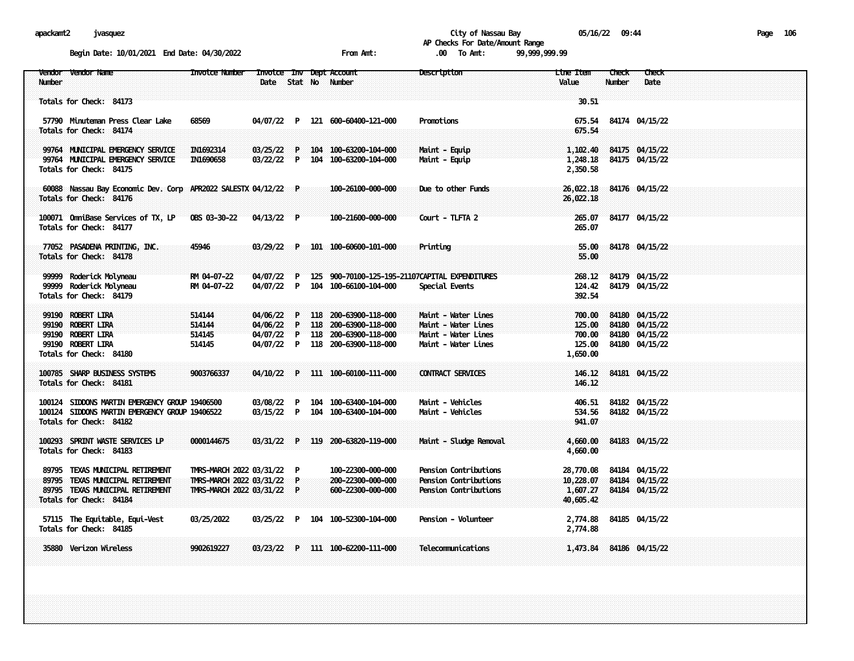**apackamt2 jvasquez City of Nassau Bay 05/16/22 09:44 Page 106 AP Checks For Date/Amount Range**

|        | Begin Date: 10/01/2021 End Date: 04/30/2022                                     |                                                |              |  | From Amt:                                                  | .00 To Amt:                  | 99, 999, 999. 99                 |                        |                         |  |
|--------|---------------------------------------------------------------------------------|------------------------------------------------|--------------|--|------------------------------------------------------------|------------------------------|----------------------------------|------------------------|-------------------------|--|
| Number | Vendor Vendor Name                                                              | <b>Invotce Number Invotce Inv Dept Account</b> |              |  | Date Stat No Number                                        | <b>Example Description</b>   | ttne Item<br>Value               | Check<br><b>Number</b> | Check<br>Date           |  |
|        | Totals for Check: 84173                                                         |                                                |              |  |                                                            |                              | 30.51                            |                        |                         |  |
|        | 57790 Minuteman Press Clear Lake                                                | 68569                                          |              |  | 04/07/22 P 121 600-60400-121-000                           | <b>Promotions</b>            | 675.54                           |                        | 84174 04/15/22          |  |
|        | Totals for Check: 84174                                                         |                                                |              |  |                                                            |                              | 675.54                           |                        |                         |  |
|        | 99764 MUNICIPAL EMERGENCY SERVICE                                               | IN1692314                                      |              |  | 03/25/22 P 104 100-63200-104-000                           | Maint - Equip                | 1,102.40                         |                        | 84175 04/15/22          |  |
|        | 99764 MUNICIPAL EMERGENCY SERVICE<br>Totals for Check: 84175                    | <b>IN1690658</b>                               |              |  | 03/22/22 P 104 100-63200-104-000                           | Maint - Equip                | 1,248.18<br>2,350.58             |                        | 84175 04/15/22          |  |
|        | 60088 Nassau Bay Economic Dev. Corp APR2022 SALESTX 04/12/22 P                  |                                                |              |  | 100-26100-000-000                                          | Due to other Funds           | 26,022.18                        |                        | 84176 04/15/22          |  |
|        | Totals for Check: 84176                                                         |                                                |              |  |                                                            |                              | 26,022.18                        |                        |                         |  |
|        | 100071  OmniBase Services of TX, LP     0BS 03-30-22<br>Totals for Check: 84177 |                                                | $04/13/22$ P |  | 100-21600-000-000                                          | Court - TLFTA 2              | 265.07<br>265.07                 |                        | 84177 04/15/22          |  |
|        | 77052 PASADENA PRINTING, INC.<br>Totals for Check: 84178                        | 45946                                          |              |  | 03/29/22 P 101 100-60600-101-000                           | Printing                     | na ana amanana<br>55.00<br>55.00 |                        | 84178 04/15/22          |  |
|        |                                                                                 |                                                |              |  |                                                            |                              |                                  |                        |                         |  |
|        | 99999 Roderick Molyneau                                                         | RM 04-07-22                                    |              |  | 04/07/22 P 125 900-70100-125-195-21107CAPITAL EXPENDITURES |                              | 268.12                           |                        | 84179 04/15/22          |  |
|        | 99999 Roderick Molyneau<br>Totals for Check: 84179                              | RM 04-07-22                                    |              |  | 04/07/22 P 104 100-66100-104-000                           | Special Events               | 124.42<br>392.54                 |                        | 84179 04/15/22          |  |
|        | 99190 ROBERT LIRA                                                               | 514144                                         |              |  | 04/06/22 P 118 200-63900-118-000                           | Maint - Water Lines          | 700.00                           |                        | 84180 04/15/22          |  |
|        | 99190 ROBERT LIRA                                                               | 514144                                         |              |  | 04/06/22 P 118 200-63900-118-000                           | Maint - Water Lines          | 125.00                           |                        | 84180 04/15/22          |  |
|        | 99190 ROBERT LIRA                                                               | 514145                                         |              |  | 04/07/22 P 118 200-63900-118-000                           | Maint - Water Lines          | 700.00                           |                        | 84180 04/15/22          |  |
|        | 99190 ROBERT LIRA<br>Totals for Check: 84180                                    | 514145                                         |              |  | 04/07/22 P 118 200-63900-118-000                           | Maint - Water Lines          | 125.00<br>1,650.00               |                        | 84180 04/15/22          |  |
|        | 100785 SHARP BUSINESS SYSTEMS                                                   | 9003766337                                     |              |  | 04/10/22 P 111 100-60100-111-000                           | <b>CONTRACT SERVICES</b>     | 146.12                           |                        | 84181 04/15/22          |  |
|        | Totals for Check: 84181                                                         |                                                |              |  |                                                            |                              | 146.12                           |                        |                         |  |
|        | 100124 SIDDONS MARTIN EMERGENCY GROUP 19406500                                  |                                                | 03/08/22 P   |  | 104 100-63400-104-000                                      | Maint - Vehicles             | 406.51                           |                        | 84182 04/15/22          |  |
|        | 100124 SIDDONS MARTIN EMERGENCY GROUP 19406522                                  |                                                |              |  | 03/15/22 P 104 100-63400-104-000                           | Maint - Vehicles             | 534.56                           |                        | 84182 04/15/22          |  |
|        | Totals for Check: 84182                                                         |                                                |              |  |                                                            |                              | 941.07                           |                        |                         |  |
|        | 100293 SPRINT WASTE SERVICES LP<br>Totals for Check: 84183                      | 0000144675                                     |              |  | 03/31/22 P 119 200-63820-119-000                           | Maint - Sludge Removal       | 4,660.00<br>4,660.00             |                        | 84183 04/15/22          |  |
|        | 89795 TEXAS MUNICIPAL RETIREMENT                                                | TMRS-MARCH 2022 03/31/22 P                     |              |  | 100-22300-000-000                                          | <b>Pension Contributions</b> | 28,770.08                        |                        | 84184 04/15/22          |  |
|        | 89795 TEXAS MUNICIPAL RETIREMENT                                                | TMRS-MARCH 2022 03/31/22 P                     |              |  | 200-22300-000-000                                          | <b>Pension Contributions</b> | 10,228.07                        |                        | 84184 04/15/22          |  |
|        | 89795 TEXAS MUNICIPAL RETIREMENT<br><b>Totals for Check: 84184</b>              | TMRS-MARCH 2022 03/31/22 P                     |              |  | 600-22300-000-000                                          | <b>Pension Contributions</b> | 1,607.27<br>40,605.42            |                        | 84184 04/15/22          |  |
|        | 57115 The Equitable, Equi-Vest                                                  | 03/25/2022                                     | $03/25/22$ P |  | 104 100-52300-104-000                                      | Pension - Volunteer          | 2,774.88                         |                        | 84185 04/15/22          |  |
|        | Totals for Check: 84185                                                         |                                                |              |  |                                                            |                              | 2,774.88                         |                        |                         |  |
|        | 35880 Verizon Wireless                                                          | 9902619227                                     |              |  | 03/23/22 P 111 100-62200-111-000                           | Telecommunications           |                                  |                        | 1,473.84 84186 04/15/22 |  |
|        |                                                                                 |                                                |              |  |                                                            |                              |                                  |                        |                         |  |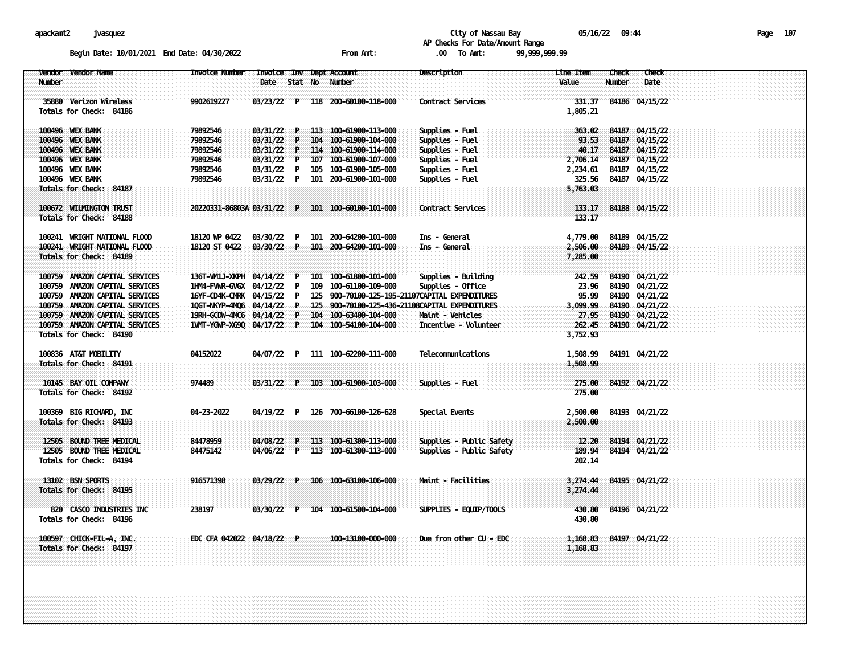**apackamt2 jvasquez City of Nassau Bay 05/16/22 09:44 Page 107 AP Checks For Date/Amount Range**

Begin Date: 10/01/2021 End Date: 04/30/2022 From Amt:

|  | From An |
|--|---------|
|  |         |

|               | vendor vendor Name             | <b>LINOLCE NUMBER</b>     |              |              | <b>Invotce Inv Dept Account</b>                                           | <b>Description</b>       | <b>Etne Item</b> | <b>UTECK</b>  | <b>UTECK</b>   |  |  |
|---------------|--------------------------------|---------------------------|--------------|--------------|---------------------------------------------------------------------------|--------------------------|------------------|---------------|----------------|--|--|
| <b>Number</b> |                                |                           |              |              | Date Stat No Number                                                       |                          | <b>Value</b>     | <b>Number</b> | Date           |  |  |
|               | 35880 Vertzon Wireless         | 9902619227                |              |              | 03/23/22 P 118 200-60100-118-000                                          | Contract Services        | 331.37           |               | 84186 04/15/22 |  |  |
|               | Totals for Check: 84186        |                           |              |              |                                                                           |                          | 1,805.21         |               |                |  |  |
|               |                                |                           |              |              |                                                                           |                          |                  |               |                |  |  |
|               | 100496 WEX BANK                | 79892546                  | $03/31/22$ P |              | $113 - 100 - 61900 - 113 - 000$                                           | Supplies - Fuel          | 363.02           |               | 84187 04/15/22 |  |  |
|               | 100496 WEX BANK                | 79892546                  | 03/31/22 P   |              | 104 100-61900-104-000                                                     | Supplies - Fuel          | 93.53            |               | 84187 04/15/22 |  |  |
|               | <b>100496 WEX BANK</b>         | 79892546                  |              |              | 03/31/22 P 114 100-61900-114-000                                          | Supplies - Fuel          | 40.17            |               | 84187 04/15/22 |  |  |
|               | <b>100496 WEX BANK</b>         | 79892546                  |              |              | 03/31/22 P 107 100-61900-107-000                                          | Supplies - Fuel          | 2,706.14         |               | 84187 04/15/22 |  |  |
|               | <b>100496 WEX BANK</b>         | 79892546                  | $03/31/22$ P |              | 105 100-61900-105-000                                                     | Supplies - Fuel          | 2,234.61         |               | 84187 04/15/22 |  |  |
|               | <b>100496 WEX BANK</b>         | 79892546                  | 03/31/22 P   |              | 101 200-61900-101-000                                                     | Supplies - Fuel          | 325.56           |               | 84187 04/15/22 |  |  |
|               | Totals for Check: 84187        |                           |              |              |                                                                           |                          | 5,763.03         |               |                |  |  |
|               | 100672 WILMINGTON TRUST        |                           |              |              | 20220331-86803A 03/31/22 P 101 100-60100-101-000                          | Contract Services        | 133.17           |               | 84188 04/15/22 |  |  |
|               | Totals for Check: 84188        |                           |              |              |                                                                           |                          | 133.17           |               |                |  |  |
|               |                                |                           |              |              |                                                                           |                          |                  |               |                |  |  |
|               | 100241 WRIGHT NATIONAL FLOOD   | 18120 WP 0422             | 03/30/22     | $\mathsf{P}$ | 101 200-64200-101-000                                                     | Ins - General            | 4,779.00         |               | 84189 04/15/22 |  |  |
|               | 100241 WRIGHT NATIONAL FLOOD   | 18120 ST 0422 03/30/22 P  |              |              | $101 - 200 - 64200 - 101 - 000$                                           | Ins - General            | 2,506.00         |               | 84189 04/15/22 |  |  |
|               | Totals for Check: 84189        |                           |              |              |                                                                           |                          | 7,285.00         |               |                |  |  |
|               |                                |                           |              |              |                                                                           |                          |                  |               |                |  |  |
|               | 100759 AMAZON CAPITAL SERVICES | 136T-W11J-XKPH 04/14/22 P |              |              | 101 100-61800-101-000                                                     | Supplies - Building      | 242.59           |               | 84190 04/21/22 |  |  |
|               | 100759 AMAZON CAPITAL SERVICES | 1HM4-FWR-GVGX 04/12/22 P  |              |              | 109 100-61100-109-000                                                     | Supplies - Office        | 23.96            |               | 84190 04/21/22 |  |  |
|               | 100759 AMAZON CAPITAL SERVICES | 16YF-CD4K-CMRK 04/15/22 P |              |              | 125 900-70100-125-195-21107CAPITAL EXPENDITURES                           |                          | 95.99            |               | 84190 04/21/22 |  |  |
|               | 100759 AMAZON CAPITAL SERVICES |                           |              |              | 10GT-NKYP-4M06 04/14/22 P 125 000-70100-125-436-21108CAPITAL EXPENDITURES |                          | 3,099.99         |               | 84190 04/21/22 |  |  |
|               | 100759 AMAZON CAPITAL SERVICES | 19RH-GCDW-4MC6 04/14/22 P |              |              | 104 100-63400-104-000                                                     | Maint - Vehicles         | 27.95            |               | 84190 04/21/22 |  |  |
|               | 100759 AMAZON CAPITAL SERVICES |                           |              |              | 1WIT-YGWP-XG90 04/17/22 P 104 100-54100-104-000                           | Incentive - Volunteer    | 262.45           |               | 84190 04/21/22 |  |  |
|               | Totals for Check: 84190        |                           |              |              |                                                                           |                          | 3,752.93         |               |                |  |  |
|               | 100836 AT&T MOBILITY           | 04152022                  |              |              | 04/07/22 P 111 100-62200-111-000                                          | <b>Telecomunications</b> | 1,508.99         |               | 84191 04/21/22 |  |  |
|               | Totals for Check: 84191        |                           |              |              |                                                                           |                          | 1,508.99         |               |                |  |  |
|               |                                |                           |              |              |                                                                           |                          |                  |               |                |  |  |
|               | 10145 BAY OIL COMPANY          | 974489                    |              |              | 03/31/22 P 103 100-61900-103-000                                          | Supplies - Fuel          | 275.00           |               | 84192 04/21/22 |  |  |
|               | Totals for Check: 84192        |                           |              |              |                                                                           |                          | 275.00           |               |                |  |  |
|               |                                |                           |              |              |                                                                           |                          |                  |               |                |  |  |
|               | 100369 BIG RICHARD, INC        | 04-23-2022                | 04/19/22 P   |              | 126 700-66100-126-628                                                     | Special Events           | 2,500.00         |               | 84193 04/21/22 |  |  |
|               | Totals for Check: 84193        |                           |              |              |                                                                           |                          | 2,500.00         |               |                |  |  |
|               | 12505 BOUND TREE MEDICAL       | 84478959                  | 04/08/22     | ு            | 113 100-61300-113-000                                                     | Supplies - Public Safety | 12.20            |               | 84194 04/21/22 |  |  |
|               | 12505 BOUND TREE MEDICAL       | 84475142                  |              |              | 04/06/22 P 113 100-61300-113-000                                          | Supplies - Public Safety | 189.94           |               | 84194 04/21/22 |  |  |
|               | Totals for Check: 84194        |                           |              |              |                                                                           |                          | 202.14           |               |                |  |  |
|               |                                |                           |              |              |                                                                           |                          |                  |               |                |  |  |
|               | 13102 BSN SPORTS               | 916571398                 |              |              | 03/29/22 P 106 100-63100-106-000                                          | Maint - Facilities       | 3,274.44         |               | 84195 04/21/22 |  |  |
|               | Totals for Check: 84195        |                           |              |              |                                                                           |                          | 3,274.44         |               |                |  |  |
|               |                                |                           |              |              |                                                                           |                          |                  |               |                |  |  |
|               | 820 CASCO INDUSTRIES INC       | 238197                    |              |              | 03/30/22 P 104 100-61500-104-000                                          | SUPPLIES - EQUIP/TOOLS   | 430.80           |               | 84196 04/21/22 |  |  |
|               | Totals for Check: 84196        |                           |              |              |                                                                           |                          | 430.80           |               |                |  |  |
|               | 100597 CHICK-FIL-A, INC.       | EDC CFA 042022 04/18/22 P |              |              | $100 - 13100 - 000 - 000$                                                 | Due from other CU - EDC  | 1,168.83         |               | 84197 04/21/22 |  |  |
|               | Totals for Check: 84197        |                           |              |              |                                                                           |                          | 1,168.83         |               |                |  |  |
|               |                                |                           |              |              |                                                                           |                          |                  |               |                |  |  |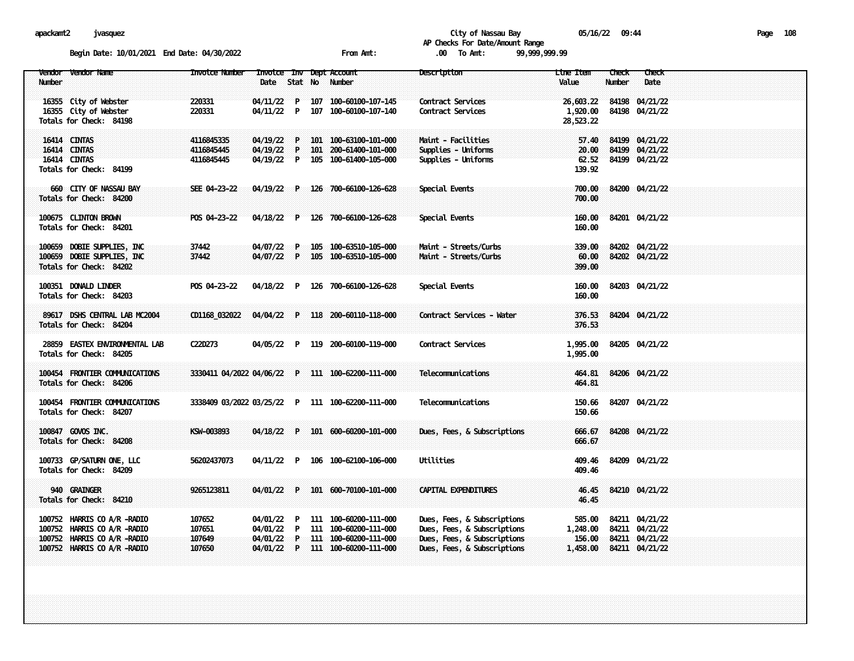**apackamt2 jvasquez City of Nassau Bay 05/16/22 09:44 Page 108 AP Checks For Date/Amount Range**

| Begin Date: 10/01/2021            | End Date: 04/30/2022       | From Amt:                       | $.00\,$<br>To Amt: | 99,999,999.99  |                              |
|-----------------------------------|----------------------------|---------------------------------|--------------------|----------------|------------------------------|
|                                   |                            |                                 |                    |                |                              |
| <b>Vencor</b><br>- vendor i Name. | <b>ELIVOLOSENUM DEL AL</b> | <b>LINOLCE LIN DEPL ACCOUNT</b> | EU-KONTORTON       | <b>EUCHACH</b> | <b>TURCK</b><br><b>THECK</b> |

| <b>Number</b>                                                                                                            |                                        |  | Date Stat No Number                                                                                                                          |                                                                                                                          | Value                                    | <b>Number</b> | Date                                                                 |  |  |  |
|--------------------------------------------------------------------------------------------------------------------------|----------------------------------------|--|----------------------------------------------------------------------------------------------------------------------------------------------|--------------------------------------------------------------------------------------------------------------------------|------------------------------------------|---------------|----------------------------------------------------------------------|--|--|--|
| 16355 City of Webster<br>16355 City of Webster<br>Totals for Check: 84198                                                | 220331<br>220331                       |  | 04/11/22 P 107 100-60100-107-145<br>04/11/22 P 107 100-60100-107-140                                                                         | Contract Services<br>Contract Services                                                                                   | 26,603.22<br>1,920.00<br>28,523.22       |               | 84198 04/21/22<br>84198 04/21/22                                     |  |  |  |
| 16414 CINTAS<br>16414 CINTAS<br>16414 CINTAS<br>Totals for Check: 84199                                                  | 4116845335<br>4116845445<br>4116845445 |  | 04/19/22 P 101 100-63100-101-000<br>04/19/22 P 101 200-61400-101-000<br>04/19/22 P 105 100-61400-105-000                                     | Maint - Facilities<br>Supplies - Uniforms<br>Supplies - Uniforms                                                         | 57,40<br>20.00<br>62.52<br>139.92        |               | 84199 04/21/22<br>84199 04/21/22<br>84199 04/21/22                   |  |  |  |
| <b>660 CITY OF NASSAU BAY</b><br>Totals for Check: 84200                                                                 | SEE 04-23-22                           |  | 04/19/22 P 126 700-66100-126-628                                                                                                             | Special Events                                                                                                           | 700.00<br>700.00                         |               | 84200 04/21/22                                                       |  |  |  |
| 100675 CLINTON BROWN<br>Totals for Check: 84201                                                                          | POS 04-23-22                           |  | 04/18/22 P 126 700-66100-126-628                                                                                                             | Special Events                                                                                                           | 160.00<br>160.00                         |               | 84201 04/21/22                                                       |  |  |  |
| 100659 DOBIE SUPPLIES, INC<br>100659 DOBIE SUPPLIES, INC<br>Totals for Check: 84202                                      | 37442<br>37442                         |  | 04/07/22 P 105 100-63510-105-000<br>04/07/22 P 105 100-63510-105-000                                                                         | Maint - Streets/Curbs<br>Maint - Streets/Curbs                                                                           | 339.00<br>60.00<br>399.00                |               | 84202 04/21/22<br>84202 04/21/22                                     |  |  |  |
| 100351 DONALD LINDER<br>Totals for Check: 84203                                                                          | POS 04-23-22                           |  | 04/18/22 P 126 700-66100-126-628                                                                                                             | Special Events                                                                                                           | 160.00<br>160.00                         |               | 84203 04/21/22                                                       |  |  |  |
| 89617 DSHS CENTRAL LAB MC2004<br>Totals for Check: 84204                                                                 | CD1168 032022                          |  | 04/04/22 P 118 200-60110-118-000                                                                                                             | Contract Services - Water                                                                                                | 376.53<br>376.53                         |               | 84204 04/21/22                                                       |  |  |  |
| 28859 EASTEX ENVIRONMENTAL LAB<br>Totals for Check: 84205                                                                | C22D273                                |  | 04/05/22 P 119 200-60100-119-000                                                                                                             | Contract Services                                                                                                        | 1,995.00<br>1,995.00                     |               | 84205 04/21/22                                                       |  |  |  |
| 100454 FRONTIER COMMUNICATIONS<br>Totals for Check: 84206                                                                |                                        |  | 3330411 04/2022 04/06/22 P 111 100-62200-111-000                                                                                             | <b>Telecomunications</b>                                                                                                 | 464.81<br>464.81                         |               | 84206 04/21/22                                                       |  |  |  |
| 100454 FRONTIER COMMUNICATIONS<br>Totals for Check: 84207                                                                |                                        |  | 3338409 03/2022 03/25/22 P 111 100-62200-111-000                                                                                             | <b>Telecommunications</b>                                                                                                | 150.66<br>150.66                         |               | 84207 04/21/22                                                       |  |  |  |
| 100847 GOVOS INC.<br>Totals for Check: 84208                                                                             | <b>KSW-003893</b>                      |  | 04/18/22 P 101 600-60200-101-000                                                                                                             | Dues, Fees, & Subscriptions                                                                                              | 666.67<br>666.67                         |               | 84208 04/21/22                                                       |  |  |  |
| 100733 GP/SATURN ONE, LLC<br>Totals for Check: 84209                                                                     | 56202437073                            |  | 04/11/22 P 106 100-62100-106-000                                                                                                             | Utilities                                                                                                                | 409.46<br>409.46                         |               | 84209 04/21/22                                                       |  |  |  |
| 940 GRAINGER<br>Totals for Check: 84210                                                                                  | 9265123811                             |  | 04/01/22 P 101 600-70100-101-000                                                                                                             | <b>CAPITAL EXPENDITURES</b>                                                                                              | 46.45<br>46.45                           |               | 84210 04/21/22                                                       |  |  |  |
| 100752 HARRIS CO A/R -RADIO<br>100752 HARRIS CO A/R -RADIO<br>100752 HARRIS CO A/R -RADIO<br>100752 HARRIS CO A/R -RADIO | 107652<br>107651<br>107649<br>107650   |  | 04/01/22 P 111 100-60200-111-000<br>04/01/22 P 111 100-60200-111-000<br>04/01/22 P 111 100-60200-111-000<br>04/01/22 P 111 100-60200-111-000 | Dues, Fees, & Subscriptions<br>Dues, Fees, & Subscriptions<br>Dues, Fees, & Subscriptions<br>Dues, Fees, & Subscriptions | 585.00<br>1,248.00<br>156.00<br>1,458.00 |               | 84211 04/21/22<br>84211 04/21/22<br>84211 04/21/22<br>84211 04/21/22 |  |  |  |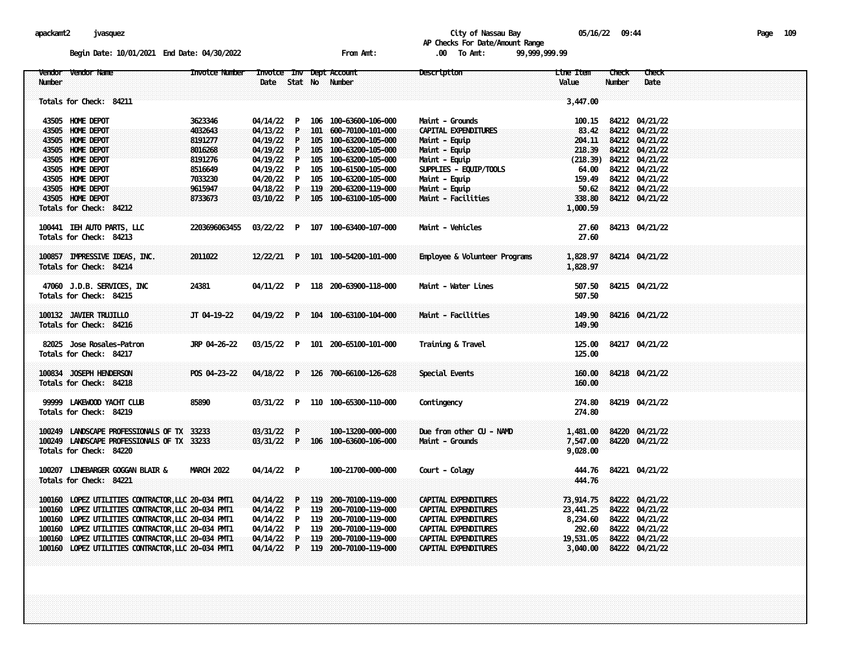**apackamt2 jvasquez City of Nassau Bay 05/16/22 09:44 Page 109 AP Checks For Date/Amount Range Begin Date: 10/01/2021 End Date: 04/30/2022 From Amt: .00 To Amt: 99,999,999.99**

| <b>Number</b> | <del>Vendor Vendor Name</del>                         | Involce Number - Involce Inv Dept Account | Date Stat No Number |              |                                  | <b>Description</b>            | itine Item<br>Value | <b>Check</b><br><b>Number</b> | Check<br>Date           |  |  |
|---------------|-------------------------------------------------------|-------------------------------------------|---------------------|--------------|----------------------------------|-------------------------------|---------------------|-------------------------------|-------------------------|--|--|
|               |                                                       |                                           |                     |              |                                  |                               |                     |                               |                         |  |  |
|               | Totals for Check: 84211                               |                                           |                     |              |                                  |                               | 3,447.00            |                               |                         |  |  |
|               | 43505 HOME DEPOT                                      | 3623346                                   | 04/14/22            | P            | 106 100-63600-106-000            | Maint - Grounds               | 100.15              |                               | 84212 04/21/22          |  |  |
|               | 43505 HOME DEPOT                                      | 4032643                                   | 04/13/22            | -P           | $101 - 600 - 70100 - 101 - 000$  | CAPITAL EXPENDITURES          | 83.42               |                               | 84212 04/21/22          |  |  |
|               | 43505 HOME DEPOT                                      | 8191277                                   | 04/19/22            | $\mathsf{P}$ | 105 100-63200-105-000            | Maint - Equip                 | 204.11              |                               | 84212 04/21/22          |  |  |
|               | 43505 HOME DEPOT                                      | 8016268                                   | 04/19/22            | း ၉.         | 105 100-63200-105-000            | Maint - Equip                 | 218.39              |                               | 84212 04/21/22          |  |  |
|               | 43505 HOME DEPOT                                      | 8191276                                   | 04/19/22            | $\mathsf{P}$ | 105 100-63200-105-000            | Maint - Equip                 |                     |                               | (218.39) 84212 04/21/22 |  |  |
|               | 43505 HOME DEPOT                                      | 8516649                                   | 04/19/22            | P            | 105 100-61500-105-000            | SUPPLIES - EQUIP/TOOLS        | 64.00               |                               | 84212 04/21/22          |  |  |
|               | 43505 HOME DEPOT                                      | 7033230                                   | 04/20/22            | $\mathsf{P}$ | 105 100-63200-105-000            | Maint - Equip                 | 159.49              |                               | 84212 04/21/22          |  |  |
|               | 43505 HOME DEPOT                                      | 9615947                                   | 04/18/22            | ⊹. P         | 119 200-63200-119-000            | Maint - Equip                 | 50.62               |                               | 84212 04/21/22          |  |  |
|               | 43505 HOME DEPOT                                      | 8733673                                   |                     |              | 03/10/22 P 105 100-63100-105-000 | Maint - Facilities            | 338.80              |                               | 84212 04/21/22          |  |  |
|               | Totals for Check: 84212                               |                                           |                     |              |                                  |                               | 1,000.59            |                               |                         |  |  |
|               | 100441 IEH AUTO PARTS, LLC<br>Totals for Check: 84213 | 2203696063455                             |                     |              | 03/22/22 P 107 100-63400-107-000 | Maint - Vehicles              | 27.60<br>27.60      |                               | 84213 04/21/22          |  |  |
|               |                                                       |                                           |                     |              |                                  |                               |                     |                               |                         |  |  |
|               | 100857 IMPRESSIVE IDEAS, INC.                         | 2011022                                   |                     |              | 12/22/21 P 101 100-54200-101-000 | Employee & Volunteer Programs | 1,828.97            |                               | 84214 04/21/22          |  |  |
|               | Totals for Check: 84214                               |                                           |                     |              |                                  |                               | 1,828.97            |                               |                         |  |  |
|               | 47060 J.D.B. SERVICES, INC<br>Totals for Check: 84215 | 24381                                     |                     |              | 04/11/22 P 118 200-63900-118-000 | Maint - Water Lines           | 507.50<br>507.50    |                               | 84215 04/21/22          |  |  |
|               |                                                       |                                           |                     |              |                                  |                               |                     |                               |                         |  |  |
|               | 100132 JAVIER TRUJILLO<br>Totals for Check: 84216     | JT 04-19-22                               | 04/19/22            |              | P 104 100-63100-104-000          | Maint - Facilities            | 149.90<br>149.90    |                               | 84216 04/21/22          |  |  |
|               |                                                       |                                           |                     |              |                                  |                               |                     |                               |                         |  |  |
|               | 82025 Jose Rosales-Patron<br>Totals for Check: 84217  | JRP 04-26-22                              | 03/15/22            | $\mathsf{P}$ | 101 200-65100-101-000            | Training & Travel             | 125.00<br>125.00    |                               | 84217 04/21/22          |  |  |
|               |                                                       |                                           |                     |              |                                  |                               |                     |                               |                         |  |  |
|               | 100834 JOSEPH HENDERSON                               | POS 04-23-22                              |                     |              | 04/18/22 P 126 700-66100-126-628 | <b>Special Events</b>         | 160.00              |                               | 84218 04/21/22          |  |  |
|               | Totals for Check: 84218                               |                                           |                     |              |                                  |                               | 160.00              |                               |                         |  |  |
|               | 99999 LAKEWOOD YACHT CLUB                             | 85890                                     | 03/31/22 P          |              | 110 100-65300-110-000            |                               | 274.80              |                               | 84219 04/21/22          |  |  |
|               | Totals for Check: 84219                               |                                           |                     |              |                                  | Contingency                   | 274.80              |                               |                         |  |  |
|               |                                                       |                                           |                     |              |                                  |                               |                     |                               |                         |  |  |
|               | 100249 LANDSCAPE PROFESSIONALS OF TX 33233            |                                           | 03/31/22 P          |              | 100-13200-000-000                | Due from other CU - NAMD      | 1,481.00            |                               | 84220 04/21/22          |  |  |
|               | 100249 LANDSCAPE PROFESSIONALS OF TX 33233            |                                           |                     |              | 03/31/22 P 106 100-63600-106-000 | Maint - Grounds               | 7,547.00            |                               | 84220 04/21/22          |  |  |
|               | Totals for Check: 84220                               |                                           |                     |              |                                  |                               | 9,028.00            |                               |                         |  |  |
|               |                                                       |                                           |                     |              |                                  |                               |                     |                               |                         |  |  |
|               | 100207 LINEBARGER GOGGAN BLAIR &                      | <b>MARCH 2022</b>                         | 04/14/22 P          |              | 100-21700-000-000                | Court - Colagy                | 444.76              |                               | 84221 04/21/22          |  |  |
|               | Totals for Check: 84221                               |                                           |                     |              |                                  |                               | 444.76              |                               |                         |  |  |
|               | 100160 LOPEZ UTILITIES CONTRACTOR, LLC 20-034 PMT1    |                                           | 04/14/22 P          |              | 119 200-70100-119-000            | <b>CAPITAL EXPENDITURES</b>   | 73,914.75           |                               | 84222 04/21/22          |  |  |
|               | 100160 LOPEZ UTILITIES CONTRACTOR, LLC 20-034 PMT1    |                                           | 04/14/22            | P            | 119 200-70100-119-000            | <b>CAPITAL EXPENDITURES</b>   | 23,441.25           |                               | 84222 04/21/22          |  |  |
|               | 100160 LOPEZ UTILITIES CONTRACTOR, LLC 20-034 PMT1    |                                           | 04/14/22            | P.           | 119 200-70100-119-000            | <b>CAPITAL EXPENDITURES</b>   | 8,234.60            |                               | 84222 04/21/22          |  |  |
|               | 100160 LOPEZ UTILITIES CONTRACTOR, LLC 20-034 PMT1    |                                           | 04/14/22            | $\mathsf{P}$ | 119 200-70100-119-000            | <b>CAPITAL EXPENDITURES</b>   | 292.60              |                               | 84222 04/21/22          |  |  |
|               | 100160 LOPEZ UTILITIES CONTRACTOR, LLC 20-034 PMT1    |                                           | 04/14/22            | .ዋ.          | 119 200-70100-119-000            | <b>CAPITAL EXPENDITURES</b>   | 19,531.05           |                               | 84222 04/21/22          |  |  |
|               | 100160 LOPEZ UTILITIES CONTRACTOR, LLC 20-034 PMT1    |                                           |                     |              | 04/14/22 P 119 200-70100-119-000 | <b>CAPITAL EXPENDITURES</b>   | 3,040.00            |                               | 84222 04/21/22          |  |  |
|               |                                                       |                                           |                     |              |                                  |                               |                     |                               |                         |  |  |
|               |                                                       |                                           |                     |              |                                  |                               |                     |                               |                         |  |  |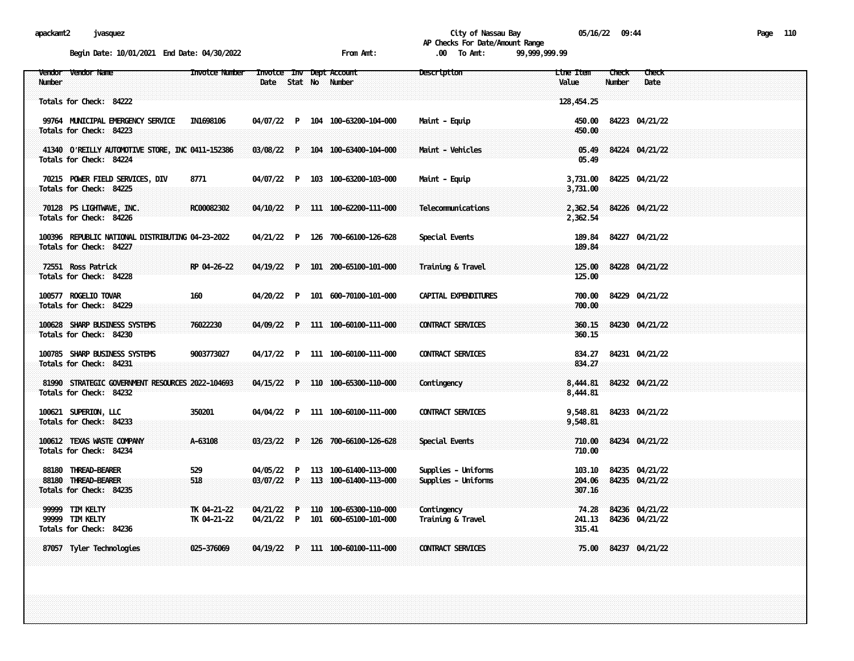**apackamt2 jvasquez City of Nassau Bay 05/16/22 09:44 Page 110 AP Checks For Date/Amount Range**

|  | 05/16/22 |
|--|----------|
|  |          |

| Begin Date: 10/01/2021 End Date: 04/30/2022                                 |                            |                                                        |              | From Amt:                                                            | .00 To Amt:                                | 99, 999, 999. 99                    |                                                |  |  |
|-----------------------------------------------------------------------------|----------------------------|--------------------------------------------------------|--------------|----------------------------------------------------------------------|--------------------------------------------|-------------------------------------|------------------------------------------------|--|--|
| <del>Vendor Vendor Name</del><br><b>Number</b><br>Totals for Check: 84222   | <b>Invotce Number</b>      | <b>Invoice Inv Dept Account</b><br>Date Stat No Number |              |                                                                      | <b>Description</b>                         | ttire Titen.<br>Value<br>128,454.25 | <b>Check</b><br>Check<br><b>Number</b><br>Date |  |  |
| 99764 MUNICIPAL EMERGENCY SERVICE<br>Totals for Check: 84223                | <b>IN1698106</b>           |                                                        |              | 04/07/22 P 104 100-63200-104-000                                     | Maint - Equip                              | 450.00<br>450.00                    | 84223 04/21/22                                 |  |  |
| 41340 O'REILLY AUTOMOTIVE STORE, INC 0411-152386<br>Totals for Check: 84224 |                            |                                                        |              | 03/08/22 P 104 100-63400-104-000                                     | Maint - Vehicles                           | 05.49<br>05.49                      | 84224 04/21/22                                 |  |  |
| 70215 POWER FIELD SERVICES, DIV<br>Totals for Check: 84225                  | 8771                       | 04/07/22                                               | $\mathsf{P}$ | 103 100-63200-103-000                                                | Maint - Equip                              | 3,731.00<br>3,731.00                | 84225 04/21/22                                 |  |  |
| 70128 PS LIGHTWAVE, INC.<br>Totals for Check: 84226                         | RC00082302                 |                                                        |              | 04/10/22 P 111 100-62200-111-000                                     | <b>Telecomunications</b>                   | 2,362.54<br>2,362.54                | 84226 04/21/22                                 |  |  |
| 100396 REPUBLIC NATIONAL DISTRIBUTING 04-23-2022<br>Totals for Check: 84227 |                            |                                                        |              | 04/21/22 P 126 700-66100-126-628                                     | Special Events                             | 189.84<br>189.84                    | 84227 04/21/22                                 |  |  |
| 72551 Ross Patrick<br>Totals for Check: 84228                               | RP 04-26-22                |                                                        |              | 04/19/22 P 101 200-65100-101-000                                     | Training & Travel                          | 125.00<br>125.00                    | 84228 04/21/22                                 |  |  |
| 100577 ROGELIO TOVAR<br>Totals for Check: 84229                             | 160                        |                                                        |              | 04/20/22 P 101 600-70100-101-000                                     | <b>CAPITAL EXPENDITURES</b>                | 700.00<br>700.00                    | 84229 04/21/22                                 |  |  |
| 100628 SHARP BUSINESS SYSTEMS<br>Totals for Check: 84230                    | 76022230                   |                                                        |              | 04/09/22 P 111 100-60100-111-000                                     | <b>CONTRACT SERVICES</b>                   | 360.15<br>360.15                    | 84230 04/21/22                                 |  |  |
| 100785 SHARP BUSINESS SYSTEMS<br>Totals for Check: 84231                    | 9003773027                 |                                                        |              | 04/17/22 P 111 100-60100-111-000                                     | <b>CONTRACT SERVICES</b>                   | 834.27<br>834.27                    | 84231 04/21/22                                 |  |  |
| 81990 STRATEGIC GOVERNMENT RESOURCES 2022-104693<br>Totals for Check: 84232 |                            |                                                        |              | 04/15/22 P 110 100-65300-110-000                                     | Contingency                                | 8,444.81<br>8,444.81                | 84232 04/21/22                                 |  |  |
| 100621 SUPERION, LLC<br>Totals for Check: 84233                             | 350201                     |                                                        |              | 04/04/22 P 111 100-60100-111-000                                     | <b>CONTRACT SERVICES</b>                   | 9,548.81<br>9,548.81                | 84233 04/21/22                                 |  |  |
| 100612 TEXAS WASTE COMPANY<br>Totals for Check: 84234                       | A-63108                    |                                                        |              | 03/23/22 P 126 700-66100-126-628                                     | Special Events                             | 710.00<br>710.00                    | 84234 04/21/22                                 |  |  |
| 88180 THREAD-BEARER<br>88180 THREAD-BEARER<br>Totals for Check: 84235       | 529<br>518                 |                                                        |              | 04/05/22 P 113 100-61400-113-000<br>03/07/22 P 113 100-61400-113-000 | Supplies - Uniforms<br>Supplies - Uniforms | 103.10<br>204.06<br>307.16          | 84235 04/21/22<br>84235 04/21/22               |  |  |
| 99999 TIM KELTY<br>99999 TIM KELTY<br>Totals for Check: 84236               | TK 04-21-22<br>TK 04-21-22 |                                                        |              | 04/21/22 P 110 100-65300-110-000<br>04/21/22 P 101 600-65100-101-000 | Contingency<br>Training & Travel           | 74.28<br>241.13<br>315.41           | 84236 04/21/22<br>84236 04/21/22               |  |  |
| 87057 Tyler Technologies                                                    | 025-376069                 |                                                        |              | 04/19/22 P 111 100-60100-111-000                                     | <b>CONTRACT SERVICES</b>                   |                                     | 75.00 84237 04/21/22                           |  |  |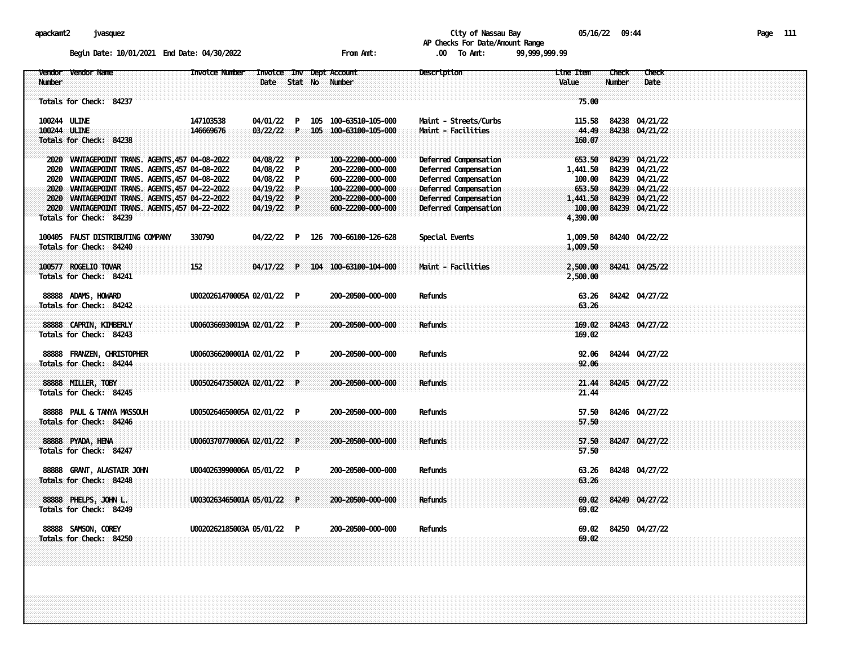**apackamt2 jvasquez City of Nassau Bay 05/16/22 09:44 Page 111 AP Checks For Date/Amount Range** Begin Date: 10/01/2021 End Date: 04/30/2022 From Amt: 99,999,999.99 (999.99)

| 09:4 |
|------|
|      |

|               | Vendor Vendor Name                              | Invoice Number Invoice Inv Dept Account |                     |  |                                  | Describition          | ttne Item | <b>Check</b>  | Check          |  |  |  |
|---------------|-------------------------------------------------|-----------------------------------------|---------------------|--|----------------------------------|-----------------------|-----------|---------------|----------------|--|--|--|
| <b>Number</b> |                                                 |                                         | Date Stat No Number |  |                                  |                       | Value     | <b>Number</b> | Date           |  |  |  |
|               |                                                 |                                         |                     |  |                                  |                       |           |               |                |  |  |  |
|               | Totals for Check: 84237                         |                                         |                     |  |                                  |                       | 75.00     |               |                |  |  |  |
| 100244 ULINE  |                                                 | 147103538                               | 04/01/22 P          |  | 105 100-63510-105-000            | Maint - Streets/Curbs | 115.58    |               | 84238 04/21/22 |  |  |  |
| 100244 ULINE  |                                                 | 146669676                               |                     |  | 03/22/22 P 105 100-63100-105-000 | Maint - Facilities    | 44.49     |               | 84238 04/21/22 |  |  |  |
|               | Totals for Check: 84238                         |                                         |                     |  |                                  |                       | 160.07    |               |                |  |  |  |
|               |                                                 |                                         |                     |  |                                  |                       |           |               |                |  |  |  |
|               | 2020 VANTAGEPOINT TRANS, AGENTS, 457 04-08-2022 |                                         | $04/08/22$ P        |  | 100-22200-000-000                | Deferred Compensation | 653.50    |               | 84239 04/21/22 |  |  |  |
|               | 2020 VANTAGEPOINT TRANS. AGENTS, 457 04-08-2022 |                                         | 04/08/22 P          |  | 200-22200-000-000                | Deferred Compensation | 1,441.50  |               | 84239 04/21/22 |  |  |  |
|               | 2020 VANTAGEPOINT TRANS. AGENTS, 457 04-08-2022 |                                         | 04/08/22 P          |  | 600-22200-000-000                | Deferred Compensation | 100.00    |               | 84239 04/21/22 |  |  |  |
|               | 2020 VANTAGEPOINT TRANS. AGENTS, 457 04-22-2022 |                                         | 04/19/22 P          |  | 100-22200-000-000                | Deferred Compensation | 653.50    |               | 84239 04/21/22 |  |  |  |
|               | 2020 VANTAGEPOINT TRANS. AGENTS, 457 04-22-2022 |                                         | 04/19/22 P          |  | 200-22200-000-000                | Deferred Compensation | 1,441.50  |               | 84239 04/21/22 |  |  |  |
|               | 2020 VANTAGEPOINT TRANS, AGENTS, 457 04-22-2022 |                                         | 04/19/22 P          |  | 600-22200-000-000                | Deferred Compensation | 100.00    |               | 84239 04/21/22 |  |  |  |
|               | Totals for Check: 84239                         |                                         |                     |  |                                  |                       | 4,390.00  |               |                |  |  |  |
|               | 100405 FAUST DISTRIBUTING COMPANY               | 330790                                  | 04/22/22 P          |  | 126 700-66100-126-628            | Special Events        | 1,009.50  |               | 84240 04/22/22 |  |  |  |
|               | Totals for Check: 84240                         |                                         |                     |  |                                  |                       | 1,009.50  |               |                |  |  |  |
|               |                                                 |                                         |                     |  |                                  |                       |           |               |                |  |  |  |
|               | 100577 ROGELIO TOVAR                            | 152                                     |                     |  | 04/17/22 P 104 100-63100-104-000 | Maint - Facilities    | 2,500.00  |               | 84241 04/25/22 |  |  |  |
|               | Totals for Check: 84241                         |                                         |                     |  |                                  |                       | 2,500.00  |               |                |  |  |  |
|               |                                                 |                                         |                     |  |                                  |                       |           |               |                |  |  |  |
|               | 88888 ADAMS, HOWARD                             | U0020261470005A 02/01/22 P              |                     |  | 200-20500-000-000                | <b>Refunds</b>        | 63.26     |               | 84242 04/27/22 |  |  |  |
|               | Totals for Check: 84242                         |                                         |                     |  |                                  |                       | 63.26     |               |                |  |  |  |
|               |                                                 |                                         |                     |  |                                  |                       |           |               |                |  |  |  |
|               | 88888 CAPRIN, KIMBERLY                          | U0060366930019A 02/01/22 P              |                     |  | 200-20500-000-000                | <b>Refunds</b>        | 169.02    |               | 84243 04/27/22 |  |  |  |
|               | Totals for Check: 84243                         |                                         |                     |  |                                  |                       | 169.02    |               |                |  |  |  |
|               |                                                 |                                         |                     |  |                                  |                       |           |               |                |  |  |  |
|               | 88888 FRANZEN, CHRISTOPHER                      | U0060366200001A 02/01/22 P              |                     |  | 200-20500-000-000                | <b>Refunds</b>        | 92.06     |               | 84244 04/27/22 |  |  |  |
|               | Totals for Check: 84244                         |                                         |                     |  |                                  |                       | 92.06     |               |                |  |  |  |
|               |                                                 |                                         |                     |  |                                  |                       |           |               |                |  |  |  |
|               | 88888 MILLER, TOBY                              | U0050264735002A 02/01/22 P              |                     |  | 200-20500-000-000                | <b>Refunds</b>        | 21.44     |               | 84245 04/27/22 |  |  |  |
|               | Totals for Check: 84245                         |                                         |                     |  |                                  |                       | 21.44     |               |                |  |  |  |
|               | 88888 PAUL & TANYA MASSOUH                      | U0050264650005A 02/01/22 P              |                     |  | 200-20500-000-000                | <b>Refunds</b>        | 57.50     |               | 84246 04/27/22 |  |  |  |
|               | Totals for Check: 84246                         |                                         |                     |  |                                  |                       | 57.50     |               |                |  |  |  |
|               |                                                 |                                         |                     |  |                                  |                       |           |               |                |  |  |  |
|               | 88888 PYADA, HENA                               | U0060370770006A 02/01/22 P              |                     |  | 200-20500-000-000                | <b>Refunds</b>        | 57.50     |               | 84247 04/27/22 |  |  |  |
|               | Totals for Check: 84247                         |                                         |                     |  |                                  |                       | 57.50     |               |                |  |  |  |
|               |                                                 |                                         |                     |  |                                  |                       |           |               |                |  |  |  |
|               | 88888 GRANT, ALASTAIR JOHN                      | U0040263990006A 05/01/22 P              |                     |  | 200-20500-000-000                | <b>Refunds</b>        | 63.26     |               | 84248 04/27/22 |  |  |  |
|               | Totals for Check: 84248                         |                                         |                     |  |                                  |                       | 63.26     |               |                |  |  |  |
|               |                                                 |                                         |                     |  |                                  |                       |           |               |                |  |  |  |
|               | 88888 PHELPS, JOHN L.                           | U0030263465001A 05/01/22 P              |                     |  | 200-20500-000-000                | <b>Refunds</b>        | 69.02     |               | 84249 04/27/22 |  |  |  |
|               | Totals for Check: 84249                         |                                         |                     |  |                                  |                       | 69.02     |               |                |  |  |  |
|               |                                                 |                                         |                     |  |                                  |                       |           |               |                |  |  |  |
|               | 88888 SAMSON, COREY                             | U0020262185003A 05/01/22 P              |                     |  | 200-20500-000-000                | <b>Refunds</b>        | 69.02     |               | 84250 04/27/22 |  |  |  |
|               | Totals for Check: 84250                         |                                         |                     |  |                                  |                       | 69.02     |               |                |  |  |  |
|               |                                                 |                                         |                     |  |                                  |                       |           |               |                |  |  |  |
|               |                                                 |                                         |                     |  |                                  |                       |           |               |                |  |  |  |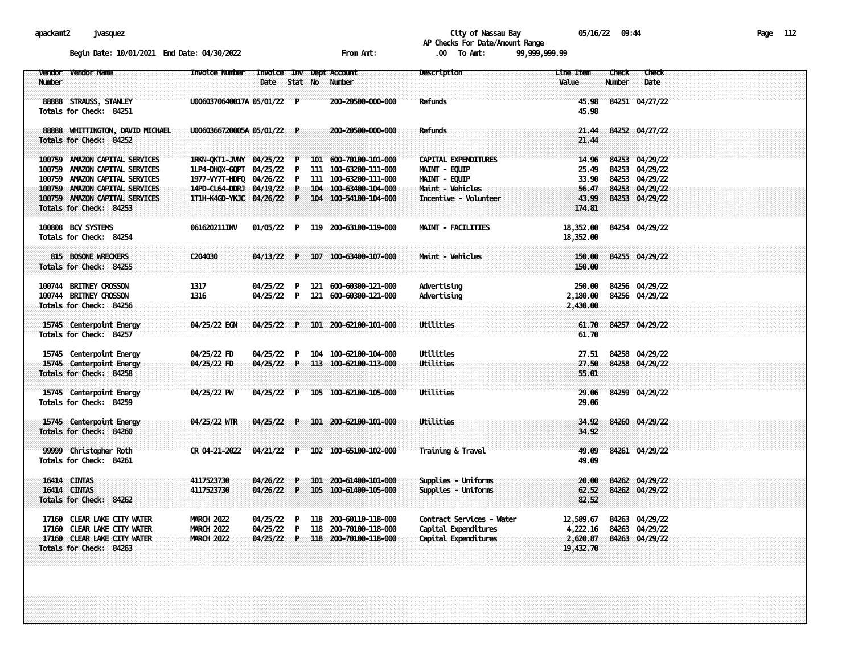**Totals for Check: 84262 82.52**

**Totals for Check: 84263 19,432.70**

**apackamt2 jvasquez City of Nassau Bay 05/16/22 09:44 Page 112 AP Checks For Date/Amount Range**

Begin Date: 10/01/2021 End Date: 04/30/2022 From Amt:

**Totals for Check: 84251 45.98**

**Date Stat No Number** 

**Vendor Vendor Name Invoice Number Invoice Inv Dept Account Description Line Item Check Check**

88888 STRAUSS、STANLEY U0060370640017A 05/01/22 P 200-20500-000 Refunds 45.98 84251 04/27/22

88888 MHITTINGTON, DAVID MICHAEL 00060366720005A 05/01/22 P 200-20500-000-000 Refunds Refunds 21.44 84252 04/27/22 **Totals for Check: 84252 21.44** 100759 AMAZON CAPITAL SERVICES 1RKN-QKT1-JVNY 04/25/22 P 101 600-70100-101-000 CAPITAL EXPENDITURES 14.96 84253 04/29/22 100759 AMAZON CAPITAL SERVICES 1LP4-DHQX-GQPT 04/25/22 P 111 100-63200-111-000 MAINT - EQUIP 25.49 84253 04/29/22 100759 AMAZON CAPITAL SERVICES 1977-VYT-HDFQ 04/26/22 P 111 100-63200-111-000 MAINT - EQUIP 33.90 33.90 84253 04/29/22<br>100759 AMAZON CAPITAL SERVICES 114PD-CL64-DDRJ 04/19/22 P 104 100-63400-104-000 Maint - Vehicles 11 100 100759 AMAZON CAPITAL SERVICES ..........14PD-CL64-DDRJ 04/19/22 P 104 100-63400-104-000 Maint Vehicles 300-01 Politics 56.47 84253 04/29/22

| 100759 AMAZON CAPITAL SERVICES<br>Totals for Check: 84253                       |                            |                          |          | 1T1H-K4GD-YKJC 04/26/22 P 104 100-54100-104-000           | Incentive - Volunteer      | 43.99<br>174.81                | 84253 04/29/22                   |
|---------------------------------------------------------------------------------|----------------------------|--------------------------|----------|-----------------------------------------------------------|----------------------------|--------------------------------|----------------------------------|
| 100808 BCV SYSTEMS<br>Totals for Check: 84254                                   | 061620211IM                |                          |          | 01/05/22 P 119 200-63100-119-000                          | <b>MAINT - FACILITIES</b>  | 18,352.00<br>18,352.00         | 84254 04/29/22                   |
| 815 BOSONE WRECKERS<br>Totals for Check: 84255                                  | C <sub>204030</sub>        |                          |          | 04/13/22 P 107 100-63400-107-000                          | Maint - Vehicles           | 150.00<br>150.00               | 84255 04/29/22                   |
| 100744 BRITNEY CROSSON<br>100744 BRITNEY CROSSON<br>Totals for Check: 84256     | 1317<br>1316               | 04/25/22 P<br>04/25/22 P |          | 121 600-60300-121-000<br>121 600-60300-121-000            | Advertising<br>Advertising | 250.00<br>2,180.00<br>2,430.00 | 84256 04/29/22<br>84256 04/29/22 |
| 15745 Centerpoint Energy<br>Totals for Check: 84257                             | 04/25/22 EGN               | $04/25/22$ P             |          | 101 200-62100-101-000                                     | Utilities                  | 61.70<br>61.70                 | 84257 04/29/22                   |
| 15745 Centerpoint Energy<br>15745 Centerpoint Energy<br>Totals for Check: 84258 | 04/25/22 FD<br>04/25/22 FD | 04/25/22                 | <b>P</b> | 104 100-62100-104-000<br>04/25/22 P 113 100-62100-113-000 | Utilities<br>Utilities     | 27.51<br>27.50<br>55.01        | 84258 04/29/22<br>84258 04/29/22 |
| 15745 Centerpoint Energy<br>Totals for Check: 84259                             | 04/25/22 PW                |                          |          | 04/25/22 P 105 100-62100-105-000                          | <b>Utilities</b>           | 29.06<br>29.06                 | 84259 04/29/22                   |
| 15745 Centerpoint Energy<br>Totals for Check: 84260                             | 04/25/22 WTR               |                          |          | $04/25/22$ P 101 200-62100-101-000                        | Utilities                  | 34.92<br>34.92                 | 84260 04/29/22                   |
| 99999 Christopher Roth<br>Totals for Check: 84261                               | CR 04-21-2022              |                          |          | 04/21/22 P 102 100-65100-102-000                          | Training & Travel          | 49.09<br>49.09                 | 84261 04/29/22                   |

04/26/22 P 105 100-61400-105-000 Supplies - Uniforms 62.52<br>82.52

04/25/22 P 118 200-70100-118-000 Capital Expenditures 2,620.87<br>19,432.70

**16414 CINTAS 4117523730 04/26/22 P 101 200-61400-101-000 Supplies - Uniforms 20.00 84262 04/29/22**

17160 CLEAR LAKE CITY WATER MARCH 2022 04/25/22 P 118 200-60110-118-000 Contract Services - Water 12,589.67 84263 04/29/22 17160 CLEAR LAKE CITY WATER MARCH 2022 04/25/22 P 118 200-70100-118-000 Capital Expenditures 4,222.16 84263 04/29/22<br>17160 CLEAR LAKE CITY WATER MARCH 2022 04/25/22 P 118 200-70100-118-000 Capital Expenditures 2,620.87 842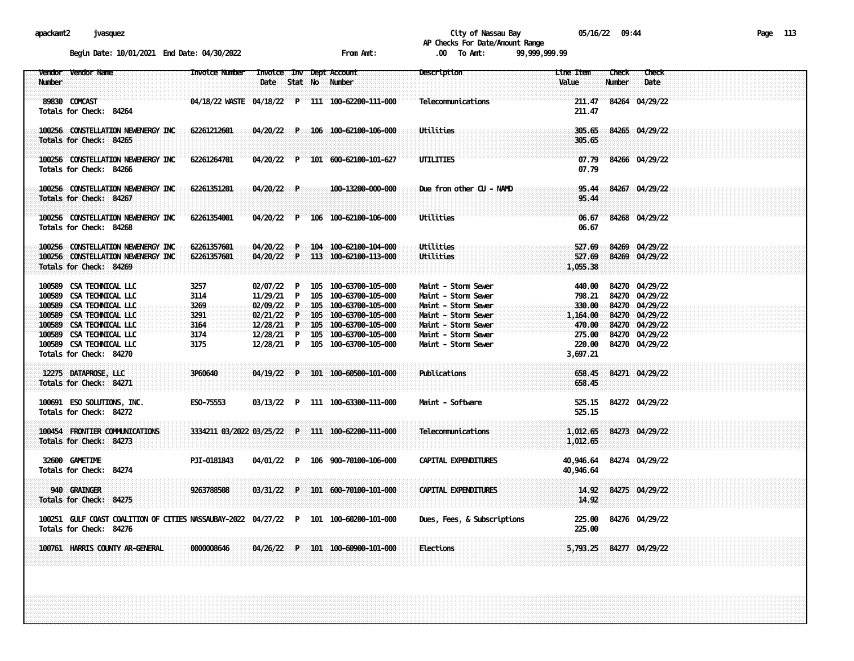**apackamt2 jvasquez City of Nassau Bay 05/16/22 09:44 Page 113 AP Checks For Date/Amount Range** Begin Date: 10/01/2021 End Date: 04/30/2022 From Amt: 00 To Amt: 99,999,999.99

| 05/16/22 | 09:44 |
|----------|-------|
|----------|-------|

| <del>Vendor Vendor Name</del>                                                         | Invotce Number Invotce Inv Dept Account |                     |              |                                                  | <b>Description</b>          | iatne Titen        | t Check.      | tCheck                  |  |  |
|---------------------------------------------------------------------------------------|-----------------------------------------|---------------------|--------------|--------------------------------------------------|-----------------------------|--------------------|---------------|-------------------------|--|--|
| <b>Number</b>                                                                         |                                         | Date Stat No Number |              |                                                  |                             | Value              | <b>Number</b> | Date                    |  |  |
| 89830 COMCAST                                                                         |                                         |                     |              | 04/18/22 WASTE 04/18/22 P 111 100-62200-111-000  | <b>Telecommunications</b>   | 211.47             |               | 84264 04/29/22          |  |  |
| Totals for Check: 84264                                                               |                                         |                     |              |                                                  |                             | 211.47             |               |                         |  |  |
|                                                                                       |                                         |                     |              |                                                  |                             |                    |               |                         |  |  |
| 100256 CONSTELLATION NEWENERGY INC                                                    | 62261212601                             | $04/20/22$ P        |              | $106 - 100 - 62100 - 106 - 000$                  | <b>Utilities</b>            | 305.65             |               | 84265 04/29/22          |  |  |
| Totals for Check: 84265                                                               |                                         |                     |              |                                                  |                             | 305.65             |               |                         |  |  |
|                                                                                       |                                         |                     |              |                                                  |                             |                    |               |                         |  |  |
| 100256 CONSTELLATION NEWENERGY INC                                                    | 62261264701                             |                     |              | 04/20/22 P 101 600-62100-101-627                 | <b>UTILITIES</b>            | 07.79              |               | 84266 04/29/22          |  |  |
| Totals for Check: 84266                                                               |                                         |                     |              |                                                  |                             | 07.79              |               |                         |  |  |
| 100256 CONSTELLATION NEWENERGY INC                                                    | 62261351201                             | 04/20/22 P          |              | 100-13200-000-000                                | Due from other CU - NAMD    | 95.44              |               | 84267 04/29/22          |  |  |
| Totals for Check: 84267                                                               |                                         |                     |              |                                                  |                             | 95.44              |               |                         |  |  |
|                                                                                       |                                         |                     |              |                                                  |                             |                    |               |                         |  |  |
| 100256 CONSTELLATION NEWENERGY INC                                                    | 62261354001                             |                     |              | 04/20/22 P 106 100-62100-106-000                 | Utilities                   | 06.67              |               | 84268 04/29/22          |  |  |
| Totals for Check: 84268                                                               |                                         |                     |              |                                                  |                             | 06.67              |               |                         |  |  |
|                                                                                       |                                         |                     |              |                                                  |                             |                    |               |                         |  |  |
| 100256 CONSTELLATION NEWENERGY INC                                                    | 62261357601                             |                     |              | 04/20/22 P 104 100-62100-104-000                 | Utilities                   | 527.69             |               | 84269 04/29/22          |  |  |
| 100256 CONSTELLATION NEWENERGY INC<br>Totals for Check: 84269                         | 62261357601                             |                     |              | 04/20/22 P 113 100-62100-113-000                 | Utilities                   | 527.69<br>1,055.38 |               | 84269 04/29/22          |  |  |
|                                                                                       |                                         |                     |              |                                                  |                             |                    |               |                         |  |  |
| 100589 CSA TECHNICAL LLC                                                              | 3257                                    | $02/07/22$ P        |              | 105 100-63700-105-000                            | Maint - Storm Sewer         | 440.00             |               | 84270 04/29/22          |  |  |
| 100589 CSA TECHNICAL LLC                                                              | 3114                                    | 11/29/21 P          |              | 105 100-63700-105-000                            | Maint - Storm Sewer         |                    |               | 798.21 84270 04/29/22   |  |  |
| 100589 CSA TECHNICAL LLC                                                              | 3269                                    |                     |              | 02/09/22 P 105 100-63700-105-000                 | Maint - Storm Sewer         | 330.00             |               | 84270 04/29/22          |  |  |
| 100589 CSA TECHNICAL LLC                                                              | 3291                                    |                     |              | 02/21/22 P 105 100-63700-105-000                 | Maint - Storm Sewer         | 1,164.00           |               | 84270 04/29/22          |  |  |
| 100589 CSA TECHNICAL LLC                                                              | 3164                                    | 12/28/21            | $\mathsf{P}$ | 105 100-63700-105-000                            | Maint - Storm Sewer         | 470.00             |               | 84270 04/29/22          |  |  |
| 100589 CSA TECHNICAL LLC                                                              | 3174                                    | $12/28/21$ P        |              | 105 100-63700-105-000                            | Maint - Storm Sewer         | 275.00             |               | 84270 04/29/22          |  |  |
| 100589 CSA TECHNICAL LLC                                                              | 3175                                    |                     |              | 12/28/21 P 105 100-63700-105-000                 | Maint - Storm Sewer         | 220.00             |               | 84270 04/29/22          |  |  |
| Totals for Check: 84270                                                               |                                         |                     |              |                                                  |                             | 3,697.21           |               |                         |  |  |
| 12275 DATAPROSE, LLC                                                                  | 3P60640                                 |                     |              | 04/19/22 P 101 100-60500-101-000                 | <b>Publications</b>         |                    |               | 658.45 84271 04/29/22   |  |  |
| Totals for Check: 84271                                                               |                                         |                     |              |                                                  |                             | 658.45             |               |                         |  |  |
|                                                                                       |                                         |                     |              |                                                  |                             |                    |               |                         |  |  |
| 100691 ESO SOLUTIONS, INC.                                                            | ES0-75553                               |                     |              | 03/13/22 P 111 100-63300-111-000                 | Maint - Software            |                    |               | 525.15 84272 04/29/22   |  |  |
| Totals for Check: 84272                                                               |                                         |                     |              |                                                  |                             | 525.15             |               |                         |  |  |
|                                                                                       |                                         |                     |              |                                                  |                             |                    |               |                         |  |  |
| 100454 FRONTIER COMMUNICATIONS                                                        |                                         |                     |              | 3334211 03/2022 03/25/22 P 111 100-62200-111-000 | <b>Telecomunications</b>    | 1,012.65           |               | 84273 04/29/22          |  |  |
| Totals for Check: 84273                                                               |                                         |                     |              |                                                  |                             | 1,012.65           |               |                         |  |  |
| 32600 GAMETIME                                                                        | PJI-0181843                             |                     |              | 04/01/22 P 106 900-70100-106-000                 | CAPITAL EXPENDITURES        | 40,946.64          |               | 84274 04/29/22          |  |  |
| Totals for Check: 84274                                                               |                                         |                     |              |                                                  |                             | 40,946.64          |               |                         |  |  |
|                                                                                       |                                         |                     |              |                                                  |                             |                    |               |                         |  |  |
| 940 GRAINGER                                                                          | 9263788508                              |                     |              | 03/31/22 P 101 600-70100-101-000                 | <b>CAPITAL EXPENDITURES</b> | 14.92              |               | 84275 04/29/22          |  |  |
| Totals for Check: 84275                                                               |                                         |                     |              |                                                  |                             | 14.92              |               |                         |  |  |
|                                                                                       |                                         |                     |              |                                                  |                             |                    |               |                         |  |  |
| 100251 GULF COAST COALITION OF CITIES NASSAUBAY-2022 04/27/22 P 101 100-60200-101-000 |                                         |                     |              |                                                  | Dues, Fees, & Subscriptions | 225.00             |               | 84276 04/29/22          |  |  |
| Totals for Check: 84276                                                               |                                         |                     |              |                                                  |                             | 225.00             |               |                         |  |  |
| 100761 HARRIS COUNTY AR-GENERAL                                                       | 0000008646                              |                     |              | 04/26/22 P 101 100-60900-101-000                 | <b>Elections</b>            |                    |               | 5,793.25 84277 04/29/22 |  |  |
|                                                                                       |                                         |                     |              |                                                  |                             |                    |               |                         |  |  |
|                                                                                       |                                         |                     |              |                                                  |                             |                    |               |                         |  |  |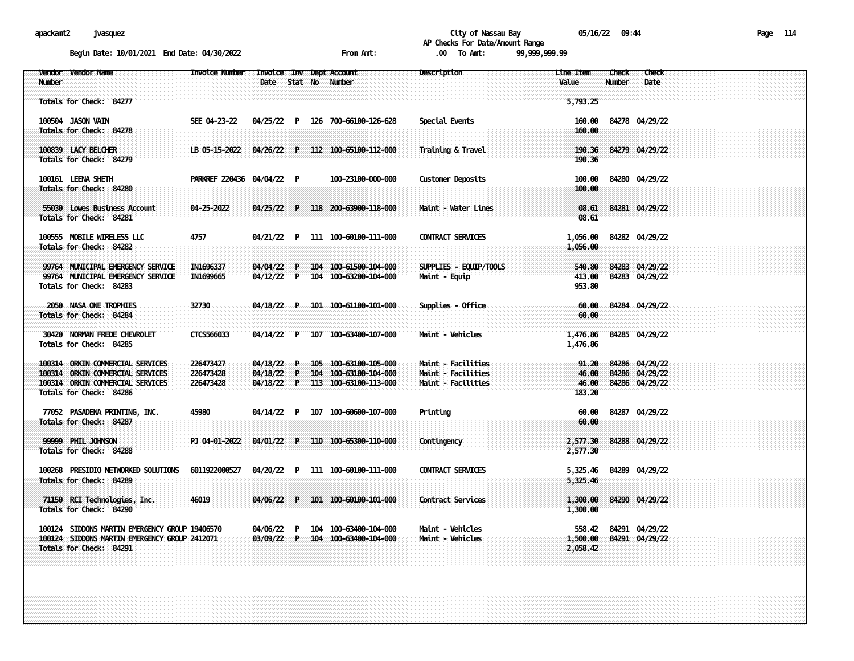**apackamt2 jvasquez City of Nassau Bay 05/16/22 09:44 Page 114 AP Checks For Date/Amount Range** Beatin Date: 10/01/2021 End Date: 04/30/2022 From Amt: 00 To Amt: 99.999.999.99

|                                                                                                 |                           |                     |  |                                                                      | <b>Description</b>       | ithe Item            | <b>Check</b>  | <b>Check</b>                     |  |  |  |
|-------------------------------------------------------------------------------------------------|---------------------------|---------------------|--|----------------------------------------------------------------------|--------------------------|----------------------|---------------|----------------------------------|--|--|--|
| <b>Number</b>                                                                                   |                           | Date Stat No Number |  |                                                                      |                          | Value                | <b>Number</b> | Date                             |  |  |  |
| Totals for Check: 84277                                                                         |                           |                     |  |                                                                      |                          | 5,793.25             |               |                                  |  |  |  |
|                                                                                                 |                           |                     |  |                                                                      |                          |                      |               |                                  |  |  |  |
| 100504 JASON VAIN                                                                               | SEE 04-23-22              |                     |  | 04/25/22 P 126 700-66100-126-628                                     | Special Events           | 160.00               |               | 84278 04/29/22                   |  |  |  |
| Totals for Check: 84278                                                                         |                           |                     |  |                                                                      |                          | 160.00               |               |                                  |  |  |  |
| 100839 LACY BELCHER                                                                             |                           |                     |  | LB 05-15-2022 04/26/22 P 112 100-65100-112-000                       | Training & Travel        | 190.36               |               | 84279 04/29/22                   |  |  |  |
| Totals for Check: 84279                                                                         |                           |                     |  |                                                                      |                          | 190.36               |               |                                  |  |  |  |
|                                                                                                 |                           |                     |  |                                                                      |                          |                      |               |                                  |  |  |  |
| 100161 LEENA SHETH                                                                              | PARKREF 220436 04/04/22 P |                     |  | 100-23100-000-000                                                    | Customer Deposits        | 100.00<br>100.00     |               | 84280 04/29/22                   |  |  |  |
| Totals for Check: 84280                                                                         |                           |                     |  |                                                                      |                          |                      |               |                                  |  |  |  |
| 55030 Lowes Business Account                                                                    | 04-25-2022                |                     |  | 04/25/22 P 118 200-63900-118-000                                     | Maint - Water Lines      |                      |               | 08.61 84281 04/29/22             |  |  |  |
| Totals for Check: 84281                                                                         |                           |                     |  |                                                                      |                          | 08.61                |               |                                  |  |  |  |
| 100555 MOBILE WIRELESS LLC                                                                      | 4757                      |                     |  | 04/21/22 P 111 100-60100-111-000                                     | CONTRACT SERVICES        | 1,056.00             |               | 84282 04/29/22                   |  |  |  |
| Totals for Check: 84282                                                                         |                           |                     |  |                                                                      |                          | 1,056.00             |               |                                  |  |  |  |
|                                                                                                 |                           |                     |  |                                                                      |                          |                      |               |                                  |  |  |  |
| 99764 MUNICIPAL EMERGENCY SERVICE<br>99764 MUNICIPAL EMERGENCY SERVICE                          | IN1696337                 |                     |  | 04/04/22 P 104 100-61500-104-000<br>04/12/22 P 104 100-63200-104-000 | SUPPLIES - EQUIP/TOOLS   | 540.80               |               | 84283 04/29/22                   |  |  |  |
| Totals for Check: 84283                                                                         | <b>IN1699665</b>          |                     |  |                                                                      | Maint - Equip            | 413.00<br>953.80     |               | 84283 04/29/22                   |  |  |  |
|                                                                                                 |                           |                     |  |                                                                      |                          |                      |               |                                  |  |  |  |
| 2050 NASA ONE TROPHIES                                                                          | 32730                     |                     |  | 04/18/22 P 101 100-61100-101-000                                     | Supplies - Office        | $-60.00$             |               | 84284 04/29/22                   |  |  |  |
| Totals for Check: 84284                                                                         |                           |                     |  |                                                                      |                          | 60.00                |               |                                  |  |  |  |
| 30420 NORMAN FREDE CHEVROLET                                                                    | <b>CTCS566033</b>         |                     |  | 04/14/22 P 107 100-63400-107-000                                     | Maint - Vehicles         | 1,476.86             |               | 84285 04/29/22                   |  |  |  |
| Totals for Check: 84285                                                                         |                           |                     |  |                                                                      |                          | 1,476.86             |               |                                  |  |  |  |
| 100314 ORKIN COMMERCIAL SERVICES                                                                |                           |                     |  |                                                                      | Maint - Facilities       |                      |               |                                  |  |  |  |
| 100314 ORKIN COMMERCIAL SERVICES                                                                | 226473427<br>226473428    |                     |  | 04/18/22 P 105 100-63100-105-000<br>04/18/22 P 104 100-63100-104-000 | Maint - Facilities       | 91.20<br>46.00       |               | 84286 04/29/22<br>84286 04/29/22 |  |  |  |
| 100314 ORKIN COMMERCIAL SERVICES                                                                | 226473428                 |                     |  | 04/18/22 P 113 100-63100-113-000                                     | Maint - Facilities       | 46.00                |               | 84286 04/29/22                   |  |  |  |
| Totals for Check: 84286                                                                         |                           |                     |  |                                                                      |                          | 183.20               |               |                                  |  |  |  |
| 77052 PASADENA PRINTING, INC.                                                                   | 45980                     |                     |  | 04/14/22 P 107 100-60600-107-000                                     | Printing                 | 60.00                |               | 84287 04/29/22                   |  |  |  |
| Totals for Check: 84287                                                                         |                           |                     |  |                                                                      |                          | 60.00                |               |                                  |  |  |  |
|                                                                                                 |                           |                     |  |                                                                      |                          |                      |               |                                  |  |  |  |
| 99999 PHIL JOHNSON<br>Totals for Check: 84288                                                   | PJ 04-01-2022             |                     |  | 04/01/22 P 110 100-65300-110-000                                     | Contingency              | 2,577.30<br>2,577.30 |               | 84288 04/29/22                   |  |  |  |
|                                                                                                 |                           |                     |  |                                                                      |                          |                      |               |                                  |  |  |  |
| 100268 PRESIDIO NETWORKED SOLUTIONS                                                             | 6011922000527             |                     |  | 04/20/22 P 111 100-60100-111-000                                     | <b>CONTRACT SERVICES</b> | 5,325.46             |               | 84289 04/29/22                   |  |  |  |
| Totals for Check: 84289                                                                         |                           |                     |  |                                                                      |                          | 5,325.46             |               |                                  |  |  |  |
| 71150 RCI Technologies, Inc.                                                                    | 46019                     |                     |  | 04/06/22 P 101 100-60100-101-000                                     | Contract Services        |                      |               | 1,300.00 84290 04/29/22          |  |  |  |
| Totals for Check: 84290                                                                         |                           |                     |  |                                                                      |                          | 1,300.00             |               |                                  |  |  |  |
|                                                                                                 |                           |                     |  |                                                                      | Maint - Vehicles         |                      |               |                                  |  |  |  |
| 100124 SIDDONS MARTIN EMERGENCY GROUP 19406570<br>100124 SIDDONS MARTIN EMERGENCY GROUP 2412071 |                           |                     |  | 04/06/22 P 104 100-63400-104-000<br>03/09/22 P 104 100-63400-104-000 | Maint - Vehicles         | 558.42<br>1,500.00   |               | 84291 04/29/22<br>84291 04/29/22 |  |  |  |
| Totals for Check: 84291                                                                         |                           |                     |  |                                                                      |                          | 2,058.42             |               |                                  |  |  |  |
|                                                                                                 |                           |                     |  |                                                                      |                          |                      |               |                                  |  |  |  |